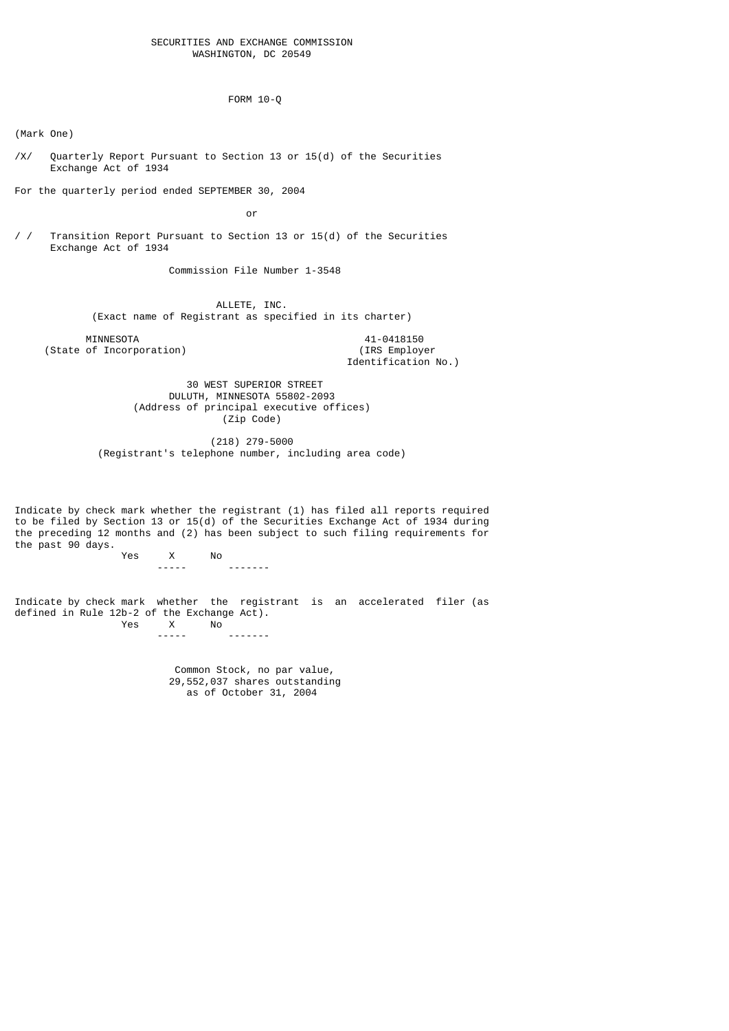#### SECURITIES AND EXCHANGE COMMISSION WASHINGTON, DC 20549

FORM 10-Q

(Mark One)

/X/ Quarterly Report Pursuant to Section 13 or 15(d) of the Securities Exchange Act of 1934

For the quarterly period ended SEPTEMBER 30, 2004

**or** and the contract of the contract of the contract of the contract of the contract of the contract of the contract of the contract of the contract of the contract of the contract of the contract of the contract of the c

/ / Transition Report Pursuant to Section 13 or 15(d) of the Securities Exchange Act of 1934

Commission File Number 1-3548

 ALLETE, INC. (Exact name of Registrant as specified in its charter)

MINNESOTA 41-0418150<br>
of Incorporation) (IRS Employer (State of Incorporation)

Identification No.)

 30 WEST SUPERIOR STREET DULUTH, MINNESOTA 55802-2093 (Address of principal executive offices) (Zip Code)

 (218) 279-5000 (Registrant's telephone number, including area code)

Indicate by check mark whether the registrant (1) has filed all reports required to be filed by Section 13 or 15(d) of the Securities Exchange Act of 1934 during the preceding 12 months and (2) has been subject to such filing requirements for the past 90 days.<br>Yes

 Yes X No ----- -------

Indicate by check mark whether the registrant is an accelerated filer (as defined in Rule 12b-2 of the Exchange Act).<br>Yes X No  $\begin{array}{c} \mathsf{X} \\ \mathsf{I} \end{array}$ ----- -------

> Common Stock, no par value, 29,552,037 shares outstanding as of October 31, 2004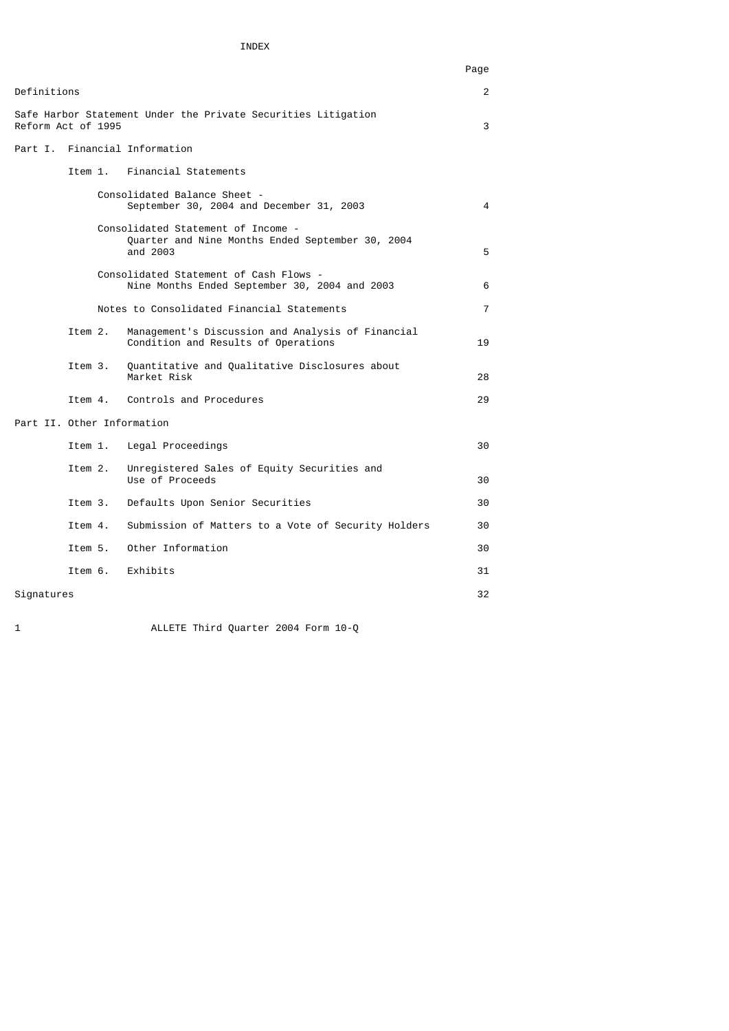# INDEX

|                            |         |                                                                                                    | Page           |
|----------------------------|---------|----------------------------------------------------------------------------------------------------|----------------|
| Definitions                |         |                                                                                                    | $\overline{2}$ |
| Reform Act of 1995         |         | Safe Harbor Statement Under the Private Securities Litigation                                      | 3              |
|                            |         | Part I. Financial Information                                                                      |                |
|                            |         | Item 1. Financial Statements                                                                       |                |
|                            |         | Consolidated Balance Sheet -<br>September 30, 2004 and December 31, 2003                           | 4              |
|                            |         | Consolidated Statement of Income -<br>Quarter and Nine Months Ended September 30, 2004<br>and 2003 | 5              |
|                            |         | Consolidated Statement of Cash Flows -<br>Nine Months Ended September 30, 2004 and 2003            | 6              |
|                            |         | Notes to Consolidated Financial Statements                                                         | $\overline{7}$ |
|                            | Item 2. | Management's Discussion and Analysis of Financial<br>Condition and Results of Operations           | 19             |
|                            | Item 3. | Quantitative and Qualitative Disclosures about<br>Market Risk                                      | 28             |
|                            |         | Item 4. Controls and Procedures                                                                    | 29             |
| Part II. Other Information |         |                                                                                                    |                |
|                            |         | Item 1. Legal Proceedings                                                                          | 30             |
|                            | Item 2. | Unregistered Sales of Equity Securities and<br>Use of Proceeds                                     | 30             |
|                            | Item 3. | Defaults Upon Senior Securities                                                                    | 30             |
|                            | Item 4. | Submission of Matters to a Vote of Security Holders                                                | 30             |
|                            | Item 5. | Other Information                                                                                  | 30             |
|                            |         | Item 6. Exhibits                                                                                   | 31             |
| Signatures                 |         |                                                                                                    | 32             |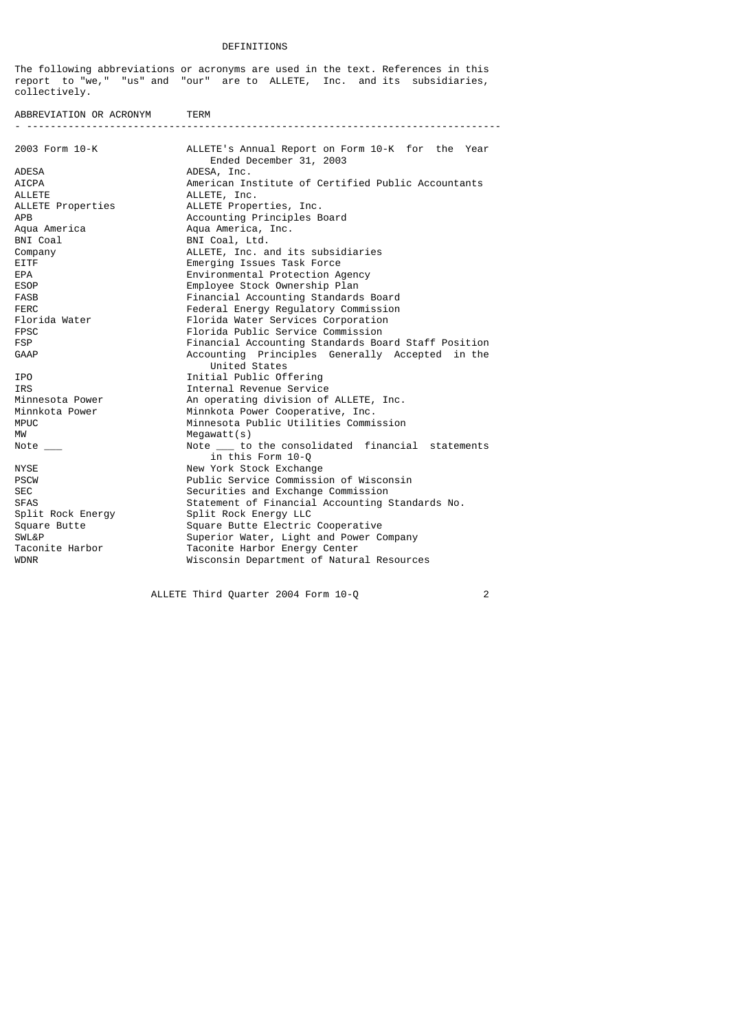#### DEFINITIONS

The following abbreviations or acronyms are used in the text. References in this report to "we," "us" and "our" are to ALLETE, Inc. and its subsidiaries, collectively.

ABBREVIATION OR ACRONYM TERM - -------------------------------------------------------------------------------- 2003 Form 10-K ALLETE's Annual Report on Form 10-K for the Year Ended December 31, 2003<br>ADESA ADESA, Inc. ADESA ADESA, Inc. AICPA American Institute of Certified Public Accountants ALLETE Properties ALLETE, Inc.<br>ALLETE Properties ALLETE Prope ALLETE Properties ALLETE Properties, Inc.<br>APR Accounting Principles B APB Accounting Principles Board Aqua America Aqua America, Inc. BNI Coal BNI Coal, Ltd. Company ALLETE, Inc. and its subsidiaries EITF EMERGING EMERGING ISSUES TASK FORCE<br>EPA Environmental Protection A EPA Environmental Protection Agency ESOP Employee Stock Ownership Plan<br>EASB EASB Example Einancial Accounting Standard FASB Financial Accounting Standards Board<br>Federal Energy Regulatory Commission FERC FERC Federal Energy Regulatory Commission<br>Florida Water Florida Water Services Corporation Florida Water Florida Water Services Corporation<br>Florida Public Service Commission FPSC Florida Public Service Commission<br>Financial Accounting Standards Board FSP Financial Accounting Standards Board Staff Position GAAP Accounting Principles Generally Accepted in the United States **IPO Initial Public Offering**<br> **IRS** Internal Revenue Service IRS<br>
Internal Revenue Service<br>
An operating division of Minnesota Power An operating division of ALLETE, Inc.<br>Minnkota Power Minnkota Power Cooperative, Inc. Minnkota Power Minnkota Power Cooperative, Inc.<br>MPUC Minnesota Public Utilities Commi MPUC Minnesota Public Utilities Commission<br>MW Megawatt(s)  $Megawatt(s)$ Note \_\_\_ Note \_\_ to the consolidated financial statements in this Form 10-Q<br>and this Form 10-Q<br>New York Stock Exchange New York Stock Exchange PSCW PUBLic Service Commission of Wisconsin<br>SEC Securities and Exchange Commission SEC Securities and Exchange Commission SFAS Statement of Financial Accounting Standards No.<br>Split Rock Energy Split Rock Energy LLC Split Rock Energy Split Rock Energy LLC Square Butte Square Butte Electric Cooperative<br>SWL&P Superior Water, Light and Power C SWL&P Superior Water, Light and Power Company Taconite Harbor Taconite Harbor Energy Center WDNR Wisconsin Department of Natural Resources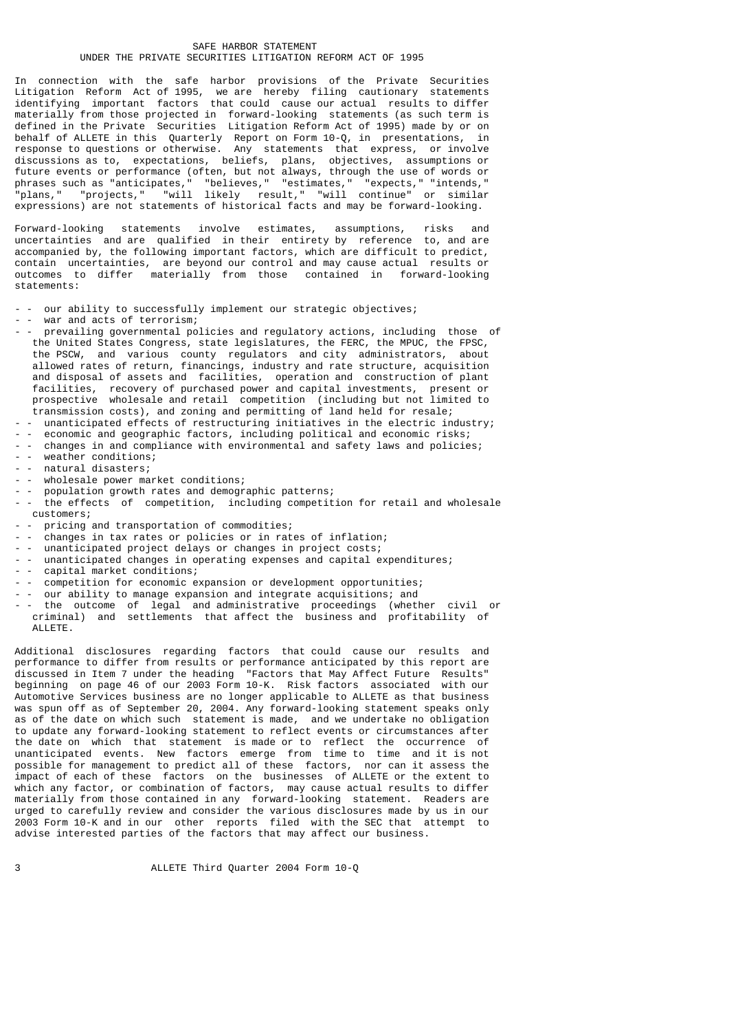### SAFE HARBOR STATEMENT UNDER THE PRIVATE SECURITIES LITIGATION REFORM ACT OF 1995

In connection with the safe harbor provisions of the Private Securities Litigation Reform Act of 1995, we are hereby filing cautionary statements identifying important factors that could cause our actual results to differ materially from those projected in forward-looking statements (as such term is defined in the Private Securities Litigation Reform Act of 1995) made by or on behalf of ALLETE in this Quarterly Report on Form 10-Q, in presentations, in response to questions or otherwise. Any statements that express, or involve discussions as to, expectations, beliefs, plans, objectives, assumptions or future events or performance (often, but not always, through the use of words or phrases such as "anticipates," "believes," "estimates," "expects," "intends," "plans," "projects," "will likely result," "will continue" or similar expressions) are not statements of historical facts and may be forward-looking.

Forward-looking statements involve estimates, assumptions, risks and uncertainties and are qualified in their entirety by reference to, and are accompanied by, the following important factors, which are difficult to predict, contain uncertainties, are beyond our control and may cause actual results or outcomes to differ materially from those contained in forward-looking statements:

- - our ability to successfully implement our strategic objectives;
- - war and acts of terrorism;<br>- nrevailing governmental po
- - prevailing governmental policies and regulatory actions, including those of the United States Congress, state legislatures, the FERC, the MPUC, the FPSC, the PSCW, and various county regulators and city administrators, about allowed rates of return, financings, industry and rate structure, acquisition and disposal of assets and facilities, operation and construction of plant facilities, recovery of purchased power and capital investments, present or prospective wholesale and retail competition (including but not limited to transmission costs), and zoning and permitting of land held for resale;
- - unanticipated effects of restructuring initiatives in the electric industry;
- - economic and geographic factors, including political and economic risks; changes in and compliance with environmental and safety laws and policies;
- - weather conditions:
- natural disasters;
- wholesale power market conditions;
- - population growth rates and demographic patterns;
- the effects of competition, including competition for retail and wholesale customers;
- pricing and transportation of commodities;
- changes in tax rates or policies or in rates of inflation;
- - unanticipated project delays or changes in project costs;<br>- unanticipated changes in operating expenses and capital of
- unanticipated changes in operating expenses and capital expenditures;
- $\overline{\text{capital}}$  market conditions;
- - competition for economic expansion or development opportunities;
- our ability to manage expansion and integrate acquisitions; and
- - the outcome of legal and administrative proceedings (whether civil or criminal) and settlements that affect the business and profitability of ALLETE.

Additional disclosures regarding factors that could cause our results and performance to differ from results or performance anticipated by this report are discussed in Item 7 under the heading "Factors that May Affect Future Results" beginning on page 46 of our 2003 Form 10-K. Risk factors associated with our Automotive Services business are no longer applicable to ALLETE as that business was spun off as of September 20, 2004. Any forward-looking statement speaks only as of the date on which such statement is made, and we undertake no obligation to update any forward-looking statement to reflect events or circumstances after the date on which that statement is made or to reflect the occurrence of unanticipated events. New factors emerge from time to time and it is not possible for management to predict all of these factors, nor can it assess the impact of each of these factors on the businesses of ALLETE or the extent to which any factor, or combination of factors, may cause actual results to differ materially from those contained in any forward-looking statement. Readers are urged to carefully review and consider the various disclosures made by us in our 2003 Form 10-K and in our other reports filed with the SEC that attempt to advise interested parties of the factors that may affect our business.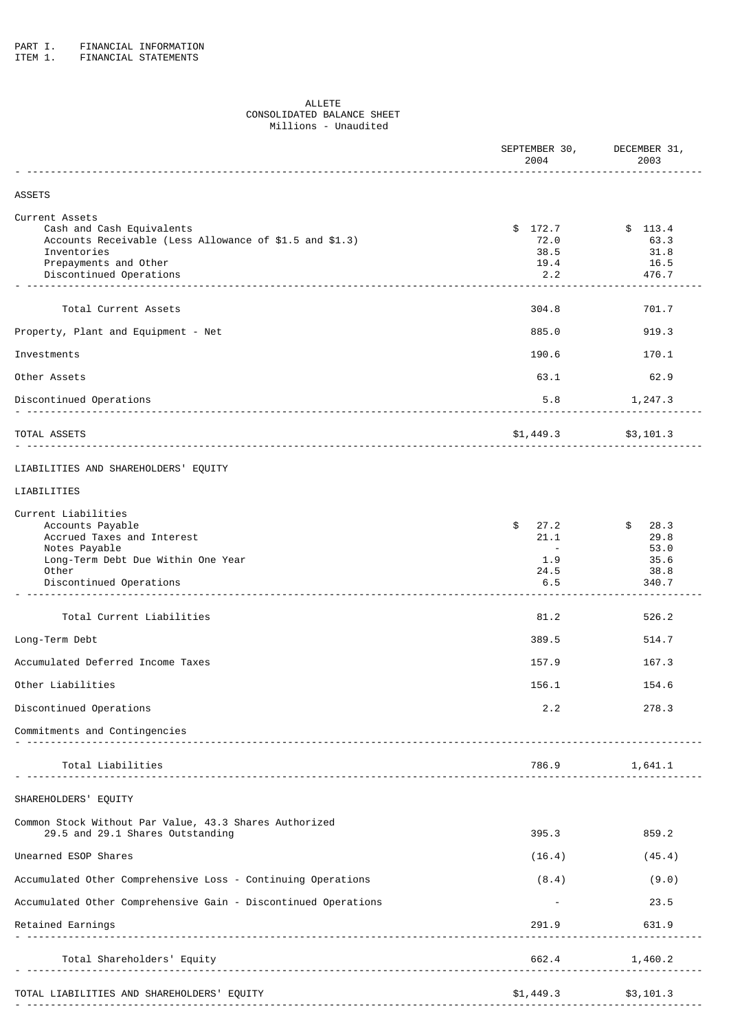ITEM 1. FINANCIAL STATEMENTS

# ALLETE CONSOLIDATED BALANCE SHEET Millions - Unaudited

|                                                                                                                                                                           | SEPTEMBER 30,<br>2004                              | DECEMBER 31,<br>2003                            |
|---------------------------------------------------------------------------------------------------------------------------------------------------------------------------|----------------------------------------------------|-------------------------------------------------|
| <b>ASSETS</b>                                                                                                                                                             |                                                    |                                                 |
| Current Assets<br>Cash and Cash Equivalents<br>Accounts Receivable (Less Allowance of \$1.5 and \$1.3)<br>Inventories<br>Prepayments and Other<br>Discontinued Operations | \$172.7<br>72.0<br>38.5<br>19.4<br>2.2             | \$113.4<br>63.3<br>31.8<br>16.5<br>476.7        |
| Total Current Assets                                                                                                                                                      | 304.8                                              | 701.7                                           |
| Property, Plant and Equipment - Net                                                                                                                                       | 885.0                                              | 919.3                                           |
| Investments                                                                                                                                                               | 190.6                                              | 170.1                                           |
| Other Assets                                                                                                                                                              | 63.1                                               | 62.9                                            |
| Discontinued Operations                                                                                                                                                   | 5.8                                                | 1,247.3                                         |
| TOTAL ASSETS                                                                                                                                                              | $$1,449.3$ $$3,101.3$                              |                                                 |
| LIABILITIES AND SHAREHOLDERS' EQUITY                                                                                                                                      |                                                    |                                                 |
| LIABILITIES                                                                                                                                                               |                                                    |                                                 |
| Current Liabilities<br>Accounts Payable<br>Accrued Taxes and Interest<br>Notes Payable<br>Long-Term Debt Due Within One Year<br>Other<br>Discontinued Operations          | \$<br>27.2<br>21.1<br>$\sim$<br>1.9<br>24.5<br>6.5 | \$28.3<br>29.8<br>53.0<br>35.6<br>38.8<br>340.7 |
| Total Current Liabilities                                                                                                                                                 | 81.2                                               | 526.2                                           |
| Long-Term Debt                                                                                                                                                            | 389.5                                              | 514.7                                           |
| Accumulated Deferred Income Taxes                                                                                                                                         | 157.9                                              | 167.3                                           |
| Other Liabilities                                                                                                                                                         | 156.1                                              | 154.6                                           |
| Discontinued Operations                                                                                                                                                   | 2.2                                                | 278.3                                           |
| Commitments and Contingencies                                                                                                                                             |                                                    |                                                 |
| Total Liabilities                                                                                                                                                         | 786.9                                              | 1,641.1                                         |
| SHAREHOLDERS' EQUITY                                                                                                                                                      |                                                    |                                                 |
| Common Stock Without Par Value, 43.3 Shares Authorized<br>29.5 and 29.1 Shares Outstanding                                                                                | 395.3                                              | 859.2                                           |
| Unearned ESOP Shares                                                                                                                                                      | (16.4)                                             | (45.4)                                          |
| Accumulated Other Comprehensive Loss - Continuing Operations                                                                                                              | (8.4)                                              | (9.0)                                           |
| Accumulated Other Comprehensive Gain - Discontinued Operations                                                                                                            |                                                    | 23.5                                            |
| Retained Earnings                                                                                                                                                         | 291.9                                              | 631.9                                           |
| Total Shareholders' Equity                                                                                                                                                | 662.4                                              | 1,460.2                                         |
| TOTAL LIABILITIES AND SHAREHOLDERS' EQUITY                                                                                                                                | \$1,449.3                                          | \$3,101.3                                       |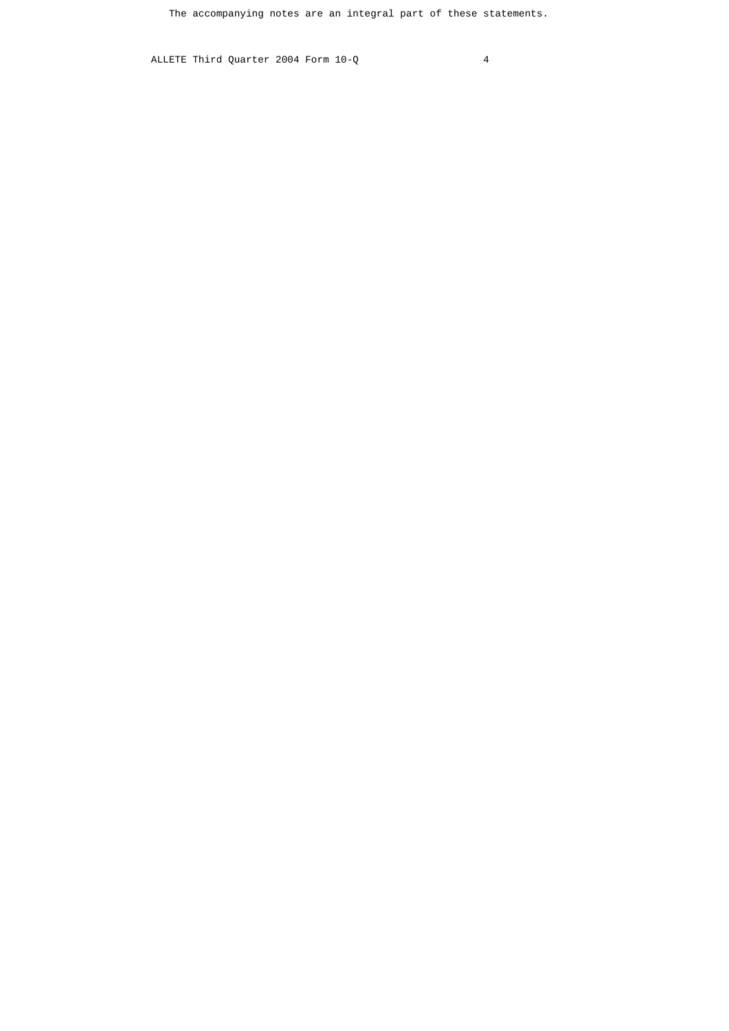The accompanying notes are an integral part of these statements.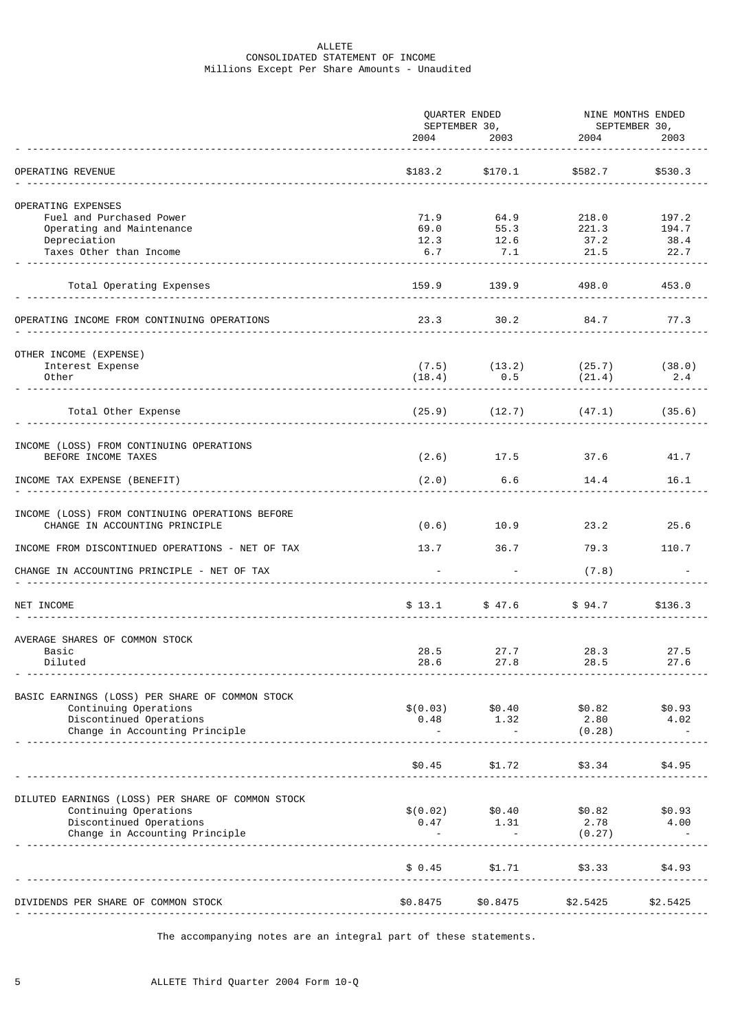# ALLETE CONSOLIDATED STATEMENT OF INCOME Millions Except Per Share Amounts - Unaudited

|                                                                                   |                                                                                                                                                                                                                                 | QUARTER ENDED                         |                                                    | NINE MONTHS ENDED |  |  |
|-----------------------------------------------------------------------------------|---------------------------------------------------------------------------------------------------------------------------------------------------------------------------------------------------------------------------------|---------------------------------------|----------------------------------------------------|-------------------|--|--|
|                                                                                   | 2004 — 2004 — 2005 — 2006 — 2006 — 2006 — 2006 — 2006 — 2006 — 2006 — 2006 — 2006 — 2006 — 2006 — 2006 — 2006 — 2006 — 2006 — 2006 — 2006 — 2006 — 2006 — 2006 — 2006 — 2006 — 2006 — 2006 — 2006 — 2006 — 2006 — 2006 — 2006 — |                                       | SEPTEMBER 30,<br>1964 - 2003 - 2004 2004 2004 2003 | 2003              |  |  |
| OPERATING REVENUE                                                                 | \$183.2                                                                                                                                                                                                                         | \$170.1                               | \$582.7                                            | \$530.3           |  |  |
|                                                                                   |                                                                                                                                                                                                                                 |                                       |                                                    |                   |  |  |
| OPERATING EXPENSES                                                                |                                                                                                                                                                                                                                 |                                       |                                                    |                   |  |  |
| Fuel and Purchased Power                                                          | 71.9                                                                                                                                                                                                                            | 64.9                                  | 218.0<br>$55.3$ 221.3                              | 197.2<br>194.7    |  |  |
| Operating and Maintenance<br>Depreciation                                         | 69.0<br>12.3                                                                                                                                                                                                                    |                                       |                                                    | 38.4              |  |  |
| Taxes Other than Income                                                           | 6.7                                                                                                                                                                                                                             | $12.6$<br>$7.1$                       | $\begin{array}{c} 37.2 \\ 21.5 \end{array}$        | 22.7              |  |  |
|                                                                                   |                                                                                                                                                                                                                                 |                                       |                                                    |                   |  |  |
| Total Operating Expenses                                                          | 159.9                                                                                                                                                                                                                           | 139.9                                 | 498.0                                              | 453.0             |  |  |
| OPERATING INCOME FROM CONTINUING OPERATIONS                                       | 23.3                                                                                                                                                                                                                            | 30.2                                  | 84.7                                               | 77.3              |  |  |
| OTHER INCOME (EXPENSE)                                                            |                                                                                                                                                                                                                                 |                                       |                                                    |                   |  |  |
| Interest Expense                                                                  |                                                                                                                                                                                                                                 | $(7.5)$ $(13.2)$                      | $(25.7)$ $(38.0)$                                  |                   |  |  |
| Other                                                                             | (18.4)                                                                                                                                                                                                                          | 0.5                                   | (21.4)                                             | 2.4               |  |  |
| Total Other Expense                                                               |                                                                                                                                                                                                                                 |                                       | $(25.9)$ $(12.7)$ $(47.1)$                         | (35.6)            |  |  |
|                                                                                   |                                                                                                                                                                                                                                 |                                       |                                                    |                   |  |  |
| INCOME (LOSS) FROM CONTINUING OPERATIONS                                          |                                                                                                                                                                                                                                 |                                       |                                                    |                   |  |  |
| BEFORE INCOME TAXES                                                               |                                                                                                                                                                                                                                 |                                       | $(2.6)$ 17.5 37.6                                  | 41.7              |  |  |
| INCOME TAX EXPENSE (BENEFIT)                                                      | (2.0)                                                                                                                                                                                                                           | 6.6                                   | 14.4                                               | 16.1              |  |  |
|                                                                                   |                                                                                                                                                                                                                                 |                                       |                                                    |                   |  |  |
| INCOME (LOSS) FROM CONTINUING OPERATIONS BEFORE<br>CHANGE IN ACCOUNTING PRINCIPLE | (0.6)                                                                                                                                                                                                                           | 10.9                                  | 23.2                                               | 25.6              |  |  |
| INCOME FROM DISCONTINUED OPERATIONS - NET OF TAX                                  | 13.7                                                                                                                                                                                                                            | 36.7                                  | 79.3 and the state of $\sim$                       | 110.7             |  |  |
| CHANGE IN ACCOUNTING PRINCIPLE - NET OF TAX                                       |                                                                                                                                                                                                                                 |                                       | (7.8)                                              |                   |  |  |
|                                                                                   |                                                                                                                                                                                                                                 |                                       |                                                    |                   |  |  |
| NET INCOME                                                                        | \$13.1                                                                                                                                                                                                                          | \$47.6                                | \$94.7                                             | \$136.3           |  |  |
| AVERAGE SHARES OF COMMON STOCK                                                    |                                                                                                                                                                                                                                 |                                       |                                                    |                   |  |  |
| Basic                                                                             | 28.5                                                                                                                                                                                                                            | 27.7                                  | 28.3                                               | 27.5              |  |  |
| Diluted                                                                           | 28.6                                                                                                                                                                                                                            | 27.8                                  | 28.5                                               | 27.6              |  |  |
|                                                                                   |                                                                                                                                                                                                                                 |                                       |                                                    |                   |  |  |
| BASIC EARNINGS (LOSS) PER SHARE OF COMMON STOCK                                   |                                                                                                                                                                                                                                 |                                       |                                                    |                   |  |  |
| Continuing Operations<br>Discontinued Operations                                  |                                                                                                                                                                                                                                 | $$(0.03)$ $$0.40$<br>$0.48$ 1.32 2.80 | \$0.82                                             | \$0.93<br>4.02    |  |  |
| Change in Accounting Principle                                                    |                                                                                                                                                                                                                                 |                                       | (0.28)                                             |                   |  |  |
|                                                                                   |                                                                                                                                                                                                                                 |                                       |                                                    |                   |  |  |
|                                                                                   | \$0.45                                                                                                                                                                                                                          | \$1.72                                | \$3.34                                             | \$4.95            |  |  |
|                                                                                   |                                                                                                                                                                                                                                 |                                       |                                                    |                   |  |  |
| DILUTED EARNINGS (LOSS) PER SHARE OF COMMON STOCK                                 |                                                                                                                                                                                                                                 | $$(0.02)$ $$0.40$                     | \$0.82                                             |                   |  |  |
| Continuing Operations<br>Discontinued Operations                                  |                                                                                                                                                                                                                                 | $0.47$ 1.31                           | 2.78                                               | \$0.93<br>4.00    |  |  |
| Change in Accounting Principle                                                    |                                                                                                                                                                                                                                 |                                       | (0.27)                                             |                   |  |  |
|                                                                                   |                                                                                                                                                                                                                                 |                                       |                                                    |                   |  |  |
|                                                                                   | \$ 0.45                                                                                                                                                                                                                         | \$1.71                                | \$3.33                                             | \$4.93            |  |  |
|                                                                                   |                                                                                                                                                                                                                                 |                                       |                                                    |                   |  |  |
| DIVIDENDS PER SHARE OF COMMON STOCK                                               | \$0.8475                                                                                                                                                                                                                        | \$0.8475                              | \$2.5425                                           | \$2.5425          |  |  |

The accompanying notes are an integral part of these statements.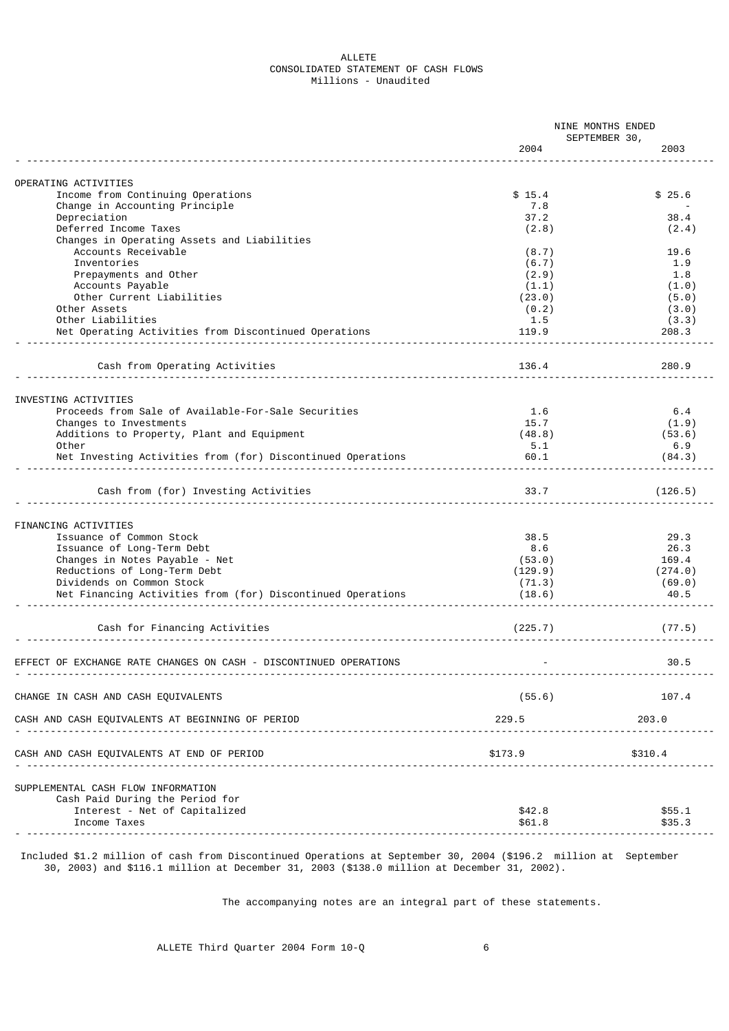### ALLETE CONSOLIDATED STATEMENT OF CASH FLOWS Millions - Unaudited

|                                                                   | NINE MONTHS ENDED |                       |  |
|-------------------------------------------------------------------|-------------------|-----------------------|--|
|                                                                   | 2004              | SEPTEMBER 30,<br>2003 |  |
|                                                                   |                   |                       |  |
| OPERATING ACTIVITIES                                              |                   |                       |  |
| Income from Continuing Operations                                 | \$15.4            | \$25.6                |  |
| Change in Accounting Principle                                    | 7.8               |                       |  |
| Depreciation                                                      | 37.2              | 38.4                  |  |
| Deferred Income Taxes                                             | (2.8)             | (2.4)                 |  |
| Changes in Operating Assets and Liabilities                       |                   |                       |  |
| Accounts Receivable                                               | (8.7)             | 19.6                  |  |
| Inventories                                                       | (6.7)             | 1.9                   |  |
| Prepayments and Other                                             | (2.9)             | 1.8                   |  |
| Accounts Payable                                                  | (1.1)             | (1.0)                 |  |
| Other Current Liabilities                                         | (23.0)            | (5.0)                 |  |
| Other Assets                                                      | (0.2)             | (3.0)                 |  |
| Other Liabilities                                                 | 1.5               | (3.3)                 |  |
| Net Operating Activities from Discontinued Operations             | 119.9             | 208.3                 |  |
|                                                                   |                   |                       |  |
| Cash from Operating Activities                                    | 136.4             | 280.9                 |  |
|                                                                   |                   |                       |  |
| INVESTING ACTIVITIES                                              |                   |                       |  |
| Proceeds from Sale of Available-For-Sale Securities               | 1.6               | 6.4                   |  |
| Changes to Investments                                            | 15.7              | (1.9)                 |  |
| Additions to Property, Plant and Equipment                        | (48.8)            | (53.6)                |  |
| Other                                                             | 5.1               | 6.9                   |  |
| Net Investing Activities from (for) Discontinued Operations       | 60.1              | (84.3)                |  |
|                                                                   |                   |                       |  |
| Cash from (for) Investing Activities                              | 33.7              | (126.5)               |  |
| FINANCING ACTIVITIES                                              |                   |                       |  |
| Issuance of Common Stock                                          | 38.5              | 29.3                  |  |
| Issuance of Long-Term Debt                                        | 8.6               | 26.3                  |  |
| Changes in Notes Payable - Net                                    | (53.0)            | 169.4                 |  |
| Reductions of Long-Term Debt                                      |                   |                       |  |
|                                                                   | (129.9)           | (274.0)               |  |
| Dividends on Common Stock                                         | (71.3)            | (69.0)                |  |
| Net Financing Activities from (for) Discontinued Operations       | (18.6)            | 40.5                  |  |
| Cash for Financing Activities                                     | (225.7)           | (77.5)                |  |
|                                                                   |                   |                       |  |
| EFFECT OF EXCHANGE RATE CHANGES ON CASH - DISCONTINUED OPERATIONS |                   | 30.5                  |  |
| CHANGE IN CASH AND CASH EQUIVALENTS                               | (55.6)            | 107.4                 |  |
| CASH AND CASH EQUIVALENTS AT BEGINNING OF PERIOD                  | 229.5             | 203.0                 |  |
|                                                                   |                   |                       |  |
| CASH AND CASH EQUIVALENTS AT END OF PERIOD                        | \$173.9           | \$310.4               |  |
|                                                                   |                   |                       |  |
| SUPPLEMENTAL CASH FLOW INFORMATION                                |                   |                       |  |
| Cash Paid During the Period for                                   |                   |                       |  |
| Interest - Net of Capitalized                                     | \$42.8            | \$55.1                |  |
| Income Taxes                                                      | \$61.8            | \$35.3                |  |
|                                                                   |                   |                       |  |

 Included \$1.2 million of cash from Discontinued Operations at September 30, 2004 (\$196.2 million at September 30, 2003) and \$116.1 million at December 31, 2003 (\$138.0 million at December 31, 2002).

The accompanying notes are an integral part of these statements.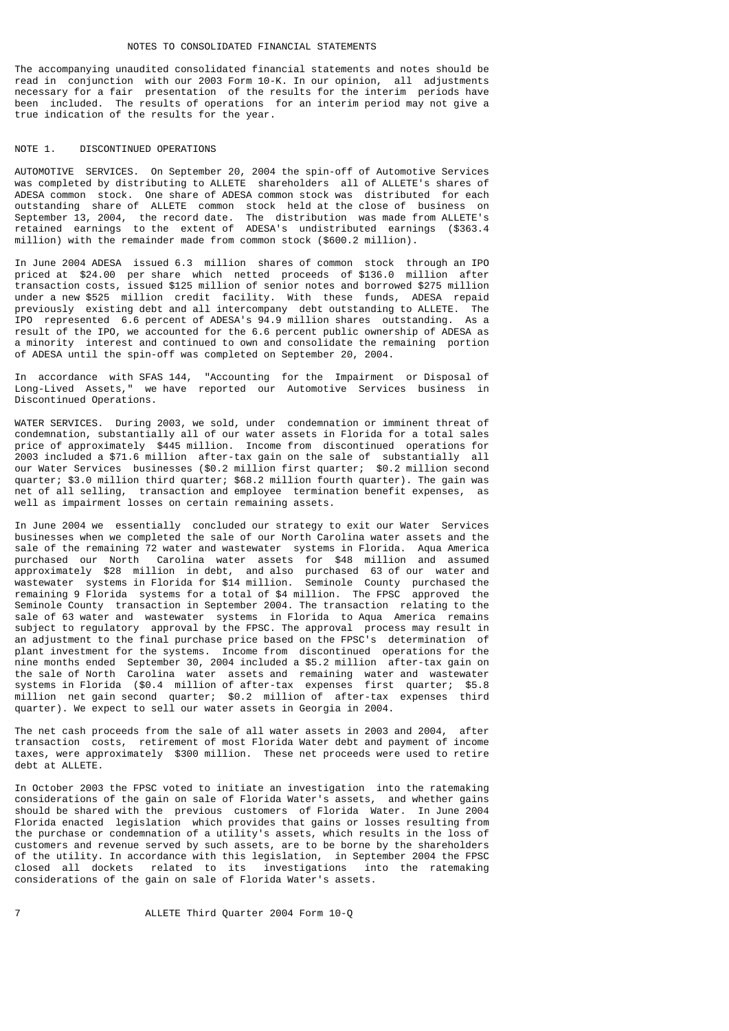#### NOTES TO CONSOLIDATED FINANCIAL STATEMENTS

The accompanying unaudited consolidated financial statements and notes should be read in conjunction with our 2003 Form 10-K. In our opinion, all adjustments necessary for a fair presentation of the results for the interim periods have been included. The results of operations for an interim period may not give a true indication of the results for the year.

#### NOTE 1. DISCONTINUED OPERATIONS

AUTOMOTIVE SERVICES. On September 20, 2004 the spin-off of Automotive Services was completed by distributing to ALLETE shareholders all of ALLETE's shares of ADESA common stock. One share of ADESA common stock was distributed for each outstanding share of ALLETE common stock held at the close of business on September 13, 2004, the record date. The distribution was made from ALLETE's retained earnings to the extent of ADESA's undistributed earnings (\$363.4 million) with the remainder made from common stock (\$600.2 million).

In June 2004 ADESA issued 6.3 million shares of common stock through an IPO priced at \$24.00 per share which netted proceeds of \$136.0 million after transaction costs, issued \$125 million of senior notes and borrowed \$275 million under a new \$525 million credit facility. With these funds, ADESA repaid previously existing debt and all intercompany debt outstanding to ALLETE. The IPO represented 6.6 percent of ADESA's 94.9 million shares outstanding. As a result of the IPO, we accounted for the 6.6 percent public ownership of ADESA as a minority interest and continued to own and consolidate the remaining portion of ADESA until the spin-off was completed on September 20, 2004.

In accordance with SFAS 144, "Accounting for the Impairment or Disposal of Long-Lived Assets," we have reported our Automotive Services business in Discontinued Operations.

WATER SERVICES. During 2003, we sold, under condemnation or imminent threat of condemnation, substantially all of our water assets in Florida for a total sales price of approximately \$445 million. Income from discontinued operations for 2003 included a \$71.6 million after-tax gain on the sale of substantially all our Water Services businesses (\$0.2 million first quarter; \$0.2 million second quarter; \$3.0 million third quarter; \$68.2 million fourth quarter). The gain was net of all selling, transaction and employee termination benefit expenses, as well as impairment losses on certain remaining assets.

In June 2004 we essentially concluded our strategy to exit our Water Services businesses when we completed the sale of our North Carolina water assets and the sale of the remaining 72 water and wastewater systems in Florida. Aqua America purchased our North Carolina water assets for \$48 million and assumed approximately \$28 million in debt, and also purchased 63 of our water and wastewater systems in Florida for \$14 million. Seminole County purchased the remaining 9 Florida systems for a total of \$4 million. The FPSC approved the Seminole County transaction in September 2004. The transaction relating to the sale of 63 water and wastewater systems in Florida to Aqua America remains subject to regulatory approval by the FPSC. The approval process may result in an adjustment to the final purchase price based on the FPSC's determination of plant investment for the systems. Income from discontinued operations for the nine months ended September 30, 2004 included a \$5.2 million after-tax gain on the sale of North Carolina water assets and remaining water and wastewater systems in Florida (\$0.4 million of after-tax expenses first quarter; \$5.8 million net gain second quarter; \$0.2 million of after-tax expenses third quarter). We expect to sell our water assets in Georgia in 2004.

The net cash proceeds from the sale of all water assets in 2003 and 2004, after transaction costs, retirement of most Florida Water debt and payment of income taxes, were approximately \$300 million. These net proceeds were used to retire debt at ALLETE.

In October 2003 the FPSC voted to initiate an investigation into the ratemaking considerations of the gain on sale of Florida Water's assets, and whether gains should be shared with the previous customers of Florida Water. In June 2004 Florida enacted legislation which provides that gains or losses resulting from the purchase or condemnation of a utility's assets, which results in the loss of customers and revenue served by such assets, are to be borne by the shareholders of the utility. In accordance with this legislation, in September 2004 the FPSC closed all dockets related to its investigations into the ratemaking considerations of the gain on sale of Florida Water's assets.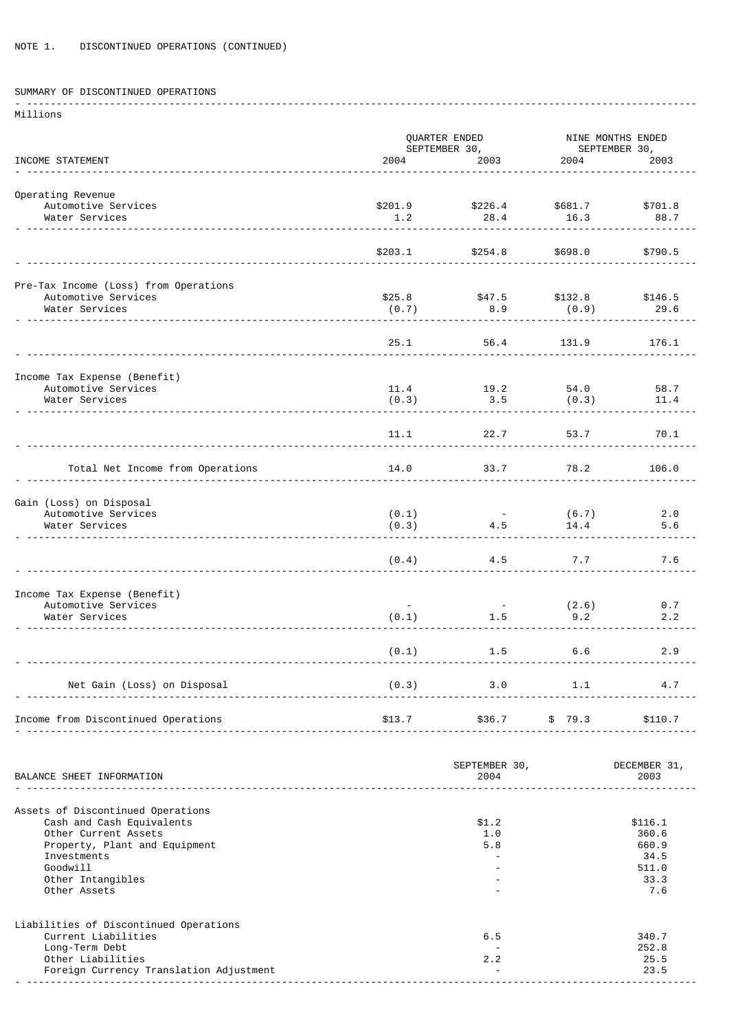# SUMMARY OF DISCONTINUED OPERATIONS

| Millions                                            |         |                       |              |                      |
|-----------------------------------------------------|---------|-----------------------|--------------|----------------------|
|                                                     |         | QUARTER ENDED         |              | NINE MONTHS ENDED    |
|                                                     |         | SEPTEMBER 30,         |              | SEPTEMBER 30,        |
| INCOME STATEMENT                                    | 2004    | 2003                  | 2004         | 2003                 |
| Operating Revenue                                   |         |                       |              |                      |
| Automotive Services                                 | \$201.9 | \$226.4               | \$681.7      | \$701.8              |
| Water Services                                      | 1.2     | 28.4                  | 16.3         | 88.7                 |
|                                                     |         |                       |              |                      |
|                                                     | \$203.1 | \$254.8               | \$698.0      | \$790.5              |
| Pre-Tax Income (Loss) from Operations               |         |                       |              |                      |
| Automotive Services                                 | \$25.8  | \$47.5                | \$132.8      | \$146.5              |
| Water Services                                      | (0.7)   | 8.9                   | (0.9)        | 29.6                 |
|                                                     |         |                       |              |                      |
|                                                     | 25.1    | 56.4                  | 131.9        | 176.1                |
|                                                     |         |                       |              |                      |
| Income Tax Expense (Benefit)<br>Automotive Services | 11.4    | 19.2                  | 54.0         | 58.7                 |
| Water Services                                      | (0.3)   | 3.5                   | (0.3)        | 11.4                 |
|                                                     |         |                       |              |                      |
|                                                     | 11.1    | 22.7                  | 53.7         | 70.1                 |
|                                                     |         |                       |              |                      |
| Total Net Income from Operations                    | 14.0    | 33.7                  | 78.2         | 106.0                |
|                                                     |         |                       |              |                      |
| Gain (Loss) on Disposal                             |         |                       |              |                      |
| Automotive Services                                 | (0.1)   |                       | (6.7)        | 2.0                  |
| Water Services                                      | (0.3)   | 4.5                   | 14.4         | 5.6                  |
|                                                     |         |                       |              |                      |
|                                                     | (0.4)   | 4.5                   | 7.7          | 7.6                  |
|                                                     |         |                       |              |                      |
| Income Tax Expense (Benefit)                        |         |                       |              |                      |
| Automotive Services<br>Water Services               | (0.1)   | $\sim$ $-$<br>1.5     | (2.6)<br>9.2 | 0.7<br>2.2           |
|                                                     |         |                       |              |                      |
|                                                     | (0.1)   |                       | $1.5$ 6.6    | 2.9                  |
|                                                     |         |                       |              |                      |
| Net Gain (Loss) on Disposal                         |         |                       |              |                      |
|                                                     |         | $(0.3)$ 3.0 1.1 4.7   |              |                      |
| Income from Discontinued Operations                 |         |                       |              |                      |
|                                                     |         |                       |              |                      |
|                                                     |         |                       |              |                      |
| BALANCE SHEET INFORMATION                           |         | SEPTEMBER 30,<br>2004 |              | DECEMBER 31,<br>2003 |
|                                                     |         |                       |              |                      |
| Assets of Discontinued Operations                   |         |                       |              |                      |
| Cash and Cash Equivalents                           |         | \$1.2                 |              | \$116.1              |
| Other Current Assets                                |         | 1.0                   |              | 360.6                |
| Property, Plant and Equipment<br>Investments        |         | 5.8                   |              | 660.9<br>34.5        |
| Goodwill                                            |         |                       |              | 511.0                |
| Other Intangibles                                   |         |                       |              | 33.3                 |
| Other Assets                                        |         |                       |              | 7.6                  |

Liabilities of Discontinued Operations Current Liabilities (1999)<br>Current Liabilities (1999)<br>Long-Term Debt (1992) Long-Term Debt - 252.8 Other Liabilities 2.2 25.5 Foreign Currency Translation Adjustment<br>
- 23.5 Contract - 23.5 Contract - 23.5 Contract - 23.5 Contract - 23.5 Contract - 23.5 Contract - 23.5 Contract - 23.5 Contract - 23.5 Contract - 23.5 Contract - 23.5 Contract - 23. - -----------------------------------------------------------------------------------------------------------------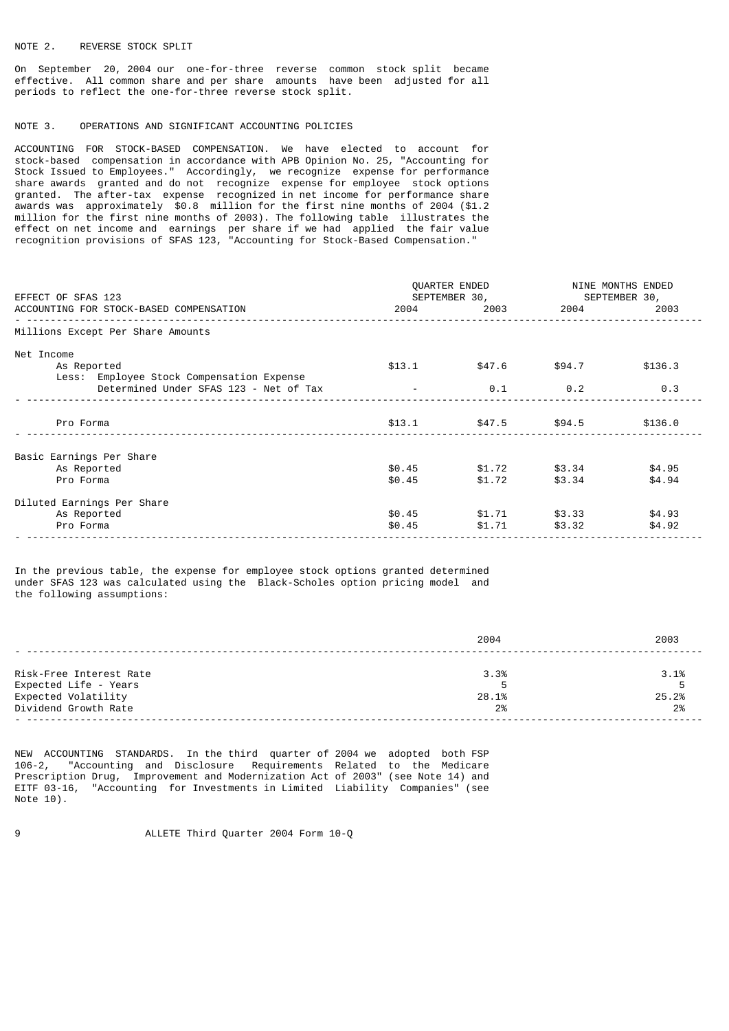### NOTE 2. REVERSE STOCK SPLIT

On September 20, 2004 our one-for-three reverse common stock split became effective. All common share and per share amounts have been adjusted for all periods to reflect the one-for-three reverse stock split.

### NOTE 3. OPERATIONS AND SIGNIFICANT ACCOUNTING POLICIES

ACCOUNTING FOR STOCK-BASED COMPENSATION. We have elected to account for stock-based compensation in accordance with APB Opinion No. 25, "Accounting for Stock Issued to Employees." Accordingly, we recognize expense for performance share awards granted and do not recognize expense for employee stock options granted. The after-tax expense recognized in net income for performance share awards was approximately \$0.8 million for the first nine months of 2004 (\$1.2 million for the first nine months of 2003). The following table illustrates the effect on net income and earnings per share if we had applied the fair value recognition provisions of SFAS 123, "Accounting for Stock-Based Compensation."

| EFFECT OF SFAS 123<br>ACCOUNTING FOR STOCK-BASED COMPENSATION          |                      | QUARTER ENDED<br>SEPTEMBER 30, |                         | NINE MONTHS ENDED<br>SEPTEMBER 30,<br>2004 2003 2004 2003 |  |  |
|------------------------------------------------------------------------|----------------------|--------------------------------|-------------------------|-----------------------------------------------------------|--|--|
| Millions Except Per Share Amounts                                      |                      |                                |                         |                                                           |  |  |
| Net Income<br>As Reported<br>Less: Employee Stock Compensation Expense | \$13.1               | \$47.6                         | \$94.7                  | \$136.3                                                   |  |  |
| Determined Under SFAS 123 - Net of Tax                                 | and the state of the | 0.1                            | 0.2                     | 0.3                                                       |  |  |
| Pro Forma                                                              |                      | $$13.1$ $$47.5$ $$94.5$        |                         | \$136.0                                                   |  |  |
| Basic Earnings Per Share                                               |                      |                                |                         |                                                           |  |  |
| As Reported<br>Pro Forma                                               | \$0.45<br>\$0.45     | \$1.72                         | \$1.72 \$3.34<br>\$3.34 | \$4.95<br>\$4.94                                          |  |  |
| Diluted Earnings Per Share                                             |                      |                                |                         |                                                           |  |  |
| As Reported<br>Pro Forma                                               | \$0.45<br>\$0.45     | \$1.71                         | \$1.71 \$3.33<br>\$3.32 | \$4.93<br>\$4.92                                          |  |  |

In the previous table, the expense for employee stock options granted determined under SFAS 123 was calculated using the Black-Scholes option pricing model and the following assumptions:

|                         | 2004  | 2003  |
|-------------------------|-------|-------|
|                         |       |       |
| Risk-Free Interest Rate | 3.3%  | 3.1%  |
| Expected Life - Years   |       |       |
| Expected Volatility     | 28.1% | 25.2% |
| Dividend Growth Rate    | 2%    | 2%    |
|                         |       |       |

NEW ACCOUNTING STANDARDS. In the third quarter of 2004 we adopted both FSP 106-2, "Accounting and Disclosure Requirements Related to the Medicare Prescription Drug, Improvement and Modernization Act of 2003" (see Note 14) and EITF 03-16, "Accounting for Investments in Limited Liability Companies" (see Note 10).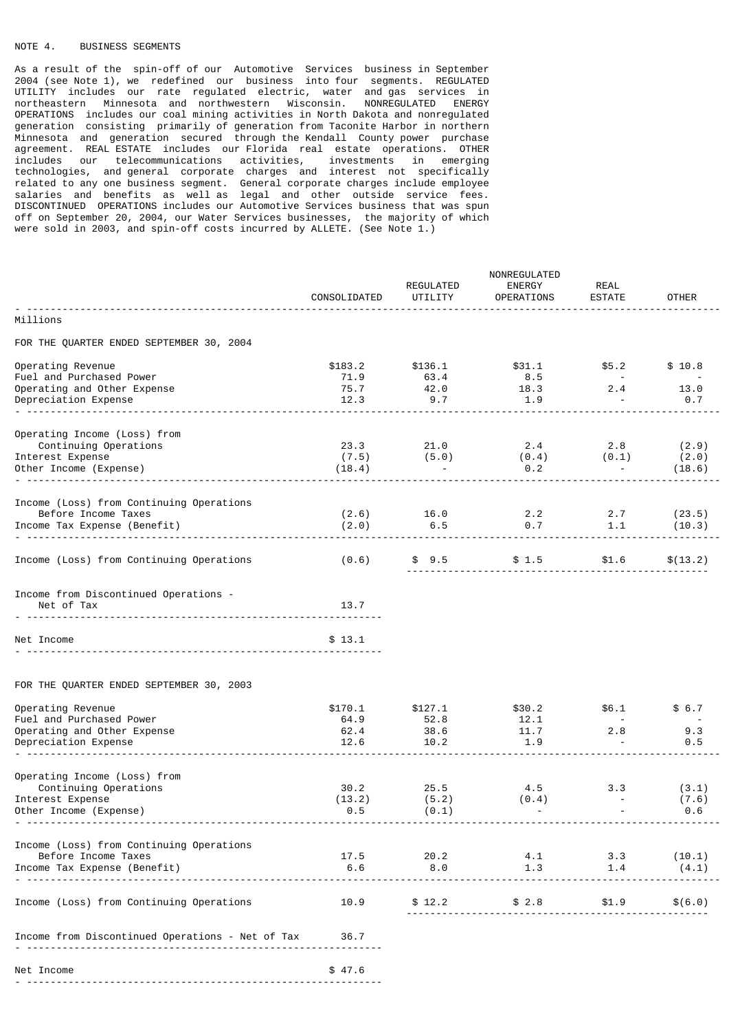# NOTE 4. BUSINESS SEGMENTS

As a result of the spin-off of our Automotive Services business in September 2004 (see Note 1), we redefined our business into four segments. REGULATED UTILITY includes our rate regulated electric, water and gas services in northeastern Minnesota and northwestern Wisconsin. NONREGULATED ENERGY OPERATIONS includes our coal mining activities in North Dakota and nonregulated generation consisting primarily of generation from Taconite Harbor in northern Minnesota and generation secured through the Kendall County power purchase agreement. REAL ESTATE includes our Florida real estate operations. OTHER includes our telecommunications activities, investments in emerging technologies, and general corporate charges and interest not specifically related to any one business segment. General corporate charges include employee salaries and benefits as well as legal and other outside service fees. DISCONTINUED OPERATIONS includes our Automotive Services business that was spun off on September 20, 2004, our Water Services businesses, the majority of which were sold in 2003, and spin-off costs incurred by ALLETE. (See Note 1.)

|                                                       |              | NONREGULATED |                 |                 |              |  |
|-------------------------------------------------------|--------------|--------------|-----------------|-----------------|--------------|--|
|                                                       |              | REGULATED    | ENERGY          | <b>REAL</b>     |              |  |
|                                                       | CONSOLIDATED | UTILITY      | OPERATIONS      | <b>ESTATE</b>   | <b>OTHER</b> |  |
| Millions                                              |              |              |                 |                 |              |  |
| FOR THE QUARTER ENDED SEPTEMBER 30, 2004              |              |              |                 |                 |              |  |
|                                                       |              |              |                 |                 |              |  |
| Operating Revenue                                     | \$183.2      | \$136.1      | \$31.1          | \$5.2           | \$10.8       |  |
| Fuel and Purchased Power                              | 71.9         | 63.4         | $8.5$<br>$18.3$ | $\sim 100$      |              |  |
| Operating and Other Expense<br>Depreciation Expense   | 75.7<br>12.3 | 42.0<br>9.7  | 1.9             | 2.4             | 13.0<br>0.7  |  |
|                                                       |              |              |                 |                 |              |  |
|                                                       |              |              |                 |                 |              |  |
| Operating Income (Loss) from<br>Continuing Operations | 23.3         | 21.0         | 2.4             | 2.8             | (2.9)        |  |
| Interest Expense                                      | (7.5)        | (5.0)        | (0.4)           | (0.1)           | (2.0)        |  |
| Other Income (Expense)                                | (18.4)       |              | 0.2             | <b>Contract</b> | (18.6)       |  |
|                                                       |              |              |                 |                 |              |  |
| Income (Loss) from Continuing Operations              |              |              |                 |                 |              |  |
| Before Income Taxes                                   | (2.6)        | 16.0         | 2.2             | 2.7             | (23.5)       |  |
| Income Tax Expense (Benefit)                          | (2.0)        | 6.5          | $0.7$ 1.1       |                 | (10.3)       |  |
|                                                       |              |              |                 |                 |              |  |
| Income (Loss) from Continuing Operations              | (0.6)        | \$9.5        | \$1.5           | \$1.6           | \$(13.2)     |  |
|                                                       |              |              |                 |                 |              |  |
| Income from Discontinued Operations -                 |              |              |                 |                 |              |  |
| Net of Tax                                            | 13.7         |              |                 |                 |              |  |
|                                                       |              |              |                 |                 |              |  |
|                                                       |              |              |                 |                 |              |  |
| Net Income                                            | \$13.1       |              |                 |                 |              |  |
|                                                       |              |              |                 |                 |              |  |
| FOR THE QUARTER ENDED SEPTEMBER 30, 2003              |              |              |                 |                 |              |  |
| Operating Revenue                                     | \$170.1      | \$127.1      | \$30.2          | \$6.1           | \$6.7        |  |
| Fuel and Purchased Power                              | 64.9         | 52.8         | 12.1            |                 | $\sim$ $-$   |  |
| Operating and Other Expense                           | 62.4         | 38.6         | 11.7            | 2.8             | 9.3          |  |
| Depreciation Expense                                  | 12.6         | 10.2         | 1.9             |                 | 0.5          |  |
|                                                       |              |              |                 |                 |              |  |
| Operating Income (Loss) from                          |              |              |                 |                 |              |  |
| Continuing Operations                                 | 30.2         | 25.5         | 4.5             | 3.3             | (3.1)        |  |
| Interest Expense                                      | (13.2)       | (5.2)        | (0.4)           | $\blacksquare$  | (7.6)        |  |
| Other Income (Expense)                                | 0.5          | (0.1)        | $\sim$          |                 | 0.6          |  |
|                                                       |              |              |                 |                 |              |  |
| Income (Loss) from Continuing Operations              |              |              |                 |                 |              |  |
| Before Income Taxes                                   | 17.5<br>6.6  | 20.2<br>8.0  | 4.1<br>1.3      | 3.3<br>1.4      | (10.1)       |  |
| Income Tax Expense (Benefit)                          |              |              |                 |                 | (4.1)        |  |
|                                                       |              |              |                 |                 |              |  |
| Income (Loss) from Continuing Operations              | 10.9         | \$12.2       | \$2.8           | \$1.9           | \$(6.0)      |  |
|                                                       |              |              |                 |                 |              |  |
| Income from Discontinued Operations - Net of Tax      | 36.7         |              |                 |                 |              |  |
|                                                       |              |              |                 |                 |              |  |
| Net Income                                            | \$47.6       |              |                 |                 |              |  |
|                                                       |              |              |                 |                 |              |  |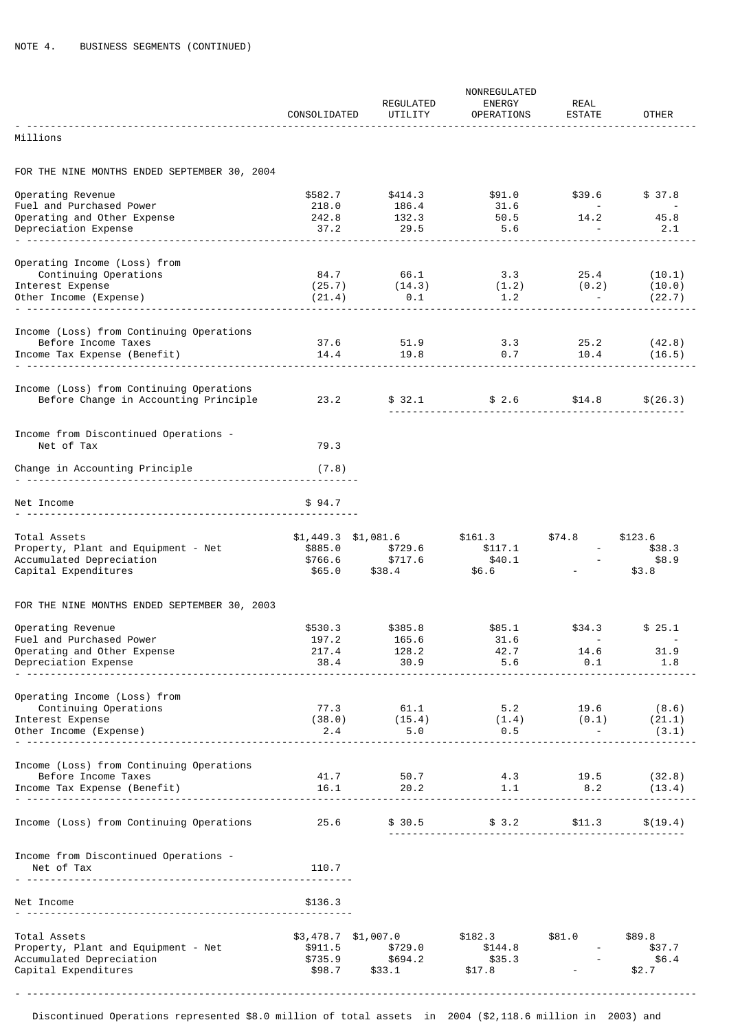|                                                                                   | CONSOLIDATED       | REGULATED<br>UTILITY                                                                  | NONREGULATED<br>ENERGY<br><b>OPERATIONS</b>  | REAL<br><b>ESTATE</b> | <b>OTHER</b>             |
|-----------------------------------------------------------------------------------|--------------------|---------------------------------------------------------------------------------------|----------------------------------------------|-----------------------|--------------------------|
| Millions                                                                          |                    |                                                                                       |                                              |                       |                          |
| FOR THE NINE MONTHS ENDED SEPTEMBER 30, 2004                                      |                    |                                                                                       |                                              |                       |                          |
| Operating Revenue                                                                 | \$582.7            | \$414.3                                                                               | \$91.0                                       | \$39.6                | \$37.8                   |
| Fuel and Purchased Power                                                          | 218.0              | 186.4                                                                                 | 31.6                                         | <b>Service</b>        | $\sim 100$ km s $^{-1}$  |
| Operating and Other Expense<br>Depreciation Expense                               | 242.8<br>37.2      | 132.3<br>29.5                                                                         | 50.5<br>5.6                                  | 14.2                  | 45.8<br>2.1              |
|                                                                                   |                    |                                                                                       |                                              |                       |                          |
| Operating Income (Loss) from                                                      |                    |                                                                                       |                                              |                       |                          |
| Continuing Operations                                                             | 84.7               | 66.1                                                                                  | 3.3                                          | 25.4                  | (10.1)                   |
| Interest Expense                                                                  | (25.7)             | (14.3)                                                                                | (1.2)                                        | (0.2)                 | (10.0)                   |
| Other Income (Expense)                                                            | (21.4)             | 0.1                                                                                   | 1.2                                          |                       | (22.7)                   |
|                                                                                   |                    |                                                                                       |                                              |                       |                          |
| Income (Loss) from Continuing Operations                                          |                    |                                                                                       |                                              |                       |                          |
| Before Income Taxes                                                               | 37.6               | 51.9                                                                                  | 3.3                                          | 25.2                  | (42.8)                   |
| Income Tax Expense (Benefit)                                                      | 14.4               | 19.8                                                                                  | 0.7                                          | 10.4                  | (16.5)                   |
|                                                                                   |                    |                                                                                       |                                              |                       |                          |
| Income (Loss) from Continuing Operations<br>Before Change in Accounting Principle | 23.2               |                                                                                       | $$32.1$ $$2.6$ $$14.8$ $$(26.3)$             |                       |                          |
|                                                                                   |                    |                                                                                       |                                              |                       |                          |
| Income from Discontinued Operations -                                             |                    |                                                                                       |                                              |                       |                          |
| Net of Tax                                                                        | 79.3               |                                                                                       |                                              |                       |                          |
|                                                                                   |                    |                                                                                       |                                              |                       |                          |
| Change in Accounting Principle                                                    | (7.8)              |                                                                                       |                                              |                       |                          |
|                                                                                   |                    |                                                                                       |                                              |                       |                          |
| Net Income                                                                        | \$94.7             |                                                                                       |                                              |                       |                          |
|                                                                                   |                    |                                                                                       |                                              |                       |                          |
| Total Assets                                                                      |                    | \$1,449.3 \$1,081.6                                                                   | \$161.3                                      | \$74.8                | \$123.6                  |
| Property, Plant and Equipment - Net<br>Accumulated Depreciation                   | \$885.0<br>\$766.6 | \$729.6<br>\$717.6                                                                    | \$117.1<br>\$40.1                            |                       | \$38.3<br>\$8.9          |
| Capital Expenditures                                                              | \$65.0             | \$38.4                                                                                | \$6.6                                        |                       | \$3.8                    |
|                                                                                   |                    |                                                                                       |                                              |                       |                          |
| FOR THE NINE MONTHS ENDED SEPTEMBER 30, 2003                                      |                    |                                                                                       |                                              |                       |                          |
| Operating Revenue                                                                 | \$530.3            | \$385.8                                                                               | \$85.1                                       | \$34.3                | \$25.1                   |
| Fuel and Purchased Power                                                          | 197.2              | 165.6                                                                                 | 31.6                                         |                       |                          |
| Operating and Other Expense<br>Depreciation Expense                               | 217.4<br>38.4      | 128.2<br>30.9                                                                         | 42.7<br>5.6                                  | 14.6<br>0.1           | 31.9<br>1.8              |
|                                                                                   |                    |                                                                                       |                                              |                       |                          |
|                                                                                   |                    |                                                                                       |                                              |                       |                          |
| Operating Income (Loss) from<br>Continuing Operations                             |                    |                                                                                       |                                              |                       |                          |
| Interest Expense                                                                  |                    | $(38.0)$ $(15.4)$ $(5.2$ $19.6$ $(8.6)$<br>$(38.0)$ $(15.4)$ $(1.4)$ $(0.1)$ $(21.1)$ |                                              |                       |                          |
| Other Income (Expense)                                                            | 2.4                | $5.0^{\circ}$                                                                         | 0.5                                          |                       | (3.1)                    |
|                                                                                   |                    |                                                                                       |                                              |                       |                          |
| Income (Loss) from Continuing Operations                                          |                    |                                                                                       |                                              |                       |                          |
| Before Income Taxes<br>Income Tax Expense (Benefit)                               | 41.7<br>16.1       |                                                                                       | 50.7<br>20.2<br>20.2<br>1.1<br>3.2<br>(13.4) |                       |                          |
|                                                                                   |                    |                                                                                       |                                              |                       |                          |
|                                                                                   |                    |                                                                                       |                                              |                       |                          |
| Income (Loss) from Continuing Operations                                          |                    | 25.6 \$30.5                                                                           |                                              |                       | $$3.2$ $$11.3$ $$(19.4)$ |
|                                                                                   |                    |                                                                                       |                                              |                       |                          |
| Income from Discontinued Operations -<br>Net of Tax                               | 110.7              |                                                                                       |                                              |                       |                          |
|                                                                                   |                    |                                                                                       |                                              |                       |                          |
| Net Income                                                                        | \$136.3            |                                                                                       |                                              |                       |                          |
|                                                                                   |                    |                                                                                       |                                              |                       |                          |
|                                                                                   |                    |                                                                                       |                                              |                       |                          |
| Total Assets<br>Property, Plant and Equipment - Net                               |                    | \$3,478.7 \$1,007.0<br>\$911.5 \$729.0                                                | \$182.3<br>\$144.8                           | \$81.0                | \$89.8<br>\$37.7         |
| Accumulated Depreciation                                                          |                    |                                                                                       |                                              |                       | \$6.4                    |
| Capital Expenditures                                                              |                    | \$735.9 \$694.2<br>\$98.7 \$33.1                                                      | \$35.3<br>\$17.8                             |                       | \$2.7                    |
|                                                                                   |                    |                                                                                       |                                              |                       |                          |

Discontinued Operations represented \$8.0 million of total assets in 2004 (\$2,118.6 million in 2003) and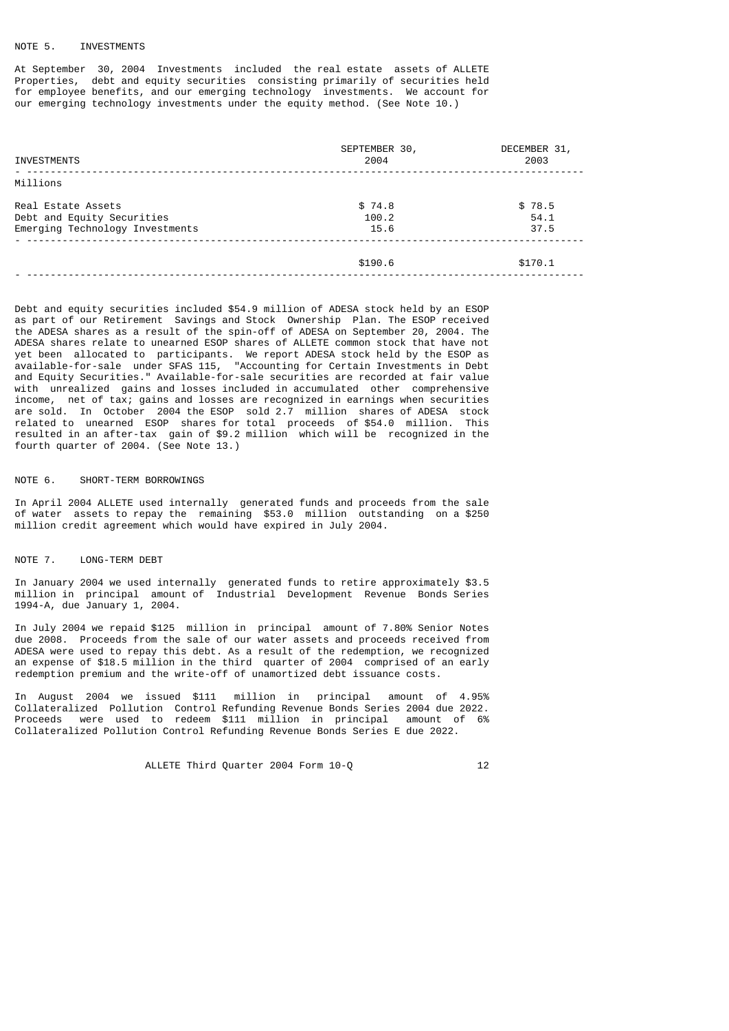#### NOTE 5. INVESTMENTS

At September 30, 2004 Investments included the real estate assets of ALLETE Properties, debt and equity securities consisting primarily of securities held for employee benefits, and our emerging technology investments. We account for our emerging technology investments under the equity method. (See Note 10.)

| <b>INVESTMENTS</b>                                                                  | SEPTEMBER 30,<br>2004   | DECEMBER 31,<br>2003   |
|-------------------------------------------------------------------------------------|-------------------------|------------------------|
| Millions                                                                            |                         |                        |
| Real Estate Assets<br>Debt and Equity Securities<br>Emerging Technology Investments | \$74.8<br>100.2<br>15.6 | \$78.5<br>54.1<br>37.5 |
|                                                                                     | \$190.6                 | \$170.1                |

Debt and equity securities included \$54.9 million of ADESA stock held by an ESOP as part of our Retirement Savings and Stock Ownership Plan. The ESOP received the ADESA shares as a result of the spin-off of ADESA on September 20, 2004. The ADESA shares relate to unearned ESOP shares of ALLETE common stock that have not yet been allocated to participants. We report ADESA stock held by the ESOP as available-for-sale under SFAS 115, "Accounting for Certain Investments in Debt and Equity Securities." Available-for-sale securities are recorded at fair value with unrealized gains and losses included in accumulated other comprehensive income, net of tax; gains and losses are recognized in earnings when securities are sold. In October 2004 the ESOP sold 2.7 million shares of ADESA stock related to unearned ESOP shares for total proceeds of \$54.0 million. This resulted in an after-tax gain of \$9.2 million which will be recognized in the fourth quarter of 2004. (See Note 13.)

# NOTE 6. SHORT-TERM BORROWINGS

In April 2004 ALLETE used internally generated funds and proceeds from the sale of water assets to repay the remaining \$53.0 million outstanding on a \$250 million credit agreement which would have expired in July 2004.

#### NOTE 7. LONG-TERM DEBT

In January 2004 we used internally generated funds to retire approximately \$3.5 million in principal amount of Industrial Development Revenue Bonds Series 1994-A, due January 1, 2004.

In July 2004 we repaid \$125 million in principal amount of 7.80% Senior Notes due 2008. Proceeds from the sale of our water assets and proceeds received from ADESA were used to repay this debt. As a result of the redemption, we recognized an expense of \$18.5 million in the third quarter of 2004 comprised of an early redemption premium and the write-off of unamortized debt issuance costs.

In August 2004 we issued \$111 million in principal amount of 4.95% Collateralized Pollution Control Refunding Revenue Bonds Series 2004 due 2022. Proceeds were used to redeem \$111 million in principal amount of 6% Collateralized Pollution Control Refunding Revenue Bonds Series E due 2022.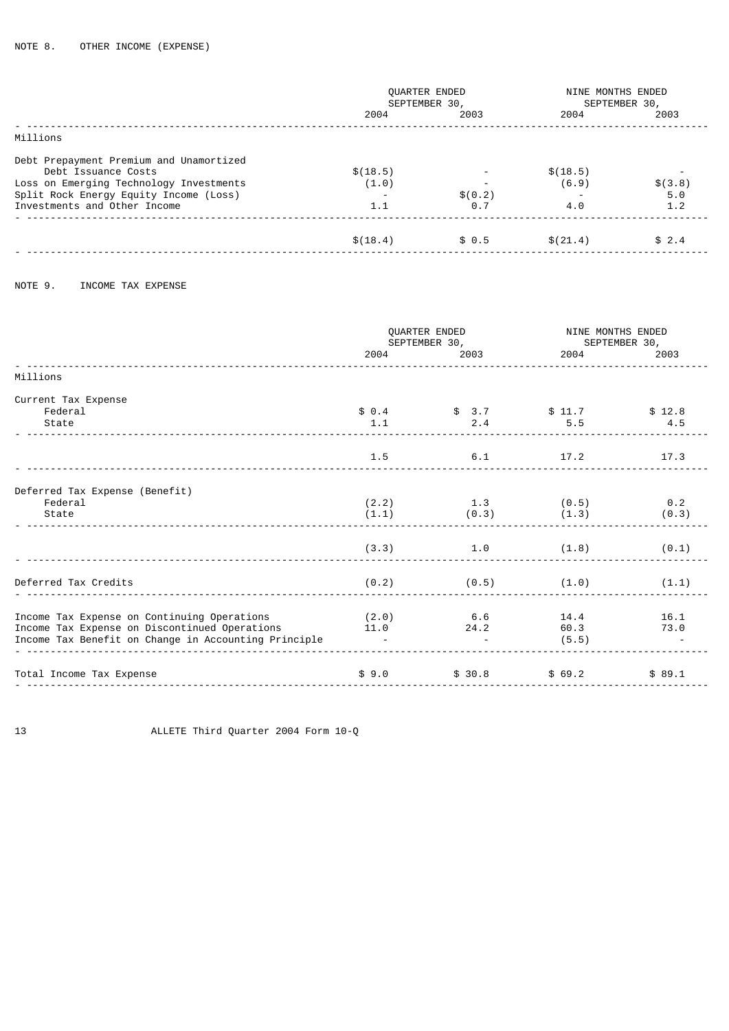|                                                                                                                                                                                     | <b>QUARTER ENDED</b><br>SEPTEMBER 30, |                         |                          | NINE MONTHS ENDED<br>SEPTEMBER 30, |  |
|-------------------------------------------------------------------------------------------------------------------------------------------------------------------------------------|---------------------------------------|-------------------------|--------------------------|------------------------------------|--|
|                                                                                                                                                                                     | 2004                                  | 2003                    | 2004                     | 2003                               |  |
| Millions                                                                                                                                                                            |                                       |                         |                          |                                    |  |
| Debt Prepayment Premium and Unamortized<br>Debt Issuance Costs<br>Loss on Emerging Technology Investments<br>Split Rock Energy Equity Income (Loss)<br>Investments and Other Income | \$(18.5)<br>(1.0)<br>1.1              | \$(0.2)<br>$\theta$ . 7 | \$(18.5)<br>(6.9)<br>4.0 | \$(3.8)<br>5.0<br>1.2              |  |
|                                                                                                                                                                                     | \$(18.4)                              | \$0.5                   | \$(21.4)                 | \$2.4                              |  |
|                                                                                                                                                                                     |                                       |                         |                          |                                    |  |

```
NOTE 9. INCOME TAX EXPENSE
```

|                                                                                                                                                      | 2004 2005                        | QUARTER ENDED<br>SEPTEMBER 30,<br>2003 | NINE MONTHS ENDED<br>SEPTEMBER 30,<br>2004 — 2004 — 2005 — 2006 — 2006 — 2006 — 2007 — 2008 — 2007 — 2008 — 2008 — 2008 — 2008 — 2008 — 2008 — 2008 — 2008 — 2008 — 2008 — 2008 — 2008 — 2008 — 2008 — 2008 — 2008 — 2008 — 2008 — 2008 — 2008 — 2008 — 2008 — 2008 — |               |
|------------------------------------------------------------------------------------------------------------------------------------------------------|----------------------------------|----------------------------------------|-----------------------------------------------------------------------------------------------------------------------------------------------------------------------------------------------------------------------------------------------------------------------|---------------|
| Millions                                                                                                                                             |                                  |                                        |                                                                                                                                                                                                                                                                       |               |
| Current Tax Expense<br>Federal<br>State                                                                                                              | 1.1                              | $$0.4$ $$3.7$ $$11.7$<br>2.4           | 5.5                                                                                                                                                                                                                                                                   | \$12.8<br>4.5 |
|                                                                                                                                                      | 1.5                              | 6.1                                    | 17.2                                                                                                                                                                                                                                                                  | 17.3          |
| Deferred Tax Expense (Benefit)<br>Federal<br>State                                                                                                   | (2.2)<br>(1.1)                   | $1.3$ (0.5)<br>$(0.3)$ (1.3)           |                                                                                                                                                                                                                                                                       | 0.2<br>(0.3)  |
|                                                                                                                                                      | (3.3)                            | 1.0                                    | (1.8)                                                                                                                                                                                                                                                                 | (0.1)         |
| Deferred Tax Credits                                                                                                                                 | (0.2)                            | $(0.5)$ $(1.0)$                        |                                                                                                                                                                                                                                                                       | (1.1)         |
| Income Tax Expense on Continuing Operations<br>Income Tax Expense on Discontinued Operations<br>Income Tax Benefit on Change in Accounting Principle | (2.0)<br>11.0<br><b>Contract</b> | 6.6<br>24.2                            | 14.4<br>60.3<br>(5.5)                                                                                                                                                                                                                                                 | 16.1<br>73.0  |
| Total Income Tax Expense                                                                                                                             | \$9.0                            | \$30.8                                 | \$69.2                                                                                                                                                                                                                                                                | \$89.1        |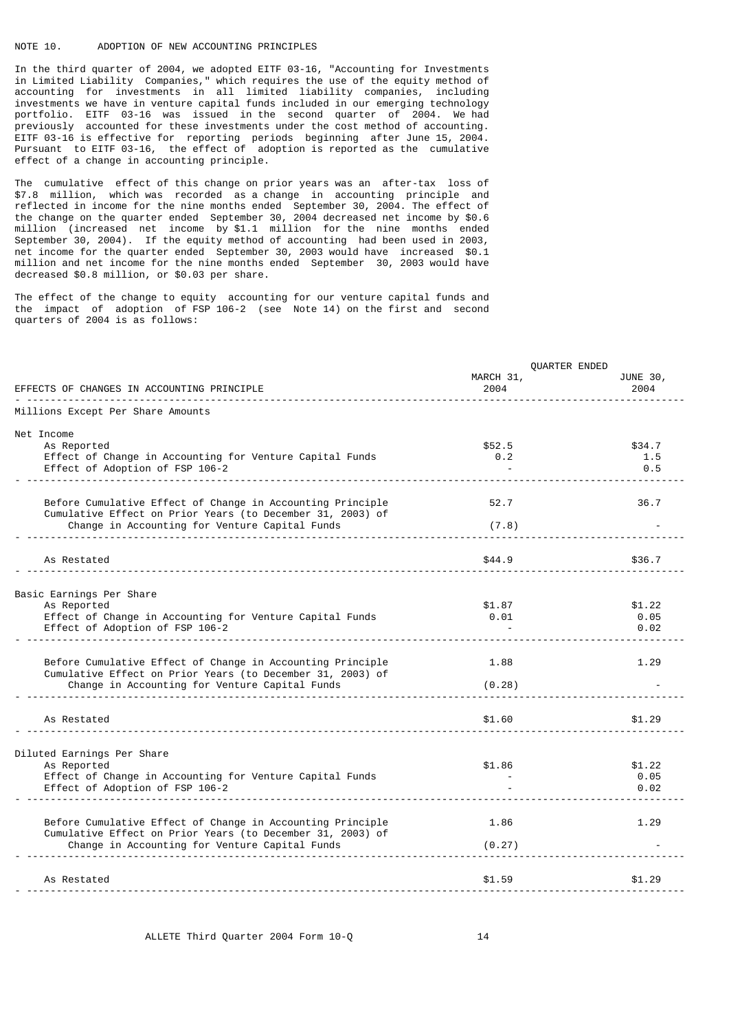### NOTE 10. ADOPTION OF NEW ACCOUNTING PRINCIPLES

In the third quarter of 2004, we adopted EITF 03-16, "Accounting for Investments in Limited Liability Companies," which requires the use of the equity method of accounting for investments in all limited liability companies, including investments we have in venture capital funds included in our emerging technology portfolio. EITF 03-16 was issued in the second quarter of 2004. We had previously accounted for these investments under the cost method of accounting. EITF 03-16 is effective for reporting periods beginning after June 15, 2004. Pursuant to EITF 03-16, the effect of adoption is reported as the cumulative effect of a change in accounting principle.

The cumulative effect of this change on prior years was an after-tax loss of \$7.8 million, which was recorded as a change in accounting principle and reflected in income for the nine months ended September 30, 2004. The effect of the change on the quarter ended September 30, 2004 decreased net income by \$0.6 million (increased net income by \$1.1 million for the nine months ended September 30, 2004). If the equity method of accounting had been used in 2003, net income for the quarter ended September 30, 2003 would have increased \$0.1 million and net income for the nine months ended September 30, 2003 would have decreased \$0.8 million, or \$0.03 per share.

The effect of the change to equity accounting for our venture capital funds and the impact of adoption of FSP 106-2 (see Note 14) on the first and second quarters of 2004 is as follows:

|                                                                                                              | QUARTER ENDED |          |  |
|--------------------------------------------------------------------------------------------------------------|---------------|----------|--|
|                                                                                                              | MARCH 31,     | JUNE 30, |  |
| EFFECTS OF CHANGES IN ACCOUNTING PRINCIPLE                                                                   | 2004          | 2004     |  |
| Millions Except Per Share Amounts                                                                            |               |          |  |
| Net Income                                                                                                   |               |          |  |
| As Reported                                                                                                  | \$52.5        | \$34.7   |  |
| Effect of Change in Accounting for Venture Capital Funds                                                     | 0.2           | 1.5      |  |
| Effect of Adoption of FSP 106-2                                                                              |               | 0.5      |  |
|                                                                                                              |               |          |  |
| Before Cumulative Effect of Change in Accounting Principle                                                   | 52.7          | 36.7     |  |
| Cumulative Effect on Prior Years (to December 31, 2003) of<br>Change in Accounting for Venture Capital Funds | (7.8)         |          |  |
|                                                                                                              |               |          |  |
| As Restated                                                                                                  | \$44.9        | \$36.7   |  |
|                                                                                                              |               |          |  |
| Basic Earnings Per Share                                                                                     |               |          |  |
| As Reported                                                                                                  | \$1.87        | \$1.22   |  |
| Effect of Change in Accounting for Venture Capital Funds                                                     | 0.01          | 0.05     |  |
| Effect of Adoption of FSP 106-2                                                                              |               | 0.02     |  |
|                                                                                                              |               |          |  |
| Before Cumulative Effect of Change in Accounting Principle                                                   | 1.88          | 1.29     |  |
| Cumulative Effect on Prior Years (to December 31, 2003) of                                                   |               |          |  |
| Change in Accounting for Venture Capital Funds                                                               | (0.28)        |          |  |
|                                                                                                              |               | \$1.29   |  |
| As Restated                                                                                                  | \$1.60        |          |  |
| Diluted Earnings Per Share                                                                                   |               |          |  |
| As Reported                                                                                                  | \$1.86        | \$1.22   |  |
| Effect of Change in Accounting for Venture Capital Funds                                                     |               | 0.05     |  |
| Effect of Adoption of FSP 106-2                                                                              |               | 0.02     |  |
|                                                                                                              |               |          |  |
| Before Cumulative Effect of Change in Accounting Principle                                                   | 1.86          | 1.29     |  |
| Cumulative Effect on Prior Years (to December 31, 2003) of                                                   |               |          |  |
| Change in Accounting for Venture Capital Funds                                                               | (0.27)        |          |  |
|                                                                                                              |               |          |  |
| As Restated<br><u>.</u>                                                                                      | \$1.59        | \$1.29   |  |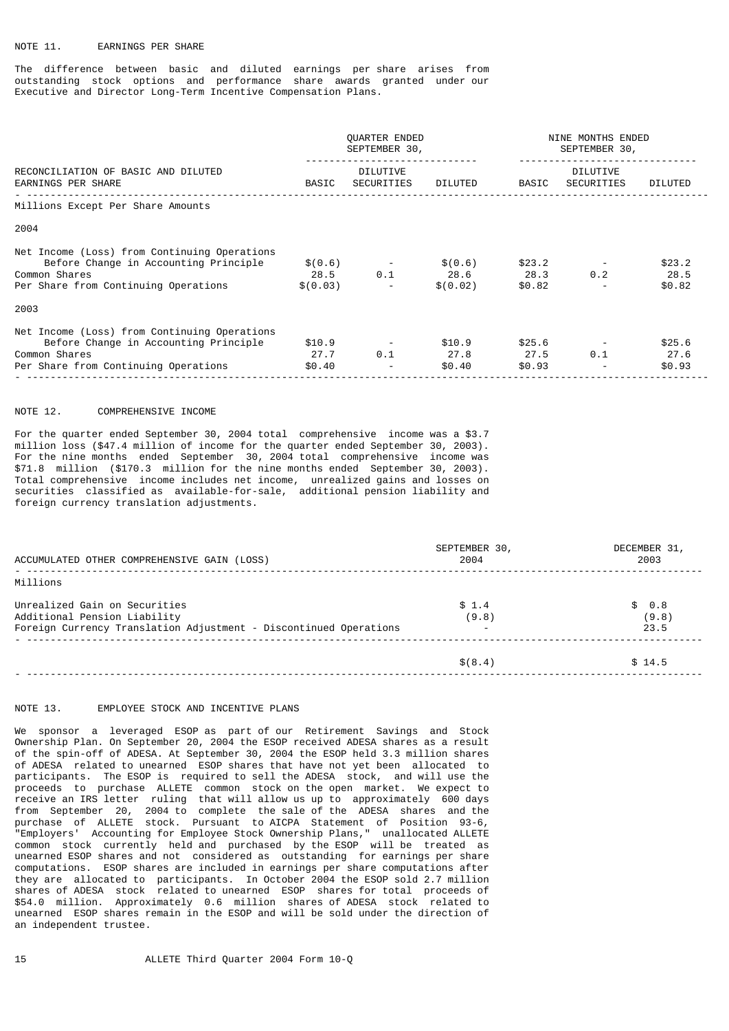# NOTE 11. EARNINGS PER SHARE

The difference between basic and diluted earnings per share arises from outstanding stock options and performance share awards granted under our Executive and Director Long-Term Incentive Compensation Plans.

|                                                                                                                                                | QUARTER ENDED<br>SEPTEMBER 30, |                                                | NINE MONTHS ENDED<br>SEPTEMBER 30, |                          |                               |                          |
|------------------------------------------------------------------------------------------------------------------------------------------------|--------------------------------|------------------------------------------------|------------------------------------|--------------------------|-------------------------------|--------------------------|
| RECONCILIATION OF BASIC AND DILUTED<br><b>EARNINGS PER SHARE</b>                                                                               | BASIC                          | DILUTIVE<br>SECURITIES                         | DILUTED                            | BASIC                    | <b>DILUTIVE</b><br>SECURITIES | DILUTED                  |
| Millions Except Per Share Amounts                                                                                                              |                                |                                                |                                    |                          |                               |                          |
| 2004                                                                                                                                           |                                |                                                |                                    |                          |                               |                          |
| Net Income (Loss) from Continuing Operations<br>Before Change in Accounting Principle<br>Common Shares<br>Per Share from Continuing Operations | \$ (0.03)                      | $$(0.6)$ -<br>28.5 0.1<br>$\sim 100$ m $^{-1}$ | \$(0.6)<br>28.6 28.3<br>\$ (0.02)  | \$23.2<br>\$0.82         | 0.2                           | \$23.2<br>28.5<br>\$0.82 |
| 2003                                                                                                                                           |                                |                                                |                                    |                          |                               |                          |
| Net Income (Loss) from Continuing Operations<br>Before Change in Accounting Principle<br>Common Shares<br>Per Share from Continuing Operations | \$10.9<br>27.7<br>\$0.40       | 0.1<br>$\overline{\phantom{a}}$                | \$10.9<br>27.8<br>\$0.40           | \$25.6<br>27.5<br>\$0.93 | 0.1                           | \$25.6<br>27.6<br>\$0.93 |

### NOTE 12. COMPREHENSIVE INCOME

For the quarter ended September 30, 2004 total comprehensive income was a \$3.7 million loss (\$47.4 million of income for the quarter ended September 30, 2003). For the nine months ended September 30, 2004 total comprehensive income was \$71.8 million (\$170.3 million for the nine months ended September 30, 2003). Total comprehensive income includes net income, unrealized gains and losses on securities classified as available-for-sale, additional pension liability and foreign currency translation adjustments.

| ACCUMULATED OTHER COMPREHENSIVE GAIN (LOSS)                                                                                        | SEPTEMBER 30,<br>2004 | DECEMBER 31,<br>2003   |
|------------------------------------------------------------------------------------------------------------------------------------|-----------------------|------------------------|
| Millions                                                                                                                           |                       |                        |
| Unrealized Gain on Securities<br>Additional Pension Liability<br>Foreign Currency Translation Adjustment - Discontinued Operations | \$1.4<br>(9.8)        | \$0.8<br>(9.8)<br>23.5 |
|                                                                                                                                    | \$ (8.4)              | \$14.5                 |

### NOTE 13. EMPLOYEE STOCK AND INCENTIVE PLANS

We sponsor a leveraged ESOP as part of our Retirement Savings and Stock Ownership Plan. On September 20, 2004 the ESOP received ADESA shares as a result of the spin-off of ADESA. At September 30, 2004 the ESOP held 3.3 million shares of ADESA related to unearned ESOP shares that have not yet been allocated to participants. The ESOP is required to sell the ADESA stock, and will use the proceeds to purchase ALLETE common stock on the open market. We expect to receive an IRS letter ruling that will allow us up to approximately 600 days from September 20, 2004 to complete the sale of the ADESA shares and the purchase of ALLETE stock. Pursuant to AICPA Statement of Position 93-6, "Employers' Accounting for Employee Stock Ownership Plans," unallocated ALLETE common stock currently held and purchased by the ESOP will be treated as unearned ESOP shares and not considered as outstanding for earnings per share computations. ESOP shares are included in earnings per share computations after they are allocated to participants. In October 2004 the ESOP sold 2.7 million shares of ADESA stock related to unearned ESOP shares for total proceeds of \$54.0 million. Approximately 0.6 million shares of ADESA stock related to unearned ESOP shares remain in the ESOP and will be sold under the direction of an independent trustee.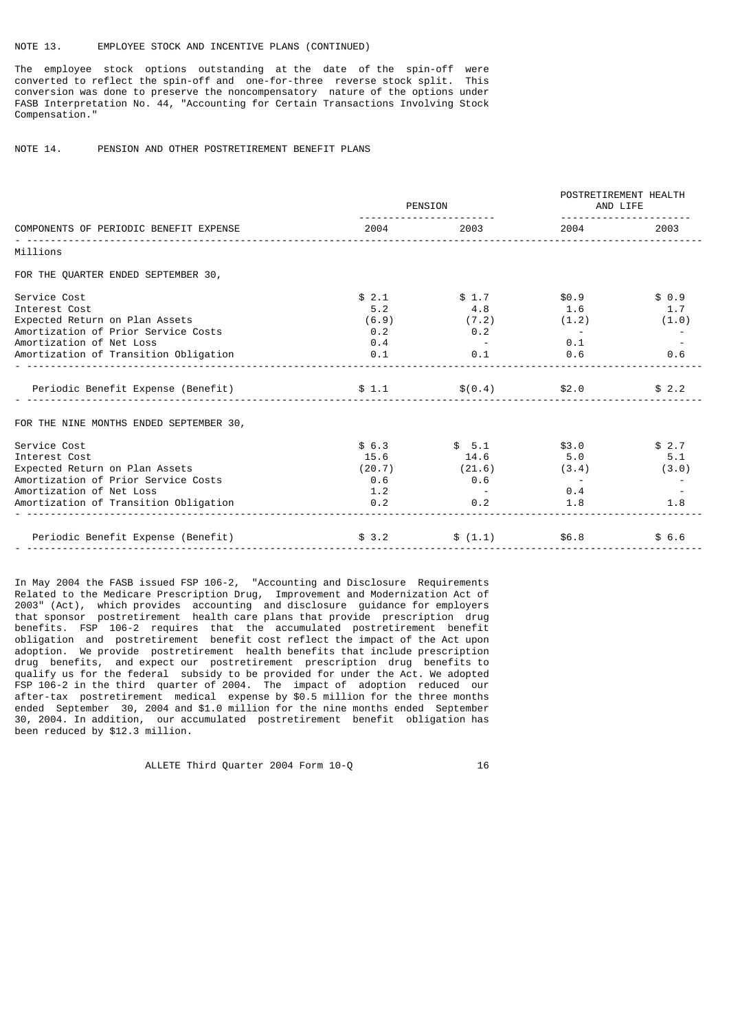# NOTE 13. EMPLOYEE STOCK AND INCENTIVE PLANS (CONTINUED)

The employee stock options outstanding at the date of the spin-off were converted to reflect the spin-off and one-for-three reverse stock split. This conversion was done to preserve the noncompensatory nature of the options under FASB Interpretation No. 44, "Accounting for Certain Transactions Involving Stock Compensation."

# NOTE 14. PENSION AND OTHER POSTRETIREMENT BENEFIT PLANS

|                                         |             | PENSION           | POSTRETIREMENT HEALTH<br>AND LIFE<br><u>.</u> |       |  |
|-----------------------------------------|-------------|-------------------|-----------------------------------------------|-------|--|
| COMPONENTS OF PERIODIC BENEFIT EXPENSE  | 2004 — Марк | 2003              | 2004 2005                                     | 2003  |  |
| Millions                                |             |                   |                                               |       |  |
| FOR THE QUARTER ENDED SEPTEMBER 30,     |             |                   |                                               |       |  |
| Service Cost                            | \$2.1       | \$1.7             | \$0.9                                         | \$0.9 |  |
| Interest Cost                           | 5.2         | $4.8$ $1.6$       |                                               | 1.7   |  |
| Expected Return on Plan Assets          | (6.9)       | (7.2)             | (1.2)                                         | (1.0) |  |
| Amortization of Prior Service Costs     | 0.2         | $\odot$ . 2       |                                               |       |  |
| Amortization of Net Loss                | 0.4         |                   | 0.1                                           |       |  |
| Amortization of Transition Obligation   | 0.1         | 0.1               | 0.6                                           | 0.6   |  |
|                                         |             |                   | $\$(0.4)$ \$2.0                               | \$2.2 |  |
| FOR THE NINE MONTHS ENDED SEPTEMBER 30, |             |                   |                                               |       |  |
| Service Cost                            | \$6.3       | \$5.1             | \$3.0                                         | \$2.7 |  |
| Interest Cost                           | 15.6        | 14.6              | 5.0                                           | 5.1   |  |
| Expected Return on Plan Assets          |             | $(20.7)$ $(21.6)$ | (3.4)                                         | (3.0) |  |
| Amortization of Prior Service Costs     | 0.6         | 0.6               |                                               |       |  |
| Amortization of Net Loss                | 1.2         |                   | 0.4                                           |       |  |
| Amortization of Transition Obligation   | 0.2         | 0.2               | 1.8                                           | 1.8   |  |
| Periodic Benefit Expense (Benefit)      | \$3.2       | \$(1.1)           | \$6.8                                         | \$6.6 |  |

In May 2004 the FASB issued FSP 106-2, "Accounting and Disclosure Requirements Related to the Medicare Prescription Drug, Improvement and Modernization Act of 2003" (Act), which provides accounting and disclosure guidance for employers that sponsor postretirement health care plans that provide prescription drug benefits. FSP 106-2 requires that the accumulated postretirement benefit obligation and postretirement benefit cost reflect the impact of the Act upon adoption. We provide postretirement health benefits that include prescription drug benefits, and expect our postretirement prescription drug benefits to qualify us for the federal subsidy to be provided for under the Act. We adopted FSP 106-2 in the third quarter of 2004. The impact of adoption reduced our after-tax postretirement medical expense by \$0.5 million for the three months ended September 30, 2004 and \$1.0 million for the nine months ended September 30, 2004. In addition, our accumulated postretirement benefit obligation has been reduced by \$12.3 million.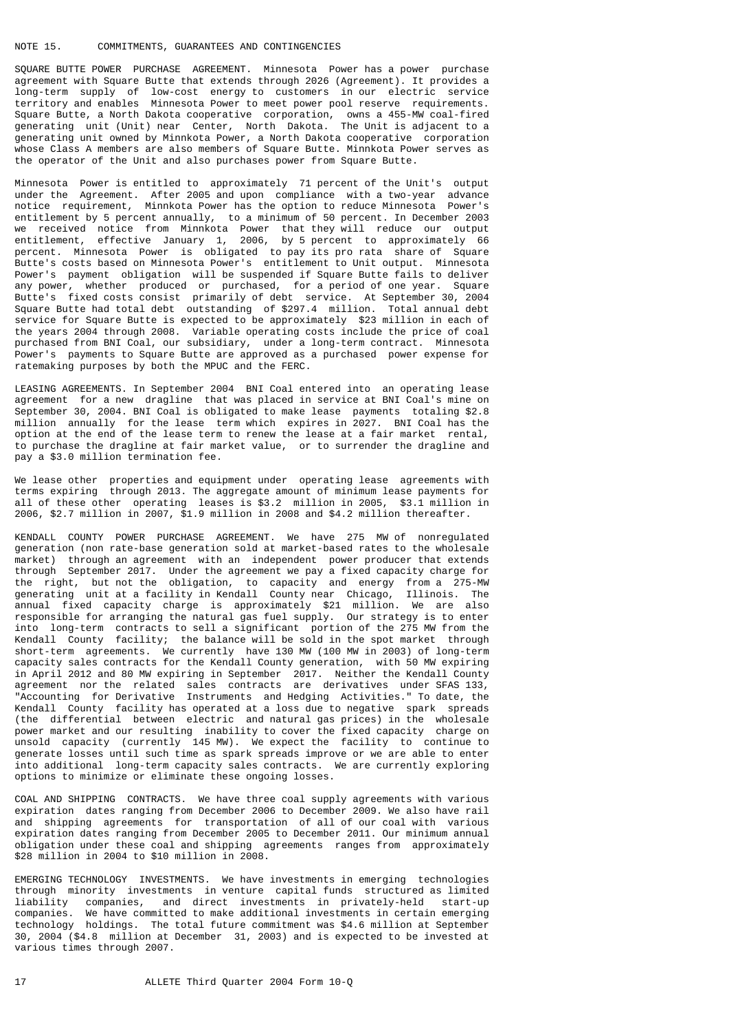### NOTE 15. COMMITMENTS, GUARANTEES AND CONTINGENCIES

SQUARE BUTTE POWER PURCHASE AGREEMENT. Minnesota Power has a power purchase agreement with Square Butte that extends through 2026 (Agreement). It provides a long-term supply of low-cost energy to customers in our electric service territory and enables Minnesota Power to meet power pool reserve requirements. Square Butte, a North Dakota cooperative corporation, owns a 455-MW coal-fired generating unit (Unit) near Center, North Dakota. The Unit is adjacent to a generating unit owned by Minnkota Power, a North Dakota cooperative corporation whose Class A members are also members of Square Butte. Minnkota Power serves as the operator of the Unit and also purchases power from Square Butte.

Minnesota Power is entitled to approximately 71 percent of the Unit's output under the Agreement. After 2005 and upon compliance with a two-year advance notice requirement, Minnkota Power has the option to reduce Minnesota Power's entitlement by 5 percent annually, to a minimum of 50 percent. In December 2003 we received notice from Minnkota Power that they will reduce our output entitlement, effective January 1, 2006, by 5 percent to approximately 66 percent. Minnesota Power is obligated to pay its pro rata share of Square Butte's costs based on Minnesota Power's entitlement to Unit output. Minnesota Power's payment obligation will be suspended if Square Butte fails to deliver any power, whether produced or purchased, for a period of one year. Square Butte's fixed costs consist primarily of debt service. At September 30, 2004 Square Butte had total debt outstanding of \$297.4 million. Total annual debt service for Square Butte is expected to be approximately \$23 million in each of the years 2004 through 2008. Variable operating costs include the price of coal purchased from BNI Coal, our subsidiary, under a long-term contract. Minnesota Power's payments to Square Butte are approved as a purchased power expense for ratemaking purposes by both the MPUC and the FERC.

LEASING AGREEMENTS. In September 2004 BNI Coal entered into an operating lease agreement for a new dragline that was placed in service at BNI Coal's mine on September 30, 2004. BNI Coal is obligated to make lease payments totaling \$2.8 million annually for the lease term which expires in 2027. BNI Coal has the option at the end of the lease term to renew the lease at a fair market rental, to purchase the dragline at fair market value, or to surrender the dragline and pay a \$3.0 million termination fee.

We lease other properties and equipment under operating lease agreements with terms expiring through 2013. The aggregate amount of minimum lease payments for all of these other operating leases is \$3.2 million in 2005, \$3.1 million in 2006, \$2.7 million in 2007, \$1.9 million in 2008 and \$4.2 million thereafter.

KENDALL COUNTY POWER PURCHASE AGREEMENT. We have 275 MW of nonregulated generation (non rate-base generation sold at market-based rates to the wholesale market) through an agreement with an independent power producer that extends through September 2017. Under the agreement we pay a fixed capacity charge for the right, but not the obligation, to capacity and energy from a 275-MW generating unit at a facility in Kendall County near Chicago, Illinois. The annual fixed capacity charge is approximately \$21 million. We are also responsible for arranging the natural gas fuel supply. Our strategy is to enter into long-term contracts to sell a significant portion of the 275 MW from the Kendall County facility; the balance will be sold in the spot market through short-term agreements. We currently have 130 MW (100 MW in 2003) of long-term capacity sales contracts for the Kendall County generation, with 50 MW expiring in April 2012 and 80 MW expiring in September 2017. Neither the Kendall County agreement nor the related sales contracts are derivatives under SFAS 133, "Accounting for Derivative Instruments and Hedging Activities." To date, the Kendall County facility has operated at a loss due to negative spark spreads (the differential between electric and natural gas prices) in the wholesale power market and our resulting inability to cover the fixed capacity charge on unsold capacity (currently 145 MW). We expect the facility to continue to generate losses until such time as spark spreads improve or we are able to enter into additional long-term capacity sales contracts. We are currently exploring options to minimize or eliminate these ongoing losses.

COAL AND SHIPPING CONTRACTS. We have three coal supply agreements with various expiration dates ranging from December 2006 to December 2009. We also have rail and shipping agreements for transportation of all of our coal with various expiration dates ranging from December 2005 to December 2011. Our minimum annual obligation under these coal and shipping agreements ranges from approximately \$28 million in 2004 to \$10 million in 2008.

EMERGING TECHNOLOGY INVESTMENTS. We have investments in emerging technologies through minority investments in venture capital funds structured as limited liability companies, and direct investments in privately-held companies. We have committed to make additional investments in certain emerging technology holdings. The total future commitment was \$4.6 million at September 30, 2004 (\$4.8 million at December 31, 2003) and is expected to be invested at various times through 2007.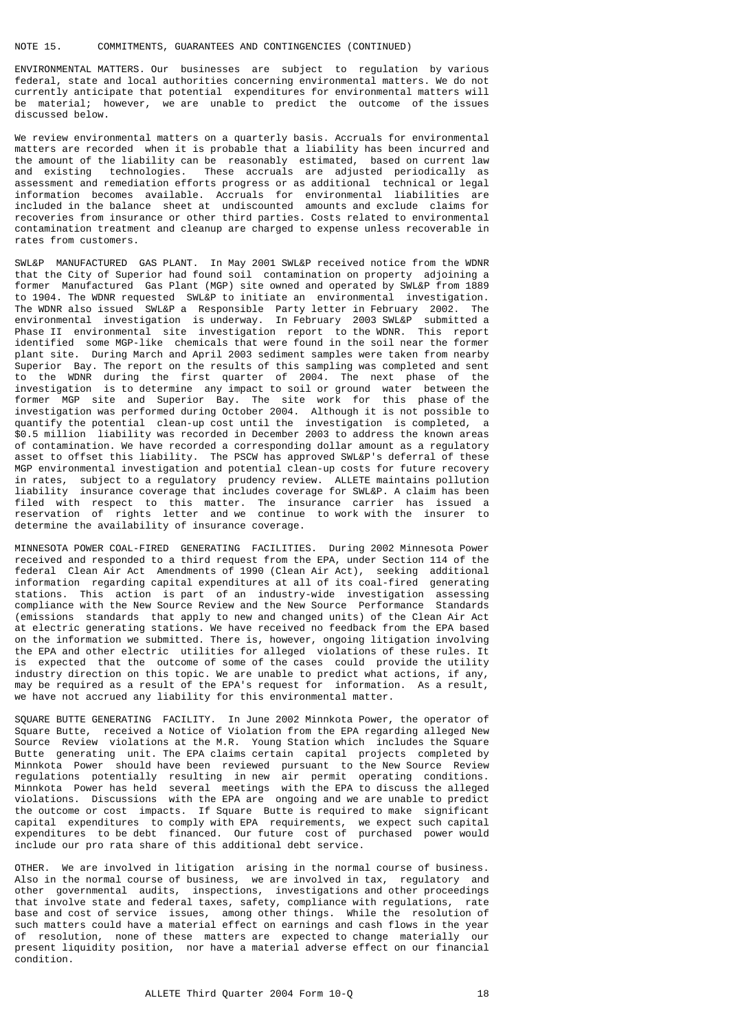ENVIRONMENTAL MATTERS. Our businesses are subject to regulation by various federal, state and local authorities concerning environmental matters. We do not currently anticipate that potential expenditures for environmental matters will be material; however, we are unable to predict the outcome of the issues discussed below.

We review environmental matters on a quarterly basis. Accruals for environmental matters are recorded when it is probable that a liability has been incurred and the amount of the liability can be reasonably estimated, based on current law and existing technologies. These accruals are adjusted periodically as assessment and remediation efforts progress or as additional technical or legal information becomes available. Accruals for environmental liabilities are included in the balance sheet at undiscounted amounts and exclude claims for recoveries from insurance or other third parties. Costs related to environmental contamination treatment and cleanup are charged to expense unless recoverable in rates from customers.

SWL&P MANUFACTURED GAS PLANT. In May 2001 SWL&P received notice from the WDNR that the City of Superior had found soil contamination on property adjoining a former Manufactured Gas Plant (MGP) site owned and operated by SWL&P from 1889 to 1904. The WDNR requested SWL&P to initiate an environmental investigation. The WDNR also issued SWL&P a Responsible Party letter in February 2002. The environmental investigation is underway. In February 2003 SWL&P submitted a Phase II environmental site investigation report to the WDNR. This report identified some MGP-like chemicals that were found in the soil near the former plant site. During March and April 2003 sediment samples were taken from nearby Superior Bay. The report on the results of this sampling was completed and sent to the WDNR during the first quarter of 2004. The next phase of the investigation is to determine any impact to soil or ground water between the former MGP site and Superior Bay. The site work for this phase of the investigation was performed during October 2004. Although it is not possible to quantify the potential clean-up cost until the investigation is completed, a \$0.5 million liability was recorded in December 2003 to address the known areas of contamination. We have recorded a corresponding dollar amount as a regulatory asset to offset this liability. The PSCW has approved SWL&P's deferral of these MGP environmental investigation and potential clean-up costs for future recovery in rates, subject to a regulatory prudency review. ALLETE maintains pollution liability insurance coverage that includes coverage for SWL&P. A claim has been filed with respect to this matter. The insurance carrier has issued a reservation of rights letter and we continue to work with the insurer to determine the availability of insurance coverage.

MINNESOTA POWER COAL-FIRED GENERATING FACILITIES. During 2002 Minnesota Power received and responded to a third request from the EPA, under Section 114 of the federal Clean Air Act Amendments of 1990 (Clean Air Act), seeking additional information regarding capital expenditures at all of its coal-fired generating stations. This action is part of an industry-wide investigation assessing compliance with the New Source Review and the New Source Performance Standards (emissions standards that apply to new and changed units) of the Clean Air Act at electric generating stations. We have received no feedback from the EPA based on the information we submitted. There is, however, ongoing litigation involving the EPA and other electric utilities for alleged violations of these rules. It is expected that the outcome of some of the cases could provide the utility industry direction on this topic. We are unable to predict what actions, if any, may be required as a result of the EPA's request for information. As a result, we have not accrued any liability for this environmental matter.

SQUARE BUTTE GENERATING FACILITY. In June 2002 Minnkota Power, the operator of Square Butte, received a Notice of Violation from the EPA regarding alleged New Source Review violations at the M.R. Young Station which includes the Square Butte generating unit. The EPA claims certain capital projects completed by Minnkota Power should have been reviewed pursuant to the New Source Review regulations potentially resulting in new air permit operating conditions. Minnkota Power has held several meetings with the EPA to discuss the alleged violations. Discussions with the EPA are ongoing and we are unable to predict the outcome or cost impacts. If Square Butte is required to make significant capital expenditures to comply with EPA requirements, we expect such capital expenditures to be debt financed. Our future cost of purchased power would include our pro rata share of this additional debt service.

OTHER. We are involved in litigation arising in the normal course of business. Also in the normal course of business, we are involved in tax, regulatory and other governmental audits, inspections, investigations and other proceedings that involve state and federal taxes, safety, compliance with regulations, rate base and cost of service issues, among other things. While the resolution of such matters could have a material effect on earnings and cash flows in the year of resolution, none of these matters are expected to change materially our present liquidity position, nor have a material adverse effect on our financial .<br>condition.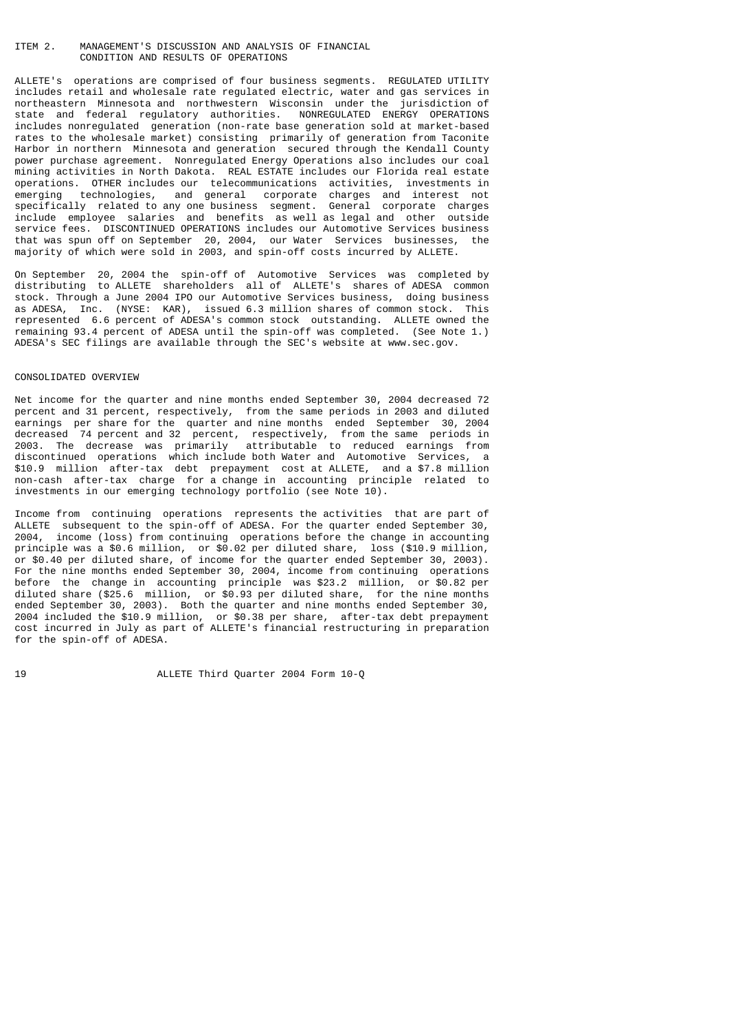# ITEM 2. MANAGEMENT'S DISCUSSION AND ANALYSIS OF FINANCIAL CONDITION AND RESULTS OF OPERATIONS

ALLETE's operations are comprised of four business segments. REGULATED UTILITY includes retail and wholesale rate regulated electric, water and gas services in northeastern Minnesota and northwestern Wisconsin under the jurisdiction of state and federal regulatory authorities. NONREGULATED ENERGY OPERATIONS includes nonregulated generation (non-rate base generation sold at market-based rates to the wholesale market) consisting primarily of generation from Taconite Harbor in northern Minnesota and generation secured through the Kendall County power purchase agreement. Nonregulated Energy Operations also includes our coal mining activities in North Dakota. REAL ESTATE includes our Florida real estate operations. OTHER includes our telecommunications activities, investments in emerging technologies, and general corporate charges and interest not technologies, and general corporate charges and interest not specifically related to any one business segment. General corporate charges include employee salaries and benefits as well as legal and other outside service fees. DISCONTINUED OPERATIONS includes our Automotive Services business that was spun off on September 20, 2004, our Water Services businesses, the majority of which were sold in 2003, and spin-off costs incurred by ALLETE.

On September 20, 2004 the spin-off of Automotive Services was completed by distributing to ALLETE shareholders all of ALLETE's shares of ADESA common stock. Through a June 2004 IPO our Automotive Services business, doing business as ADESA, Inc. (NYSE: KAR), issued 6.3 million shares of common stock. This represented 6.6 percent of ADESA's common stock outstanding. ALLETE owned the remaining 93.4 percent of ADESA until the spin-off was completed. (See Note 1.) ADESA's SEC filings are available through the SEC's website at www.sec.gov.

#### CONSOLIDATED OVERVIEW

Net income for the quarter and nine months ended September 30, 2004 decreased 72 percent and 31 percent, respectively, from the same periods in 2003 and diluted earnings per share for the quarter and nine months ended September 30, 2004 decreased 74 percent and 32 percent, respectively, from the same periods in 2003. The decrease was primarily attributable to reduced earnings from discontinued operations which include both Water and Automotive Services, a \$10.9 million after-tax debt prepayment cost at ALLETE, and a \$7.8 million non-cash after-tax charge for a change in accounting principle related to investments in our emerging technology portfolio (see Note 10).

Income from continuing operations represents the activities that are part of ALLETE subsequent to the spin-off of ADESA. For the quarter ended September 30, 2004, income (loss) from continuing operations before the change in accounting principle was a \$0.6 million, or \$0.02 per diluted share, loss (\$10.9 million, or \$0.40 per diluted share, of income for the quarter ended September 30, 2003). For the nine months ended September 30, 2004, income from continuing operations before the change in accounting principle was \$23.2 million, or \$0.82 per diluted share (\$25.6 million, or \$0.93 per diluted share, for the nine months ended September 30, 2003). Both the quarter and nine months ended September 30, 2004 included the \$10.9 million, or \$0.38 per share, after-tax debt prepayment cost incurred in July as part of ALLETE's financial restructuring in preparation for the spin-off of ADESA.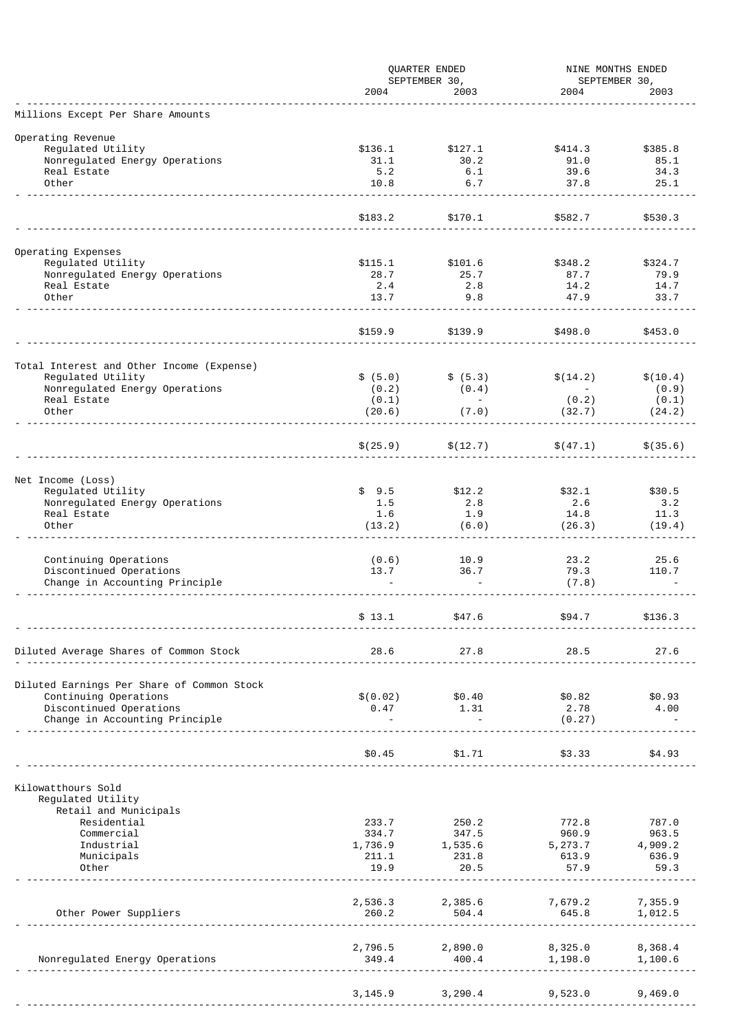|                                                           | QUARTER ENDED    |                               | NINE MONTHS ENDED  |                       |
|-----------------------------------------------------------|------------------|-------------------------------|--------------------|-----------------------|
|                                                           | 2004             | SEPTEMBER 30,<br>2003         | 2004               | SEPTEMBER 30,<br>2003 |
| Millions Except Per Share Amounts                         |                  |                               |                    |                       |
| Operating Revenue                                         |                  |                               |                    |                       |
| Regulated Utility                                         | \$136.1          | \$127.1                       | \$414.3            | \$385.8               |
| Nonregulated Energy Operations                            | 31.1             | 30.2                          | 91.0               | 85.1                  |
| Real Estate<br>Other                                      | 5.2<br>10.8      | 6.1<br>6.7                    | 39.6<br>37.8       | 34.3<br>25.1          |
|                                                           |                  |                               |                    |                       |
|                                                           | \$183.2          | \$170.1                       | \$582.7            | \$530.3               |
|                                                           |                  |                               |                    |                       |
| Operating Expenses<br>Regulated Utility                   | \$115.1          | \$101.6                       | \$348.2            | \$324.7               |
| Nonregulated Energy Operations                            | 28.7             | 25.7                          | 87.7               | 79.9                  |
| Real Estate                                               | 2.4              | 2.8                           | 14.2               | 14.7                  |
| Other                                                     | 13.7             | 9.8                           | 47.9               | 33.7                  |
|                                                           |                  |                               |                    |                       |
|                                                           | \$159.9          | \$139.9                       | \$498.0            | \$453.0               |
| Total Interest and Other Income (Expense)                 |                  |                               |                    |                       |
| Regulated Utility                                         | \$ (5.0)         | \$ (5.3)                      | \$(14.2)           | \$(10.4)              |
| Nonregulated Energy Operations                            | (0.2)            | (0.4)                         | $\sim$ $-$         | (0.9)                 |
| Real Estate                                               | (0.1)            | $\sim 100$                    | (0.2)              | (0.1)                 |
| Other                                                     | (20.6)           | (7.0)                         | (32.7)             | (24.2)                |
|                                                           | \$(25.9)         | \$(12.7)                      | \$(47.1)           | \$(35.6)              |
|                                                           |                  |                               |                    |                       |
| Net Income (Loss)                                         |                  |                               |                    |                       |
| Regulated Utility                                         | \$9.5            | \$12.2                        | \$32.1             | \$30.5                |
| Nonregulated Energy Operations<br>Real Estate             | 1.5<br>1.6       | 2.8<br>1.9                    | 2.6<br>14.8        | 3.2<br>11.3           |
| Other                                                     | (13.2)           | (6.0)                         | (26.3)             | (19.4)                |
|                                                           |                  |                               |                    |                       |
| Continuing Operations                                     | (0.6)            | 10.9                          | 23.2               | 25.6                  |
| Discontinued Operations<br>Change in Accounting Principle | 13.7             | 36.7                          | 79.3<br>(7.8)      | 110.7                 |
|                                                           |                  |                               |                    |                       |
|                                                           | \$13.1           | \$47.6                        | \$94.7             | \$136.3               |
|                                                           |                  |                               |                    |                       |
| Diluted Average Shares of Common Stock                    | 28.6             | 27.8                          | 28.5               | 27.6                  |
|                                                           |                  |                               |                    |                       |
| Diluted Earnings Per Share of Common Stock                |                  |                               |                    |                       |
| Continuing Operations<br>Discontinued Operations          | \$0.02)<br>0.47  | \$0.40<br>1.31                | \$0.82<br>2.78     | \$0.93<br>4.00        |
| Change in Accounting Principle                            |                  | $\sim$                        | (0.27)             |                       |
|                                                           |                  |                               |                    |                       |
|                                                           | \$0.45           | \$1.71                        | \$3.33             | \$4.93                |
|                                                           |                  |                               |                    |                       |
| Kilowatthours Sold<br>Regulated Utility                   |                  |                               |                    |                       |
| Retail and Municipals                                     |                  |                               |                    |                       |
| Residential                                               | 233.7            | 250.2                         | 772.8              | 787.0                 |
| Commercial                                                | 334.7            | 347.5<br>1,535.6              | 960.9              | 963.5                 |
| Industrial<br>Municipals                                  | 1,736.9<br>211.1 | 231.8                         | 5, 273.7<br>613.9  | 4,909.2<br>636.9      |
| Other                                                     | 19.9             | 20.5                          | 57.9               | 59.3                  |
|                                                           |                  |                               |                    |                       |
|                                                           | 2,536.3          | 2,385.6                       | 7,679.2            | 7,355.9               |
| Other Power Suppliers                                     | 260.2            | 504.4                         | 645.8              | 1,012.5               |
|                                                           |                  |                               |                    |                       |
| Nonregulated Energy Operations                            | 349.4            | 2,796.5 2,890.0<br>400.4      | 8,325.0<br>1,198.0 | 8,368.4<br>1,100.6    |
|                                                           |                  |                               | <u>.</u>           |                       |
|                                                           |                  | $3,145.9$ $3,290.4$ $9,523.0$ |                    | 9,469.0               |
|                                                           |                  |                               |                    |                       |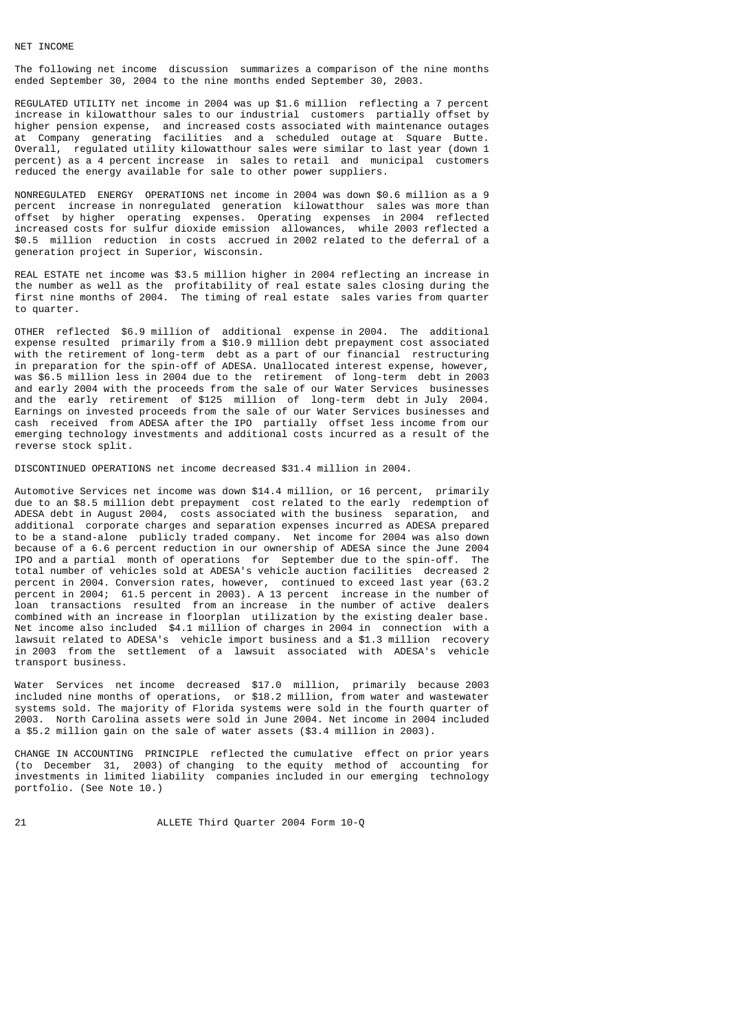#### NET INCOME

The following net income discussion summarizes a comparison of the nine months ended September 30, 2004 to the nine months ended September 30, 2003.

REGULATED UTILITY net income in 2004 was up \$1.6 million reflecting a 7 percent increase in kilowatthour sales to our industrial customers partially offset by higher pension expense, and increased costs associated with maintenance outages at Company generating facilities and a scheduled outage at Square Butte. Overall, regulated utility kilowatthour sales were similar to last year (down 1 percent) as a 4 percent increase in sales to retail and municipal customers reduced the energy available for sale to other power suppliers.

NONREGULATED ENERGY OPERATIONS net income in 2004 was down \$0.6 million as a 9 percent increase in nonregulated generation kilowatthour sales was more than offset by higher operating expenses. Operating expenses in 2004 reflected increased costs for sulfur dioxide emission allowances, while 2003 reflected a \$0.5 million reduction in costs accrued in 2002 related to the deferral of a generation project in Superior, Wisconsin.

REAL ESTATE net income was \$3.5 million higher in 2004 reflecting an increase in the number as well as the profitability of real estate sales closing during the first nine months of 2004. The timing of real estate sales varies from quarter to quarter.

OTHER reflected \$6.9 million of additional expense in 2004. The additional expense resulted primarily from a \$10.9 million debt prepayment cost associated with the retirement of long-term debt as a part of our financial restructuring in preparation for the spin-off of ADESA. Unallocated interest expense, however, was \$6.5 million less in 2004 due to the retirement of long-term debt in 2003 and early 2004 with the proceeds from the sale of our Water Services businesses and the early retirement of \$125 million of long-term debt in July 2004. Earnings on invested proceeds from the sale of our Water Services businesses and cash received from ADESA after the IPO partially offset less income from our emerging technology investments and additional costs incurred as a result of the reverse stock split.

DISCONTINUED OPERATIONS net income decreased \$31.4 million in 2004.

Automotive Services net income was down \$14.4 million, or 16 percent, primarily due to an \$8.5 million debt prepayment cost related to the early redemption of ADESA debt in August 2004, costs associated with the business separation, and additional corporate charges and separation expenses incurred as ADESA prepared to be a stand-alone publicly traded company. Net income for 2004 was also down because of a 6.6 percent reduction in our ownership of ADESA since the June 2004 IPO and a partial month of operations for September due to the spin-off. The total number of vehicles sold at ADESA's vehicle auction facilities decreased 2 percent in 2004. Conversion rates, however, continued to exceed last year (63.2 percent in 2004; 61.5 percent in 2003). A 13 percent increase in the number of loan transactions resulted from an increase in the number of active dealers combined with an increase in floorplan utilization by the existing dealer base. Net income also included \$4.1 million of charges in 2004 in connection with a lawsuit related to ADESA's vehicle import business and a \$1.3 million recovery in 2003 from the settlement of a lawsuit associated with ADESA's vehicle transport business.

Water Services net income decreased \$17.0 million, primarily because 2003 included nine months of operations, or \$18.2 million, from water and wastewater systems sold. The majority of Florida systems were sold in the fourth quarter of 2003. North Carolina assets were sold in June 2004. Net income in 2004 included a \$5.2 million gain on the sale of water assets (\$3.4 million in 2003).

CHANGE IN ACCOUNTING PRINCIPLE reflected the cumulative effect on prior years (to December 31, 2003) of changing to the equity method of accounting for investments in limited liability companies included in our emerging technology portfolio. (See Note 10.)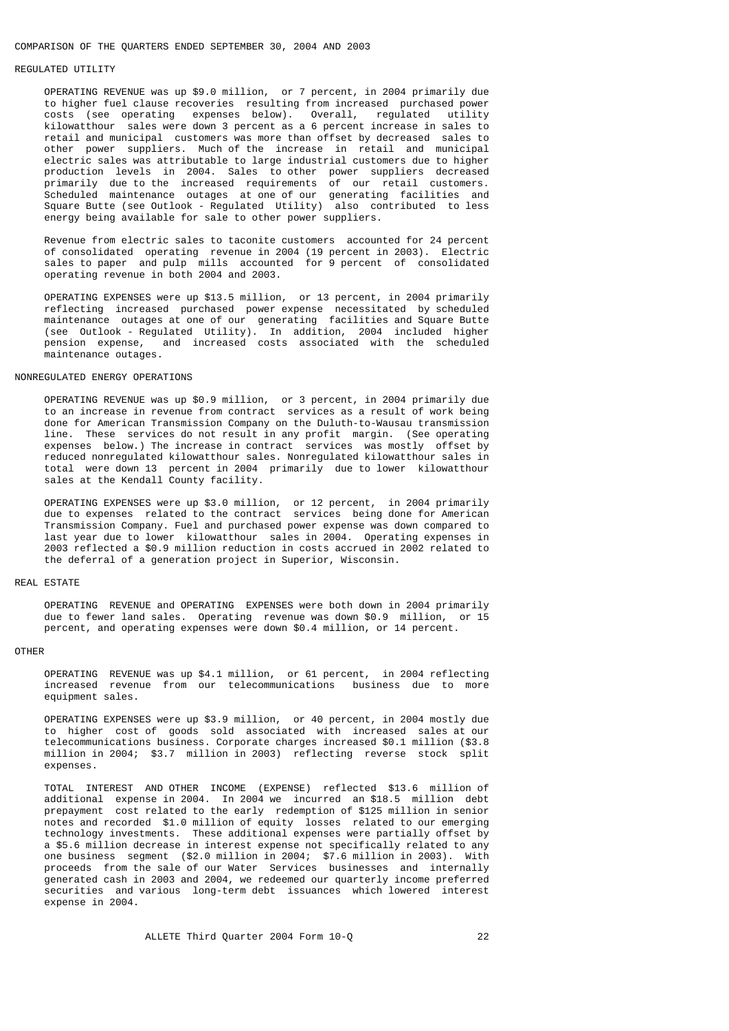#### COMPARISON OF THE QUARTERS ENDED SEPTEMBER 30, 2004 AND 2003

### REGULATED UTILITY

 OPERATING REVENUE was up \$9.0 million, or 7 percent, in 2004 primarily due to higher fuel clause recoveries resulting from increased purchased power costs (see operating expenses below). Overall, regulated utility kilowatthour sales were down 3 percent as a 6 percent increase in sales to retail and municipal customers was more than offset by decreased sales to other power suppliers. Much of the increase in retail and municipal electric sales was attributable to large industrial customers due to higher production levels in 2004. Sales to other power suppliers decreased primarily due to the increased requirements of our retail customers. Scheduled maintenance outages at one of our generating facilities and Square Butte (see Outlook - Regulated Utility) also contributed to less energy being available for sale to other power suppliers.

 Revenue from electric sales to taconite customers accounted for 24 percent of consolidated operating revenue in 2004 (19 percent in 2003). Electric sales to paper and pulp mills accounted for 9 percent of consolidated operating revenue in both 2004 and 2003.

 OPERATING EXPENSES were up \$13.5 million, or 13 percent, in 2004 primarily reflecting increased purchased power expense necessitated by scheduled maintenance outages at one of our generating facilities and Square Butte (see Outlook - Regulated Utility). In addition, 2004 included higher pension expense, and increased costs associated with the scheduled maintenance outages.

#### NONREGULATED ENERGY OPERATIONS

 OPERATING REVENUE was up \$0.9 million, or 3 percent, in 2004 primarily due to an increase in revenue from contract services as a result of work being done for American Transmission Company on the Duluth-to-Wausau transmission line. These services do not result in any profit margin. (See operating expenses below.) The increase in contract services was mostly offset by reduced nonregulated kilowatthour sales. Nonregulated kilowatthour sales in total were down 13 percent in 2004 primarily due to lower kilowatthour sales at the Kendall County facility.

 OPERATING EXPENSES were up \$3.0 million, or 12 percent, in 2004 primarily due to expenses related to the contract services being done for American Transmission Company. Fuel and purchased power expense was down compared to last year due to lower kilowatthour sales in 2004. Operating expenses in 2003 reflected a \$0.9 million reduction in costs accrued in 2002 related to the deferral of a generation project in Superior, Wisconsin.

#### REAL ESTATE

 OPERATING REVENUE and OPERATING EXPENSES were both down in 2004 primarily due to fewer land sales. Operating revenue was down \$0.9 million, or 15 percent, and operating expenses were down \$0.4 million, or 14 percent.

#### OTHER

 OPERATING REVENUE was up \$4.1 million, or 61 percent, in 2004 reflecting increased revenue from our telecommunications business due to more equipment sales.

 OPERATING EXPENSES were up \$3.9 million, or 40 percent, in 2004 mostly due to higher cost of goods sold associated with increased sales at our telecommunications business. Corporate charges increased \$0.1 million (\$3.8 million in 2004; \$3.7 million in 2003) reflecting reverse stock split expenses.

 TOTAL INTEREST AND OTHER INCOME (EXPENSE) reflected \$13.6 million of additional expense in 2004. In 2004 we incurred an \$18.5 million debt prepayment cost related to the early redemption of \$125 million in senior notes and recorded \$1.0 million of equity losses related to our emerging technology investments. These additional expenses were partially offset by a \$5.6 million decrease in interest expense not specifically related to any one business segment (\$2.0 million in 2004; \$7.6 million in 2003). With proceeds from the sale of our Water Services businesses and internally generated cash in 2003 and 2004, we redeemed our quarterly income preferred securities and various long-term debt issuances which lowered interest expense in 2004.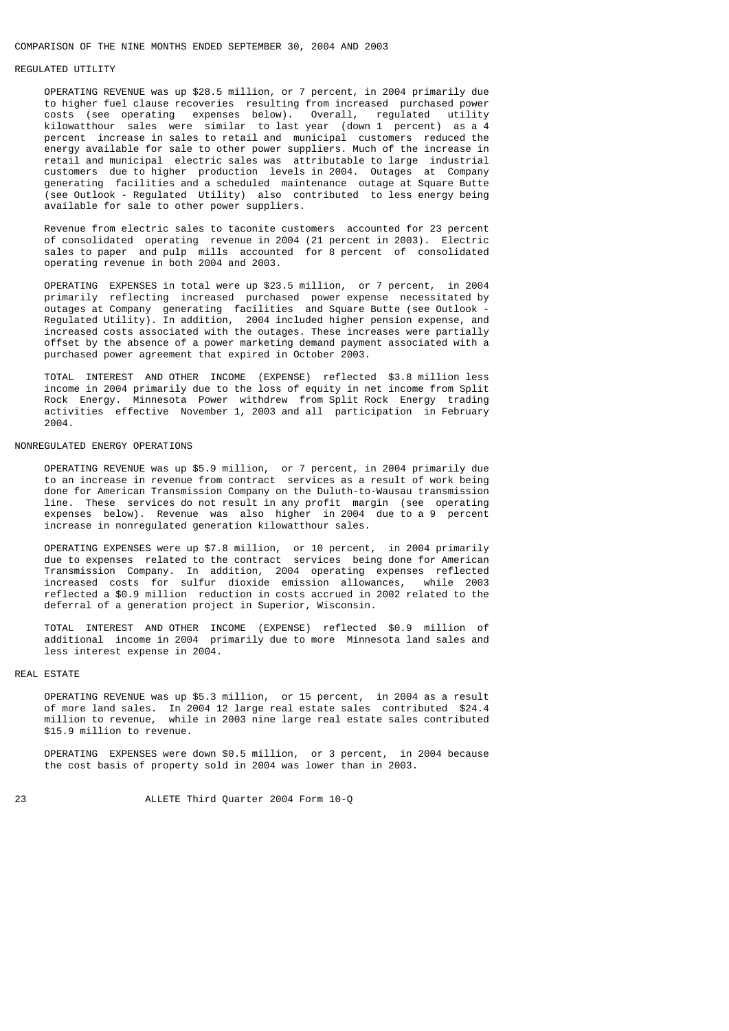#### COMPARISON OF THE NINE MONTHS ENDED SEPTEMBER 30, 2004 AND 2003

### REGULATED UTILITY

 OPERATING REVENUE was up \$28.5 million, or 7 percent, in 2004 primarily due to higher fuel clause recoveries resulting from increased purchased power costs (see operating expenses below). Overall, regulated utility kilowatthour sales were similar to last year (down 1 percent) as a 4 percent increase in sales to retail and municipal customers reduced the energy available for sale to other power suppliers. Much of the increase in retail and municipal electric sales was attributable to large industrial customers due to higher production levels in 2004. Outages at Company generating facilities and a scheduled maintenance outage at Square Butte (see Outlook - Regulated Utility) also contributed to less energy being available for sale to other power suppliers.

 Revenue from electric sales to taconite customers accounted for 23 percent of consolidated operating revenue in 2004 (21 percent in 2003). Electric sales to paper and pulp mills accounted for 8 percent of consolidated operating revenue in both 2004 and 2003.

 OPERATING EXPENSES in total were up \$23.5 million, or 7 percent, in 2004 primarily reflecting increased purchased power expense necessitated by outages at Company generating facilities and Square Butte (see Outlook - Regulated Utility). In addition, 2004 included higher pension expense, and increased costs associated with the outages. These increases were partially offset by the absence of a power marketing demand payment associated with a purchased power agreement that expired in October 2003.

 TOTAL INTEREST AND OTHER INCOME (EXPENSE) reflected \$3.8 million less income in 2004 primarily due to the loss of equity in net income from Split Rock Energy. Minnesota Power withdrew from Split Rock Energy trading activities effective November 1, 2003 and all participation in February 2004.

#### NONREGULATED ENERGY OPERATIONS

 OPERATING REVENUE was up \$5.9 million, or 7 percent, in 2004 primarily due to an increase in revenue from contract services as a result of work being done for American Transmission Company on the Duluth-to-Wausau transmission line. These services do not result in any profit margin (see operating expenses below). Revenue was also higher in 2004 due to a 9 percent increase in nonregulated generation kilowatthour sales.

 OPERATING EXPENSES were up \$7.8 million, or 10 percent, in 2004 primarily due to expenses related to the contract services being done for American Transmission Company. In addition, 2004 operating expenses reflected increased costs for sulfur dioxide emission allowances, while 2003 reflected a \$0.9 million reduction in costs accrued in 2002 related to the deferral of a generation project in Superior, Wisconsin.

 TOTAL INTEREST AND OTHER INCOME (EXPENSE) reflected \$0.9 million of additional income in 2004 primarily due to more Minnesota land sales and less interest expense in 2004.

# REAL ESTATE

 OPERATING REVENUE was up \$5.3 million, or 15 percent, in 2004 as a result of more land sales. In 2004 12 large real estate sales contributed \$24.4 million to revenue, while in 2003 nine large real estate sales contributed \$15.9 million to revenue.

 OPERATING EXPENSES were down \$0.5 million, or 3 percent, in 2004 because the cost basis of property sold in 2004 was lower than in 2003.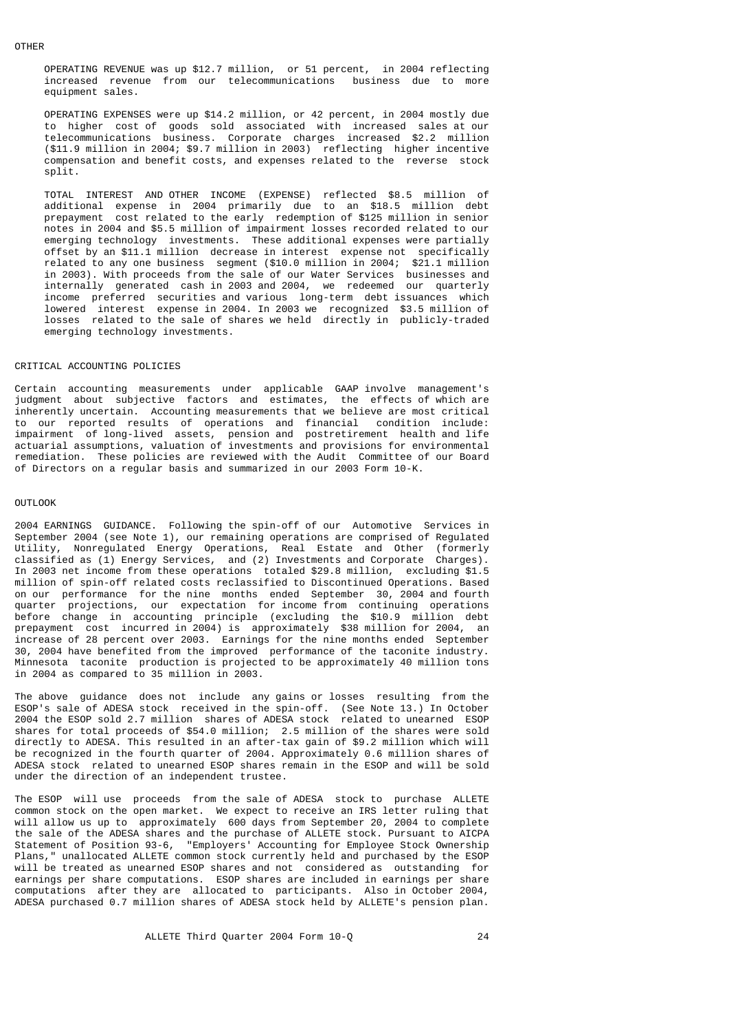OPERATING REVENUE was up \$12.7 million, or 51 percent, in 2004 reflecting increased revenue from our telecommunications business due to more equipment sales.

 OPERATING EXPENSES were up \$14.2 million, or 42 percent, in 2004 mostly due to higher cost of goods sold associated with increased sales at our telecommunications business. Corporate charges increased \$2.2 million (\$11.9 million in 2004; \$9.7 million in 2003) reflecting higher incentive compensation and benefit costs, and expenses related to the reverse stock split.

 TOTAL INTEREST AND OTHER INCOME (EXPENSE) reflected \$8.5 million of additional expense in 2004 primarily due to an \$18.5 million debt prepayment cost related to the early redemption of \$125 million in senior notes in 2004 and \$5.5 million of impairment losses recorded related to our emerging technology investments. These additional expenses were partially offset by an \$11.1 million decrease in interest expense not specifically related to any one business segment (\$10.0 million in 2004; \$21.1 million in 2003). With proceeds from the sale of our Water Services businesses and internally generated cash in 2003 and 2004, we redeemed our quarterly income preferred securities and various long-term debt issuances which lowered interest expense in 2004. In 2003 we recognized \$3.5 million of losses related to the sale of shares we held directly in publicly-traded emerging technology investments.

#### CRITICAL ACCOUNTING POLICIES

Certain accounting measurements under applicable GAAP involve management's judgment about subjective factors and estimates, the effects of which are inherently uncertain. Accounting measurements that we believe are most critical to our reported results of operations and financial condition include: impairment of long-lived assets, pension and postretirement health and life actuarial assumptions, valuation of investments and provisions for environmental remediation. These policies are reviewed with the Audit Committee of our Board of Directors on a regular basis and summarized in our 2003 Form 10-K.

### OUTLOOK

2004 EARNINGS GUIDANCE. Following the spin-off of our Automotive Services in September 2004 (see Note 1), our remaining operations are comprised of Regulated Utility, Nonregulated Energy Operations, Real Estate and Other (formerly classified as (1) Energy Services, and (2) Investments and Corporate Charges). In 2003 net income from these operations totaled \$29.8 million, excluding \$1.5 million of spin-off related costs reclassified to Discontinued Operations. Based on our performance for the nine months ended September 30, 2004 and fourth quarter projections, our expectation for income from continuing operations before change in accounting principle (excluding the \$10.9 million debt prepayment cost incurred in 2004) is approximately \$38 million for 2004, an increase of 28 percent over 2003. Earnings for the nine months ended September 30, 2004 have benefited from the improved performance of the taconite industry. Minnesota taconite production is projected to be approximately 40 million tons in 2004 as compared to 35 million in 2003.

The above guidance does not include any gains or losses resulting from the ESOP's sale of ADESA stock received in the spin-off. (See Note 13.) In October 2004 the ESOP sold 2.7 million shares of ADESA stock related to unearned ESOP shares for total proceeds of \$54.0 million; 2.5 million of the shares were sold directly to ADESA. This resulted in an after-tax gain of \$9.2 million which will be recognized in the fourth quarter of 2004. Approximately 0.6 million shares of ADESA stock related to unearned ESOP shares remain in the ESOP and will be sold under the direction of an independent trustee.

The ESOP will use proceeds from the sale of ADESA stock to purchase ALLETE common stock on the open market. We expect to receive an IRS letter ruling that will allow us up to approximately 600 days from September 20, 2004 to complete the sale of the ADESA shares and the purchase of ALLETE stock. Pursuant to AICPA Statement of Position 93-6, "Employers' Accounting for Employee Stock Ownership Plans," unallocated ALLETE common stock currently held and purchased by the ESOP will be treated as unearned ESOP shares and not considered as outstanding for earnings per share computations. ESOP shares are included in earnings per share computations after they are allocated to participants. Also in October 2004, ADESA purchased 0.7 million shares of ADESA stock held by ALLETE's pension plan.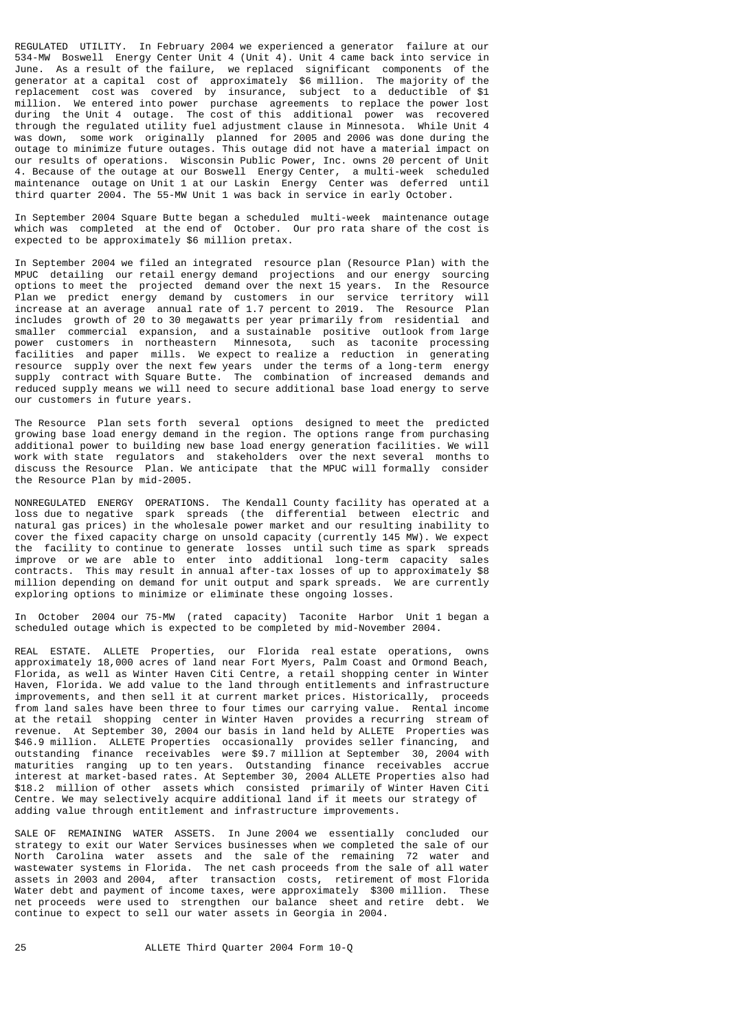REGULATED UTILITY. In February 2004 we experienced a generator failure at our 534-MW Boswell Energy Center Unit 4 (Unit 4). Unit 4 came back into service in June. As a result of the failure, we replaced significant components of the generator at a capital cost of approximately \$6 million. The majority of the replacement cost was covered by insurance, subject to a deductible of \$1 million. We entered into power purchase agreements to replace the power lost during the Unit 4 outage. The cost of this additional power was recovered through the regulated utility fuel adjustment clause in Minnesota. While Unit 4 was down, some work originally planned for 2005 and 2006 was done during the outage to minimize future outages. This outage did not have a material impact on our results of operations. Wisconsin Public Power, Inc. owns 20 percent of Unit 4. Because of the outage at our Boswell Energy Center, a multi-week scheduled maintenance outage on Unit 1 at our Laskin Energy Center was deferred until third quarter 2004. The 55-MW Unit 1 was back in service in early October.

In September 2004 Square Butte began a scheduled multi-week maintenance outage which was completed at the end of October. Our pro rata share of the cost is expected to be approximately \$6 million pretax.

In September 2004 we filed an integrated resource plan (Resource Plan) with the MPUC detailing our retail energy demand projections and our energy sourcing options to meet the projected demand over the next 15 years. In the Resource Plan we predict energy demand by customers in our service territory will increase at an average annual rate of 1.7 percent to 2019. The Resource Plan includes growth of 20 to 30 megawatts per year primarily from residential and smaller commercial expansion, and a sustainable positive outlook from large power customers in northeastern Minnesota, such as taconite processing facilities and paper mills. We expect to realize a reduction in generating resource supply over the next few years under the terms of a long-term energy supply contract with Square Butte. The combination of increased demands and reduced supply means we will need to secure additional base load energy to serve our customers in future years.

The Resource Plan sets forth several options designed to meet the predicted growing base load energy demand in the region. The options range from purchasing additional power to building new base load energy generation facilities. We will work with state regulators and stakeholders over the next several months to discuss the Resource Plan. We anticipate that the MPUC will formally consider the Resource Plan by mid-2005.

NONREGULATED ENERGY OPERATIONS. The Kendall County facility has operated at a loss due to negative spark spreads (the differential between electric and natural gas prices) in the wholesale power market and our resulting inability to cover the fixed capacity charge on unsold capacity (currently 145 MW). We expect the facility to continue to generate losses until such time as spark spreads improve or we are able to enter into additional long-term capacity sales contracts. This may result in annual after-tax losses of up to approximately \$8 million depending on demand for unit output and spark spreads. We are currently exploring options to minimize or eliminate these ongoing losses.

In October 2004 our 75-MW (rated capacity) Taconite Harbor Unit 1 began a scheduled outage which is expected to be completed by mid-November 2004.

REAL ESTATE. ALLETE Properties, our Florida real estate operations, owns approximately 18,000 acres of land near Fort Myers, Palm Coast and Ormond Beach, Florida, as well as Winter Haven Citi Centre, a retail shopping center in Winter Haven, Florida. We add value to the land through entitlements and infrastructure improvements, and then sell it at current market prices. Historically, proceeds from land sales have been three to four times our carrying value. Rental income at the retail shopping center in Winter Haven provides a recurring stream of revenue. At September 30, 2004 our basis in land held by ALLETE Properties was \$46.9 million. ALLETE Properties occasionally provides seller financing, and outstanding finance receivables were \$9.7 million at September 30, 2004 with maturities ranging up to ten years. Outstanding finance receivables accrue interest at market-based rates. At September 30, 2004 ALLETE Properties also had \$18.2 million of other assets which consisted primarily of Winter Haven Citi Centre. We may selectively acquire additional land if it meets our strategy of adding value through entitlement and infrastructure improvements.

SALE OF REMAINING WATER ASSETS. In June 2004 we essentially concluded our strategy to exit our Water Services businesses when we completed the sale of our North Carolina water assets and the sale of the remaining 72 water and wastewater systems in Florida. The net cash proceeds from the sale of all water assets in 2003 and 2004, after transaction costs, retirement of most Florida Water debt and payment of income taxes, were approximately \$300 million. These net proceeds were used to strengthen our balance sheet and retire debt. We continue to expect to sell our water assets in Georgia in 2004.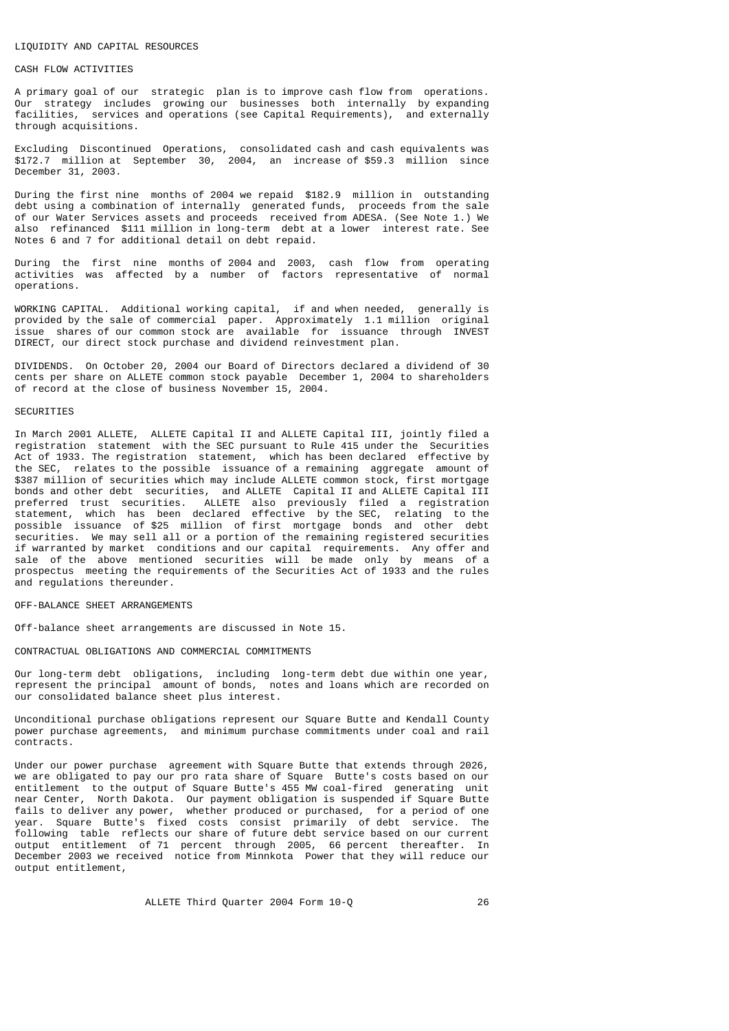#### LIQUIDITY AND CAPITAL RESOURCES

### CASH FLOW ACTIVITIES

A primary goal of our strategic plan is to improve cash flow from operations. Our strategy includes growing our businesses both internally by expanding facilities, services and operations (see Capital Requirements), and externally through acquisitions.

Excluding Discontinued Operations, consolidated cash and cash equivalents was \$172.7 million at September 30, 2004, an increase of \$59.3 million since December 31, 2003.

During the first nine months of 2004 we repaid \$182.9 million in outstanding debt using a combination of internally generated funds, proceeds from the sale of our Water Services assets and proceeds received from ADESA. (See Note 1.) We also refinanced \$111 million in long-term debt at a lower interest rate. See Notes 6 and 7 for additional detail on debt repaid.

During the first nine months of 2004 and 2003, cash flow from operating activities was affected by a number of factors representative of normal operations.

WORKING CAPITAL. Additional working capital, if and when needed, generally is provided by the sale of commercial paper. Approximately 1.1 million original issue shares of our common stock are available for issuance through INVEST DIRECT, our direct stock purchase and dividend reinvestment plan.

DIVIDENDS. On October 20, 2004 our Board of Directors declared a dividend of 30 cents per share on ALLETE common stock payable December 1, 2004 to shareholders of record at the close of business November 15, 2004.

#### SECURITIES

In March 2001 ALLETE, ALLETE Capital II and ALLETE Capital III, jointly filed a registration statement with the SEC pursuant to Rule 415 under the Securities Act of 1933. The registration statement, which has been declared effective by the SEC, relates to the possible issuance of a remaining aggregate amount of \$387 million of securities which may include ALLETE common stock, first mortgage bonds and other debt securities, and ALLETE Capital II and ALLETE Capital III preferred trust securities. ALLETE also previously filed a registration statement, which has been declared effective by the SEC, relating to the possible issuance of \$25 million of first mortgage bonds and other debt securities. We may sell all or a portion of the remaining registered securities if warranted by market conditions and our capital requirements. Any offer and sale of the above mentioned securities will be made only by means of a prospectus meeting the requirements of the Securities Act of 1933 and the rules and regulations thereunder.

### OFF-BALANCE SHEET ARRANGEMENTS

Off-balance sheet arrangements are discussed in Note 15.

#### CONTRACTUAL OBLIGATIONS AND COMMERCIAL COMMITMENTS

Our long-term debt obligations, including long-term debt due within one year, represent the principal amount of bonds, notes and loans which are recorded on our consolidated balance sheet plus interest.

Unconditional purchase obligations represent our Square Butte and Kendall County power purchase agreements, and minimum purchase commitments under coal and rail contracts.

Under our power purchase agreement with Square Butte that extends through 2026, we are obligated to pay our pro rata share of Square Butte's costs based on our entitlement to the output of Square Butte's 455 MW coal-fired generating unit near Center, North Dakota. Our payment obligation is suspended if Square Butte fails to deliver any power, whether produced or purchased, for a period of one year. Square Butte's fixed costs consist primarily of debt service. The following table reflects our share of future debt service based on our current output entitlement of 71 percent through 2005, 66 percent thereafter. In December 2003 we received notice from Minnkota Power that they will reduce our output entitlement,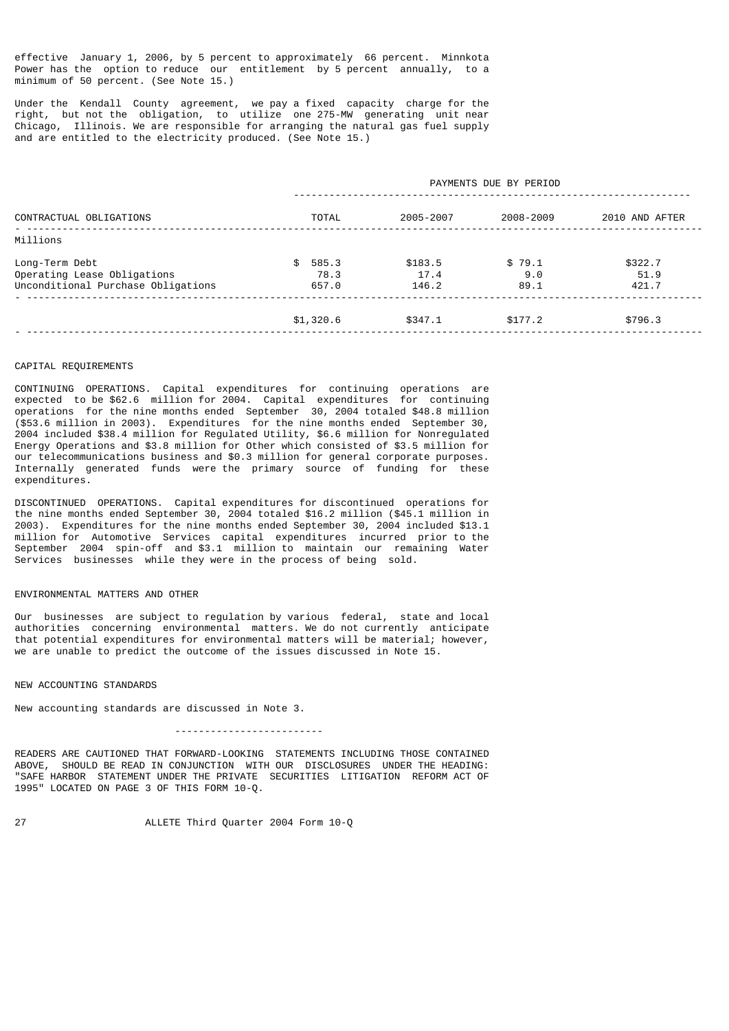effective January 1, 2006, by 5 percent to approximately 66 percent. Minnkota Power has the option to reduce our entitlement by 5 percent annually, to a minimum of 50 percent. (See Note 15.)

Under the Kendall County agreement, we pay a fixed capacity charge for the right, but not the obligation, to utilize one 275-MW generating unit near Chicago, Illinois. We are responsible for arranging the natural gas fuel supply and are entitled to the electricity produced. (See Note 15.)

| CONTRACTUAL OBLIGATIONS                                                             |                               |                          | PAYMENTS DUE BY PERIOD |                          |
|-------------------------------------------------------------------------------------|-------------------------------|--------------------------|------------------------|--------------------------|
|                                                                                     | <b>TOTAL</b>                  | 2005-2007                | 2008-2009              | 2010 AND AFTER           |
| Millions                                                                            |                               |                          |                        |                          |
| Long-Term Debt<br>Operating Lease Obligations<br>Unconditional Purchase Obligations | 585.3<br>SS.<br>78.3<br>657.0 | \$183.5<br>17.4<br>146.2 | \$79.1<br>9.0<br>89.1  | \$322.7<br>51.9<br>421.7 |
|                                                                                     | \$1,320.6                     | \$347.1                  | \$177.2                | \$796.3                  |

#### CAPITAL REQUIREMENTS

CONTINUING OPERATIONS. Capital expenditures for continuing operations are expected to be \$62.6 million for 2004. Capital expenditures for continuing operations for the nine months ended September 30, 2004 totaled \$48.8 million (\$53.6 million in 2003). Expenditures for the nine months ended September 30, 2004 included \$38.4 million for Regulated Utility, \$6.6 million for Nonregulated Energy Operations and \$3.8 million for Other which consisted of \$3.5 million for our telecommunications business and \$0.3 million for general corporate purposes. Internally generated funds were the primary source of funding for these expenditures.

DISCONTINUED OPERATIONS. Capital expenditures for discontinued operations for the nine months ended September 30, 2004 totaled \$16.2 million (\$45.1 million in 2003). Expenditures for the nine months ended September 30, 2004 included \$13.1 million for Automotive Services capital expenditures incurred prior to the September 2004 spin-off and \$3.1 million to maintain our remaining Water Services businesses while they were in the process of being sold.

### ENVIRONMENTAL MATTERS AND OTHER

Our businesses are subject to regulation by various federal, state and local authorities concerning environmental matters. We do not currently anticipate that potential expenditures for environmental matters will be material; however, we are unable to predict the outcome of the issues discussed in Note 15.

# NEW ACCOUNTING STANDARDS

New accounting standards are discussed in Note 3.

-------------------------

READERS ARE CAUTIONED THAT FORWARD-LOOKING STATEMENTS INCLUDING THOSE CONTAINED<br>ABOVE, SHOULD BE READ IN CONJUNCTION WITH OUR DISCLOSURES UNDER THE HEADING: SHOULD BE READ IN CONJUNCTION WITH OUR DISCLOSURES UNDER THE HEADING: "SAFE HARBOR STATEMENT UNDER THE PRIVATE SECURITIES LITIGATION REFORM ACT OF 1995" LOCATED ON PAGE 3 OF THIS FORM 10-Q.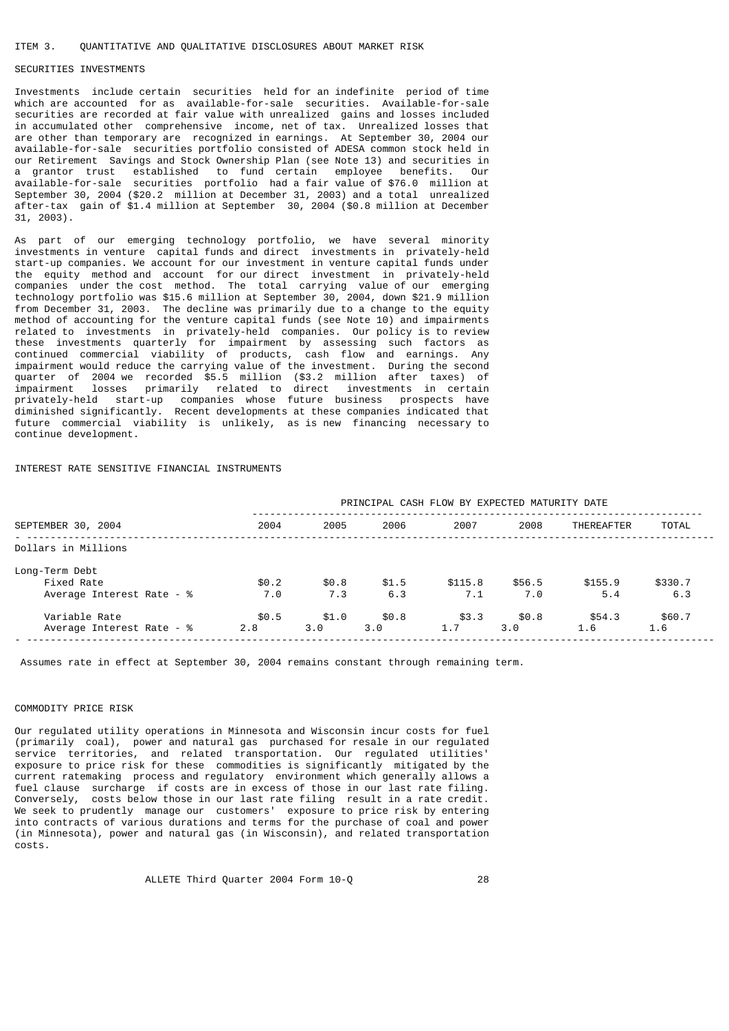#### ITEM 3. QUANTITATIVE AND QUALITATIVE DISCLOSURES ABOUT MARKET RISK

### SECURITIES INVESTMENTS

Investments include certain securities held for an indefinite period of time which are accounted for as available-for-sale securities. Available-for-sale securities are recorded at fair value with unrealized gains and losses included in accumulated other comprehensive income, net of tax. Unrealized losses that are other than temporary are recognized in earnings. At September 30, 2004 our available-for-sale securities portfolio consisted of ADESA common stock held in our Retirement Savings and Stock Ownership Plan (see Note 13) and securities in a grantor trust established to fund certain employee benefits. Our available-for-sale securities portfolio had a fair value of \$76.0 million at September 30, 2004 (\$20.2 million at December 31, 2003) and a total unrealized after-tax gain of \$1.4 million at September 30, 2004 (\$0.8 million at December 31, 2003).

As part of our emerging technology portfolio, we have several minority investments in venture capital funds and direct investments in privately-held start-up companies. We account for our investment in venture capital funds under the equity method and account for our direct investment in privately-held companies under the cost method. The total carrying value of our emerging technology portfolio was \$15.6 million at September 30, 2004, down \$21.9 million from December 31, 2003. The decline was primarily due to a change to the equity method of accounting for the venture capital funds (see Note 10) and impairments related to investments in privately-held companies. Our policy is to review these investments quarterly for impairment by assessing such factors as continued commercial viability of products, cash flow and earnings. Any impairment would reduce the carrying value of the investment. During the second quarter of 2004 we recorded \$5.5 million (\$3.2 million after taxes) of impairment losses primarily related to direct investments in certain privately-held start-up companies whose future business prospects have diminished significantly. Recent developments at these companies indicated that future commercial viability is unlikely, as is new financing necessary to continue development.

INTEREST RATE SENSITIVE FINANCIAL INSTRUMENTS

|                                                           | PRINCIPAL CASH FLOW BY EXPECTED MATURITY DATE |              |              |                |               |                   |                |
|-----------------------------------------------------------|-----------------------------------------------|--------------|--------------|----------------|---------------|-------------------|----------------|
| SEPTEMBER 30, 2004                                        | 2004                                          | 2005         | 2006         | 2007           | 2008          | <b>THEREAFTER</b> | <b>TOTAL</b>   |
| Dollars in Millions                                       |                                               |              |              |                |               |                   |                |
| Long-Term Debt<br>Fixed Rate<br>Average Interest Rate - % | \$0.2<br>7.0                                  | \$0.8<br>7.3 | \$1.5<br>6.3 | \$115.8<br>7.1 | \$56.5<br>7.0 | \$155.9<br>5.4    | \$330.7<br>6.3 |
| Variable Rate<br>Average Interest Rate - %                | \$0.5<br>2.8                                  | \$1.0<br>3.0 | \$0.8<br>3.0 | \$3.3<br>1.7   | \$0.8<br>3.0  | \$54.3<br>1.6     | \$60.7<br>1.6  |

Assumes rate in effect at September 30, 2004 remains constant through remaining term.

### COMMODITY PRICE RISK

Our regulated utility operations in Minnesota and Wisconsin incur costs for fuel (primarily coal), power and natural gas purchased for resale in our regulated service territories, and related transportation. Our regulated utilities' exposure to price risk for these commodities is significantly mitigated by the current ratemaking process and regulatory environment which generally allows a fuel clause surcharge if costs are in excess of those in our last rate filing. Conversely, costs below those in our last rate filing result in a rate credit. We seek to prudently manage our customers' exposure to price risk by entering into contracts of various durations and terms for the purchase of coal and power (in Minnesota), power and natural gas (in Wisconsin), and related transportation costs.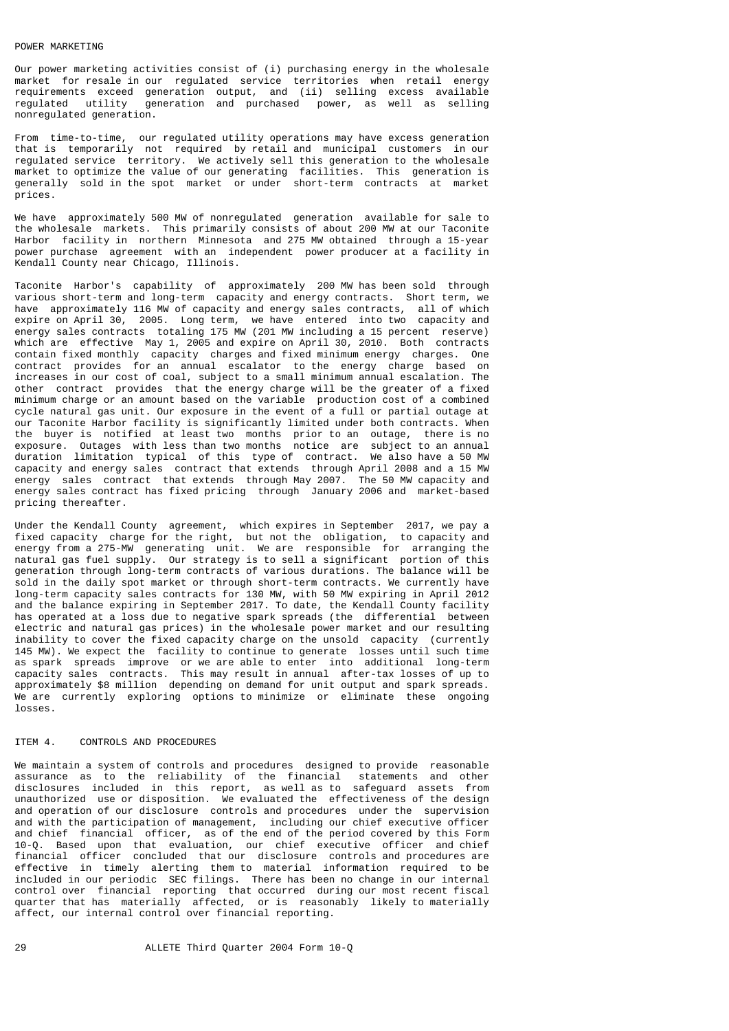Our power marketing activities consist of (i) purchasing energy in the wholesale market for resale in our regulated service territories when retail energy requirements exceed generation output, and (ii) selling excess available regulated utility generation and purchased power, as well as selling nonregulated generation.

From time-to-time, our regulated utility operations may have excess generation that is temporarily not required by retail and municipal customers in our regulated service territory. We actively sell this generation to the wholesale market to optimize the value of our generating facilities. This generation is generally sold in the spot market or under short-term contracts at market prices.

We have approximately 500 MW of nonregulated generation available for sale to the wholesale markets. This primarily consists of about 200 MW at our Taconite Harbor facility in northern Minnesota and 275 MW obtained through a 15-year power purchase agreement with an independent power producer at a facility in Kendall County near Chicago, Illinois.

Taconite Harbor's capability of approximately 200 MW has been sold through various short-term and long-term capacity and energy contracts. Short term, we have approximately 116 MW of capacity and energy sales contracts, all of which expire on April 30, 2005. Long term, we have entered into two capacity and energy sales contracts totaling 175 MW (201 MW including a 15 percent reserve) which are effective May 1, 2005 and expire on April 30, 2010. Both contracts contain fixed monthly capacity charges and fixed minimum energy charges. One contract provides for an annual escalator to the energy charge based on increases in our cost of coal, subject to a small minimum annual escalation. The other contract provides that the energy charge will be the greater of a fixed minimum charge or an amount based on the variable production cost of a combined cycle natural gas unit. Our exposure in the event of a full or partial outage at our Taconite Harbor facility is significantly limited under both contracts. When the buyer is notified at least two months prior to an outage, there is no exposure. Outages with less than two months notice are subject to an annual duration limitation typical of this type of contract. We also have a 50 MW capacity and energy sales contract that extends through April 2008 and a 15 MW energy sales contract that extends through May 2007. The 50 MW capacity and energy sales contract has fixed pricing through January 2006 and market-based pricing thereafter.

Under the Kendall County agreement, which expires in September 2017, we pay a fixed capacity charge for the right, but not the obligation, to capacity and energy from a 275-MW generating unit. We are responsible for arranging the natural gas fuel supply. Our strategy is to sell a significant portion of this generation through long-term contracts of various durations. The balance will be sold in the daily spot market or through short-term contracts. We currently have long-term capacity sales contracts for 130 MW, with 50 MW expiring in April 2012 and the balance expiring in September 2017. To date, the Kendall County facility has operated at a loss due to negative spark spreads (the differential between electric and natural gas prices) in the wholesale power market and our resulting inability to cover the fixed capacity charge on the unsold capacity (currently 145 MW). We expect the facility to continue to generate losses until such time as spark spreads improve or we are able to enter into additional long-term capacity sales contracts. This may result in annual after-tax losses of up to approximately \$8 million depending on demand for unit output and spark spreads. We are currently exploring options to minimize or eliminate these ongoing losses.

#### ITEM 4. CONTROLS AND PROCEDURES

We maintain a system of controls and procedures designed to provide reasonable assurance as to the reliability of the financial statements and other disclosures included in this report, as well as to safeguard assets from unauthorized use or disposition. We evaluated the effectiveness of the design and operation of our disclosure controls and procedures under the supervision and with the participation of management, including our chief executive officer and chief financial officer, as of the end of the period covered by this Form 10-Q. Based upon that evaluation, our chief executive officer and chief financial officer concluded that our disclosure controls and procedures are effective in timely alerting them to material information required to be included in our periodic SEC filings. There has been no change in our internal control over financial reporting that occurred during our most recent fiscal quarter that has materially affected, or is reasonably likely to materially affect, our internal control over financial reporting.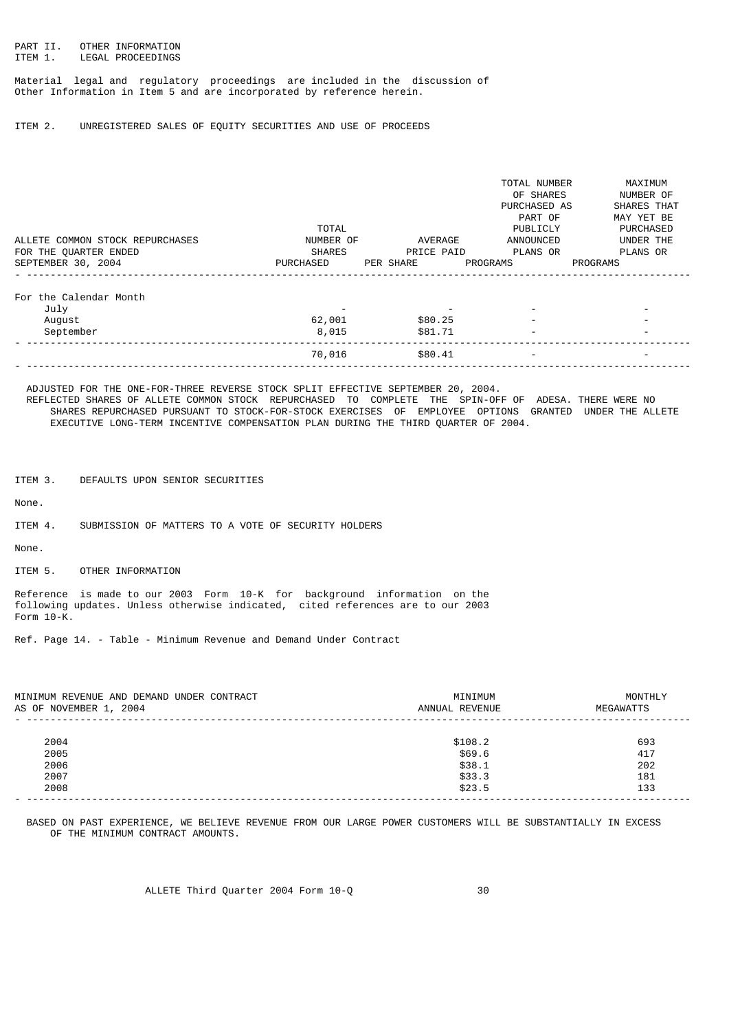# PART II. OTHER INFORMATION<br>ITEM 1. LEGAL PROCEEDINGS LEGAL PROCEEDINGS

Material legal and regulatory proceedings are included in the discussion of Other Information in Item 5 and are incorporated by reference herein.

ITEM 2. UNREGISTERED SALES OF EQUITY SECURITIES AND USE OF PROCEEDS

|                                 |               |            | TOTAL NUMBER             | MAXIMUM                  |
|---------------------------------|---------------|------------|--------------------------|--------------------------|
|                                 |               |            | OF SHARES                | NUMBER OF                |
|                                 |               |            | PURCHASED AS             | SHARES THAT              |
|                                 |               |            | PART OF                  | MAY YET BE               |
|                                 | TOTAL         |            | PUBLICLY                 | <b>PURCHASED</b>         |
| ALLETE COMMON STOCK REPURCHASES | NUMBER OF     | AVERAGE    | ANNOUNCED                | UNDER THE                |
| FOR THE QUARTER ENDED           | <b>SHARES</b> | PRICE PAID | PLANS OR                 | PLANS OR                 |
| SEPTEMBER 30, 2004              | PURCHASED     | PER SHARE  | PROGRAMS                 | <b>PROGRAMS</b>          |
|                                 |               |            |                          |                          |
| For the Calendar Month          |               |            |                          |                          |
| July                            |               |            |                          |                          |
| August                          | 62,001        | \$80.25    |                          |                          |
| September                       | 8,015         | \$81.71    | $\overline{\phantom{a}}$ | $\blacksquare$           |
|                                 | 70,016        | \$80.41    | $\overline{\phantom{a}}$ | $\overline{\phantom{a}}$ |
|                                 |               |            |                          |                          |

 ADJUSTED FOR THE ONE-FOR-THREE REVERSE STOCK SPLIT EFFECTIVE SEPTEMBER 20, 2004. REFLECTED SHARES OF ALLETE COMMON STOCK REPURCHASED TO COMPLETE THE SPIN-OFF OF ADESA. THERE WERE NO SHARES REPURCHASED PURSUANT TO STOCK-FOR-STOCK EXERCISES OF EMPLOYEE OPTIONS GRANTED UNDER THE ALLETE EXECUTIVE LONG-TERM INCENTIVE COMPENSATION PLAN DURING THE THIRD QUARTER OF 2004.

ITEM 3. DEFAULTS UPON SENIOR SECURITIES

None.

ITEM 4. SUBMISSION OF MATTERS TO A VOTE OF SECURITY HOLDERS

None.

ITEM 5. OTHER INFORMATION

Reference is made to our 2003 Form 10-K for background information on the following updates. Unless otherwise indicated, cited references are to our 2003 Form 10-K.

Ref. Page 14. - Table - Minimum Revenue and Demand Under Contract

| MINIMUM REVENUE AND DEMAND UNDER CONTRACT<br>AS OF NOVEMBER 1, 2004 | MINIMUM<br>ANNUAL REVENUE | MONTHLY<br>MEGAWATTS |
|---------------------------------------------------------------------|---------------------------|----------------------|
|                                                                     |                           |                      |
| 2004                                                                | \$108.2                   | 693                  |
| 2005                                                                | \$69.6                    | 417                  |
| 2006                                                                | \$38.1                    | 202                  |
| 2007                                                                | \$33.3                    | 181                  |
| 2008                                                                | \$23.5                    | 133                  |
|                                                                     |                           |                      |

 BASED ON PAST EXPERIENCE, WE BELIEVE REVENUE FROM OUR LARGE POWER CUSTOMERS WILL BE SUBSTANTIALLY IN EXCESS OF THE MINIMUM CONTRACT AMOUNTS.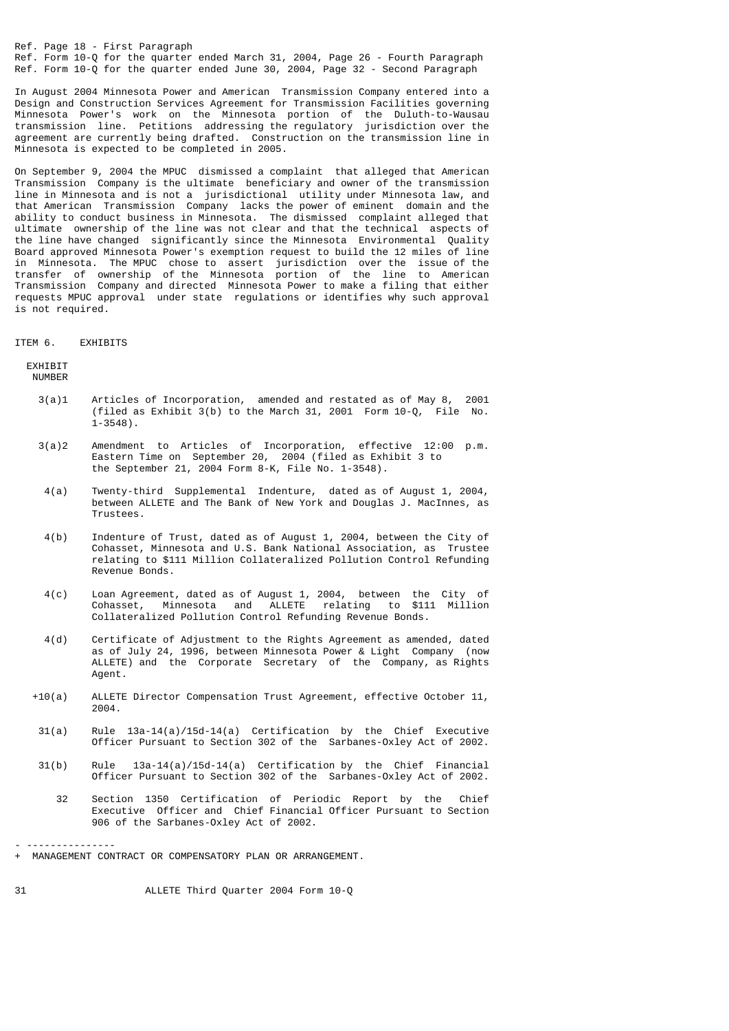Ref. Page 18 - First Paragraph Ref. Form 10-Q for the quarter ended March 31, 2004, Page 26 - Fourth Paragraph Ref. Form 10-Q for the quarter ended June 30, 2004, Page 32 - Second Paragraph

In August 2004 Minnesota Power and American Transmission Company entered into a Design and Construction Services Agreement for Transmission Facilities governing Minnesota Power's work on the Minnesota portion of the Duluth-to-Wausau transmission line. Petitions addressing the regulatory jurisdiction over the agreement are currently being drafted. Construction on the transmission line in Minnesota is expected to be completed in 2005.

On September 9, 2004 the MPUC dismissed a complaint that alleged that American Transmission Company is the ultimate beneficiary and owner of the transmission line in Minnesota and is not a jurisdictional utility under Minnesota law, and that American Transmission Company lacks the power of eminent domain and the ability to conduct business in Minnesota. The dismissed complaint alleged that ultimate ownership of the line was not clear and that the technical aspects of the line have changed significantly since the Minnesota Environmental Quality Board approved Minnesota Power's exemption request to build the 12 miles of line in Minnesota. The MPUC chose to assert jurisdiction over the issue of the transfer of ownership of the Minnesota portion of the line to American Transmission Company and directed Minnesota Power to make a filing that either requests MPUC approval under state regulations or identifies why such approval is not required.

#### ITEM 6. EXHIBITS

**EXHTRTT** 

NUMBER

- 3(a)1 Articles of Incorporation, amended and restated as of May 8, 2001 (filed as Exhibit 3(b) to the March 31, 2001 Form 10-Q, File No.  $1 - 3548$ ).
- 3(a)2 Amendment to Articles of Incorporation, effective 12:00 p.m. Eastern Time on September 20, 2004 (filed as Exhibit 3 to the September 21, 2004 Form 8-K, File No. 1-3548).
- 4(a) Twenty-third Supplemental Indenture, dated as of August 1, 2004, between ALLETE and The Bank of New York and Douglas J. MacInnes, as Trustees.
- 4(b) Indenture of Trust, dated as of August 1, 2004, between the City of Cohasset, Minnesota and U.S. Bank National Association, as Trustee relating to \$111 Million Collateralized Pollution Control Refunding Revenue Bonds.
- 4(c) Loan Agreement, dated as of August 1, 2004, between the City of Cohasset, Minnesota and ALLETE relating to \$111 Million Collateralized Pollution Control Refunding Revenue Bonds.
	- 4(d) Certificate of Adjustment to the Rights Agreement as amended, dated as of July 24, 1996, between Minnesota Power & Light Company (now ALLETE) and the Corporate Secretary of the Company, as Rights Agent.
	- +10(a) ALLETE Director Compensation Trust Agreement, effective October 11, 2004.
	- 31(a) Rule 13a-14(a)/15d-14(a) Certification by the Chief Executive Officer Pursuant to Section 302 of the Sarbanes-Oxley Act of 2002.
	- $31(b)$  Rule  $13a-14(a)/15d-14(a)$  Certification by the Chief Financial Officer Pursuant to Section 302 of the Sarbanes-Oxley Act of 2002.
		- 32 Section 1350 Certification of Periodic Report by the Chief Executive Officer and Chief Financial Officer Pursuant to Section 906 of the Sarbanes-Oxley Act of 2002.

31 ALLETE Third Quarter 2004 Form 10-Q

<sup>- ---------------</sup> + MANAGEMENT CONTRACT OR COMPENSATORY PLAN OR ARRANGEMENT.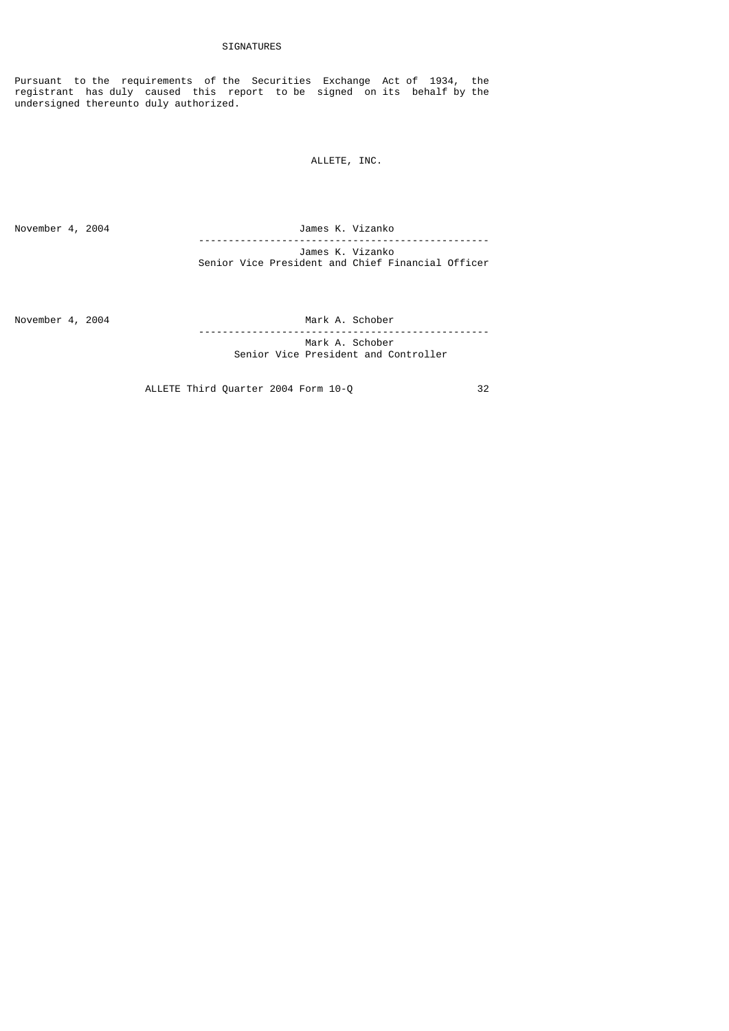Pursuant to the requirements of the Securities Exchange Act of 1934, the registrant has duly caused this report to be signed on its behalf by the undersigned thereunto duly authorized.

ALLETE, INC.

November 4, 2004 James K. Vizanko ------------------------------------------------- James K. Vizanko Senior Vice President and Chief Financial Officer

November 4, 2004 Mark A. Schober

 ------------------------------------------------- Mark A. Schober Senior Vice President and Controller

ALLETE Third Quarter 2004 Form 10-Q 32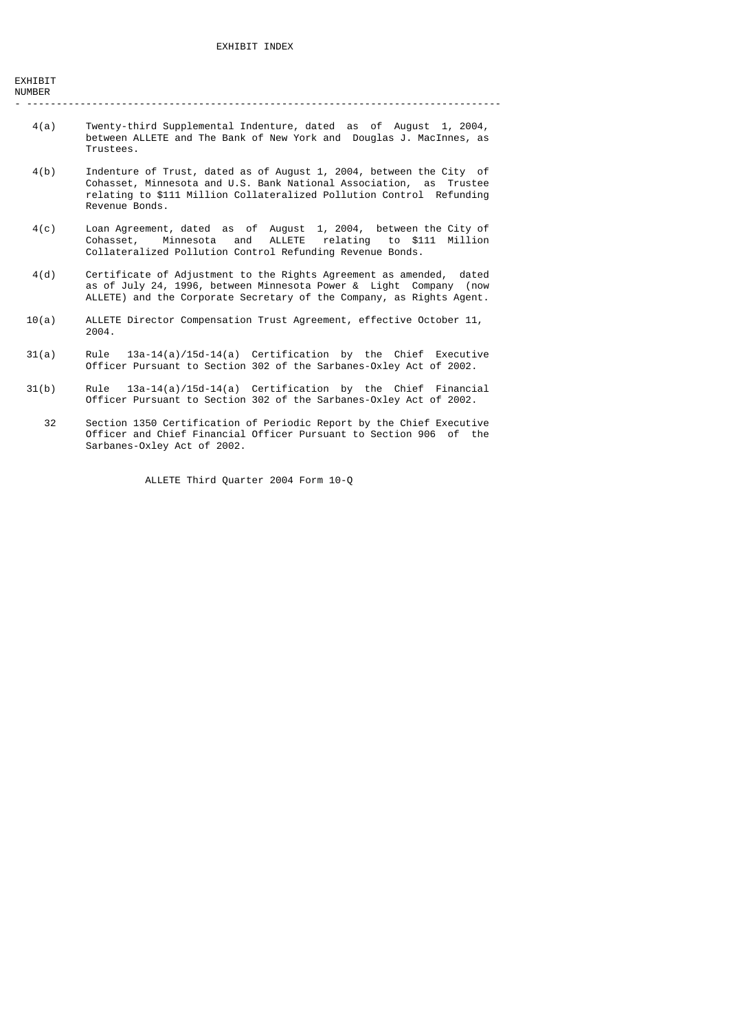| EXHIBIT |  |
|---------|--|
| NUMBER  |  |

- --------------------------------------------------------------------------------

- 4(a) Twenty-third Supplemental Indenture, dated as of August 1, 2004, between ALLETE and The Bank of New York and Douglas J. MacInnes, as Trustees.
- 4(b) Indenture of Trust, dated as of August 1, 2004, between the City of Cohasset, Minnesota and U.S. Bank National Association, as Trustee relating to \$111 Million Collateralized Pollution Control Refunding Revenue Bonds.
- 4(c) Loan Agreement, dated as of August 1, 2004, between the City of Cohasset, Minnesota and ALLETE relating to \$111 Million Collateralized Pollution Control Refunding Revenue Bonds.
	- 4(d) Certificate of Adjustment to the Rights Agreement as amended, dated as of July 24, 1996, between Minnesota Power & Light Company (now ALLETE) and the Corporate Secretary of the Company, as Rights Agent.
	- 10(a) ALLETE Director Compensation Trust Agreement, effective October 11, 2004.
	- 31(a) Rule 13a-14(a)/15d-14(a) Certification by the Chief Executive Officer Pursuant to Section 302 of the Sarbanes-Oxley Act of 2002.
	- 31(b) Rule 13a-14(a)/15d-14(a) Certification by the Chief Financial Officer Pursuant to Section 302 of the Sarbanes-Oxley Act of 2002.
	- 32 Section 1350 Certification of Periodic Report by the Chief Executive Officer and Chief Financial Officer Pursuant to Section 906 of the Sarbanes-Oxley Act of 2002.

ALLETE Third Quarter 2004 Form 10-Q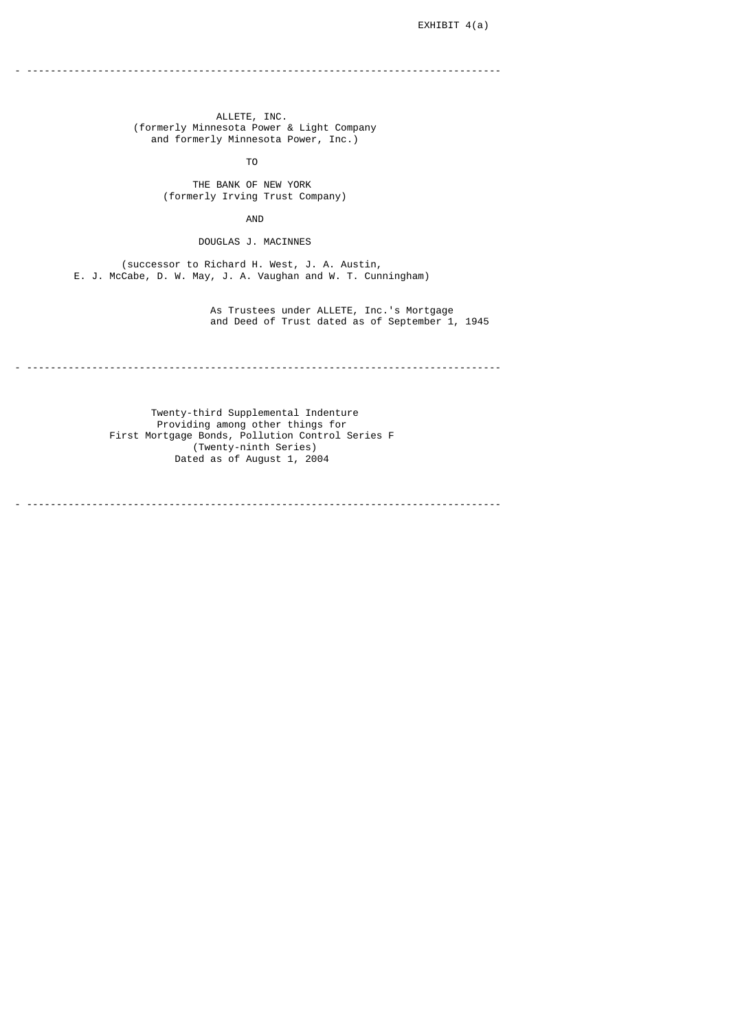- --------------------------------------------------------------------------------

 ALLETE, INC. (formerly Minnesota Power & Light Company and formerly Minnesota Power, Inc.)

TO

 THE BANK OF NEW YORK (formerly Irving Trust Company)

AND

DOUGLAS J. MACINNES

 (successor to Richard H. West, J. A. Austin, E. J. McCabe, D. W. May, J. A. Vaughan and W. T. Cunningham)

 As Trustees under ALLETE, Inc.'s Mortgage and Deed of Trust dated as of September 1, 1945

- --------------------------------------------------------------------------------

 Twenty-third Supplemental Indenture Providing among other things for First Mortgage Bonds, Pollution Control Series F (Twenty-ninth Series) Dated as of August 1, 2004

- --------------------------------------------------------------------------------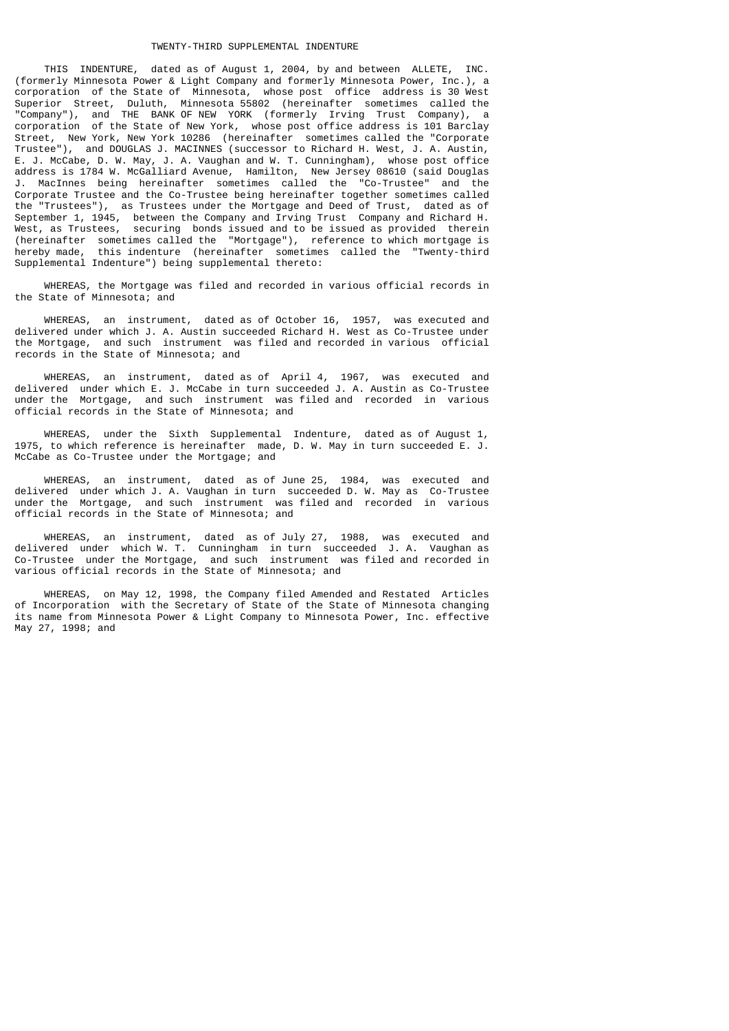THIS INDENTURE, dated as of August 1, 2004, by and between ALLETE, INC. (formerly Minnesota Power & Light Company and formerly Minnesota Power, Inc.), a corporation of the State of Minnesota, whose post office address is 30 West Superior Street, Duluth, Minnesota 55802 (hereinafter sometimes called the "Company"), and THE BANK OF NEW YORK (formerly Irving Trust Company), a corporation of the State of New York, whose post office address is 101 Barclay Street, New York, New York 10286 (hereinafter sometimes called the "Corporate Trustee"), and DOUGLAS J. MACINNES (successor to Richard H. West, J. A. Austin, E. J. McCabe, D. W. May, J. A. Vaughan and W. T. Cunningham), whose post office address is 1784 W. McGalliard Avenue, Hamilton, New Jersey 08610 (said Douglas J. MacInnes being hereinafter sometimes called the "Co-Trustee" and the Corporate Trustee and the Co-Trustee being hereinafter together sometimes called the "Trustees"), as Trustees under the Mortgage and Deed of Trust, dated as of September 1, 1945, between the Company and Irving Trust Company and Richard H. West, as Trustees, securing bonds issued and to be issued as provided therein (hereinafter sometimes called the "Mortgage"), reference to which mortgage is hereby made, this indenture (hereinafter sometimes called the "Twenty-third Supplemental Indenture") being supplemental thereto:

 WHEREAS, the Mortgage was filed and recorded in various official records in the State of Minnesota; and

 WHEREAS, an instrument, dated as of October 16, 1957, was executed and delivered under which J. A. Austin succeeded Richard H. West as Co-Trustee under the Mortgage, and such instrument was filed and recorded in various official records in the State of Minnesota; and

 WHEREAS, an instrument, dated as of April 4, 1967, was executed and delivered under which E. J. McCabe in turn succeeded J. A. Austin as Co-Trustee under the Mortgage, and such instrument was filed and recorded in various official records in the State of Minnesota; and

 WHEREAS, under the Sixth Supplemental Indenture, dated as of August 1, 1975, to which reference is hereinafter made, D. W. May in turn succeeded E. J. McCabe as Co-Trustee under the Mortgage; and

 WHEREAS, an instrument, dated as of June 25, 1984, was executed and delivered under which J. A. Vaughan in turn succeeded D. W. May as Co-Trustee under the Mortgage, and such instrument was filed and recorded in various official records in the State of Minnesota; and

 WHEREAS, an instrument, dated as of July 27, 1988, was executed and delivered under which W. T. Cunningham in turn succeeded J. A. Vaughan as Co-Trustee under the Mortgage, and such instrument was filed and recorded in various official records in the State of Minnesota; and

 WHEREAS, on May 12, 1998, the Company filed Amended and Restated Articles of Incorporation with the Secretary of State of the State of Minnesota changing its name from Minnesota Power & Light Company to Minnesota Power, Inc. effective May 27, 1998; and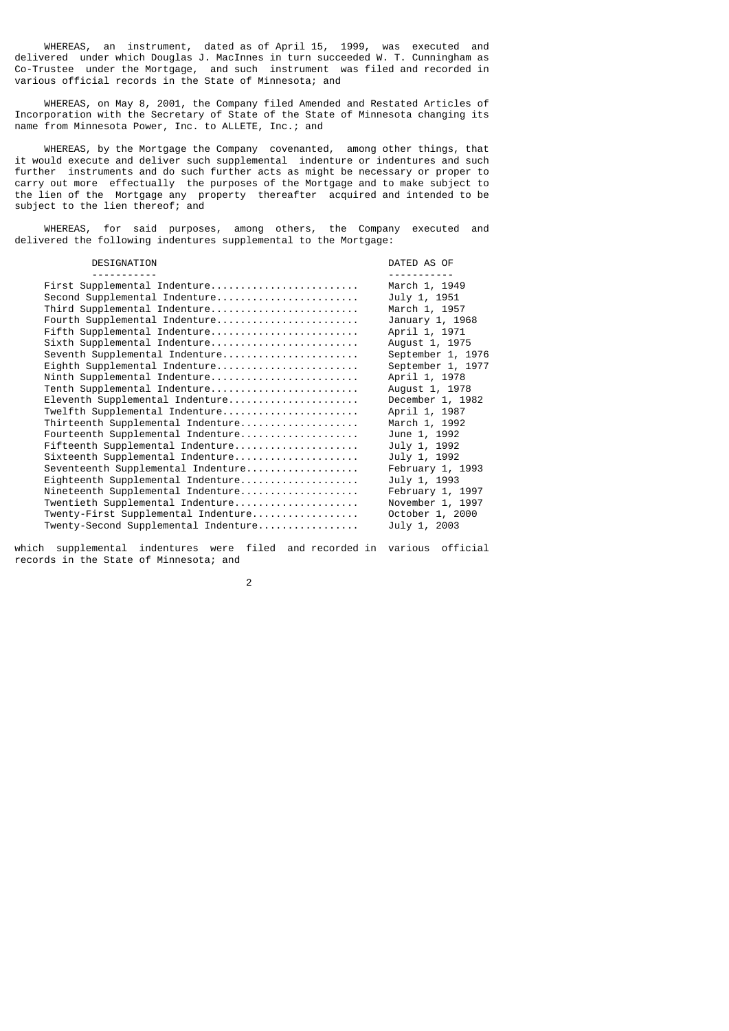WHEREAS, an instrument, dated as of April 15, 1999, was executed and delivered under which Douglas J. MacInnes in turn succeeded W. T. Cunningham as Co-Trustee under the Mortgage, and such instrument was filed and recorded in various official records in the State of Minnesota; and

 WHEREAS, on May 8, 2001, the Company filed Amended and Restated Articles of Incorporation with the Secretary of State of the State of Minnesota changing its name from Minnesota Power, Inc. to ALLETE, Inc.; and

 WHEREAS, by the Mortgage the Company covenanted, among other things, that it would execute and deliver such supplemental indenture or indentures and such further instruments and do such further acts as might be necessary or proper to carry out more effectually the purposes of the Mortgage and to make subject to the lien of the Mortgage any property thereafter acquired and intended to be subject to the lien thereof; and

 WHEREAS, for said purposes, among others, the Company executed and delivered the following indentures supplemental to the Mortgage:

| DESIGNATION                          | DATED AS OF        |
|--------------------------------------|--------------------|
|                                      |                    |
| First Supplemental Indenture         | March 1, 1949      |
| Second Supplemental Indenture        | July 1, 1951       |
| Third Supplemental Indenture         | March 1, 1957      |
| Fourth Supplemental Indenture        | January 1, 1968    |
| Fifth Supplemental Indenture         | April 1, 1971      |
| Sixth Supplemental Indenture         | August 1, 1975     |
| Seventh Supplemental Indenture       | September 1, 1976  |
| Eighth Supplemental Indenture        | September 1, 1977  |
| Ninth Supplemental Indenture         | April 1, 1978      |
| Tenth Supplemental Indenture         | August 1, 1978     |
| Eleventh Supplemental Indenture      | December 1, 1982   |
| Twelfth Supplemental Indenture       | April 1, 1987      |
| Thirteenth Supplemental Indenture    | March 1, 1992      |
| Fourteenth Supplemental Indenture    | June 1, 1992       |
| Fifteenth Supplemental Indenture     | July 1, 1992       |
| Sixteenth Supplemental Indenture     | July 1, 1992       |
| Seventeenth Supplemental Indenture   | February $1, 1993$ |
| Eighteenth Supplemental Indenture    | July 1, 1993       |
| Nineteenth Supplemental Indenture    | February 1, 1997   |
| Twentieth Supplemental Indenture     | November 1, 1997   |
| Twenty-First Supplemental Indenture  | October 1, 2000    |
| Twenty-Second Supplemental Indenture | July 1, 2003       |
|                                      |                    |

which supplemental indentures were filed and recorded in various official records in the State of Minnesota; and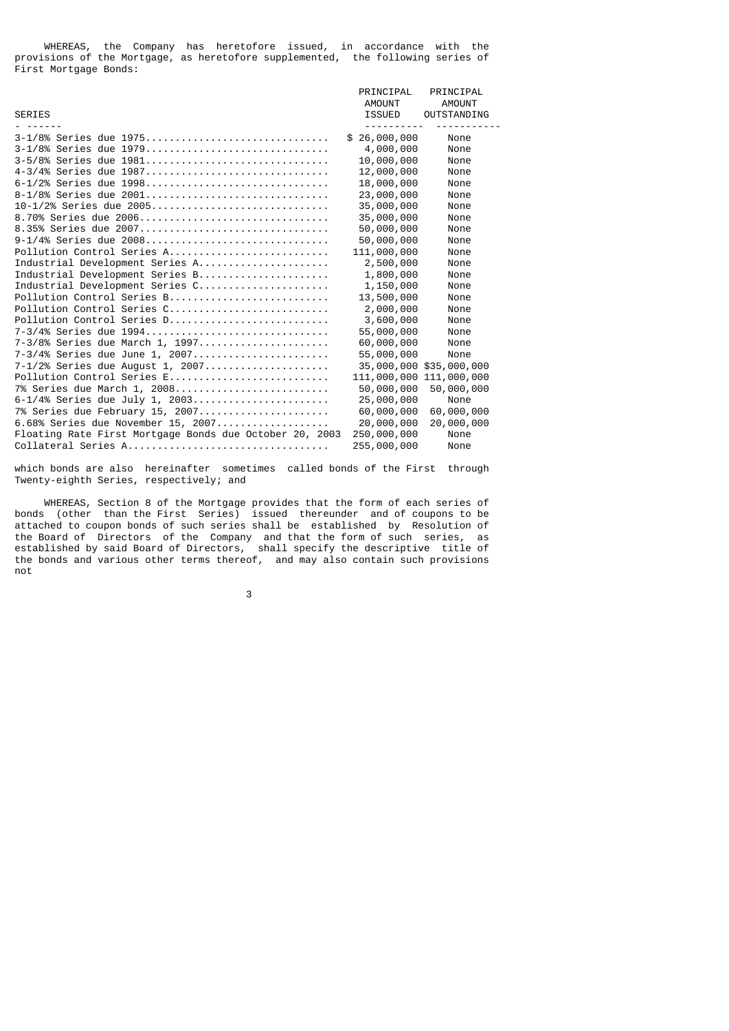WHEREAS, the Company has heretofore issued, in accordance with the provisions of the Mortgage, as heretofore supplemented, the following series of First Mortgage Bonds:

|                                                         | PRINCIPAL    | PRINCIPAL          |
|---------------------------------------------------------|--------------|--------------------|
|                                                         | AMOUNT       | AMOUNT             |
| <b>SERIES</b>                                           | ISSUED       | <b>OUTSTANDING</b> |
| 3-1/8% Series due 1975                                  | \$26,000,000 | None               |
| 3-1/8% Series due 1979                                  | 4,000,000    | None               |
| 3-5/8% Series due 1981                                  | 10,000,000   | None               |
| 4-3/4% Series due 1987                                  | 12,000,000   | None               |
| 6-1/2% Series due 1998                                  | 18,000,000   | None               |
| 8-1/8% Series due 2001                                  | 23,000,000   | None               |
| 10-1/2% Series due 2005                                 | 35,000,000   | None               |
| 8.70% Series due 2006                                   | 35,000,000   | None               |
| 8.35% Series due 2007                                   | 50,000,000   | None               |
| 9-1/4% Series due 2008                                  | 50,000,000   | None               |
| Pollution Control Series A                              | 111,000,000  | None               |
| Industrial Development Series A                         | 2,500,000    | None               |
| Industrial Development Series B                         | 1,800,000    | None               |
| Industrial Development Series C                         | 1,150,000    | None               |
| Pollution Control Series B                              | 13,500,000   | None               |
| Pollution Control Series C                              | 2,000,000    | None               |
| Pollution Control Series D                              | 3,600,000    | None               |
| 7-3/4% Series due 1994                                  | 55,000,000   | None               |
| 7-3/8% Series due March 1, 1997                         | 60,000,000   | None               |
| 7-3/4% Series due June 1, 2007                          | 55,000,000   | None               |
| 7-1/2% Series due August 1, 2007                        | 35,000,000   | \$35,000,000       |
| Pollution Control Series E                              | 111,000,000  | 111,000,000        |
| 7% Series due March 1, 2008                             | 50,000,000   | 50,000,000         |
| 6-1/4% Series due July 1, 2003                          | 25,000,000   | None               |
| 7% Series due February 15, 2007                         | 60,000,000   | 60,000,000         |
| 6.68% Series due November 15, 2007                      | 20,000,000   | 20,000,000         |
| Floating Rate First Mortgage Bonds due October 20, 2003 | 250,000,000  | None               |
| Collateral Series A                                     | 255,000,000  | None               |

which bonds are also hereinafter sometimes called bonds of the First through Twenty-eighth Series, respectively; and

 WHEREAS, Section 8 of the Mortgage provides that the form of each series of bonds (other than the First Series) issued thereunder and of coupons to be attached to coupon bonds of such series shall be established by Resolution of the Board of Directors of the Company and that the form of such series, as established by said Board of Directors, shall specify the descriptive title of the bonds and various other terms thereof, and may also contain such provisions not

 $\sim$  3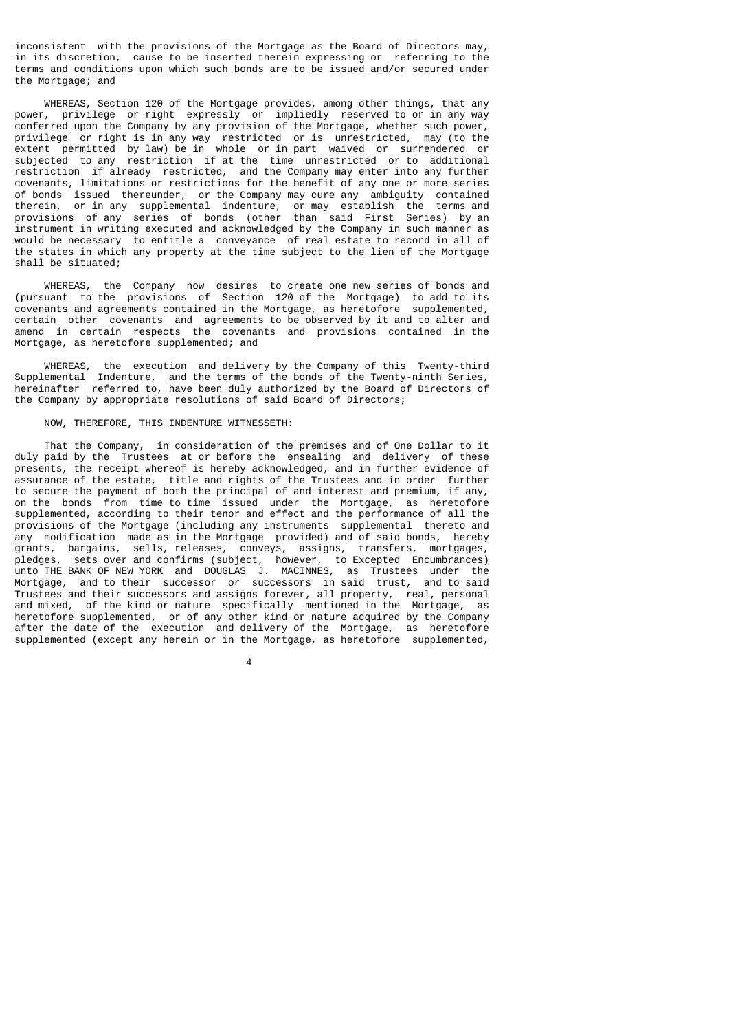inconsistent with the provisions of the Mortgage as the Board of Directors may, in its discretion, cause to be inserted therein expressing or referring to the terms and conditions upon which such bonds are to be issued and/or secured under the Mortgage; and

 WHEREAS, Section 120 of the Mortgage provides, among other things, that any power, privilege or right expressly or impliedly reserved to or in any way conferred upon the Company by any provision of the Mortgage, whether such power, privilege or right is in any way restricted or is unrestricted, may (to the extent permitted by law) be in whole or in part waived or surrendered or subjected to any restriction if at the time unrestricted or to additional restriction if already restricted, and the Company may enter into any further covenants, limitations or restrictions for the benefit of any one or more series of bonds issued thereunder, or the Company may cure any ambiguity contained therein, or in any supplemental indenture, or may establish the terms and provisions of any series of bonds (other than said First Series) by an instrument in writing executed and acknowledged by the Company in such manner as would be necessary to entitle a conveyance of real estate to record in all of the states in which any property at the time subject to the lien of the Mortgage shall be situated;

 WHEREAS, the Company now desires to create one new series of bonds and (pursuant to the provisions of Section 120 of the Mortgage) to add to its covenants and agreements contained in the Mortgage, as heretofore supplemented, certain other covenants and agreements to be observed by it and to alter and amend in certain respects the covenants and provisions contained in the Mortgage, as heretofore supplemented; and

 WHEREAS, the execution and delivery by the Company of this Twenty-third Supplemental Indenture, and the terms of the bonds of the Twenty-ninth Series, hereinafter referred to, have been duly authorized by the Board of Directors of the Company by appropriate resolutions of said Board of Directors;

# NOW, THEREFORE, THIS INDENTURE WITNESSETH:

 That the Company, in consideration of the premises and of One Dollar to it duly paid by the Trustees at or before the ensealing and delivery of these presents, the receipt whereof is hereby acknowledged, and in further evidence of assurance of the estate, title and rights of the Trustees and in order further to secure the payment of both the principal of and interest and premium, if any, on the bonds from time to time issued under the Mortgage, as heretofore supplemented, according to their tenor and effect and the performance of all the provisions of the Mortgage (including any instruments supplemental thereto and any modification made as in the Mortgage provided) and of said bonds, hereby grants, bargains, sells, releases, conveys, assigns, transfers, mortgages, pledges, sets over and confirms (subject, however, to Excepted Encumbrances) unto THE BANK OF NEW YORK and DOUGLAS J. MACINNES, as Trustees under the Mortgage, and to their successor or successors in said trust, and to said Trustees and their successors and assigns forever, all property, real, personal and mixed, of the kind or nature specifically mentioned in the Mortgage, as heretofore supplemented, or of any other kind or nature acquired by the Company after the date of the execution and delivery of the Mortgage, as heretofore supplemented (except any herein or in the Mortgage, as heretofore supplemented,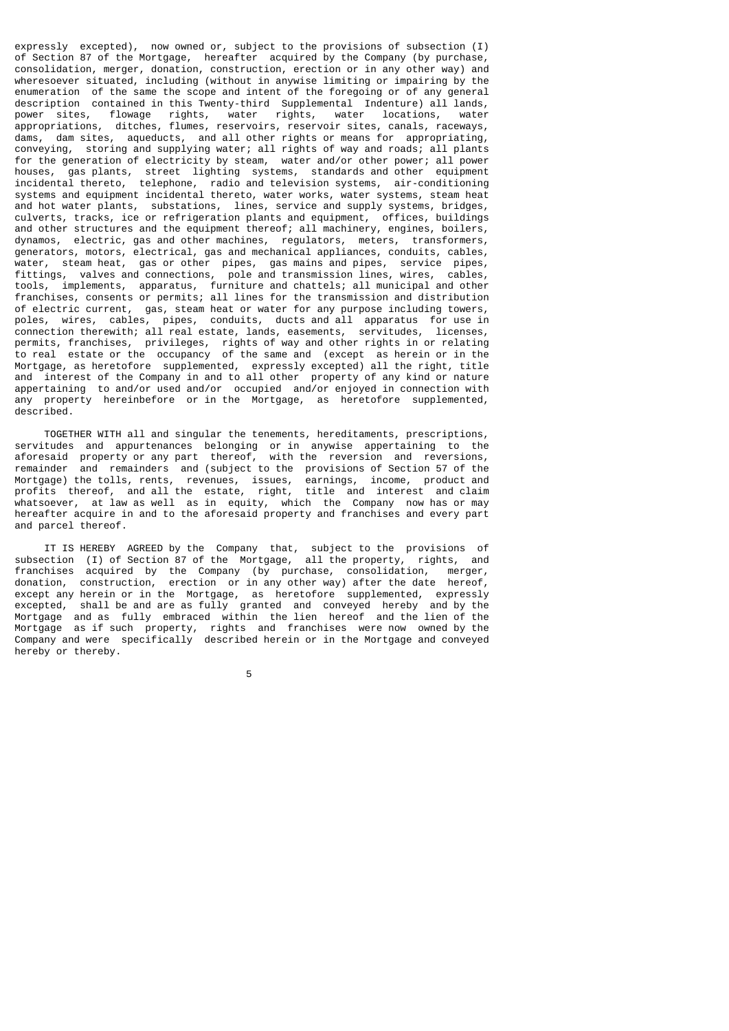expressly excepted), now owned or, subject to the provisions of subsection (I) of Section 87 of the Mortgage, hereafter acquired by the Company (by purchase, consolidation, merger, donation, construction, erection or in any other way) and wheresoever situated, including (without in anywise limiting or impairing by the enumeration of the same the scope and intent of the foregoing or of any general description contained in this Twenty-third Supplemental Indenture) all lands, power sites, flowage rights, water rights, water locations, water appropriations, ditches, flumes, reservoirs, reservoir sites, canals, raceways, dams, dam sites, aqueducts, and all other rights or means for appropriating, conveying, storing and supplying water; all rights of way and roads; all plants for the generation of electricity by steam, water and/or other power; all power houses, gas plants, street lighting systems, standards and other equipment incidental thereto, telephone, radio and television systems, air-conditioning systems and equipment incidental thereto, water works, water systems, steam heat and hot water plants, substations, lines, service and supply systems, bridges, culverts, tracks, ice or refrigeration plants and equipment, offices, buildings and other structures and the equipment thereof; all machinery, engines, boilers, dynamos, electric, gas and other machines, regulators, meters, transformers, generators, motors, electrical, gas and mechanical appliances, conduits, cables, water, steam heat, gas or other pipes, gas mains and pipes, service pipes, fittings, valves and connections, pole and transmission lines, wires, cables, tools, implements, apparatus, furniture and chattels; all municipal and other franchises, consents or permits; all lines for the transmission and distribution of electric current, gas, steam heat or water for any purpose including towers, poles, wires, cables, pipes, conduits, ducts and all apparatus for use in connection therewith; all real estate, lands, easements, servitudes, licenses, permits, franchises, privileges, rights of way and other rights in or relating to real estate or the occupancy of the same and (except as herein or in the Mortgage, as heretofore supplemented, expressly excepted) all the right, title and interest of the Company in and to all other property of any kind or nature appertaining to and/or used and/or occupied and/or enjoyed in connection with any property hereinbefore or in the Mortgage, as heretofore supplemented, described.

 TOGETHER WITH all and singular the tenements, hereditaments, prescriptions, servitudes and appurtenances belonging or in anywise appertaining to the aforesaid property or any part thereof, with the reversion and reversions, remainder and remainders and (subject to the provisions of Section 57 of the Mortgage) the tolls, rents, revenues, issues, earnings, income, product and profits thereof, and all the estate, right, title and interest and claim whatsoever, at law as well as in equity, which the Company now has or may hereafter acquire in and to the aforesaid property and franchises and every part and parcel thereof.

 IT IS HEREBY AGREED by the Company that, subject to the provisions of subsection (I) of Section 87 of the Mortgage, all the property, rights, and franchises acquired by the Company (by purchase, consolidation, merger, donation, construction, erection or in any other way) after the date hereof, except any herein or in the Mortgage, as heretofore supplemented, expressly excepted, shall be and are as fully granted and conveyed hereby and by the Mortgage and as fully embraced within the lien hereof and the lien of the Mortgage as if such property, rights and franchises were now owned by the Company and were specifically described herein or in the Mortgage and conveyed hereby or thereby.

the contract of the contract of the contract of the contract of the contract of the contract of the contract o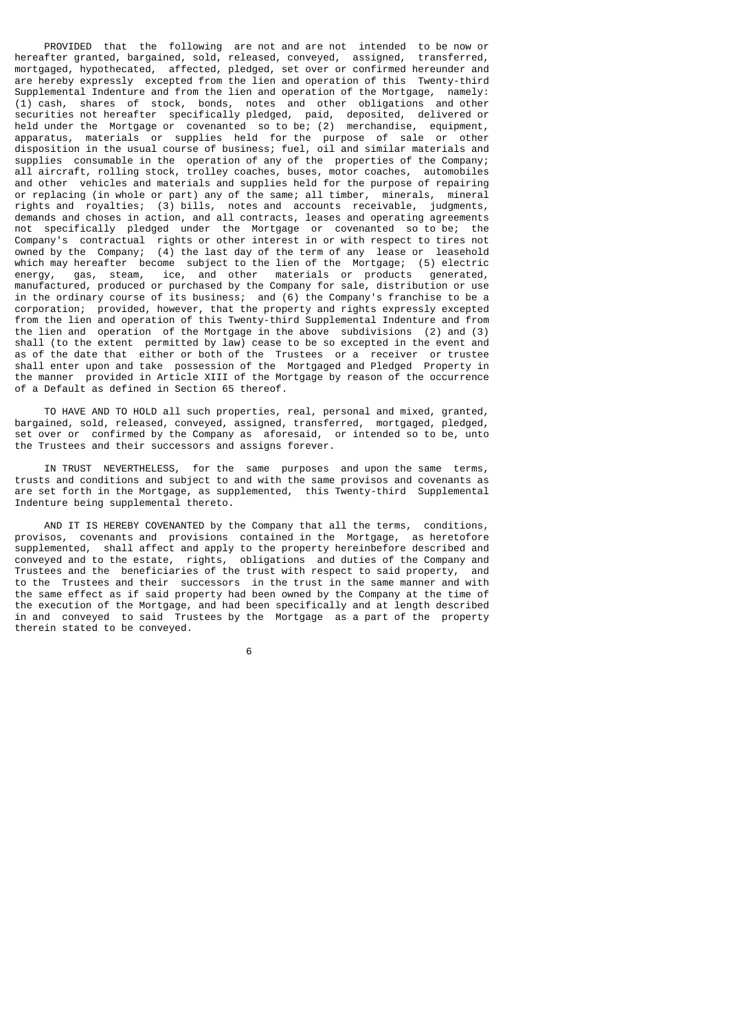PROVIDED that the following are not and are not intended to be now or hereafter granted, bargained, sold, released, conveyed, assigned, transferred, mortgaged, hypothecated, affected, pledged, set over or confirmed hereunder and are hereby expressly excepted from the lien and operation of this Twenty-third Supplemental Indenture and from the lien and operation of the Mortgage, namely: (1) cash, shares of stock, bonds, notes and other obligations and other securities not hereafter specifically pledged, paid, deposited, delivered or held under the Mortgage or covenanted so to be; (2) merchandise, equipment, apparatus, materials or supplies held for the purpose of sale or other disposition in the usual course of business; fuel, oil and similar materials and supplies consumable in the operation of any of the properties of the Company; all aircraft, rolling stock, trolley coaches, buses, motor coaches, automobiles and other vehicles and materials and supplies held for the purpose of repairing or replacing (in whole or part) any of the same; all timber, minerals, mineral rights and royalties; (3) bills, notes and accounts receivable, judgments, demands and choses in action, and all contracts, leases and operating agreements not specifically pledged under the Mortgage or covenanted so to be; the Company's contractual rights or other interest in or with respect to tires not owned by the Company; (4) the last day of the term of any lease or leasehold which may hereafter become subject to the lien of the Mortgage; (5) electric energy, gas, steam, ice, and other materials or products generated, gas, steam, ice, and other materials or products manufactured, produced or purchased by the Company for sale, distribution or use in the ordinary course of its business; and (6) the Company's franchise to be a corporation; provided, however, that the property and rights expressly excepted from the lien and operation of this Twenty-third Supplemental Indenture and from the lien and operation of the Mortgage in the above subdivisions (2) and (3) shall (to the extent permitted by law) cease to be so excepted in the event and as of the date that either or both of the Trustees or a receiver or trustee shall enter upon and take possession of the Mortgaged and Pledged Property in the manner provided in Article XIII of the Mortgage by reason of the occurrence of a Default as defined in Section 65 thereof.

 TO HAVE AND TO HOLD all such properties, real, personal and mixed, granted, bargained, sold, released, conveyed, assigned, transferred, mortgaged, pledged, set over or confirmed by the Company as aforesaid, or intended so to be, unto the Trustees and their successors and assigns forever.

 IN TRUST NEVERTHELESS, for the same purposes and upon the same terms, trusts and conditions and subject to and with the same provisos and covenants as are set forth in the Mortgage, as supplemented, this Twenty-third Supplemental Indenture being supplemental thereto.

 AND IT IS HEREBY COVENANTED by the Company that all the terms, conditions, provisos, covenants and provisions contained in the Mortgage, as heretofore supplemented, shall affect and apply to the property hereinbefore described and conveyed and to the estate, rights, obligations and duties of the Company and Trustees and the beneficiaries of the trust with respect to said property, and to the Trustees and their successors in the trust in the same manner and with the same effect as if said property had been owned by the Company at the time of the execution of the Mortgage, and had been specifically and at length described in and conveyed to said Trustees by the Mortgage as a part of the property therein stated to be conveyed.

 $\sim$  6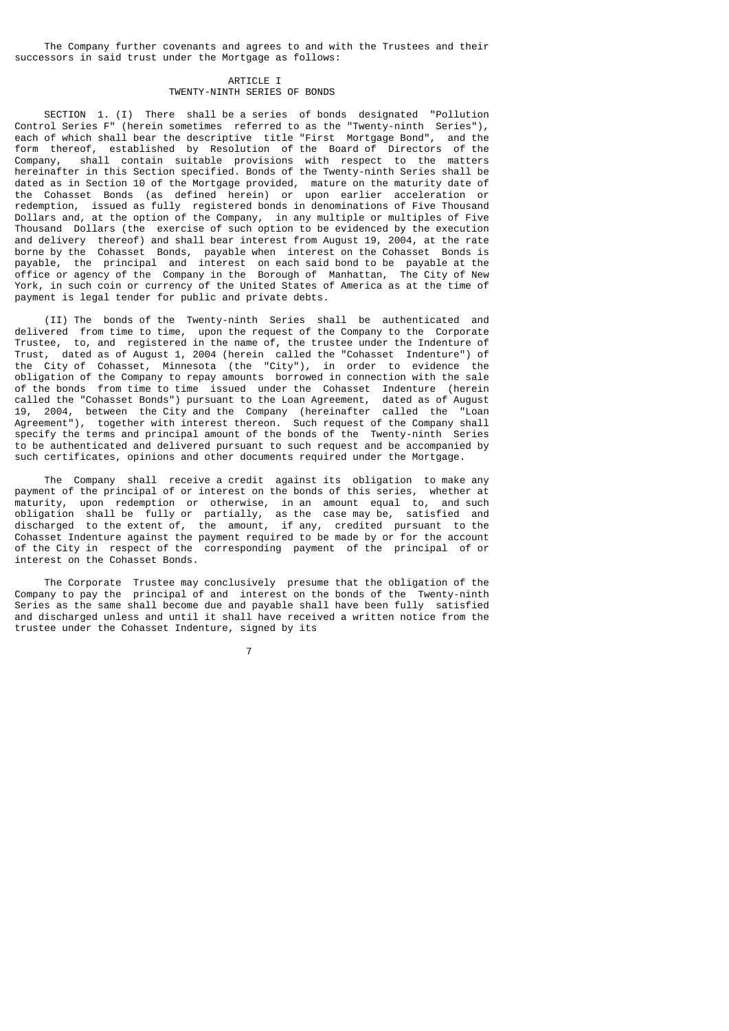The Company further covenants and agrees to and with the Trustees and their successors in said trust under the Mortgage as follows:

# ARTICLE T TWENTY-NINTH SERIES OF BONDS

 SECTION 1. (I) There shall be a series of bonds designated "Pollution Control Series F" (herein sometimes referred to as the "Twenty-ninth Series"), each of which shall bear the descriptive title "First Mortgage Bond", and the form thereof, established by Resolution of the Board of Directors of the Company, shall contain suitable provisions with respect to the matters hereinafter in this Section specified. Bonds of the Twenty-ninth Series shall be dated as in Section 10 of the Mortgage provided, mature on the maturity date of the Cohasset Bonds (as defined herein) or upon earlier acceleration or redemption, issued as fully registered bonds in denominations of Five Thousand Dollars and, at the option of the Company, in any multiple or multiples of Five Thousand Dollars (the exercise of such option to be evidenced by the execution and delivery thereof) and shall bear interest from August 19, 2004, at the rate borne by the Cohasset Bonds, payable when interest on the Cohasset Bonds is payable, the principal and interest on each said bond to be payable at the office or agency of the Company in the Borough of Manhattan, The City of New York, in such coin or currency of the United States of America as at the time of payment is legal tender for public and private debts.

 (II) The bonds of the Twenty-ninth Series shall be authenticated and delivered from time to time, upon the request of the Company to the Corporate Trustee, to, and registered in the name of, the trustee under the Indenture of Trust, dated as of August 1, 2004 (herein called the "Cohasset Indenture") of the City of Cohasset, Minnesota (the "City"), in order to evidence the obligation of the Company to repay amounts borrowed in connection with the sale of the bonds from time to time issued under the Cohasset Indenture (herein called the "Cohasset Bonds") pursuant to the Loan Agreement, dated as of August 19, 2004, between the City and the Company (hereinafter called the "Loan Agreement"), together with interest thereon. Such request of the Company shall specify the terms and principal amount of the bonds of the Twenty-ninth Series to be authenticated and delivered pursuant to such request and be accompanied by such certificates, opinions and other documents required under the Mortgage.

 The Company shall receive a credit against its obligation to make any payment of the principal of or interest on the bonds of this series, whether at maturity, upon redemption or otherwise, in an amount equal to, and such obligation shall be fully or partially, as the case may be, satisfied and discharged to the extent of, the amount, if any, credited pursuant to the Cohasset Indenture against the payment required to be made by or for the account of the City in respect of the corresponding payment of the principal of or interest on the Cohasset Bonds.

 The Corporate Trustee may conclusively presume that the obligation of the Company to pay the principal of and interest on the bonds of the Twenty-ninth Series as the same shall become due and payable shall have been fully satisfied and discharged unless and until it shall have received a written notice from the trustee under the Cohasset Indenture, signed by its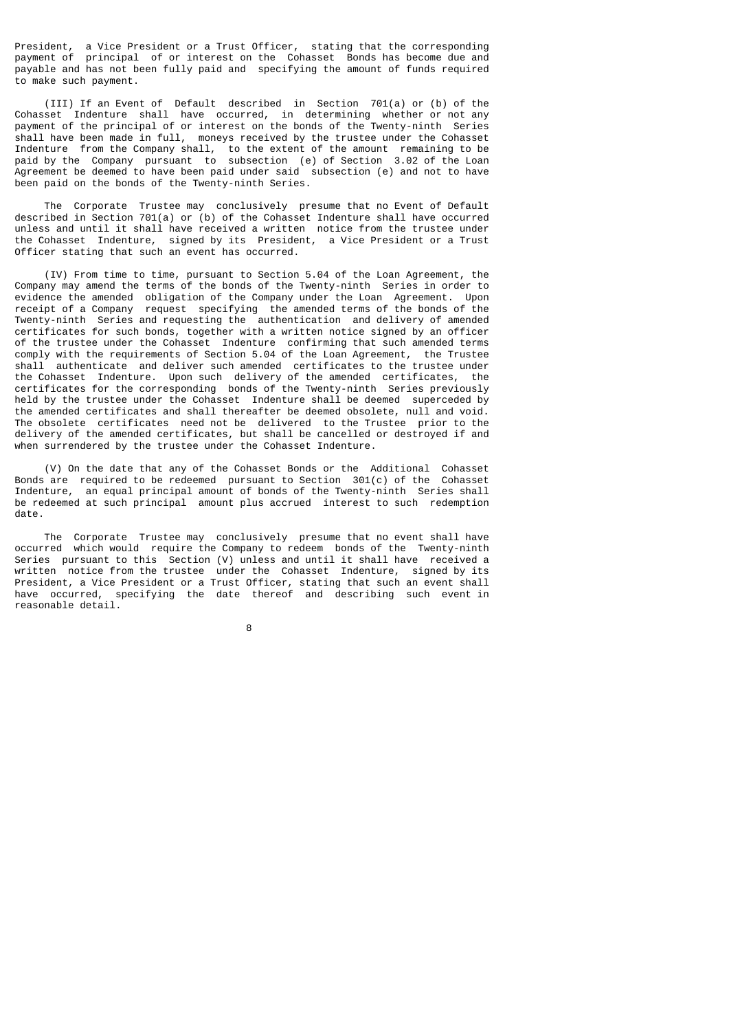President, a Vice President or a Trust Officer, stating that the corresponding payment of principal of or interest on the Cohasset Bonds has become due and payable and has not been fully paid and specifying the amount of funds required to make such payment.

 (III) If an Event of Default described in Section 701(a) or (b) of the Cohasset Indenture shall have occurred, in determining whether or not any payment of the principal of or interest on the bonds of the Twenty-ninth Series shall have been made in full, moneys received by the trustee under the Cohasset Indenture from the Company shall, to the extent of the amount remaining to be paid by the Company pursuant to subsection (e) of Section 3.02 of the Loan Agreement be deemed to have been paid under said subsection (e) and not to have been paid on the bonds of the Twenty-ninth Series.

 The Corporate Trustee may conclusively presume that no Event of Default described in Section 701(a) or (b) of the Cohasset Indenture shall have occurred unless and until it shall have received a written notice from the trustee under the Cohasset Indenture, signed by its President, a Vice President or a Trust Officer stating that such an event has occurred.

 (IV) From time to time, pursuant to Section 5.04 of the Loan Agreement, the Company may amend the terms of the bonds of the Twenty-ninth Series in order to evidence the amended obligation of the Company under the Loan Agreement. Upon receipt of a Company request specifying the amended terms of the bonds of the Twenty-ninth Series and requesting the authentication and delivery of amended certificates for such bonds, together with a written notice signed by an officer of the trustee under the Cohasset Indenture confirming that such amended terms comply with the requirements of Section 5.04 of the Loan Agreement, the Trustee shall authenticate and deliver such amended certificates to the trustee under the Cohasset Indenture. Upon such delivery of the amended certificates, the certificates for the corresponding bonds of the Twenty-ninth Series previously held by the trustee under the Cohasset Indenture shall be deemed superceded by the amended certificates and shall thereafter be deemed obsolete, null and void. The obsolete certificates need not be delivered to the Trustee prior to the delivery of the amended certificates, but shall be cancelled or destroyed if and when surrendered by the trustee under the Cohasset Indenture.

 (V) On the date that any of the Cohasset Bonds or the Additional Cohasset Bonds are required to be redeemed pursuant to Section 301(c) of the Cohasset Indenture, an equal principal amount of bonds of the Twenty-ninth Series shall be redeemed at such principal amount plus accrued interest to such redemption date.

 The Corporate Trustee may conclusively presume that no event shall have occurred which would require the Company to redeem bonds of the Twenty-ninth Series pursuant to this Section (V) unless and until it shall have received a written notice from the trustee under the Cohasset Indenture, signed by its **President, a Vice President or a Trust Officer, stating that such an event shall** have occurred, specifying the date thereof and describing such event in reasonable detail.

e a construction de la construction de la construction de la construction de la construction de la constructio<br>En 1980, en 1980, en 1980, en 1980, en 1980, en 1980, en 1980, en 1980, en 1980, en 1980, en 1980, en 1980, en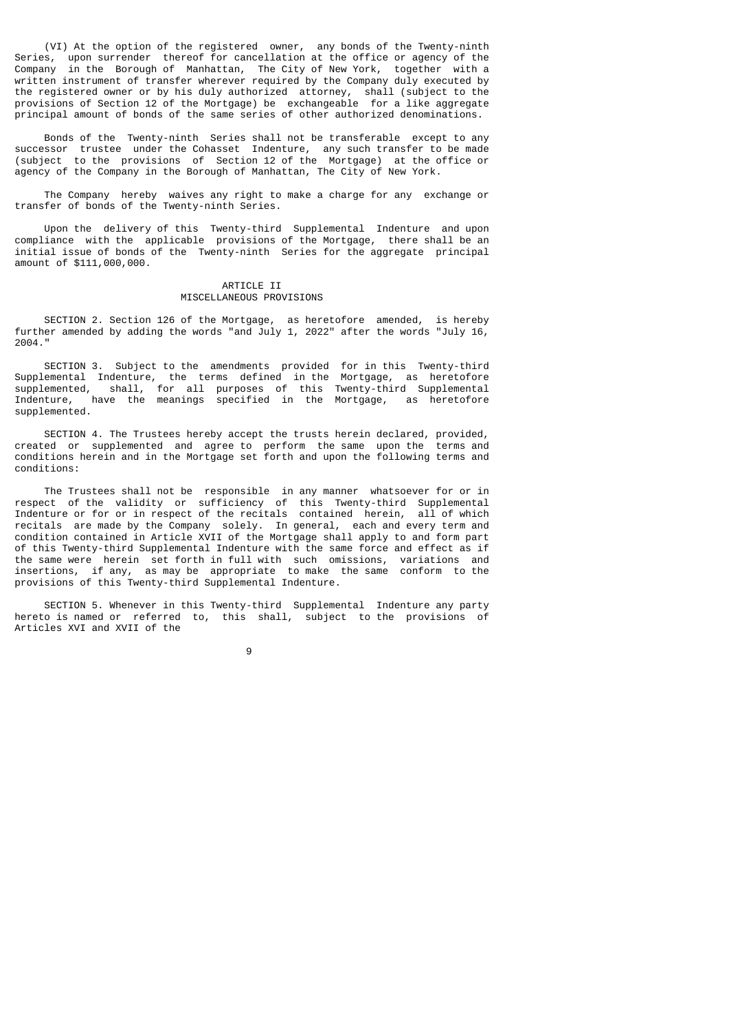(VI) At the option of the registered owner, any bonds of the Twenty-ninth Series, upon surrender thereof for cancellation at the office or agency of the Company in the Borough of Manhattan, The City of New York, together with a written instrument of transfer wherever required by the Company duly executed by the registered owner or by his duly authorized attorney, shall (subject to the provisions of Section 12 of the Mortgage) be exchangeable for a like aggregate principal amount of bonds of the same series of other authorized denominations.

 Bonds of the Twenty-ninth Series shall not be transferable except to any successor trustee under the Cohasset Indenture, any such transfer to be made (subject to the provisions of Section 12 of the Mortgage) at the office or agency of the Company in the Borough of Manhattan, The City of New York.

 The Company hereby waives any right to make a charge for any exchange or transfer of bonds of the Twenty-ninth Series.

 Upon the delivery of this Twenty-third Supplemental Indenture and upon compliance with the applicable provisions of the Mortgage, there shall be an initial issue of bonds of the Twenty-ninth Series for the aggregate principal amount of \$111,000,000.

# ARTICLE II MISCELLANEOUS PROVISIONS

 SECTION 2. Section 126 of the Mortgage, as heretofore amended, is hereby further amended by adding the words "and July 1, 2022" after the words "July 16, 2004."

 SECTION 3. Subject to the amendments provided for in this Twenty-third Supplemental Indenture, the terms defined in the Mortgage, as heretofore supplemented, shall, for all purposes of this Twenty-third Supplemental Indenture, have the meanings specified in the Mortgage, as heretofore supplemented.

 SECTION 4. The Trustees hereby accept the trusts herein declared, provided, created or supplemented and agree to perform the same upon the terms and conditions herein and in the Mortgage set forth and upon the following terms and conditions:

 The Trustees shall not be responsible in any manner whatsoever for or in respect of the validity or sufficiency of this Twenty-third Supplemental Indenture or for or in respect of the recitals contained herein, all of which recitals are made by the Company solely. In general, each and every term and condition contained in Article XVII of the Mortgage shall apply to and form part of this Twenty-third Supplemental Indenture with the same force and effect as if the same were herein set forth in full with such omissions, variations and insertions, if any, as may be appropriate to make the same conform to the provisions of this Twenty-third Supplemental Indenture.

 SECTION 5. Whenever in this Twenty-third Supplemental Indenture any party hereto is named or referred to, this shall, subject to the provisions of Articles XVI and XVII of the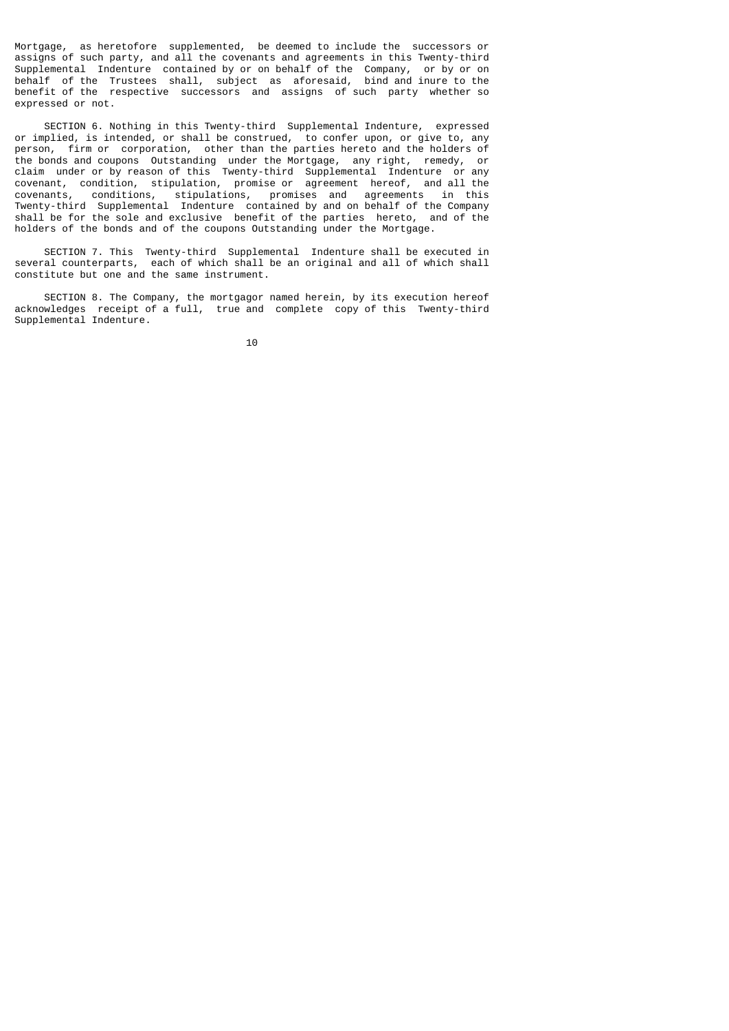Mortgage, as heretofore supplemented, be deemed to include the successors or assigns of such party, and all the covenants and agreements in this Twenty-third Supplemental Indenture contained by or on behalf of the Company, or by or on behalf of the Trustees shall, subject as aforesaid, bind and inure to the benefit of the respective successors and assigns of such party whether so expressed or not.

 SECTION 6. Nothing in this Twenty-third Supplemental Indenture, expressed or implied, is intended, or shall be construed, to confer upon, or give to, any person, firm or corporation, other than the parties hereto and the holders of the bonds and coupons Outstanding under the Mortgage, any right, remedy, or claim under or by reason of this Twenty-third Supplemental Indenture or any covenant, condition, stipulation, promise or agreement hereof, and all the covenants, conditions, stipulations, promises and agreements in this Twenty-third Supplemental Indenture contained by and on behalf of the Company shall be for the sole and exclusive benefit of the parties hereto, and of the holders of the bonds and of the coupons Outstanding under the Mortgage.

 SECTION 7. This Twenty-third Supplemental Indenture shall be executed in several counterparts, each of which shall be an original and all of which shall constitute but one and the same instrument.

 SECTION 8. The Company, the mortgagor named herein, by its execution hereof acknowledges receipt of a full, true and complete copy of this Twenty-third Supplemental Indenture.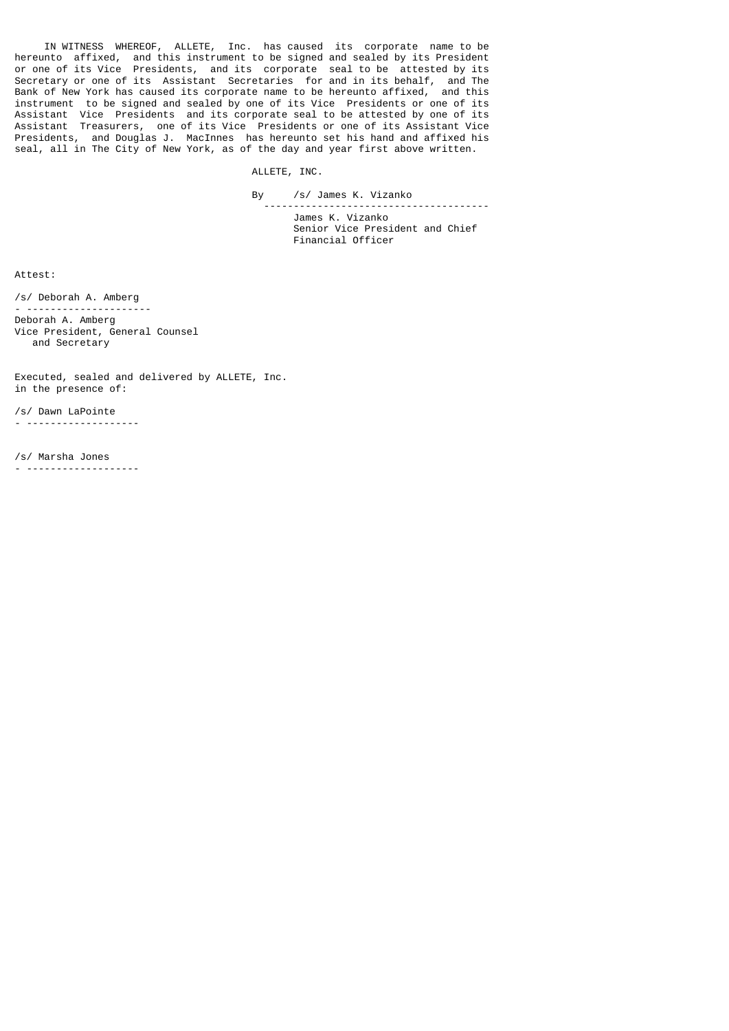IN WITNESS WHEREOF, ALLETE, Inc. has caused its corporate name to be hereunto affixed, and this instrument to be signed and sealed by its President or one of its Vice Presidents, and its corporate seal to be attested by its Secretary or one of its Assistant Secretaries for and in its behalf, and The Bank of New York has caused its corporate name to be hereunto affixed, and this instrument to be signed and sealed by one of its Vice Presidents or one of its Assistant Vice Presidents and its corporate seal to be attested by one of its Assistant Treasurers, one of its Vice Presidents or one of its Assistant Vice Presidents, and Douglas J. MacInnes has hereunto set his hand and affixed his seal, all in The City of New York, as of the day and year first above written.

ALLETE, INC.

By /s/ James K. Vizanko

 -------------------------------------- James K. Vizanko Senior Vice President and Chief Financial Officer

Attest:

/s/ Deborah A. Amberg

- --------------------- Deborah A. Amberg Vice President, General Counsel and Secretary

Executed, sealed and delivered by ALLETE, Inc. in the presence of:

/s/ Dawn LaPointe - -------------------

/s/ Marsha Jones - -------------------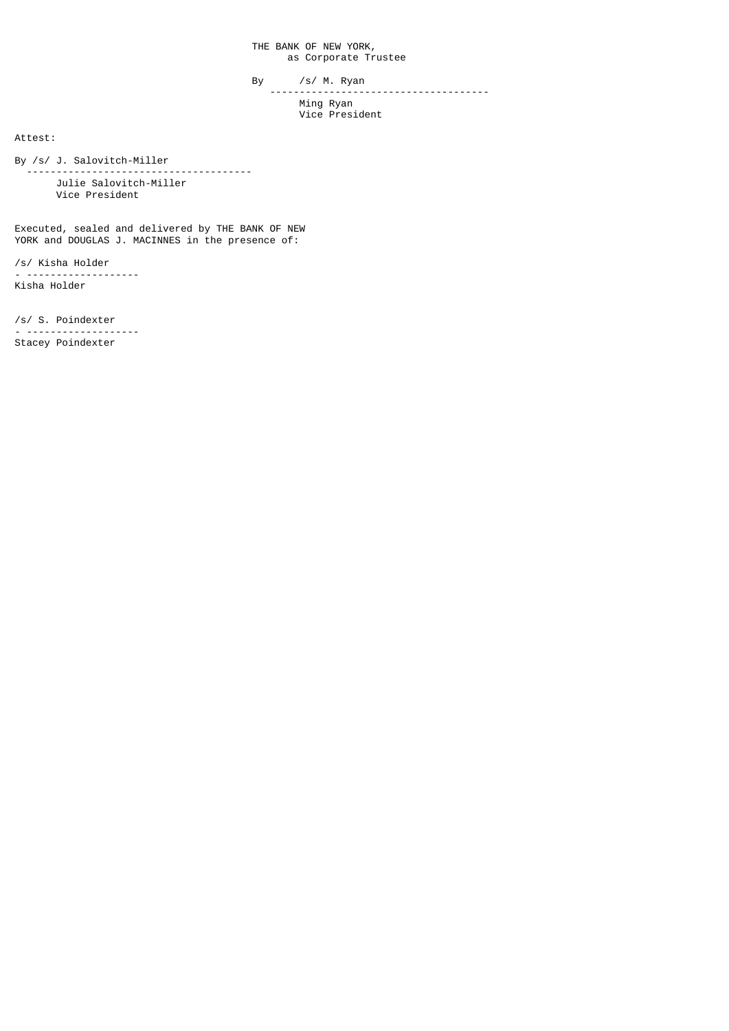THE BANK OF NEW YORK, as Corporate Trustee

 By /s/ M. Ryan ------------------------------------- Ming Ryan Vice President

Attest:

By /s/ J. Salovitch-Miller

 -------------------------------------- Julie Salovitch-Miller Vice President

Executed, sealed and delivered by THE BANK OF NEW YORK and DOUGLAS J. MACINNES in the presence of:

/s/ Kisha Holder - ------------------- Kisha Holder

/s/ S. Poindexter - ------------------- Stacey Poindexter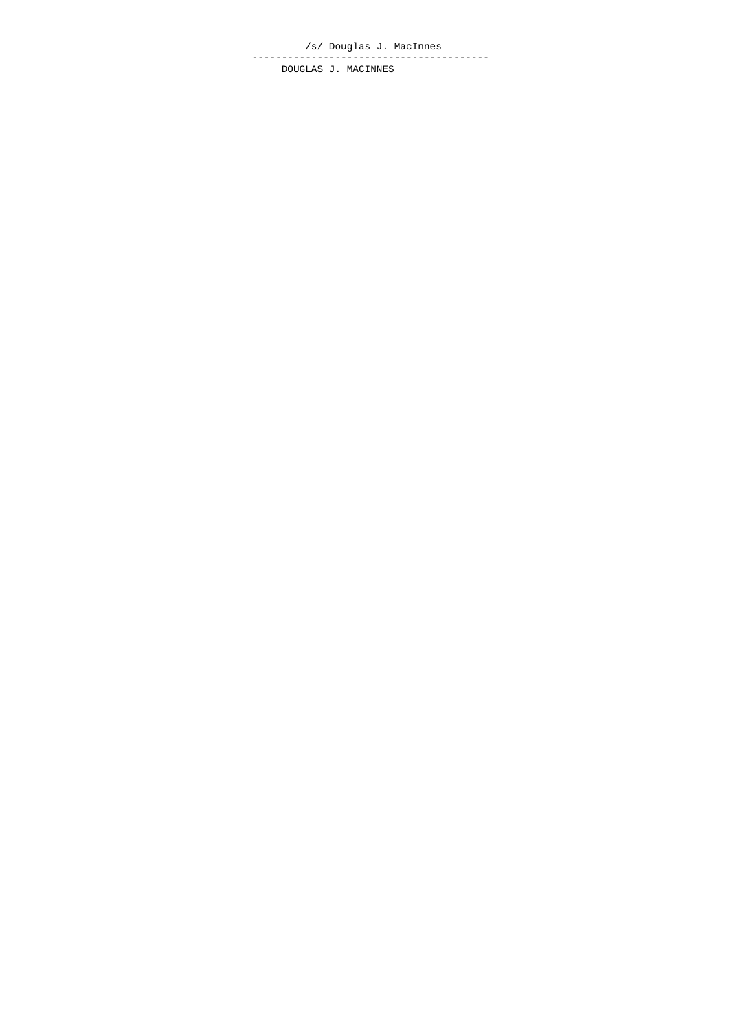/s/ Douglas J. MacInnes ---------------------------------------- DOUGLAS J. MACINNES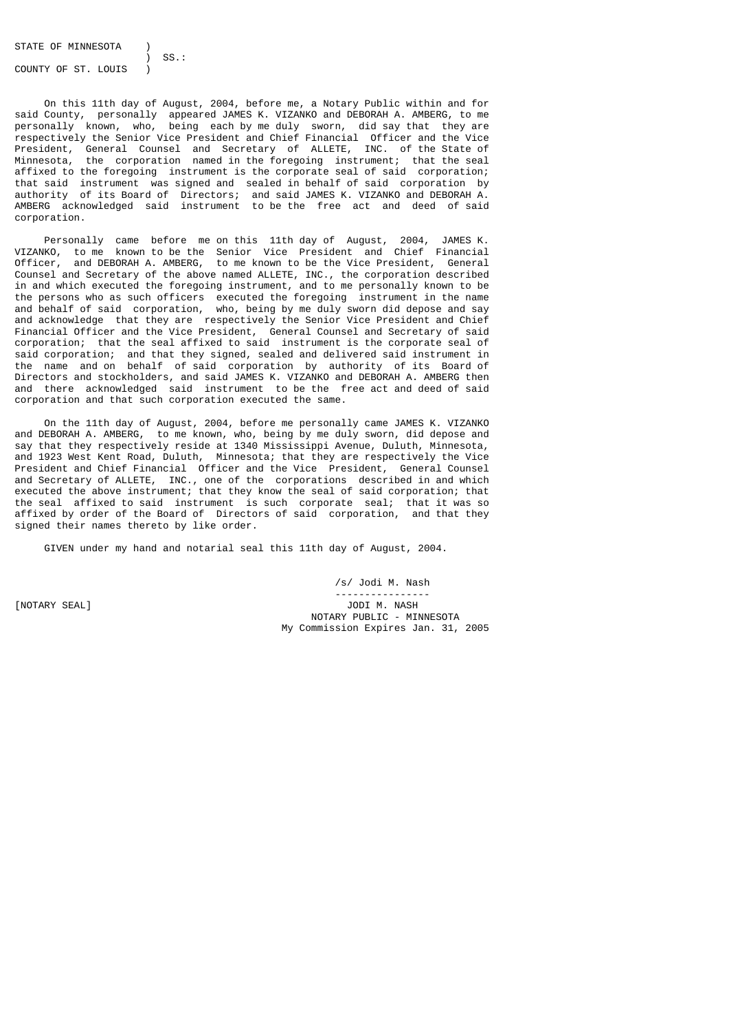STATE OF MINNESOTA

 ) SS.: COUNTY OF ST. LOUIS )

 On this 11th day of August, 2004, before me, a Notary Public within and for said County, personally appeared JAMES K. VIZANKO and DEBORAH A. AMBERG, to me personally known, who, being each by me duly sworn, did say that they are respectively the Senior Vice President and Chief Financial Officer and the Vice President, General Counsel and Secretary of ALLETE, INC. of the State of Minnesota, the corporation named in the foregoing instrument; that the seal affixed to the foregoing instrument is the corporate seal of said corporation; that said instrument was signed and sealed in behalf of said corporation by authority of its Board of Directors; and said JAMES K. VIZANKO and DEBORAH A. AMBERG acknowledged said instrument to be the free act and deed of said corporation.

 Personally came before me on this 11th day of August, 2004, JAMES K. VIZANKO, to me known to be the Senior Vice President and Chief Financial Officer, and DEBORAH A. AMBERG, to me known to be the Vice President, General Counsel and Secretary of the above named ALLETE, INC., the corporation described in and which executed the foregoing instrument, and to me personally known to be the persons who as such officers executed the foregoing instrument in the name and behalf of said corporation, who, being by me duly sworn did depose and say and acknowledge that they are respectively the Senior Vice President and Chief Financial Officer and the Vice President, General Counsel and Secretary of said corporation; that the seal affixed to said instrument is the corporate seal of said corporation; and that they signed, sealed and delivered said instrument in the name and on behalf of said corporation by authority of its Board of Directors and stockholders, and said JAMES K. VIZANKO and DEBORAH A. AMBERG then and there acknowledged said instrument to be the free act and deed of said corporation and that such corporation executed the same.

 On the 11th day of August, 2004, before me personally came JAMES K. VIZANKO and DEBORAH A. AMBERG, to me known, who, being by me duly sworn, did depose and say that they respectively reside at 1340 Mississippi Avenue, Duluth, Minnesota, and 1923 West Kent Road, Duluth, Minnesota; that they are respectively the Vice President and Chief Financial Officer and the Vice President, General Counsel and Secretary of ALLETE, INC., one of the corporations described in and which executed the above instrument; that they know the seal of said corporation; that the seal affixed to said instrument is such corporate seal; that it was so affixed by order of the Board of Directors of said corporation, and that they signed their names thereto by like order.

GIVEN under my hand and notarial seal this 11th day of August, 2004.

 /s/ Jodi M. Nash ---------------- [NOTARY SEAL] JODI M. NASH NOTARY PUBLIC - MINNESOTA My Commission Expires Jan. 31, 2005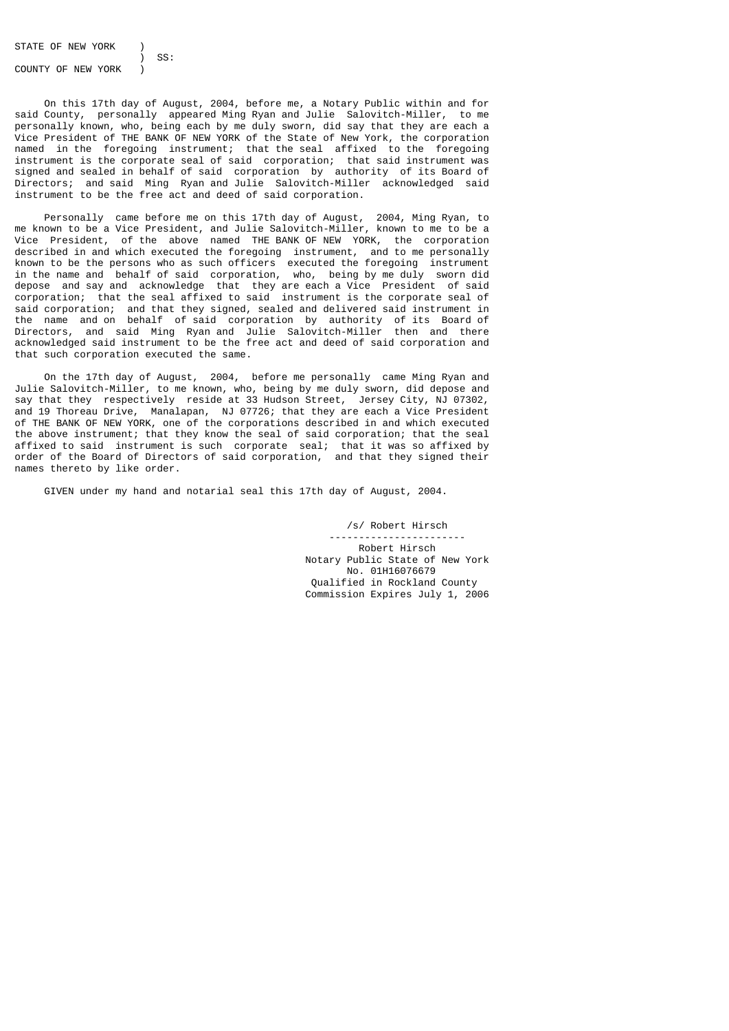STATE OF NEW YORK

 ) SS: COUNTY OF NEW YORK

 On this 17th day of August, 2004, before me, a Notary Public within and for said County, personally appeared Ming Ryan and Julie Salovitch-Miller, to me personally known, who, being each by me duly sworn, did say that they are each a Vice President of THE BANK OF NEW YORK of the State of New York, the corporation named in the foregoing instrument; that the seal affixed to the foregoing instrument is the corporate seal of said corporation; that said instrument was signed and sealed in behalf of said corporation by authority of its Board of Directors; and said Ming Ryan and Julie Salovitch-Miller acknowledged said instrument to be the free act and deed of said corporation.

 Personally came before me on this 17th day of August, 2004, Ming Ryan, to me known to be a Vice President, and Julie Salovitch-Miller, known to me to be a Vice President, of the above named THE BANK OF NEW YORK, the corporation described in and which executed the foregoing instrument, and to me personally known to be the persons who as such officers executed the foregoing instrument in the name and behalf of said corporation, who, being by me duly sworn did depose and say and acknowledge that they are each a Vice President of said corporation; that the seal affixed to said instrument is the corporate seal of said corporation; and that they signed, sealed and delivered said instrument in the name and on behalf of said corporation by authority of its Board of Directors, and said Ming Ryan and Julie Salovitch-Miller then and there acknowledged said instrument to be the free act and deed of said corporation and that such corporation executed the same.

 On the 17th day of August, 2004, before me personally came Ming Ryan and Julie Salovitch-Miller, to me known, who, being by me duly sworn, did depose and say that they respectively reside at 33 Hudson Street, Jersey City, NJ 07302, and 19 Thoreau Drive, Manalapan, NJ 07726; that they are each a Vice President of THE BANK OF NEW YORK, one of the corporations described in and which executed the above instrument; that they know the seal of said corporation; that the seal affixed to said instrument is such corporate seal; that it was so affixed by order of the Board of Directors of said corporation, and that they signed their names thereto by like order.

GIVEN under my hand and notarial seal this 17th day of August, 2004.

 /s/ Robert Hirsch ----------------------- Robert Hirsch Notary Public State of New York No. 01H16076679 Qualified in Rockland County Commission Expires July 1, 2006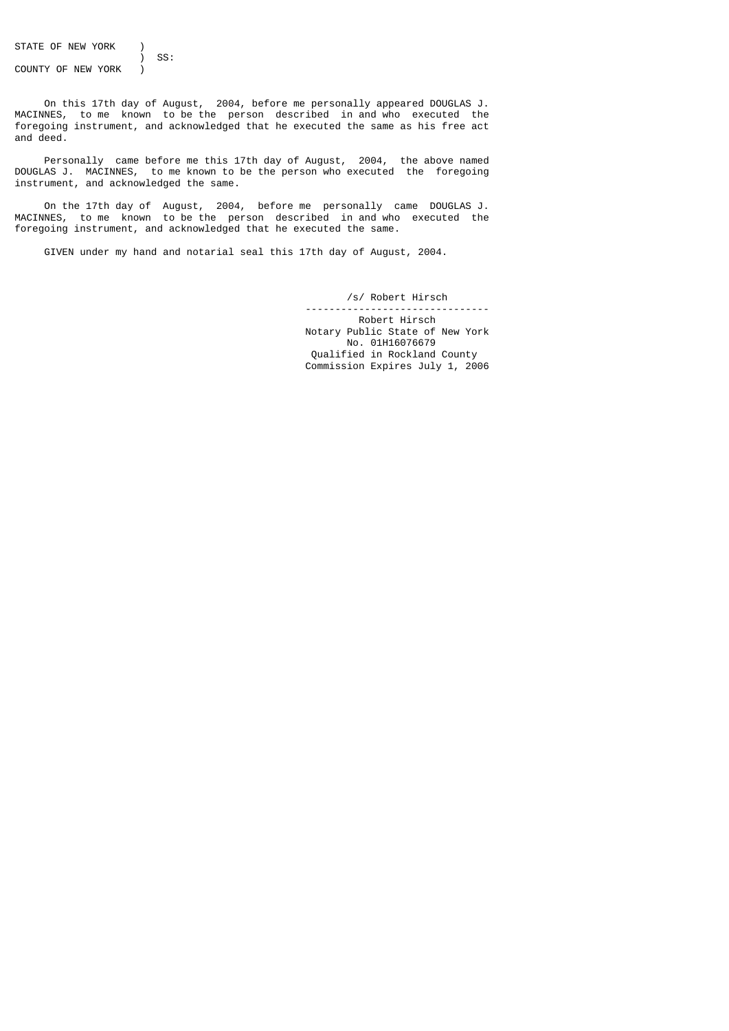STATE OF NEW YORK )

 ) SS: COUNTY OF NEW YORK )

 On this 17th day of August, 2004, before me personally appeared DOUGLAS J. MACINNES, to me known to be the person described in and who executed the foregoing instrument, and acknowledged that he executed the same as his free act and deed.

 Personally came before me this 17th day of August, 2004, the above named DOUGLAS J. MACINNES, to me known to be the person who executed the foregoing instrument, and acknowledged the same.

 On the 17th day of August, 2004, before me personally came DOUGLAS J. MACINNES, to me known to be the person described in and who executed the foregoing instrument, and acknowledged that he executed the same.

GIVEN under my hand and notarial seal this 17th day of August, 2004.

 /s/ Robert Hirsch -------------------------------

 Robert Hirsch Notary Public State of New York No. 01H16076679 Qualified in Rockland County Commission Expires July 1, 2006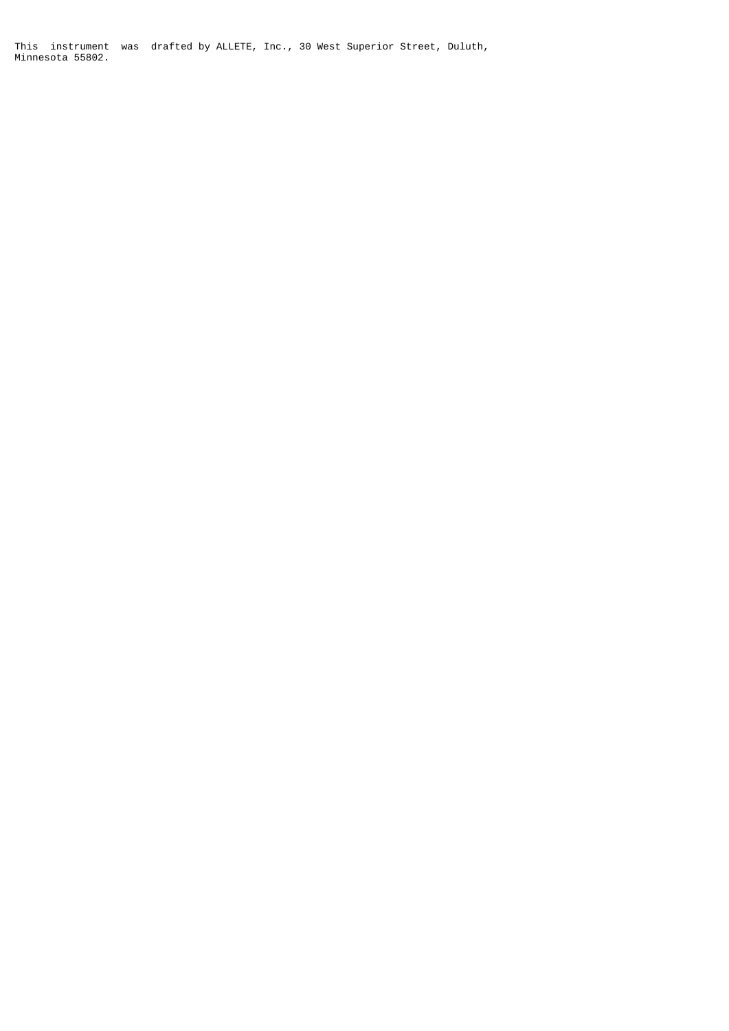This instrument was drafted by ALLETE, Inc., 30 West Superior Street, Duluth, Minnesota 55802.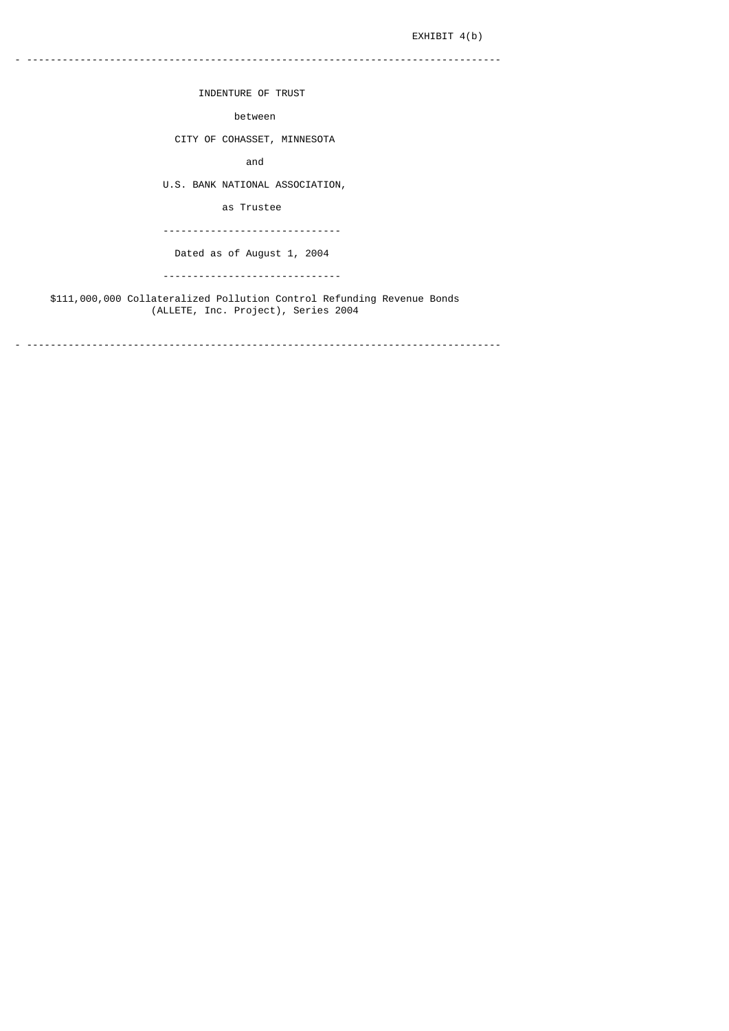# EXHIBIT 4(b)

INDENTURE OF TRUST

between

- --------------------------------------------------------------------------------

CITY OF COHASSET, MINNESOTA

and

U.S. BANK NATIONAL ASSOCIATION,

as Trustee

------------------------------

Dated as of August 1, 2004

------------------------------

 \$111,000,000 Collateralized Pollution Control Refunding Revenue Bonds (ALLETE, Inc. Project), Series 2004

- --------------------------------------------------------------------------------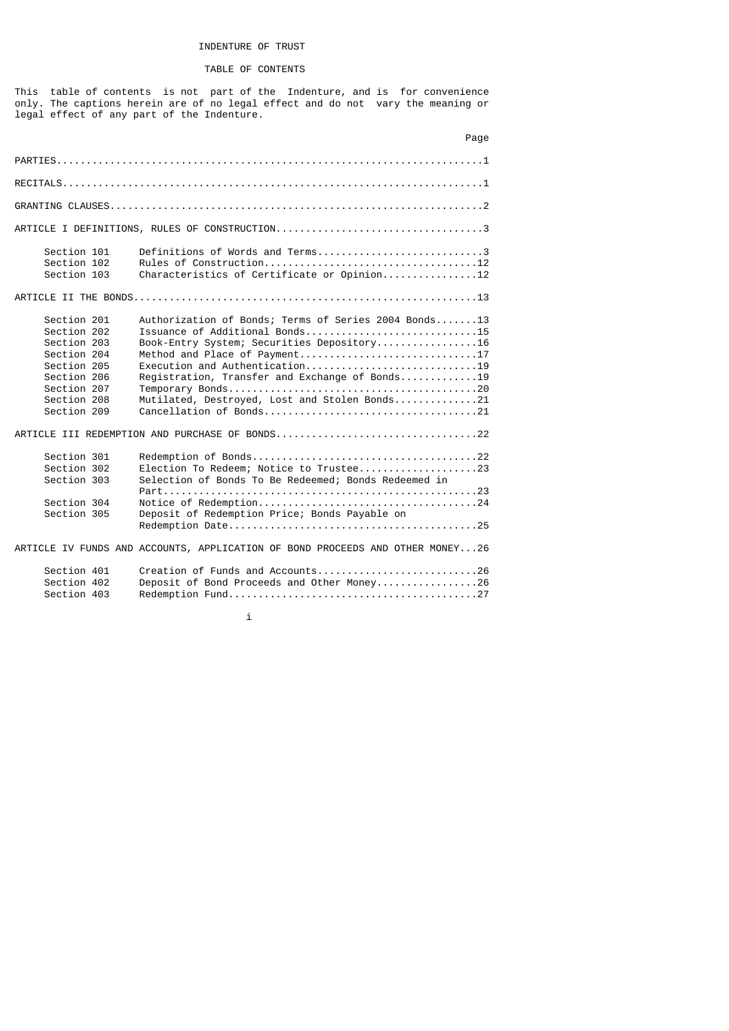# INDENTURE OF TRUST

# TABLE OF CONTENTS

This table of contents is not part of the Indenture, and is for convenience only. The captions herein are of no legal effect and do not vary the meaning or legal effect of any part of the Indenture.

|                                                                                                                                     | Page                                                                                                                                                                                                                                                                                                       |
|-------------------------------------------------------------------------------------------------------------------------------------|------------------------------------------------------------------------------------------------------------------------------------------------------------------------------------------------------------------------------------------------------------------------------------------------------------|
|                                                                                                                                     |                                                                                                                                                                                                                                                                                                            |
|                                                                                                                                     |                                                                                                                                                                                                                                                                                                            |
|                                                                                                                                     |                                                                                                                                                                                                                                                                                                            |
|                                                                                                                                     |                                                                                                                                                                                                                                                                                                            |
| Section 101<br>Section 102<br>Section 103                                                                                           | Definitions of Words and Terms3<br>Characteristics of Certificate or Opinion12                                                                                                                                                                                                                             |
|                                                                                                                                     |                                                                                                                                                                                                                                                                                                            |
| Section 201<br>Section 202<br>Section 203<br>Section 204<br>Section 205<br>Section 206<br>Section 207<br>Section 208<br>Section 209 | Authorization of Bonds; Terms of Series 2004 Bonds13<br>Issuance of Additional Bonds15<br>Book-Entry System; Securities Depository16<br>Method and Place of Payment17<br>Execution and Authentication19<br>Registration, Transfer and Exchange of Bonds19<br>Mutilated, Destroyed, Lost and Stolen Bonds21 |
|                                                                                                                                     | ARTICLE III REDEMPTION AND PURCHASE OF BONDS22                                                                                                                                                                                                                                                             |
| Section 301<br>Section 302<br>Section 303<br>Section 304<br>Section 305                                                             | Election To Redeem; Notice to Trustee23<br>Selection of Bonds To Be Redeemed; Bonds Redeemed in<br>Deposit of Redemption Price; Bonds Payable on                                                                                                                                                           |
|                                                                                                                                     | ARTICLE IV FUNDS AND ACCOUNTS, APPLICATION OF BOND PROCEEDS AND OTHER MONEY26                                                                                                                                                                                                                              |
| Section 401<br>Section 402<br>Section 403                                                                                           | Creation of Funds and Accounts26<br>Deposit of Bond Proceeds and Other Money26                                                                                                                                                                                                                             |

i i standardi i standardi i standardi i standardi i standardi i standardi i standardi i standardi i standardi<br>I standardi i standardi i standardi i standardi i standardi i standardi i standardi i standardi i standardi i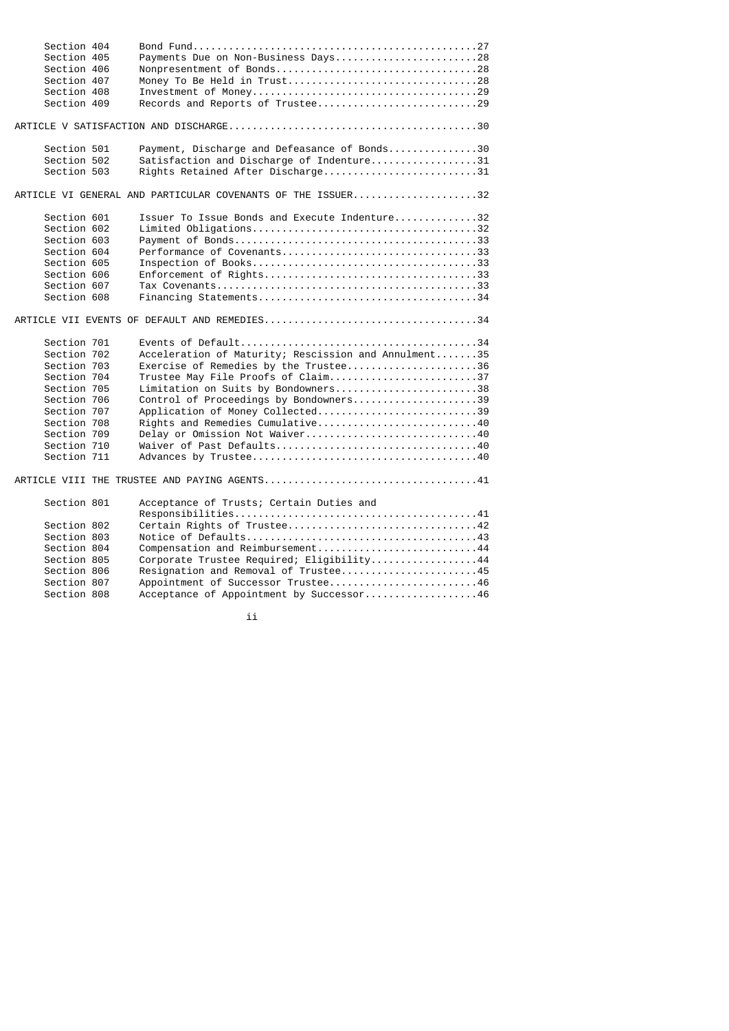| Section 404 |                                                             |
|-------------|-------------------------------------------------------------|
| Section 405 | Payments Due on Non-Business Days28                         |
| Section 406 | Nonpresentment of Bonds28                                   |
| Section 407 |                                                             |
| Section 408 |                                                             |
| Section 409 | Records and Reports of Trustee29                            |
|             |                                                             |
| Section 501 | Payment, Discharge and Defeasance of Bonds30                |
| Section 502 | Satisfaction and Discharge of Indenture31                   |
| Section 503 | Rights Retained After Discharge31                           |
|             | ARTICLE VI GENERAL AND PARTICULAR COVENANTS OF THE ISSUER32 |
| Section 601 | Issuer To Issue Bonds and Execute Indenture32               |
| Section 602 |                                                             |
| Section 603 |                                                             |
| Section 604 | Performance of Covenants33                                  |
| Section 605 |                                                             |
| Section 606 |                                                             |
| Section 607 |                                                             |
| Section 608 |                                                             |
|             |                                                             |
| Section 701 |                                                             |
| Section 702 | Acceleration of Maturity; Rescission and Annulment35        |
| Section 703 | Exercise of Remedies by the Trustee36                       |
| Section 704 | Trustee May File Proofs of Claim37                          |
| Section 705 | Limitation on Suits by Bondowners38                         |
| Section 706 | Control of Proceedings by Bondowners39                      |
| Section 707 | Application of Money Collected39                            |
| Section 708 | Rights and Remedies Cumulative40                            |
| Section 709 | Delay or Omission Not Waiver40                              |
| Section 710 |                                                             |
| Section 711 |                                                             |
|             |                                                             |
| Section 801 | Acceptance of Trusts; Certain Duties and                    |
|             |                                                             |
| Section 802 |                                                             |
| Section 803 |                                                             |
| Section 804 | Compensation and Reimbursement44                            |
| Section 805 | Corporate Trustee Required; Eligibility44                   |
| Section 806 | Resignation and Removal of Trustee45                        |
| Section 807 | Appointment of Successor Trustee46                          |
| Section 808 | Acceptance of Appointment by Successor46                    |
|             |                                                             |

ii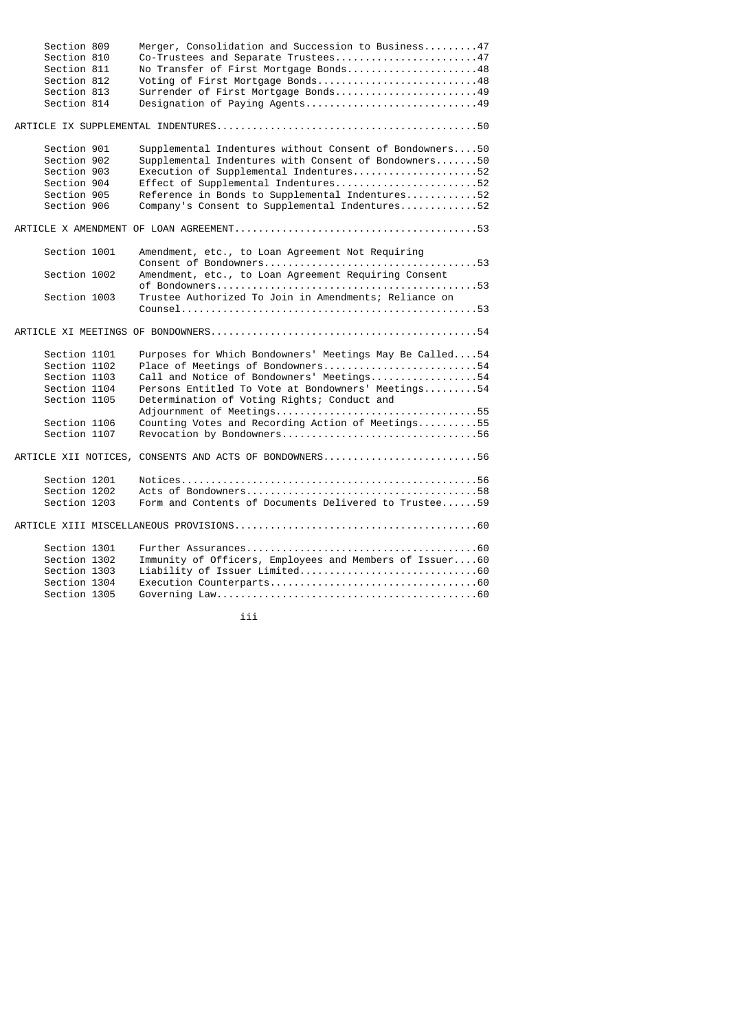| Section 809<br>Section 810 | Merger, Consolidation and Succession to Business47<br>Co-Trustees and Separate Trustees47 |
|----------------------------|-------------------------------------------------------------------------------------------|
| Section 811                | No Transfer of First Mortgage Bonds48                                                     |
| Section 812                |                                                                                           |
|                            | Voting of First Mortgage Bonds48                                                          |
| Section 813                | Surrender of First Mortgage Bonds49                                                       |
| Section 814                | Designation of Paying Agents49                                                            |
|                            |                                                                                           |
| Section 901                | Supplemental Indentures without Consent of Bondowners50                                   |
| Section 902                | Supplemental Indentures with Consent of Bondowners50                                      |
| Section 903                | Execution of Supplemental Indentures52                                                    |
| Section 904                | Effect of Supplemental Indentures52                                                       |
| Section 905                | Reference in Bonds to Supplemental Indentures52                                           |
| Section 906                | Company's Consent to Supplemental Indentures52                                            |
|                            |                                                                                           |
| Section 1001               | Amendment, etc., to Loan Agreement Not Requiring                                          |
| Section 1002               | Amendment, etc., to Loan Agreement Requiring Consent                                      |
| Section 1003               | Trustee Authorized To Join in Amendments; Reliance on                                     |
|                            |                                                                                           |
|                            |                                                                                           |
| Section 1101               | Purposes for Which Bondowners' Meetings May Be Called54                                   |
| Section 1102               | Place of Meetings of Bondowners54                                                         |
| Section 1103               | Call and Notice of Bondowners' Meetings54                                                 |
| Section 1104               | Persons Entitled To Vote at Bondowners' Meetings54                                        |
| Section 1105               | Determination of Voting Rights; Conduct and                                               |
|                            |                                                                                           |
| Section 1106               | Counting Votes and Recording Action of Meetings55                                         |
| Section 1107               | Revocation by Bondowners56                                                                |
|                            | ARTICLE XII NOTICES, CONSENTS AND ACTS OF BONDOWNERS56                                    |
| Section 1201               |                                                                                           |
| Section 1202               |                                                                                           |
| Section 1203               | Form and Contents of Documents Delivered to Trustee59                                     |
|                            |                                                                                           |
| Section 1301               |                                                                                           |
| Section 1302               | Immunity of Officers, Employees and Members of Issuer60                                   |
| Section 1303               |                                                                                           |
| Section 1304               |                                                                                           |
|                            |                                                                                           |
| Section 1305               |                                                                                           |

iii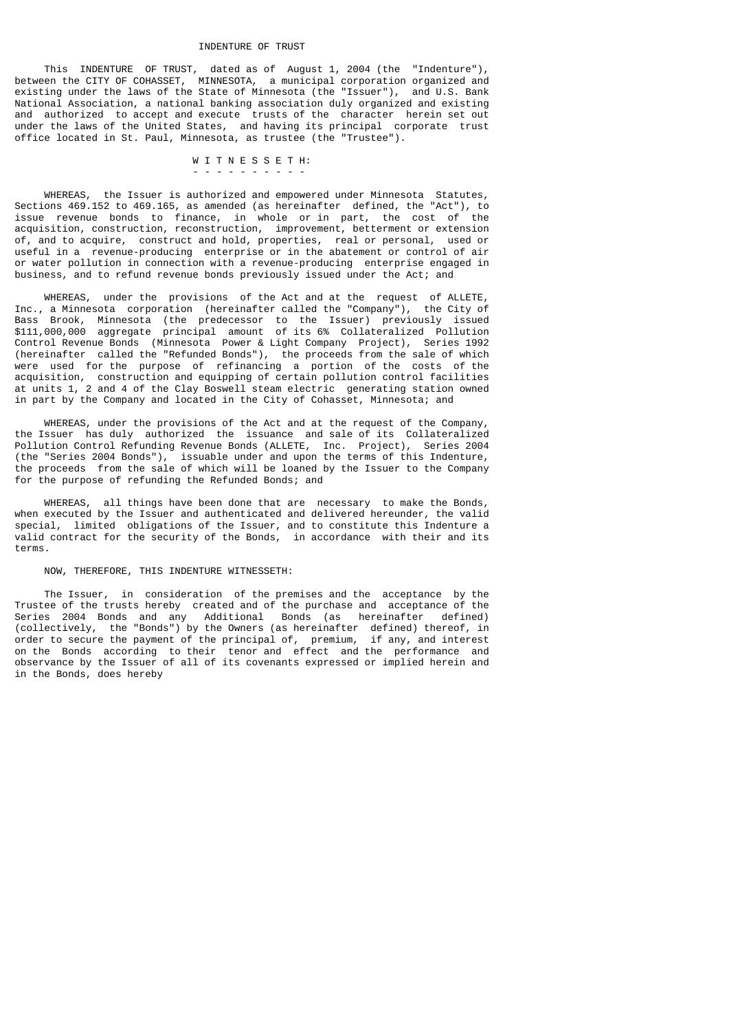#### INDENTURE OF TRUST

 This INDENTURE OF TRUST, dated as of August 1, 2004 (the "Indenture"), between the CITY OF COHASSET, MINNESOTA, a municipal corporation organized and existing under the laws of the State of Minnesota (the "Issuer"), and U.S. Bank National Association, a national banking association duly organized and existing and authorized to accept and execute trusts of the character herein set out under the laws of the United States, and having its principal corporate trust office located in St. Paul, Minnesota, as trustee (the "Trustee").

## W I T N E S S E T H:

 WHEREAS, the Issuer is authorized and empowered under Minnesota Statutes, Sections 469.152 to 469.165, as amended (as hereinafter defined, the "Act"), to issue revenue bonds to finance, in whole or in part, the cost of the acquisition, construction, reconstruction, improvement, betterment or extension of, and to acquire, construct and hold, properties, real or personal, used or useful in a revenue-producing enterprise or in the abatement or control of air or water pollution in connection with a revenue-producing enterprise engaged in business, and to refund revenue bonds previously issued under the Act; and

 WHEREAS, under the provisions of the Act and at the request of ALLETE, Inc., a Minnesota corporation (hereinafter called the "Company"), the City of Bass Brook, Minnesota (the predecessor to the Issuer) previously issued \$111,000,000 aggregate principal amount of its 6% Collateralized Pollution Control Revenue Bonds (Minnesota Power & Light Company Project), Series 1992 (hereinafter called the "Refunded Bonds"), the proceeds from the sale of which were used for the purpose of refinancing a portion of the costs of the acquisition, construction and equipping of certain pollution control facilities at units 1, 2 and 4 of the Clay Boswell steam electric generating station owned in part by the Company and located in the City of Cohasset, Minnesota; and

 WHEREAS, under the provisions of the Act and at the request of the Company, the Issuer has duly authorized the issuance and sale of its Collateralized Pollution Control Refunding Revenue Bonds (ALLETE, Inc. Project), Series 2004 (the "Series 2004 Bonds"), issuable under and upon the terms of this Indenture, the proceeds from the sale of which will be loaned by the Issuer to the Company for the purpose of refunding the Refunded Bonds; and

 WHEREAS, all things have been done that are necessary to make the Bonds, when executed by the Issuer and authenticated and delivered hereunder, the valid special, limited obligations of the Issuer, and to constitute this Indenture a valid contract for the security of the Bonds, in accordance with their and its terms.

## NOW, THEREFORE, THIS INDENTURE WITNESSETH:

- -  $\sim$  - -  $\sim$  - -  $\sim$  -  $\sim$  -  $\sim$  -  $\sim$  -  $\sim$  -  $\sim$  -  $\sim$  -  $\sim$ 

 The Issuer, in consideration of the premises and the acceptance by the Trustee of the trusts hereby created and of the purchase and acceptance of the Series 2004 Bonds and any Additional Bonds (as hereinafter defined) (collectively, the "Bonds") by the Owners (as hereinafter defined) thereof, in order to secure the payment of the principal of, premium, if any, and interest on the Bonds according to their tenor and effect and the performance and observance by the Issuer of all of its covenants expressed or implied herein and in the Bonds, does hereby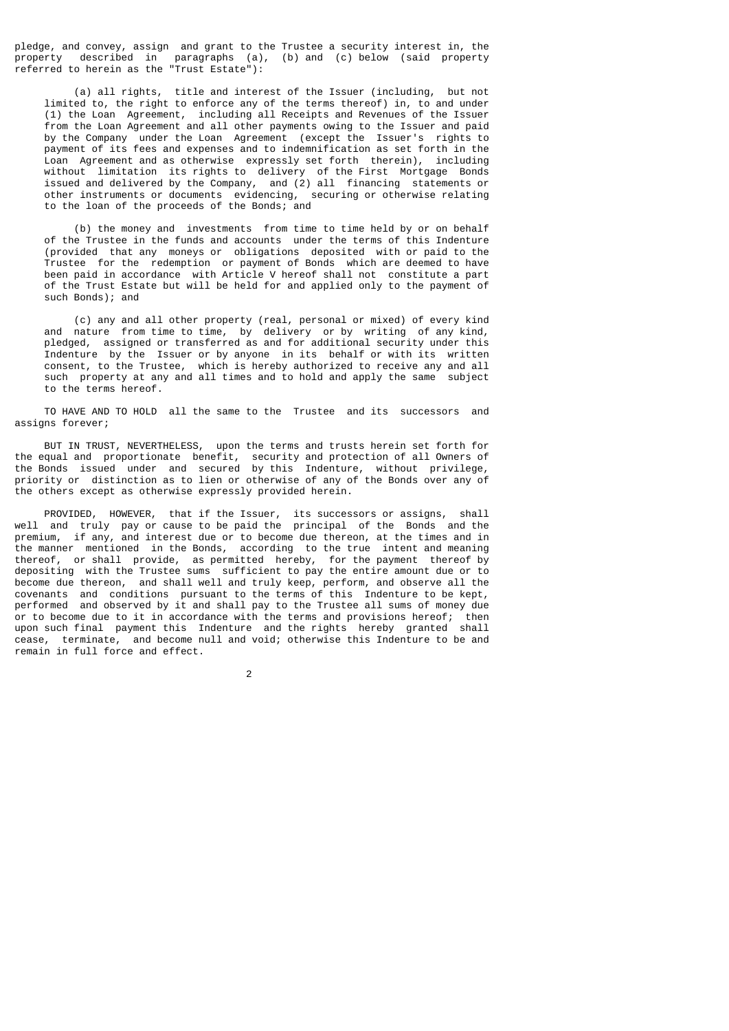pledge, and convey, assign and grant to the Trustee a security interest in, the property described in paragraphs (a), (b) and (c) below (said property referred to herein as the "Trust Estate"):

 (a) all rights, title and interest of the Issuer (including, but not limited to, the right to enforce any of the terms thereof) in, to and under (1) the Loan Agreement, including all Receipts and Revenues of the Issuer from the Loan Agreement and all other payments owing to the Issuer and paid by the Company under the Loan Agreement (except the Issuer's rights to payment of its fees and expenses and to indemnification as set forth in the Loan Agreement and as otherwise expressly set forth therein), including without limitation its rights to delivery of the First Mortgage Bonds issued and delivered by the Company, and (2) all financing statements or other instruments or documents evidencing, securing or otherwise relating to the loan of the proceeds of the Bonds; and

 (b) the money and investments from time to time held by or on behalf of the Trustee in the funds and accounts under the terms of this Indenture (provided that any moneys or obligations deposited with or paid to the Trustee for the redemption or payment of Bonds which are deemed to have been paid in accordance with Article V hereof shall not constitute a part of the Trust Estate but will be held for and applied only to the payment of such Bonds); and

 (c) any and all other property (real, personal or mixed) of every kind and nature from time to time, by delivery or by writing of any kind, pledged, assigned or transferred as and for additional security under this Indenture by the Issuer or by anyone in its behalf or with its written consent, to the Trustee, which is hereby authorized to receive any and all such property at any and all times and to hold and apply the same subject to the terms hereof.

 TO HAVE AND TO HOLD all the same to the Trustee and its successors and assigns forever;

 BUT IN TRUST, NEVERTHELESS, upon the terms and trusts herein set forth for the equal and proportionate benefit, security and protection of all Owners of the Bonds issued under and secured by this Indenture, without privilege, priority or distinction as to lien or otherwise of any of the Bonds over any of the others except as otherwise expressly provided herein.

 PROVIDED, HOWEVER, that if the Issuer, its successors or assigns, shall well and truly pay or cause to be paid the principal of the Bonds and the premium, if any, and interest due or to become due thereon, at the times and in the manner mentioned in the Bonds, according to the true intent and meaning thereof, or shall provide, as permitted hereby, for the payment thereof by depositing with the Trustee sums sufficient to pay the entire amount due or to become due thereon, and shall well and truly keep, perform, and observe all the covenants and conditions pursuant to the terms of this Indenture to be kept, performed and observed by it and shall pay to the Trustee all sums of money due or to become due to it in accordance with the terms and provisions hereof; then upon such final payment this Indenture and the rights hereby granted shall cease, terminate, and become null and void; otherwise this Indenture to be and remain in full force and effect.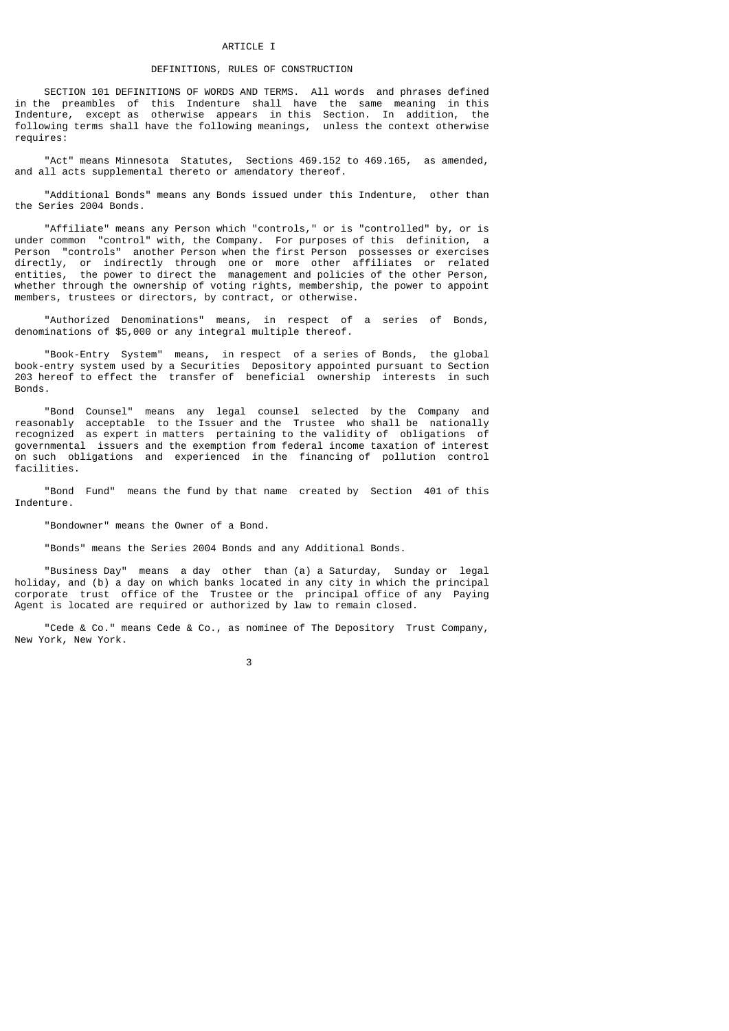#### ARTICLE T

## DEFINITIONS, RULES OF CONSTRUCTION

 SECTION 101 DEFINITIONS OF WORDS AND TERMS. All words and phrases defined in the preambles of this Indenture shall have the same meaning in this Indenture, except as otherwise appears in this Section. In addition, the following terms shall have the following meanings, unless the context otherwise requires:

 "Act" means Minnesota Statutes, Sections 469.152 to 469.165, as amended, and all acts supplemental thereto or amendatory thereof.

 "Additional Bonds" means any Bonds issued under this Indenture, other than the Series 2004 Bonds.

 "Affiliate" means any Person which "controls," or is "controlled" by, or is under common "control" with, the Company. For purposes of this definition, a Person "controls" another Person when the first Person possesses or exercises directly, or indirectly through one\_or more other affiliates or related<br>entities, the power to direct the management and policies of the other Person, the power to direct the management and policies of the other Person, whether through the ownership of voting rights, membership, the power to appoint members, trustees or directors, by contract, or otherwise.

 "Authorized Denominations" means, in respect of a series of Bonds, denominations of \$5,000 or any integral multiple thereof.

 "Book-Entry System" means, in respect of a series of Bonds, the global book-entry system used by a Securities Depository appointed pursuant to Section 203 hereof to effect the transfer of beneficial ownership interests in such Bonds.

 "Bond Counsel" means any legal counsel selected by the Company and reasonably acceptable to the Issuer and the Trustee who shall be nationally recognized as expert in matters pertaining to the validity of obligations of governmental issuers and the exemption from federal income taxation of interest on such obligations and experienced in the financing of pollution control facilities.

 "Bond Fund" means the fund by that name created by Section 401 of this Indenture.

"Bondowner" means the Owner of a Bond.

"Bonds" means the Series 2004 Bonds and any Additional Bonds.

 "Business Day" means a day other than (a) a Saturday, Sunday or legal holiday, and (b) a day on which banks located in any city in which the principal corporate trust office of the Trustee or the principal office of any Paying Agent is located are required or authorized by law to remain closed.

 "Cede & Co." means Cede & Co., as nominee of The Depository Trust Company, New York, New York.

 $\sim$  3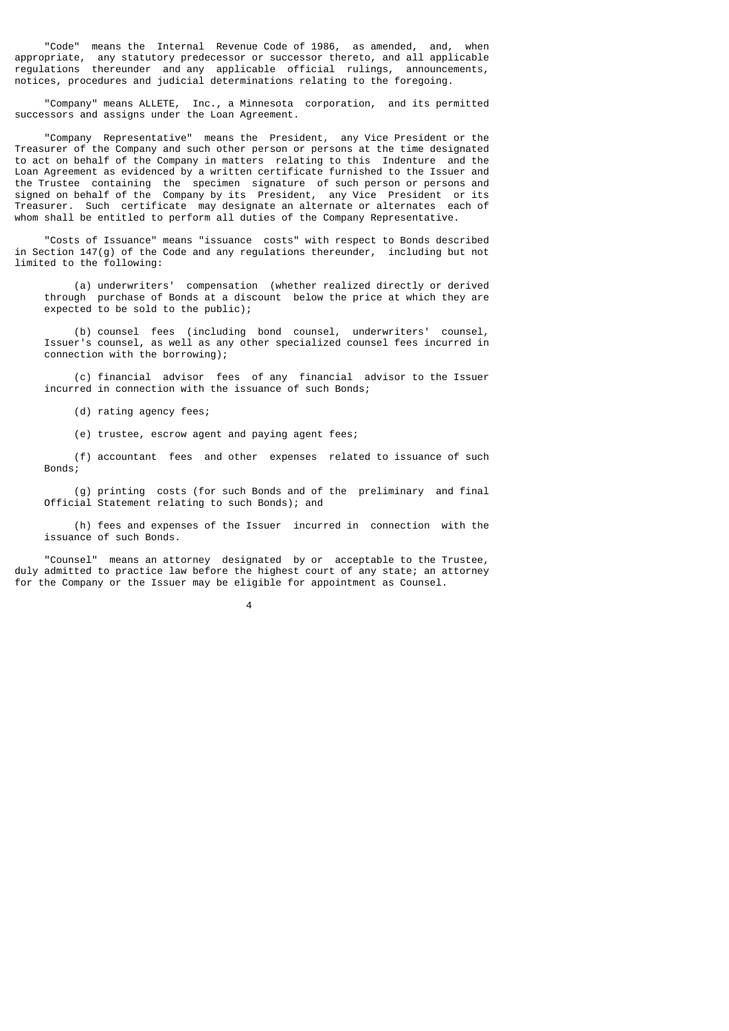"Code" means the Internal Revenue Code of 1986, as amended, and, when appropriate, any statutory predecessor or successor thereto, and all applicable regulations thereunder and any applicable official rulings, announcements, notices, procedures and judicial determinations relating to the foregoing.

 "Company" means ALLETE, Inc., a Minnesota corporation, and its permitted successors and assigns under the Loan Agreement.

 "Company Representative" means the President, any Vice President or the Treasurer of the Company and such other person or persons at the time designated to act on behalf of the Company in matters relating to this Indenture and the Loan Agreement as evidenced by a written certificate furnished to the Issuer and the Trustee containing the specimen signature of such person or persons and signed on behalf of the Company by its President, any Vice President or its Treasurer. Such certificate may designate an alternate or alternates each of whom shall be entitled to perform all duties of the Company Representative.

 "Costs of Issuance" means "issuance costs" with respect to Bonds described in Section 147(g) of the Code and any regulations thereunder, including but not limited to the following:

 (a) underwriters' compensation (whether realized directly or derived through purchase of Bonds at a discount below the price at which they are expected to be sold to the public);

 (b) counsel fees (including bond counsel, underwriters' counsel, Issuer's counsel, as well as any other specialized counsel fees incurred in connection with the borrowing);

 (c) financial advisor fees of any financial advisor to the Issuer incurred in connection with the issuance of such Bonds;

(d) rating agency fees;

(e) trustee, escrow agent and paying agent fees;

 (f) accountant fees and other expenses related to issuance of such Bonds;

 (g) printing costs (for such Bonds and of the preliminary and final Official Statement relating to such Bonds); and

 (h) fees and expenses of the Issuer incurred in connection with the issuance of such Bonds.

 "Counsel" means an attorney designated by or acceptable to the Trustee, duly admitted to practice law before the highest court of any state; an attorney for the Company or the Issuer may be eligible for appointment as Counsel.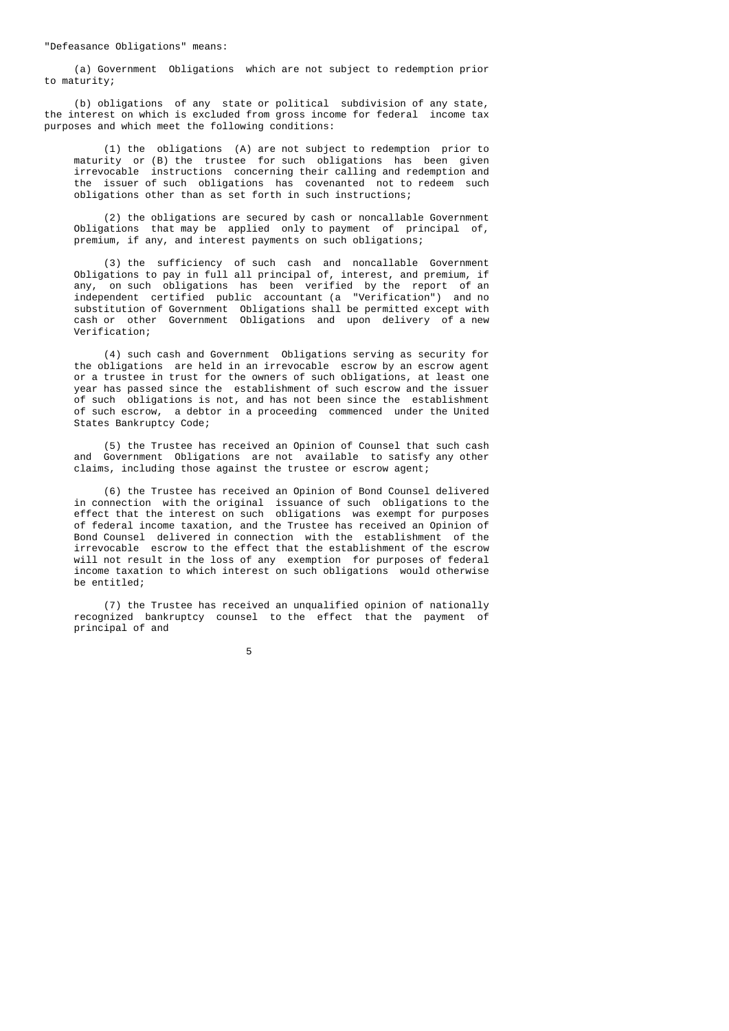(a) Government Obligations which are not subject to redemption prior to maturity;

 (b) obligations of any state or political subdivision of any state, the interest on which is excluded from gross income for federal income tax purposes and which meet the following conditions:

 (1) the obligations (A) are not subject to redemption prior to maturity or (B) the trustee for such obligations has been given irrevocable instructions concerning their calling and redemption and the issuer of such obligations has covenanted not to redeem such obligations other than as set forth in such instructions;

 (2) the obligations are secured by cash or noncallable Government Obligations that may be applied only to payment of principal of, premium, if any, and interest payments on such obligations;

 (3) the sufficiency of such cash and noncallable Government Obligations to pay in full all principal of, interest, and premium, if any, on such obligations has been verified by the report of an independent certified public accountant (a "Verification") and no substitution of Government Obligations shall be permitted except with cash or other Government Obligations and upon delivery of a new Verification;

> (4) such cash and Government Obligations serving as security for the obligations are held in an irrevocable escrow by an escrow agent or a trustee in trust for the owners of such obligations, at least one year has passed since the establishment of such escrow and the issuer of such obligations is not, and has not been since the establishment of such escrow, a debtor in a proceeding commenced under the United States Bankruptcy Code;

> (5) the Trustee has received an Opinion of Counsel that such cash and Government Obligations are not available to satisfy any other claims, including those against the trustee or escrow agent;

 (6) the Trustee has received an Opinion of Bond Counsel delivered in connection with the original issuance of such obligations to the effect that the interest on such obligations was exempt for purposes of federal income taxation, and the Trustee has received an Opinion of Bond Counsel delivered in connection with the establishment of the irrevocable escrow to the effect that the establishment of the escrow will not result in the loss of any exemption for purposes of federal income taxation to which interest on such obligations would otherwise be entitled;

> (7) the Trustee has received an unqualified opinion of nationally recognized bankruptcy counsel to the effect that the payment of principal of and

the contract of the contract of the contract of the contract of the contract of the contract of the contract o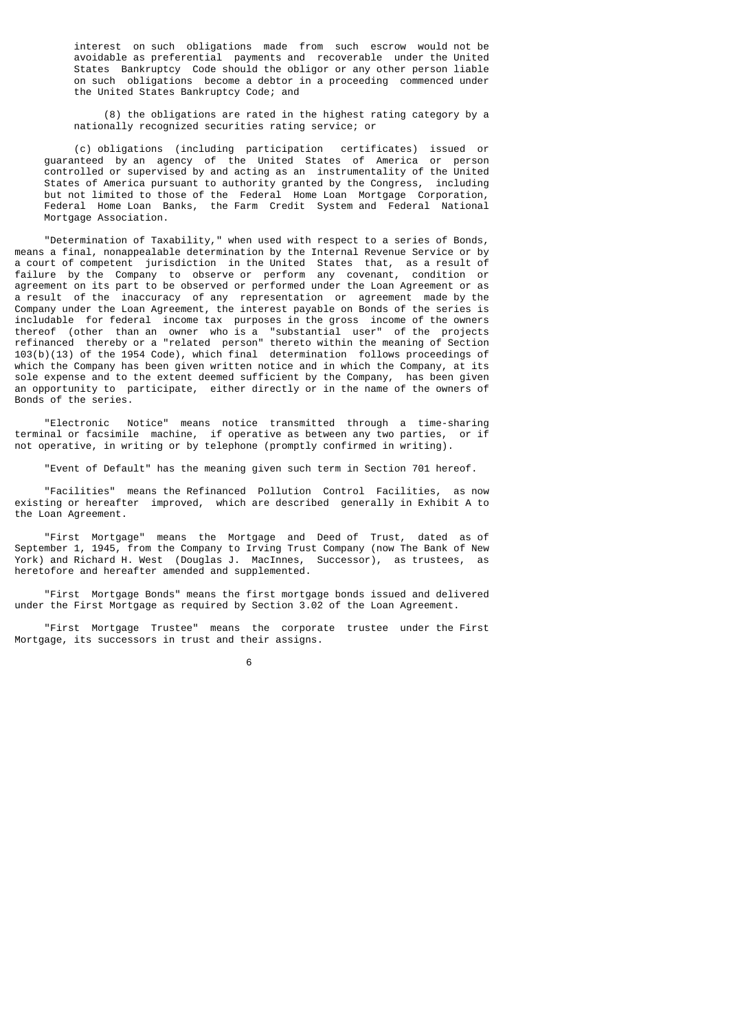interest on such obligations made from such escrow would not be avoidable as preferential payments and recoverable under the United States Bankruptcy Code should the obligor or any other person liable on such obligations become a debtor in a proceeding commenced under the United States Bankruptcy Code; and

 (8) the obligations are rated in the highest rating category by a nationally recognized securities rating service; or

 (c) obligations (including participation certificates) issued or guaranteed by an agency of the United States of America or person controlled or supervised by and acting as an instrumentality of the United States of America pursuant to authority granted by the Congress, including but not limited to those of the Federal Home Loan Mortgage Corporation, Federal Home Loan Banks, the Farm Credit System and Federal National Mortgage Association.

 "Determination of Taxability," when used with respect to a series of Bonds, means a final, nonappealable determination by the Internal Revenue Service or by a court of competent jurisdiction in the United States that, as a result of failure by the Company to observe or perform any covenant, condition or agreement on its part to be observed or performed under the Loan Agreement or as a result of the inaccuracy of any representation or agreement made by the Company under the Loan Agreement, the interest payable on Bonds of the series is includable for federal income tax purposes in the gross income of the owners thereof (other than an owner who is a "substantial user" of the projects refinanced thereby or a "related person" thereto within the meaning of Section 103(b)(13) of the 1954 Code), which final determination follows proceedings of which the Company has been given written notice and in which the Company, at its sole expense and to the extent deemed sufficient by the Company, has been given an opportunity to participate, either directly or in the name of the owners of Bonds of the series.

 "Electronic Notice" means notice transmitted through a time-sharing terminal or facsimile machine, if operative as between any two parties, or if not operative, in writing or by telephone (promptly confirmed in writing).

"Event of Default" has the meaning given such term in Section 701 hereof.

"Facilities" means the Refinanced Pollution Control Facilities, existing or hereafter improved, which are described generally in Exhibit A to the Loan Agreement.

 "First Mortgage" means the Mortgage and Deed of Trust, dated as of September 1, 1945, from the Company to Irving Trust Company (now The Bank of New York) and Richard H. West (Douglas J. MacInnes, Successor), as trustees, as heretofore and hereafter amended and supplemented.

 "First Mortgage Bonds" means the first mortgage bonds issued and delivered under the First Mortgage as required by Section 3.02 of the Loan Agreement.

 "First Mortgage Trustee" means the corporate trustee under the First Mortgage, its successors in trust and their assigns.

 $\sim$  6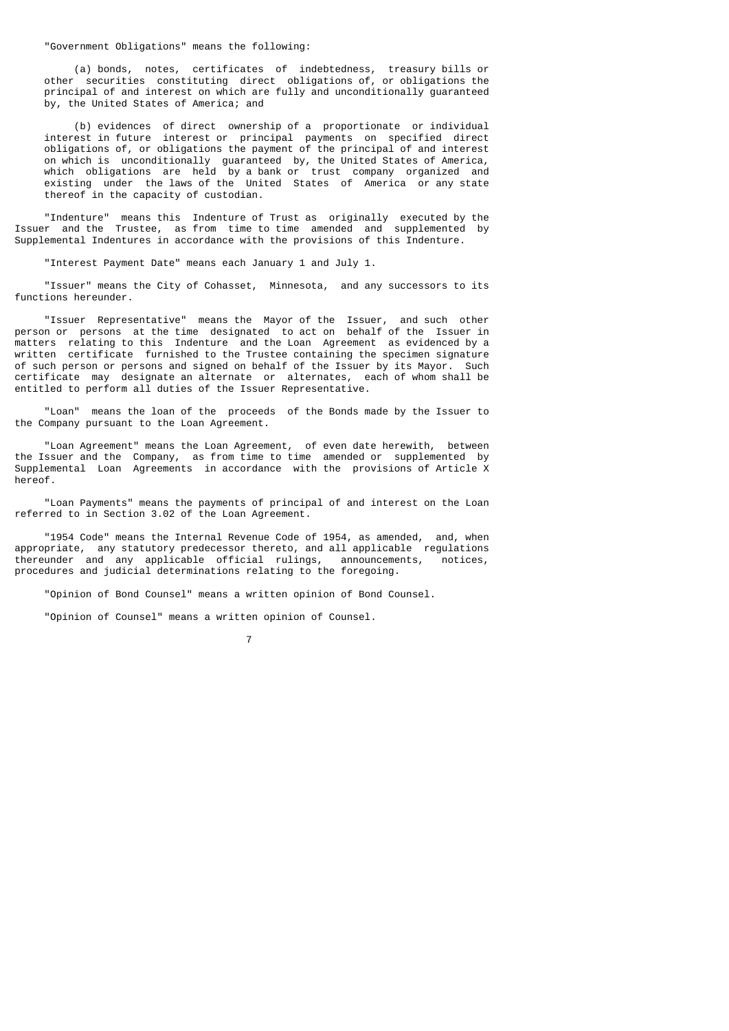"Government Obligations" means the following:

 (a) bonds, notes, certificates of indebtedness, treasury bills or other securities constituting direct obligations of, or obligations the principal of and interest on which are fully and unconditionally guaranteed by, the United States of America; and

 (b) evidences of direct ownership of a proportionate or individual interest in future interest or principal payments on specified direct obligations of, or obligations the payment of the principal of and interest on which is unconditionally guaranteed by, the United States of America, which obligations are held by a bank or trust company organized and existing under the laws of the United States of America or any state thereof in the capacity of custodian.

 "Indenture" means this Indenture of Trust as originally executed by the Issuer and the Trustee, as from time to time amended and supplemented by Supplemental Indentures in accordance with the provisions of this Indenture.

"Interest Payment Date" means each January 1 and July 1.

 "Issuer" means the City of Cohasset, Minnesota, and any successors to its functions hereunder.

 "Issuer Representative" means the Mayor of the Issuer, and such other person or persons at the time designated to act on behalf of the Issuer in matters relating to this Indenture and the Loan Agreement as evidenced by a written certificate furnished to the Trustee containing the specimen signature of such person or persons and signed on behalf of the Issuer by its Mayor. Such certificate may designate an alternate or alternates, each of whom shall be entitled to perform all duties of the Issuer Representative.

 "Loan" means the loan of the proceeds of the Bonds made by the Issuer to the Company pursuant to the Loan Agreement.

 "Loan Agreement" means the Loan Agreement, of even date herewith, between the Issuer and the Company, as from time to time amended or supplemented by Supplemental Loan Agreements in accordance with the provisions of Article X hereof.

 "Loan Payments" means the payments of principal of and interest on the Loan referred to in Section 3.02 of the Loan Agreement.

 "1954 Code" means the Internal Revenue Code of 1954, as amended, and, when appropriate, any statutory predecessor thereto, and all applicable regulations thereunder and any applicable official rulings, announcements, notices, procedures and judicial determinations relating to the foregoing.

"Opinion of Bond Counsel" means a written opinion of Bond Counsel.

"Opinion of Counsel" means a written opinion of Counsel.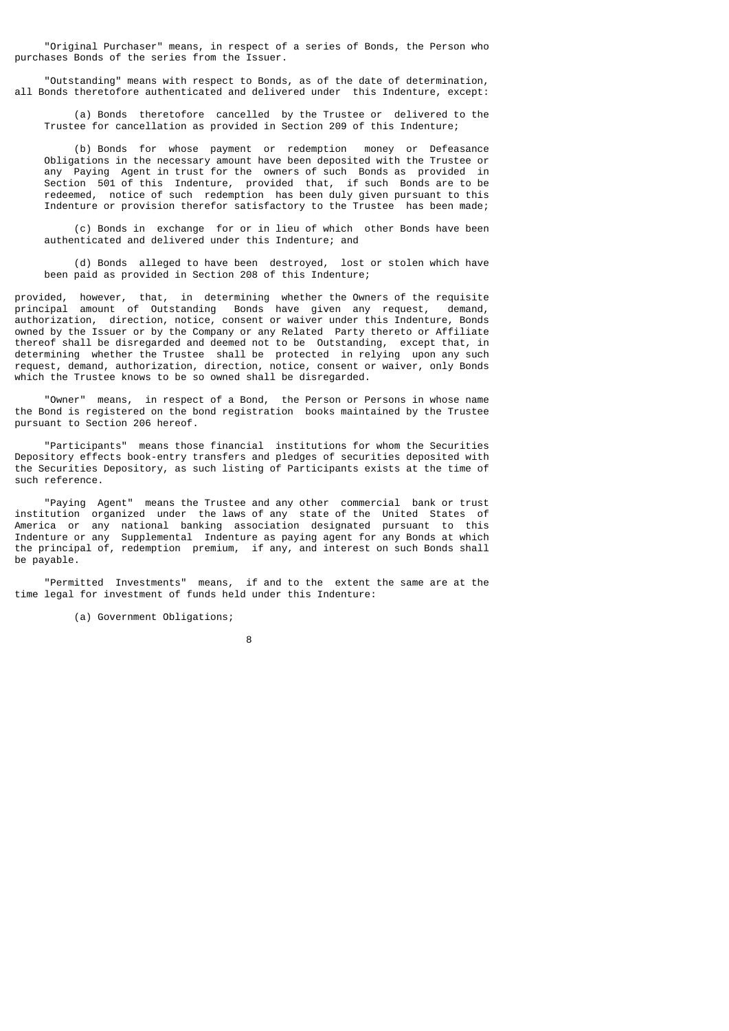"Original Purchaser" means, in respect of a series of Bonds, the Person who purchases Bonds of the series from the Issuer.

 "Outstanding" means with respect to Bonds, as of the date of determination, all Bonds theretofore authenticated and delivered under this Indenture, except:

 (a) Bonds theretofore cancelled by the Trustee or delivered to the Trustee for cancellation as provided in Section 209 of this Indenture;

 (b) Bonds for whose payment or redemption money or Defeasance Obligations in the necessary amount have been deposited with the Trustee or any Paying Agent in trust for the owners of such Bonds as provided in Section 501 of this Indenture, provided that, if such Bonds are to be redeemed, notice of such redemption has been duly given pursuant to this Indenture or provision therefor satisfactory to the Trustee has been made;

 (c) Bonds in exchange for or in lieu of which other Bonds have been authenticated and delivered under this Indenture; and

 (d) Bonds alleged to have been destroyed, lost or stolen which have been paid as provided in Section 208 of this Indenture;

provided, however, that, in determining whether the Owners of the requisite principal amount of Outstanding Bonds have given any request, demand, authorization, direction, notice, consent or waiver under this Indenture, Bonds owned by the Issuer or by the Company or any Related Party thereto or Affiliate thereof shall be disregarded and deemed not to be Outstanding, except that, in determining whether the Trustee shall be protected in relying upon any such request, demand, authorization, direction, notice, consent or waiver, only Bonds which the Trustee knows to be so owned shall be disregarded.

 "Owner" means, in respect of a Bond, the Person or Persons in whose name the Bond is registered on the bond registration books maintained by the Trustee pursuant to Section 206 hereof.

 "Participants" means those financial institutions for whom the Securities Depository effects book-entry transfers and pledges of securities deposited with the Securities Depository, as such listing of Participants exists at the time of such reference.

 "Paying Agent" means the Trustee and any other commercial bank or trust institution organized under the laws of any state of the United States of America or any national banking association designated pursuant to this Indenture or any Supplemental Indenture as paying agent for any Bonds at which the principal of, redemption premium, if any, and interest on such Bonds shall be payable.

 "Permitted Investments" means, if and to the extent the same are at the time legal for investment of funds held under this Indenture:

(a) Government Obligations;

e de la construcción de la construcción de la construcción de la construcción de la construcción de la constru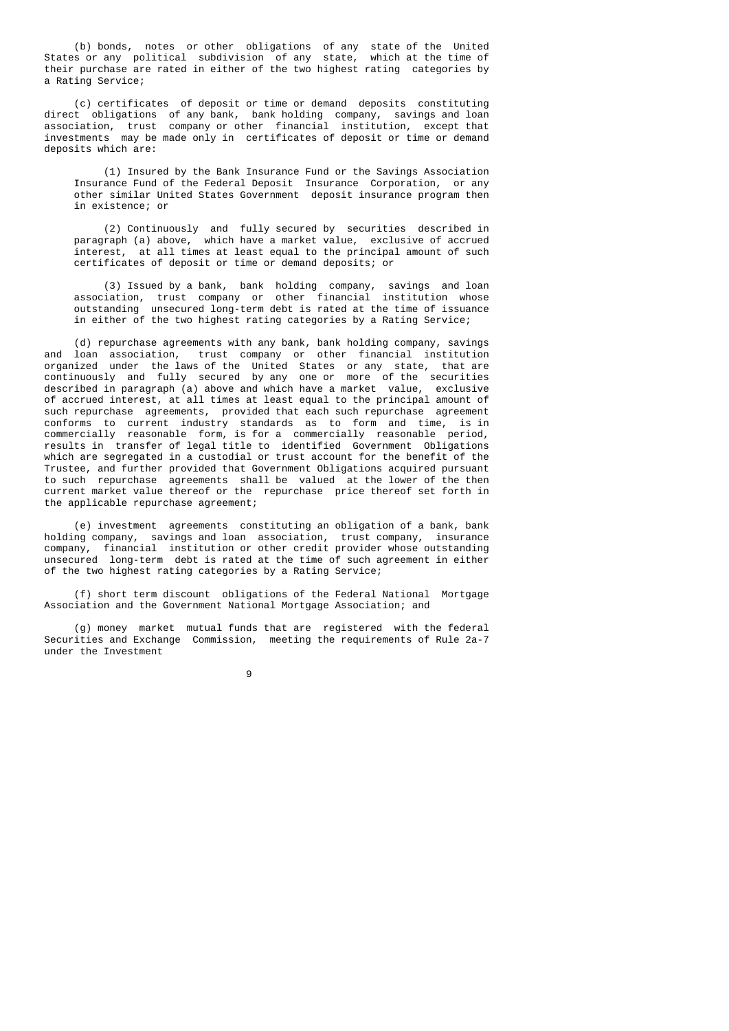(b) bonds, notes or other obligations of any state of the United States or any political subdivision of any state, which at the time of their purchase are rated in either of the two highest rating categories by a Rating Service;

 (c) certificates of deposit or time or demand deposits constituting direct obligations of any bank, bank holding company, savings and loan association, trust company or other financial institution, except that investments may be made only in certificates of deposit or time or demand deposits which are:

 (1) Insured by the Bank Insurance Fund or the Savings Association Insurance Fund of the Federal Deposit Insurance Corporation, or any other similar United States Government deposit insurance program then in existence; or

 (2) Continuously and fully secured by securities described in paragraph (a) above, which have a market value, exclusive of accrued interest, at all times at least equal to the principal amount of such certificates of deposit or time or demand deposits; or

 (3) Issued by a bank, bank holding company, savings and loan association, trust company or other financial institution whose outstanding unsecured long-term debt is rated at the time of issuance in either of the two highest rating categories by a Rating Service;

 (d) repurchase agreements with any bank, bank holding company, savings and loan association, trust company or other financial institution organized under the laws of the United States or any state, that are continuously and fully secured by any one or more of the securities described in paragraph (a) above and which have a market value, exclusive of accrued interest, at all times at least equal to the principal amount of such repurchase agreements, provided that each such repurchase agreement conforms to current industry standards as to form and time, is in commercially reasonable form, is for a commercially reasonable period, results in transfer of legal title to identified Government Obligations which are segregated in a custodial or trust account for the benefit of the Trustee, and further provided that Government Obligations acquired pursuant to such repurchase agreements shall be valued at the lower of the then current market value thereof or the repurchase price thereof set forth in the applicable repurchase agreement;

 (e) investment agreements constituting an obligation of a bank, bank holding company, savings and loan association, trust company, insurance company, financial institution or other credit provider whose outstanding unsecured long-term debt is rated at the time of such agreement in either of the two highest rating categories by a Rating Service;

 (f) short term discount obligations of the Federal National Mortgage Association and the Government National Mortgage Association; and

 (g) money market mutual funds that are registered with the federal Securities and Exchange Commission, meeting the requirements of Rule 2a-7 under the Investment

9 and 20 and 20 and 20 and 20 and 20 and 20 and 20 and 20 and 20 and 20 and 20 and 20 and 20 and 20 and 20 and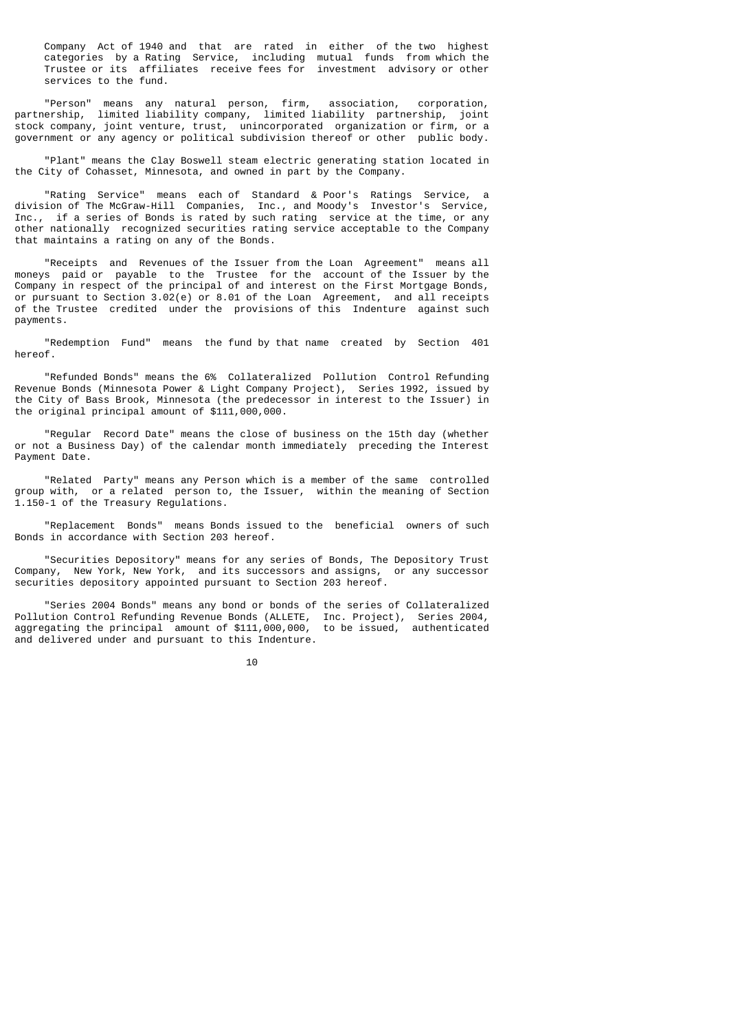Company Act of 1940 and that are rated in either of the two highest categories by a Rating Service, including mutual funds from which the Trustee or its affiliates receive fees for investment advisory or other services to the fund.

 "Person" means any natural person, firm, association, corporation, partnership, limited liability company, limited liability partnership, joint stock company, joint venture, trust, unincorporated organization or firm, or a government or any agency or political subdivision thereof or other public body.

 "Plant" means the Clay Boswell steam electric generating station located in the City of Cohasset, Minnesota, and owned in part by the Company.

 "Rating Service" means each of Standard & Poor's Ratings Service, a division of The McGraw-Hill Companies, Inc., and Moody's Investor's Service, Inc., if a series of Bonds is rated by such rating service at the time, or any other nationally recognized securities rating service acceptable to the Company that maintains a rating on any of the Bonds.

 "Receipts and Revenues of the Issuer from the Loan Agreement" means all moneys paid or payable to the Trustee for the account of the Issuer by the Company in respect of the principal of and interest on the First Mortgage Bonds, or pursuant to Section 3.02(e) or 8.01 of the Loan Agreement, and all receipts of the Trustee credited under the provisions of this Indenture against such payments.

 "Redemption Fund" means the fund by that name created by Section 401 hereof.

 "Refunded Bonds" means the 6% Collateralized Pollution Control Refunding Revenue Bonds (Minnesota Power & Light Company Project), Series 1992, issued by the City of Bass Brook, Minnesota (the predecessor in interest to the Issuer) in the original principal amount of \$111,000,000.

 "Regular Record Date" means the close of business on the 15th day (whether or not a Business Day) of the calendar month immediately preceding the Interest Payment Date.

 "Related Party" means any Person which is a member of the same controlled group with, or a related person to, the Issuer, within the meaning of Section 1.150-1 of the Treasury Regulations.

 "Replacement Bonds" means Bonds issued to the beneficial owners of such Bonds in accordance with Section 203 hereof.

 "Securities Depository" means for any series of Bonds, The Depository Trust Company, New York, New York, and its successors and assigns, or any successor securities depository appointed pursuant to Section 203 hereof.

 "Series 2004 Bonds" means any bond or bonds of the series of Collateralized Pollution Control Refunding Revenue Bonds (ALLETE, Inc. Project), Series 2004, aggregating the principal amount of \$111,000,000, to be issued, authenticated and delivered under and pursuant to this Indenture.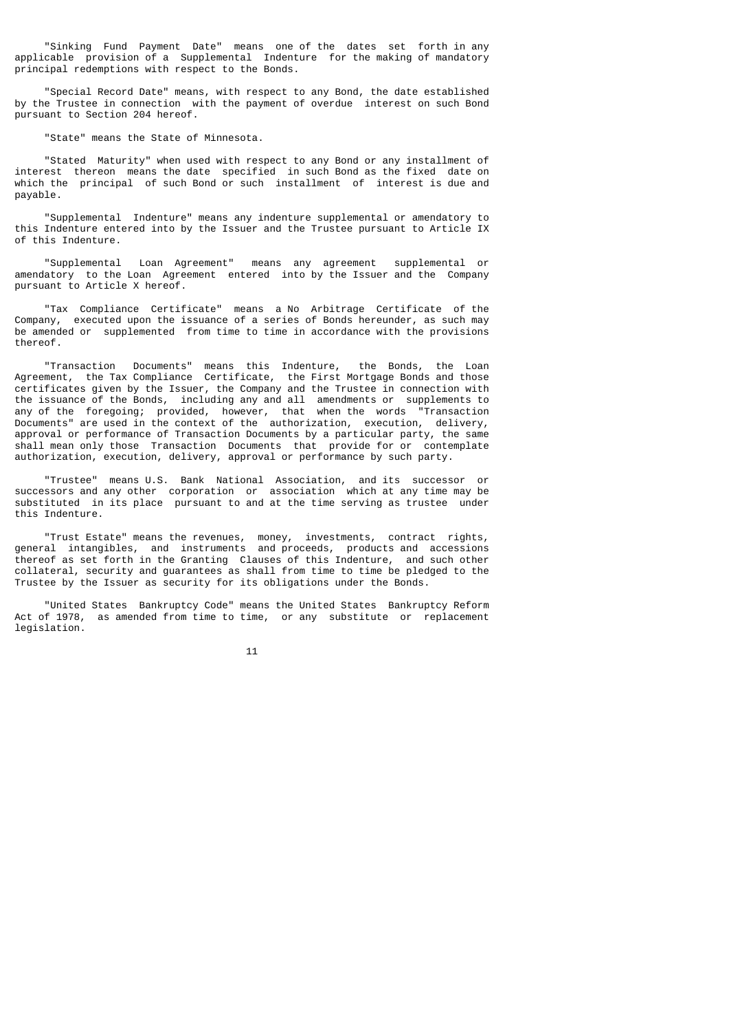"Sinking Fund Payment Date" means one of the dates set forth in any applicable provision of a Supplemental Indenture for the making of mandatory principal redemptions with respect to the Bonds.

 "Special Record Date" means, with respect to any Bond, the date established by the Trustee in connection with the payment of overdue interest on such Bond pursuant to Section 204 hereof.

"State" means the State of Minnesota.

 "Stated Maturity" when used with respect to any Bond or any installment of interest thereon means the date specified in such Bond as the fixed date on which the principal of such Bond or such installment of interest is due and payable.

 "Supplemental Indenture" means any indenture supplemental or amendatory to this Indenture entered into by the Issuer and the Trustee pursuant to Article IX of this Indenture.

 "Supplemental Loan Agreement" means any agreement supplemental or amendatory to the Loan Agreement entered into by the Issuer and the Company pursuant to Article X hereof.

 "Tax Compliance Certificate" means a No Arbitrage Certificate of the Company, executed upon the issuance of a series of Bonds hereunder, as such may be amended or supplemented from time to time in accordance with the provisions thereof.

 "Transaction Documents" means this Indenture, the Bonds, the Loan Agreement, the Tax Compliance Certificate, the First Mortgage Bonds and those certificates given by the Issuer, the Company and the Trustee in connection with the issuance of the Bonds, including any and all amendments or supplements to any of the foregoing; provided, however, that when the words "Transaction Documents" are used in the context of the authorization, execution, delivery, approval or performance of Transaction Documents by a particular party, the same shall mean only those Transaction Documents that provide for or contemplate authorization, execution, delivery, approval or performance by such party.

 "Trustee" means U.S. Bank National Association, and its successor or successors and any other corporation or association which at any time may be substituted in its place pursuant to and at the time serving as trustee under this Indenture.

 "Trust Estate" means the revenues, money, investments, contract rights, general intangibles, and instruments and proceeds, products and accessions thereof as set forth in the Granting Clauses of this Indenture, and such other collateral, security and guarantees as shall from time to time be pledged to the Trustee by the Issuer as security for its obligations under the Bonds.

 "United States Bankruptcy Code" means the United States Bankruptcy Reform Act of 1978, as amended from time to time, or any substitute or replacement legislation.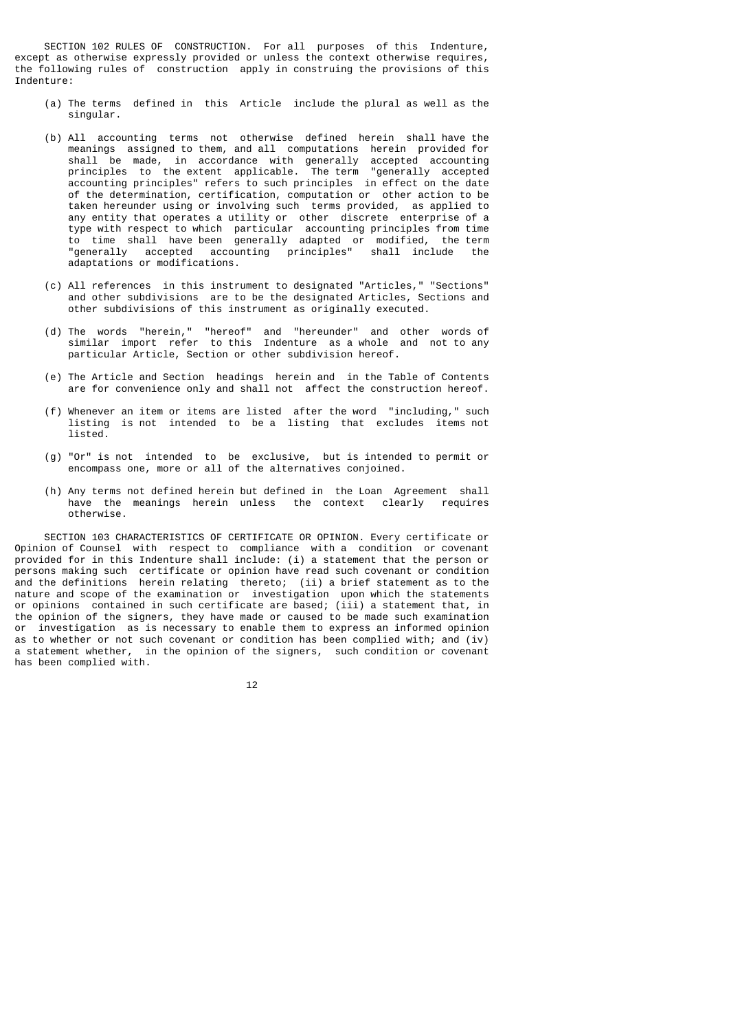SECTION 102 RULES OF CONSTRUCTION. For all purposes of this Indenture, except as otherwise expressly provided or unless the context otherwise requires, the following rules of construction apply in construing the provisions of this Indenture:

- (a) The terms defined in this Article include the plural as well as the singular.
- (b) All accounting terms not otherwise defined herein shall have the meanings assigned to them, and all computations herein provided for shall be made, in accordance with generally accepted accounting<br>principles to the extent applicable. The term "generally accepted principles to the extent applicable. accounting principles" refers to such principles in effect on the date of the determination, certification, computation or other action to be taken hereunder using or involving such terms provided, as applied to any entity that operates a utility or other discrete enterprise of a type with respect to which particular accounting principles from time to time shall have been generally adapted or modified, the term "generally accepted accounting principles" shall include the adaptations or modifications.
	- (c) All references in this instrument to designated "Articles," "Sections" and other subdivisions are to be the designated Articles, Sections and other subdivisions of this instrument as originally executed.
- (d) The words "herein," "hereof" and "hereunder" and other words of similar import refer to this Indenture as a whole and not to any particular Article, Section or other subdivision hereof.
	- (e) The Article and Section headings herein and in the Table of Contents are for convenience only and shall not affect the construction hereof.
	- (f) Whenever an item or items are listed after the word "including," such listing is not intended to be a listing that excludes items not listed.
	- (g) "Or" is not intended to be exclusive, but is intended to permit or encompass one, more or all of the alternatives conjoined.
	- (h) Any terms not defined herein but defined in the Loan Agreement shall have the meanings herein unless the context clearly requires otherwise.

 SECTION 103 CHARACTERISTICS OF CERTIFICATE OR OPINION. Every certificate or Opinion of Counsel with respect to compliance with a condition or covenant provided for in this Indenture shall include: (i) a statement that the person or persons making such certificate or opinion have read such covenant or condition and the definitions herein relating thereto; (ii) a brief statement as to the nature and scope of the examination or investigation upon which the statements or opinions contained in such certificate are based; (iii) a statement that, in the opinion of the signers, they have made or caused to be made such examination or investigation as is necessary to enable them to express an informed opinion as to whether or not such covenant or condition has been complied with; and (iv) a statement whether, in the opinion of the signers, such condition or covenant has been complied with.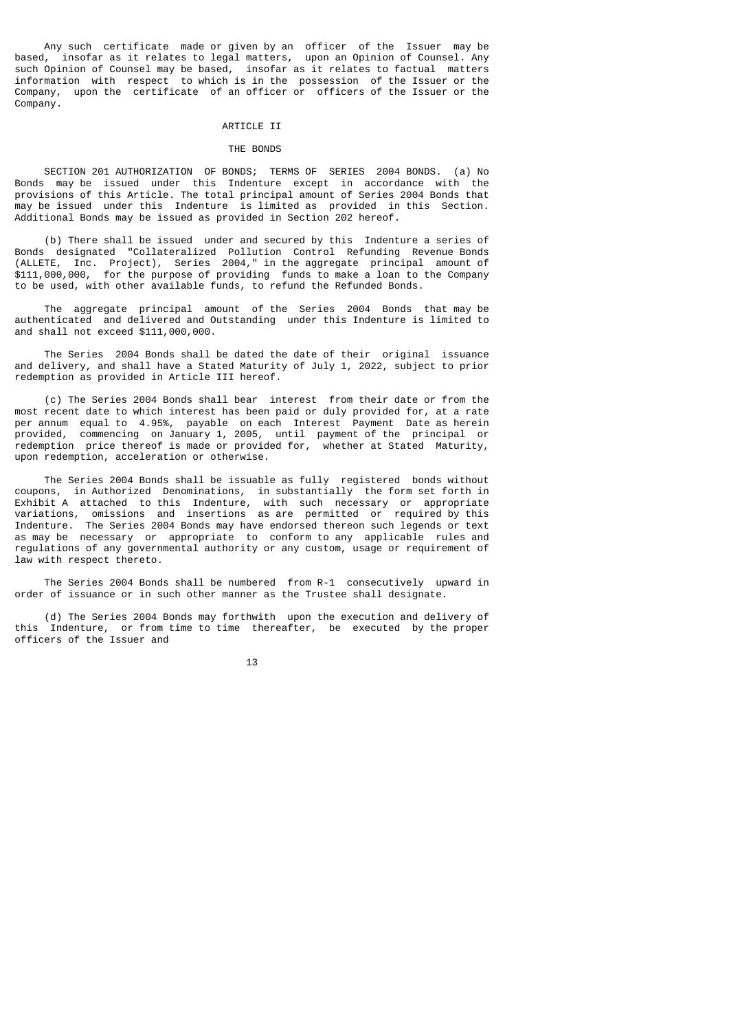Any such certificate made or given by an officer of the Issuer may be based, insofar as it relates to legal matters, upon an Opinion of Counsel. Any such Opinion of Counsel may be based, insofar as it relates to factual matters information with respect to which is in the possession of the Issuer or the Company, upon the certificate of an officer or officers of the Issuer or the Company.

## ARTICLE II

#### THE BONDS

 SECTION 201 AUTHORIZATION OF BONDS; TERMS OF SERIES 2004 BONDS. (a) No Bonds may be issued under this Indenture except in accordance with the provisions of this Article. The total principal amount of Series 2004 Bonds that may be issued under this Indenture is limited as provided in this Section. Additional Bonds may be issued as provided in Section 202 hereof.

 (b) There shall be issued under and secured by this Indenture a series of Bonds designated "Collateralized Pollution Control Refunding Revenue Bonds (ALLETE, Inc. Project), Series 2004," in the aggregate principal amount of \$111,000,000, for the purpose of providing funds to make a loan to the Company to be used, with other available funds, to refund the Refunded Bonds.

 The aggregate principal amount of the Series 2004 Bonds that may be authenticated and delivered and Outstanding under this Indenture is limited to and shall not exceed \$111,000,000.

 The Series 2004 Bonds shall be dated the date of their original issuance and delivery, and shall have a Stated Maturity of July 1, 2022, subject to prior redemption as provided in Article III hereof.

 (c) The Series 2004 Bonds shall bear interest from their date or from the most recent date to which interest has been paid or duly provided for, at a rate per annum equal to 4.95%, payable on each Interest Payment Date as herein provided, commencing on January 1, 2005, until payment of the principal or redemption price thereof is made or provided for, whether at Stated Maturity, upon redemption, acceleration or otherwise.

 The Series 2004 Bonds shall be issuable as fully registered bonds without coupons, in Authorized Denominations, in substantially the form set forth in Exhibit A attached to this Indenture, with such necessary or appropriate variations, omissions and insertions as are permitted or required by this Indenture. The Series 2004 Bonds may have endorsed thereon such legends or text as may be necessary or appropriate to conform to any applicable rules and regulations of any governmental authority or any custom, usage or requirement of law with respect thereto.

 The Series 2004 Bonds shall be numbered from R-1 consecutively upward in order of issuance or in such other manner as the Trustee shall designate.

 (d) The Series 2004 Bonds may forthwith upon the execution and delivery of this Indenture, or from time to time thereafter, be executed by the proper officers of the Issuer and

13 and 13 and 13 and 13 and 13 and 13 and 13 and 13 and 13 and 13 and 13 and 13 and 13 and 13 and 13 and 13 an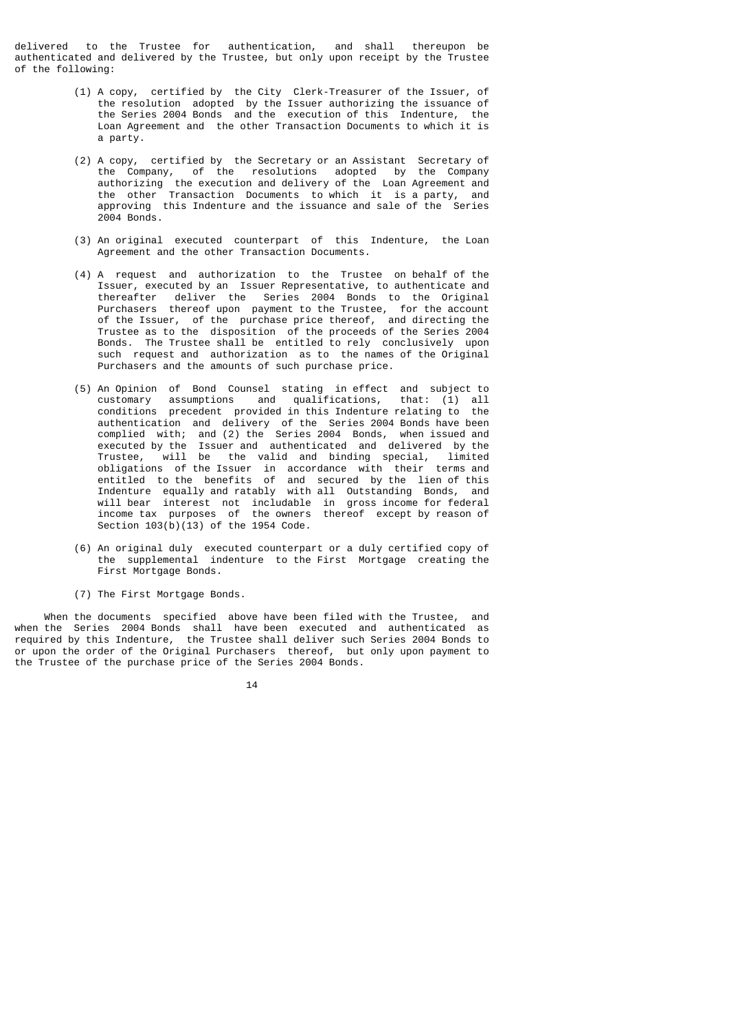delivered to the Trustee for authentication, and shall thereupon be authenticated and delivered by the Trustee, but only upon receipt by the Trustee of the following:

- (1) A copy, certified by the City Clerk-Treasurer of the Issuer, of the resolution adopted by the Issuer authorizing the issuance of the Series 2004 Bonds and the execution of this Indenture, the Loan Agreement and the other Transaction Documents to which it is a party.
- (2) A copy, certified by the Secretary or an Assistant Secretary of the Company, of the resolutions adopted by the Company authorizing the execution and delivery of the Loan Agreement and the other Transaction Documents to which it is a party, and approving this Indenture and the issuance and sale of the Series 2004 Bonds.
	- (3) An original executed counterpart of this Indenture, the Loan Agreement and the other Transaction Documents.
- (4) A request and authorization to the Trustee on behalf of the Issuer, executed by an Issuer Representative, to authenticate and thereafter deliver the Series 2004 Bonds to the Original Purchasers thereof upon payment to the Trustee, for the account of the Issuer, of the purchase price thereof, and directing the Trustee as to the disposition of the proceeds of the Series 2004 Bonds. The Trustee shall be entitled to rely conclusively upon such request and authorization as to the names of the Original Purchasers and the amounts of such purchase price.
- (5) An Opinion of Bond Counsel stating in effect and subject to customary assumptions and qualifications, that: (1) all conditions precedent provided in this Indenture relating to the authentication and delivery of the Series 2004 Bonds have been complied with; and (2) the Series 2004 Bonds, when issued and executed by the Issuer and authenticated and delivered by the Trustee, will be the valid and binding special, limited obligations of the Issuer in accordance with their terms and entitled to the benefits of and secured by the lien of this Indenture equally and ratably with all Outstanding Bonds, and will bear interest not includable in gross income for federal income tax purposes of the owners thereof except by reason of Section  $103(b)(13)$  of the 1954 Code.
- (6) An original duly executed counterpart or a duly certified copy of the supplemental indenture to the First Mortgage creating the First Mortgage Bonds.
	- (7) The First Mortgage Bonds.

 When the documents specified above have been filed with the Trustee, and when the Series 2004 Bonds shall have been executed and authenticated as required by this Indenture, the Trustee shall deliver such Series 2004 Bonds to or upon the order of the Original Purchasers thereof, but only upon payment to the Trustee of the purchase price of the Series 2004 Bonds.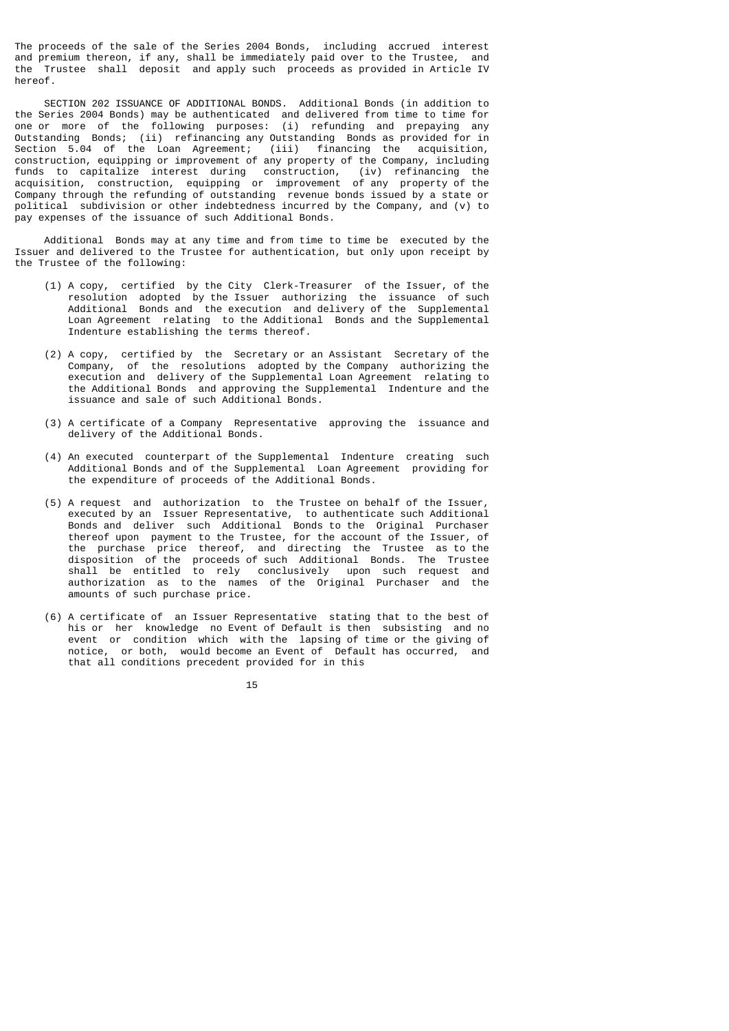The proceeds of the sale of the Series 2004 Bonds, including accrued interest and premium thereon, if any, shall be immediately paid over to the Trustee, and the Trustee shall deposit and apply such proceeds as provided in Article IV hereof.

 SECTION 202 ISSUANCE OF ADDITIONAL BONDS. Additional Bonds (in addition to the Series 2004 Bonds) may be authenticated and delivered from time to time for one or more of the following purposes: (i) refunding and prepaying any Outstanding Bonds; (ii) refinancing any Outstanding Bonds as provided for in Section 5.04 of the Loan Agreement; (iii) financing the acquisition, construction, equipping or improvement of any property of the Company, including funds to capitalize interest during construction, (iv) refinancing the acquisition, construction, equipping or improvement of any property of the Company through the refunding of outstanding revenue bonds issued by a state or political subdivision or other indebtedness incurred by the Company, and (v) to pay expenses of the issuance of such Additional Bonds.

 Additional Bonds may at any time and from time to time be executed by the Issuer and delivered to the Trustee for authentication, but only upon receipt by the Trustee of the following:

- (1) A copy, certified by the City Clerk-Treasurer of the Issuer, of the resolution adopted by the Issuer authorizing the issuance of such Additional Bonds and the execution and delivery of the Supplemental Loan Agreement relating to the Additional Bonds and the Supplemental Indenture establishing the terms thereof.
- (2) A copy, certified by the Secretary or an Assistant Secretary of the Company, of the resolutions adopted by the Company authorizing the execution and delivery of the Supplemental Loan Agreement relating to the Additional Bonds and approving the Supplemental Indenture and the issuance and sale of such Additional Bonds.
- (3) A certificate of a Company Representative approving the issuance and delivery of the Additional Bonds.
- (4) An executed counterpart of the Supplemental Indenture creating such Additional Bonds and of the Supplemental Loan Agreement providing for the expenditure of proceeds of the Additional Bonds.
- (5) A request and authorization to the Trustee on behalf of the Issuer, executed by an Issuer Representative, to authenticate such Additional Bonds and deliver such Additional Bonds to the Original Purchaser thereof upon payment to the Trustee, for the account of the Issuer, of the purchase price thereof, and directing the Trustee as to the disposition of the proceeds of such Additional Bonds. The Trustee shall be entitled to rely conclusively upon such request and authorization as to the names of the Original Purchaser and the amounts of such purchase price.
	- (6) A certificate of an Issuer Representative stating that to the best of his or her knowledge no Event of Default is then subsisting and no event or condition which with the lapsing of time or the giving of notice, or both, would become an Event of Default has occurred, and that all conditions precedent provided for in this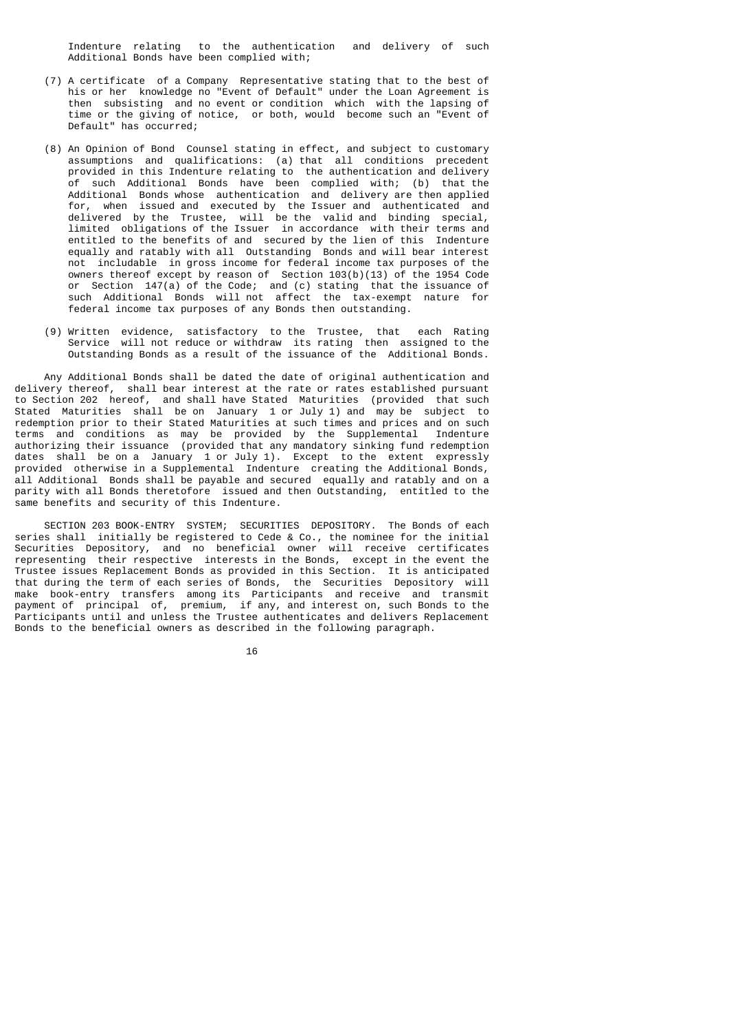Indenture relating to the authentication and delivery of such Additional Bonds have been complied with;

- (7) A certificate of a Company Representative stating that to the best of his or her knowledge no "Event of Default" under the Loan Agreement is then subsisting and no event or condition which with the lapsing of time or the giving of notice, or both, would become such an "Event of Default" has occurred;
- (8) An Opinion of Bond Counsel stating in effect, and subject to customary assumptions and qualifications: (a) that all conditions precedent provided in this Indenture relating to the authentication and delivery of such Additional Bonds have been complied with; (b) that the Additional Bonds whose authentication and delivery are then applied for, when issued and executed by the Issuer and authenticated and delivered by the Trustee, will be the valid and binding special, limited obligations of the Issuer in accordance with their terms and entitled to the benefits of and secured by the lien of this Indenture equally and ratably with all Outstanding Bonds and will bear interest not includable in gross income for federal income tax purposes of the owners thereof except by reason of Section 103(b)(13) of the 1954 Code or Section 147(a) of the Code; and (c) stating that the issuance of such Additional Bonds will not affect the tax-exempt nature for federal income tax purposes of any Bonds then outstanding.
	- (9) Written evidence, satisfactory to the Trustee, that each Rating Service will not reduce or withdraw its rating then assigned to the Outstanding Bonds as a result of the issuance of the Additional Bonds.

 Any Additional Bonds shall be dated the date of original authentication and delivery thereof, shall bear interest at the rate or rates established pursuant to Section 202 hereof, and shall have Stated Maturities (provided that such Stated Maturities shall be on January 1 or July 1) and may be subject to redemption prior to their Stated Maturities at such times and prices and on such terms and conditions as may be provided by the Supplemental Indenture authorizing their issuance (provided that any mandatory sinking fund redemption dates shall be on a January 1 or July 1). Except to the extent expressly provided otherwise in a Supplemental Indenture creating the Additional Bonds, all Additional Bonds shall be payable and secured equally and ratably and on a parity with all Bonds theretofore issued and then Outstanding, entitled to the same benefits and security of this Indenture.

 SECTION 203 BOOK-ENTRY SYSTEM; SECURITIES DEPOSITORY. The Bonds of each series shall initially be registered to Cede & Co., the nominee for the initial Securities Depository, and no beneficial owner will receive certificates representing their respective interests in the Bonds, except in the event the Trustee issues Replacement Bonds as provided in this Section. It is anticipated that during the term of each series of Bonds, the Securities Depository will make book-entry transfers among its Participants and receive and transmit payment of principal of, premium, if any, and interest on, such Bonds to the Participants until and unless the Trustee authenticates and delivers Replacement Bonds to the beneficial owners as described in the following paragraph.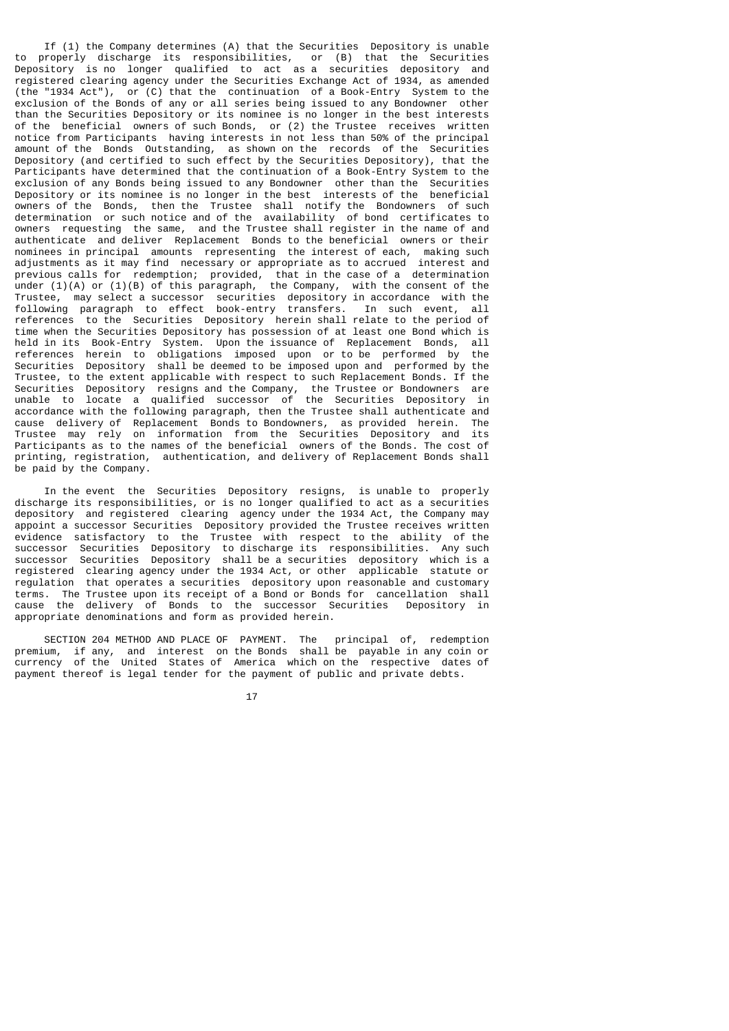If (1) the Company determines (A) that the Securities Depository is unable to properly discharge its responsibilities, or (B) that the Securities Depository is no longer qualified to act as a securities depository and registered clearing agency under the Securities Exchange Act of 1934, as amended (the "1934 Act"), or (C) that the continuation of a Book-Entry System to the exclusion of the Bonds of any or all series being issued to any Bondowner other than the Securities Depository or its nominee is no longer in the best interests of the beneficial owners of such Bonds, or (2) the Trustee receives written notice from Participants having interests in not less than 50% of the principal amount of the Bonds Outstanding, as shown on the records of the Securities Depository (and certified to such effect by the Securities Depository), that the Participants have determined that the continuation of a Book-Entry System to the exclusion of any Bonds being issued to any Bondowner other than the Securities Depository or its nominee is no longer in the best interests of the beneficial owners of the Bonds, then the Trustee shall notify the Bondowners of such determination or such notice and of the availability of bond certificates to owners requesting the same, and the Trustee shall register in the name of and authenticate and deliver Replacement Bonds to the beneficial owners or their nominees in principal amounts representing the interest of each, making such adjustments as it may find necessary or appropriate as to accrued interest and previous calls for redemption; provided, that in the case of a determination under (1)(A) or (1)(B) of this paragraph, the Company, with the consent of the Trustee, may select a successor securities depository in accordance with the following paragraph to effect book-entry transfers. In such event, all references to the Securities Depository herein shall relate to the period of time when the Securities Depository has possession of at least one Bond which is held in its Book-Entry System. Upon the issuance of Replacement Bonds, all references herein to obligations imposed upon or to be performed by the Securities Depository shall be deemed to be imposed upon and performed by the Trustee, to the extent applicable with respect to such Replacement Bonds. If the Securities Depository resigns and the Company, the Trustee or Bondowners are unable to locate a qualified successor of the Securities Depository in accordance with the following paragraph, then the Trustee shall authenticate and cause delivery of Replacement Bonds to Bondowners, as provided herein. The Trustee may rely on information from the Securities Depository and its Participants as to the names of the beneficial owners of the Bonds. The cost of printing, registration, authentication, and delivery of Replacement Bonds shall be paid by the Company.

 In the event the Securities Depository resigns, is unable to properly discharge its responsibilities, or is no longer qualified to act as a securities depository and registered clearing agency under the 1934 Act, the Company may appoint a successor Securities Depository provided the Trustee receives written evidence satisfactory to the Trustee with respect to the ability of the successor Securities Depository to discharge its responsibilities. Any such successor Securities Depository shall be a securities depository which is a registered clearing agency under the 1934 Act, or other applicable statute or regulation that operates a securities depository upon reasonable and customary terms. The Trustee upon its receipt of a Bond or Bonds for cancellation shall cause the delivery of Bonds to the successor Securities Depository in appropriate denominations and form as provided herein.

 SECTION 204 METHOD AND PLACE OF PAYMENT. The principal of, redemption premium, if any, and interest on the Bonds shall be payable in any coin or currency of the United States of America which on the respective dates of payment thereof is legal tender for the payment of public and private debts.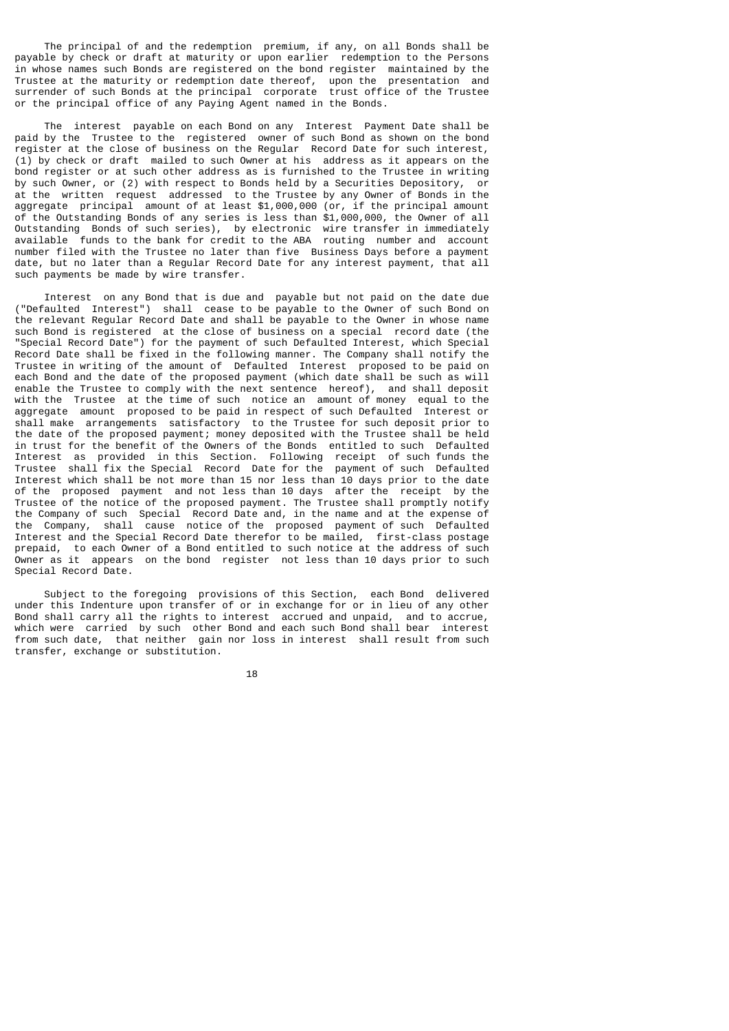The principal of and the redemption premium, if any, on all Bonds shall be payable by check or draft at maturity or upon earlier redemption to the Persons in whose names such Bonds are registered on the bond register maintained by the Trustee at the maturity or redemption date thereof, upon the presentation and surrender of such Bonds at the principal corporate trust office of the Trustee or the principal office of any Paying Agent named in the Bonds.

 The interest payable on each Bond on any Interest Payment Date shall be paid by the Trustee to the registered owner of such Bond as shown on the bond register at the close of business on the Regular Record Date for such interest, (1) by check or draft mailed to such Owner at his address as it appears on the bond register or at such other address as is furnished to the Trustee in writing by such Owner, or (2) with respect to Bonds held by a Securities Depository, or at the written request addressed to the Trustee by any Owner of Bonds in the aggregate principal amount of at least \$1,000,000 (or, if the principal amount of the Outstanding Bonds of any series is less than \$1,000,000, the Owner of all Outstanding Bonds of such series), by electronic wire transfer in immediately available funds to the bank for credit to the ABA routing number and account number filed with the Trustee no later than five Business Days before a payment date, but no later than a Regular Record Date for any interest payment, that all such payments be made by wire transfer.

 Interest on any Bond that is due and payable but not paid on the date due ("Defaulted Interest") shall cease to be payable to the Owner of such Bond on the relevant Regular Record Date and shall be payable to the Owner in whose name such Bond is registered at the close of business on a special record date (the "Special Record Date") for the payment of such Defaulted Interest, which Special Record Date shall be fixed in the following manner. The Company shall notify the Trustee in writing of the amount of Defaulted Interest proposed to be paid on each Bond and the date of the proposed payment (which date shall be such as will enable the Trustee to comply with the next sentence hereof), and shall deposit with the Trustee at the time of such notice an amount of money equal to the aggregate amount proposed to be paid in respect of such Defaulted Interest or shall make arrangements satisfactory to the Trustee for such deposit prior to the date of the proposed payment; money deposited with the Trustee shall be held in trust for the benefit of the Owners of the Bonds entitled to such Defaulted Interest as provided in this Section. Following receipt of such funds the Trustee shall fix the Special Record Date for the payment of such Defaulted Interest which shall be not more than 15 nor less than 10 days prior to the date of the proposed payment and not less than 10 days after the receipt by the Trustee of the notice of the proposed payment. The Trustee shall promptly notify the Company of such Special Record Date and, in the name and at the expense of the Company, shall cause notice of the proposed payment of such Defaulted Interest and the Special Record Date therefor to be mailed, first-class postage prepaid, to each Owner of a Bond entitled to such notice at the address of such Owner as it appears on the bond register not less than 10 days prior to such Special Record Date.

 Subject to the foregoing provisions of this Section, each Bond delivered under this Indenture upon transfer of or in exchange for or in lieu of any other Bond shall carry all the rights to interest accrued and unpaid, and to accrue, which were carried by such other Bond and each such Bond shall bear interest from such date, that neither gain nor loss in interest shall result from such transfer, exchange or substitution.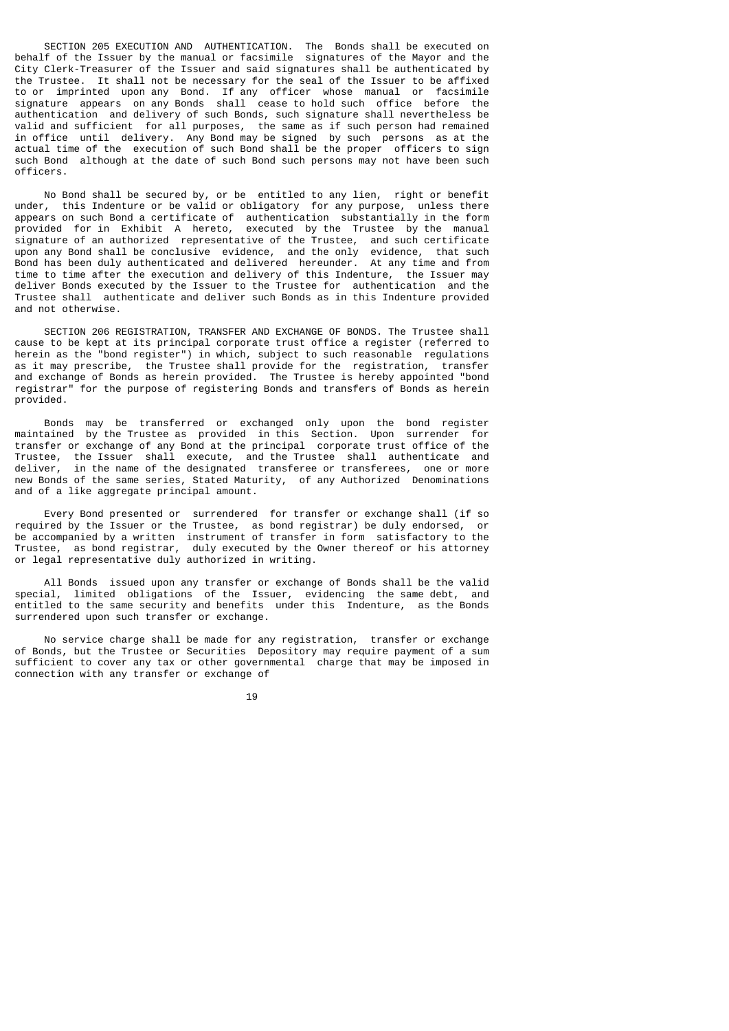SECTION 205 EXECUTION AND AUTHENTICATION. The Bonds shall be executed on behalf of the Issuer by the manual or facsimile signatures of the Mayor and the City Clerk-Treasurer of the Issuer and said signatures shall be authenticated by the Trustee. It shall not be necessary for the seal of the Issuer to be affixed to or imprinted upon any Bond. If any officer whose manual or facsimile signature appears on any Bonds shall cease to hold such office before the authentication and delivery of such Bonds, such signature shall nevertheless be valid and sufficient for all purposes, the same as if such person had remained in office until delivery. Any Bond may be signed by such persons as at the actual time of the execution of such Bond shall be the proper officers to sign such Bond although at the date of such Bond such persons may not have been such officers.

 No Bond shall be secured by, or be entitled to any lien, right or benefit under, this Indenture or be valid or obligatory for any purpose, unless there appears on such Bond a certificate of authentication substantially in the form provided for in Exhibit A hereto, executed by the Trustee by the manual signature of an authorized representative of the Trustee, and such certificate upon any Bond shall be conclusive evidence, and the only evidence, that such Bond has been duly authenticated and delivered hereunder. At any time and from time to time after the execution and delivery of this Indenture, the Issuer may deliver Bonds executed by the Issuer to the Trustee for authentication and the Trustee shall authenticate and deliver such Bonds as in this Indenture provided and not otherwise.

 SECTION 206 REGISTRATION, TRANSFER AND EXCHANGE OF BONDS. The Trustee shall cause to be kept at its principal corporate trust office a register (referred to herein as the "bond register") in which, subject to such reasonable regulations as it may prescribe, the Trustee shall provide for the registration, transfer and exchange of Bonds as herein provided. The Trustee is hereby appointed "bond registrar" for the purpose of registering Bonds and transfers of Bonds as herein provided.

 Bonds may be transferred or exchanged only upon the bond register maintained by the Trustee as provided in this Section. Upon surrender for transfer or exchange of any Bond at the principal corporate trust office of the Trustee, the Issuer shall execute, and the Trustee shall authenticate and deliver, in the name of the designated transferee or transferees, one or more new Bonds of the same series, Stated Maturity, of any Authorized Denominations and of a like aggregate principal amount.

 Every Bond presented or surrendered for transfer or exchange shall (if so required by the Issuer or the Trustee, as bond registrar) be duly endorsed, or be accompanied by a written instrument of transfer in form satisfactory to the Trustee, as bond registrar, duly executed by the Owner thereof or his attorney or legal representative duly authorized in writing.

 All Bonds issued upon any transfer or exchange of Bonds shall be the valid special, limited obligations of the Issuer, evidencing the same debt, and entitled to the same security and benefits under this Indenture, as the Bonds surrendered upon such transfer or exchange.

 No service charge shall be made for any registration, transfer or exchange of Bonds, but the Trustee or Securities Depository may require payment of a sum sufficient to cover any tax or other governmental charge that may be imposed in connection with any transfer or exchange of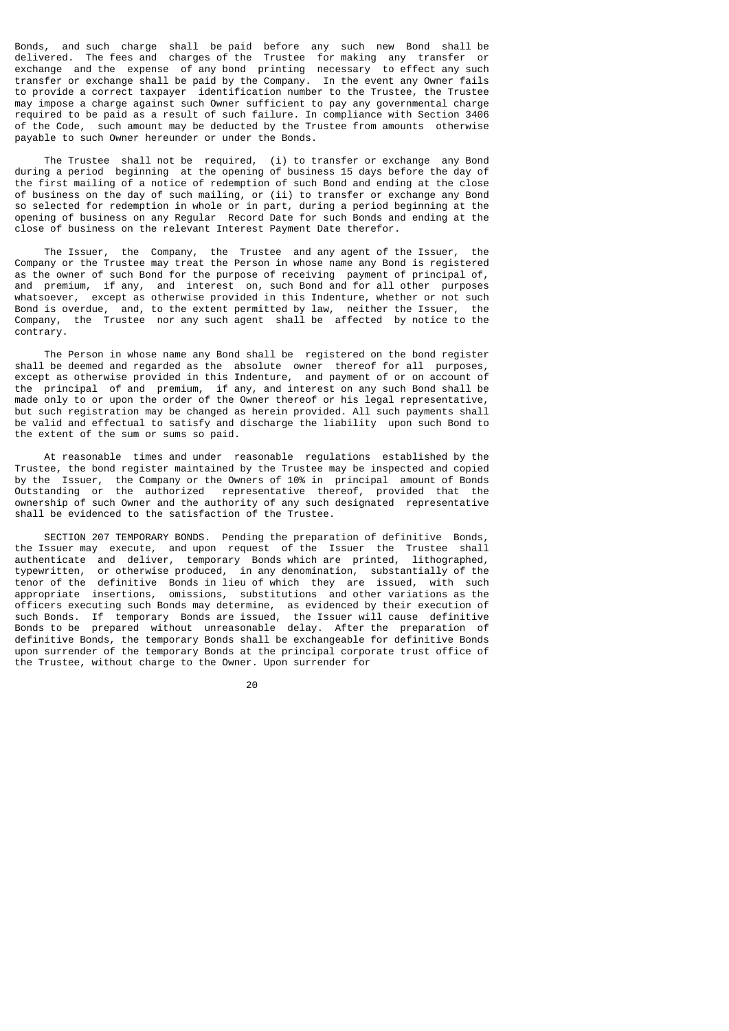Bonds, and such charge shall be paid before any such new Bond shall be delivered. The fees and charges of the Trustee for making any transfer or exchange and the expense of any bond printing necessary to effect any such transfer or exchange shall be paid by the Company. In the event any Owner fails to provide a correct taxpayer identification number to the Trustee, the Trustee may impose a charge against such Owner sufficient to pay any governmental charge required to be paid as a result of such failure. In compliance with Section 3406 of the Code, such amount may be deducted by the Trustee from amounts otherwise payable to such Owner hereunder or under the Bonds.

 The Trustee shall not be required, (i) to transfer or exchange any Bond during a period beginning at the opening of business 15 days before the day of the first mailing of a notice of redemption of such Bond and ending at the close of business on the day of such mailing, or (ii) to transfer or exchange any Bond so selected for redemption in whole or in part, during a period beginning at the opening of business on any Regular Record Date for such Bonds and ending at the close of business on the relevant Interest Payment Date therefor.

 The Issuer, the Company, the Trustee and any agent of the Issuer, the Company or the Trustee may treat the Person in whose name any Bond is registered as the owner of such Bond for the purpose of receiving payment of principal of, and premium, if any, and interest on, such Bond and for all other purposes whatsoever, except as otherwise provided in this Indenture, whether or not such Bond is overdue, and, to the extent permitted by law, neither the Issuer, the Company, the Trustee nor any such agent shall be affected by notice to the contrary.

 The Person in whose name any Bond shall be registered on the bond register shall be deemed and regarded as the absolute owner thereof for all purposes, except as otherwise provided in this Indenture, and payment of or on account of the principal of and premium, if any, and interest on any such Bond shall be made only to or upon the order of the Owner thereof or his legal representative, but such registration may be changed as herein provided. All such payments shall be valid and effectual to satisfy and discharge the liability upon such Bond to the extent of the sum or sums so paid.

 At reasonable times and under reasonable regulations established by the Trustee, the bond register maintained by the Trustee may be inspected and copied by the Issuer, the Company or the Owners of 10% in principal amount of Bonds Outstanding or the authorized representative thereof, provided that the ownership of such Owner and the authority of any such designated representative shall be evidenced to the satisfaction of the Trustee.

 SECTION 207 TEMPORARY BONDS. Pending the preparation of definitive Bonds, the Issuer may execute, and upon request of the Issuer the Trustee shall authenticate and deliver, temporary Bonds which are printed, lithographed, typewritten, or otherwise produced, in any denomination, substantially of the tenor of the definitive Bonds in lieu of which they are issued, with such appropriate insertions, omissions, substitutions and other variations as the officers executing such Bonds may determine, as evidenced by their execution of such Bonds. If temporary Bonds are issued, the Issuer will cause definitive Bonds to be prepared without unreasonable delay. After the preparation of definitive Bonds, the temporary Bonds shall be exchangeable for definitive Bonds upon surrender of the temporary Bonds at the principal corporate trust office of the Trustee, without charge to the Owner. Upon surrender for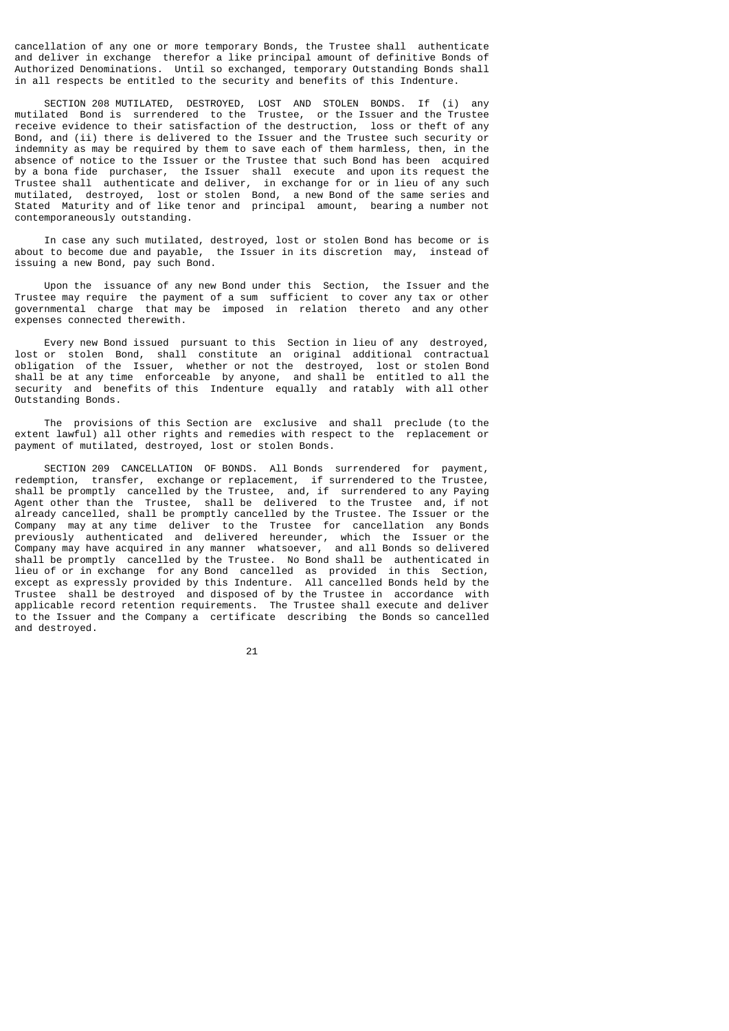cancellation of any one or more temporary Bonds, the Trustee shall authenticate and deliver in exchange therefor a like principal amount of definitive Bonds of Authorized Denominations. Until so exchanged, temporary Outstanding Bonds shall in all respects be entitled to the security and benefits of this Indenture.

 SECTION 208 MUTILATED, DESTROYED, LOST AND STOLEN BONDS. If (i) any mutilated Bond is surrendered to the Trustee, or the Issuer and the Trustee receive evidence to their satisfaction of the destruction, loss or theft of any Bond, and (ii) there is delivered to the Issuer and the Trustee such security or indemnity as may be required by them to save each of them harmless, then, in the absence of notice to the Issuer or the Trustee that such Bond has been acquired by a bona fide purchaser, the Issuer shall execute and upon its request the Trustee shall authenticate and deliver, in exchange for or in lieu of any such mutilated, destroyed, lost or stolen Bond, a new Bond of the same series and Stated Maturity and of like tenor and principal amount, bearing a number not contemporaneously outstanding.

 In case any such mutilated, destroyed, lost or stolen Bond has become or is about to become due and payable, the Issuer in its discretion may, instead of issuing a new Bond, pay such Bond.

 Upon the issuance of any new Bond under this Section, the Issuer and the Trustee may require the payment of a sum sufficient to cover any tax or other governmental charge that may be imposed in relation thereto and any other expenses connected therewith.

 Every new Bond issued pursuant to this Section in lieu of any destroyed, lost or stolen Bond, shall constitute an original additional contractual obligation of the Issuer, whether or not the destroyed, lost or stolen Bond shall be at any time enforceable by anyone, and shall be entitled to all the security and benefits of this Indenture equally and ratably with all other Outstanding Bonds.

 The provisions of this Section are exclusive and shall preclude (to the extent lawful) all other rights and remedies with respect to the replacement or payment of mutilated, destroyed, lost or stolen Bonds.

 SECTION 209 CANCELLATION OF BONDS. All Bonds surrendered for payment, redemption, transfer, exchange or replacement, if surrendered to the Trustee, shall be promptly cancelled by the Trustee, and, if surrendered to any Paying Agent other than the Trustee, shall be delivered to the Trustee and, if not already cancelled, shall be promptly cancelled by the Trustee. The Issuer or the Company may at any time deliver to the Trustee for cancellation any Bonds previously authenticated and delivered hereunder, which the Issuer or the Company may have acquired in any manner whatsoever, and all Bonds so delivered shall be promptly cancelled by the Trustee. No Bond shall be authenticated in lieu of or in exchange for any Bond cancelled as provided in this Section, except as expressly provided by this Indenture. All cancelled Bonds held by the Trustee shall be destroyed and disposed of by the Trustee in accordance with applicable record retention requirements. The Trustee shall execute and deliver to the Issuer and the Company a certificate describing the Bonds so cancelled and destroyed.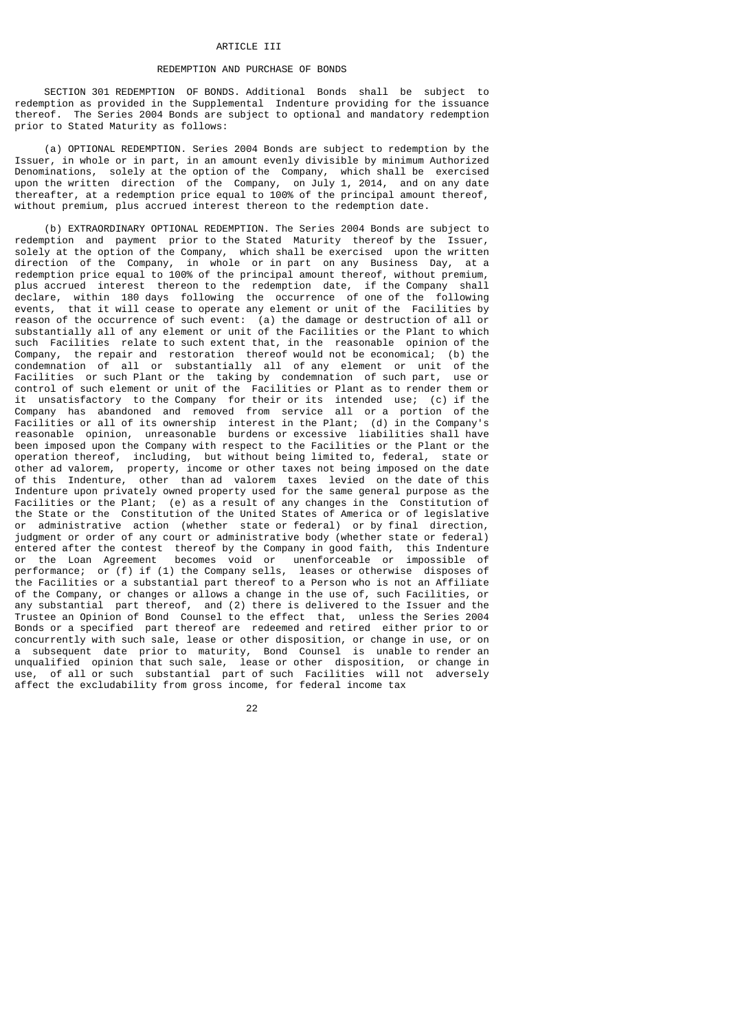#### ARTICLE III

#### REDEMPTION AND PURCHASE OF BONDS

 SECTION 301 REDEMPTION OF BONDS. Additional Bonds shall be subject to redemption as provided in the Supplemental Indenture providing for the issuance thereof. The Series 2004 Bonds are subject to optional and mandatory redemption prior to Stated Maturity as follows:

 (a) OPTIONAL REDEMPTION. Series 2004 Bonds are subject to redemption by the Issuer, in whole or in part, in an amount evenly divisible by minimum Authorized Denominations, solely at the option of the Company, which shall be exercised upon the written direction of the Company, on July 1, 2014, and on any date thereafter, at a redemption price equal to 100% of the principal amount thereof, without premium, plus accrued interest thereon to the redemption date.

 (b) EXTRAORDINARY OPTIONAL REDEMPTION. The Series 2004 Bonds are subject to redemption and payment prior to the Stated Maturity thereof by the Issuer, solely at the option of the Company, which shall be exercised upon the written direction of the Company, in whole or in part on any Business Day, at a redemption price equal to 100% of the principal amount thereof, without premium, plus accrued interest thereon to the redemption date, if the Company shall declare, within 180 days following the occurrence of one of the following events, that it will cease to operate any element or unit of the Facilities by reason of the occurrence of such event: (a) the damage or destruction of all or substantially all of any element or unit of the Facilities or the Plant to which such Facilities relate to such extent that, in the reasonable opinion of the Company, the repair and restoration thereof would not be economical; (b) the condemnation of all or substantially all of any element or unit of the Facilities or such Plant or the taking by condemnation of such part, use or control of such element or unit of the Facilities or Plant as to render them or it unsatisfactory to the Company for their or its intended use; (c) if the Company has abandoned and removed from service all or a portion of the Facilities or all of its ownership interest in the Plant; (d) in the Company's reasonable opinion, unreasonable burdens or excessive liabilities shall have been imposed upon the Company with respect to the Facilities or the Plant or the operation thereof, including, but without being limited to, federal, state or other ad valorem, property, income or other taxes not being imposed on the date of this Indenture, other than ad valorem taxes levied on the date of this Indenture upon privately owned property used for the same general purpose as the Facilities or the Plant; (e) as a result of any changes in the Constitution of the State or the Constitution of the United States of America or of legislative or administrative action (whether state or federal) or by final direction, judgment or order of any court or administrative body (whether state or federal) entered after the contest thereof by the Company in good faith, this Indenture or the Loan Agreement becomes void or unenforceable or impossible of performance; or (f) if (1) the Company sells, leases or otherwise disposes of the Facilities or a substantial part thereof to a Person who is not an Affiliate of the Company, or changes or allows a change in the use of, such Facilities, or any substantial part thereof, and (2) there is delivered to the Issuer and the Trustee an Opinion of Bond Counsel to the effect that, unless the Series 2004 Bonds or a specified part thereof are redeemed and retired either prior to or concurrently with such sale, lease or other disposition, or change in use, or on a subsequent date prior to maturity, Bond Counsel is unable to render an unqualified opinion that such sale, lease or other disposition, or change in use, of all or such substantial part of such Facilities will not adversely affect the excludability from gross income, for federal income tax

<u>22</u>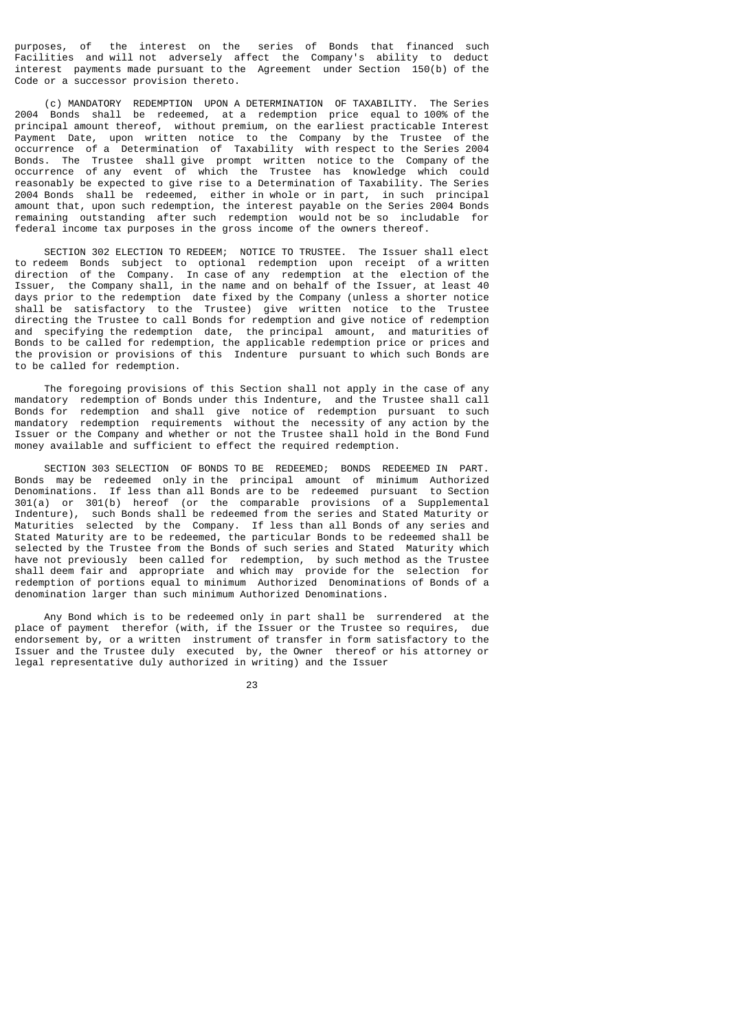purposes, of the interest on the series of Bonds that financed such Facilities and will not adversely affect the Company's ability to deduct interest payments made pursuant to the Agreement under Section 150(b) of the Code or a successor provision thereto.

 (c) MANDATORY REDEMPTION UPON A DETERMINATION OF TAXABILITY. The Series 2004 Bonds shall be redeemed, at a redemption price equal to 100% of the principal amount thereof, without premium, on the earliest practicable Interest Payment Date, upon written notice to the Company by the Trustee of the occurrence of a Determination of Taxability with respect to the Series 2004 Bonds. The Trustee shall give prompt written notice to the Company of the occurrence of any event of which the Trustee has knowledge which could reasonably be expected to give rise to a Determination of Taxability. The Series 2004 Bonds shall be redeemed, either in whole or in part, in such principal amount that, upon such redemption, the interest payable on the Series 2004 Bonds remaining outstanding after such redemption would not be so includable for federal income tax purposes in the gross income of the owners thereof.

 SECTION 302 ELECTION TO REDEEM; NOTICE TO TRUSTEE. The Issuer shall elect to redeem Bonds subject to optional redemption upon receipt of a written direction of the Company. In case of any redemption at the election of the Issuer, the Company shall, in the name and on behalf of the Issuer, at least 40 days prior to the redemption date fixed by the Company (unless a shorter notice shall be satisfactory to the Trustee) give written notice to the Trustee directing the Trustee to call Bonds for redemption and give notice of redemption and specifying the redemption date, the principal amount, and maturities of Bonds to be called for redemption, the applicable redemption price or prices and the provision or provisions of this Indenture pursuant to which such Bonds are to be called for redemption.

 The foregoing provisions of this Section shall not apply in the case of any mandatory redemption of Bonds under this Indenture, and the Trustee shall call Bonds for redemption and shall give notice of redemption pursuant to such mandatory redemption requirements without the necessity of any action by the Issuer or the Company and whether or not the Trustee shall hold in the Bond Fund money available and sufficient to effect the required redemption.

 SECTION 303 SELECTION OF BONDS TO BE REDEEMED; BONDS REDEEMED IN PART. Bonds may be redeemed only in the principal amount of minimum Authorized Denominations. If less than all Bonds are to be redeemed pursuant to Section 301(a) or 301(b) hereof (or the comparable provisions of a Supplemental Indenture), such Bonds shall be redeemed from the series and Stated Maturity or Maturities selected by the Company. If less than all Bonds of any series and Stated Maturity are to be redeemed, the particular Bonds to be redeemed shall be selected by the Trustee from the Bonds of such series and Stated Maturity which have not previously been called for redemption, by such method as the Trustee shall deem fair and appropriate and which may provide for the selection for redemption of portions equal to minimum Authorized Denominations of Bonds of a denomination larger than such minimum Authorized Denominations.

 Any Bond which is to be redeemed only in part shall be surrendered at the place of payment therefor (with, if the Issuer or the Trustee so requires, due endorsement by, or a written instrument of transfer in form satisfactory to the Issuer and the Trustee duly executed by, the Owner thereof or his attorney or legal representative duly authorized in writing) and the Issuer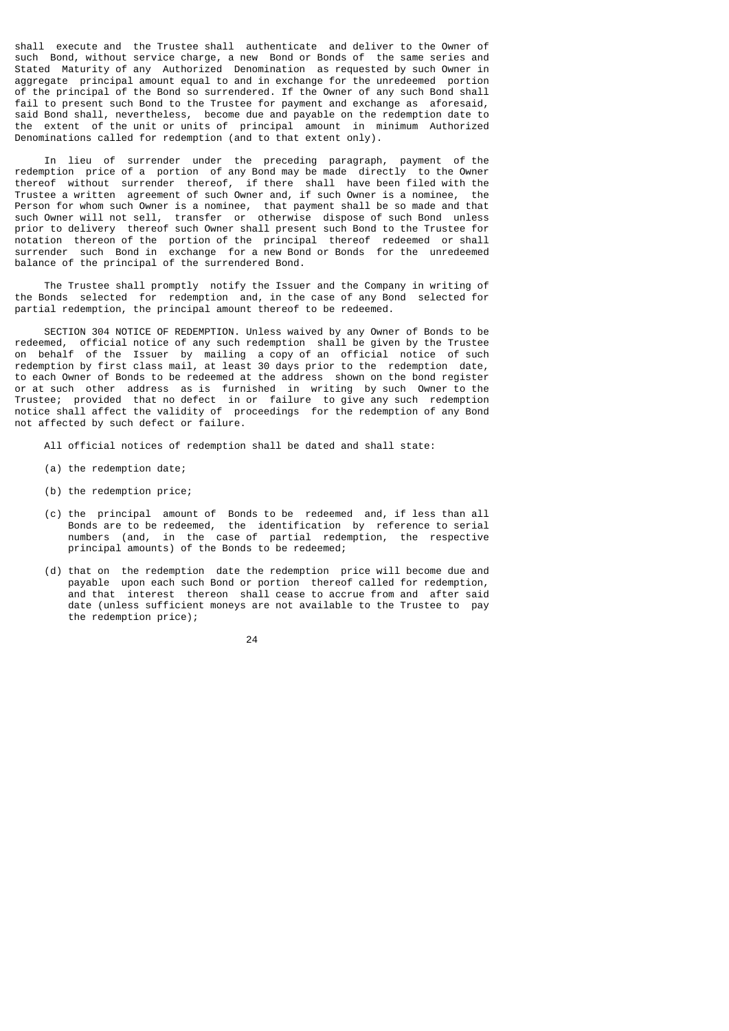shall execute and the Trustee shall authenticate and deliver to the Owner of such Bond, without service charge, a new Bond or Bonds of the same series and Stated Maturity of any Authorized Denomination as requested by such Owner in aggregate principal amount equal to and in exchange for the unredeemed portion of the principal of the Bond so surrendered. If the Owner of any such Bond shall fail to present such Bond to the Trustee for payment and exchange as aforesaid, said Bond shall, nevertheless, become due and payable on the redemption date to the extent of the unit or units of principal amount in minimum Authorized Denominations called for redemption (and to that extent only).

 In lieu of surrender under the preceding paragraph, payment of the redemption price of a portion of any Bond may be made directly to the Owner thereof without surrender thereof, if there shall have been filed with the Trustee a written agreement of such Owner and, if such Owner is a nominee, the Person for whom such Owner is a nominee, that payment shall be so made and that such Owner will not sell, transfer or otherwise dispose of such Bond unless prior to delivery thereof such Owner shall present such Bond to the Trustee for notation thereon of the portion of the principal thereof redeemed or shall surrender such Bond in exchange for a new Bond or Bonds for the unredeemed balance of the principal of the surrendered Bond.

 The Trustee shall promptly notify the Issuer and the Company in writing of the Bonds selected for redemption and, in the case of any Bond selected for partial redemption, the principal amount thereof to be redeemed.

 SECTION 304 NOTICE OF REDEMPTION. Unless waived by any Owner of Bonds to be redeemed, official notice of any such redemption shall be given by the Trustee on behalf of the Issuer by mailing a copy of an official notice of such redemption by first class mail, at least 30 days prior to the redemption date, to each Owner of Bonds to be redeemed at the address shown on the bond register or at such other address as is furnished in writing by such Owner to the Trustee; provided that no defect in or failure to give any such redemption notice shall affect the validity of proceedings for the redemption of any Bond not affected by such defect or failure.

- All official notices of redemption shall be dated and shall state:
- (a) the redemption date;
- (b) the redemption price;
- (c) the principal amount of Bonds to be redeemed and, if less than all Bonds are to be redeemed, the identification by reference to serial numbers (and, in the case of partial redemption, the respective principal amounts) of the Bonds to be redeemed;
- (d) that on the redemption date the redemption price will become due and payable upon each such Bond or portion thereof called for redemption, and that interest thereon shall cease to accrue from and after said date (unless sufficient moneys are not available to the Trustee to pay the redemption price);
- <u>24</u>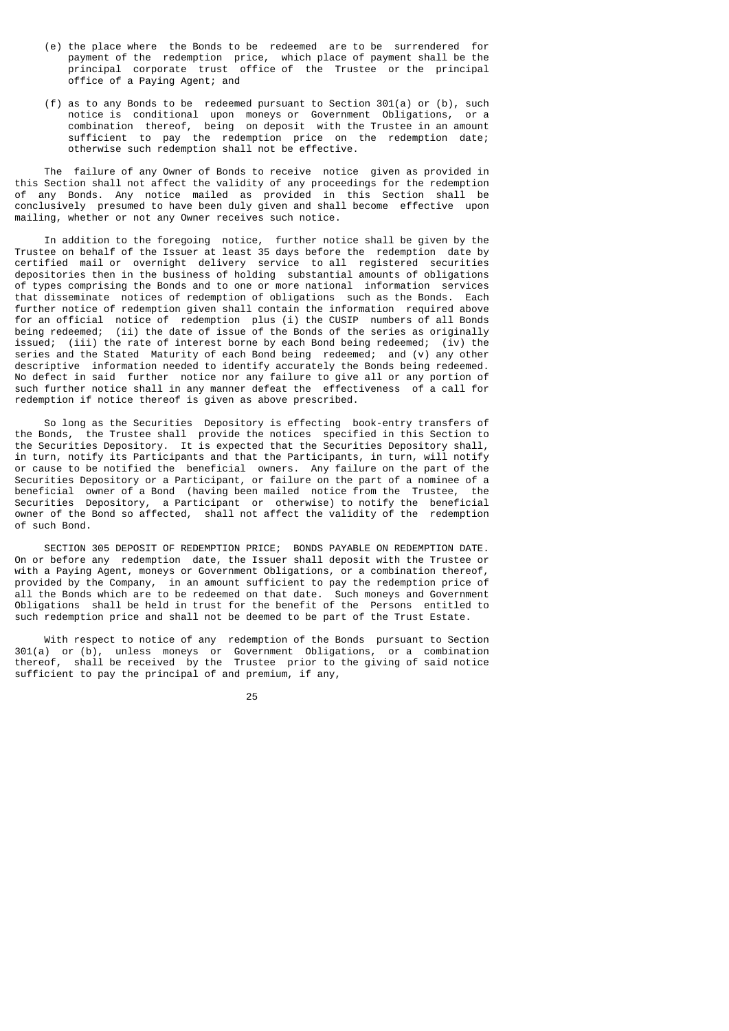- (e) the place where the Bonds to be redeemed are to be surrendered for payment of the redemption price, which place of payment shall be the principal corporate trust office of the Trustee or the principal office of a Paying Agent; and
- (f) as to any Bonds to be redeemed pursuant to Section 301(a) or (b), such notice is conditional upon moneys or Government Obligations, or a combination thereof, being on deposit with the Trustee in an amount sufficient to pay the redemption price on the redemption date; otherwise such redemption shall not be effective.

 The failure of any Owner of Bonds to receive notice given as provided in this Section shall not affect the validity of any proceedings for the redemption of any Bonds. Any notice mailed as provided in this Section shall be conclusively presumed to have been duly given and shall become effective upon mailing, whether or not any Owner receives such notice.

 In addition to the foregoing notice, further notice shall be given by the Trustee on behalf of the Issuer at least 35 days before the redemption date by certified mail or overnight delivery service to all registered securities depositories then in the business of holding substantial amounts of obligations of types comprising the Bonds and to one or more national information services that disseminate notices of redemption of obligations such as the Bonds. Each further notice of redemption given shall contain the information required above for an official notice of redemption plus (i) the CUSIP numbers of all Bonds being redeemed; (ii) the date of issue of the Bonds of the series as originally issued; (iii) the rate of interest borne by each Bond being redeemed; (iv) the series and the Stated Maturity of each Bond being redeemed; and (v) any other descriptive information needed to identify accurately the Bonds being redeemed. No defect in said further notice nor any failure to give all or any portion of such further notice shall in any manner defeat the effectiveness of a call for redemption if notice thereof is given as above prescribed.

 So long as the Securities Depository is effecting book-entry transfers of the Bonds, the Trustee shall provide the notices specified in this Section to the Securities Depository. It is expected that the Securities Depository shall, in turn, notify its Participants and that the Participants, in turn, will notify or cause to be notified the beneficial owners. Any failure on the part of the Securities Depository or a Participant, or failure on the part of a nominee of a beneficial owner of a Bond (having been mailed notice from the Trustee, the Securities Depository, a Participant or otherwise) to notify the beneficial owner of the Bond so affected, shall not affect the validity of the redemption of such Bond.

 SECTION 305 DEPOSIT OF REDEMPTION PRICE; BONDS PAYABLE ON REDEMPTION DATE. On or before any redemption date, the Issuer shall deposit with the Trustee or with a Paying Agent, moneys or Government Obligations, or a combination thereof, provided by the Company, in an amount sufficient to pay the redemption price of all the Bonds which are to be redeemed on that date. Such moneys and Government Obligations shall be held in trust for the benefit of the Persons entitled to such redemption price and shall not be deemed to be part of the Trust Estate.

 With respect to notice of any redemption of the Bonds pursuant to Section 301(a) or (b), unless moneys or Government Obligations, or a combination thereof, shall be received by the Trustee prior to the giving of said notice sufficient to pay the principal of and premium, if any,

<u>25 and 25 and 26 and 26 and 26 and 26 and 26 and 26 and 26 and 26 and 26 and 26 and 26 and 26 and 26 and 26 and 26 and 26 and 26 and 26 and 26 and 26 and 26 and 26 and 26 and 27 and 27 and 27 and 27 and 27 and 27 and 27 a</u>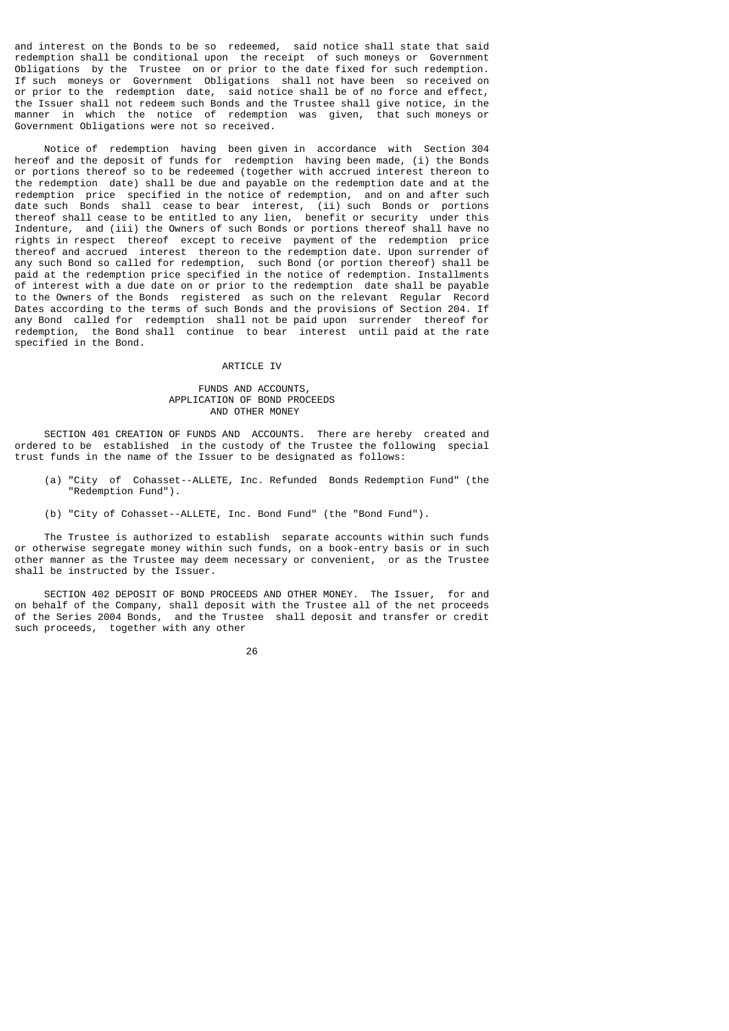and interest on the Bonds to be so redeemed, said notice shall state that said redemption shall be conditional upon the receipt of such moneys or Government Obligations by the Trustee on or prior to the date fixed for such redemption. If such moneys or Government Obligations shall not have been so received on or prior to the redemption date, said notice shall be of no force and effect, the Issuer shall not redeem such Bonds and the Trustee shall give notice, in the manner in which the notice of redemption was given, that such moneys or Government Obligations were not so received.

 Notice of redemption having been given in accordance with Section 304 hereof and the deposit of funds for redemption having been made, (i) the Bonds or portions thereof so to be redeemed (together with accrued interest thereon to the redemption date) shall be due and payable on the redemption date and at the redemption price specified in the notice of redemption, and on and after such date such Bonds shall cease to bear interest, (ii) such Bonds or portions thereof shall cease to be entitled to any lien, benefit or security under this Indenture, and (iii) the Owners of such Bonds or portions thereof shall have no rights in respect thereof except to receive payment of the redemption price thereof and accrued interest thereon to the redemption date. Upon surrender of any such Bond so called for redemption, such Bond (or portion thereof) shall be paid at the redemption price specified in the notice of redemption. Installments of interest with a due date on or prior to the redemption date shall be payable to the Owners of the Bonds registered as such on the relevant Regular Record Dates according to the terms of such Bonds and the provisions of Section 204. If any Bond called for redemption shall not be paid upon surrender thereof for redemption, the Bond shall continue to bear interest until paid at the rate specified in the Bond.

#### ARTICLE IV

## FUNDS AND ACCOUNTS, APPLICATION OF BOND PROCEEDS AND OTHER MONEY

 SECTION 401 CREATION OF FUNDS AND ACCOUNTS. There are hereby created and ordered to be established in the custody of the Trustee the following special trust funds in the name of the Issuer to be designated as follows:

- (a) "City of Cohasset--ALLETE, Inc. Refunded Bonds Redemption Fund" (the "Redemption Fund").
- (b) "City of Cohasset--ALLETE, Inc. Bond Fund" (the "Bond Fund").

 The Trustee is authorized to establish separate accounts within such funds or otherwise segregate money within such funds, on a book-entry basis or in such other manner as the Trustee may deem necessary or convenient, or as the Trustee shall be instructed by the Issuer.

 SECTION 402 DEPOSIT OF BOND PROCEEDS AND OTHER MONEY. The Issuer, for and on behalf of the Company, shall deposit with the Trustee all of the net proceeds of the Series 2004 Bonds, and the Trustee shall deposit and transfer or credit such proceeds, together with any other

<u>26 and 26</u>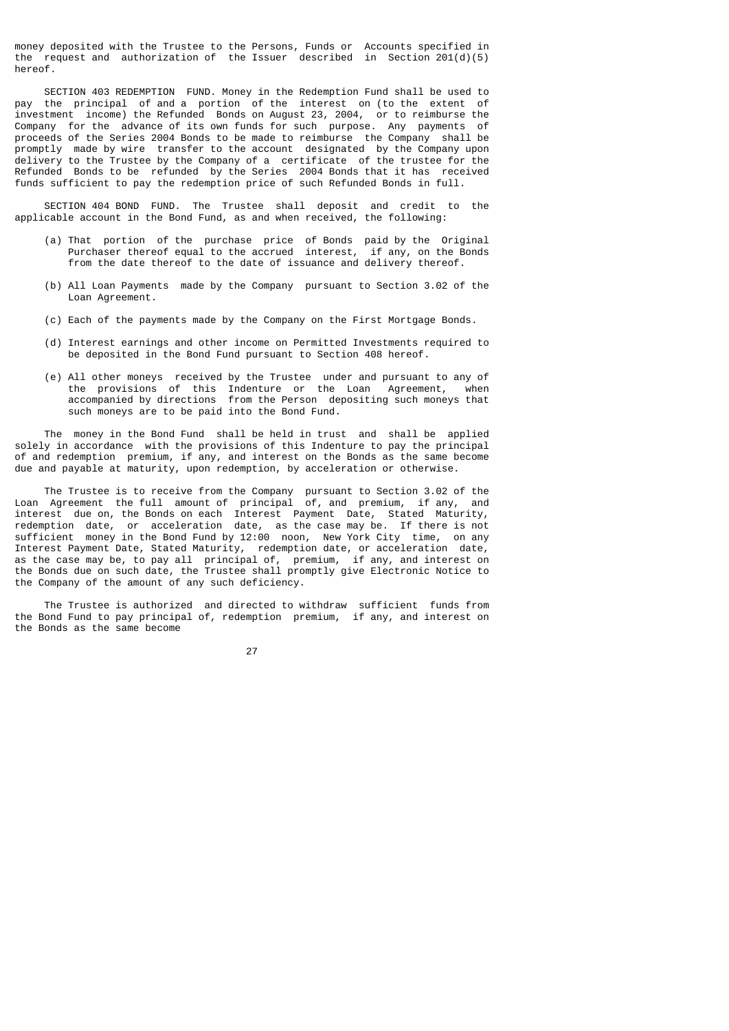money deposited with the Trustee to the Persons, Funds or Accounts specified in the request and authorization of the Issuer described in Section 201(d)(5) hereof.

 SECTION 403 REDEMPTION FUND. Money in the Redemption Fund shall be used to pay the principal of and a portion of the interest on (to the extent of investment income) the Refunded Bonds on August 23, 2004, or to reimburse the Company for the advance of its own funds for such purpose. Any payments of proceeds of the Series 2004 Bonds to be made to reimburse the Company shall be promptly made by wire transfer to the account designated by the Company upon delivery to the Trustee by the Company of a certificate of the trustee for the Refunded Bonds to be refunded by the Series 2004 Bonds that it has received funds sufficient to pay the redemption price of such Refunded Bonds in full.

 SECTION 404 BOND FUND. The Trustee shall deposit and credit to the applicable account in the Bond Fund, as and when received, the following:

- (a) That portion of the purchase price of Bonds paid by the Original Purchaser thereof equal to the accrued interest, if any, on the Bonds from the date thereof to the date of issuance and delivery thereof.
- (b) All Loan Payments made by the Company pursuant to Section 3.02 of the Loan Agreement.
- (c) Each of the payments made by the Company on the First Mortgage Bonds.
- (d) Interest earnings and other income on Permitted Investments required to be deposited in the Bond Fund pursuant to Section 408 hereof.
- (e) All other moneys received by the Trustee under and pursuant to any of the provisions of this Indenture or the Loan Agreement, when accompanied by directions from the Person depositing such moneys that such moneys are to be paid into the Bond Fund.

 The money in the Bond Fund shall be held in trust and shall be applied solely in accordance with the provisions of this Indenture to pay the principal of and redemption premium, if any, and interest on the Bonds as the same become due and payable at maturity, upon redemption, by acceleration or otherwise.

 The Trustee is to receive from the Company pursuant to Section 3.02 of the Loan Agreement the full amount of principal of, and premium, if any, and interest due on, the Bonds on each Interest Payment Date, Stated Maturity, redemption date, or acceleration date, as the case may be. If there is not sufficient money in the Bond Fund by 12:00 noon, New York City time, on any Interest Payment Date, Stated Maturity, redemption date, or acceleration date, as the case may be, to pay all principal of, premium, if any, and interest on the Bonds due on such date, the Trustee shall promptly give Electronic Notice to the Company of the amount of any such deficiency.

 The Trustee is authorized and directed to withdraw sufficient funds from the Bond Fund to pay principal of, redemption premium, if any, and interest on the Bonds as the same become

<u>27 and 27</u>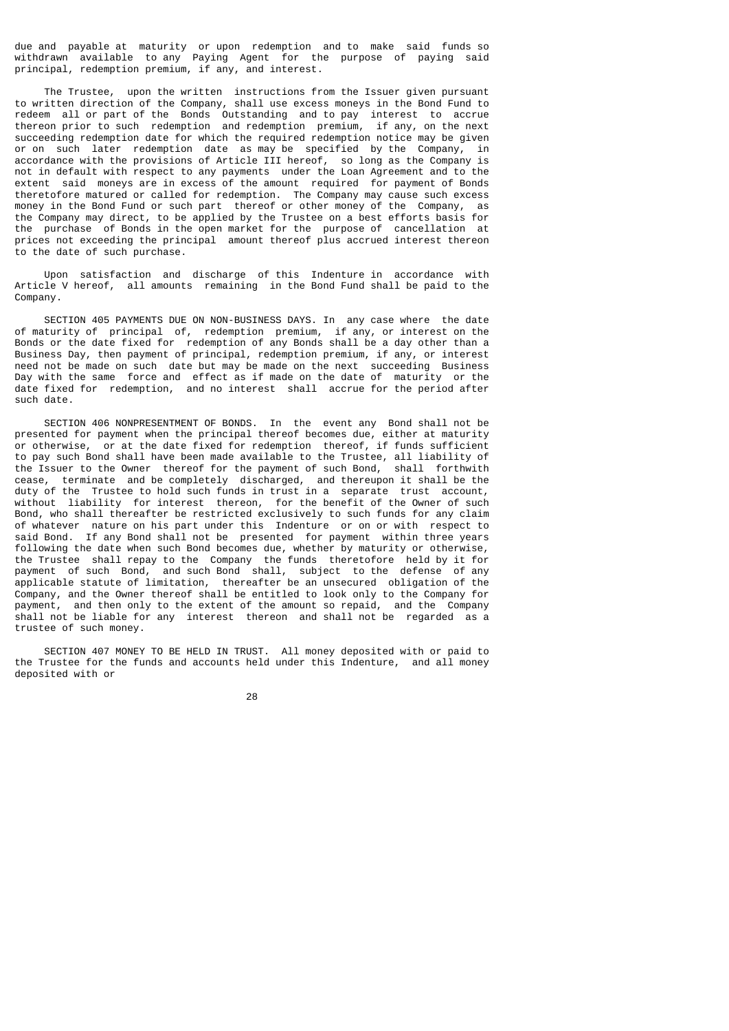due and payable at maturity or upon redemption and to make said funds so withdrawn available to any Paying Agent for the purpose of paying said principal, redemption premium, if any, and interest.

 The Trustee, upon the written instructions from the Issuer given pursuant to written direction of the Company, shall use excess moneys in the Bond Fund to redeem all or part of the Bonds Outstanding and to pay interest to accrue thereon prior to such redemption and redemption premium, if any, on the next succeeding redemption date for which the required redemption notice may be given or on such later redemption date as may be specified by the Company, in accordance with the provisions of Article III hereof, so long as the Company is not in default with respect to any payments under the Loan Agreement and to the extent said moneys are in excess of the amount required for payment of Bonds theretofore matured or called for redemption. The Company may cause such excess money in the Bond Fund or such part thereof or other money of the Company, as the Company may direct, to be applied by the Trustee on a best efforts basis for the purchase of Bonds in the open market for the purpose of cancellation at prices not exceeding the principal amount thereof plus accrued interest thereon to the date of such purchase.

 Upon satisfaction and discharge of this Indenture in accordance with Article V hereof, all amounts remaining in the Bond Fund shall be paid to the Company.

 SECTION 405 PAYMENTS DUE ON NON-BUSINESS DAYS. In any case where the date of maturity of principal of, redemption premium, if any, or interest on the Bonds or the date fixed for redemption of any Bonds shall be a day other than a Business Day, then payment of principal, redemption premium, if any, or interest need not be made on such date but may be made on the next succeeding Business Day with the same force and effect as if made on the date of maturity or the date fixed for redemption, and no interest shall accrue for the period after such date.

 SECTION 406 NONPRESENTMENT OF BONDS. In the event any Bond shall not be presented for payment when the principal thereof becomes due, either at maturity or otherwise, or at the date fixed for redemption thereof, if funds sufficient to pay such Bond shall have been made available to the Trustee, all liability of the Issuer to the Owner thereof for the payment of such Bond, shall forthwith cease, terminate and be completely discharged, and thereupon it shall be the duty of the Trustee to hold such funds in trust in a separate trust account, without liability for interest thereon, for the benefit of the Owner of such Bond, who shall thereafter be restricted exclusively to such funds for any claim of whatever nature on his part under this Indenture or on or with respect to said Bond. If any Bond shall not be presented for payment within three years following the date when such Bond becomes due, whether by maturity or otherwise, the Trustee shall repay to the Company the funds theretofore held by it for payment of such Bond, and such Bond shall, subject to the defense of any applicable statute of limitation, thereafter be an unsecured obligation of the Company, and the Owner thereof shall be entitled to look only to the Company for payment, and then only to the extent of the amount so repaid, and the Company shall not be liable for any interest thereon and shall not be regarded as a trustee of such money.

 SECTION 407 MONEY TO BE HELD IN TRUST. All money deposited with or paid to the Trustee for the funds and accounts held under this Indenture, and all money deposited with or

e de la construcción de la construcción de la construcción de la construcción de la construcción de la constru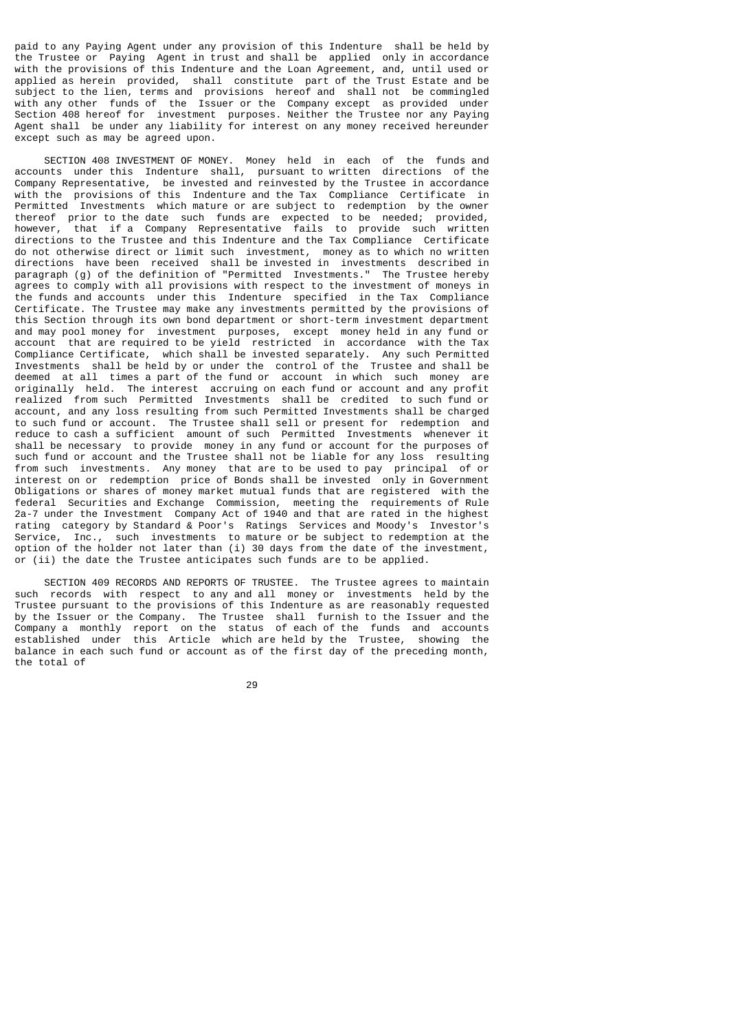paid to any Paying Agent under any provision of this Indenture shall be held by the Trustee or Paying Agent in trust and shall be applied only in accordance with the provisions of this Indenture and the Loan Agreement, and, until used or applied as herein provided, shall constitute part of the Trust Estate and be subject to the lien, terms and provisions hereof and shall not be commingled with any other funds of the Issuer or the Company except as provided under Section 408 hereof for investment purposes. Neither the Trustee nor any Paying Agent shall be under any liability for interest on any money received hereunder except such as may be agreed upon.

 SECTION 408 INVESTMENT OF MONEY. Money held in each of the funds and accounts under this Indenture shall, pursuant to written directions of the Company Representative, be invested and reinvested by the Trustee in accordance with the provisions of this Indenture and the Tax Compliance Certificate in Permitted Investments which mature or are subject to redemption by the owner thereof prior to the date such funds are expected to be needed; provided, however, that if a Company Representative fails to provide such written directions to the Trustee and this Indenture and the Tax Compliance Certificate do not otherwise direct or limit such investment, money as to which no written directions have been received shall be invested in investments described in paragraph (g) of the definition of "Permitted Investments." The Trustee hereby agrees to comply with all provisions with respect to the investment of moneys in the funds and accounts under this Indenture specified in the Tax Compliance Certificate. The Trustee may make any investments permitted by the provisions of this Section through its own bond department or short-term investment department and may pool money for investment purposes, except money held in any fund or account that are required to be yield restricted in accordance with the Tax Compliance Certificate, which shall be invested separately. Any such Permitted Investments shall be held by or under the control of the Trustee and shall be deemed at all times a part of the fund or account in which such money are originally held. The interest accruing on each fund or account and any profit realized from such Permitted Investments shall be credited to such fund or account, and any loss resulting from such Permitted Investments shall be charged to such fund or account. The Trustee shall sell or present for redemption and reduce to cash a sufficient amount of such Permitted Investments whenever it shall be necessary to provide money in any fund or account for the purposes of such fund or account and the Trustee shall not be liable for any loss resulting from such investments. Any money that are to be used to pay principal of or interest on or redemption price of Bonds shall be invested only in Government Obligations or shares of money market mutual funds that are registered with the federal Securities and Exchange Commission, meeting the requirements of Rule 2a-7 under the Investment Company Act of 1940 and that are rated in the highest rating category by Standard & Poor's Ratings Services and Moody's Investor's Service, Inc., such investments to mature or be subject to redemption at the option of the holder not later than (i) 30 days from the date of the investment, or (ii) the date the Trustee anticipates such funds are to be applied.

 SECTION 409 RECORDS AND REPORTS OF TRUSTEE. The Trustee agrees to maintain such records with respect to any and all money or investments held by the Trustee pursuant to the provisions of this Indenture as are reasonably requested by the Issuer or the Company. The Trustee shall furnish to the Issuer and the Company a monthly report on the status of each of the funds and accounts established under this Article which are held by the Trustee, showing the balance in each such fund or account as of the first day of the preceding month, the total of

<u>29 and 29 and 29 and 29 and 29 and 29 and 29 and 29 and 29 and 29 and 29 and 29 and 29 and 29 and 29 and 2012</u>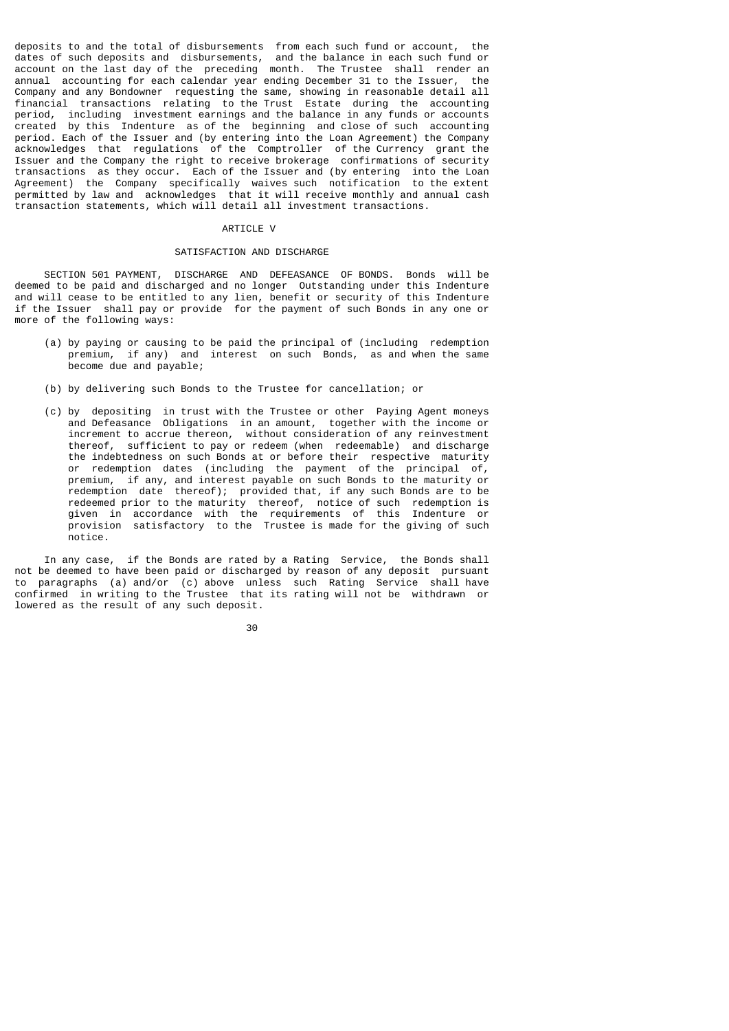deposits to and the total of disbursements from each such fund or account, the dates of such deposits and disbursements, and the balance in each such fund or account on the last day of the preceding month. The Trustee shall render an annual accounting for each calendar year ending December 31 to the Issuer, the Company and any Bondowner requesting the same, showing in reasonable detail all financial transactions relating to the Trust Estate during the accounting period, including investment earnings and the balance in any funds or accounts created by this Indenture as of the beginning and close of such accounting period. Each of the Issuer and (by entering into the Loan Agreement) the Company acknowledges that regulations of the Comptroller of the Currency grant the Issuer and the Company the right to receive brokerage confirmations of security transactions as they occur. Each of the Issuer and (by entering into the Loan Agreement) the Company specifically waives such notification to the extent permitted by law and acknowledges that it will receive monthly and annual cash transaction statements, which will detail all investment transactions.

#### ARTICLE V

## SATISFACTION AND DISCHARGE

 SECTION 501 PAYMENT, DISCHARGE AND DEFEASANCE OF BONDS. Bonds will be deemed to be paid and discharged and no longer Outstanding under this Indenture and will cease to be entitled to any lien, benefit or security of this Indenture if the Issuer shall pay or provide for the payment of such Bonds in any one or more of the following ways:

- (a) by paying or causing to be paid the principal of (including redemption premium, if any) and interest on such Bonds, as and when the same become due and payable;
- (b) by delivering such Bonds to the Trustee for cancellation; or
- (c) by depositing in trust with the Trustee or other Paying Agent moneys and Defeasance Obligations in an amount, together with the income or increment to accrue thereon, without consideration of any reinvestment thereof, sufficient to pay or redeem (when redeemable) and discharge the indebtedness on such Bonds at or before their respective maturity or redemption dates (including the payment of the principal of, premium, if any, and interest payable on such Bonds to the maturity or redemption date thereof); provided that, if any such Bonds are to be redeemed prior to the maturity thereof, notice of such redemption is given in accordance with the requirements of this Indenture or provision satisfactory to the Trustee is made for the giving of such notice.

 In any case, if the Bonds are rated by a Rating Service, the Bonds shall not be deemed to have been paid or discharged by reason of any deposit pursuant to paragraphs (a) and/or (c) above unless such Rating Service shall have confirmed in writing to the Trustee that its rating will not be withdrawn or lowered as the result of any such deposit.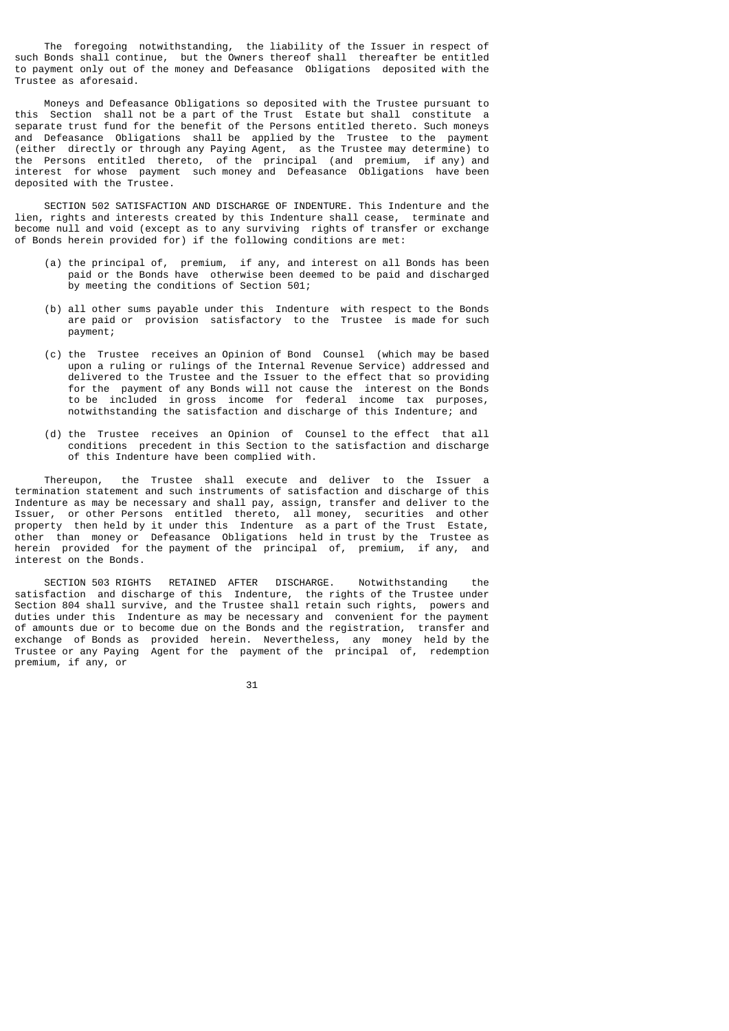The foregoing notwithstanding, the liability of the Issuer in respect of such Bonds shall continue, but the Owners thereof shall thereafter be entitled to payment only out of the money and Defeasance Obligations deposited with the Trustee as aforesaid.

 Moneys and Defeasance Obligations so deposited with the Trustee pursuant to this Section shall not be a part of the Trust Estate but shall constitute a separate trust fund for the benefit of the Persons entitled thereto. Such moneys and Defeasance Obligations shall be applied by the Trustee to the payment (either directly or through any Paying Agent, as the Trustee may determine) to the Persons entitled thereto, of the principal (and premium, if any) and interest for whose payment such money and Defeasance Obligations have been deposited with the Trustee.

 SECTION 502 SATISFACTION AND DISCHARGE OF INDENTURE. This Indenture and the lien, rights and interests created by this Indenture shall cease, terminate and become null and void (except as to any surviving rights of transfer or exchange of Bonds herein provided for) if the following conditions are met:

- (a) the principal of, premium, if any, and interest on all Bonds has been paid or the Bonds have otherwise been deemed to be paid and discharged by meeting the conditions of Section 501;
- (b) all other sums payable under this Indenture with respect to the Bonds are paid or provision satisfactory to the Trustee is made for such payment;
- (c) the Trustee receives an Opinion of Bond Counsel (which may be based upon a ruling or rulings of the Internal Revenue Service) addressed and delivered to the Trustee and the Issuer to the effect that so providing for the payment of any Bonds will not cause the interest on the Bonds to be included in gross income for federal income tax purposes, notwithstanding the satisfaction and discharge of this Indenture; and
	- (d) the Trustee receives an Opinion of Counsel to the effect that all conditions precedent in this Section to the satisfaction and discharge of this Indenture have been complied with.

 Thereupon, the Trustee shall execute and deliver to the Issuer a termination statement and such instruments of satisfaction and discharge of this Indenture as may be necessary and shall pay, assign, transfer and deliver to the Issuer, or other Persons entitled thereto, all money, securities and other property then held by it under this Indenture as a part of the Trust Estate, other than money or Defeasance Obligations held in trust by the Trustee as herein provided for the payment of the principal of, premium, if any, and interest on the Bonds.

 SECTION 503 RIGHTS RETAINED AFTER DISCHARGE. Notwithstanding the satisfaction and discharge of this Indenture, the rights of the Trustee under Section 804 shall survive, and the Trustee shall retain such rights, powers and duties under this Indenture as may be necessary and convenient for the payment of amounts due or to become due on the Bonds and the registration, transfer and exchange of Bonds as provided herein. Nevertheless, any money held by the Trustee or any Paying Agent for the payment of the principal of, redemption premium, if any, or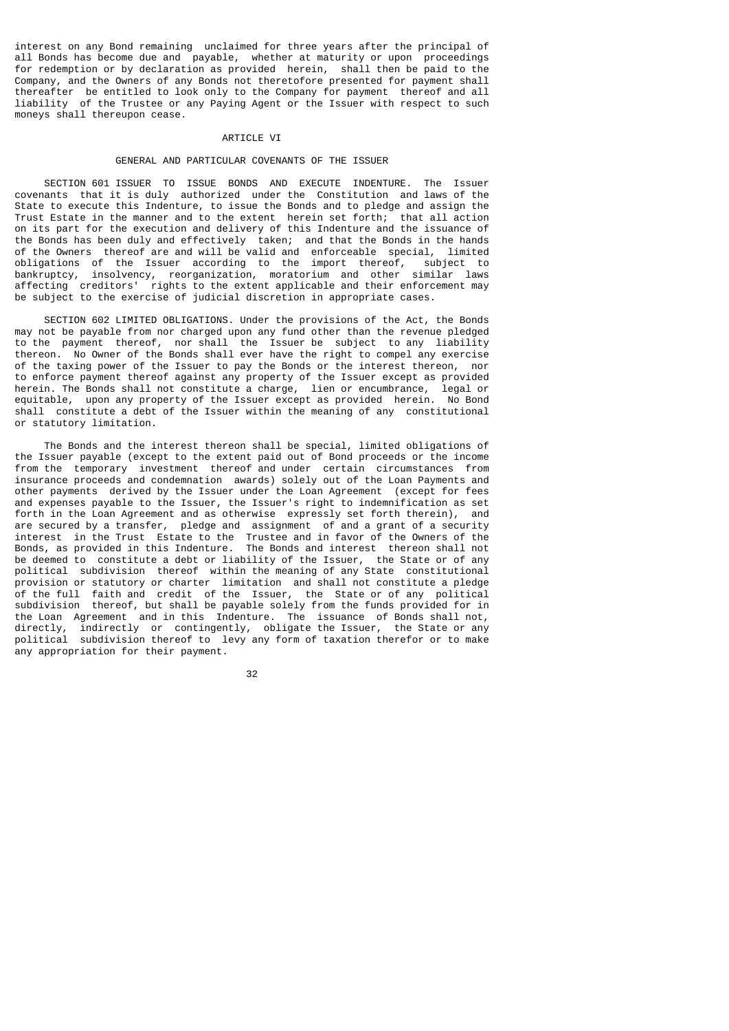interest on any Bond remaining unclaimed for three years after the principal of all Bonds has become due and payable, whether at maturity or upon proceedings for redemption or by declaration as provided herein, shall then be paid to the Company, and the Owners of any Bonds not theretofore presented for payment shall thereafter be entitled to look only to the Company for payment thereof and all liability of the Trustee or any Paying Agent or the Issuer with respect to such moneys shall thereupon cease.

## ARTICLE VI

## GENERAL AND PARTICULAR COVENANTS OF THE ISSUER

 SECTION 601 ISSUER TO ISSUE BONDS AND EXECUTE INDENTURE. The Issuer covenants that it is duly authorized under the Constitution and laws of the State to execute this Indenture, to issue the Bonds and to pledge and assign the Trust Estate in the manner and to the extent herein set forth; that all action on its part for the execution and delivery of this Indenture and the issuance of the Bonds has been duly and effectively taken; and that the Bonds in the hands of the Owners thereof are and will be valid and enforceable special, limited obligations of the Issuer according to the import thereof, subject to bankruptcy, insolvency, reorganization, moratorium and other similar laws affecting creditors' rights to the extent applicable and their enforcement may be subject to the exercise of judicial discretion in appropriate cases.

 SECTION 602 LIMITED OBLIGATIONS. Under the provisions of the Act, the Bonds may not be payable from nor charged upon any fund other than the revenue pledged to the payment thereof, nor shall the Issuer be subject to any liability thereon. No Owner of the Bonds shall ever have the right to compel any exercise of the taxing power of the Issuer to pay the Bonds or the interest thereon, nor to enforce payment thereof against any property of the Issuer except as provided herein. The Bonds shall not constitute a charge, lien or encumbrance, legal or equitable, upon any property of the Issuer except as provided herein. No Bond shall constitute a debt of the Issuer within the meaning of any constitutional or statutory limitation.

 The Bonds and the interest thereon shall be special, limited obligations of the Issuer payable (except to the extent paid out of Bond proceeds or the income from the temporary investment thereof and under certain circumstances from insurance proceeds and condemnation awards) solely out of the Loan Payments and other payments derived by the Issuer under the Loan Agreement (except for fees and expenses payable to the Issuer, the Issuer's right to indemnification as set forth in the Loan Agreement and as otherwise expressly set forth therein), and are secured by a transfer, pledge and assignment of and a grant of a security interest in the Trust Estate to the Trustee and in favor of the Owners of the Bonds, as provided in this Indenture. The Bonds and interest thereon shall not be deemed to constitute a debt or liability of the Issuer, the State or of any political subdivision thereof within the meaning of any State constitutional provision or statutory or charter limitation and shall not constitute a pledge of the full faith and credit of the Issuer, the State or of any political subdivision thereof, but shall be payable solely from the funds provided for in the Loan Agreement and in this Indenture. The issuance of Bonds shall not, directly, indirectly or contingently, obligate the Issuer, the State or any political subdivision thereof to levy any form of taxation therefor or to make any appropriation for their payment.

32 and 2010 and 2010 and 2010 and 2010 and 2010 and 2010 and 2010 and 2010 and 2010 and 2010 and 2010 and 2010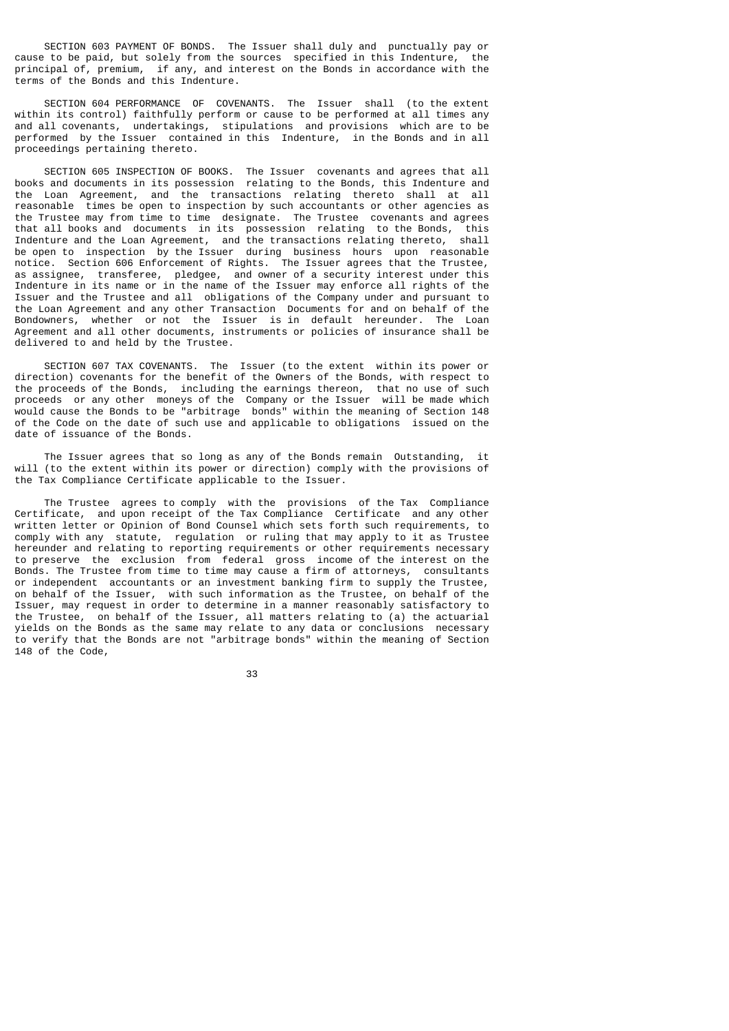SECTION 603 PAYMENT OF BONDS. The Issuer shall duly and punctually pay or<br>to be paid, but solely from the sources specified in this Indenture, the cause to be paid, but solely from the sources specified in this Indenture, principal of, premium, if any, and interest on the Bonds in accordance with the terms of the Bonds and this Indenture.

 SECTION 604 PERFORMANCE OF COVENANTS. The Issuer shall (to the extent within its control) faithfully perform or cause to be performed at all times any and all covenants, undertakings, stipulations and provisions which are to be performed by the Issuer contained in this Indenture, in the Bonds and in all proceedings pertaining thereto.

 SECTION 605 INSPECTION OF BOOKS. The Issuer covenants and agrees that all books and documents in its possession relating to the Bonds, this Indenture and the Loan Agreement, and the transactions relating thereto shall at all reasonable times be open to inspection by such accountants or other agencies as the Trustee may from time to time designate. The Trustee covenants and agrees that all books and documents in its possession relating to the Bonds, this Indenture and the Loan Agreement, and the transactions relating thereto, shall be open to inspection by the Issuer during business hours upon reasonable notice. Section 606 Enforcement of Rights. The Issuer agrees that the Trustee, as assignee, transferee, pledgee, and owner of a security interest under this Indenture in its name or in the name of the Issuer may enforce all rights of the Issuer and the Trustee and all obligations of the Company under and pursuant to the Loan Agreement and any other Transaction Documents for and on behalf of the Bondowners, whether or not the Issuer is in default hereunder. The Loan Agreement and all other documents, instruments or policies of insurance shall be delivered to and held by the Trustee.

 SECTION 607 TAX COVENANTS. The Issuer (to the extent within its power or direction) covenants for the benefit of the Owners of the Bonds, with respect to the proceeds of the Bonds, including the earnings thereon, that no use of such proceeds or any other moneys of the Company or the Issuer will be made which would cause the Bonds to be "arbitrage bonds" within the meaning of Section 148 of the Code on the date of such use and applicable to obligations issued on the date of issuance of the Bonds.

 The Issuer agrees that so long as any of the Bonds remain Outstanding, it will (to the extent within its power or direction) comply with the provisions of the Tax Compliance Certificate applicable to the Issuer.

 The Trustee agrees to comply with the provisions of the Tax Compliance Certificate, and upon receipt of the Tax Compliance Certificate and any other written letter or Opinion of Bond Counsel which sets forth such requirements, to comply with any statute, regulation or ruling that may apply to it as Trustee hereunder and relating to reporting requirements or other requirements necessary to preserve the exclusion from federal gross income of the interest on the Bonds. The Trustee from time to time may cause a firm of attorneys, consultants or independent accountants or an investment banking firm to supply the Trustee, on behalf of the Issuer, with such information as the Trustee, on behalf of the Issuer, may request in order to determine in a manner reasonably satisfactory to the Trustee, on behalf of the Issuer, all matters relating to (a) the actuarial yields on the Bonds as the same may relate to any data or conclusions necessary to verify that the Bonds are not "arbitrage bonds" within the meaning of Section 148 of the Code,

33 and 2012 and 2013 and 2013 and 2014 and 2014 and 2014 and 2014 and 2014 and 2014 and 2014 and 2014 and 2014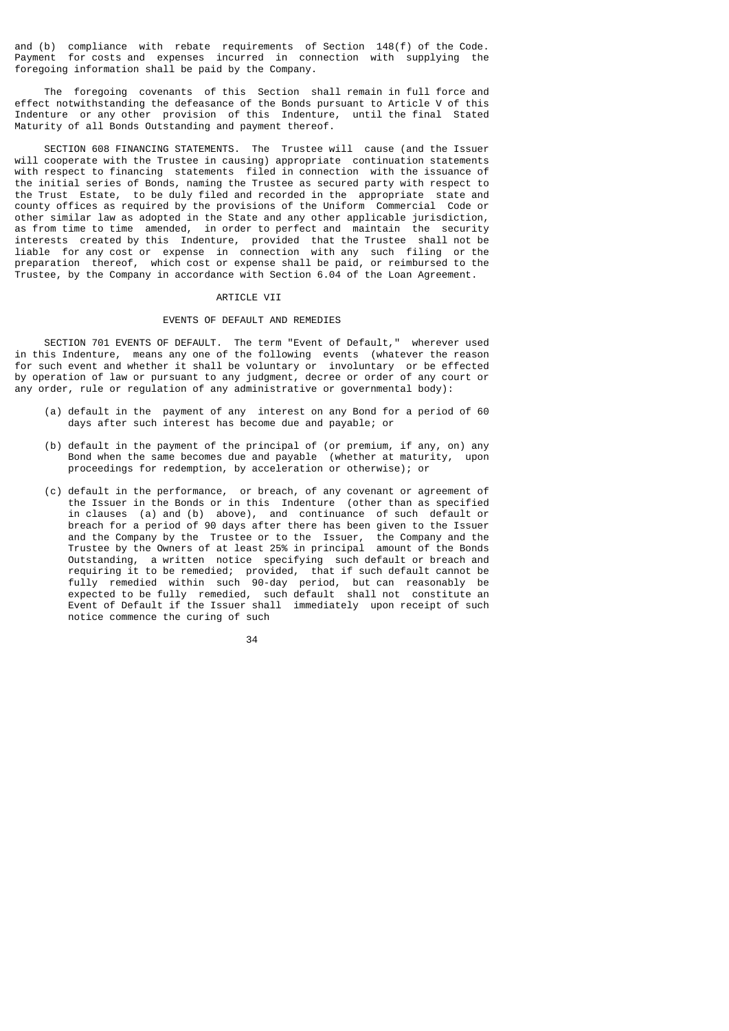and (b) compliance with rebate requirements of Section 148(f) of the Code. Payment for costs and expenses incurred in connection with supplying the foregoing information shall be paid by the Company.

 The foregoing covenants of this Section shall remain in full force and effect notwithstanding the defeasance of the Bonds pursuant to Article V of this Indenture or any other provision of this Indenture, until the final Stated Maturity of all Bonds Outstanding and payment thereof.

 SECTION 608 FINANCING STATEMENTS. The Trustee will cause (and the Issuer will cooperate with the Trustee in causing) appropriate continuation statements with respect to financing statements filed in connection with the issuance of the initial series of Bonds, naming the Trustee as secured party with respect to the Trust Estate, to be duly filed and recorded in the appropriate state and county offices as required by the provisions of the Uniform Commercial Code or other similar law as adopted in the State and any other applicable jurisdiction, as from time to time amended, in order to perfect and maintain the security interests created by this Indenture, provided that the Trustee shall not be liable for any cost or expense in connection with any such filing or the preparation thereof, which cost or expense shall be paid, or reimbursed to the Trustee, by the Company in accordance with Section 6.04 of the Loan Agreement.

#### **ARTICLE VII**

## EVENTS OF DEFAULT AND REMEDIES

 SECTION 701 EVENTS OF DEFAULT. The term "Event of Default," wherever used in this Indenture, means any one of the following events (whatever the reason for such event and whether it shall be voluntary or involuntary or be effected by operation of law or pursuant to any judgment, decree or order of any court or any order, rule or regulation of any administrative or governmental body):

- (a) default in the payment of any interest on any Bond for a period of 60 days after such interest has become due and payable; or
- (b) default in the payment of the principal of (or premium, if any, on) any Bond when the same becomes due and payable (whether at maturity, upon proceedings for redemption, by acceleration or otherwise); or
- (c) default in the performance, or breach, of any covenant or agreement of the Issuer in the Bonds or in this Indenture (other than as specified in clauses (a) and (b) above), and continuance of such default or breach for a period of 90 days after there has been given to the Issuer and the Company by the Trustee or to the Issuer, the Company and the Trustee by the Owners of at least 25% in principal amount of the Bonds Outstanding, a written notice specifying such default or breach and requiring it to be remedied; provided, that if such default cannot be fully remedied within such 90-day period, but can reasonably be expected to be fully remedied, such default shall not constitute an Event of Default if the Issuer shall immediately upon receipt of such notice commence the curing of such

<u>34 and 2012</u>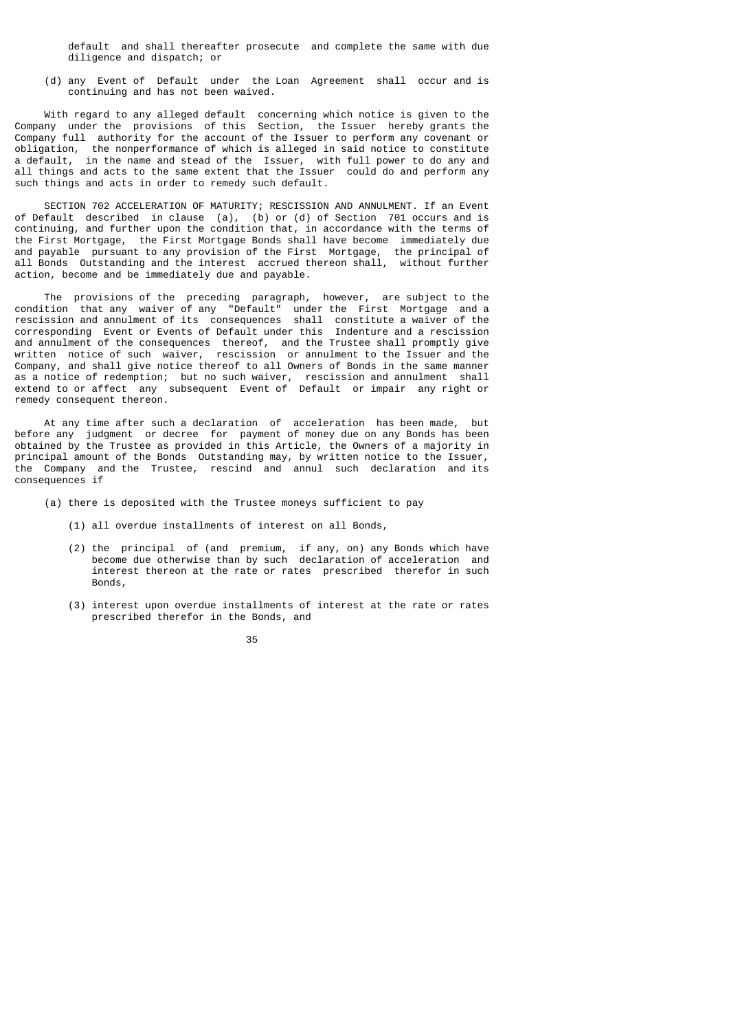default and shall thereafter prosecute and complete the same with due diligence and dispatch; or

 (d) any Event of Default under the Loan Agreement shall occur and is continuing and has not been waived.

 With regard to any alleged default concerning which notice is given to the Company under the provisions of this Section, the Issuer hereby grants the Company full authority for the account of the Issuer to perform any covenant or obligation, the nonperformance of which is alleged in said notice to constitute a default, in the name and stead of the Issuer, with full power to do any and all things and acts to the same extent that the Issuer could do and perform any such things and acts in order to remedy such default.

 SECTION 702 ACCELERATION OF MATURITY; RESCISSION AND ANNULMENT. If an Event of Default described in clause (a), (b) or (d) of Section 701 occurs and is continuing, and further upon the condition that, in accordance with the terms of the First Mortgage, the First Mortgage Bonds shall have become immediately due and payable pursuant to any provision of the First Mortgage, the principal of all Bonds Outstanding and the interest accrued thereon shall, without further action, become and be immediately due and payable.

 The provisions of the preceding paragraph, however, are subject to the condition that any waiver of any "Default" under the First Mortgage and a rescission and annulment of its consequences shall constitute a waiver of the corresponding Event or Events of Default under this Indenture and a rescission and annulment of the consequences thereof, and the Trustee shall promptly give written notice of such waiver, rescission or annulment to the Issuer and the Company, and shall give notice thereof to all Owners of Bonds in the same manner as a notice of redemption; but no such waiver, rescission and annulment shall extend to or affect any subsequent Event of Default or impair any right or remedy consequent thereon.

 At any time after such a declaration of acceleration has been made, but before any judgment or decree for payment of money due on any Bonds has been obtained by the Trustee as provided in this Article, the Owners of a majority in principal amount of the Bonds Outstanding may, by written notice to the Issuer, the Company and the Trustee, rescind and annul such declaration and its consequences if

- (a) there is deposited with the Trustee moneys sufficient to pay
	- (1) all overdue installments of interest on all Bonds,
- (2) the principal of (and premium, if any, on) any Bonds which have become due otherwise than by such declaration of acceleration and interest thereon at the rate or rates prescribed therefor in such Bonds,
	- (3) interest upon overdue installments of interest at the rate or rates prescribed therefor in the Bonds, and

<u>35 and 200 and 200 and 200 and 200 and 200 and 200 and 200 and 200 and 200 and 200 and 200 and 200 and 200 and 200 and 200 and 200 and 200 and 200 and 200 and 200 and 200 and 200 and 200 and 200 and 200 and 200 and 200 an</u>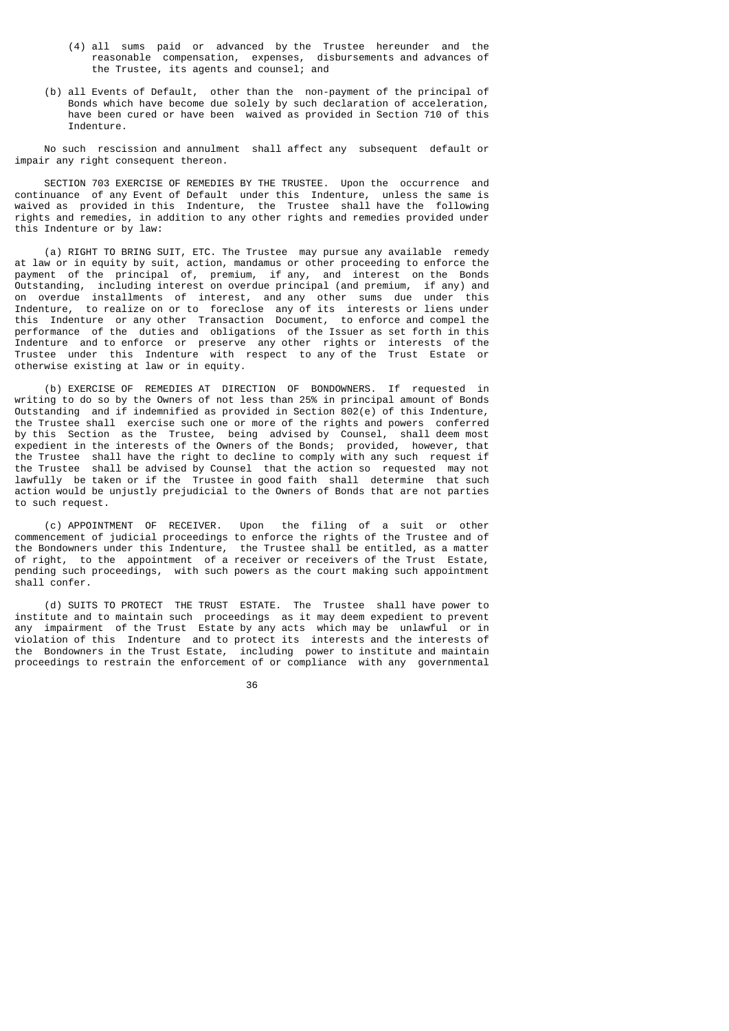- (4) all sums paid or advanced by the Trustee hereunder and the reasonable compensation, expenses, disbursements and advances of the Trustee, its agents and counsel; and
- (b) all Events of Default, other than the non-payment of the principal of Bonds which have become due solely by such declaration of acceleration, have been cured or have been waived as provided in Section 710 of this Indenture.

 No such rescission and annulment shall affect any subsequent default or impair any right consequent thereon.

 SECTION 703 EXERCISE OF REMEDIES BY THE TRUSTEE. Upon the occurrence and continuance of any Event of Default under this Indenture, unless the same is waived as provided in this Indenture, the Trustee shall have the following rights and remedies, in addition to any other rights and remedies provided under this Indenture or by law:

 (a) RIGHT TO BRING SUIT, ETC. The Trustee may pursue any available remedy at law or in equity by suit, action, mandamus or other proceeding to enforce the payment of the principal of, premium, if any, and interest on the Bonds Outstanding, including interest on overdue principal (and premium, if any) and on overdue installments of interest, and any other sums due under this Indenture, to realize on or to foreclose any of its interests or liens under this Indenture or any other Transaction Document, to enforce and compel the performance of the duties and obligations of the Issuer as set forth in this Indenture and to enforce or preserve any other rights or interests of the Trustee under this Indenture with respect to any of the Trust Estate or otherwise existing at law or in equity.

 (b) EXERCISE OF REMEDIES AT DIRECTION OF BONDOWNERS. If requested in writing to do so by the Owners of not less than 25% in principal amount of Bonds Outstanding and if indemnified as provided in Section 802(e) of this Indenture, the Trustee shall exercise such one or more of the rights and powers conferred by this Section as the Trustee, being advised by Counsel, shall deem most expedient in the interests of the Owners of the Bonds; provided, however, that the Trustee shall have the right to decline to comply with any such request if the Trustee shall be advised by Counsel that the action so requested may not lawfully be taken or if the Trustee in good faith shall determine that such action would be unjustly prejudicial to the Owners of Bonds that are not parties to such request.

 (c) APPOINTMENT OF RECEIVER. Upon the filing of a suit or other commencement of judicial proceedings to enforce the rights of the Trustee and of the Bondowners under this Indenture, the Trustee shall be entitled, as a matter of right, to the appointment of a receiver or receivers of the Trust Estate, pending such proceedings, with such powers as the court making such appointment shall confer.

 (d) SUITS TO PROTECT THE TRUST ESTATE. The Trustee shall have power to institute and to maintain such proceedings as it may deem expedient to prevent any impairment of the Trust Estate by any acts which may be unlawful or in violation of this Indenture and to protect its interests and the interests of the Bondowners in the Trust Estate, including power to institute and maintain proceedings to restrain the enforcement of or compliance with any governmental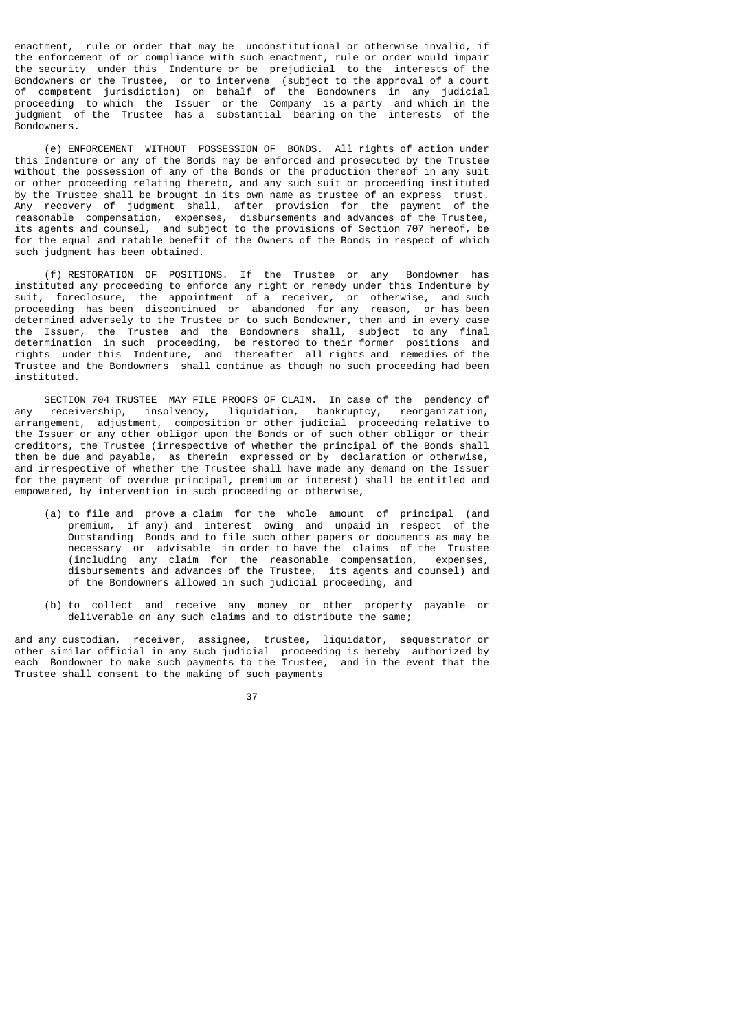enactment, rule or order that may be unconstitutional or otherwise invalid, if the enforcement of or compliance with such enactment, rule or order would impair the security under this Indenture or be prejudicial to the interests of the Bondowners or the Trustee, or to intervene (subject to the approval of a court of competent jurisdiction) on behalf of the Bondowners in any judicial proceeding to which the Issuer or the Company is a party and which in the judgment of the Trustee has a substantial bearing on the interests of the Bondowners.

 (e) ENFORCEMENT WITHOUT POSSESSION OF BONDS. All rights of action under this Indenture or any of the Bonds may be enforced and prosecuted by the Trustee without the possession of any of the Bonds or the production thereof in any suit or other proceeding relating thereto, and any such suit or proceeding instituted by the Trustee shall be brought in its own name as trustee of an express trust.<br>Any recovery of judgment shall, after provision for the payment of the Any recovery of judgment shall, after provision for the payment reasonable compensation, expenses, disbursements and advances of the Trustee, its agents and counsel, and subject to the provisions of Section 707 hereof, be for the equal and ratable benefit of the Owners of the Bonds in respect of which such judgment has been obtained.

 (f) RESTORATION OF POSITIONS. If the Trustee or any Bondowner has instituted any proceeding to enforce any right or remedy under this Indenture by suit, foreclosure, the appointment of a receiver, or otherwise, and such proceeding has been discontinued or abandoned for any reason, or has been determined adversely to the Trustee or to such Bondowner, then and in every case the Issuer, the Trustee and the Bondowners shall, subject to any final determination in such proceeding, be restored to their former positions and rights under this Indenture, and thereafter all rights and remedies of the Trustee and the Bondowners shall continue as though no such proceeding had been instituted.

SECTION 704 TRUSTEE MAY FILE PROOFS OF CLAIM. In case of the pendency of any receivership. insolvency. liquidation. bankruptcy. reorganization. receivership, insolvency, liquidation, bankruptcy, reorganization, arrangement, adjustment, composition or other judicial proceeding relative to the Issuer or any other obligor upon the Bonds or of such other obligor or their creditors, the Trustee (irrespective of whether the principal of the Bonds shall then be due and payable, as therein expressed or by declaration or otherwise, and irrespective of whether the Trustee shall have made any demand on the Issuer for the payment of overdue principal, premium or interest) shall be entitled and empowered, by intervention in such proceeding or otherwise,

- (a) to file and prove a claim for the whole amount of principal (and premium, if any) and interest owing and unpaid in respect of the Outstanding Bonds and to file such other papers or documents as may be necessary or advisable in order to have the claims of the Trustee (including any claim for the reasonable compensation, expenses, disbursements and advances of the Trustee, its agents and counsel) and of the Bondowners allowed in such judicial proceeding, and
- (b) to collect and receive any money or other property payable or deliverable on any such claims and to distribute the same;

and any custodian, receiver, assignee, trustee, liquidator, sequestrator or other similar official in any such judicial proceeding is hereby authorized by each Bondowner to make such payments to the Trustee, and in the event that the Trustee shall consent to the making of such payments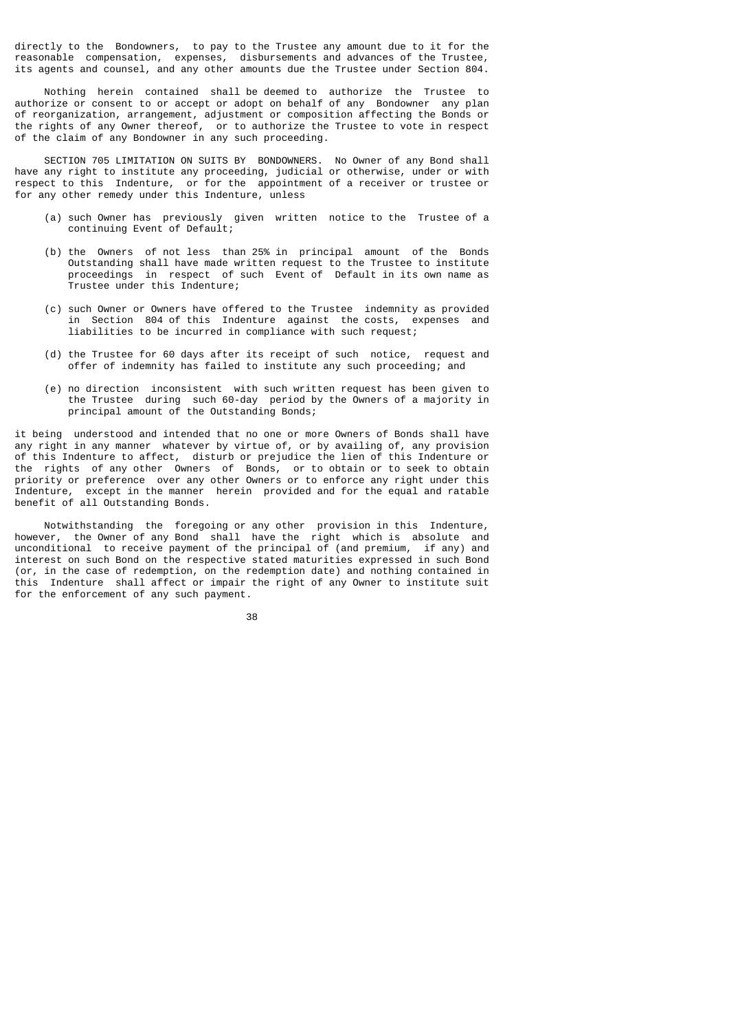directly to the Bondowners, to pay to the Trustee any amount due to it for the reasonable compensation, expenses, disbursements and advances of the Trustee, its agents and counsel, and any other amounts due the Trustee under Section 804.

 Nothing herein contained shall be deemed to authorize the Trustee to authorize or consent to or accept or adopt on behalf of any Bondowner any plan of reorganization, arrangement, adjustment or composition affecting the Bonds or the rights of any Owner thereof, or to authorize the Trustee to vote in respect of the claim of any Bondowner in any such proceeding.

 SECTION 705 LIMITATION ON SUITS BY BONDOWNERS. No Owner of any Bond shall have any right to institute any proceeding, judicial or otherwise, under or with respect to this Indenture, or for the appointment of a receiver or trustee or for any other remedy under this Indenture, unless

- (a) such Owner has previously given written notice to the Trustee of a continuing Event of Default;
- (b) the Owners of not less than 25% in principal amount of the Bonds Outstanding shall have made written request to the Trustee to institute proceedings in respect of such Event of Default in its own name as Trustee under this Indenture;
- (c) such Owner or Owners have offered to the Trustee indemnity as provided in Section 804 of this Indenture against the costs, expenses and liabilities to be incurred in compliance with such request;
- (d) the Trustee for 60 days after its receipt of such notice, request and offer of indemnity has failed to institute any such proceeding; and
- (e) no direction inconsistent with such written request has been given to the Trustee during such 60-day period by the Owners of a majority in principal amount of the Outstanding Bonds;

it being understood and intended that no one or more Owners of Bonds shall have any right in any manner whatever by virtue of, or by availing of, any provision of this Indenture to affect, disturb or prejudice the lien of this Indenture or the rights of any other Owners of Bonds, or to obtain or to seek to obtain priority or preference over any other Owners or to enforce any right under this Indenture, except in the manner herein provided and for the equal and ratable benefit of all Outstanding Bonds.

 Notwithstanding the foregoing or any other provision in this Indenture, however, the Owner of any Bond shall have the right which is absolute and unconditional to receive payment of the principal of (and premium, if any) and interest on such Bond on the respective stated maturities expressed in such Bond (or, in the case of redemption, on the redemption date) and nothing contained in this Indenture shall affect or impair the right of any Owner to institute suit for the enforcement of any such payment.

<u>38 and 2001 and 2001 and 2001 and 2001 and 2001 and 2001 and 2001 and 2001 and 2001 and 2001 and 200</u>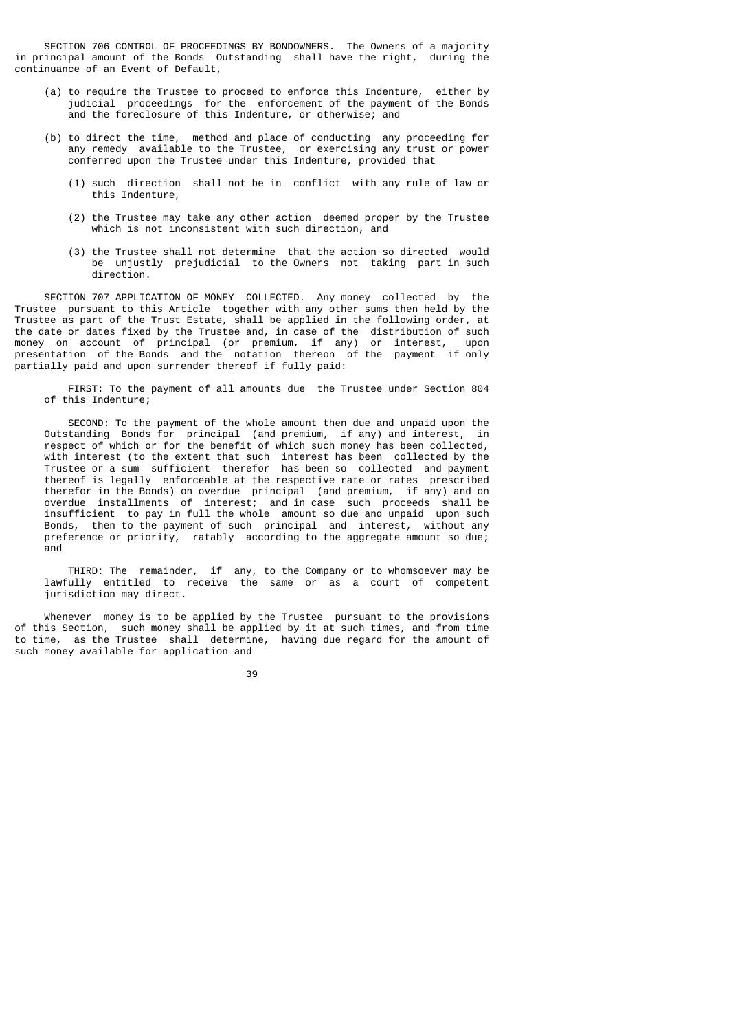SECTION 706 CONTROL OF PROCEEDINGS BY BONDOWNERS. The Owners of a majority in principal amount of the Bonds Outstanding shall have the right, during the continuance of an Event of Default,

- (a) to require the Trustee to proceed to enforce this Indenture, either by judicial proceedings for the enforcement of the payment of the Bonds and the foreclosure of this Indenture, or otherwise; and
- (b) to direct the time, method and place of conducting any proceeding for any remedy available to the Trustee, or exercising any trust or power conferred upon the Trustee under this Indenture, provided that
	- (1) such direction shall not be in conflict with any rule of law or this Indenture,
	- (2) the Trustee may take any other action deemed proper by the Trustee which is not inconsistent with such direction, and
	- (3) the Trustee shall not determine that the action so directed would be unjustly prejudicial to the Owners not taking part in such direction.

 SECTION 707 APPLICATION OF MONEY COLLECTED. Any money collected by the Trustee pursuant to this Article together with any other sums then held by the Trustee as part of the Trust Estate, shall be applied in the following order, at the date or dates fixed by the Trustee and, in case of the distribution of such money on account of principal (or premium, if any) or interest, upon presentation of the Bonds and the notation thereon of the payment if only partially paid and upon surrender thereof if fully paid:

 FIRST: To the payment of all amounts due the Trustee under Section 804 of this Indenture;

 SECOND: To the payment of the whole amount then due and unpaid upon the Outstanding Bonds for principal (and premium, if any) and interest, in respect of which or for the benefit of which such money has been collected, with interest (to the extent that such interest has been collected by the Trustee or a sum sufficient therefor has been so collected and payment thereof is legally enforceable at the respective rate or rates prescribed therefor in the Bonds) on overdue principal (and premium, if any) and on overdue installments of interest; and in case such proceeds shall be insufficient to pay in full the whole amount so due and unpaid upon such Bonds, then to the payment of such principal and interest, without any preference or priority, ratably according to the aggregate amount so due; and

 THIRD: The remainder, if any, to the Company or to whomsoever may be lawfully entitled to receive the same or as a court of competent jurisdiction may direct.

 Whenever money is to be applied by the Trustee pursuant to the provisions of this Section, such money shall be applied by it at such times, and from time to time, as the Trustee shall determine, having due regard for the amount of such money available for application and

39 and 2012 and 2013 and 2014 and 2014 and 2014 and 2014 and 2014 and 2014 and 2014 and 2014 and 201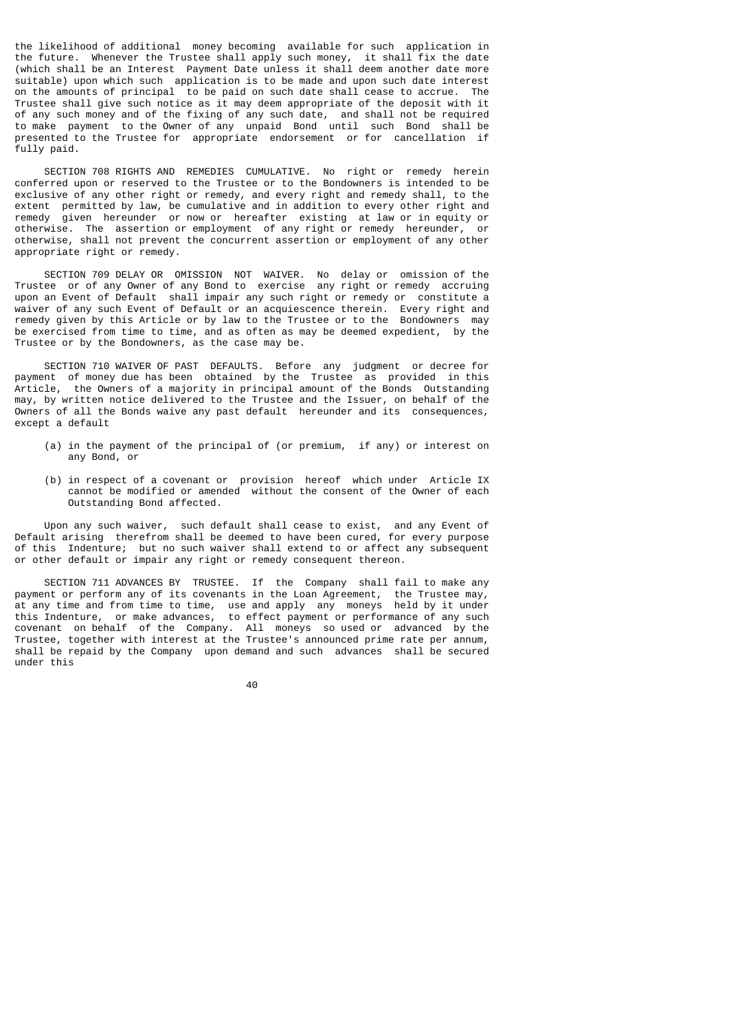the likelihood of additional money becoming available for such application in the future. Whenever the Trustee shall apply such money, it shall fix the date (which shall be an Interest Payment Date unless it shall deem another date more suitable) upon which such application is to be made and upon such date interest on the amounts of principal to be paid on such date shall cease to accrue. The Trustee shall give such notice as it may deem appropriate of the deposit with it of any such money and of the fixing of any such date, and shall not be required to make payment to the Owner of any unpaid Bond until such Bond shall be presented to the Trustee for appropriate endorsement or for cancellation if fully paid.

 SECTION 708 RIGHTS AND REMEDIES CUMULATIVE. No right or remedy herein conferred upon or reserved to the Trustee or to the Bondowners is intended to be exclusive of any other right or remedy, and every right and remedy shall, to the extent permitted by law, be cumulative and in addition to every other right and remedy given hereunder or now or hereafter existing at law or in equity or otherwise. The assertion or employment of any right or remedy hereunder, or otherwise, shall not prevent the concurrent assertion or employment of any other appropriate right or remedy.

 SECTION 709 DELAY OR OMISSION NOT WAIVER. No delay or omission of the Trustee or of any Owner of any Bond to exercise any right or remedy accruing upon an Event of Default shall impair any such right or remedy or constitute a waiver of any such Event of Default or an acquiescence therein. Every right and remedy given by this Article or by law to the Trustee or to the Bondowners may be exercised from time to time, and as often as may be deemed expedient, by the Trustee or by the Bondowners, as the case may be.

 SECTION 710 WAIVER OF PAST DEFAULTS. Before any judgment or decree for payment of money due has been obtained by the Trustee as provided in this Article, the Owners of a majority in principal amount of the Bonds Outstanding may, by written notice delivered to the Trustee and the Issuer, on behalf of the Owners of all the Bonds waive any past default hereunder and its consequences, except a default

- (a) in the payment of the principal of (or premium, if any) or interest on any Bond, or
- (b) in respect of a covenant or provision hereof which under Article IX cannot be modified or amended without the consent of the Owner of each Outstanding Bond affected.

 Upon any such waiver, such default shall cease to exist, and any Event of Default arising therefrom shall be deemed to have been cured, for every purpose of this Indenture; but no such waiver shall extend to or affect any subsequent or other default or impair any right or remedy consequent thereon.

 SECTION 711 ADVANCES BY TRUSTEE. If the Company shall fail to make any payment or perform any of its covenants in the Loan Agreement, the Trustee may, at any time and from time to time, use and apply any moneys held by it under this Indenture, or make advances, to effect payment or performance of any such covenant on behalf of the Company. All moneys so used or advanced by the Trustee, together with interest at the Trustee's announced prime rate per annum, shall be repaid by the Company upon demand and such advances shall be secured under this

е в село во село во село во село во село во село во село во село во село во село во село во село во село во се<br>Во село во село во село во село во село во село во село во село во село во село во село во село во село во сел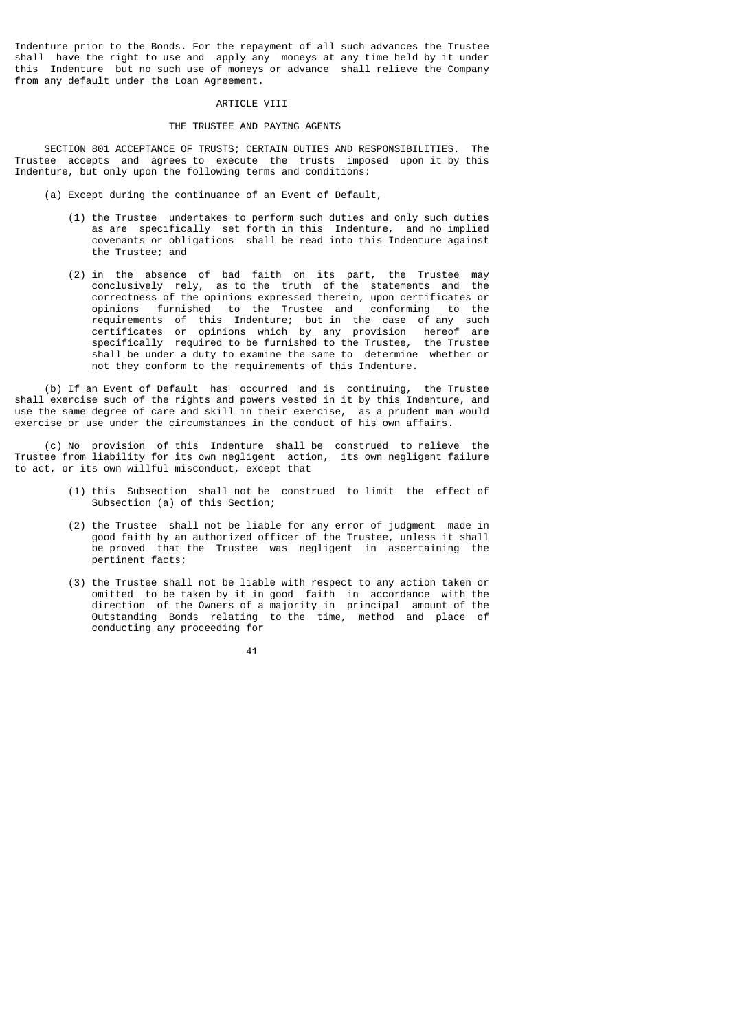Indenture prior to the Bonds. For the repayment of all such advances the Trustee shall have the right to use and apply any moneys at any time held by it under this Indenture but no such use of moneys or advance shall relieve the Company from any default under the Loan Agreement.

## ARTICLE VIII

# THE TRUSTEE AND PAYING AGENTS

 SECTION 801 ACCEPTANCE OF TRUSTS; CERTAIN DUTIES AND RESPONSIBILITIES. The Trustee accepts and agrees to execute the trusts imposed upon it by this Indenture, but only upon the following terms and conditions:

- (a) Except during the continuance of an Event of Default,
	- (1) the Trustee undertakes to perform such duties and only such duties as are specifically set forth in this Indenture, and no implied covenants or obligations shall be read into this Indenture against the Trustee; and
- (2) in the absence of bad faith on its part, the Trustee may conclusively rely, as to the truth of the statements and the correctness of the opinions expressed therein, upon certificates or opinions furnished to the Trustee and conforming to the requirements of this Indenture; but in the case of any such certificates or opinions which by any provision hereof are specifically required to be furnished to the Trustee, the Trustee shall be under a duty to examine the same to determine whether or not they conform to the requirements of this Indenture.

 (b) If an Event of Default has occurred and is continuing, the Trustee shall exercise such of the rights and powers vested in it by this Indenture, and use the same degree of care and skill in their exercise, as a prudent man would exercise or use under the circumstances in the conduct of his own affairs.

 (c) No provision of this Indenture shall be construed to relieve the Trustee from liability for its own negligent action, its own negligent failure to act, or its own willful misconduct, except that

- (1) this Subsection shall not be construed to limit the effect of Subsection (a) of this Section;
- (2) the Trustee shall not be liable for any error of judgment made in good faith by an authorized officer of the Trustee, unless it shall be proved that the Trustee was negligent in ascertaining the pertinent facts;
- (3) the Trustee shall not be liable with respect to any action taken or omitted to be taken by it in good faith in accordance with the direction of the Owners of a majority in principal amount of the Outstanding Bonds relating to the time, method and place of conducting any proceeding for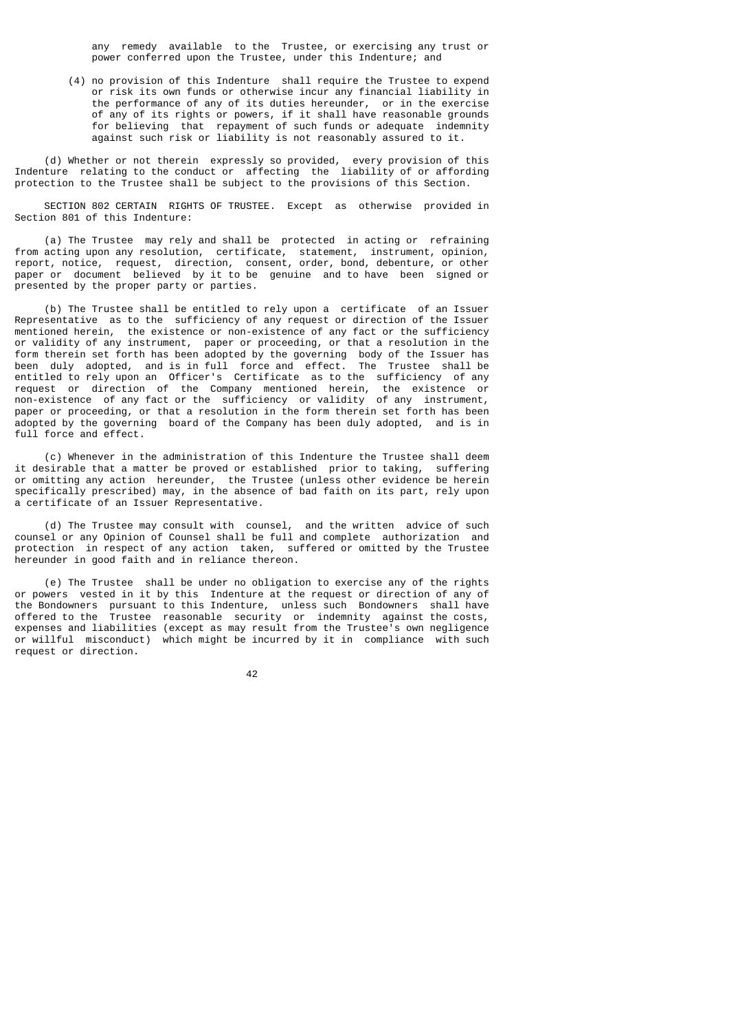any remedy available to the Trustee, or exercising any trust or power conferred upon the Trustee, under this Indenture; and

 (4) no provision of this Indenture shall require the Trustee to expend or risk its own funds or otherwise incur any financial liability in the performance of any of its duties hereunder, or in the exercise of any of its rights or powers, if it shall have reasonable grounds for believing that repayment of such funds or adequate indemnity against such risk or liability is not reasonably assured to it.

 (d) Whether or not therein expressly so provided, every provision of this Indenture relating to the conduct or affecting the liability of or affording protection to the Trustee shall be subject to the provisions of this Section.

 SECTION 802 CERTAIN RIGHTS OF TRUSTEE. Except as otherwise provided in Section 801 of this Indenture:

 (a) The Trustee may rely and shall be protected in acting or refraining from acting upon any resolution, certificate, statement, instrument, opinion, report, notice, request, direction, consent, order, bond, debenture, or other paper or document believed by it to be genuine and to have been signed or presented by the proper party or parties.

 (b) The Trustee shall be entitled to rely upon a certificate of an Issuer Representative as to the sufficiency of any request or direction of the Issuer mentioned herein, the existence or non-existence of any fact or the sufficiency or validity of any instrument, paper or proceeding, or that a resolution in the form therein set forth has been adopted by the governing body of the Issuer has been duly adopted, and is in full force and effect. The Trustee shall be entitled to rely upon an Officer's Certificate as to the sufficiency of any request or direction of the Company mentioned herein, the existence or non-existence of any fact or the sufficiency or validity of any instrument, paper or proceeding, or that a resolution in the form therein set forth has been adopted by the governing board of the Company has been duly adopted, and is in full force and effect.

 (c) Whenever in the administration of this Indenture the Trustee shall deem it desirable that a matter be proved or established prior to taking, suffering or omitting any action hereunder, the Trustee (unless other evidence be herein specifically prescribed) may, in the absence of bad faith on its part, rely upon a certificate of an Issuer Representative.

 (d) The Trustee may consult with counsel, and the written advice of such counsel or any Opinion of Counsel shall be full and complete authorization and protection in respect of any action taken, suffered or omitted by the Trustee hereunder in good faith and in reliance thereon.

 (e) The Trustee shall be under no obligation to exercise any of the rights or powers vested in it by this Indenture at the request or direction of any of the Bondowners pursuant to this Indenture, unless such Bondowners shall have<br>offered to the Trustee reasonable security or indemnity against the costs. parced to the Trustee reasonable security or indemnity against the costs, expenses and liabilities (except as may result from the Trustee's own negligence or willful misconduct) which might be incurred by it in compliance with such request or direction.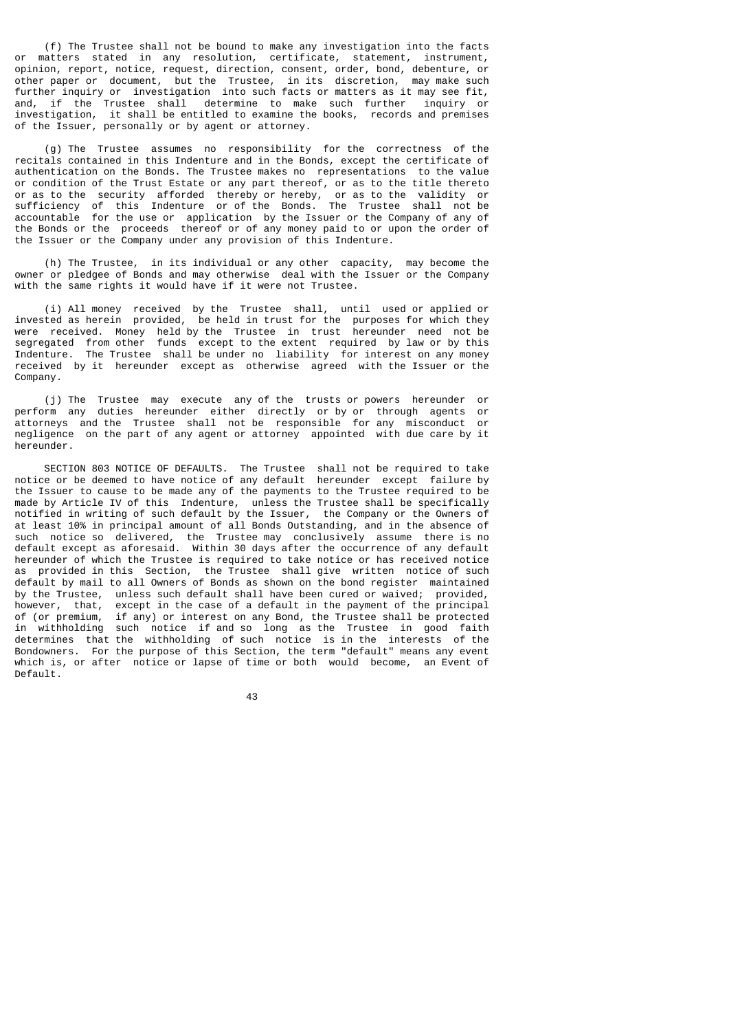(f) The Trustee shall not be bound to make any investigation into the facts<br>or matters stated in any resolution certificate statement instrument matters stated in any resolution, certificate, statement, instrument, opinion, report, notice, request, direction, consent, order, bond, debenture, or other paper or document, but the Trustee, in its discretion, may make such further inquiry or investigation into such facts or matters as it may see fit, and, if the Trustee shall determine to make such further inquiry or investigation, it shall be entitled to examine the books, records and premises of the Issuer, personally or by agent or attorney.

 (g) The Trustee assumes no responsibility for the correctness of the recitals contained in this Indenture and in the Bonds, except the certificate of authentication on the Bonds. The Trustee makes no representations to the value or condition of the Trust Estate or any part thereof, or as to the title thereto or as to the security afforded thereby or hereby, or as to the validity or sufficiency of this Indenture or of the Bonds. The Trustee shall not be accountable for the use or application by the Issuer or the Company of any of the Bonds or the proceeds thereof or of any money paid to or upon the order of the Issuer or the Company under any provision of this Indenture.

 (h) The Trustee, in its individual or any other capacity, may become the owner or pledgee of Bonds and may otherwise deal with the Issuer or the Company with the same rights it would have if it were not Trustee.

 (i) All money received by the Trustee shall, until used or applied or invested as herein provided, be held in trust for the purposes for which they were received. Money held by the Trustee in trust hereunder need not be segregated from other funds except to the extent required by law or by this Indenture. The Trustee shall be under no liability for interest on any money received by it hereunder except as otherwise agreed with the Issuer or the Company.

 (j) The Trustee may execute any of the trusts or powers hereunder or perform any duties hereunder either directly or by or through agents or attorneys and the Trustee shall not be responsible for any misconduct or negligence on the part of any agent or attorney appointed with due care by it hereunder.

 SECTION 803 NOTICE OF DEFAULTS. The Trustee shall not be required to take notice or be deemed to have notice of any default hereunder except failure by the Issuer to cause to be made any of the payments to the Trustee required to be made by Article IV of this Indenture, unless the Trustee shall be specifically notified in writing of such default by the Issuer, the Company or the Owners of at least 10% in principal amount of all Bonds Outstanding, and in the absence of such notice so delivered, the Trustee may conclusively assume there is no default except as aforesaid. Within 30 days after the occurrence of any default hereunder of which the Trustee is required to take notice or has received notice as provided in this Section, the Trustee shall give written notice of such default by mail to all Owners of Bonds as shown on the bond register maintained by the Trustee, unless such default shall have been cured or waived; provided, however, that, except in the case of a default in the payment of the principal of (or premium, if any) or interest on any Bond, the Trustee shall be protected in withholding such notice if and so long as the Trustee in good faith determines that the withholding of such notice is in the interests of the Bondowners. For the purpose of this Section, the term "default" means any event which is, or after notice or lapse of time or both would become, an Event of Default.

<u>43 and 2014</u>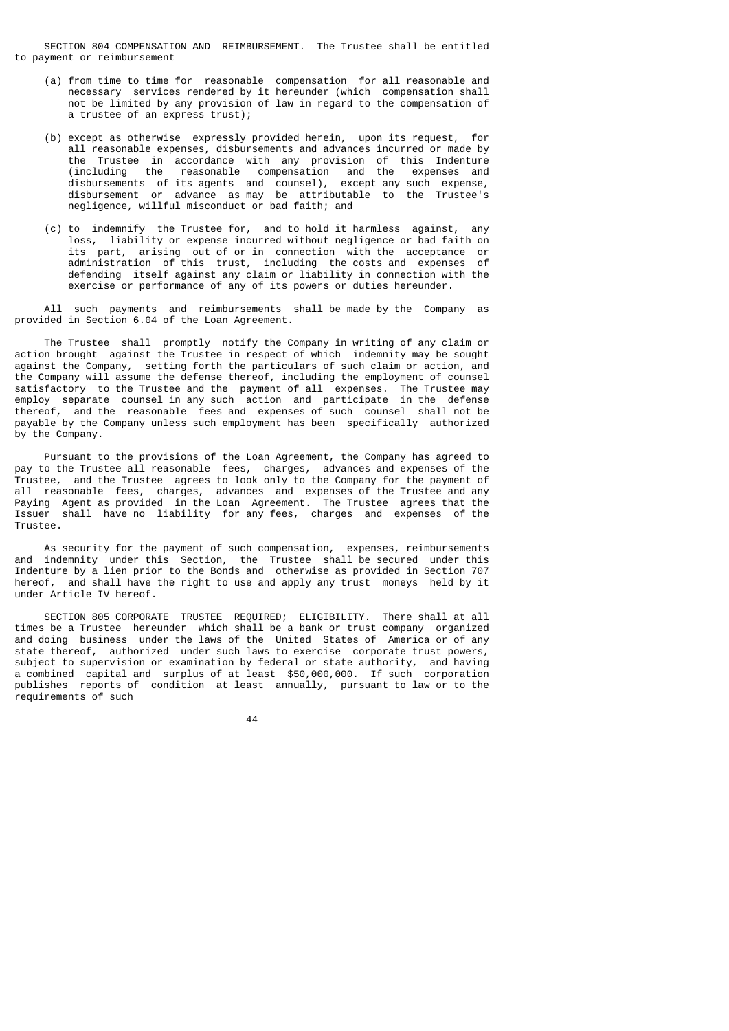SECTION 804 COMPENSATION AND REIMBURSEMENT. The Trustee shall be entitled to payment or reimbursement

- (a) from time to time for reasonable compensation for all reasonable and necessary services rendered by it hereunder (which compensation shall not be limited by any provision of law in regard to the compensation of a trustee of an express trust);
- (b) except as otherwise expressly provided herein, upon its request, for all reasonable expenses, disbursements and advances incurred or made by the Trustee in accordance with any provision of this Indenture<br>(including the reasonable compensation and the expenses and reasonable compensation and the expenses and disbursements of its agents and counsel), except any such expense, disbursement or advance as may be attributable to the Trustee's negligence, willful misconduct or bad faith; and
- (c) to indemnify the Trustee for, and to hold it harmless against, any loss, liability or expense incurred without negligence or bad faith on its part, arising out of or in connection with the acceptance or administration of this trust, including the costs and expenses of defending itself against any claim or liability in connection with the exercise or performance of any of its powers or duties hereunder.

 All such payments and reimbursements shall be made by the Company as provided in Section 6.04 of the Loan Agreement.

 The Trustee shall promptly notify the Company in writing of any claim or action brought against the Trustee in respect of which indemnity may be sought against the Company, setting forth the particulars of such claim or action, and the Company will assume the defense thereof, including the employment of counsel satisfactory to the Trustee and the payment of all expenses. The Trustee may employ separate counsel in any such action and participate in the defense thereof, and the reasonable fees and expenses of such counsel shall not be payable by the Company unless such employment has been specifically authorized by the Company.

 Pursuant to the provisions of the Loan Agreement, the Company has agreed to pay to the Trustee all reasonable fees, charges, advances and expenses of the Trustee, and the Trustee agrees to look only to the Company for the payment of all reasonable fees, charges, advances and expenses of the Trustee and any Paying Agent as provided in the Loan Agreement. The Trustee agrees that the Issuer shall have no liability for any fees, charges and expenses of the Trustee.

 As security for the payment of such compensation, expenses, reimbursements and indemnity under this Section, the Trustee shall be secured under this Indenture by a lien prior to the Bonds and otherwise as provided in Section 707 hereof, and shall have the right to use and apply any trust moneys held by it under Article IV hereof.

 SECTION 805 CORPORATE TRUSTEE REQUIRED; ELIGIBILITY. There shall at all times be a Trustee hereunder which shall be a bank or trust company organized and doing business under the laws of the United States of America or of any state thereof, authorized under such laws to exercise corporate trust powers, subject to supervision or examination by federal or state authority, and having a combined capital and surplus of at least \$50,000,000. If such corporation publishes reports of condition at least annually, pursuant to law or to the requirements of such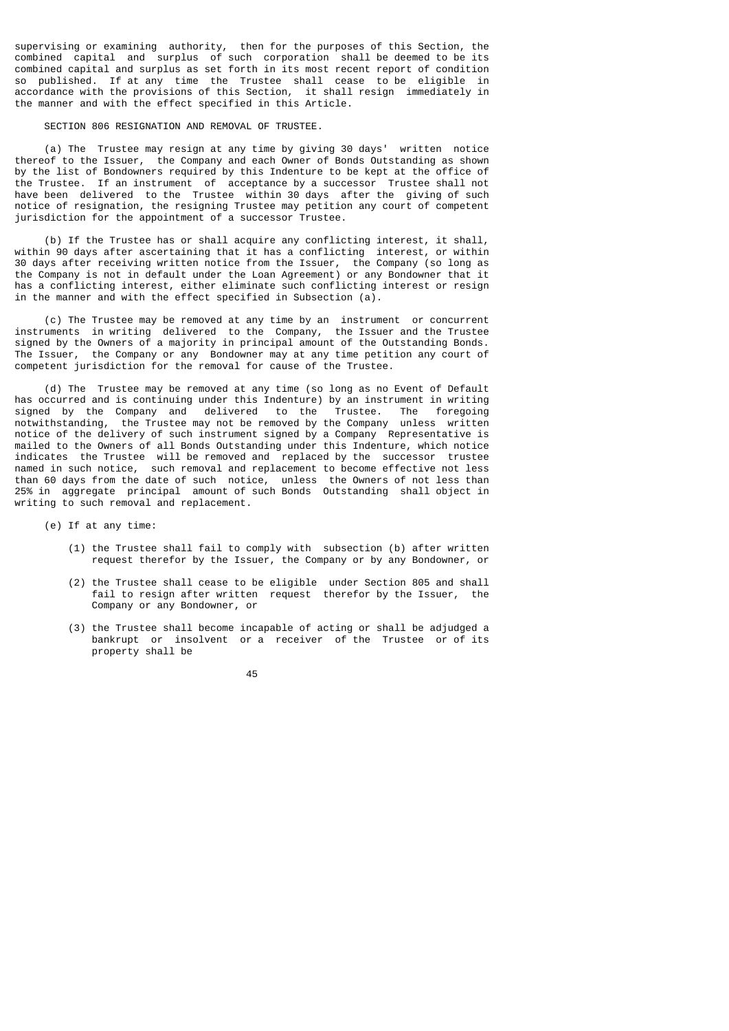supervising or examining authority, then for the purposes of this Section, the combined capital and surplus of such corporation shall be deemed to be its combined capital and surplus as set forth in its most recent report of condition so published. If at any time the Trustee shall cease to be eligible in accordance with the provisions of this Section, it shall resign immediately in the manner and with the effect specified in this Article.

#### SECTION 806 RESIGNATION AND REMOVAL OF TRUSTEE.

 (a) The Trustee may resign at any time by giving 30 days' written notice thereof to the Issuer, the Company and each Owner of Bonds Outstanding as shown by the list of Bondowners required by this Indenture to be kept at the office of the Trustee. If an instrument of acceptance by a successor Trustee shall not have been delivered to the Trustee within 30 days after the giving of such notice of resignation, the resigning Trustee may petition any court of competent jurisdiction for the appointment of a successor Trustee.

 (b) If the Trustee has or shall acquire any conflicting interest, it shall, within 90 days after ascertaining that it has a conflicting interest, or within 30 days after receiving written notice from the Issuer, the Company (so long as the Company is not in default under the Loan Agreement) or any Bondowner that it has a conflicting interest, either eliminate such conflicting interest or resign in the manner and with the effect specified in Subsection (a).

 (c) The Trustee may be removed at any time by an instrument or concurrent instruments in writing delivered to the Company, the Issuer and the Trustee signed by the Owners of a majority in principal amount of the Outstanding Bonds. The Issuer, the Company or any Bondowner may at any time petition any court of competent jurisdiction for the removal for cause of the Trustee.

 (d) The Trustee may be removed at any time (so long as no Event of Default has occurred and is continuing under this Indenture) by an instrument in writing signed by the Company and delivered to the Trustee. The foregoing notwithstanding, the Trustee may not be removed by the Company unless written notice of the delivery of such instrument signed by a Company Representative is mailed to the Owners of all Bonds Outstanding under this Indenture, which notice indicates the Trustee will be removed and replaced by the successor trustee named in such notice, such removal and replacement to become effective not less than 60 days from the date of such notice, unless the Owners of not less than 25% in aggregate principal amount of such Bonds Outstanding shall object in writing to such removal and replacement.

(e) If at any time:

- (1) the Trustee shall fail to comply with subsection (b) after written request therefor by the Issuer, the Company or by any Bondowner, or
- (2) the Trustee shall cease to be eligible under Section 805 and shall fail to resign after written request therefor by the Issuer, the Company or any Bondowner, or
- (3) the Trustee shall become incapable of acting or shall be adjudged a bankrupt or insolvent or a receiver of the Trustee or of its property shall be

<u>45 and 2012 and 2013</u>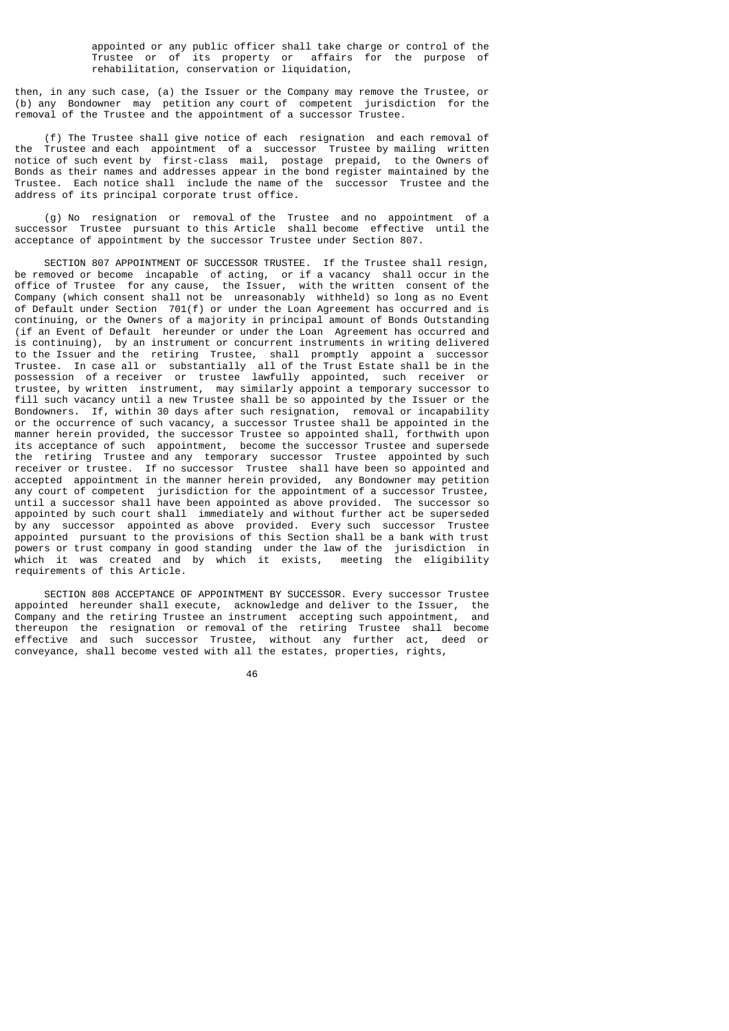appointed or any public officer shall take charge or control of the Trustee or of its property or affairs for the purpose of rehabilitation, conservation or liquidation,

then, in any such case, (a) the Issuer or the Company may remove the Trustee, or (b) any Bondowner may petition any court of competent jurisdiction for the removal of the Trustee and the appointment of a successor Trustee.

 (f) The Trustee shall give notice of each resignation and each removal of the Trustee and each appointment of a successor Trustee by mailing written notice of such event by first-class mail, postage prepaid, to the Owners of Bonds as their names and addresses appear in the bond register maintained by the Trustee. Each notice shall include the name of the successor Trustee and the address of its principal corporate trust office.

 (g) No resignation or removal of the Trustee and no appointment of a successor Trustee pursuant to this Article shall become effective until the acceptance of appointment by the successor Trustee under Section 807.

 SECTION 807 APPOINTMENT OF SUCCESSOR TRUSTEE. If the Trustee shall resign, be removed or become incapable of acting, or if a vacancy shall occur in the office of Trustee for any cause, the Issuer, with the written consent of the Company (which consent shall not be unreasonably withheld) so long as no Event of Default under Section 701(f) or under the Loan Agreement has occurred and is continuing, or the Owners of a majority in principal amount of Bonds Outstanding (if an Event of Default hereunder or under the Loan Agreement has occurred and is continuing), by an instrument or concurrent instruments in writing delivered to the Issuer and the retiring Trustee, shall promptly appoint a successor Trustee. In case all or substantially all of the Trust Estate shall be in the possession of a receiver or trustee lawfully appointed, such receiver or trustee, by written instrument, may similarly appoint a temporary successor to fill such vacancy until a new Trustee shall be so appointed by the Issuer or the Bondowners. If, within 30 days after such resignation, removal or incapability or the occurrence of such vacancy, a successor Trustee shall be appointed in the manner herein provided, the successor Trustee so appointed shall, forthwith upon its acceptance of such appointment, become the successor Trustee and supersede the retiring Trustee and any temporary successor Trustee appointed by such receiver or trustee. If no successor Trustee shall have been so appointed and accepted appointment in the manner herein provided, any Bondowner may petition any court of competent jurisdiction for the appointment of a successor Trustee, until a successor shall have been appointed as above provided. The successor so appointed by such court shall immediately and without further act be superseded by any successor appointed as above provided. Every such successor Trustee appointed pursuant to the provisions of this Section shall be a bank with trust powers or trust company in good standing under the law of the jurisdiction in which it was created and by which it exists, meeting the eligibility requirements of this Article.

 SECTION 808 ACCEPTANCE OF APPOINTMENT BY SUCCESSOR. Every successor Trustee appointed hereunder shall execute, acknowledge and deliver to the Issuer, the Company and the retiring Trustee an instrument accepting such appointment, and thereupon the resignation or removal of the retiring Trustee shall become effective and such successor Trustee, without any further act, deed or conveyance, shall become vested with all the estates, properties, rights,

<u>46 and 2012</u>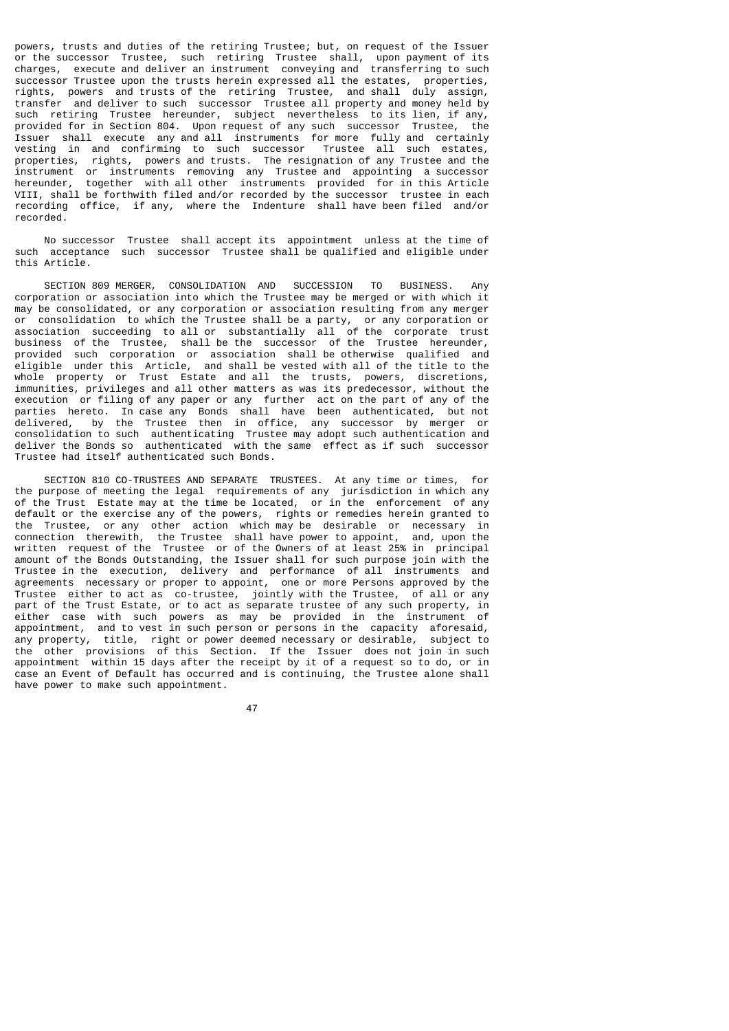powers, trusts and duties of the retiring Trustee; but, on request of the Issuer or the successor Trustee, such retiring Trustee shall, upon payment of its charges, execute and deliver an instrument conveying and transferring to such successor Trustee upon the trusts herein expressed all the estates, properties, rights, powers and trusts of the retiring Trustee, and shall duly assign, transfer and deliver to such successor Trustee all property and money held by such retiring Trustee hereunder, subject nevertheless to its lien, if any, provided for in Section 804. Upon request of any such successor Trustee, the Issuer shall execute any and all instruments for more fully and certainly vesting in and confirming to such successor Trustee all such estates, properties, rights, powers and trusts. The resignation of any Trustee and the instrument or instruments removing any Trustee and appointing a successor hereunder, together with all other instruments provided for in this Article VIII, shall be forthwith filed and/or recorded by the successor trustee in each recording office, if any, where the Indenture shall have been filed and/or recorded.

 No successor Trustee shall accept its appointment unless at the time of such acceptance such successor Trustee shall be qualified and eligible under this Article.

 SECTION 809 MERGER, CONSOLIDATION AND SUCCESSION TO BUSINESS. Any corporation or association into which the Trustee may be merged or with which it may be consolidated, or any corporation or association resulting from any merger or consolidation to which the Trustee shall be a party, or any corporation or association succeeding to all or substantially all of the corporate trust business of the Trustee, shall be the successor of the Trustee hereunder, provided such corporation or association shall be otherwise qualified and eligible under this Article, and shall be vested with all of the title to the whole property or Trust Estate and all the trusts, powers, discretions, immunities, privileges and all other matters as was its predecessor, without the execution or filing of any paper or any further act on the part of any of the parties hereto. In case any Bonds shall have been authenticated, but not delivered, by the Trustee then in office, any successor by merger or consolidation to such authenticating Trustee may adopt such authentication and deliver the Bonds so authenticated with the same effect as if such successor Trustee had itself authenticated such Bonds.

 SECTION 810 CO-TRUSTEES AND SEPARATE TRUSTEES. At any time or times, for the purpose of meeting the legal requirements of any jurisdiction in which any of the Trust Estate may at the time be located, or in the enforcement of any default or the exercise any of the powers, rights or remedies herein granted to the Trustee, or any other action which may be desirable or necessary in connection therewith, the Trustee shall have power to appoint, and, upon the written request of the Trustee or of the Owners of at least 25% in principal amount of the Bonds Outstanding, the Issuer shall for such purpose join with the Trustee in the execution, delivery and performance of all instruments and agreements necessary or proper to appoint, one or more Persons approved by the Trustee either to act as co-trustee, jointly with the Trustee, of all or any part of the Trust Estate, or to act as separate trustee of any such property, in either case with such powers as may be provided in the instrument of appointment, and to vest in such person or persons in the capacity aforesaid, any property, title, right or power deemed necessary or desirable, subject to the other provisions of this Section. If the Issuer does not join in such appointment within 15 days after the receipt by it of a request so to do, or in case an Event of Default has occurred and is continuing, the Trustee alone shall have power to make such appointment.

47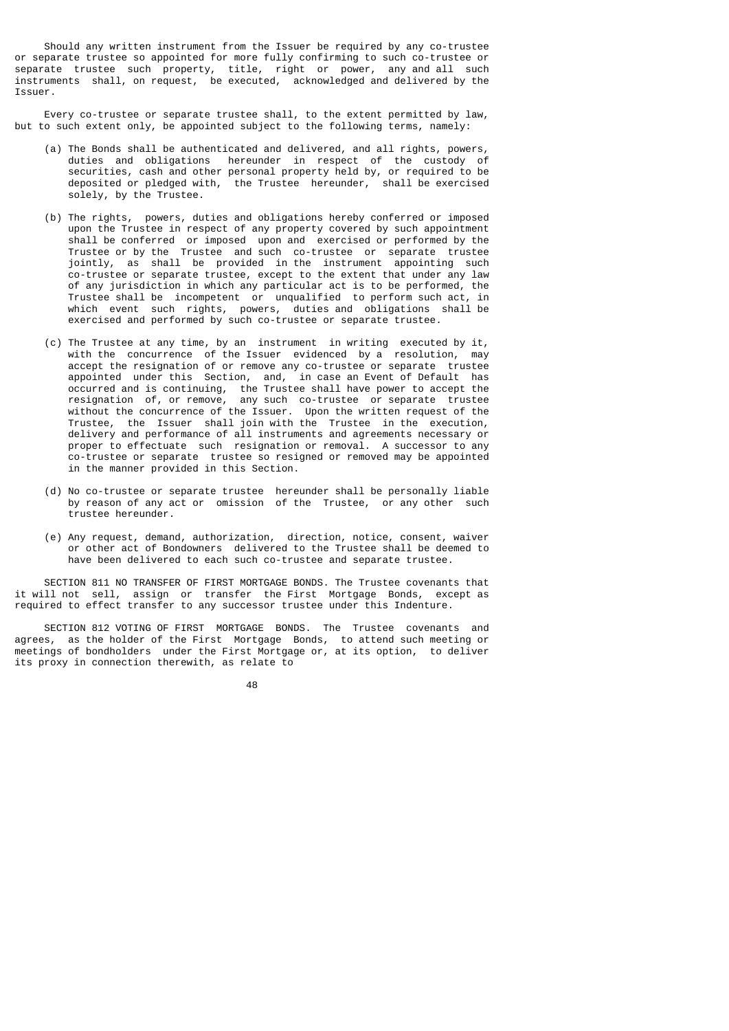Should any written instrument from the Issuer be required by any co-trustee or separate trustee so appointed for more fully confirming to such co-trustee or separate trustee such property, title, right or power, any and all such instruments shall, on request, be executed, acknowledged and delivered by the Issuer.

 Every co-trustee or separate trustee shall, to the extent permitted by law, but to such extent only, be appointed subject to the following terms, namely:

- (a) The Bonds shall be authenticated and delivered, and all rights, powers, duties and obligations hereunder in respect of the custody of securities, cash and other personal property held by, or required to be deposited or pledged with, the Trustee hereunder, shall be exercised solely, by the Trustee.
- (b) The rights, powers, duties and obligations hereby conferred or imposed upon the Trustee in respect of any property covered by such appointment shall be conferred or imposed upon and exercised or performed by the Trustee or by the Trustee and such co-trustee or separate trustee jointly, as shall be provided in the instrument appointing such co-trustee or separate trustee, except to the extent that under any law of any jurisdiction in which any particular act is to be performed, the Trustee shall be incompetent or unqualified to perform such act, in which event such rights, powers, duties and obligations shall be exercised and performed by such co-trustee or separate trustee.
- (c) The Trustee at any time, by an instrument in writing executed by it, with the concurrence of the Issuer evidenced by a resolution, may accept the resignation of or remove any co-trustee or separate trustee appointed under this Section, and, in case an Event of Default has occurred and is continuing, the Trustee shall have power to accept the resignation of, or remove, any such co-trustee or separate trustee without the concurrence of the Issuer. Upon the written request of the Trustee, the Issuer shall join with the Trustee in the execution, delivery and performance of all instruments and agreements necessary or proper to effectuate such resignation or removal. A successor to any co-trustee or separate trustee so resigned or removed may be appointed in the manner provided in this Section.
	- (d) No co-trustee or separate trustee hereunder shall be personally liable by reason of any act or omission of the Trustee, or any other such trustee hereunder.
- (e) Any request, demand, authorization, direction, notice, consent, waiver or other act of Bondowners delivered to the Trustee shall be deemed to have been delivered to each such co-trustee and separate trustee.

 SECTION 811 NO TRANSFER OF FIRST MORTGAGE BONDS. The Trustee covenants that it will not sell, assign or transfer the First Mortgage Bonds, except as required to effect transfer to any successor trustee under this Indenture.

 SECTION 812 VOTING OF FIRST MORTGAGE BONDS. The Trustee covenants and agrees, as the holder of the First Mortgage Bonds, to attend such meeting or meetings of bondholders under the First Mortgage or, at its option, to deliver its proxy in connection therewith, as relate to

<u>48 and 2011 and 2012 and 2013 and 2014 and 2014 and 2014 and 2014 and 2014 and 2014 and 2014 and 2014 and 201</u>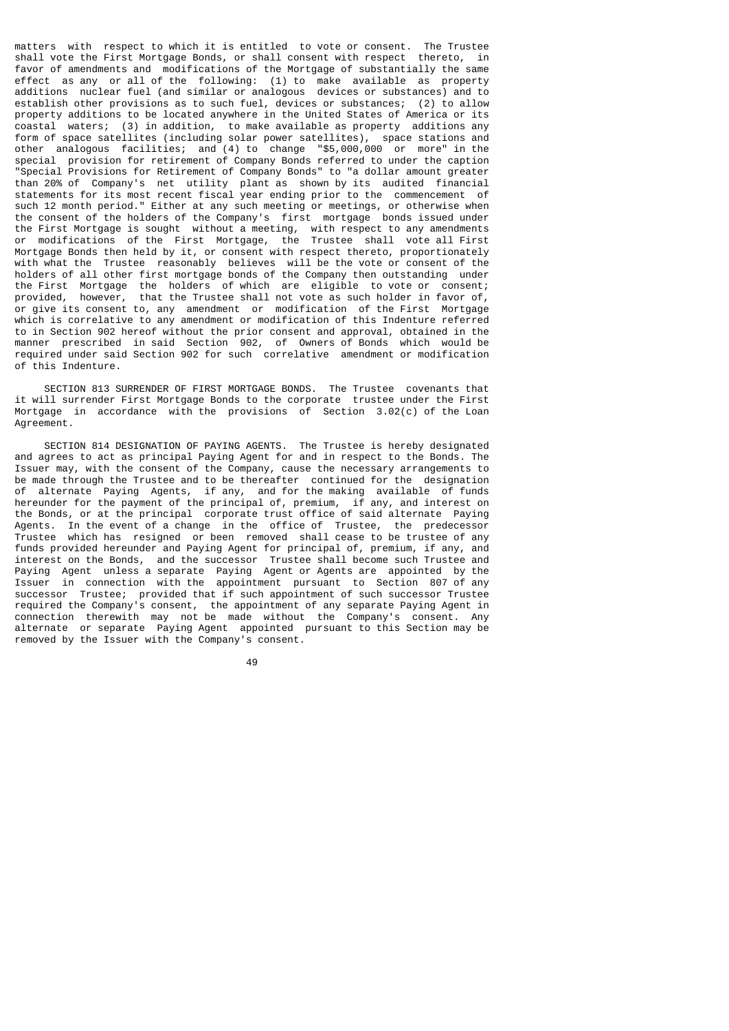matters with respect to which it is entitled to vote or consent. The Trustee shall vote the First Mortgage Bonds, or shall consent with respect thereto, in favor of amendments and modifications of the Mortgage of substantially the same effect as any or all of the following: (1) to make available as property additions nuclear fuel (and similar or analogous devices or substances) and to establish other provisions as to such fuel, devices or substances; (2) to allow property additions to be located anywhere in the United States of America or its coastal waters; (3) in addition, to make available as property additions any form of space satellites (including solar power satellites), space stations and other analogous facilities; and (4) to change "\$5,000,000 or more" in the special provision for retirement of Company Bonds referred to under the caption "Special Provisions for Retirement of Company Bonds" to "a dollar amount greater than 20% of Company's net utility plant as shown by its audited financial statements for its most recent fiscal year ending prior to the commencement of such 12 month period." Either at any such meeting or meetings, or otherwise when the consent of the holders of the Company's first mortgage bonds issued under the First Mortgage is sought without a meeting, with respect to any amendments or modifications of the First Mortgage, the Trustee shall vote all First Mortgage Bonds then held by it, or consent with respect thereto, proportionately with what the Trustee reasonably believes will be the vote or consent of the holders of all other first mortgage bonds of the Company then outstanding under the First Mortgage the holders of which are eligible to vote or consent; provided, however, that the Trustee shall not vote as such holder in favor of, or give its consent to, any amendment or modification of the First Mortgage which is correlative to any amendment or modification of this Indenture referred to in Section 902 hereof without the prior consent and approval, obtained in the manner prescribed in said Section 902, of Owners of Bonds which would be required under said Section 902 for such correlative amendment or modification of this Indenture.

 SECTION 813 SURRENDER OF FIRST MORTGAGE BONDS. The Trustee covenants that it will surrender First Mortgage Bonds to the corporate trustee under the First Mortgage in accordance with the provisions of Section 3.02(c) of the Loan Agreement.

 SECTION 814 DESIGNATION OF PAYING AGENTS. The Trustee is hereby designated and agrees to act as principal Paying Agent for and in respect to the Bonds. The Issuer may, with the consent of the Company, cause the necessary arrangements to be made through the Trustee and to be thereafter continued for the designation of alternate Paying Agents, if any, and for the making available of funds hereunder for the payment of the principal of, premium, if any, and interest on the Bonds, or at the principal corporate trust office of said alternate Paying Agents. In the event of a change in the office of Trustee, the predecessor Trustee which has resigned or been removed shall cease to be trustee of any funds provided hereunder and Paying Agent for principal of, premium, if any, and interest on the Bonds, and the successor Trustee shall become such Trustee and Paying Agent unless a separate Paying Agent or Agents are appointed by the Issuer in connection with the appointment pursuant to Section 807 of any successor Trustee; provided that if such appointment of such successor Trustee required the Company's consent, the appointment of any separate Paying Agent in connection therewith may not be made without the Company's consent. Any alternate or separate Paying Agent appointed pursuant to this Section may be removed by the Issuer with the Company's consent.

49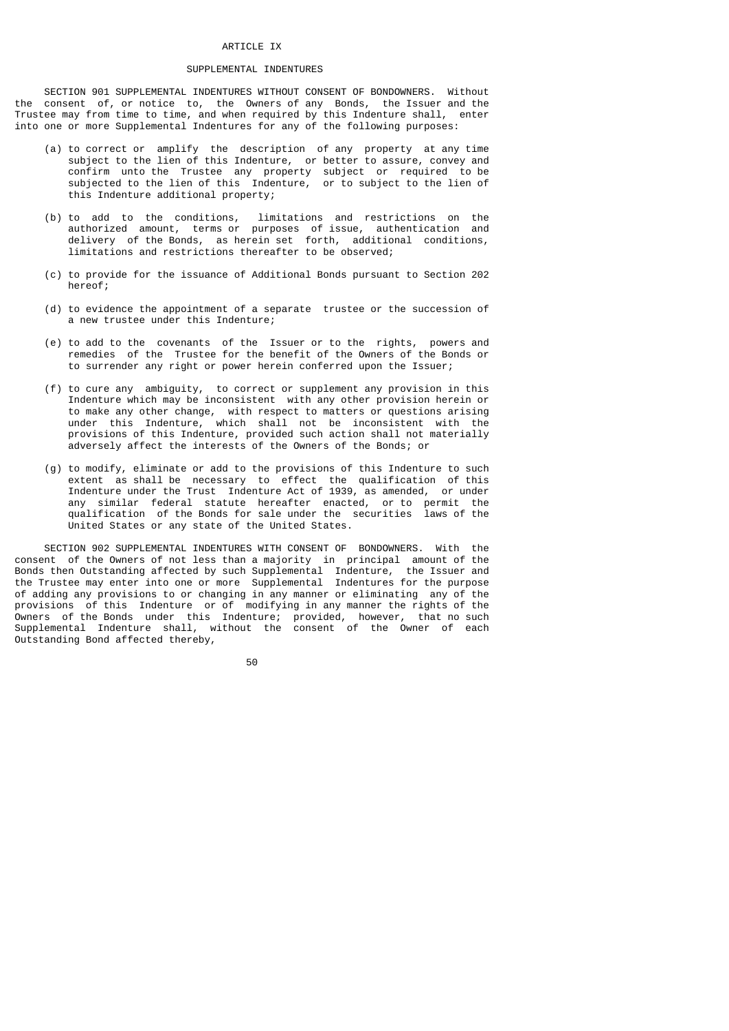#### ARTICLE IX

## SUPPLEMENTAL INDENTURES

 SECTION 901 SUPPLEMENTAL INDENTURES WITHOUT CONSENT OF BONDOWNERS. Without the consent of, or notice to, the Owners of any Bonds, the Issuer and the Trustee may from time to time, and when required by this Indenture shall, enter into one or more Supplemental Indentures for any of the following purposes:

- (a) to correct or amplify the description of any property at any time subject to the lien of this Indenture, or better to assure, convey and confirm unto the Trustee any property subject or required to be subjected to the lien of this Indenture, or to subject to the lien of this Indenture additional property;
- (b) to add to the conditions, limitations and restrictions on the authorized amount, terms or purposes of issue, authentication and delivery of the Bonds, as herein set forth, additional conditions, limitations and restrictions thereafter to be observed;
	- (c) to provide for the issuance of Additional Bonds pursuant to Section 202 hereof;
	- (d) to evidence the appointment of a separate trustee or the succession of a new trustee under this Indenture;
	- (e) to add to the covenants of the Issuer or to the rights, powers and remedies of the Trustee for the benefit of the Owners of the Bonds or to surrender any right or power herein conferred upon the Issuer;
- (f) to cure any ambiguity, to correct or supplement any provision in this Indenture which may be inconsistent with any other provision herein or to make any other change, with respect to matters or questions arising under this Indenture, which shall not be inconsistent with the provisions of this Indenture, provided such action shall not materially adversely affect the interests of the Owners of the Bonds; or
- (g) to modify, eliminate or add to the provisions of this Indenture to such extent as shall be necessary to effect the qualification of this Indenture under the Trust Indenture Act of 1939, as amended, or under any similar federal statute hereafter enacted, or to permit the qualification of the Bonds for sale under the securities laws of the United States or any state of the United States.

 SECTION 902 SUPPLEMENTAL INDENTURES WITH CONSENT OF BONDOWNERS. With the consent of the Owners of not less than a majority in principal amount of the Bonds then Outstanding affected by such Supplemental Indenture, the Issuer and the Trustee may enter into one or more Supplemental Indentures for the purpose of adding any provisions to or changing in any manner or eliminating any of the provisions of this Indenture or of modifying in any manner the rights of the Owners of the Bonds under this Indenture; provided, however, that no such Supplemental Indenture shall, without the consent of the Owner of each Outstanding Bond affected thereby,

50 and 2012 and 2013 and 2014 and 2014 and 2014 and 2014 and 2014 and 2014 and 2014 and 2014 and 2014 and 2014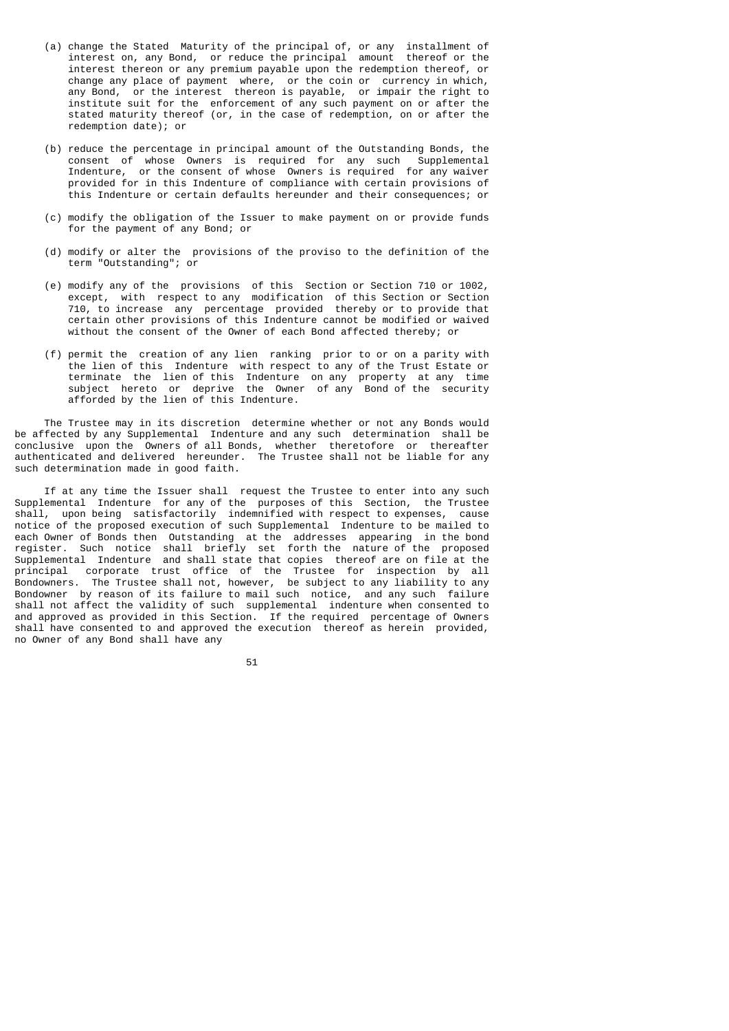- (a) change the Stated Maturity of the principal of, or any installment of interest on, any Bond, or reduce the principal amount thereof or the interest thereon or any premium payable upon the redemption thereof, or change any place of payment where, or the coin or currency in which, any Bond, or the interest thereon is payable, or impair the right to institute suit for the enforcement of any such payment on or after the stated maturity thereof (or, in the case of redemption, on or after the redemption date); or
	- (b) reduce the percentage in principal amount of the Outstanding Bonds, the consent of whose Owners is required for any such Supplemental Indenture, or the consent of whose Owners is required for any waiver provided for in this Indenture of compliance with certain provisions of this Indenture or certain defaults hereunder and their consequences; or
	- (c) modify the obligation of the Issuer to make payment on or provide funds for the payment of any Bond; or
	- (d) modify or alter the provisions of the proviso to the definition of the term "Outstanding"; or
	- (e) modify any of the provisions of this Section or Section 710 or 1002, except, with respect to any modification of this Section or Section 710, to increase any percentage provided thereby or to provide that certain other provisions of this Indenture cannot be modified or waived without the consent of the Owner of each Bond affected thereby; or
- (f) permit the creation of any lien ranking prior to or on a parity with the lien of this Indenture with respect to any of the Trust Estate or terminate the lien of this Indenture on any property at any time subject hereto or deprive the Owner of any Bond of the security afforded by the lien of this Indenture.

 The Trustee may in its discretion determine whether or not any Bonds would be affected by any Supplemental Indenture and any such determination shall be conclusive upon the Owners of all Bonds, whether theretofore or thereafter authenticated and delivered hereunder. The Trustee shall not be liable for any such determination made in good faith.

 If at any time the Issuer shall request the Trustee to enter into any such Supplemental Indenture for any of the purposes of this Section, the Trustee shall, upon being satisfactorily indemnified with respect to expenses, cause notice of the proposed execution of such Supplemental Indenture to be mailed to each Owner of Bonds then Outstanding at the addresses appearing in the bond register. Such notice shall briefly set forth the nature of the proposed Supplemental Indenture and shall state that copies thereof are on file at the principal corporate trust office of the Trustee for inspection by all Bondowners. The Trustee shall not, however, be subject to any liability to any Bondowner by reason of its failure to mail such notice, and any such failure shall not affect the validity of such supplemental indenture when consented to and approved as provided in this Section. If the required percentage of Owners shall have consented to and approved the execution thereof as herein provided, no Owner of any Bond shall have any

 $51$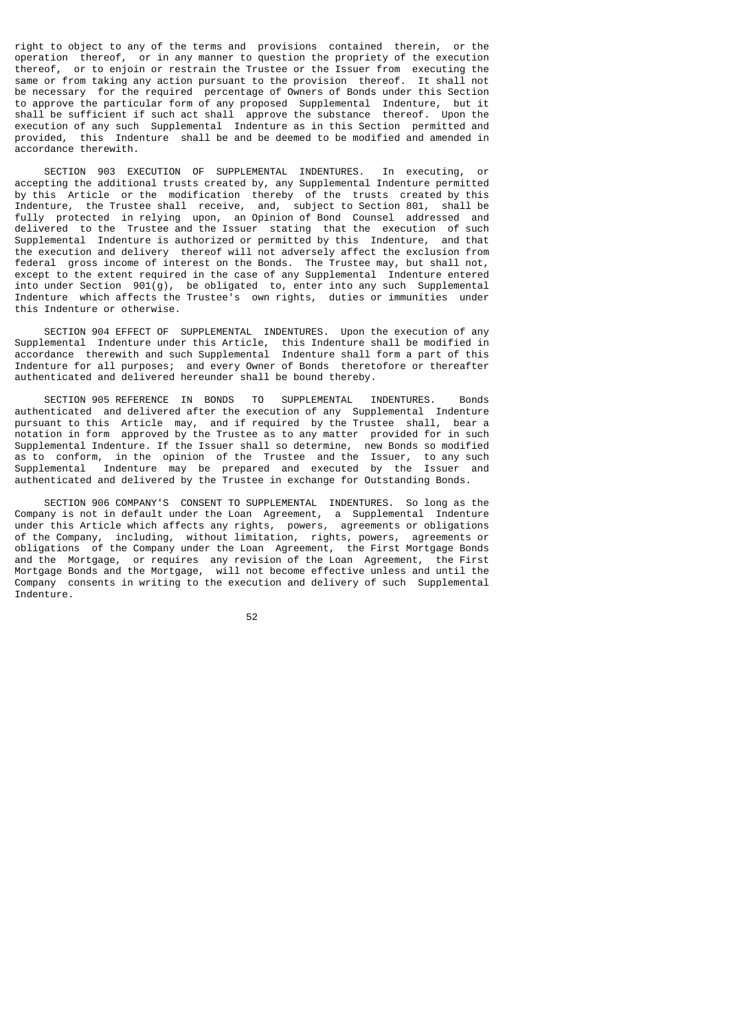right to object to any of the terms and provisions contained therein, or the operation thereof, or in any manner to question the propriety of the execution thereof, or to enjoin or restrain the Trustee or the Issuer from executing the same or from taking any action pursuant to the provision thereof. It shall not be necessary for the required percentage of Owners of Bonds under this Section to approve the particular form of any proposed Supplemental Indenture, but it shall be sufficient if such act shall approve the substance thereof. Upon the execution of any such Supplemental Indenture as in this Section permitted and provided, this Indenture shall be and be deemed to be modified and amended in accordance therewith.

 SECTION 903 EXECUTION OF SUPPLEMENTAL INDENTURES. In executing, or accepting the additional trusts created by, any Supplemental Indenture permitted by this Article or the modification thereby of the trusts created by this Indenture, the Trustee shall receive, and, subject to Section 801, shall be fully protected in relying upon, an Opinion of Bond Counsel addressed and delivered to the Trustee and the Issuer stating that the execution of such Supplemental Indenture is authorized or permitted by this Indenture, and that the execution and delivery thereof will not adversely affect the exclusion from federal gross income of interest on the Bonds. The Trustee may, but shall not, except to the extent required in the case of any Supplemental Indenture entered into under Section 901(g), be obligated to, enter into any such Supplemental Indenture which affects the Trustee's own rights, duties or immunities under this Indenture or otherwise.

 SECTION 904 EFFECT OF SUPPLEMENTAL INDENTURES. Upon the execution of any Supplemental Indenture under this Article, this Indenture shall be modified in accordance therewith and such Supplemental Indenture shall form a part of this Indenture for all purposes; and every Owner of Bonds theretofore or thereafter authenticated and delivered hereunder shall be bound thereby.

 SECTION 905 REFERENCE IN BONDS TO SUPPLEMENTAL INDENTURES. Bonds authenticated and delivered after the execution of any Supplemental Indenture pursuant to this Article may, and if required by the Trustee shall, bear a notation in form approved by the Trustee as to any matter provided for in such Supplemental Indenture. If the Issuer shall so determine, new Bonds so modified as to conform, in the opinion of the Trustee and the Issuer, to any such Supplemental Indenture may be prepared and executed by the Issuer and authenticated and delivered by the Trustee in exchange for Outstanding Bonds.

 SECTION 906 COMPANY'S CONSENT TO SUPPLEMENTAL INDENTURES. So long as the Company is not in default under the Loan Agreement, a Supplemental Indenture under this Article which affects any rights, powers, agreements or obligations of the Company, including, without limitation, rights, powers, agreements or obligations of the Company under the Loan Agreement, the First Mortgage Bonds and the Mortgage, or requires any revision of the Loan Agreement, the First Mortgage Bonds and the Mortgage, will not become effective unless and until the Company consents in writing to the execution and delivery of such Supplemental Indenture.

 $52$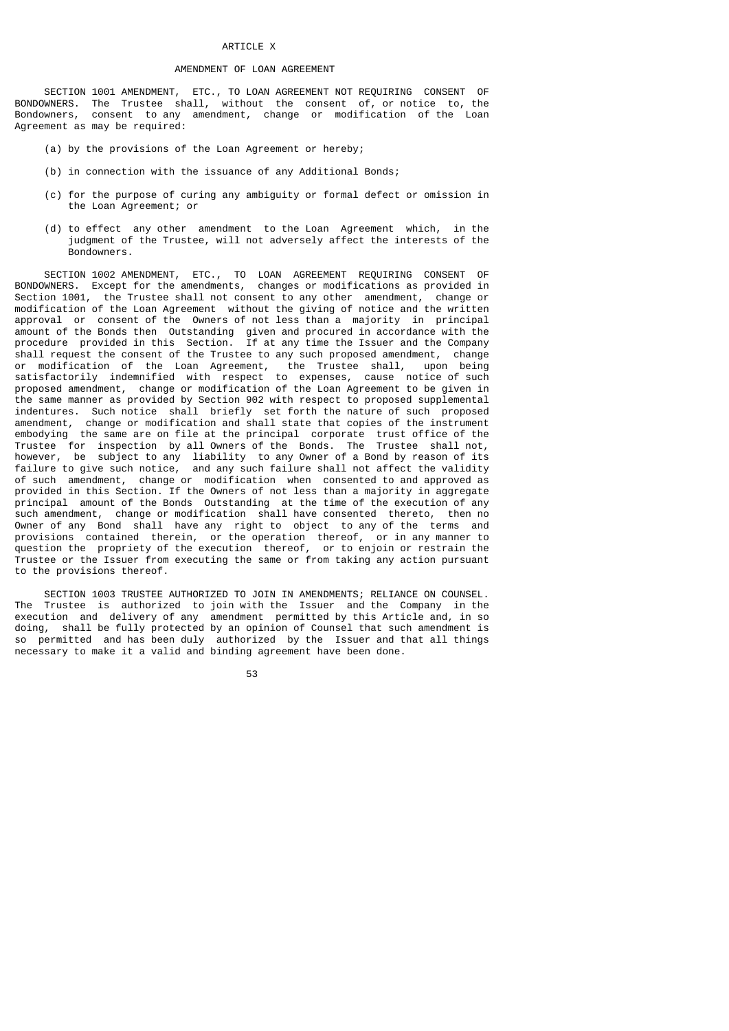## ARTICLE X

# AMENDMENT OF LOAN AGREEMENT

 SECTION 1001 AMENDMENT, ETC., TO LOAN AGREEMENT NOT REQUIRING CONSENT OF BONDOWNERS. The Trustee shall, without the consent of, or notice to, the Bondowners, consent to any amendment, change or modification of the Loan Agreement as may be required:

- (a) by the provisions of the Loan Agreement or hereby;
- (b) in connection with the issuance of any Additional Bonds;
- (c) for the purpose of curing any ambiguity or formal defect or omission in the Loan Agreement; or
- (d) to effect any other amendment to the Loan Agreement which, in the judgment of the Trustee, will not adversely affect the interests of the **Bondowners**

 SECTION 1002 AMENDMENT, ETC., TO LOAN AGREEMENT REQUIRING CONSENT OF BONDOWNERS. Except for the amendments, changes or modifications as provided in Section 1001, the Trustee shall not consent to any other amendment, change or modification of the Loan Agreement without the giving of notice and the written approval or consent of the Owners of not less than a majority in principal amount of the Bonds then Outstanding given and procured in accordance with the procedure provided in this Section. If at any time the Issuer and the Company shall request the consent of the Trustee to any such proposed amendment, change or modification of the Loan Agreement, the Trustee shall, upon being satisfactorily indemnified with respect to expenses, cause notice of such proposed amendment, change or modification of the Loan Agreement to be given in the same manner as provided by Section 902 with respect to proposed supplemental indentures. Such notice shall briefly set forth the nature of such proposed amendment, change or modification and shall state that copies of the instrument embodying the same are on file at the principal corporate trust office of the Trustee for inspection by all Owners of the Bonds. The Trustee shall not, however, be subject to any liability to any Owner of a Bond by reason of its failure to give such notice, and any such failure shall not affect the validity of such amendment, change or modification when consented to and approved as provided in this Section. If the Owners of not less than a majority in aggregate principal amount of the Bonds Outstanding at the time of the execution of any such amendment, change or modification shall have consented thereto, then no Owner of any Bond shall have any right to object to any of the terms and provisions contained therein, or the operation thereof, or in any manner to question the propriety of the execution thereof, or to enjoin or restrain the Trustee or the Issuer from executing the same or from taking any action pursuant to the provisions thereof.

SECTION 1003 TRUSTEE AUTHORIZED TO JOIN IN AMENDMENTS; RELIANCE ON COUNSEL.<br>The Trustee is authorized to join with the Issuer and the Company in the Trustee is authorized to join with the Issuer and the Company in the execution and delivery of any amendment permitted by this Article and, in so doing, shall be fully protected by an opinion of Counsel that such amendment is so permitted and has been duly authorized by the Issuer and that all things necessary to make it a valid and binding agreement have been done.

the contract of the contract of the contract of the contract of the contract of the contract of the contract o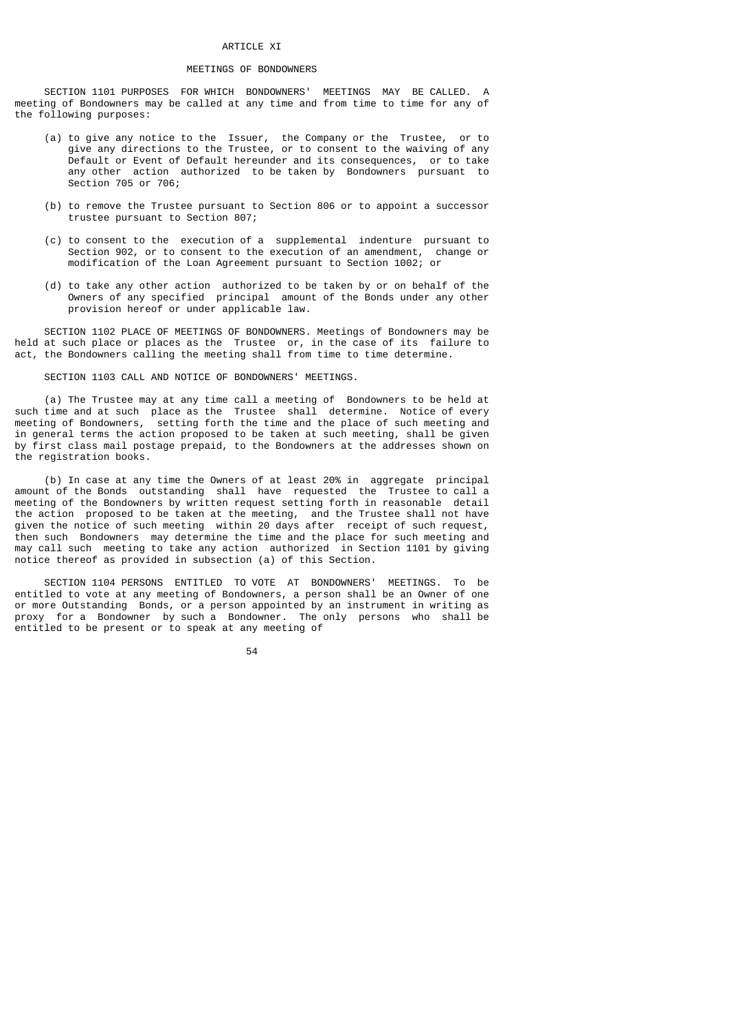## ARTICLE XI

## MEETINGS OF BONDOWNERS

 SECTION 1101 PURPOSES FOR WHICH BONDOWNERS' MEETINGS MAY BE CALLED. A meeting of Bondowners may be called at any time and from time to time for any of the following purposes:

- (a) to give any notice to the Issuer, the Company or the Trustee, or to give any directions to the Trustee, or to consent to the waiving of any Default or Event of Default hereunder and its consequences, or to take any other action authorized to be taken by Bondowners pursuant to Section 705 or 706;
- (b) to remove the Trustee pursuant to Section 806 or to appoint a successor trustee pursuant to Section 807;
- (c) to consent to the execution of a supplemental indenture pursuant to Section 902, or to consent to the execution of an amendment, change or modification of the Loan Agreement pursuant to Section 1002; or
- (d) to take any other action authorized to be taken by or on behalf of the Owners of any specified principal amount of the Bonds under any other provision hereof or under applicable law.

 SECTION 1102 PLACE OF MEETINGS OF BONDOWNERS. Meetings of Bondowners may be held at such place or places as the Trustee or, in the case of its failure to act, the Bondowners calling the meeting shall from time to time determine.

# SECTION 1103 CALL AND NOTICE OF BONDOWNERS' MEETINGS.

 (a) The Trustee may at any time call a meeting of Bondowners to be held at such time and at such place as the Trustee shall determine. Notice of every meeting of Bondowners, setting forth the time and the place of such meeting and in general terms the action proposed to be taken at such meeting, shall be given by first class mail postage prepaid, to the Bondowners at the addresses shown on the registration books.

 (b) In case at any time the Owners of at least 20% in aggregate principal amount of the Bonds outstanding shall have requested the Trustee to call a meeting of the Bondowners by written request setting forth in reasonable detail the action proposed to be taken at the meeting, and the Trustee shall not have given the notice of such meeting within 20 days after receipt of such request, then such Bondowners may determine the time and the place for such meeting and may call such meeting to take any action authorized in Section 1101 by giving notice thereof as provided in subsection (a) of this Section.

 SECTION 1104 PERSONS ENTITLED TO VOTE AT BONDOWNERS' MEETINGS. To be entitled to vote at any meeting of Bondowners, a person shall be an Owner of one or more Outstanding Bonds, or a person appointed by an instrument in writing as proxy for a Bondowner by such a Bondowner. The only persons who shall be entitled to be present or to speak at any meeting of

 $54$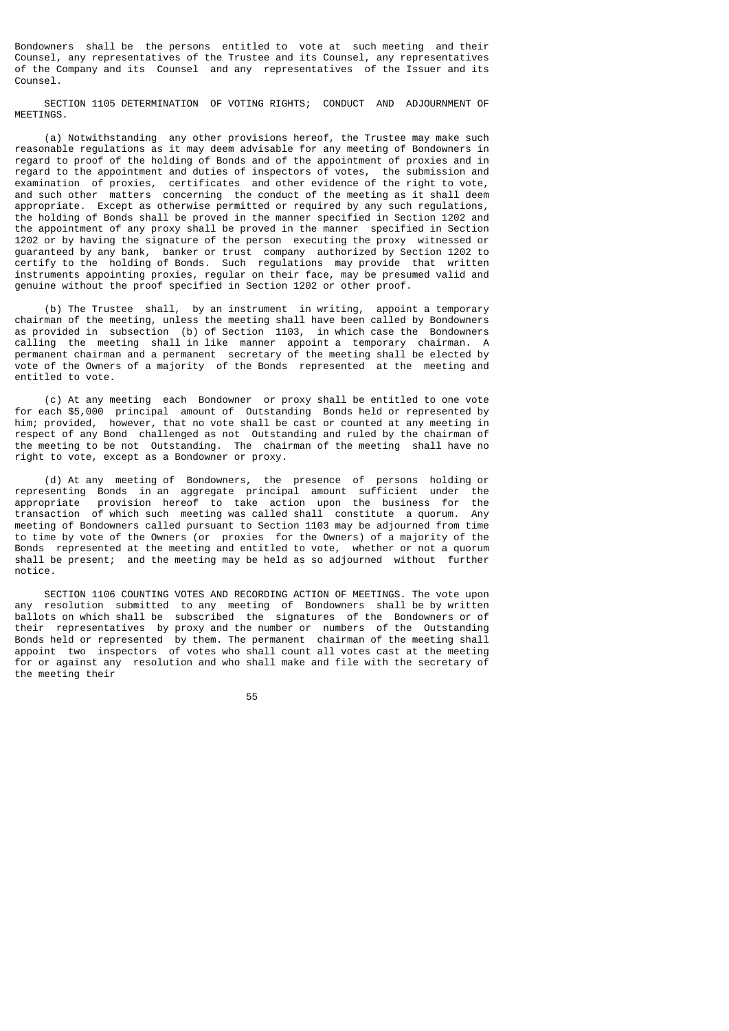Bondowners shall be the persons entitled to vote at such meeting and their Counsel, any representatives of the Trustee and its Counsel, any representatives of the Company and its Counsel and any representatives of the Issuer and its Counsel.

 SECTION 1105 DETERMINATION OF VOTING RIGHTS; CONDUCT AND ADJOURNMENT OF MEETINGS.

 (a) Notwithstanding any other provisions hereof, the Trustee may make such reasonable regulations as it may deem advisable for any meeting of Bondowners in regard to proof of the holding of Bonds and of the appointment of proxies and in regard to the appointment and duties of inspectors of votes, the submission and examination of proxies, certificates and other evidence of the right to vote, and such other matters concerning the conduct of the meeting as it shall deem appropriate. Except as otherwise permitted or required by any such regulations, the holding of Bonds shall be proved in the manner specified in Section 1202 and the appointment of any proxy shall be proved in the manner specified in Section 1202 or by having the signature of the person executing the proxy witnessed or guaranteed by any bank, banker or trust company authorized by Section 1202 to certify to the holding of Bonds. Such regulations may provide that written instruments appointing proxies, regular on their face, may be presumed valid and genuine without the proof specified in Section 1202 or other proof.

 (b) The Trustee shall, by an instrument in writing, appoint a temporary chairman of the meeting, unless the meeting shall have been called by Bondowners as provided in subsection (b) of Section 1103, in which case the Bondowners calling the meeting shall in like manner appoint a temporary chairman. A permanent chairman and a permanent secretary of the meeting shall be elected by vote of the Owners of a majority of the Bonds represented at the meeting and entitled to vote.

 (c) At any meeting each Bondowner or proxy shall be entitled to one vote for each \$5,000 principal amount of Outstanding Bonds held or represented by him; provided, however, that no vote shall be cast or counted at any meeting in respect of any Bond challenged as not Outstanding and ruled by the chairman of the meeting to be not Outstanding. The chairman of the meeting shall have no right to vote, except as a Bondowner or proxy.

 (d) At any meeting of Bondowners, the presence of persons holding or representing Bonds in an aggregate principal amount sufficient under the appropriate provision hereof to take action upon the business for the transaction of which such meeting was called shall constitute a quorum. Any meeting of Bondowners called pursuant to Section 1103 may be adjourned from time to time by vote of the Owners (or proxies for the Owners) of a majority of the Bonds represented at the meeting and entitled to vote, whether or not a quorum shall be present; and the meeting may be held as so adjourned without further notice.

 SECTION 1106 COUNTING VOTES AND RECORDING ACTION OF MEETINGS. The vote upon any resolution submitted to any meeting of Bondowners shall be by written ballots on which shall be subscribed the signatures of the Bondowners or of their representatives by proxy and the number or numbers of the Outstanding Bonds held or represented by them. The permanent chairman of the meeting shall appoint two inspectors of votes who shall count all votes cast at the meeting for or against any resolution and who shall make and file with the secretary of the meeting their

the contract of the contract of the contract of the contract of the contract of the contract of the contract o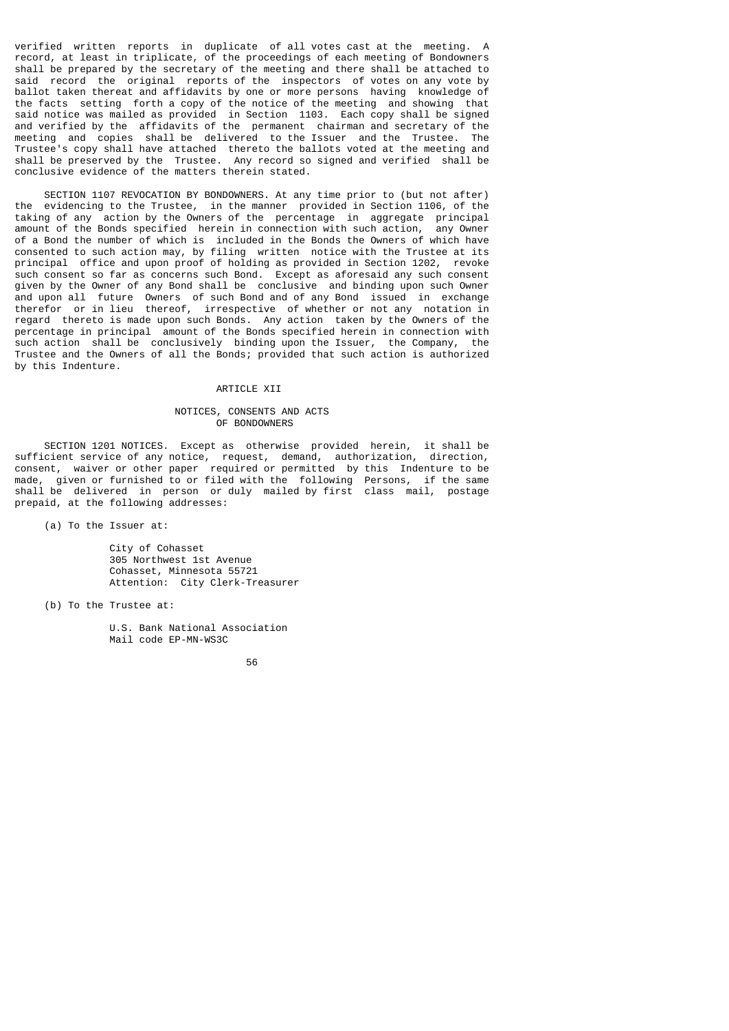verified written reports in duplicate of all votes cast at the meeting. A record, at least in triplicate, of the proceedings of each meeting of Bondowners shall be prepared by the secretary of the meeting and there shall be attached to said record the original reports of the inspectors of votes on any vote by ballot taken thereat and affidavits by one or more persons having knowledge of the facts setting forth a copy of the notice of the meeting and showing that said notice was mailed as provided in Section 1103. Each copy shall be signed and verified by the affidavits of the permanent chairman and secretary of the meeting and copies shall be delivered to the Issuer and the Trustee. Trustee's copy shall have attached thereto the ballots voted at the meeting and shall be preserved by the Trustee. Any record so signed and verified shall be conclusive evidence of the matters therein stated.

SECTION 1107 REVOCATION BY BONDOWNERS. At any time prior to (but not after) the evidencing to the Trustee. in the manner provided in Section 1106. of the evidencing to the Trustee, in the manner provided in Section 1106, of the taking of any action by the Owners of the percentage in aggregate principal amount of the Bonds specified herein in connection with such action, any Owner of a Bond the number of which is included in the Bonds the Owners of which have consented to such action may, by filing written notice with the Trustee at its principal office and upon proof of holding as provided in Section 1202, revoke such consent so far as concerns such Bond. Except as aforesaid any such consent given by the Owner of any Bond shall be conclusive and binding upon such Owner and upon all future Owners of such Bond and of any Bond issued in exchange therefor or in lieu thereof, irrespective of whether or not any notation in regard thereto is made upon such Bonds. Any action taken by the Owners of the percentage in principal amount of the Bonds specified herein in connection with such action shall be conclusively binding upon the Issuer, the Company, the Trustee and the Owners of all the Bonds; provided that such action is authorized by this Indenture.

## ARTICLE XII

# NOTICES, CONSENTS AND ACTS OF BONDOWNERS

 SECTION 1201 NOTICES. Except as otherwise provided herein, it shall be sufficient service of any notice, request, demand, authorization, direction, consent, waiver or other paper required or permitted by this Indenture to be made, given or furnished to or filed with the following Persons, if the same shall be delivered in person or duly mailed by first class mail, postage prepaid, at the following addresses:

(a) To the Issuer at:

 City of Cohasset 305 Northwest 1st Avenue Cohasset, Minnesota 55721 Attention: City Clerk-Treasurer

(b) To the Trustee at:

 U.S. Bank National Association Mail code EP-MN-WS3C

 $56$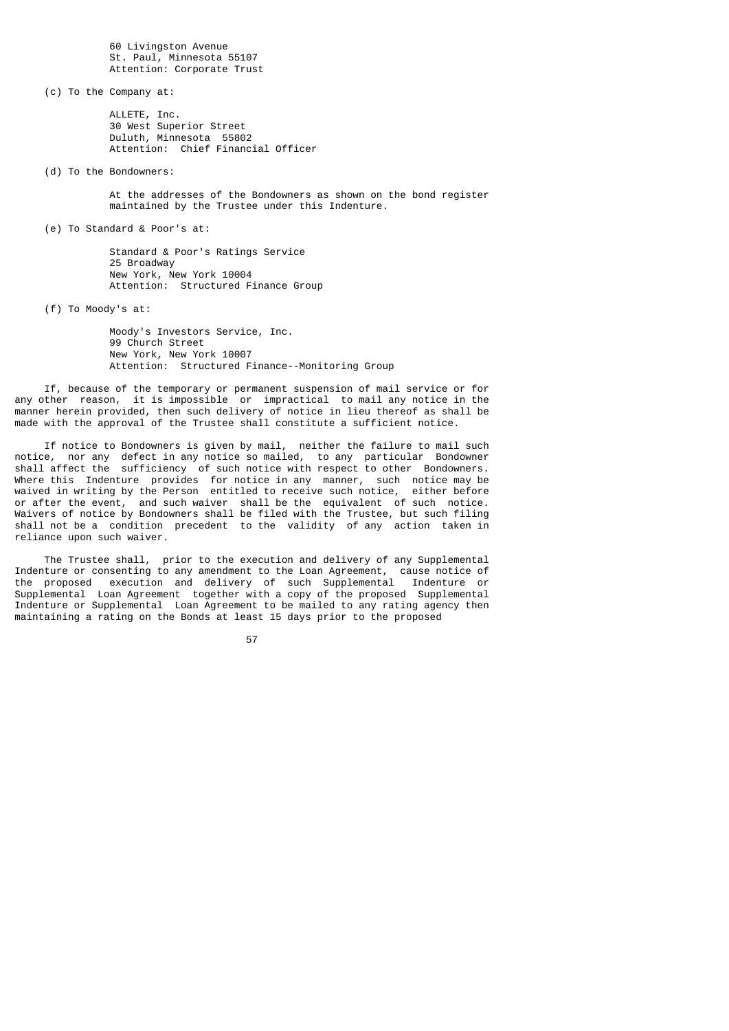60 Livingston Avenue St. Paul, Minnesota 55107 Attention: Corporate Trust

(c) To the Company at:

 ALLETE, Inc. 30 West Superior Street Duluth, Minnesota 55802 Attention: Chief Financial Officer

(d) To the Bondowners:

 At the addresses of the Bondowners as shown on the bond register maintained by the Trustee under this Indenture.

(e) To Standard & Poor's at:

 Standard & Poor's Ratings Service 25 Broadway New York, New York 10004 Attention: Structured Finance Group

(f) To Moody's at:

 Moody's Investors Service, Inc. 99 Church Street New York, New York 10007 Attention: Structured Finance--Monitoring Group

 If, because of the temporary or permanent suspension of mail service or for any other reason, it is impossible or impractical to mail any notice in the manner herein provided, then such delivery of notice in lieu thereof as shall be made with the approval of the Trustee shall constitute a sufficient notice.

 If notice to Bondowners is given by mail, neither the failure to mail such notice, nor any defect in any notice so mailed, to any particular Bondowner shall affect the sufficiency of such notice with respect to other Bondowners. Where this Indenture provides for notice in any manner, such notice may be waived in writing by the Person entitled to receive such notice, either before or after the event, and such waiver shall be the equivalent of such notice. Waivers of notice by Bondowners shall be filed with the Trustee, but such filing shall not be a condition precedent to the validity of any action taken in reliance upon such waiver.

 The Trustee shall, prior to the execution and delivery of any Supplemental Indenture or consenting to any amendment to the Loan Agreement, cause notice of the proposed execution and delivery of such Supplemental Indenture or Supplemental Loan Agreement together with a copy of the proposed Supplemental Indenture or Supplemental Loan Agreement to be mailed to any rating agency then maintaining a rating on the Bonds at least 15 days prior to the proposed

57 (1992) 1994 (1994) 1995 (1996) 1996 (1996) 1997 (1998) 1997 (1998) 1997 (1998) 1997 (1998) 1997 (1998) 199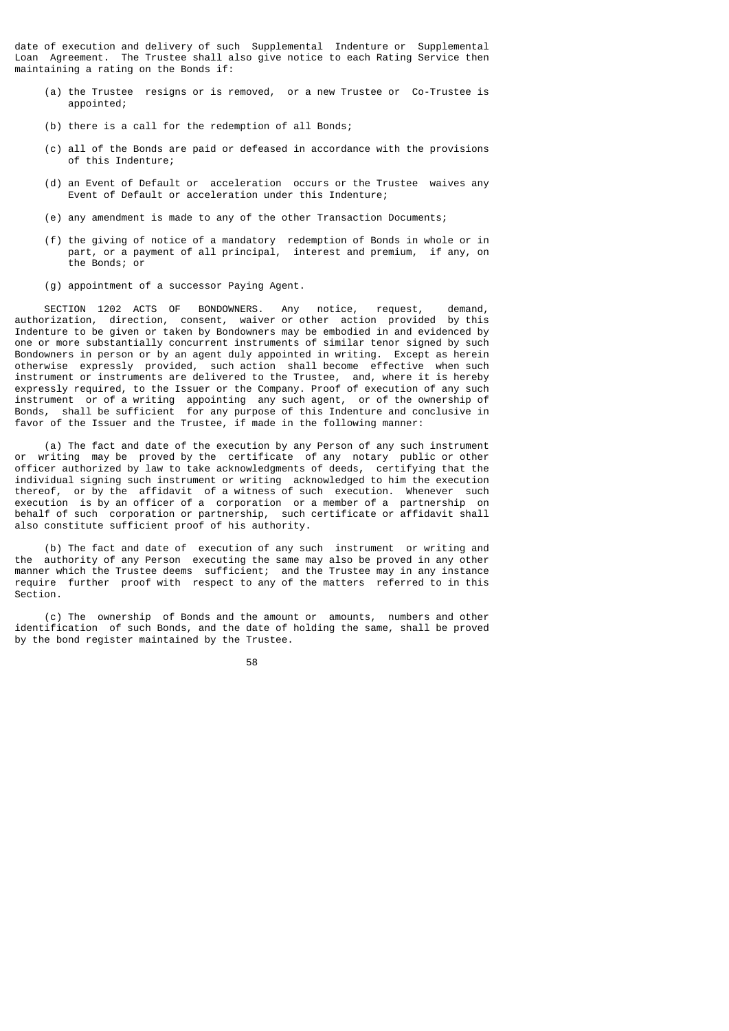date of execution and delivery of such Supplemental Indenture or Supplemental Loan Agreement. The Trustee shall also give notice to each Rating Service then maintaining a rating on the Bonds if:

- (a) the Trustee resigns or is removed, or a new Trustee or Co-Trustee is appointed;
- (b) there is a call for the redemption of all Bonds;
- (c) all of the Bonds are paid or defeased in accordance with the provisions of this Indenture;
- (d) an Event of Default or acceleration occurs or the Trustee waives any Event of Default or acceleration under this Indenture;
- (e) any amendment is made to any of the other Transaction Documents;
- (f) the giving of notice of a mandatory redemption of Bonds in whole or in part, or a payment of all principal, interest and premium, if any, on the Bonds; or
	- (g) appointment of a successor Paying Agent.

 SECTION 1202 ACTS OF BONDOWNERS. Any notice, request, demand, authorization, direction, consent, waiver or other action provided by this Indenture to be given or taken by Bondowners may be embodied in and evidenced by one or more substantially concurrent instruments of similar tenor signed by such Bondowners in person or by an agent duly appointed in writing. Except as herein otherwise expressly provided, such action shall become effective when such instrument or instruments are delivered to the Trustee, and, where it is hereby expressly required, to the Issuer or the Company. Proof of execution of any such instrument or of a writing appointing any such agent, or of the ownership of Bonds, shall be sufficient for any purpose of this Indenture and conclusive in favor of the Issuer and the Trustee, if made in the following manner:

 (a) The fact and date of the execution by any Person of any such instrument or writing may be proved by the certificate of any notary public or other officer authorized by law to take acknowledgments of deeds, certifying that the individual signing such instrument or writing acknowledged to him the execution thereof, or by the affidavit of a witness of such execution. Whenever such execution is by an officer of a corporation or a member of a partnership on behalf of such corporation or partnership, such certificate or affidavit shall also constitute sufficient proof of his authority.

 (b) The fact and date of execution of any such instrument or writing and the authority of any Person executing the same may also be proved in any other manner which the Trustee deems sufficient; and the Trustee may in any instance require further proof with respect to any of the matters referred to in this Section.

 (c) The ownership of Bonds and the amount or amounts, numbers and other identification of such Bonds, and the date of holding the same, shall be proved by the bond register maintained by the Trustee.

the contract of the contract of the contract of the contract of the contract of the contract of the contract o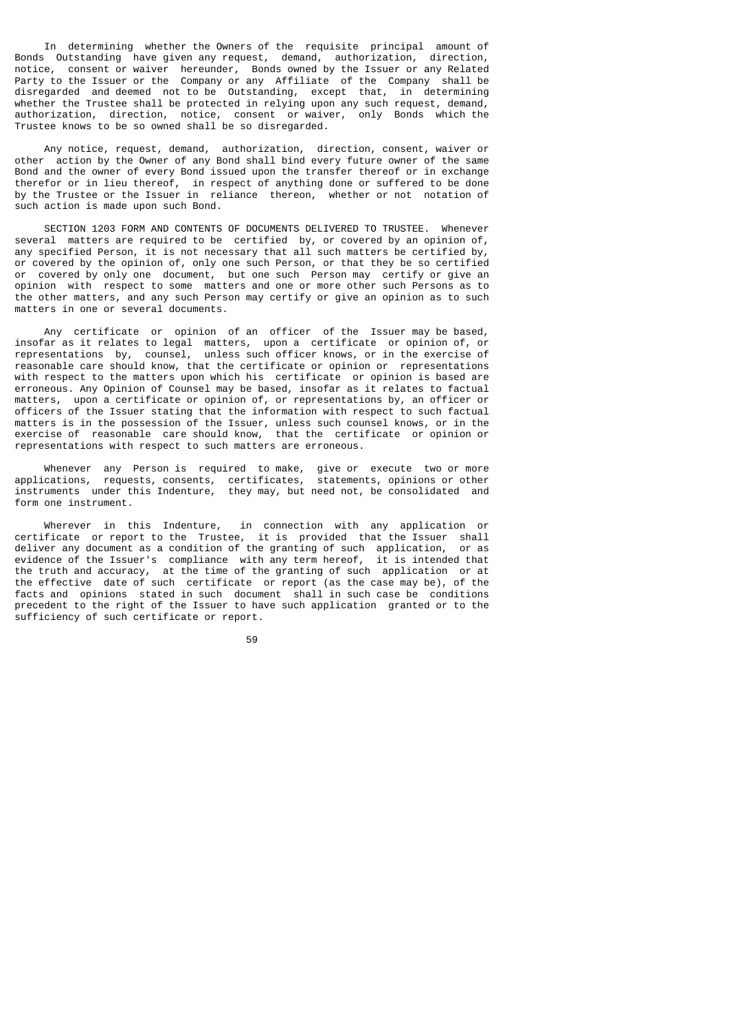In determining whether the Owners of the requisite principal amount of Bonds Outstanding have given any request, demand, authorization, direction, notice, consent or waiver hereunder, Bonds owned by the Issuer or any Related Party to the Issuer or the Company or any Affiliate of the Company shall be disregarded and deemed not to be Outstanding, except that, in determining whether the Trustee shall be protected in relying upon any such request, demand, authorization, direction, notice, consent or waiver, only Bonds which the Trustee knows to be so owned shall be so disregarded.

 Any notice, request, demand, authorization, direction, consent, waiver or other action by the Owner of any Bond shall bind every future owner of the same Bond and the owner of every Bond issued upon the transfer thereof or in exchange therefor or in lieu thereof, in respect of anything done or suffered to be done by the Trustee or the Issuer in reliance thereon, whether or not notation of such action is made upon such Bond.

 SECTION 1203 FORM AND CONTENTS OF DOCUMENTS DELIVERED TO TRUSTEE. Whenever several matters are required to be certified by, or covered by an opinion of, any specified Person, it is not necessary that all such matters be certified by, or covered by the opinion of, only one such Person, or that they be so certified<br>or covered by only one document, but one such Person may certify or give an covered by only one document, but one such Person may certify or give an opinion with respect to some matters and one or more other such Persons as to the other matters, and any such Person may certify or give an opinion as to such matters in one or several documents.

 Any certificate or opinion of an officer of the Issuer may be based, insofar as it relates to legal matters, upon a certificate or opinion of, or representations by, counsel, unless such officer knows, or in the exercise of reasonable care should know, that the certificate or opinion or representations with respect to the matters upon which his certificate or opinion is based are erroneous. Any Opinion of Counsel may be based, insofar as it relates to factual matters, upon a certificate or opinion of, or representations by, an officer or officers of the Issuer stating that the information with respect to such factual matters is in the possession of the Issuer, unless such counsel knows, or in the exercise of reasonable care should know, that the certificate or opinion or representations with respect to such matters are erroneous.

 Whenever any Person is required to make, give or execute two or more applications, requests, consents, certificates, statements, opinions or other instruments under this Indenture, they may, but need not, be consolidated and form one instrument.

 Wherever in this Indenture, in connection with any application or certificate or report to the Trustee, it is provided that the Issuer shall deliver any document as a condition of the granting of such application, or as evidence of the Issuer's compliance with any term hereof, it is intended that the truth and accuracy, at the time of the granting of such application or at the effective date of such certificate or report (as the case may be), of the facts and opinions stated in such document shall in such case be conditions precedent to the right of the Issuer to have such application granted or to the sufficiency of such certificate or report.

59 - 1992 - 1993 - 1994 - 1995 - 1996 - 1997 - 1998 - 1999 - 1999 - 1999 - 1999 - 1999 - 1999 - 199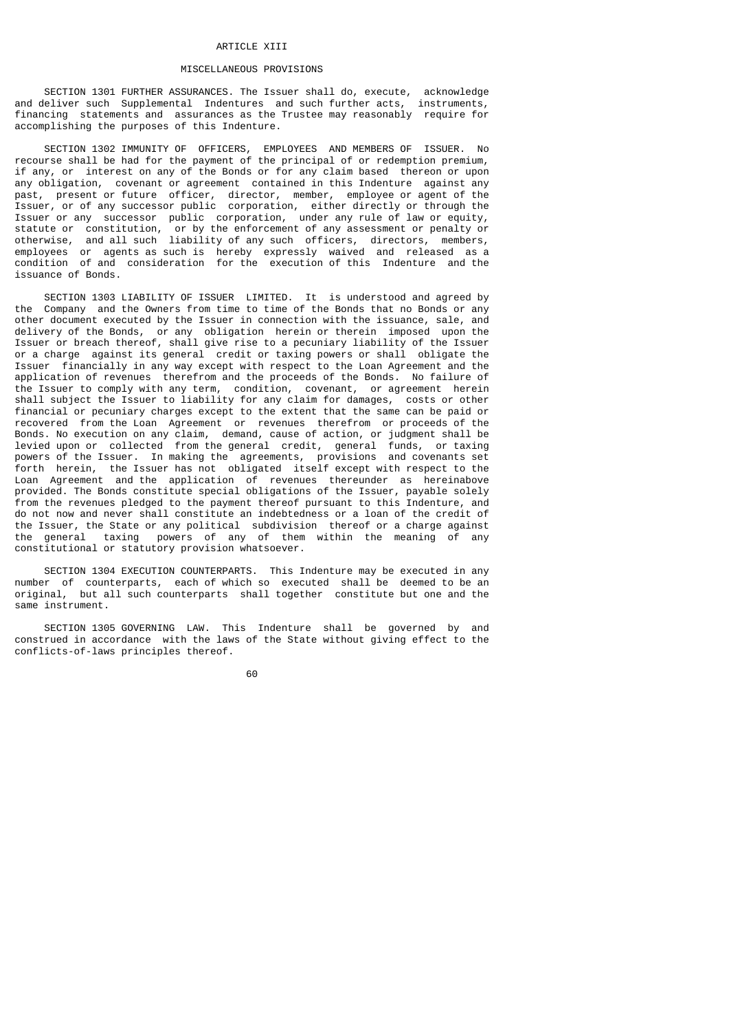#### ARTICLE XIII

# MISCELLANEOUS PROVISIONS

 SECTION 1301 FURTHER ASSURANCES. The Issuer shall do, execute, acknowledge and deliver such Supplemental Indentures and such further acts, instruments, financing statements and assurances as the Trustee may reasonably require for accomplishing the purposes of this Indenture.

 SECTION 1302 IMMUNITY OF OFFICERS, EMPLOYEES AND MEMBERS OF ISSUER. No recourse shall be had for the payment of the principal of or redemption premium, if any, or interest on any of the Bonds or for any claim based thereon or upon any obligation, covenant or agreement contained in this Indenture against any past, present or future officer, director, member, employee or agent of the Issuer, or of any successor public corporation, either directly or through the Issuer or any successor public corporation, under any rule of law or equity, statute or constitution, or by the enforcement of any assessment or penalty or otherwise, and all such liability of any such officers, directors, members, employees or agents as such is hereby expressly waived and released as a condition of and consideration for the execution of this Indenture and the issuance of Bonds.

 SECTION 1303 LIABILITY OF ISSUER LIMITED. It is understood and agreed by the Company and the Owners from time to time of the Bonds that no Bonds or any other document executed by the Issuer in connection with the issuance, sale, and delivery of the Bonds, or any obligation herein or therein imposed upon the Issuer or breach thereof, shall give rise to a pecuniary liability of the Issuer or a charge against its general credit or taxing powers or shall obligate the Issuer financially in any way except with respect to the Loan Agreement and the application of revenues therefrom and the proceeds of the Bonds. No failure of the Issuer to comply with any term, condition, covenant, or agreement herein shall subject the Issuer to liability for any claim for damages, costs or other financial or pecuniary charges except to the extent that the same can be paid or recovered from the Loan Agreement or revenues therefrom or proceeds of the Bonds. No execution on any claim, demand, cause of action, or judgment shall be levied upon or collected from the general credit, general funds, or taxing powers of the Issuer. In making the agreements, provisions and covenants set forth herein, the Issuer has not obligated itself except with respect to the Loan Agreement and the application of revenues thereunder as hereinabove provided. The Bonds constitute special obligations of the Issuer, payable solely from the revenues pledged to the payment thereof pursuant to this Indenture, and do not now and never shall constitute an indebtedness or a loan of the credit of the Issuer, the State or any political subdivision thereof or a charge against the general taxing powers of any of them within the meaning of any constitutional or statutory provision whatsoever.

 SECTION 1304 EXECUTION COUNTERPARTS. This Indenture may be executed in any number of counterparts, each of which so executed shall be deemed to be an original, but all such counterparts shall together constitute but one and the same instrument.

 SECTION 1305 GOVERNING LAW. This Indenture shall be governed by and construed in accordance with the laws of the State without giving effect to the conflicts-of-laws principles thereof.

60 and 2012 and 2012 and 2012 and 2012 and 2012 and 2012 and 2012 and 2012 and 2012 and 2012 and 201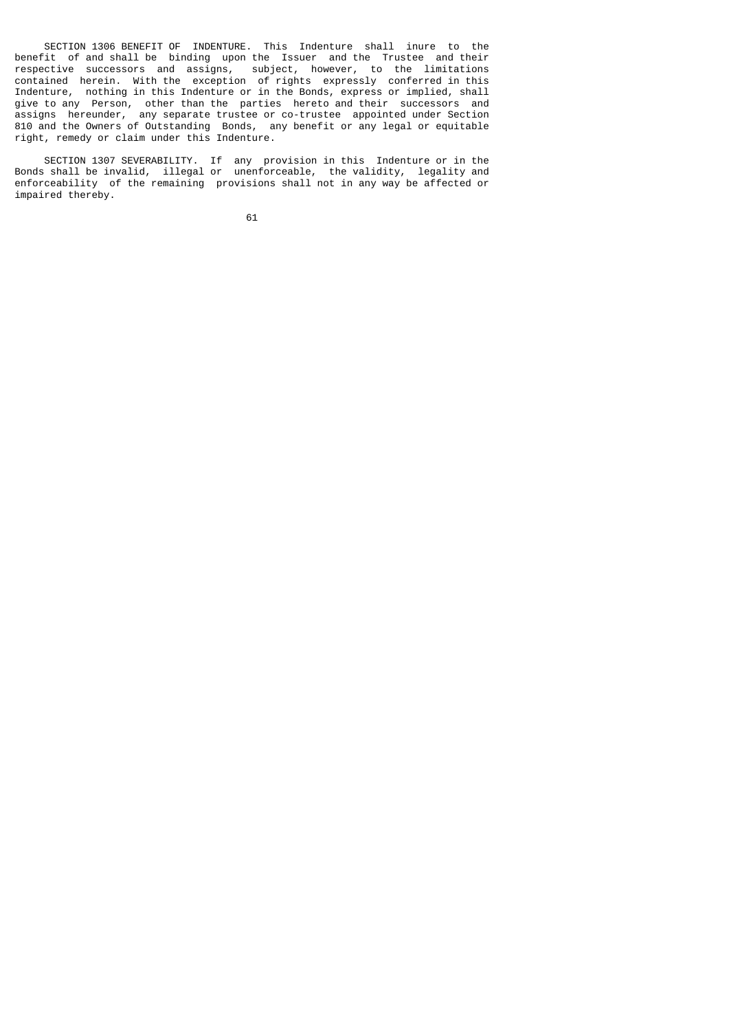SECTION 1306 BENEFIT OF INDENTURE. This Indenture shall inure to the benefit of and shall be binding upon the Issuer and the Trustee and their respective successors and assigns, subject, however, to the limitations contained herein. With the exception of rights expressly conferred in this Indenture, nothing in this Indenture or in the Bonds, express or implied, shall give to any Person, other than the parties hereto and their successors and assigns hereunder, any separate trustee or co-trustee appointed under Section 810 and the Owners of Outstanding Bonds, any benefit or any legal or equitable right, remedy or claim under this Indenture.

 SECTION 1307 SEVERABILITY. If any provision in this Indenture or in the Bonds shall be invalid, illegal or unenforceable, the validity, legality and enforceability of the remaining provisions shall not in any way be affected or impaired thereby.

 $\sim$  61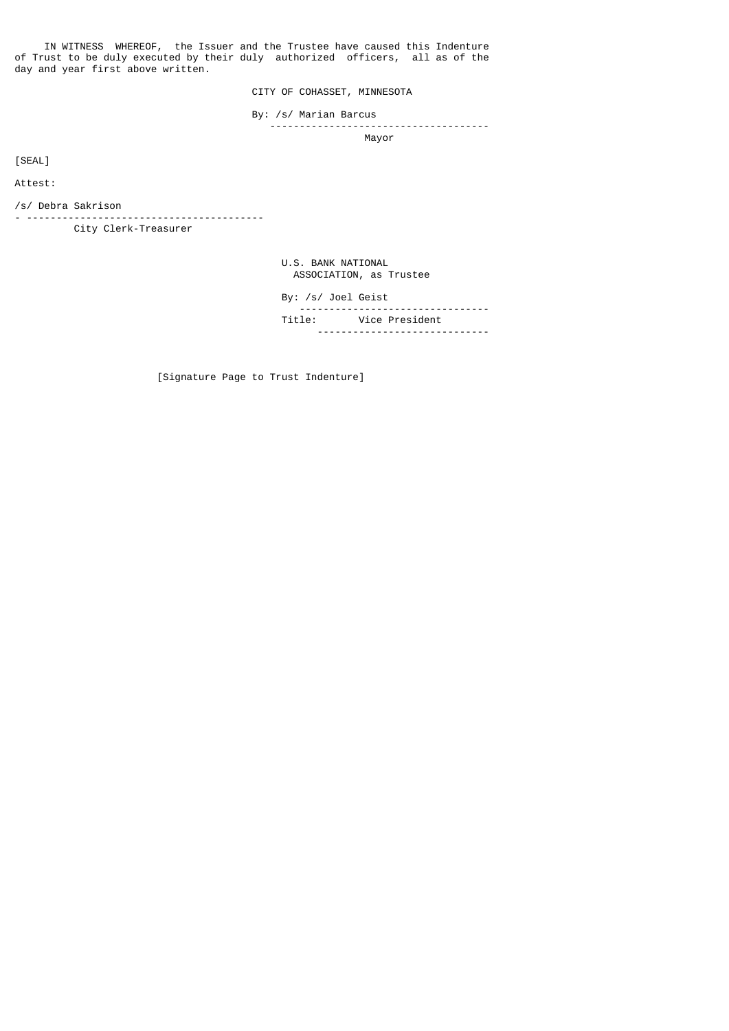IN WITNESS WHEREOF, the Issuer and the Trustee have caused this Indenture of Trust to be duly executed by their duly authorized officers, all as of the day and year first above written.

CITY OF COHASSET, MINNESOTA

By: /s/ Marian Barcus

----------------------<br>Mayor Mayor Mayor State (1999) and the state of the Mayor Mayor State (1999) and the State (1999) and the State (199

[SEAL]

Attest:

/s/ Debra Sakrison

- ---------------------------------------- City Clerk-Treasurer

> U.S. BANK NATIONAL ASSOCIATION, as Trustee

| By: /s/ Joel Geist |                       |
|--------------------|-----------------------|
|                    | Title: Vice President |

[Signature Page to Trust Indenture]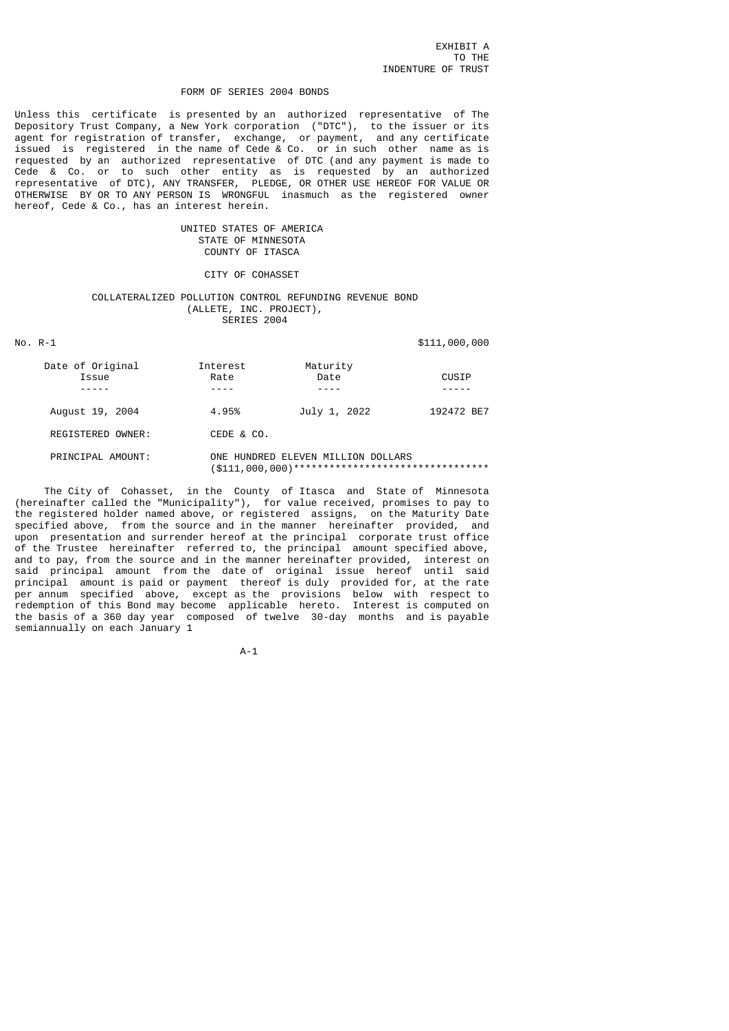#### FORM OF SERIES 2004 BONDS

Unless this certificate is presented by an authorized representative of The Depository Trust Company, a New York corporation ("DTC"), to the issuer or its agent for registration of transfer, exchange, or payment, and any certificate issued is registered in the name of Cede & Co. or in such other name as is requested by an authorized representative of DTC (and any payment is made to Cede & Co. or to such other entity as is requested by an authorized representative of DTC), ANY TRANSFER, PLEDGE, OR OTHER USE HEREOF FOR VALUE OR OTHERWISE BY OR TO ANY PERSON IS WRONGFUL inasmuch as the registered owner hereof, Cede & Co., has an interest herein.

# UNITED STATES OF AMERICA STATE OF MINNESOTA COUNTY OF ITASCA

# CITY OF COHASSET

## COLLATERALIZED POLLUTION CONTROL REFUNDING REVENUE BOND (ALLETE, INC. PROJECT), SERIES 2004

# No. R-1 \$111,000,000

| Date of Original<br>Issue | Interest<br>Rate | Maturity<br>Date                   | CUSIP      |
|---------------------------|------------------|------------------------------------|------------|
| August 19, 2004           | 4.95%            | July 1, 2022                       | 192472 BE7 |
| REGISTERED OWNER:         | CEDE & CO.       |                                    |            |
| PRINCIPAL AMOUNT:         |                  | ONE HUNDRED ELEVEN MILLION DOLLARS |            |

 The City of Cohasset, in the County of Itasca and State of Minnesota (hereinafter called the "Municipality"), for value received, promises to pay to the registered holder named above, or registered assigns, on the Maturity Date specified above, from the source and in the manner hereinafter provided, and upon presentation and surrender hereof at the principal corporate trust office of the Trustee hereinafter referred to, the principal amount specified above, and to pay, from the source and in the manner hereinafter provided, interest on said principal amount from the date of original issue hereof until said principal amount is paid or payment thereof is duly provided for, at the rate per annum specified above, except as the provisions below with respect to redemption of this Bond may become applicable hereto. Interest is computed on the basis of a 360 day year composed of twelve 30-day months and is payable semiannually on each January 1

(\$111,000,000)\*\*\*\*\*\*\*\*\*\*\*\*\*\*\*\*\*\*\*\*\*\*\*\*\*\*\*\*\*\*\*\*\*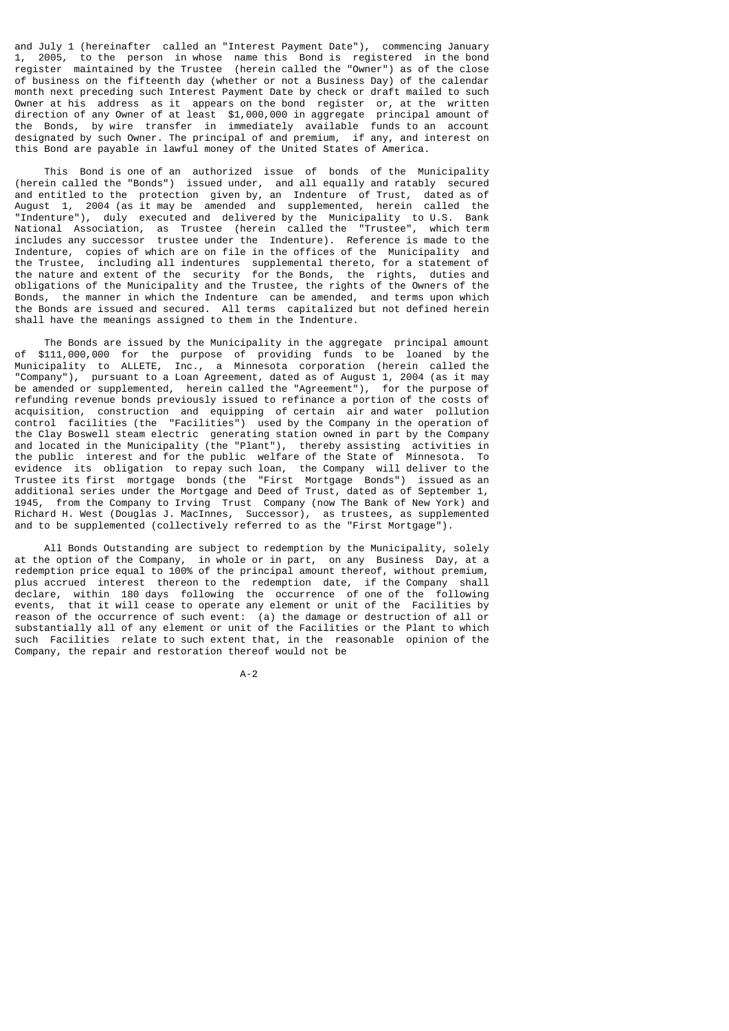and July 1 (hereinafter called an "Interest Payment Date"), commencing January 1, 2005, to the person in whose name this Bond is registered in the bond register maintained by the Trustee (herein called the "Owner") as of the close of business on the fifteenth day (whether or not a Business Day) of the calendar month next preceding such Interest Payment Date by check or draft mailed to such Owner at his address as it appears on the bond register or, at the written direction of any Owner of at least \$1,000,000 in aggregate principal amount of the Bonds, by wire transfer in immediately available funds to an account designated by such Owner. The principal of and premium, if any, and interest on this Bond are payable in lawful money of the United States of America.

 This Bond is one of an authorized issue of bonds of the Municipality (herein called the "Bonds") issued under, and all equally and ratably secured and entitled to the protection given by, an Indenture of Trust, dated as of August 1, 2004 (as it may be amended and supplemented, herein called the "Indenture"), duly executed and delivered by the Municipality to U.S. Bank National Association, as Trustee (herein called the "Trustee", which term includes any successor trustee under the Indenture). Reference is made to the Indenture, copies of which are on file in the offices of the Municipality and the Trustee, including all indentures supplemental thereto, for a statement of the nature and extent of the security for the Bonds, the rights, duties and obligations of the Municipality and the Trustee, the rights of the Owners of the Bonds, the manner in which the Indenture can be amended, and terms upon which the Bonds are issued and secured. All terms capitalized but not defined herein shall have the meanings assigned to them in the Indenture.

 The Bonds are issued by the Municipality in the aggregate principal amount of \$111,000,000 for the purpose of providing funds to be loaned by the Municipality to ALLETE, Inc., a Minnesota corporation (herein called the "Company"), pursuant to a Loan Agreement, dated as of August 1, 2004 (as it may be amended or supplemented, herein called the "Agreement"), for the purpose of refunding revenue bonds previously issued to refinance a portion of the costs of acquisition, construction and equipping of certain air and water pollution control facilities (the "Facilities") used by the Company in the operation of the Clay Boswell steam electric generating station owned in part by the Company and located in the Municipality (the "Plant"), thereby assisting activities in the public interest and for the public welfare of the State of Minnesota. To evidence its obligation to repay such loan, the Company will deliver to the Trustee its first mortgage bonds (the "First Mortgage Bonds") issued as an additional series under the Mortgage and Deed of Trust, dated as of September 1, 1945, from the Company to Irving Trust Company (now The Bank of New York) and Richard H. West (Douglas J. MacInnes, Successor), as trustees, as supplemented and to be supplemented (collectively referred to as the "First Mortgage").

 All Bonds Outstanding are subject to redemption by the Municipality, solely at the option of the Company, in whole or in part, on any Business Day, at a redemption price equal to 100% of the principal amount thereof, without premium, plus accrued interest thereon to the redemption date, if the Company shall declare, within 180 days following the occurrence of one of the following events, that it will cease to operate any element or unit of the Facilities by reason of the occurrence of such event: (a) the damage or destruction of all or substantially all of any element or unit of the Facilities or the Plant to which such Facilities relate to such extent that, in the reasonable opinion of the Company, the repair and restoration thereof would not be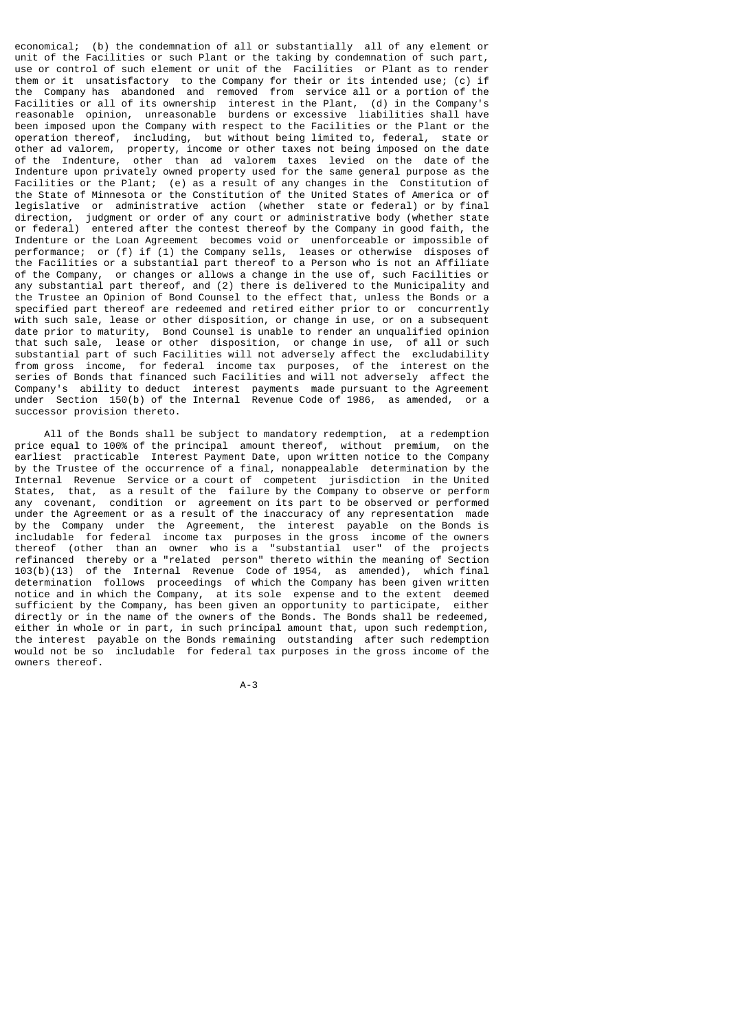economical; (b) the condemnation of all or substantially all of any element or unit of the Facilities or such Plant or the taking by condemnation of such part, use or control of such element or unit of the Facilities or Plant as to render them or it unsatisfactory to the Company for their or its intended use; (c) if the Company has abandoned and removed from service all or a portion of the Facilities or all of its ownership interest in the Plant, (d) in the Company's reasonable opinion, unreasonable burdens or excessive liabilities shall have been imposed upon the Company with respect to the Facilities or the Plant or the operation thereof, including, but without being limited to, federal, state or other ad valorem, property, income or other taxes not being imposed on the date of the Indenture, other than ad valorem taxes levied on the date of the Indenture upon privately owned property used for the same general purpose as the Facilities or the Plant; (e) as a result of any changes in the Constitution of the State of Minnesota or the Constitution of the United States of America or of legislative or administrative action (whether state or federal) or by final direction, judgment or order of any court or administrative body (whether state or federal) entered after the contest thereof by the Company in good faith, the Indenture or the Loan Agreement becomes void or unenforceable or impossible of performance; or (f) if (1) the Company sells, leases or otherwise disposes of the Facilities or a substantial part thereof to a Person who is not an Affiliate of the Company, or changes or allows a change in the use of, such Facilities or any substantial part thereof, and (2) there is delivered to the Municipality and the Trustee an Opinion of Bond Counsel to the effect that, unless the Bonds or a specified part thereof are redeemed and retired either prior to or concurrently with such sale, lease or other disposition, or change in use, or on a subsequent date prior to maturity, Bond Counsel is unable to render an unqualified opinion that such sale, lease or other disposition, or change in use, of all or such substantial part of such Facilities will not adversely affect the excludability from gross income, for federal income tax purposes, of the interest on the series of Bonds that financed such Facilities and will not adversely affect the Company's ability to deduct interest payments made pursuant to the Agreement under Section 150(b) of the Internal Revenue Code of 1986, as amended, or a successor provision thereto.

 All of the Bonds shall be subject to mandatory redemption, at a redemption price equal to 100% of the principal amount thereof, without premium, on the earliest practicable Interest Payment Date, upon written notice to the Company by the Trustee of the occurrence of a final, nonappealable determination by the Internal Revenue Service or a court of competent jurisdiction in the United States, that, as a result of the failure by the Company to observe or perform any covenant, condition or agreement on its part to be observed or performed under the Agreement or as a result of the inaccuracy of any representation made by the Company under the Agreement, the interest payable on the Bonds is includable for federal income tax purposes in the gross income of the owners thereof (other than an owner who is a "substantial user" of the projects refinanced thereby or a "related person" thereto within the meaning of Section 103(b)(13) of the Internal Revenue Code of 1954, as amended), which final determination follows proceedings of which the Company has been given written notice and in which the Company, at its sole expense and to the extent deemed sufficient by the Company, has been given an opportunity to participate, either directly or in the name of the owners of the Bonds. The Bonds shall be redeemed, either in whole or in part, in such principal amount that, upon such redemption, the interest payable on the Bonds remaining outstanding after such redemption would not be so includable for federal tax purposes in the gross income of the owners thereof.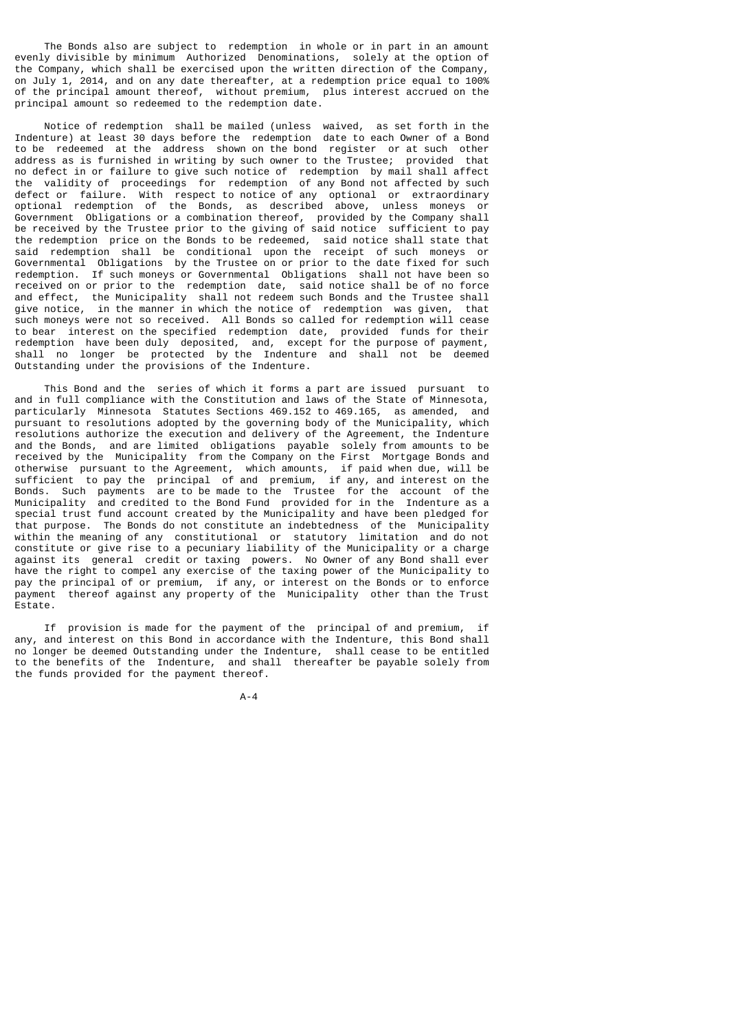The Bonds also are subject to redemption in whole or in part in an amount evenly divisible by minimum Authorized Denominations, solely at the option of the Company, which shall be exercised upon the written direction of the Company, on July 1, 2014, and on any date thereafter, at a redemption price equal to 100% of the principal amount thereof, without premium, plus interest accrued on the principal amount so redeemed to the redemption date.

 Notice of redemption shall be mailed (unless waived, as set forth in the Indenture) at least 30 days before the redemption date to each Owner of a Bond to be redeemed at the address shown on the bond register or at such other address as is furnished in writing by such owner to the Trustee; provided that no defect in or failure to give such notice of redemption by mail shall affect the validity of proceedings for redemption of any Bond not affected by such defect or failure. With respect to notice of any optional or extraordinary optional redemption of the Bonds, as described above, unless moneys or Government Obligations or a combination thereof, provided by the Company shall be received by the Trustee prior to the giving of said notice sufficient to pay the redemption price on the Bonds to be redeemed, said notice shall state that said redemption shall be conditional upon the receipt of such moneys or Governmental Obligations by the Trustee on or prior to the date fixed for such redemption. If such moneys or Governmental Obligations shall not have been so received on or prior to the redemption date, said notice shall be of no force and effect, the Municipality shall not redeem such Bonds and the Trustee shall give notice, in the manner in which the notice of redemption was given, that such moneys were not so received. All Bonds so called for redemption will cease to bear interest on the specified redemption date, provided funds for their redemption have been duly deposited, and, except for the purpose of payment, shall no longer be protected by the Indenture and shall not be deemed Outstanding under the provisions of the Indenture.

 This Bond and the series of which it forms a part are issued pursuant to and in full compliance with the Constitution and laws of the State of Minnesota, particularly Minnesota Statutes Sections 469.152 to 469.165, as amended, and pursuant to resolutions adopted by the governing body of the Municipality, which resolutions authorize the execution and delivery of the Agreement, the Indenture and the Bonds, and are limited obligations payable solely from amounts to be received by the Municipality from the Company on the First Mortgage Bonds and otherwise pursuant to the Agreement, which amounts, if paid when due, will be sufficient to pay the principal of and premium, if any, and interest on the Bonds. Such payments are to be made to the Trustee for the account of the Municipality and credited to the Bond Fund provided for in the Indenture as a special trust fund account created by the Municipality and have been pledged for that purpose. The Bonds do not constitute an indebtedness of the Municipality within the meaning of any constitutional or statutory limitation and do not constitute or give rise to a pecuniary liability of the Municipality or a charge against its general credit or taxing powers. No Owner of any Bond shall ever have the right to compel any exercise of the taxing power of the Municipality to pay the principal of or premium, if any, or interest on the Bonds or to enforce payment thereof against any property of the Municipality other than the Trust Estate.

 If provision is made for the payment of the principal of and premium, if any, and interest on this Bond in accordance with the Indenture, this Bond shall no longer be deemed Outstanding under the Indenture, shall cease to be entitled to the benefits of the Indenture, and shall thereafter be payable solely from the funds provided for the payment thereof.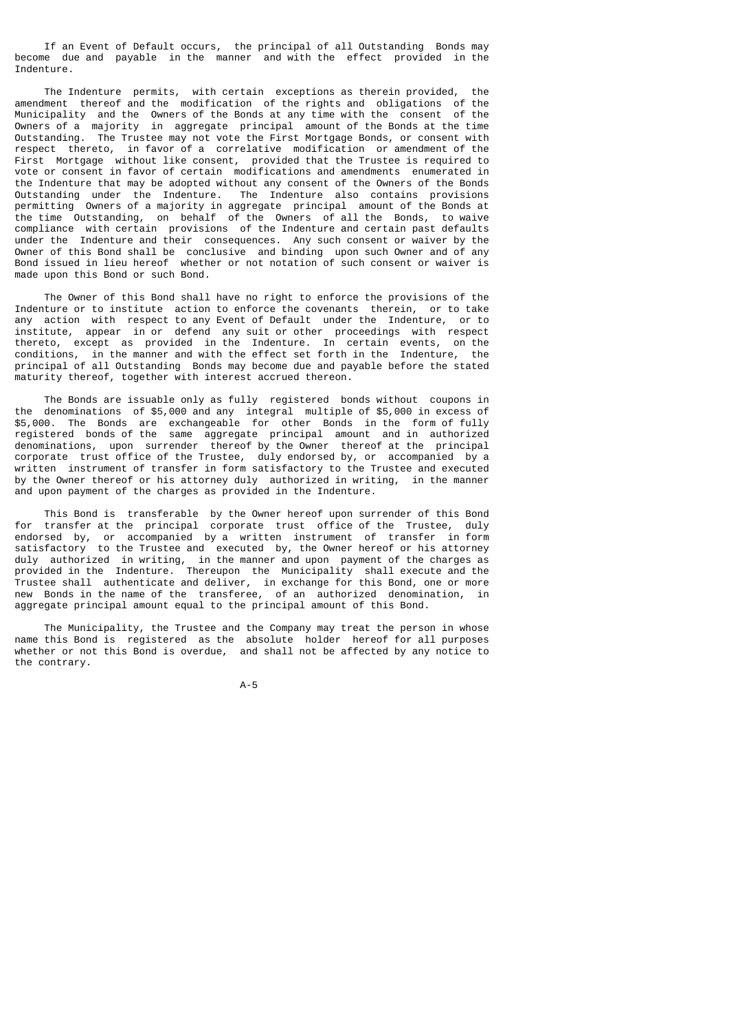If an Event of Default occurs, the principal of all Outstanding Bonds may become due and payable in the manner and with the effect provided in the Indenture.

 The Indenture permits, with certain exceptions as therein provided, the amendment thereof and the modification of the rights and obligations of the Municipality and the Owners of the Bonds at any time with the consent of the Owners of a majority in aggregate principal amount of the Bonds at the time Outstanding. The Trustee may not vote the First Mortgage Bonds, or consent with respect thereto, in favor of a correlative modification or amendment of the First Mortgage without like consent, provided that the Trustee is required to vote or consent in favor of certain modifications and amendments enumerated in the Indenture that may be adopted without any consent of the Owners of the Bonds Outstanding under the Indenture. The Indenture also contains provisions permitting Owners of a majority in aggregate principal amount of the Bonds at the time Outstanding, on behalf of the Owners of all the Bonds, to waive compliance with certain provisions of the Indenture and certain past defaults under the Indenture and their consequences. Any such consent or waiver by the Owner of this Bond shall be conclusive and binding upon such Owner and of any Bond issued in lieu hereof whether or not notation of such consent or waiver is made upon this Bond or such Bond.

 The Owner of this Bond shall have no right to enforce the provisions of the Indenture or to institute action to enforce the covenants therein, or to take any action with respect to any Event of Default under the Indenture, or to institute, appear in or defend any suit or other proceedings with respect thereto, except as provided in the Indenture. In certain events, on the conditions, in the manner and with the effect set forth in the Indenture, the principal of all Outstanding Bonds may become due and payable before the stated maturity thereof, together with interest accrued thereon.

 The Bonds are issuable only as fully registered bonds without coupons in the denominations of \$5,000 and any integral multiple of \$5,000 in excess of \$5,000. The Bonds are exchangeable for other Bonds in the form of fully registered bonds of the same aggregate principal amount and in authorized denominations, upon surrender thereof by the Owner thereof at the principal corporate trust office of the Trustee, duly endorsed by, or accompanied by a written instrument of transfer in form satisfactory to the Trustee and executed by the Owner thereof or his attorney duly authorized in writing, in the manner and upon payment of the charges as provided in the Indenture.

 This Bond is transferable by the Owner hereof upon surrender of this Bond for transfer at the principal corporate trust office of the Trustee, duly endorsed by, or accompanied by a written instrument of transfer in form satisfactory to the Trustee and executed by, the Owner hereof or his attorney duly authorized in writing, in the manner and upon payment of the charges as provided in the Indenture. Thereupon the Municipality shall execute and the Trustee shall authenticate and deliver, in exchange for this Bond, one or more new Bonds in the name of the transferee, of an authorized denomination, in aggregate principal amount equal to the principal amount of this Bond.

 The Municipality, the Trustee and the Company may treat the person in whose name this Bond is registered as the absolute holder hereof for all purposes whether or not this Bond is overdue, and shall not be affected by any notice to the contrary.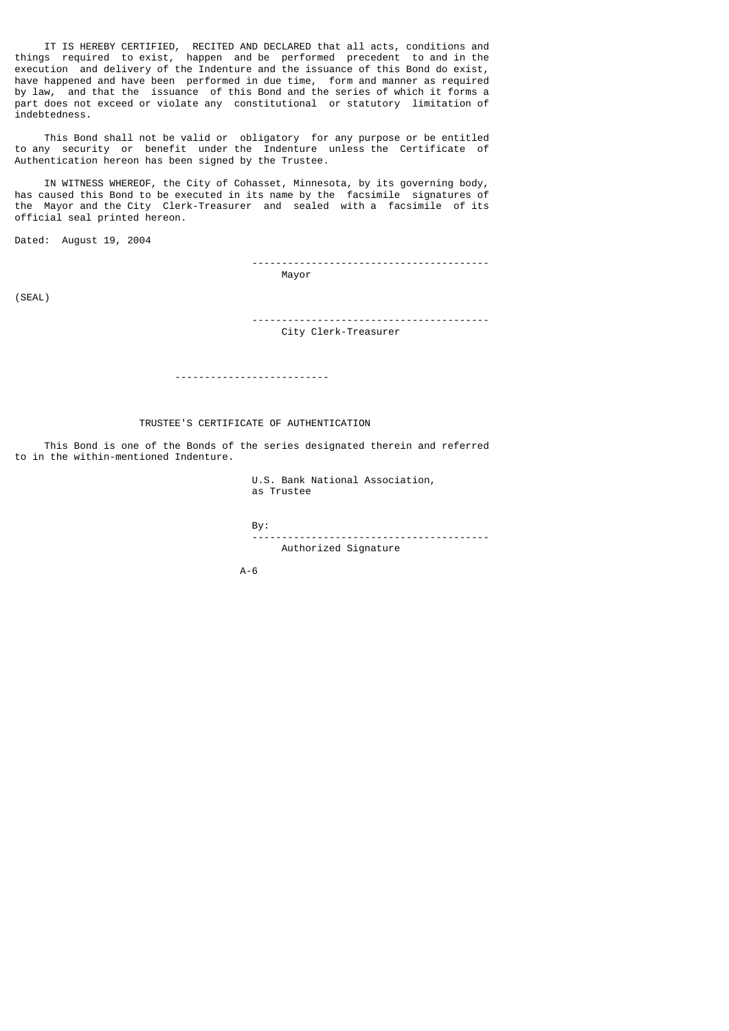IT IS HEREBY CERTIFIED, RECITED AND DECLARED that all acts, conditions and things required to exist, happen and be performed precedent to and in the execution and delivery of the Indenture and the issuance of this Bond do exist, have happened and have been performed in due time, form and manner as required by law, and that the issuance of this Bond and the series of which it forms a part does not exceed or violate any constitutional or statutory limitation of indebtedness.

 This Bond shall not be valid or obligatory for any purpose or be entitled to any security or benefit under the Indenture unless the Certificate of Authentication hereon has been signed by the Trustee.

 IN WITNESS WHEREOF, the City of Cohasset, Minnesota, by its governing body, has caused this Bond to be executed in its name by the facsimile signatures of the Mayor and the City Clerk-Treasurer and sealed with a facsimile of its official seal printed hereon.

Dated: August 19, 2004

 ---------------------------------------- Mayor

(SEAL)

 ---------------------------------------- City Clerk-Treasurer

--------------------------

# TRUSTEE'S CERTIFICATE OF AUTHENTICATION

 This Bond is one of the Bonds of the series designated therein and referred to in the within-mentioned Indenture.

> U.S. Bank National Association, as Trustee

 By: ---------------------------------------- Authorized Signature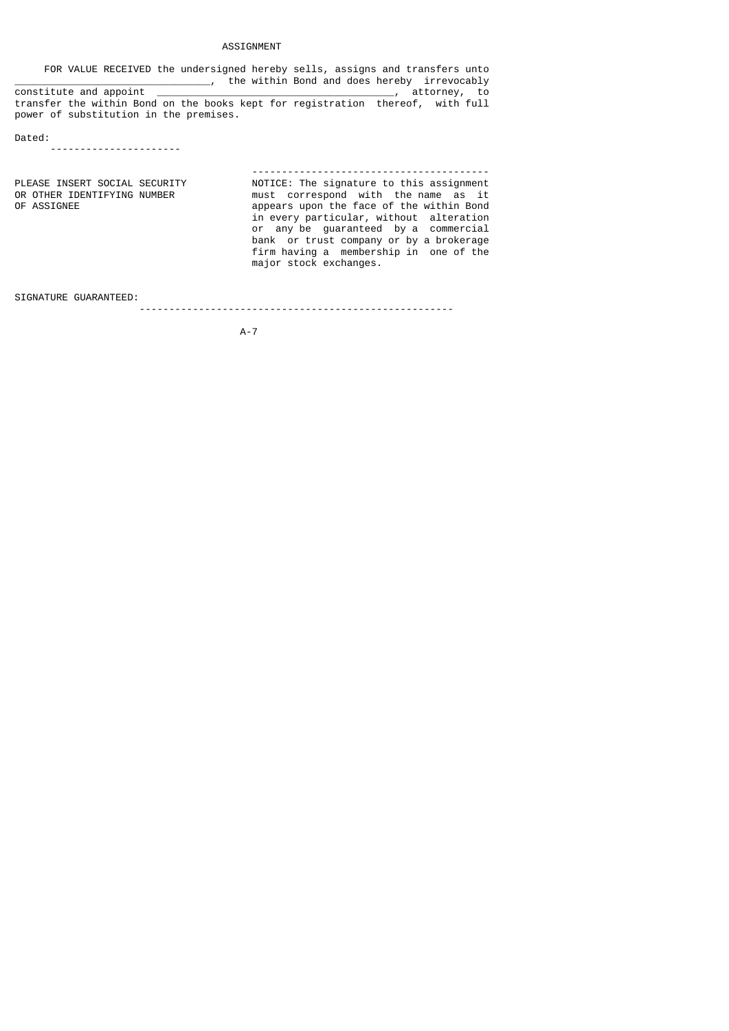# ASSIGNMENT

 FOR VALUE RECEIVED the undersigned hereby sells, assigns and transfers unto \_\_\_\_\_\_\_\_\_\_\_\_\_\_\_\_\_\_\_\_\_\_\_\_\_\_\_\_\_\_\_\_\_, the within Bond and does hereby irrevocably constitute and appoint \_\_\_\_\_\_\_\_\_\_\_\_\_\_\_\_\_\_\_\_\_\_\_\_\_\_\_\_\_\_\_\_\_\_\_\_\_\_\_\_, attorney, to transfer the within Bond on the books kept for registration thereof, with full power of substitution in the premises.

Dated:

----------------------

 ---------------------------------------- PLEASE INSERT SOCIAL SECURITY MOTICE: The signature to this assignment<br>OR OTHER IDENTIFYING NUMBER must correspond with the name as it OR OTHER IDENTIFYING NUMBER must correspond with the name as it<br>OF ASSIGNEE of the within Bond appears upon the face of the within Bond in every particular, without alteration or any be guaranteed by a commercial bank or trust company or by a brokerage firm having a membership in one of the major stock exchanges.

SIGNATURE GUARANTEED:

-----------------------------------------------------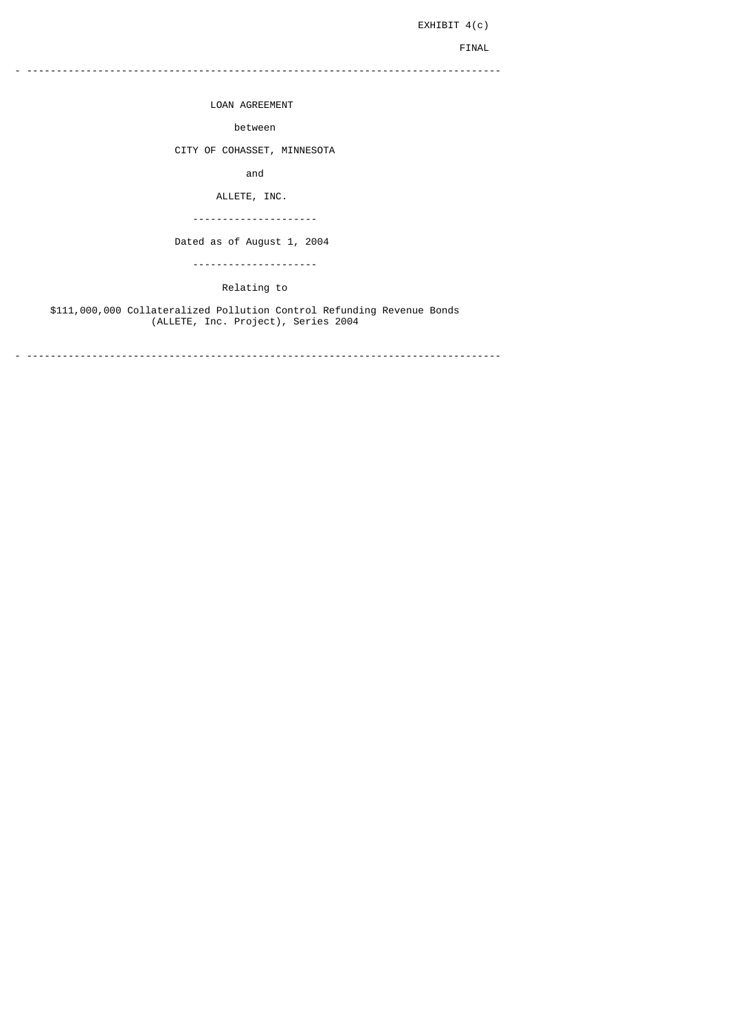EXHIBIT 4(c)

FINAL

- --------------------------------------------------------------------------------

LOAN AGREEMENT

between

CITY OF COHASSET, MINNESOTA

and

ALLETE, INC.

---------------------

Dated as of August 1, 2004

---------------------

Relating to

 \$111,000,000 Collateralized Pollution Control Refunding Revenue Bonds (ALLETE, Inc. Project), Series 2004

- --------------------------------------------------------------------------------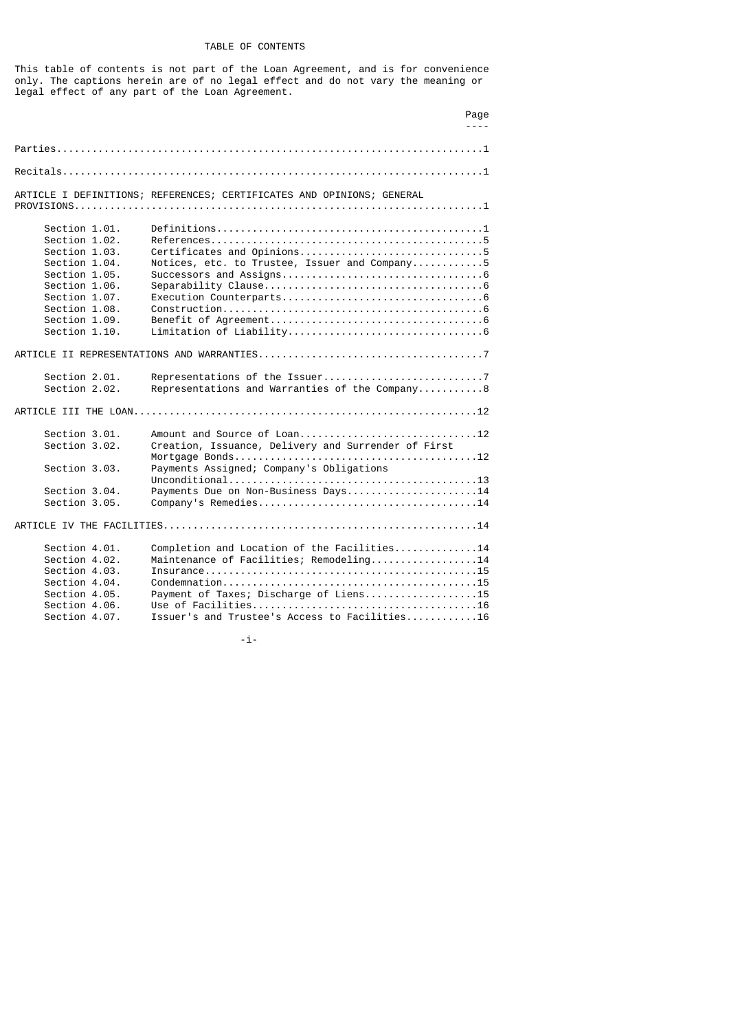# TABLE OF CONTENTS

This table of contents is not part of the Loan Agreement, and is for convenience only. The captions herein are of no legal effect and do not vary the meaning or legal effect of any part of the Loan Agreement.

|                                                                                                                                                                        | Page<br>$- - - -$                                                                                                                                                                 |
|------------------------------------------------------------------------------------------------------------------------------------------------------------------------|-----------------------------------------------------------------------------------------------------------------------------------------------------------------------------------|
|                                                                                                                                                                        |                                                                                                                                                                                   |
|                                                                                                                                                                        |                                                                                                                                                                                   |
|                                                                                                                                                                        |                                                                                                                                                                                   |
|                                                                                                                                                                        | ARTICLE I DEFINITIONS; REFERENCES; CERTIFICATES AND OPINIONS; GENERAL                                                                                                             |
| Section 1.01.<br>Section 1.02.<br>Section 1.03.<br>Section 1.04.<br>Section 1.05.<br>Section 1.06.<br>Section 1.07.<br>Section 1.08.<br>Section 1.09.<br>Section 1.10. | Notices, etc. to Trustee, Issuer and Company5                                                                                                                                     |
|                                                                                                                                                                        |                                                                                                                                                                                   |
| Section 2.01.<br>Section 2.02.                                                                                                                                         | Representations and Warranties of the Company8                                                                                                                                    |
|                                                                                                                                                                        |                                                                                                                                                                                   |
| Section 3.01.<br>Section 3.02.                                                                                                                                         | Creation, Issuance, Delivery and Surrender of First                                                                                                                               |
| Section 3.03.                                                                                                                                                          | Payments Assigned; Company's Obligations                                                                                                                                          |
| Section 3.04.<br>Section 3.05.                                                                                                                                         | Payments Due on Non-Business Days14                                                                                                                                               |
|                                                                                                                                                                        |                                                                                                                                                                                   |
| Section 4.01.<br>Section 4.02.<br>Section 4.03.<br>Section 4.04.<br>Section 4.05.<br>Section 4.06.<br>Section 4.07.                                                    | Completion and Location of the Facilities14<br>Maintenance of Facilities; Remodeling14<br>Payment of Taxes; Discharge of Liens15<br>Issuer's and Trustee's Access to Facilities16 |

-i-magnetic contract to the contract of  $\mathbf{i}$ -i-magnetic contract of  $\mathbf{i}$ -i-magnetic contract of  $\mathbf{i}$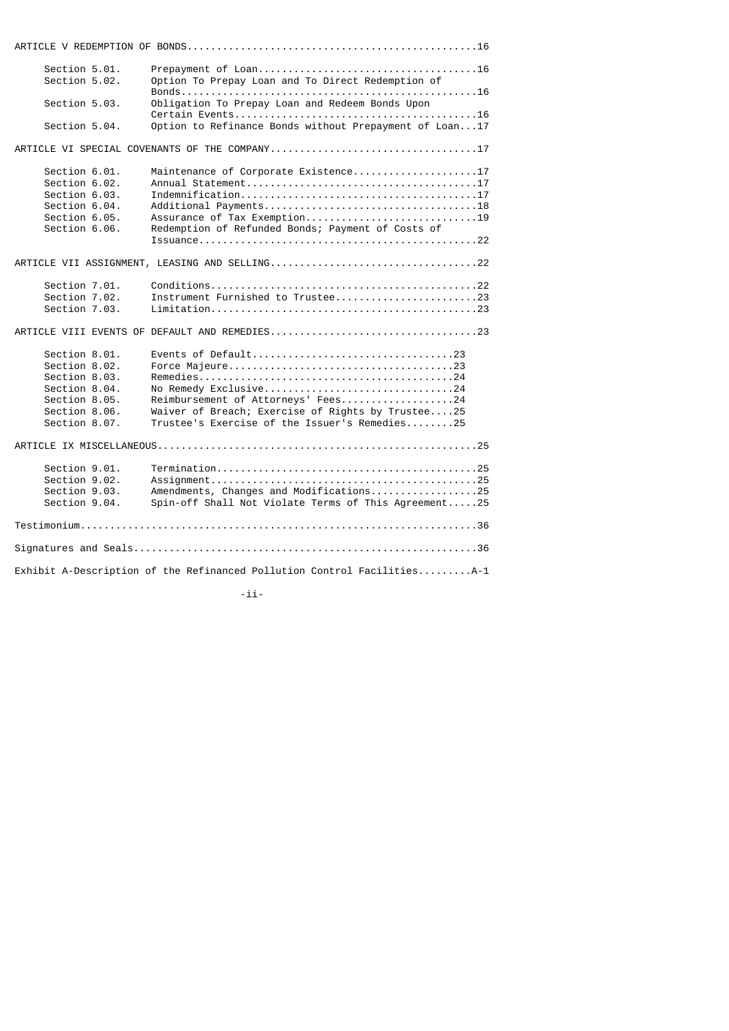| Section 5.01.<br>Section 5.02. | Option To Prepay Loan and To Direct Redemption of                       |
|--------------------------------|-------------------------------------------------------------------------|
| Section 5.03.                  | Obligation To Prepay Loan and Redeem Bonds Upon                         |
|                                |                                                                         |
| Section 5.04.                  | Option to Refinance Bonds without Prepayment of Loan17                  |
|                                |                                                                         |
| Section 6.01.                  | Maintenance of Corporate Existence17                                    |
| Section 6.02.                  |                                                                         |
| Section 6.03.                  |                                                                         |
| Section 6.04.                  |                                                                         |
| Section 6.05.                  | Assurance of Tax Exemption19                                            |
| Section 6.06.                  | Redemption of Refunded Bonds; Payment of Costs of                       |
|                                |                                                                         |
|                                |                                                                         |
| Section 7.01.                  |                                                                         |
| Section 7.02.                  | Instrument Furnished to Trustee23                                       |
| Section 7.03.                  |                                                                         |
|                                |                                                                         |
| Section 8.01.                  | Events of Default23                                                     |
| Section 8.02.                  |                                                                         |
| Section 8.03.                  |                                                                         |
| Section 8.04.                  | No Remedy Exclusive24                                                   |
| Section 8.05.                  | Reimbursement of Attorneys' Fees24                                      |
| Section 8.06.                  | Waiver of Breach; Exercise of Rights by Trustee25                       |
| Section 8.07.                  | Trustee's Exercise of the Issuer's Remedies25                           |
|                                |                                                                         |
| Section 9.01.                  |                                                                         |
| Section 9.02.                  |                                                                         |
| Section 9.03.                  | Amendments, Changes and Modifications25                                 |
| Section 9.04.                  | Spin-off Shall Not Violate Terms of This Agreement25                    |
|                                |                                                                         |
|                                |                                                                         |
|                                | Exhibit A-Description of the Refinanced Pollution Control FacilitiesA-1 |

-ii-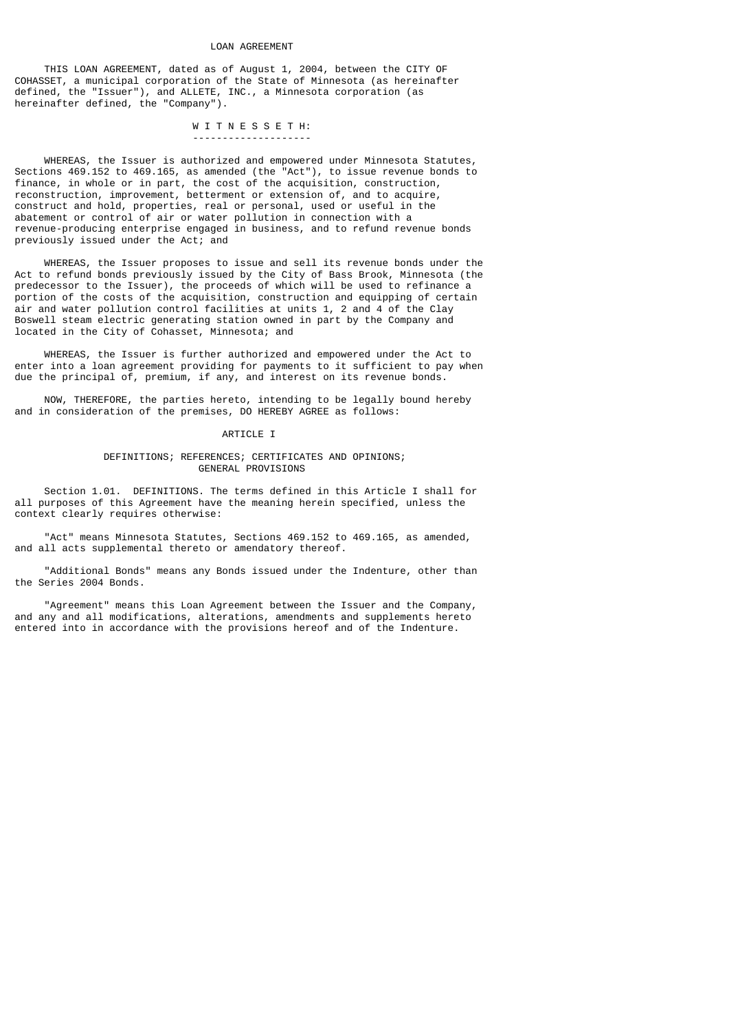#### LOAN AGREEMENT

 THIS LOAN AGREEMENT, dated as of August 1, 2004, between the CITY OF COHASSET, a municipal corporation of the State of Minnesota (as hereinafter defined, the "Issuer"), and ALLETE, INC., a Minnesota corporation (as hereinafter defined, the "Company").

 W I T N E S S E T H: --------------------

 WHEREAS, the Issuer is authorized and empowered under Minnesota Statutes, Sections 469.152 to 469.165, as amended (the "Act"), to issue revenue bonds to finance, in whole or in part, the cost of the acquisition, construction, reconstruction, improvement, betterment or extension of, and to acquire, construct and hold, properties, real or personal, used or useful in the abatement or control of air or water pollution in connection with a revenue-producing enterprise engaged in business, and to refund revenue bonds previously issued under the Act; and

 WHEREAS, the Issuer proposes to issue and sell its revenue bonds under the Act to refund bonds previously issued by the City of Bass Brook, Minnesota (the predecessor to the Issuer), the proceeds of which will be used to refinance a portion of the costs of the acquisition, construction and equipping of certain air and water pollution control facilities at units 1, 2 and 4 of the Clay Boswell steam electric generating station owned in part by the Company and located in the City of Cohasset, Minnesota; and

 WHEREAS, the Issuer is further authorized and empowered under the Act to enter into a loan agreement providing for payments to it sufficient to pay when due the principal of, premium, if any, and interest on its revenue bonds.

 NOW, THEREFORE, the parties hereto, intending to be legally bound hereby and in consideration of the premises, DO HEREBY AGREE as follows:

#### ARTICLE I

# DEFINITIONS; REFERENCES; CERTIFICATES AND OPINIONS; GENERAL PROVISIONS

 Section 1.01. DEFINITIONS. The terms defined in this Article I shall for all purposes of this Agreement have the meaning herein specified, unless the context clearly requires otherwise:

 "Act" means Minnesota Statutes, Sections 469.152 to 469.165, as amended, and all acts supplemental thereto or amendatory thereof.

 "Additional Bonds" means any Bonds issued under the Indenture, other than the Series 2004 Bonds.

 "Agreement" means this Loan Agreement between the Issuer and the Company, and any and all modifications, alterations, amendments and supplements hereto entered into in accordance with the provisions hereof and of the Indenture.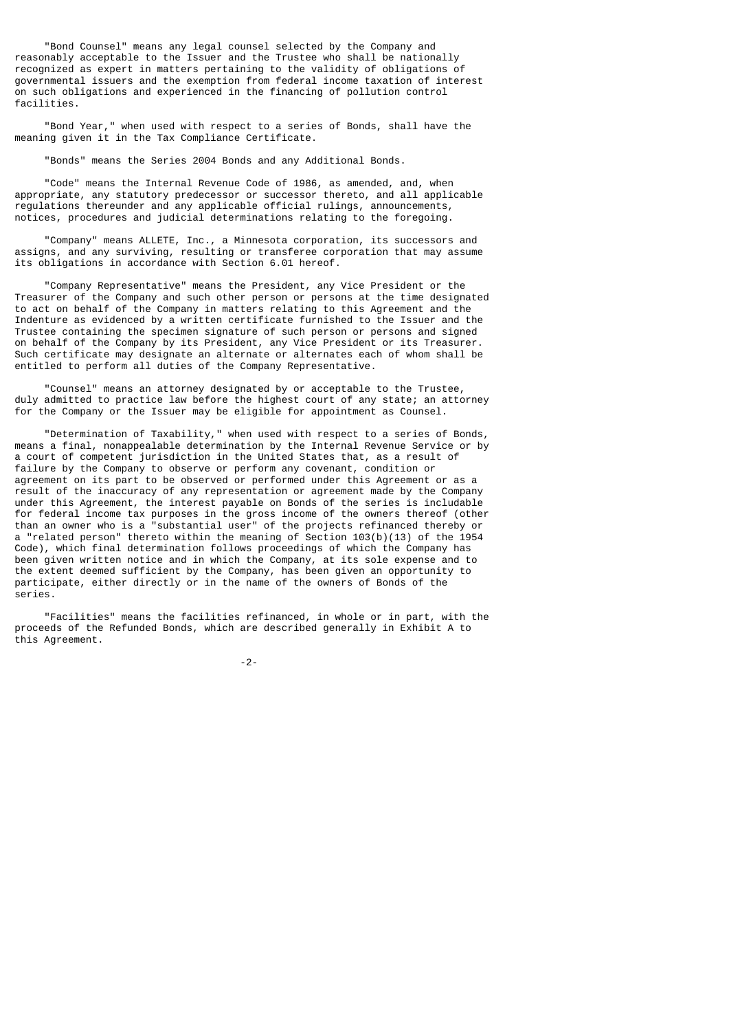"Bond Counsel" means any legal counsel selected by the Company and reasonably acceptable to the Issuer and the Trustee who shall be nationally recognized as expert in matters pertaining to the validity of obligations of governmental issuers and the exemption from federal income taxation of interest on such obligations and experienced in the financing of pollution control facilities.

 "Bond Year," when used with respect to a series of Bonds, shall have the meaning given it in the Tax Compliance Certificate.

"Bonds" means the Series 2004 Bonds and any Additional Bonds.

 "Code" means the Internal Revenue Code of 1986, as amended, and, when appropriate, any statutory predecessor or successor thereto, and all applicable regulations thereunder and any applicable official rulings, announcements, notices, procedures and judicial determinations relating to the foregoing.

 "Company" means ALLETE, Inc., a Minnesota corporation, its successors and assigns, and any surviving, resulting or transferee corporation that may assume its obligations in accordance with Section 6.01 hereof.

 "Company Representative" means the President, any Vice President or the Treasurer of the Company and such other person or persons at the time designated to act on behalf of the Company in matters relating to this Agreement and the Indenture as evidenced by a written certificate furnished to the Issuer and the Trustee containing the specimen signature of such person or persons and signed on behalf of the Company by its President, any Vice President or its Treasurer. Such certificate may designate an alternate or alternates each of whom shall be entitled to perform all duties of the Company Representative.

 "Counsel" means an attorney designated by or acceptable to the Trustee, duly admitted to practice law before the highest court of any state; an attorney for the Company or the Issuer may be eligible for appointment as Counsel.

 "Determination of Taxability," when used with respect to a series of Bonds, means a final, nonappealable determination by the Internal Revenue Service or by a court of competent jurisdiction in the United States that, as a result of failure by the Company to observe or perform any covenant, condition or agreement on its part to be observed or performed under this Agreement or as a result of the inaccuracy of any representation or agreement made by the Company under this Agreement, the interest payable on Bonds of the series is includable for federal income tax purposes in the gross income of the owners thereof (other than an owner who is a "substantial user" of the projects refinanced thereby or a "related person" thereto within the meaning of Section 103(b)(13) of the 1954 Code), which final determination follows proceedings of which the Company has been given written notice and in which the Company, at its sole expense and to the extent deemed sufficient by the Company, has been given an opportunity to participate, either directly or in the name of the owners of Bonds of the series.

 "Facilities" means the facilities refinanced, in whole or in part, with the proceeds of the Refunded Bonds, which are described generally in Exhibit A to this Agreement.

-2-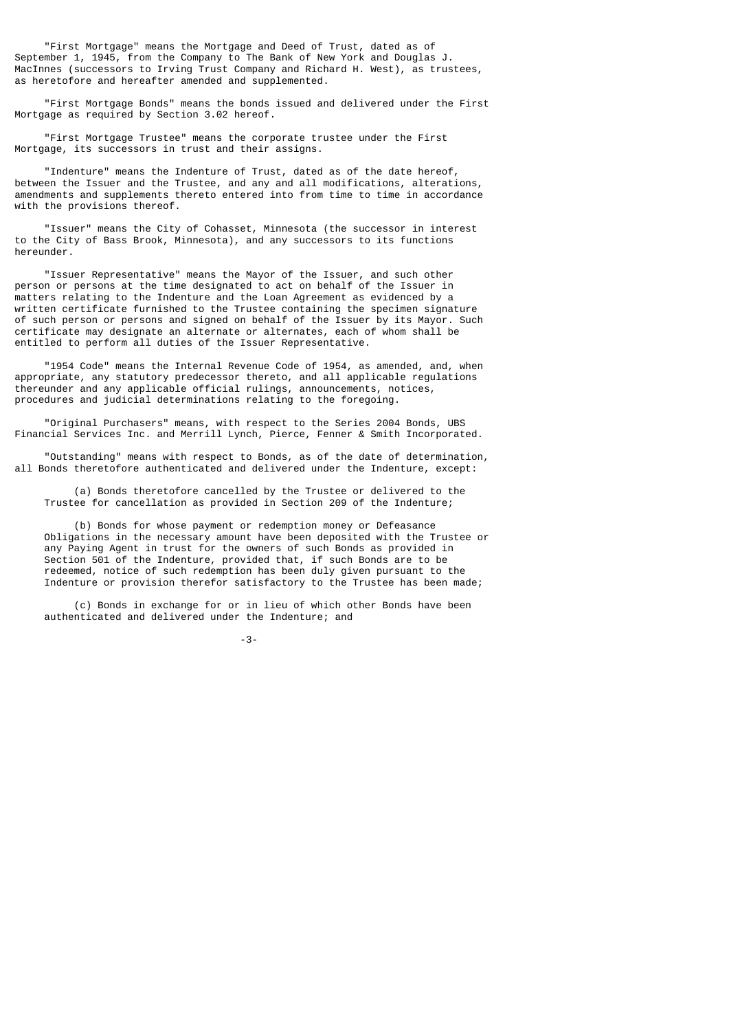"First Mortgage" means the Mortgage and Deed of Trust, dated as of September 1, 1945, from the Company to The Bank of New York and Douglas J. MacInnes (successors to Irving Trust Company and Richard H. West), as trustees, as heretofore and hereafter amended and supplemented.

 "First Mortgage Bonds" means the bonds issued and delivered under the First Mortgage as required by Section 3.02 hereof.

 "First Mortgage Trustee" means the corporate trustee under the First Mortgage, its successors in trust and their assigns.

 "Indenture" means the Indenture of Trust, dated as of the date hereof, between the Issuer and the Trustee, and any and all modifications, alterations, amendments and supplements thereto entered into from time to time in accordance with the provisions thereof.

 "Issuer" means the City of Cohasset, Minnesota (the successor in interest to the City of Bass Brook, Minnesota), and any successors to its functions hereunder.

 "Issuer Representative" means the Mayor of the Issuer, and such other person or persons at the time designated to act on behalf of the Issuer in matters relating to the Indenture and the Loan Agreement as evidenced by a written certificate furnished to the Trustee containing the specimen signature of such person or persons and signed on behalf of the Issuer by its Mayor. Such certificate may designate an alternate or alternates, each of whom shall be entitled to perform all duties of the Issuer Representative.

 "1954 Code" means the Internal Revenue Code of 1954, as amended, and, when appropriate, any statutory predecessor thereto, and all applicable regulations thereunder and any applicable official rulings, announcements, notices, procedures and judicial determinations relating to the foregoing.

 "Original Purchasers" means, with respect to the Series 2004 Bonds, UBS Financial Services Inc. and Merrill Lynch, Pierce, Fenner & Smith Incorporated.

 "Outstanding" means with respect to Bonds, as of the date of determination, all Bonds theretofore authenticated and delivered under the Indenture, except:

 (a) Bonds theretofore cancelled by the Trustee or delivered to the Trustee for cancellation as provided in Section 209 of the Indenture;

 (b) Bonds for whose payment or redemption money or Defeasance Obligations in the necessary amount have been deposited with the Trustee or any Paying Agent in trust for the owners of such Bonds as provided in Section 501 of the Indenture, provided that, if such Bonds are to be redeemed, notice of such redemption has been duly given pursuant to the Indenture or provision therefor satisfactory to the Trustee has been made;

 (c) Bonds in exchange for or in lieu of which other Bonds have been authenticated and delivered under the Indenture; and

-3-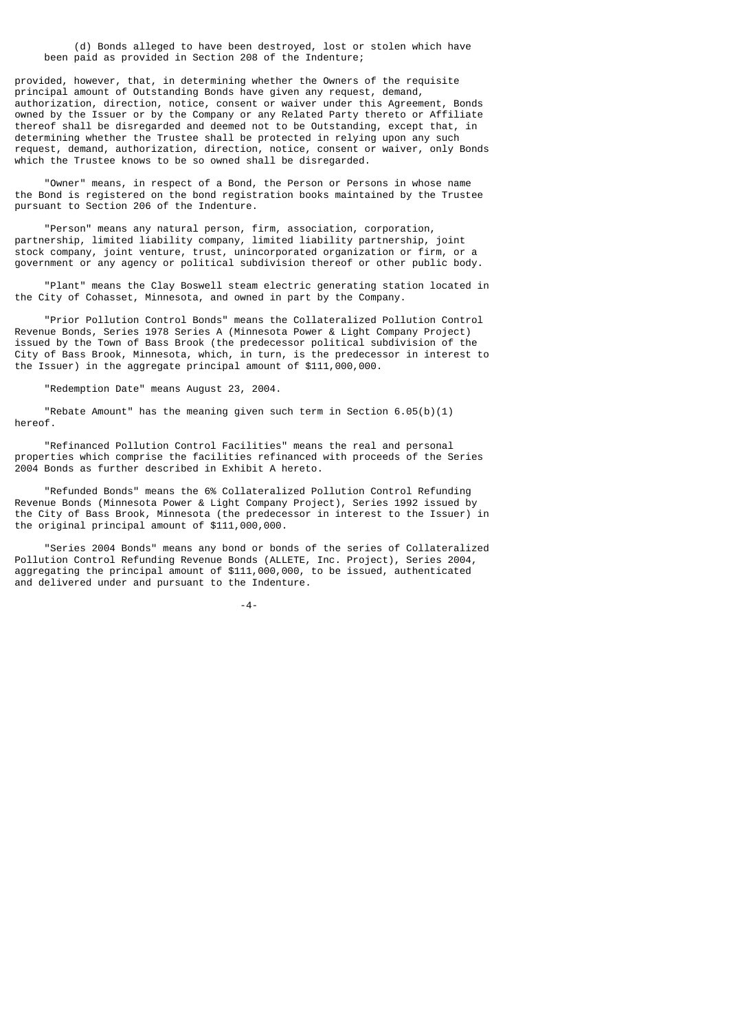(d) Bonds alleged to have been destroyed, lost or stolen which have been paid as provided in Section 208 of the Indenture;

provided, however, that, in determining whether the Owners of the requisite principal amount of Outstanding Bonds have given any request, demand, authorization, direction, notice, consent or waiver under this Agreement, Bonds owned by the Issuer or by the Company or any Related Party thereto or Affiliate thereof shall be disregarded and deemed not to be Outstanding, except that, in determining whether the Trustee shall be protected in relying upon any such request, demand, authorization, direction, notice, consent or waiver, only Bonds which the Trustee knows to be so owned shall be disregarded.

 "Owner" means, in respect of a Bond, the Person or Persons in whose name the Bond is registered on the bond registration books maintained by the Trustee pursuant to Section 206 of the Indenture.

 "Person" means any natural person, firm, association, corporation, partnership, limited liability company, limited liability partnership, joint stock company, joint venture, trust, unincorporated organization or firm, or a government or any agency or political subdivision thereof or other public body.

 "Plant" means the Clay Boswell steam electric generating station located in the City of Cohasset, Minnesota, and owned in part by the Company.

 "Prior Pollution Control Bonds" means the Collateralized Pollution Control Revenue Bonds, Series 1978 Series A (Minnesota Power & Light Company Project) issued by the Town of Bass Brook (the predecessor political subdivision of the City of Bass Brook, Minnesota, which, in turn, is the predecessor in interest to the Issuer) in the aggregate principal amount of \$111,000,000.

"Redemption Date" means August 23, 2004.

"Rebate Amount" has the meaning given such term in Section  $6.05(b)(1)$ hereof.

 "Refinanced Pollution Control Facilities" means the real and personal properties which comprise the facilities refinanced with proceeds of the Series 2004 Bonds as further described in Exhibit A hereto.

 "Refunded Bonds" means the 6% Collateralized Pollution Control Refunding Revenue Bonds (Minnesota Power & Light Company Project), Series 1992 issued by the City of Bass Brook, Minnesota (the predecessor in interest to the Issuer) in the original principal amount of \$111,000,000.

 "Series 2004 Bonds" means any bond or bonds of the series of Collateralized Pollution Control Refunding Revenue Bonds (ALLETE, Inc. Project), Series 2004, aggregating the principal amount of \$111,000,000, to be issued, authenticated and delivered under and pursuant to the Indenture.

-4-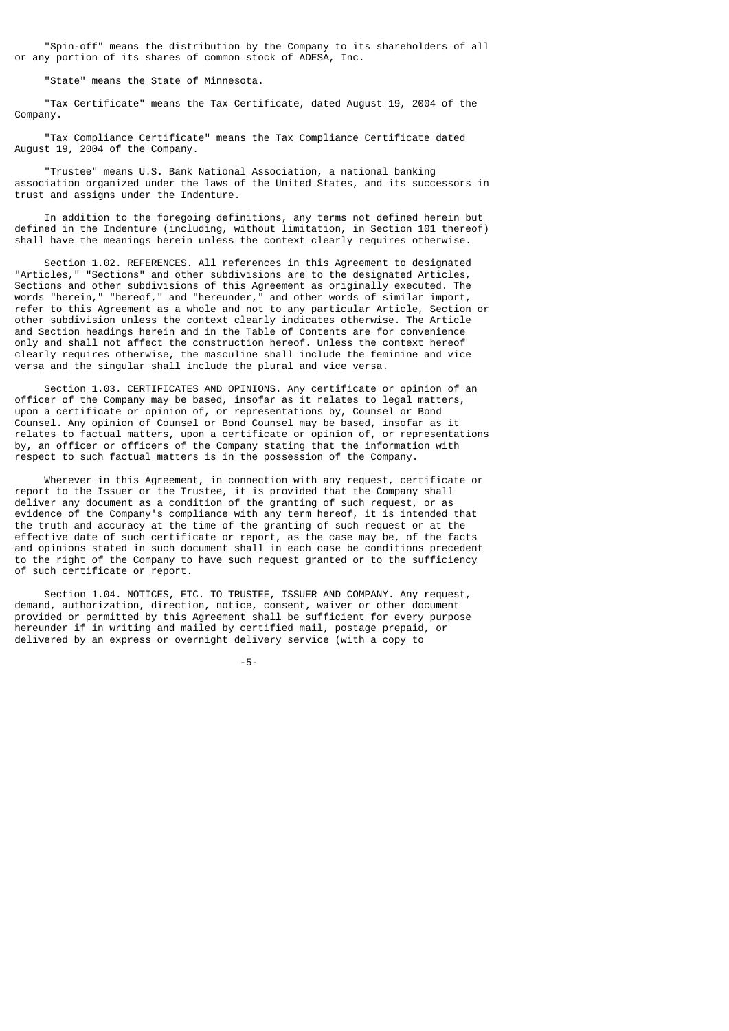"Spin-off" means the distribution by the Company to its shareholders of all or any portion of its shares of common stock of ADESA, Inc.

"State" means the State of Minnesota.

 "Tax Certificate" means the Tax Certificate, dated August 19, 2004 of the Company.

 "Tax Compliance Certificate" means the Tax Compliance Certificate dated August 19, 2004 of the Company.

 "Trustee" means U.S. Bank National Association, a national banking association organized under the laws of the United States, and its successors in trust and assigns under the Indenture.

 In addition to the foregoing definitions, any terms not defined herein but defined in the Indenture (including, without limitation, in Section 101 thereof) shall have the meanings herein unless the context clearly requires otherwise.

 Section 1.02. REFERENCES. All references in this Agreement to designated "Articles," "Sections" and other subdivisions are to the designated Articles, Sections and other subdivisions of this Agreement as originally executed. The words "herein," "hereof," and "hereunder," and other words of similar import, refer to this Agreement as a whole and not to any particular Article, Section or other subdivision unless the context clearly indicates otherwise. The Article and Section headings herein and in the Table of Contents are for convenience only and shall not affect the construction hereof. Unless the context hereof clearly requires otherwise, the masculine shall include the feminine and vice versa and the singular shall include the plural and vice versa.

 Section 1.03. CERTIFICATES AND OPINIONS. Any certificate or opinion of an officer of the Company may be based, insofar as it relates to legal matters, upon a certificate or opinion of, or representations by, Counsel or Bond Counsel. Any opinion of Counsel or Bond Counsel may be based, insofar as it relates to factual matters, upon a certificate or opinion of, or representations by, an officer or officers of the Company stating that the information with respect to such factual matters is in the possession of the Company.

 Wherever in this Agreement, in connection with any request, certificate or report to the Issuer or the Trustee, it is provided that the Company shall deliver any document as a condition of the granting of such request, or as evidence of the Company's compliance with any term hereof, it is intended that the truth and accuracy at the time of the granting of such request or at the effective date of such certificate or report, as the case may be, of the facts and opinions stated in such document shall in each case be conditions precedent to the right of the Company to have such request granted or to the sufficiency of such certificate or report.

 Section 1.04. NOTICES, ETC. TO TRUSTEE, ISSUER AND COMPANY. Any request, demand, authorization, direction, notice, consent, waiver or other document provided or permitted by this Agreement shall be sufficient for every purpose hereunder if in writing and mailed by certified mail, postage prepaid, or delivered by an express or overnight delivery service (with a copy to

-5-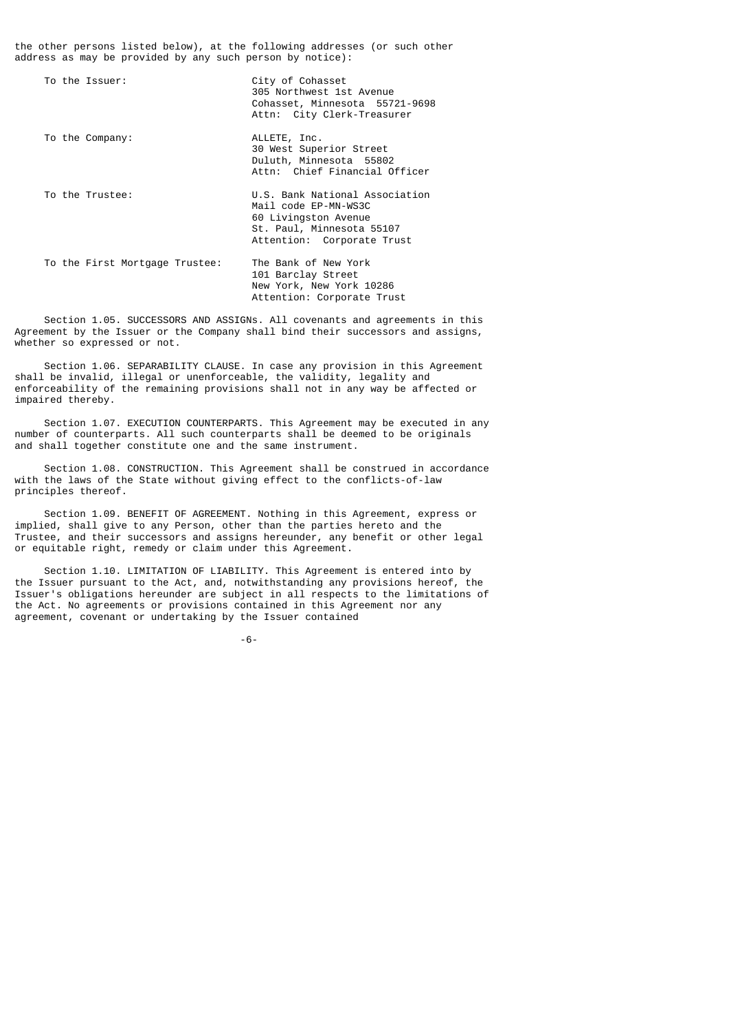the other persons listed below), at the following addresses (or such other address as may be provided by any such person by notice):

| To the Issuer:                 | City of Cohasset<br>305 Northwest 1st Avenue<br>Cohasset, Minnesota 55721-9698<br>Attn: City Clerk-Treasurer                              |
|--------------------------------|-------------------------------------------------------------------------------------------------------------------------------------------|
| To the Company:                | ALLETE, Inc.<br>30 West Superior Street<br>Duluth, Minnesota 55802<br>Attn: Chief Financial Officer                                       |
| To the Trustee:                | U.S. Bank National Association<br>Mail code EP-MN-WS3C<br>60 Livingston Avenue<br>St. Paul, Minnesota 55107<br>Attention: Corporate Trust |
| To the First Mortgage Trustee: | The Bank of New York<br>101 Barclay Street<br>New York, New York 10286<br>Attention: Corporate Trust                                      |

 Section 1.05. SUCCESSORS AND ASSIGNs. All covenants and agreements in this Agreement by the Issuer or the Company shall bind their successors and assigns, whether so expressed or not.

 Section 1.06. SEPARABILITY CLAUSE. In case any provision in this Agreement shall be invalid, illegal or unenforceable, the validity, legality and enforceability of the remaining provisions shall not in any way be affected or impaired thereby.

 Section 1.07. EXECUTION COUNTERPARTS. This Agreement may be executed in any number of counterparts. All such counterparts shall be deemed to be originals and shall together constitute one and the same instrument.

 Section 1.08. CONSTRUCTION. This Agreement shall be construed in accordance with the laws of the State without giving effect to the conflicts-of-law principles thereof.

 Section 1.09. BENEFIT OF AGREEMENT. Nothing in this Agreement, express or implied, shall give to any Person, other than the parties hereto and the Trustee, and their successors and assigns hereunder, any benefit or other legal or equitable right, remedy or claim under this Agreement.

 Section 1.10. LIMITATION OF LIABILITY. This Agreement is entered into by the Issuer pursuant to the Act, and, notwithstanding any provisions hereof, the Issuer's obligations hereunder are subject in all respects to the limitations of the Act. No agreements or provisions contained in this Agreement nor any agreement, covenant or undertaking by the Issuer contained

-6-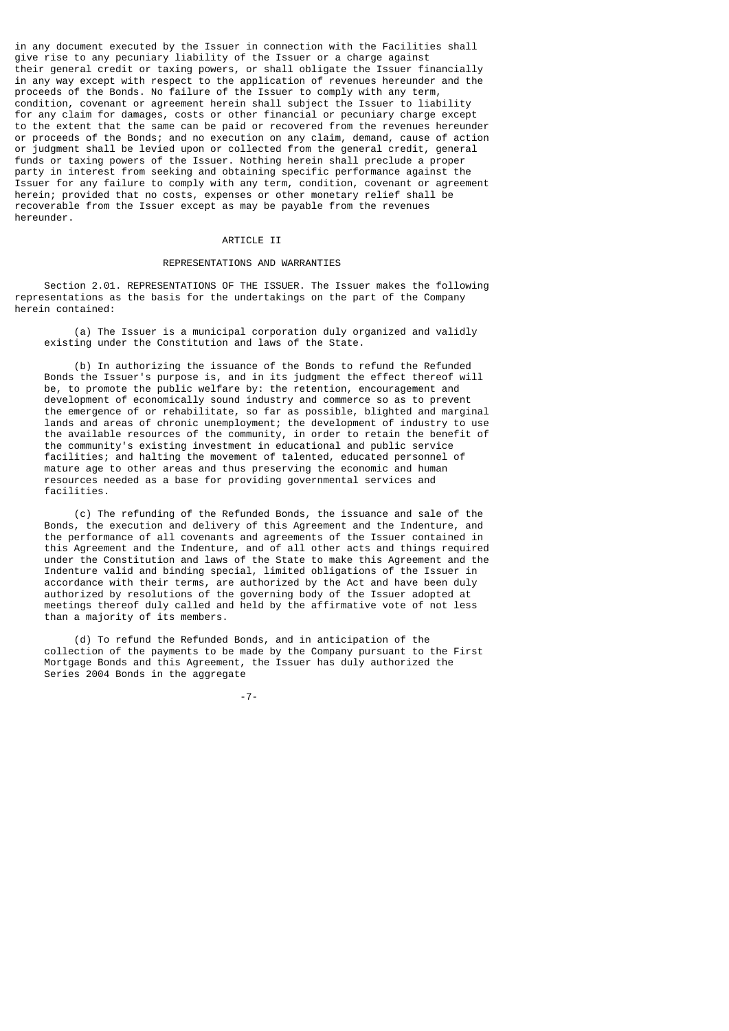in any document executed by the Issuer in connection with the Facilities shall give rise to any pecuniary liability of the Issuer or a charge against their general credit or taxing powers, or shall obligate the Issuer financially in any way except with respect to the application of revenues hereunder and the proceeds of the Bonds. No failure of the Issuer to comply with any term, condition, covenant or agreement herein shall subject the Issuer to liability for any claim for damages, costs or other financial or pecuniary charge except to the extent that the same can be paid or recovered from the revenues hereunder or proceeds of the Bonds; and no execution on any claim, demand, cause of action or judgment shall be levied upon or collected from the general credit, general funds or taxing powers of the Issuer. Nothing herein shall preclude a proper party in interest from seeking and obtaining specific performance against the Issuer for any failure to comply with any term, condition, covenant or agreement herein; provided that no costs, expenses or other monetary relief shall be recoverable from the Issuer except as may be payable from the revenues hereunder.

## ARTICLE II

# REPRESENTATIONS AND WARRANTIES

 Section 2.01. REPRESENTATIONS OF THE ISSUER. The Issuer makes the following representations as the basis for the undertakings on the part of the Company herein contained:

 (a) The Issuer is a municipal corporation duly organized and validly existing under the Constitution and laws of the State.

 (b) In authorizing the issuance of the Bonds to refund the Refunded Bonds the Issuer's purpose is, and in its judgment the effect thereof will be, to promote the public welfare by: the retention, encouragement and development of economically sound industry and commerce so as to prevent the emergence of or rehabilitate, so far as possible, blighted and marginal lands and areas of chronic unemployment; the development of industry to use the available resources of the community, in order to retain the benefit of the community's existing investment in educational and public service facilities; and halting the movement of talented, educated personnel of mature age to other areas and thus preserving the economic and human resources needed as a base for providing governmental services and facilities.

 (c) The refunding of the Refunded Bonds, the issuance and sale of the Bonds, the execution and delivery of this Agreement and the Indenture, and the performance of all covenants and agreements of the Issuer contained in this Agreement and the Indenture, and of all other acts and things required under the Constitution and laws of the State to make this Agreement and the Indenture valid and binding special, limited obligations of the Issuer in accordance with their terms, are authorized by the Act and have been duly authorized by resolutions of the governing body of the Issuer adopted at meetings thereof duly called and held by the affirmative vote of not less than a majority of its members.

 (d) To refund the Refunded Bonds, and in anticipation of the collection of the payments to be made by the Company pursuant to the First Mortgage Bonds and this Agreement, the Issuer has duly authorized the Series 2004 Bonds in the aggregate

-7-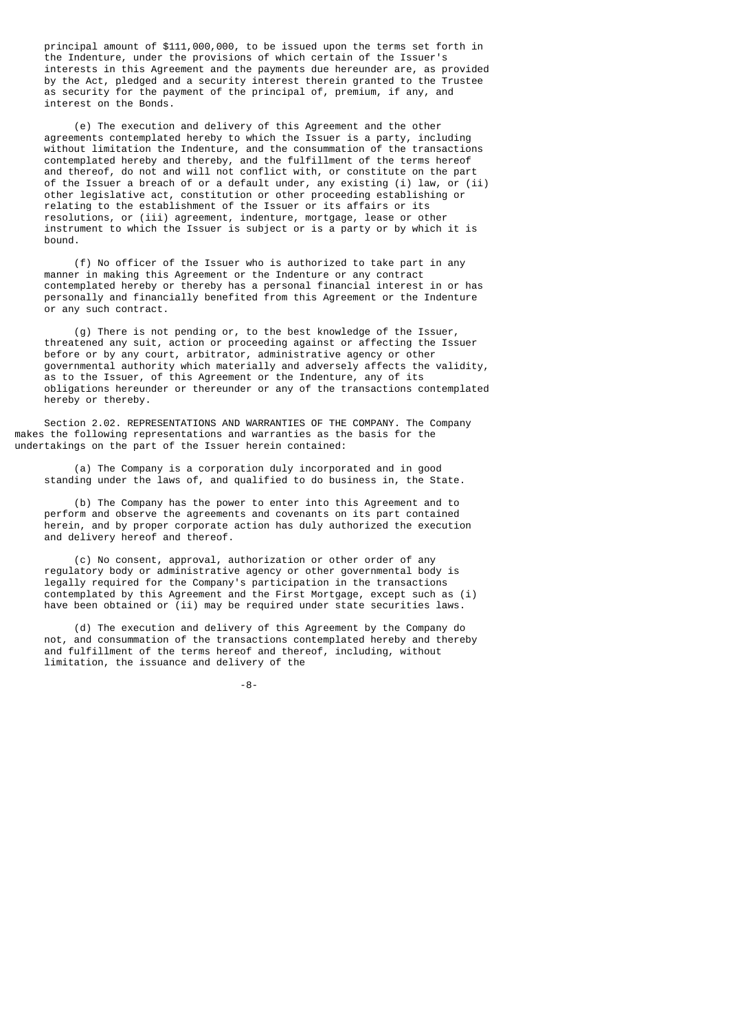principal amount of \$111,000,000, to be issued upon the terms set forth in the Indenture, under the provisions of which certain of the Issuer's interests in this Agreement and the payments due hereunder are, as provided by the Act, pledged and a security interest therein granted to the Trustee as security for the payment of the principal of, premium, if any, and interest on the Bonds.

 (e) The execution and delivery of this Agreement and the other agreements contemplated hereby to which the Issuer is a party, including without limitation the Indenture, and the consummation of the transactions contemplated hereby and thereby, and the fulfillment of the terms hereof and thereof, do not and will not conflict with, or constitute on the part of the Issuer a breach of or a default under, any existing (i) law, or (ii) other legislative act, constitution or other proceeding establishing or relating to the establishment of the Issuer or its affairs or its resolutions, or (iii) agreement, indenture, mortgage, lease or other instrument to which the Issuer is subject or is a party or by which it is bound.

 (f) No officer of the Issuer who is authorized to take part in any manner in making this Agreement or the Indenture or any contract contemplated hereby or thereby has a personal financial interest in or has personally and financially benefited from this Agreement or the Indenture or any such contract.

 (g) There is not pending or, to the best knowledge of the Issuer, threatened any suit, action or proceeding against or affecting the Issuer before or by any court, arbitrator, administrative agency or other governmental authority which materially and adversely affects the validity, as to the Issuer, of this Agreement or the Indenture, any of its obligations hereunder or thereunder or any of the transactions contemplated hereby or thereby.

 Section 2.02. REPRESENTATIONS AND WARRANTIES OF THE COMPANY. The Company makes the following representations and warranties as the basis for the undertakings on the part of the Issuer herein contained:

 (a) The Company is a corporation duly incorporated and in good standing under the laws of, and qualified to do business in, the State.

 (b) The Company has the power to enter into this Agreement and to perform and observe the agreements and covenants on its part contained herein, and by proper corporate action has duly authorized the execution and delivery hereof and thereof.

 (c) No consent, approval, authorization or other order of any regulatory body or administrative agency or other governmental body is legally required for the Company's participation in the transactions contemplated by this Agreement and the First Mortgage, except such as (i) have been obtained or (ii) may be required under state securities laws.

 (d) The execution and delivery of this Agreement by the Company do not, and consummation of the transactions contemplated hereby and thereby and fulfillment of the terms hereof and thereof, including, without limitation, the issuance and delivery of the

-8-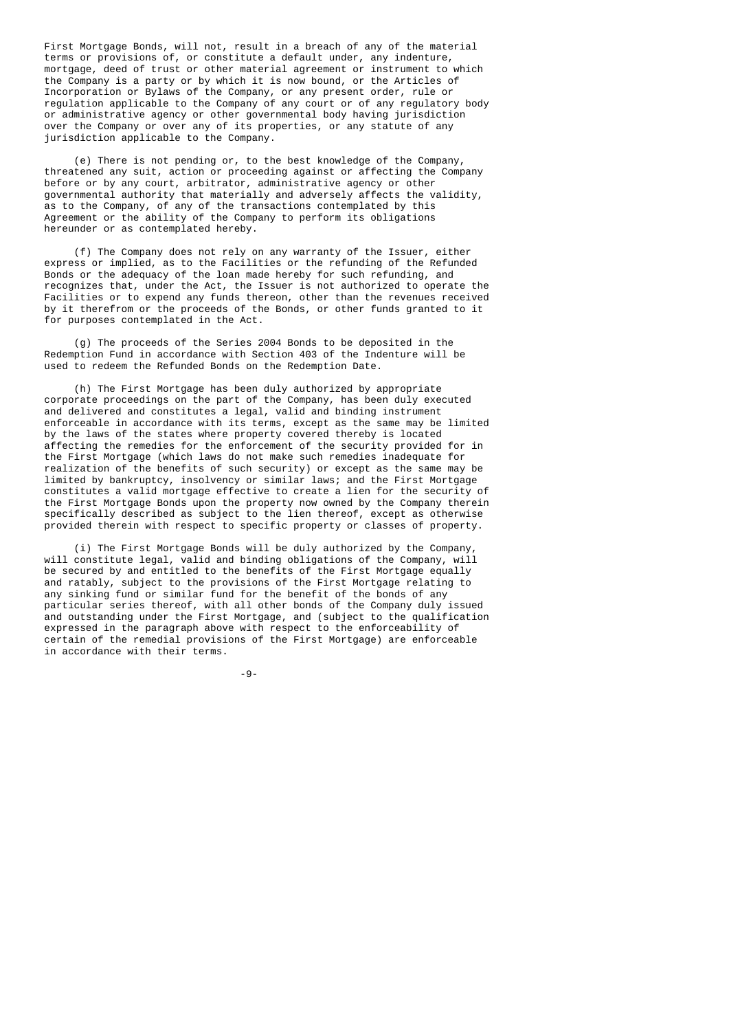First Mortgage Bonds, will not, result in a breach of any of the material terms or provisions of, or constitute a default under, any indenture, mortgage, deed of trust or other material agreement or instrument to which the Company is a party or by which it is now bound, or the Articles of Incorporation or Bylaws of the Company, or any present order, rule or regulation applicable to the Company of any court or of any regulatory body or administrative agency or other governmental body having jurisdiction over the Company or over any of its properties, or any statute of any jurisdiction applicable to the Company.

 (e) There is not pending or, to the best knowledge of the Company, threatened any suit, action or proceeding against or affecting the Company before or by any court, arbitrator, administrative agency or other governmental authority that materially and adversely affects the validity, as to the Company, of any of the transactions contemplated by this Agreement or the ability of the Company to perform its obligations hereunder or as contemplated hereby.

 (f) The Company does not rely on any warranty of the Issuer, either express or implied, as to the Facilities or the refunding of the Refunded Bonds or the adequacy of the loan made hereby for such refunding, and recognizes that, under the Act, the Issuer is not authorized to operate the Facilities or to expend any funds thereon, other than the revenues received by it therefrom or the proceeds of the Bonds, or other funds granted to it for purposes contemplated in the Act.

 (g) The proceeds of the Series 2004 Bonds to be deposited in the Redemption Fund in accordance with Section 403 of the Indenture will be used to redeem the Refunded Bonds on the Redemption Date.

 (h) The First Mortgage has been duly authorized by appropriate corporate proceedings on the part of the Company, has been duly executed and delivered and constitutes a legal, valid and binding instrument enforceable in accordance with its terms, except as the same may be limited by the laws of the states where property covered thereby is located affecting the remedies for the enforcement of the security provided for in the First Mortgage (which laws do not make such remedies inadequate for realization of the benefits of such security) or except as the same may be limited by bankruptcy, insolvency or similar laws; and the First Mortgage constitutes a valid mortgage effective to create a lien for the security of the First Mortgage Bonds upon the property now owned by the Company therein specifically described as subject to the lien thereof, except as otherwise provided therein with respect to specific property or classes of property.

 (i) The First Mortgage Bonds will be duly authorized by the Company, will constitute legal, valid and binding obligations of the Company, will be secured by and entitled to the benefits of the First Mortgage equally and ratably, subject to the provisions of the First Mortgage relating to any sinking fund or similar fund for the benefit of the bonds of any particular series thereof, with all other bonds of the Company duly issued and outstanding under the First Mortgage, and (subject to the qualification expressed in the paragraph above with respect to the enforceability of certain of the remedial provisions of the First Mortgage) are enforceable in accordance with their terms.

-9-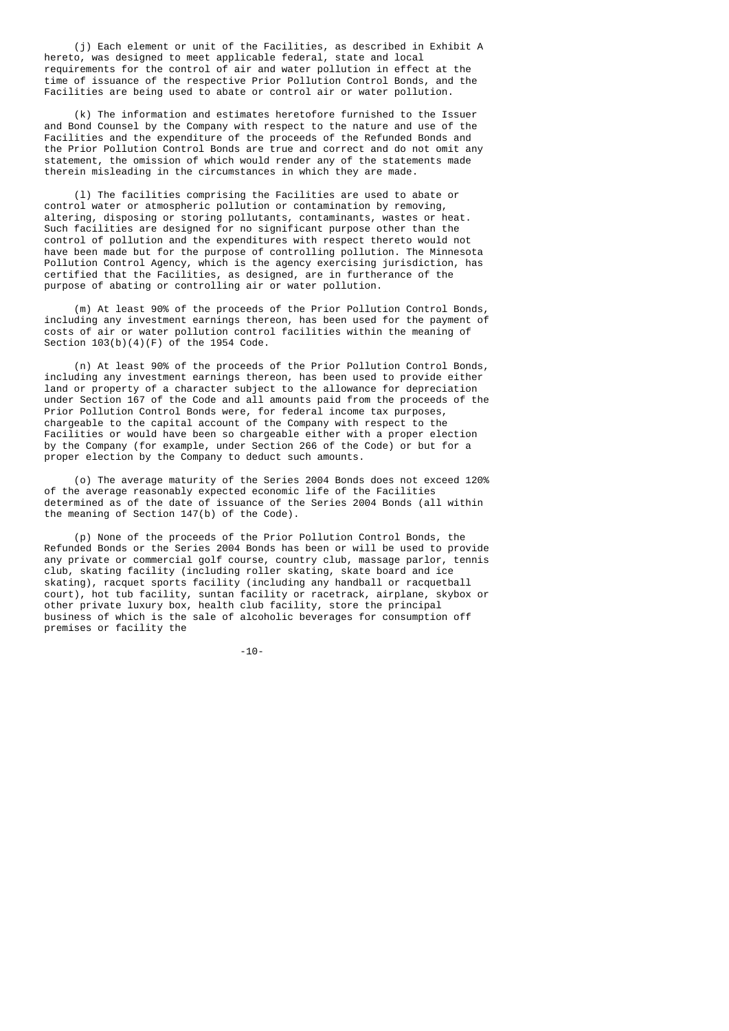(j) Each element or unit of the Facilities, as described in Exhibit A hereto, was designed to meet applicable federal, state and local requirements for the control of air and water pollution in effect at the time of issuance of the respective Prior Pollution Control Bonds, and the Facilities are being used to abate or control air or water pollution.

 (k) The information and estimates heretofore furnished to the Issuer and Bond Counsel by the Company with respect to the nature and use of the Facilities and the expenditure of the proceeds of the Refunded Bonds and the Prior Pollution Control Bonds are true and correct and do not omit any statement, the omission of which would render any of the statements made therein misleading in the circumstances in which they are made.

 (l) The facilities comprising the Facilities are used to abate or control water or atmospheric pollution or contamination by removing, altering, disposing or storing pollutants, contaminants, wastes or heat. Such facilities are designed for no significant purpose other than the control of pollution and the expenditures with respect thereto would not have been made but for the purpose of controlling pollution. The Minnesota Pollution Control Agency, which is the agency exercising jurisdiction, has certified that the Facilities, as designed, are in furtherance of the purpose of abating or controlling air or water pollution.

 (m) At least 90% of the proceeds of the Prior Pollution Control Bonds, including any investment earnings thereon, has been used for the payment of costs of air or water pollution control facilities within the meaning of Section 103(b)(4)(F) of the 1954 Code.

 (n) At least 90% of the proceeds of the Prior Pollution Control Bonds, including any investment earnings thereon, has been used to provide either land or property of a character subject to the allowance for depreciation under Section 167 of the Code and all amounts paid from the proceeds of the Prior Pollution Control Bonds were, for federal income tax purposes, chargeable to the capital account of the Company with respect to the Facilities or would have been so chargeable either with a proper election by the Company (for example, under Section 266 of the Code) or but for a proper election by the Company to deduct such amounts.

 (o) The average maturity of the Series 2004 Bonds does not exceed 120% of the average reasonably expected economic life of the Facilities determined as of the date of issuance of the Series 2004 Bonds (all within the meaning of Section 147(b) of the Code).

 (p) None of the proceeds of the Prior Pollution Control Bonds, the Refunded Bonds or the Series 2004 Bonds has been or will be used to provide any private or commercial golf course, country club, massage parlor, tennis club, skating facility (including roller skating, skate board and ice skating), racquet sports facility (including any handball or racquetball court), hot tub facility, suntan facility or racetrack, airplane, skybox or other private luxury box, health club facility, store the principal business of which is the sale of alcoholic beverages for consumption off premises or facility the

-10-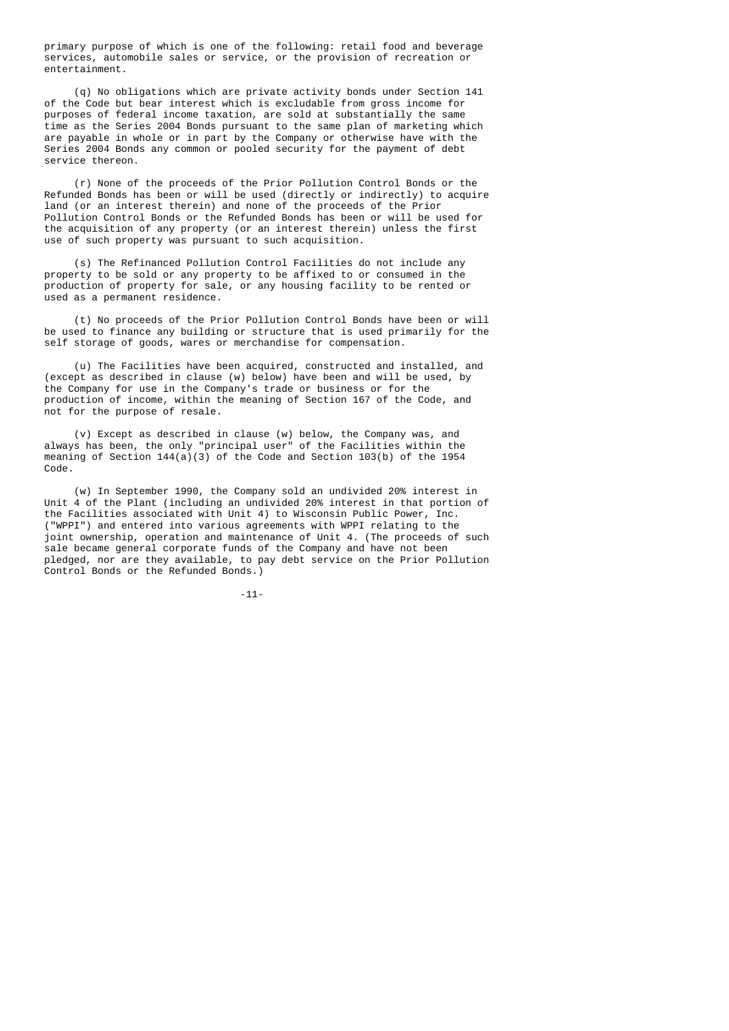primary purpose of which is one of the following: retail food and beverage services, automobile sales or service, or the provision of recreation or entertainment.

 (q) No obligations which are private activity bonds under Section 141 of the Code but bear interest which is excludable from gross income for purposes of federal income taxation, are sold at substantially the same time as the Series 2004 Bonds pursuant to the same plan of marketing which are payable in whole or in part by the Company or otherwise have with the Series 2004 Bonds any common or pooled security for the payment of debt service thereon.

 (r) None of the proceeds of the Prior Pollution Control Bonds or the Refunded Bonds has been or will be used (directly or indirectly) to acquire land (or an interest therein) and none of the proceeds of the Prior Pollution Control Bonds or the Refunded Bonds has been or will be used for the acquisition of any property (or an interest therein) unless the first use of such property was pursuant to such acquisition.

 (s) The Refinanced Pollution Control Facilities do not include any property to be sold or any property to be affixed to or consumed in the production of property for sale, or any housing facility to be rented or used as a permanent residence.

 (t) No proceeds of the Prior Pollution Control Bonds have been or will be used to finance any building or structure that is used primarily for the self storage of goods, wares or merchandise for compensation.

 (u) The Facilities have been acquired, constructed and installed, and (except as described in clause (w) below) have been and will be used, by the Company for use in the Company's trade or business or for the production of income, within the meaning of Section 167 of the Code, and not for the purpose of resale.

 (v) Except as described in clause (w) below, the Company was, and always has been, the only "principal user" of the Facilities within the meaning of Section  $144(a)(3)$  of the Code and Section 103(b) of the 1954 Code.

 (w) In September 1990, the Company sold an undivided 20% interest in Unit  $\hat{4}$  of the Plant (including an undivided 20% interest in that portion of the Facilities associated with Unit 4) to Wisconsin Public Power, Inc. ("WPPI") and entered into various agreements with WPPI relating to the joint ownership, operation and maintenance of Unit 4. (The proceeds of such sale became general corporate funds of the Company and have not been pledged, nor are they available, to pay debt service on the Prior Pollution Control Bonds or the Refunded Bonds.)

-11-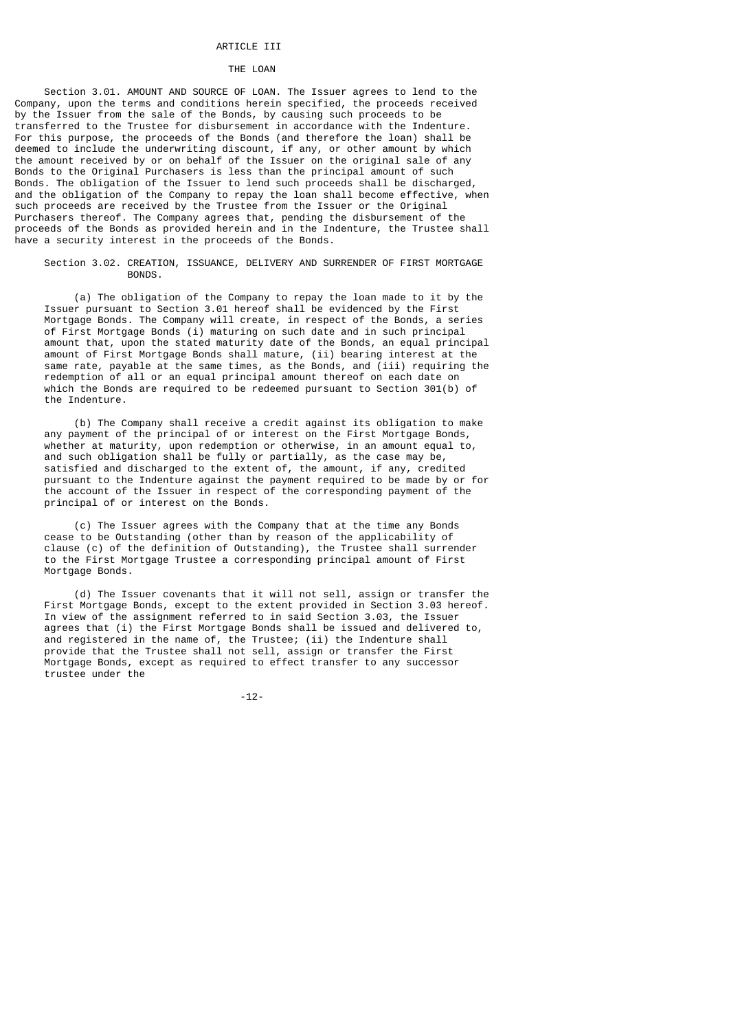## ARTICLE III

### THE LOAN

 Section 3.01. AMOUNT AND SOURCE OF LOAN. The Issuer agrees to lend to the Company, upon the terms and conditions herein specified, the proceeds received by the Issuer from the sale of the Bonds, by causing such proceeds to be transferred to the Trustee for disbursement in accordance with the Indenture. For this purpose, the proceeds of the Bonds (and therefore the loan) shall be deemed to include the underwriting discount, if any, or other amount by which the amount received by or on behalf of the Issuer on the original sale of any Bonds to the Original Purchasers is less than the principal amount of such Bonds. The obligation of the Issuer to lend such proceeds shall be discharged, and the obligation of the Company to repay the loan shall become effective, when such proceeds are received by the Trustee from the Issuer or the Original Purchasers thereof. The Company agrees that, pending the disbursement of the proceeds of the Bonds as provided herein and in the Indenture, the Trustee shall have a security interest in the proceeds of the Bonds.

 Section 3.02. CREATION, ISSUANCE, DELIVERY AND SURRENDER OF FIRST MORTGAGE BONDS.

 (a) The obligation of the Company to repay the loan made to it by the Issuer pursuant to Section 3.01 hereof shall be evidenced by the First Mortgage Bonds. The Company will create, in respect of the Bonds, a series of First Mortgage Bonds (i) maturing on such date and in such principal amount that, upon the stated maturity date of the Bonds, an equal principal amount of First Mortgage Bonds shall mature, (ii) bearing interest at the same rate, payable at the same times, as the Bonds, and (iii) requiring the redemption of all or an equal principal amount thereof on each date on which the Bonds are required to be redeemed pursuant to Section 301(b) of the Indenture.

 (b) The Company shall receive a credit against its obligation to make any payment of the principal of or interest on the First Mortgage Bonds, whether at maturity, upon redemption or otherwise, in an amount equal to, and such obligation shall be fully or partially, as the case may be, satisfied and discharged to the extent of, the amount, if any, credited pursuant to the Indenture against the payment required to be made by or for the account of the Issuer in respect of the corresponding payment of the principal of or interest on the Bonds.

 (c) The Issuer agrees with the Company that at the time any Bonds cease to be Outstanding (other than by reason of the applicability of clause (c) of the definition of Outstanding), the Trustee shall surrender to the First Mortgage Trustee a corresponding principal amount of First Mortgage Bonds.

 (d) The Issuer covenants that it will not sell, assign or transfer the First Mortgage Bonds, except to the extent provided in Section 3.03 hereof. In view of the assignment referred to in said Section 3.03, the Issuer agrees that (i) the First Mortgage Bonds shall be issued and delivered to, and registered in the name of, the Trustee; (ii) the Indenture shall provide that the Trustee shall not sell, assign or transfer the First Mortgage Bonds, except as required to effect transfer to any successor trustee under the

-12-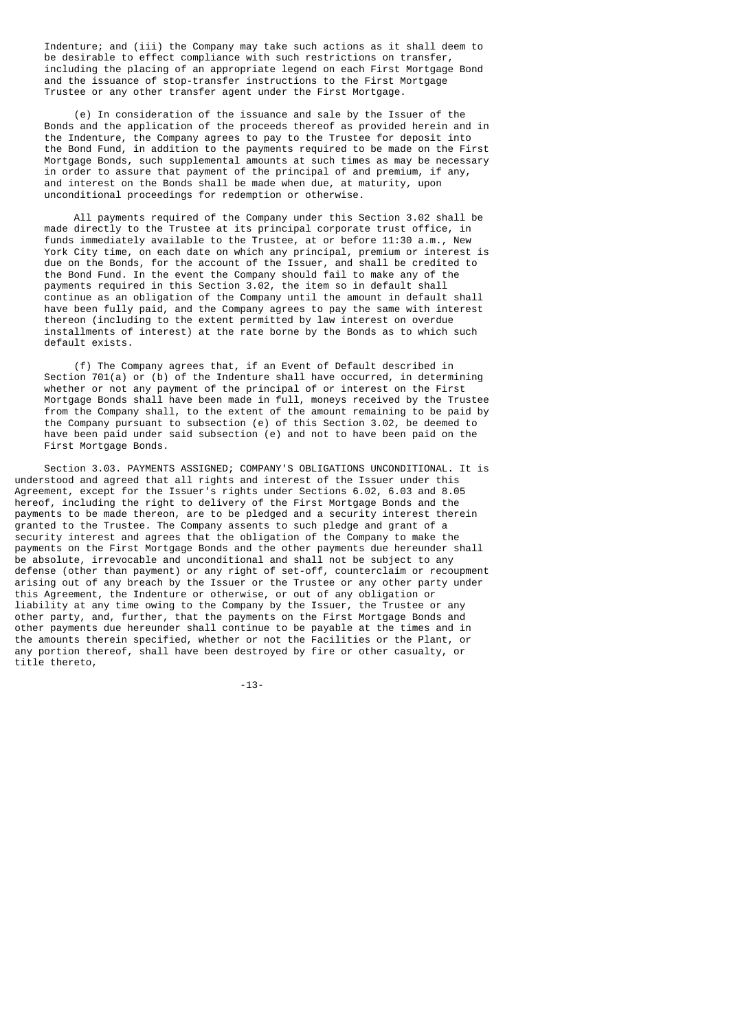Indenture; and (iii) the Company may take such actions as it shall deem to be desirable to effect compliance with such restrictions on transfer, including the placing of an appropriate legend on each First Mortgage Bond and the issuance of stop-transfer instructions to the First Mortgage Trustee or any other transfer agent under the First Mortgage.

 (e) In consideration of the issuance and sale by the Issuer of the Bonds and the application of the proceeds thereof as provided herein and in the Indenture, the Company agrees to pay to the Trustee for deposit into the Bond Fund, in addition to the payments required to be made on the First Mortgage Bonds, such supplemental amounts at such times as may be necessary in order to assure that payment of the principal of and premium, if any, and interest on the Bonds shall be made when due, at maturity, upon unconditional proceedings for redemption or otherwise.

 All payments required of the Company under this Section 3.02 shall be made directly to the Trustee at its principal corporate trust office, in funds immediately available to the Trustee, at or before 11:30 a.m., New York City time, on each date on which any principal, premium or interest is due on the Bonds, for the account of the Issuer, and shall be credited to the Bond Fund. In the event the Company should fail to make any of the payments required in this Section 3.02, the item so in default shall continue as an obligation of the Company until the amount in default shall have been fully paid, and the Company agrees to pay the same with interest thereon (including to the extent permitted by law interest on overdue installments of interest) at the rate borne by the Bonds as to which such default exists.

 (f) The Company agrees that, if an Event of Default described in Section  $701(a)$  or (b) of the Indenture shall have occurred, in determining whether or not any payment of the principal of or interest on the First Mortgage Bonds shall have been made in full, moneys received by the Trustee from the Company shall, to the extent of the amount remaining to be paid by the Company pursuant to subsection (e) of this Section 3.02, be deemed to have been paid under said subsection (e) and not to have been paid on the First Mortgage Bonds.

 Section 3.03. PAYMENTS ASSIGNED; COMPANY'S OBLIGATIONS UNCONDITIONAL. It is understood and agreed that all rights and interest of the Issuer under this Agreement, except for the Issuer's rights under Sections 6.02, 6.03 and 8.05 hereof, including the right to delivery of the First Mortgage Bonds and the payments to be made thereon, are to be pledged and a security interest therein granted to the Trustee. The Company assents to such pledge and grant of a security interest and agrees that the obligation of the Company to make the payments on the First Mortgage Bonds and the other payments due hereunder shall be absolute, irrevocable and unconditional and shall not be subject to any defense (other than payment) or any right of set-off, counterclaim or recoupment arising out of any breach by the Issuer or the Trustee or any other party under this Agreement, the Indenture or otherwise, or out of any obligation or liability at any time owing to the Company by the Issuer, the Trustee or any other party, and, further, that the payments on the First Mortgage Bonds and other payments due hereunder shall continue to be payable at the times and in the amounts therein specified, whether or not the Facilities or the Plant, or any portion thereof, shall have been destroyed by fire or other casualty, or title thereto,

-13-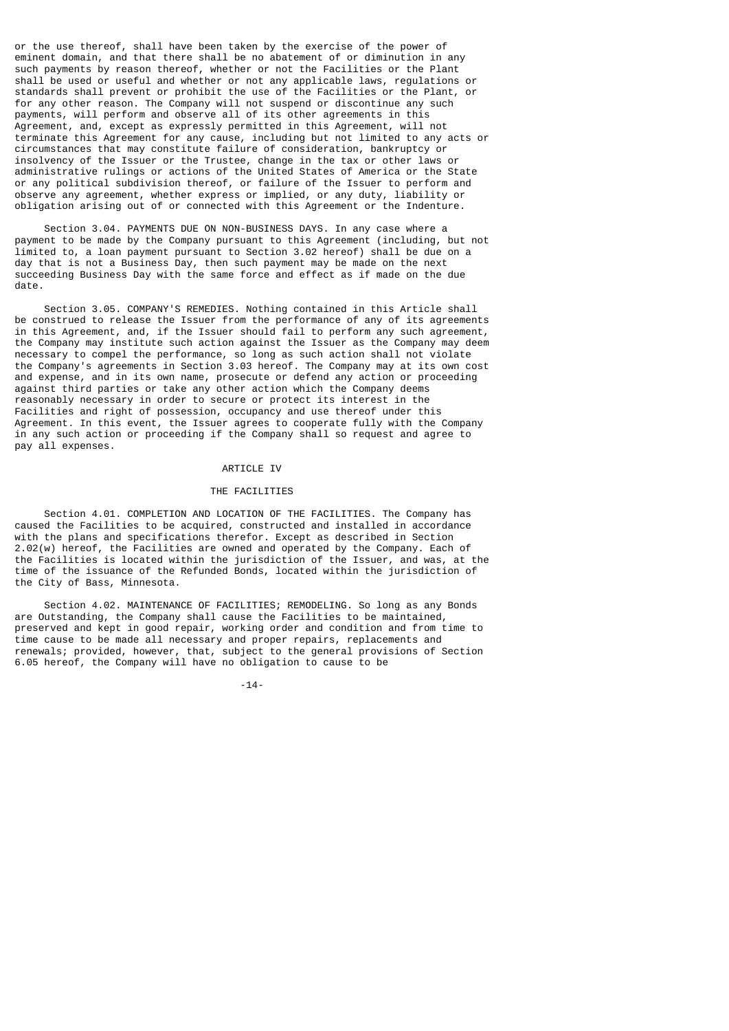or the use thereof, shall have been taken by the exercise of the power of eminent domain, and that there shall be no abatement of or diminution in any such payments by reason thereof, whether or not the Facilities or the Plant shall be used or useful and whether or not any applicable laws, regulations or standards shall prevent or prohibit the use of the Facilities or the Plant, or for any other reason. The Company will not suspend or discontinue any such payments, will perform and observe all of its other agreements in this Agreement, and, except as expressly permitted in this Agreement, will not terminate this Agreement for any cause, including but not limited to any acts or circumstances that may constitute failure of consideration, bankruptcy or insolvency of the Issuer or the Trustee, change in the tax or other laws or administrative rulings or actions of the United States of America or the State or any political subdivision thereof, or failure of the Issuer to perform and observe any agreement, whether express or implied, or any duty, liability or obligation arising out of or connected with this Agreement or the Indenture.

 Section 3.04. PAYMENTS DUE ON NON-BUSINESS DAYS. In any case where a payment to be made by the Company pursuant to this Agreement (including, but not limited to, a loan payment pursuant to Section 3.02 hereof) shall be due on a day that is not a Business Day, then such payment may be made on the next succeeding Business Day with the same force and effect as if made on the due date.

 Section 3.05. COMPANY'S REMEDIES. Nothing contained in this Article shall be construed to release the Issuer from the performance of any of its agreements in this Agreement, and, if the Issuer should fail to perform any such agreement, the Company may institute such action against the Issuer as the Company may deem necessary to compel the performance, so long as such action shall not violate the Company's agreements in Section 3.03 hereof. The Company may at its own cost and expense, and in its own name, prosecute or defend any action or proceeding against third parties or take any other action which the Company deems reasonably necessary in order to secure or protect its interest in the Facilities and right of possession, occupancy and use thereof under this Agreement. In this event, the Issuer agrees to cooperate fully with the Company in any such action or proceeding if the Company shall so request and agree to pay all expenses.

### ARTICLE IV

# THE FACILITIES

 Section 4.01. COMPLETION AND LOCATION OF THE FACILITIES. The Company has caused the Facilities to be acquired, constructed and installed in accordance with the plans and specifications therefor. Except as described in Section 2.02(w) hereof, the Facilities are owned and operated by the Company. Each of the Facilities is located within the jurisdiction of the Issuer, and was, at the time of the issuance of the Refunded Bonds, located within the jurisdiction of the City of Bass, Minnesota.

 Section 4.02. MAINTENANCE OF FACILITIES; REMODELING. So long as any Bonds are Outstanding, the Company shall cause the Facilities to be maintained, preserved and kept in good repair, working order and condition and from time to time cause to be made all necessary and proper repairs, replacements and renewals; provided, however, that, subject to the general provisions of Section 6.05 hereof, the Company will have no obligation to cause to be

-14-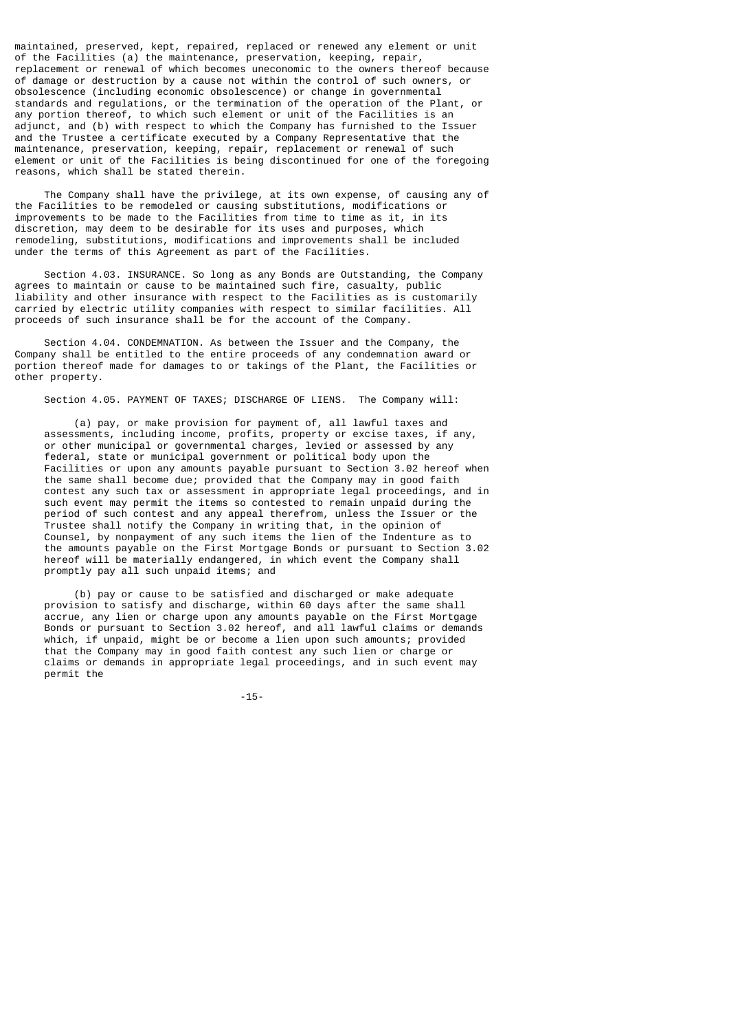maintained, preserved, kept, repaired, replaced or renewed any element or unit of the Facilities (a) the maintenance, preservation, keeping, repair, replacement or renewal of which becomes uneconomic to the owners thereof because of damage or destruction by a cause not within the control of such owners, or obsolescence (including economic obsolescence) or change in governmental standards and regulations, or the termination of the operation of the Plant, or any portion thereof, to which such element or unit of the Facilities is an adjunct, and (b) with respect to which the Company has furnished to the Issuer and the Trustee a certificate executed by a Company Representative that the maintenance, preservation, keeping, repair, replacement or renewal of such element or unit of the Facilities is being discontinued for one of the foregoing reasons, which shall be stated therein.

 The Company shall have the privilege, at its own expense, of causing any of the Facilities to be remodeled or causing substitutions, modifications or improvements to be made to the Facilities from time to time as it, in its discretion, may deem to be desirable for its uses and purposes, which remodeling, substitutions, modifications and improvements shall be included under the terms of this Agreement as part of the Facilities.

 Section 4.03. INSURANCE. So long as any Bonds are Outstanding, the Company agrees to maintain or cause to be maintained such fire, casualty, public liability and other insurance with respect to the Facilities as is customarily carried by electric utility companies with respect to similar facilities. All proceeds of such insurance shall be for the account of the Company.

 Section 4.04. CONDEMNATION. As between the Issuer and the Company, the Company shall be entitled to the entire proceeds of any condemnation award or portion thereof made for damages to or takings of the Plant, the Facilities or other property.

Section 4.05. PAYMENT OF TAXES; DISCHARGE OF LIENS. The Company will:

 (a) pay, or make provision for payment of, all lawful taxes and assessments, including income, profits, property or excise taxes, if any, or other municipal or governmental charges, levied or assessed by any federal, state or municipal government or political body upon the Facilities or upon any amounts payable pursuant to Section 3.02 hereof when the same shall become due; provided that the Company may in good faith contest any such tax or assessment in appropriate legal proceedings, and in such event may permit the items so contested to remain unpaid during the period of such contest and any appeal therefrom, unless the Issuer or the Trustee shall notify the Company in writing that, in the opinion of Counsel, by nonpayment of any such items the lien of the Indenture as to the amounts payable on the First Mortgage Bonds or pursuant to Section 3.02 hereof will be materially endangered, in which event the Company shall promptly pay all such unpaid items; and

 (b) pay or cause to be satisfied and discharged or make adequate provision to satisfy and discharge, within 60 days after the same shall accrue, any lien or charge upon any amounts payable on the First Mortgage Bonds or pursuant to Section 3.02 hereof, and all lawful claims or demands which, if unpaid, might be or become a lien upon such amounts; provided that the Company may in good faith contest any such lien or charge or claims or demands in appropriate legal proceedings, and in such event may permit the

-15-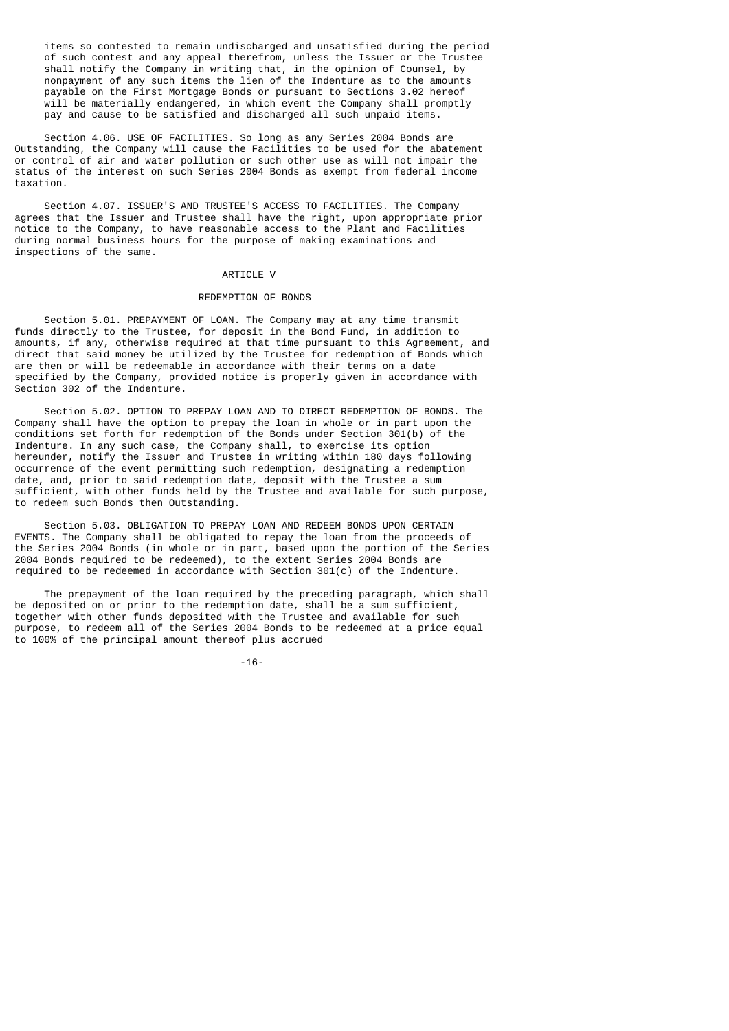items so contested to remain undischarged and unsatisfied during the period of such contest and any appeal therefrom, unless the Issuer or the Trustee shall notify the Company in writing that, in the opinion of Counsel, by nonpayment of any such items the lien of the Indenture as to the amounts payable on the First Mortgage Bonds or pursuant to Sections 3.02 hereof will be materially endangered, in which event the Company shall promptly pay and cause to be satisfied and discharged all such unpaid items.

 Section 4.06. USE OF FACILITIES. So long as any Series 2004 Bonds are Outstanding, the Company will cause the Facilities to be used for the abatement or control of air and water pollution or such other use as will not impair the status of the interest on such Series 2004 Bonds as exempt from federal income taxation.

 Section 4.07. ISSUER'S AND TRUSTEE'S ACCESS TO FACILITIES. The Company agrees that the Issuer and Trustee shall have the right, upon appropriate prior notice to the Company, to have reasonable access to the Plant and Facilities during normal business hours for the purpose of making examinations and inspections of the same.

## ARTICLE V

# REDEMPTION OF BONDS

 Section 5.01. PREPAYMENT OF LOAN. The Company may at any time transmit funds directly to the Trustee, for deposit in the Bond Fund, in addition to amounts, if any, otherwise required at that time pursuant to this Agreement, and direct that said money be utilized by the Trustee for redemption of Bonds which are then or will be redeemable in accordance with their terms on a date specified by the Company, provided notice is properly given in accordance with Section 302 of the Indenture.

 Section 5.02. OPTION TO PREPAY LOAN AND TO DIRECT REDEMPTION OF BONDS. The Company shall have the option to prepay the loan in whole or in part upon the conditions set forth for redemption of the Bonds under Section 301(b) of the Indenture. In any such case, the Company shall, to exercise its option hereunder, notify the Issuer and Trustee in writing within 180 days following occurrence of the event permitting such redemption, designating a redemption date, and, prior to said redemption date, deposit with the Trustee a sum sufficient, with other funds held by the Trustee and available for such purpose, to redeem such Bonds then Outstanding.

 Section 5.03. OBLIGATION TO PREPAY LOAN AND REDEEM BONDS UPON CERTAIN EVENTS. The Company shall be obligated to repay the loan from the proceeds of the Series 2004 Bonds (in whole or in part, based upon the portion of the Series 2004 Bonds required to be redeemed), to the extent Series 2004 Bonds are required to be redeemed in accordance with Section 301(c) of the Indenture.

 The prepayment of the loan required by the preceding paragraph, which shall be deposited on or prior to the redemption date, shall be a sum sufficient, together with other funds deposited with the Trustee and available for such purpose, to redeem all of the Series 2004 Bonds to be redeemed at a price equal to 100% of the principal amount thereof plus accrued

-16-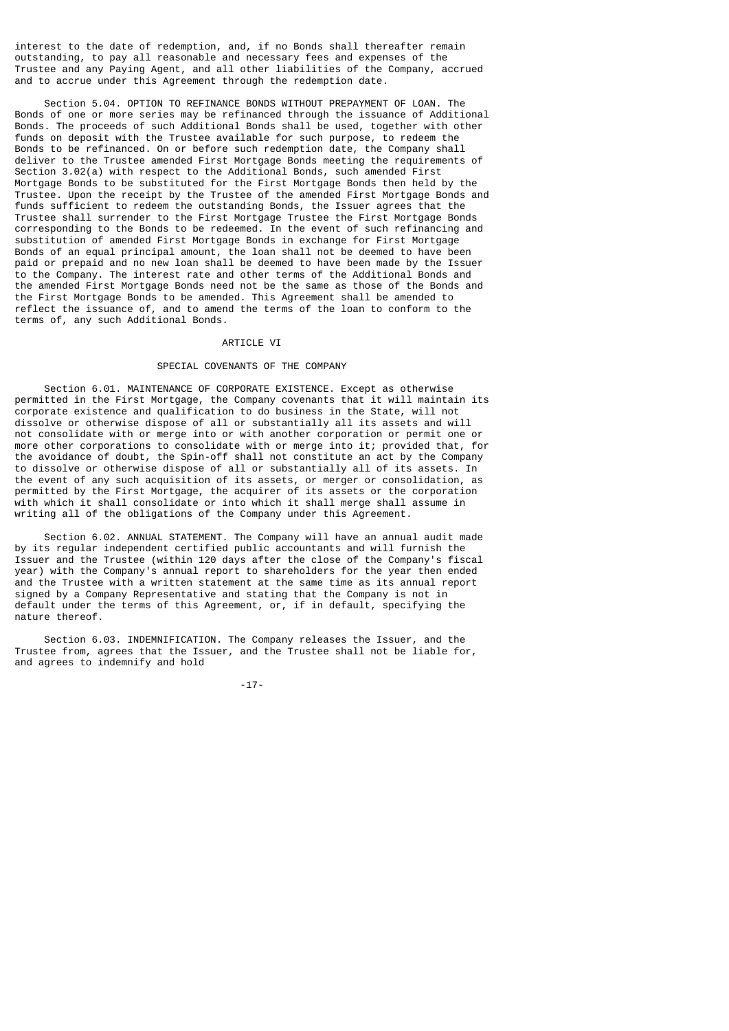interest to the date of redemption, and, if no Bonds shall thereafter remain outstanding, to pay all reasonable and necessary fees and expenses of the Trustee and any Paying Agent, and all other liabilities of the Company, accrued and to accrue under this Agreement through the redemption date.

 Section 5.04. OPTION TO REFINANCE BONDS WITHOUT PREPAYMENT OF LOAN. The Bonds of one or more series may be refinanced through the issuance of Additional Bonds. The proceeds of such Additional Bonds shall be used, together with other funds on deposit with the Trustee available for such purpose, to redeem the Bonds to be refinanced. On or before such redemption date, the Company shall deliver to the Trustee amended First Mortgage Bonds meeting the requirements of Section 3.02(a) with respect to the Additional Bonds, such amended First Mortgage Bonds to be substituted for the First Mortgage Bonds then held by the Trustee. Upon the receipt by the Trustee of the amended First Mortgage Bonds and funds sufficient to redeem the outstanding Bonds, the Issuer agrees that the Trustee shall surrender to the First Mortgage Trustee the First Mortgage Bonds corresponding to the Bonds to be redeemed. In the event of such refinancing and substitution of amended First Mortgage Bonds in exchange for First Mortgage Bonds of an equal principal amount, the loan shall not be deemed to have been paid or prepaid and no new loan shall be deemed to have been made by the Issuer to the Company. The interest rate and other terms of the Additional Bonds and the amended First Mortgage Bonds need not be the same as those of the Bonds and the First Mortgage Bonds to be amended. This Agreement shall be amended to reflect the issuance of, and to amend the terms of the loan to conform to the terms of, any such Additional Bonds.

### ARTICLE VI

## SPECIAL COVENANTS OF THE COMPANY

 Section 6.01. MAINTENANCE OF CORPORATE EXISTENCE. Except as otherwise permitted in the First Mortgage, the Company covenants that it will maintain its corporate existence and qualification to do business in the State, will not dissolve or otherwise dispose of all or substantially all its assets and will not consolidate with or merge into or with another corporation or permit one or more other corporations to consolidate with or merge into it; provided that, for the avoidance of doubt, the Spin-off shall not constitute an act by the Company to dissolve or otherwise dispose of all or substantially all of its assets. In the event of any such acquisition of its assets, or merger or consolidation, as permitted by the First Mortgage, the acquirer of its assets or the corporation with which it shall consolidate or into which it shall merge shall assume in writing all of the obligations of the Company under this Agreement.

 Section 6.02. ANNUAL STATEMENT. The Company will have an annual audit made by its regular independent certified public accountants and will furnish the Issuer and the Trustee (within 120 days after the close of the Company's fiscal year) with the Company's annual report to shareholders for the year then ended and the Trustee with a written statement at the same time as its annual report signed by a Company Representative and stating that the Company is not in default under the terms of this Agreement, or, if in default, specifying the nature thereof.

 Section 6.03. INDEMNIFICATION. The Company releases the Issuer, and the Trustee from, agrees that the Issuer, and the Trustee shall not be liable for, and agrees to indemnify and hold

-17-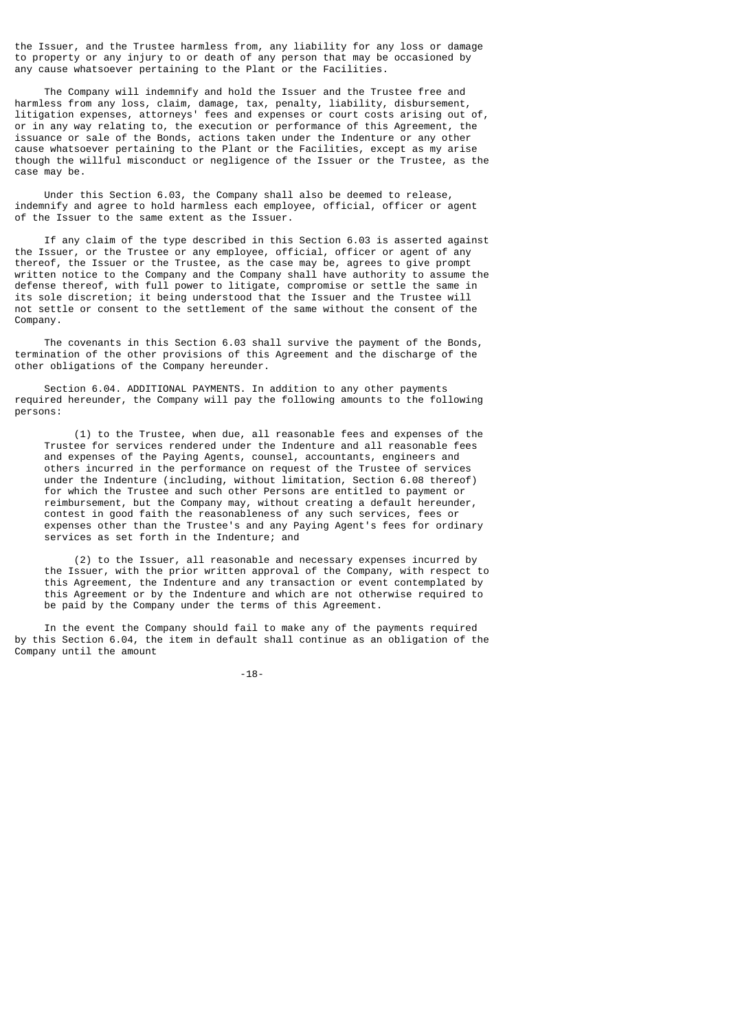the Issuer, and the Trustee harmless from, any liability for any loss or damage to property or any injury to or death of any person that may be occasioned by any cause whatsoever pertaining to the Plant or the Facilities.

 The Company will indemnify and hold the Issuer and the Trustee free and harmless from any loss, claim, damage, tax, penalty, liability, disbursement, litigation expenses, attorneys' fees and expenses or court costs arising out of, or in any way relating to, the execution or performance of this Agreement, the issuance or sale of the Bonds, actions taken under the Indenture or any other cause whatsoever pertaining to the Plant or the Facilities, except as my arise though the willful misconduct or negligence of the Issuer or the Trustee, as the case may be.

 Under this Section 6.03, the Company shall also be deemed to release, indemnify and agree to hold harmless each employee, official, officer or agent of the Issuer to the same extent as the Issuer.

 If any claim of the type described in this Section 6.03 is asserted against the Issuer, or the Trustee or any employee, official, officer or agent of any thereof, the Issuer or the Trustee, as the case may be, agrees to give prompt written notice to the Company and the Company shall have authority to assume the defense thereof, with full power to litigate, compromise or settle the same in its sole discretion; it being understood that the Issuer and the Trustee will not settle or consent to the settlement of the same without the consent of the Company.

 The covenants in this Section 6.03 shall survive the payment of the Bonds, termination of the other provisions of this Agreement and the discharge of the other obligations of the Company hereunder.

 Section 6.04. ADDITIONAL PAYMENTS. In addition to any other payments required hereunder, the Company will pay the following amounts to the following persons:

 (1) to the Trustee, when due, all reasonable fees and expenses of the Trustee for services rendered under the Indenture and all reasonable fees and expenses of the Paying Agents, counsel, accountants, engineers and others incurred in the performance on request of the Trustee of services under the Indenture (including, without limitation, Section 6.08 thereof) for which the Trustee and such other Persons are entitled to payment or reimbursement, but the Company may, without creating a default hereunder, contest in good faith the reasonableness of any such services, fees or expenses other than the Trustee's and any Paying Agent's fees for ordinary services as set forth in the Indenture; and

 (2) to the Issuer, all reasonable and necessary expenses incurred by the Issuer, with the prior written approval of the Company, with respect to this Agreement, the Indenture and any transaction or event contemplated by this Agreement or by the Indenture and which are not otherwise required to be paid by the Company under the terms of this Agreement.

 In the event the Company should fail to make any of the payments required by this Section 6.04, the item in default shall continue as an obligation of the Company until the amount

-18-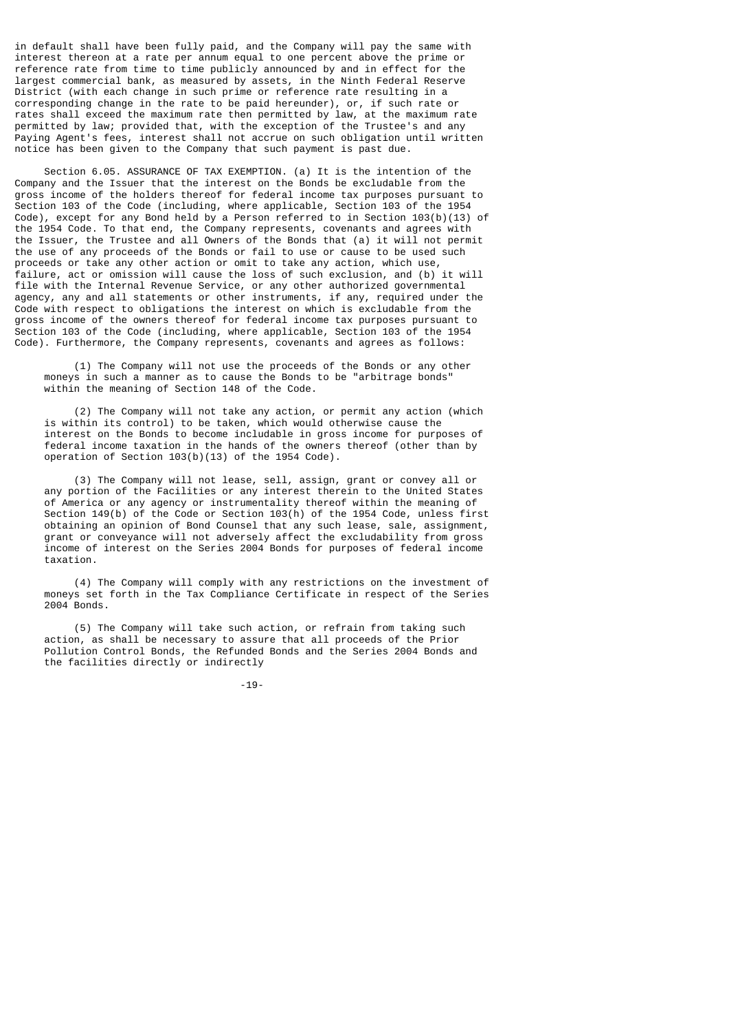in default shall have been fully paid, and the Company will pay the same with interest thereon at a rate per annum equal to one percent above the prime or reference rate from time to time publicly announced by and in effect for the largest commercial bank, as measured by assets, in the Ninth Federal Reserve District (with each change in such prime or reference rate resulting in a corresponding change in the rate to be paid hereunder), or, if such rate or rates shall exceed the maximum rate then permitted by law, at the maximum rate permitted by law; provided that, with the exception of the Trustee's and any Paying Agent's fees, interest shall not accrue on such obligation until written notice has been given to the Company that such payment is past due.

 Section 6.05. ASSURANCE OF TAX EXEMPTION. (a) It is the intention of the Company and the Issuer that the interest on the Bonds be excludable from the gross income of the holders thereof for federal income tax purposes pursuant to Section 103 of the Code (including, where applicable, Section 103 of the 1954 Code), except for any Bond held by a Person referred to in Section 103(b)(13) of the 1954 Code. To that end, the Company represents, covenants and agrees with the Issuer, the Trustee and all Owners of the Bonds that (a) it will not permit the use of any proceeds of the Bonds or fail to use or cause to be used such proceeds or take any other action or omit to take any action, which use, failure, act or omission will cause the loss of such exclusion, and (b) it will file with the Internal Revenue Service, or any other authorized governmental agency, any and all statements or other instruments, if any, required under the Code with respect to obligations the interest on which is excludable from the gross income of the owners thereof for federal income tax purposes pursuant to Section 103 of the Code (including, where applicable, Section 103 of the 1954 Code). Furthermore, the Company represents, covenants and agrees as follows:

 (1) The Company will not use the proceeds of the Bonds or any other moneys in such a manner as to cause the Bonds to be "arbitrage bonds" within the meaning of Section 148 of the Code.

 (2) The Company will not take any action, or permit any action (which is within its control) to be taken, which would otherwise cause the interest on the Bonds to become includable in gross income for purposes of federal income taxation in the hands of the owners thereof (other than by operation of Section 103(b)(13) of the 1954 Code).

 (3) The Company will not lease, sell, assign, grant or convey all or any portion of the Facilities or any interest therein to the United States of America or any agency or instrumentality thereof within the meaning of Section 149(b) of the Code or Section 103(h) of the 1954 Code, unless first obtaining an opinion of Bond Counsel that any such lease, sale, assignment, grant or conveyance will not adversely affect the excludability from gross income of interest on the Series 2004 Bonds for purposes of federal income taxation.

 (4) The Company will comply with any restrictions on the investment of moneys set forth in the Tax Compliance Certificate in respect of the Series 2004 Bonds.

 (5) The Company will take such action, or refrain from taking such action, as shall be necessary to assure that all proceeds of the Prior Pollution Control Bonds, the Refunded Bonds and the Series 2004 Bonds and the facilities directly or indirectly

-19-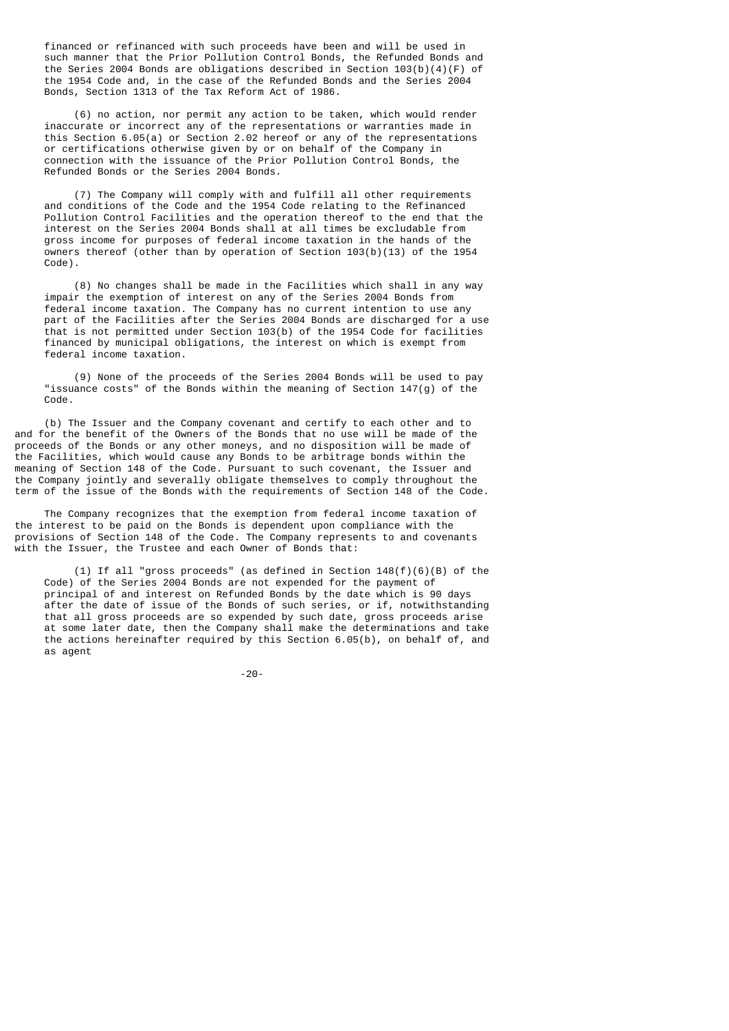financed or refinanced with such proceeds have been and will be used in such manner that the Prior Pollution Control Bonds, the Refunded Bonds and the Series 2004 Bonds are obligations described in Section 103(b)(4)(F) of the 1954 Code and, in the case of the Refunded Bonds and the Series 2004 Bonds, Section 1313 of the Tax Reform Act of 1986.

 (6) no action, nor permit any action to be taken, which would render inaccurate or incorrect any of the representations or warranties made in this Section 6.05(a) or Section 2.02 hereof or any of the representations or certifications otherwise given by or on behalf of the Company in connection with the issuance of the Prior Pollution Control Bonds, the Refunded Bonds or the Series 2004 Bonds.

 (7) The Company will comply with and fulfill all other requirements and conditions of the Code and the 1954 Code relating to the Refinanced Pollution Control Facilities and the operation thereof to the end that the interest on the Series 2004 Bonds shall at all times be excludable from gross income for purposes of federal income taxation in the hands of the owners thereof (other than by operation of Section 103(b)(13) of the 1954 Code).

 (8) No changes shall be made in the Facilities which shall in any way impair the exemption of interest on any of the Series 2004 Bonds from federal income taxation. The Company has no current intention to use any part of the Facilities after the Series 2004 Bonds are discharged for a use that is not permitted under Section 103(b) of the 1954 Code for facilities financed by municipal obligations, the interest on which is exempt from federal income taxation.

 (9) None of the proceeds of the Series 2004 Bonds will be used to pay "issuance costs" of the Bonds within the meaning of Section  $147(q)$  of the Code.

 (b) The Issuer and the Company covenant and certify to each other and to and for the benefit of the Owners of the Bonds that no use will be made of the proceeds of the Bonds or any other moneys, and no disposition will be made of the Facilities, which would cause any Bonds to be arbitrage bonds within the meaning of Section 148 of the Code. Pursuant to such covenant, the Issuer and the Company jointly and severally obligate themselves to comply throughout the term of the issue of the Bonds with the requirements of Section 148 of the Code.

 The Company recognizes that the exemption from federal income taxation of the interest to be paid on the Bonds is dependent upon compliance with the provisions of Section 148 of the Code. The Company represents to and covenants with the Issuer, the Trustee and each Owner of Bonds that:

 (1) If all "gross proceeds" (as defined in Section 148(f)(6)(B) of the Code) of the Series 2004 Bonds are not expended for the payment of principal of and interest on Refunded Bonds by the date which is 90 days after the date of issue of the Bonds of such series, or if, notwithstanding that all gross proceeds are so expended by such date, gross proceeds arise at some later date, then the Company shall make the determinations and take the actions hereinafter required by this Section 6.05(b), on behalf of, and as agent

-20-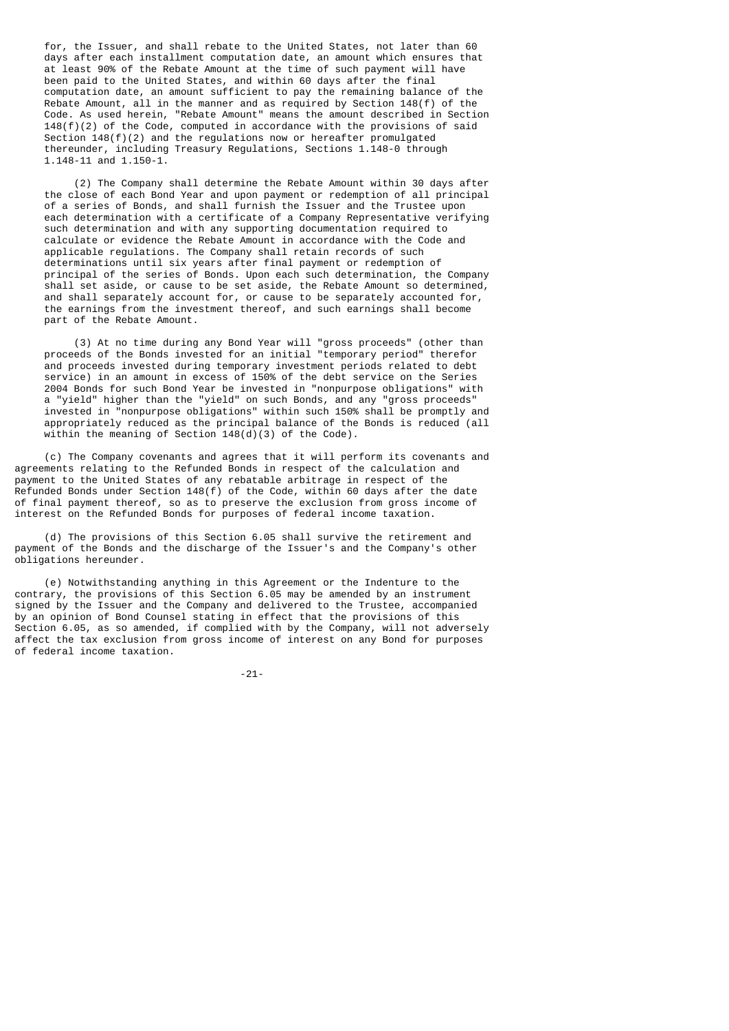for, the Issuer, and shall rebate to the United States, not later than 60 days after each installment computation date, an amount which ensures that at least 90% of the Rebate Amount at the time of such payment will have been paid to the United States, and within 60 days after the final computation date, an amount sufficient to pay the remaining balance of the Rebate Amount, all in the manner and as required by Section 148(f) of the Code. As used herein, "Rebate Amount" means the amount described in Section  $148(f)(2)$  of the Code, computed in accordance with the provisions of said Section 148(f)(2) and the regulations now or hereafter promulgated thereunder, including Treasury Regulations, Sections 1.148-0 through 1.148-11 and 1.150-1.

 (2) The Company shall determine the Rebate Amount within 30 days after the close of each Bond Year and upon payment or redemption of all principal of a series of Bonds, and shall furnish the Issuer and the Trustee upon each determination with a certificate of a Company Representative verifying such determination and with any supporting documentation required to calculate or evidence the Rebate Amount in accordance with the Code and applicable regulations. The Company shall retain records of such determinations until six years after final payment or redemption of principal of the series of Bonds. Upon each such determination, the Company shall set aside, or cause to be set aside, the Rebate Amount so determined, and shall separately account for, or cause to be separately accounted for, the earnings from the investment thereof, and such earnings shall become part of the Rebate Amount.

 (3) At no time during any Bond Year will "gross proceeds" (other than proceeds of the Bonds invested for an initial "temporary period" therefor and proceeds invested during temporary investment periods related to debt service) in an amount in excess of 150% of the debt service on the Series 2004 Bonds for such Bond Year be invested in "nonpurpose obligations" with a "yield" higher than the "yield" on such Bonds, and any "gross proceeds" invested in "nonpurpose obligations" within such 150% shall be promptly and appropriately reduced as the principal balance of the Bonds is reduced (all within the meaning of Section  $148(d)(3)$  of the Code).

 (c) The Company covenants and agrees that it will perform its covenants and agreements relating to the Refunded Bonds in respect of the calculation and payment to the United States of any rebatable arbitrage in respect of the Refunded Bonds under Section  $148(f)$  of the Code, within 60 days after the date of final payment thereof, so as to preserve the exclusion from gross income of interest on the Refunded Bonds for purposes of federal income taxation.

 (d) The provisions of this Section 6.05 shall survive the retirement and payment of the Bonds and the discharge of the Issuer's and the Company's other obligations hereunder.

 (e) Notwithstanding anything in this Agreement or the Indenture to the contrary, the provisions of this Section 6.05 may be amended by an instrument signed by the Issuer and the Company and delivered to the Trustee, accompanied by an opinion of Bond Counsel stating in effect that the provisions of this Section 6.05, as so amended, if complied with by the Company, will not adversely affect the tax exclusion from gross income of interest on any Bond for purposes of federal income taxation.

-21-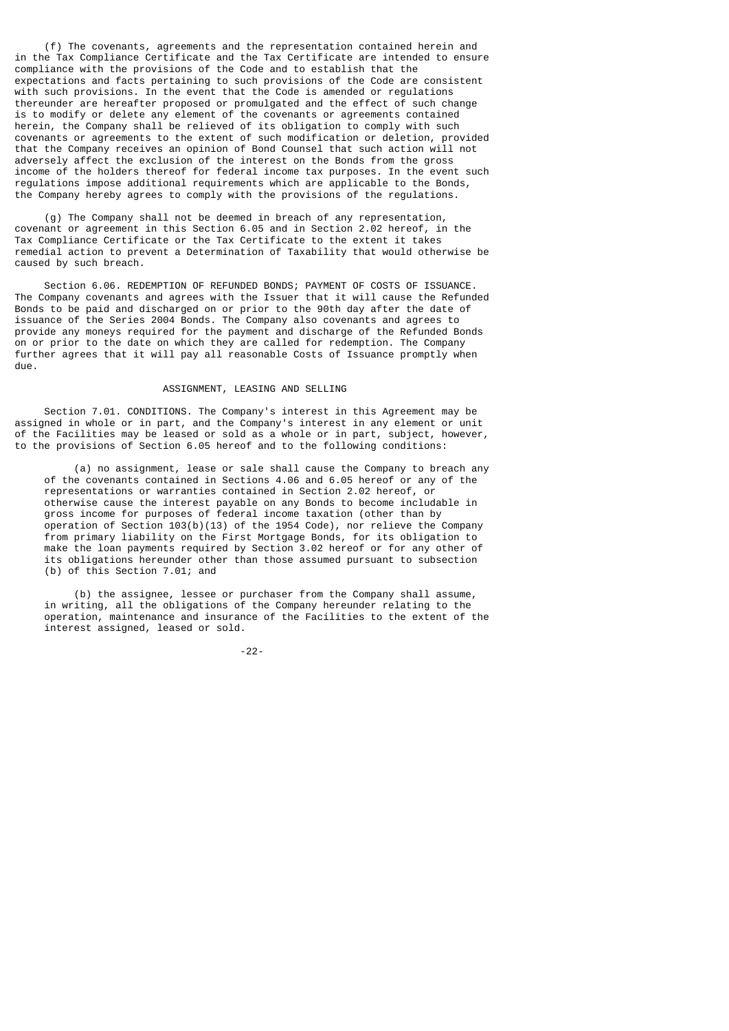(f) The covenants, agreements and the representation contained herein and in the Tax Compliance Certificate and the Tax Certificate are intended to ensure compliance with the provisions of the Code and to establish that the expectations and facts pertaining to such provisions of the Code are consistent with such provisions. In the event that the Code is amended or regulations thereunder are hereafter proposed or promulgated and the effect of such change is to modify or delete any element of the covenants or agreements contained herein, the Company shall be relieved of its obligation to comply with such covenants or agreements to the extent of such modification or deletion, provided that the Company receives an opinion of Bond Counsel that such action will not adversely affect the exclusion of the interest on the Bonds from the gross income of the holders thereof for federal income tax purposes. In the event such regulations impose additional requirements which are applicable to the Bonds, the Company hereby agrees to comply with the provisions of the regulations.

 (g) The Company shall not be deemed in breach of any representation, covenant or agreement in this Section 6.05 and in Section 2.02 hereof, in the Tax Compliance Certificate or the Tax Certificate to the extent it takes remedial action to prevent a Determination of Taxability that would otherwise be caused by such breach.

 Section 6.06. REDEMPTION OF REFUNDED BONDS; PAYMENT OF COSTS OF ISSUANCE. The Company covenants and agrees with the Issuer that it will cause the Refunded Bonds to be paid and discharged on or prior to the 90th day after the date of issuance of the Series 2004 Bonds. The Company also covenants and agrees to provide any moneys required for the payment and discharge of the Refunded Bonds on or prior to the date on which they are called for redemption. The Company further agrees that it will pay all reasonable Costs of Issuance promptly when due.

# ASSIGNMENT, LEASING AND SELLING

 Section 7.01. CONDITIONS. The Company's interest in this Agreement may be assigned in whole or in part, and the Company's interest in any element or unit of the Facilities may be leased or sold as a whole or in part, subject, however, to the provisions of Section 6.05 hereof and to the following conditions:

 (a) no assignment, lease or sale shall cause the Company to breach any of the covenants contained in Sections 4.06 and 6.05 hereof or any of the representations or warranties contained in Section 2.02 hereof, or otherwise cause the interest payable on any Bonds to become includable in gross income for purposes of federal income taxation (other than by operation of Section 103(b)(13) of the 1954 Code), nor relieve the Company from primary liability on the First Mortgage Bonds, for its obligation to make the loan payments required by Section 3.02 hereof or for any other of its obligations hereunder other than those assumed pursuant to subsection (b) of this Section 7.01; and

 (b) the assignee, lessee or purchaser from the Company shall assume, in writing, all the obligations of the Company hereunder relating to the operation, maintenance and insurance of the Facilities to the extent of the interest assigned, leased or sold.

-22-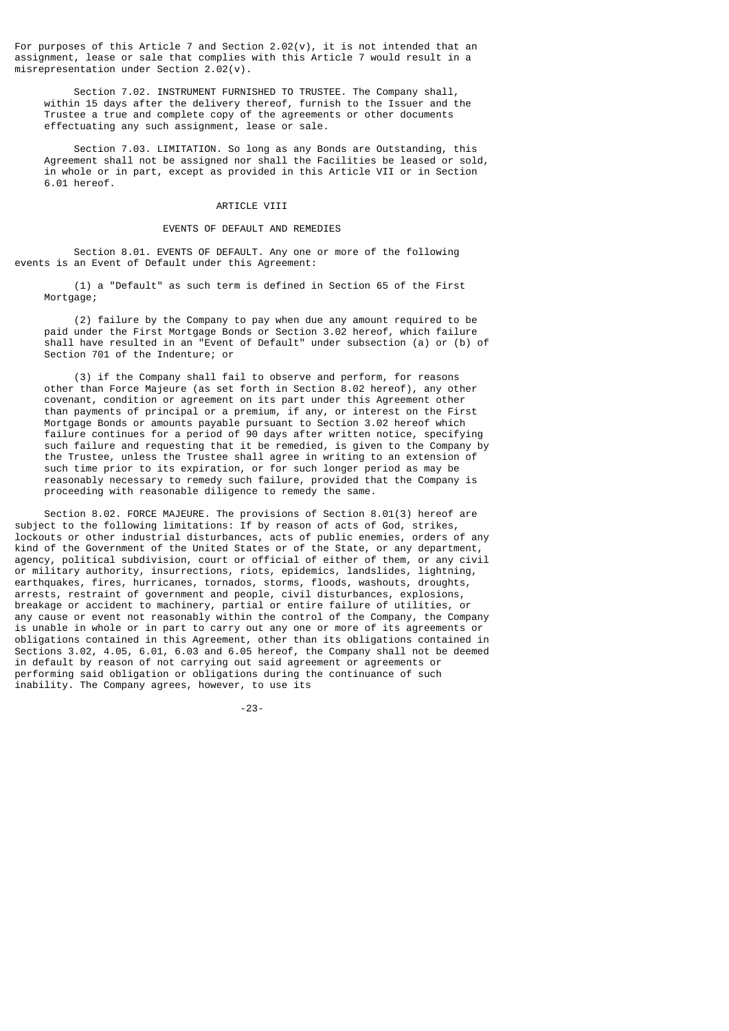For purposes of this Article 7 and Section  $2.02(v)$ , it is not intended that an assignment, lease or sale that complies with this Article 7 would result in a misrepresentation under Section 2.02(v).

 Section 7.02. INSTRUMENT FURNISHED TO TRUSTEE. The Company shall, within 15 days after the delivery thereof, furnish to the Issuer and the Trustee a true and complete copy of the agreements or other documents effectuating any such assignment, lease or sale.

 Section 7.03. LIMITATION. So long as any Bonds are Outstanding, this Agreement shall not be assigned nor shall the Facilities be leased or sold, in whole or in part, except as provided in this Article VII or in Section 6.01 hereof.

# ARTICLE VIII

### EVENTS OF DEFAULT AND REMEDIES

 Section 8.01. EVENTS OF DEFAULT. Any one or more of the following events is an Event of Default under this Agreement:

 (1) a "Default" as such term is defined in Section 65 of the First Mortgage;

 (2) failure by the Company to pay when due any amount required to be paid under the First Mortgage Bonds or Section 3.02 hereof, which failure shall have resulted in an "Event of Default" under subsection (a) or (b) of Section 701 of the Indenture; or

 (3) if the Company shall fail to observe and perform, for reasons other than Force Majeure (as set forth in Section 8.02 hereof), any other covenant, condition or agreement on its part under this Agreement other than payments of principal or a premium, if any, or interest on the First Mortgage Bonds or amounts payable pursuant to Section 3.02 hereof which failure continues for a period of 90 days after written notice, specifying such failure and requesting that it be remedied, is given to the Company by the Trustee, unless the Trustee shall agree in writing to an extension of such time prior to its expiration, or for such longer period as may be reasonably necessary to remedy such failure, provided that the Company is proceeding with reasonable diligence to remedy the same.

 Section 8.02. FORCE MAJEURE. The provisions of Section 8.01(3) hereof are subject to the following limitations: If by reason of acts of God, strikes, lockouts or other industrial disturbances, acts of public enemies, orders of any kind of the Government of the United States or of the State, or any department, agency, political subdivision, court or official of either of them, or any civil or military authority, insurrections, riots, epidemics, landslides, lightning, earthquakes, fires, hurricanes, tornados, storms, floods, washouts, droughts, arrests, restraint of government and people, civil disturbances, explosions, breakage or accident to machinery, partial or entire failure of utilities, or any cause or event not reasonably within the control of the Company, the Company is unable in whole or in part to carry out any one or more of its agreements or obligations contained in this Agreement, other than its obligations contained in Sections 3.02, 4.05, 6.01, 6.03 and 6.05 hereof, the Company shall not be deemed in default by reason of not carrying out said agreement or agreements or performing said obligation or obligations during the continuance of such inability. The Company agrees, however, to use its

-23-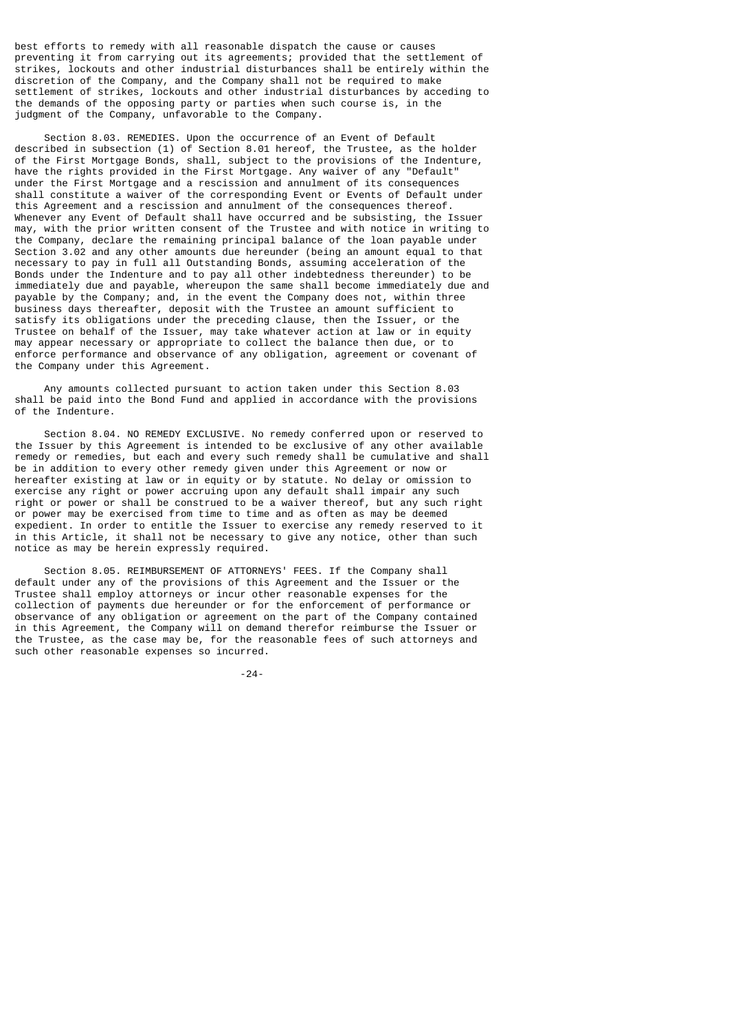best efforts to remedy with all reasonable dispatch the cause or causes preventing it from carrying out its agreements; provided that the settlement of strikes, lockouts and other industrial disturbances shall be entirely within the discretion of the Company, and the Company shall not be required to make settlement of strikes, lockouts and other industrial disturbances by acceding to the demands of the opposing party or parties when such course is, in the judgment of the Company, unfavorable to the Company.

 Section 8.03. REMEDIES. Upon the occurrence of an Event of Default described in subsection (1) of Section 8.01 hereof, the Trustee, as the holder of the First Mortgage Bonds, shall, subject to the provisions of the Indenture, have the rights provided in the First Mortgage. Any waiver of any "Default" under the First Mortgage and a rescission and annulment of its consequences shall constitute a waiver of the corresponding Event or Events of Default under this Agreement and a rescission and annulment of the consequences thereof. Whenever any Event of Default shall have occurred and be subsisting, the Issuer may, with the prior written consent of the Trustee and with notice in writing to the Company, declare the remaining principal balance of the loan payable under Section 3.02 and any other amounts due hereunder (being an amount equal to that necessary to pay in full all Outstanding Bonds, assuming acceleration of the Bonds under the Indenture and to pay all other indebtedness thereunder) to be immediately due and payable, whereupon the same shall become immediately due and payable by the Company; and, in the event the Company does not, within three business days thereafter, deposit with the Trustee an amount sufficient to satisfy its obligations under the preceding clause, then the Issuer, or the Trustee on behalf of the Issuer, may take whatever action at law or in equity may appear necessary or appropriate to collect the balance then due, or to enforce performance and observance of any obligation, agreement or covenant of the Company under this Agreement.

 Any amounts collected pursuant to action taken under this Section 8.03 shall be paid into the Bond Fund and applied in accordance with the provisions of the Indenture.

 Section 8.04. NO REMEDY EXCLUSIVE. No remedy conferred upon or reserved to the Issuer by this Agreement is intended to be exclusive of any other available remedy or remedies, but each and every such remedy shall be cumulative and shall be in addition to every other remedy given under this Agreement or now or hereafter existing at law or in equity or by statute. No delay or omission to exercise any right or power accruing upon any default shall impair any such right or power or shall be construed to be a waiver thereof, but any such right or power may be exercised from time to time and as often as may be deemed expedient. In order to entitle the Issuer to exercise any remedy reserved to it in this Article, it shall not be necessary to give any notice, other than such notice as may be herein expressly required.

 Section 8.05. REIMBURSEMENT OF ATTORNEYS' FEES. If the Company shall default under any of the provisions of this Agreement and the Issuer or the Trustee shall employ attorneys or incur other reasonable expenses for the collection of payments due hereunder or for the enforcement of performance or observance of any obligation or agreement on the part of the Company contained in this Agreement, the Company will on demand therefor reimburse the Issuer or the Trustee, as the case may be, for the reasonable fees of such attorneys and such other reasonable expenses so incurred.

-24-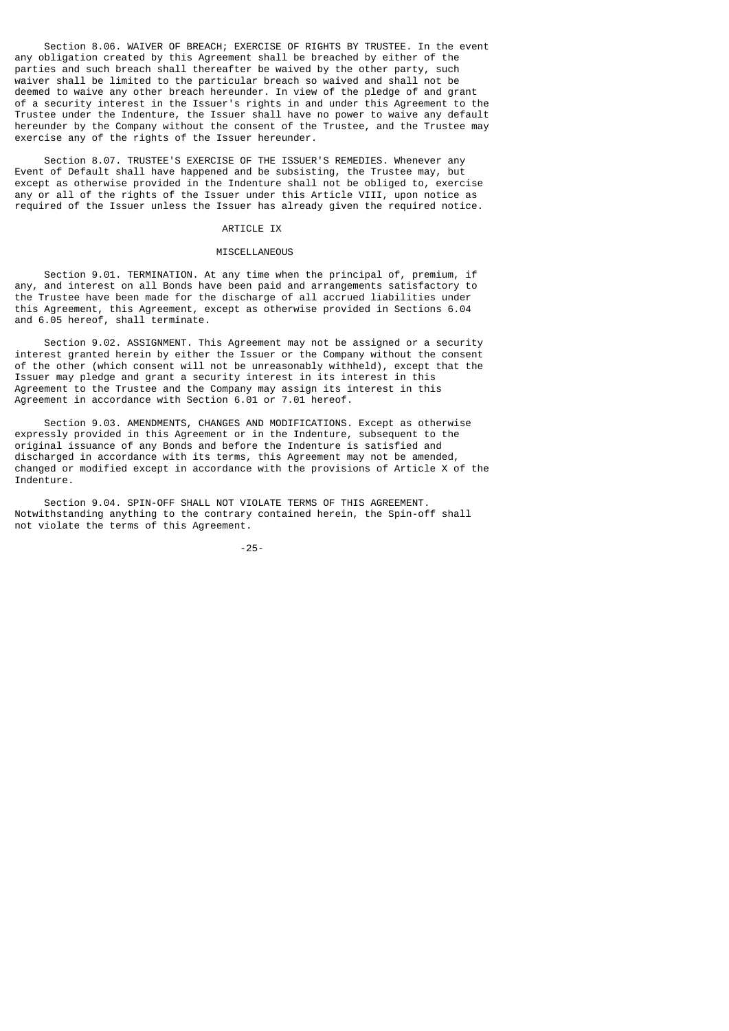Section 8.06. WAIVER OF BREACH; EXERCISE OF RIGHTS BY TRUSTEE. In the event any obligation created by this Agreement shall be breached by either of the parties and such breach shall thereafter be waived by the other party, such waiver shall be limited to the particular breach so waived and shall not be deemed to waive any other breach hereunder. In view of the pledge of and grant of a security interest in the Issuer's rights in and under this Agreement to the Trustee under the Indenture, the Issuer shall have no power to waive any default hereunder by the Company without the consent of the Trustee, and the Trustee may exercise any of the rights of the Issuer hereunder.

 Section 8.07. TRUSTEE'S EXERCISE OF THE ISSUER'S REMEDIES. Whenever any Event of Default shall have happened and be subsisting, the Trustee may, but except as otherwise provided in the Indenture shall not be obliged to, exercise any or all of the rights of the Issuer under this Article VIII, upon notice as required of the Issuer unless the Issuer has already given the required notice.

#### ARTICLE IX

## MISCELLANEOUS

 Section 9.01. TERMINATION. At any time when the principal of, premium, if any, and interest on all Bonds have been paid and arrangements satisfactory to the Trustee have been made for the discharge of all accrued liabilities under this Agreement, this Agreement, except as otherwise provided in Sections 6.04 and 6.05 hereof, shall terminate.

 Section 9.02. ASSIGNMENT. This Agreement may not be assigned or a security interest granted herein by either the Issuer or the Company without the consent of the other (which consent will not be unreasonably withheld), except that the Issuer may pledge and grant a security interest in its interest in this Agreement to the Trustee and the Company may assign its interest in this Agreement in accordance with Section 6.01 or 7.01 hereof.

 Section 9.03. AMENDMENTS, CHANGES AND MODIFICATIONS. Except as otherwise expressly provided in this Agreement or in the Indenture, subsequent to the original issuance of any Bonds and before the Indenture is satisfied and discharged in accordance with its terms, this Agreement may not be amended, changed or modified except in accordance with the provisions of Article X of the Indenture.

 Section 9.04. SPIN-OFF SHALL NOT VIOLATE TERMS OF THIS AGREEMENT. Notwithstanding anything to the contrary contained herein, the Spin-off shall not violate the terms of this Agreement.

-25-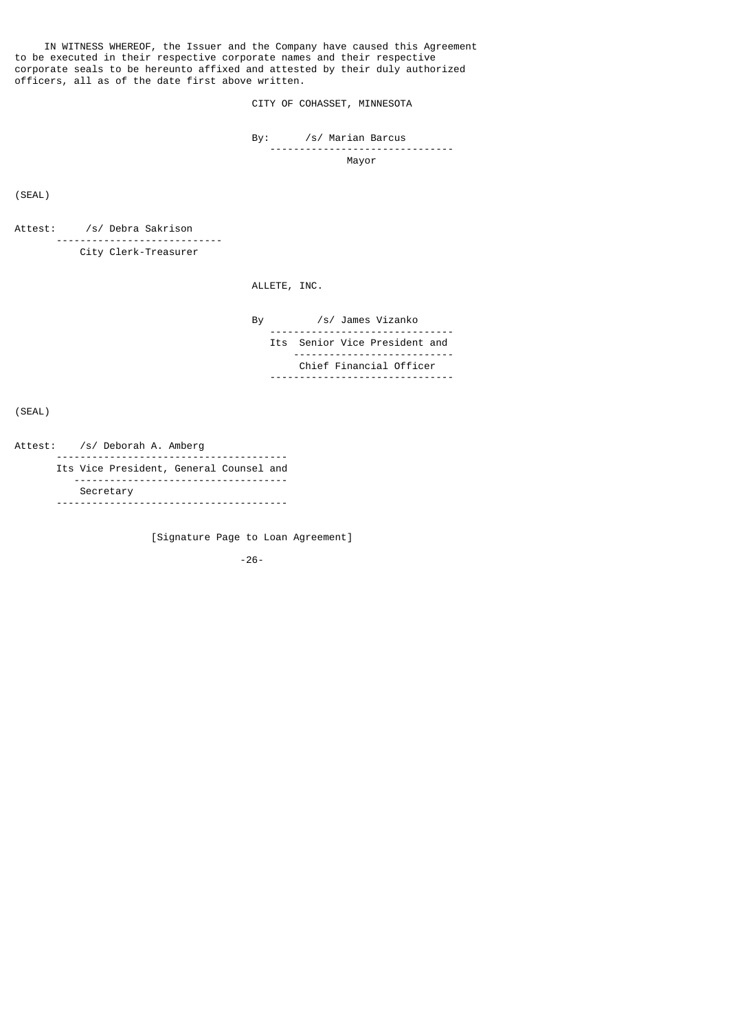IN WITNESS WHEREOF, the Issuer and the Company have caused this Agreement to be executed in their respective corporate names and their respective corporate seals to be hereunto affixed and attested by their duly authorized officers, all as of the date first above written.

CITY OF COHASSET, MINNESOTA

 By: /s/ Marian Barcus -------------------------------

Mayor

(SEAL)

Attest: /s/ Debra Sakrison ---------------------------- City Clerk-Treasurer

ALLETE, INC.

 By /s/ James Vizanko ------------------------------- Its Senior Vice President and --------------------------- Chief Financial Officer -------------------------------

(SEAL)

Attest: /s/ Deborah A. Amberg

 --------------------------------------- Its Vice President, General Counsel and ------------------------------------ Secretary ---------------------------------------

[Signature Page to Loan Agreement]

-26-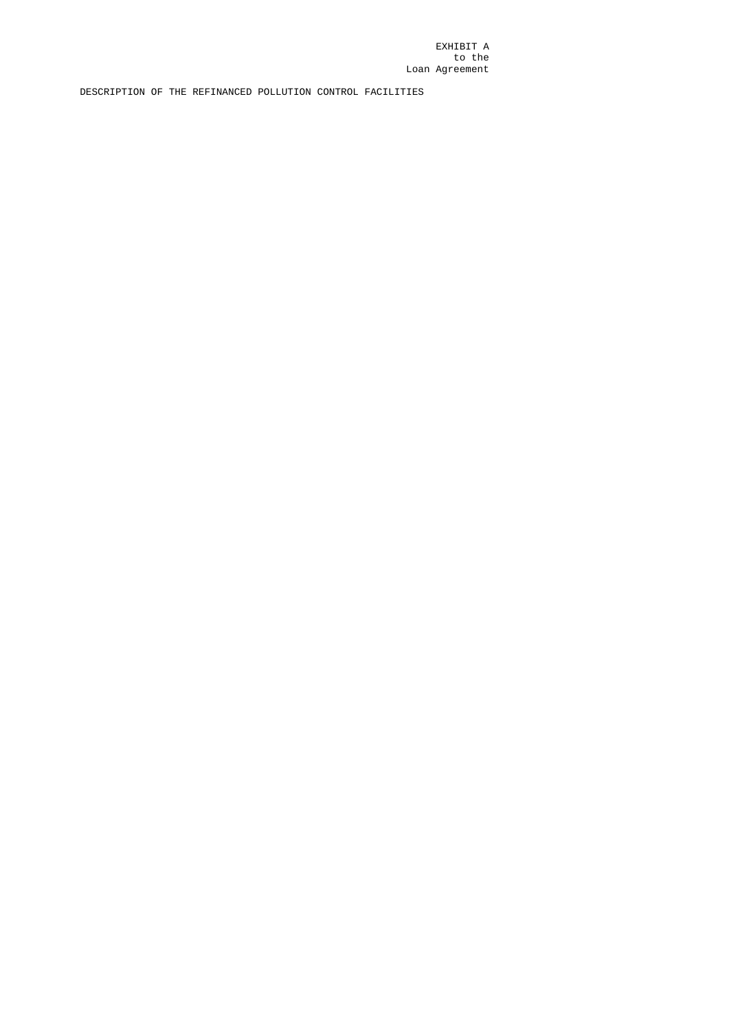EXHIBIT A to the Loan Agreement

DESCRIPTION OF THE REFINANCED POLLUTION CONTROL FACILITIES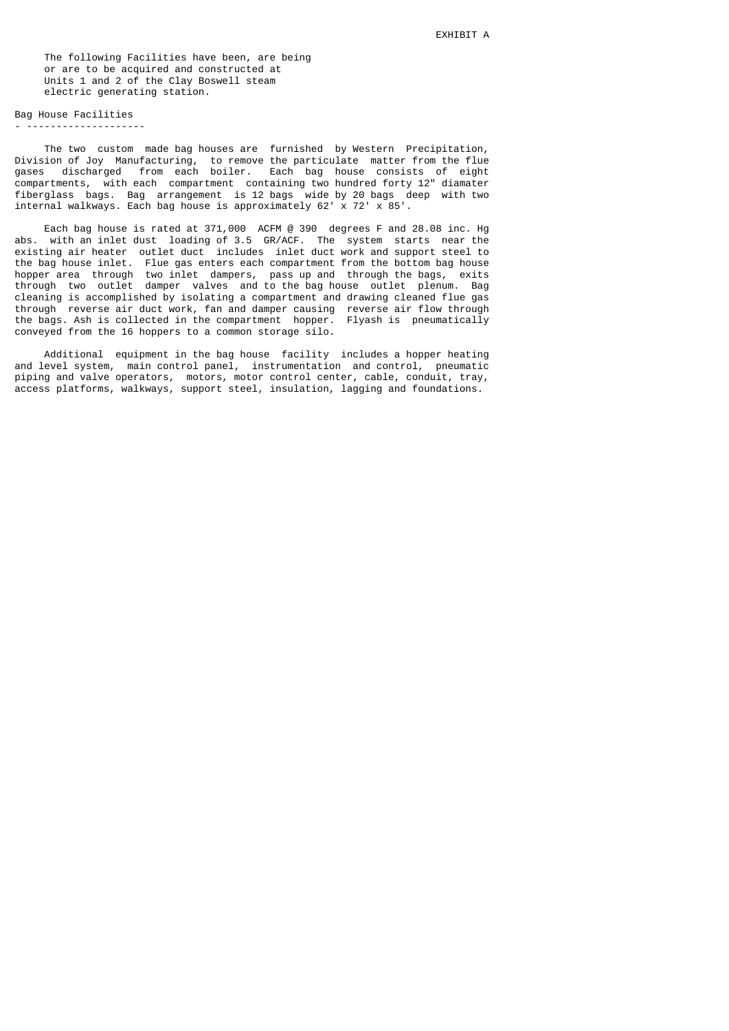The following Facilities have been, are being or are to be acquired and constructed at Units 1 and 2 of the Clay Boswell steam electric generating station.

# Bag House Facilities

- --------------------

 The two custom made bag houses are furnished by Western Precipitation, Division of Joy Manufacturing, to remove the particulate matter from the flue gases discharged from each boiler. Each bag house consists of eight compartments, with each compartment containing two hundred forty 12" diamater fiberglass bags. Bag arrangement is 12 bags wide by 20 bags deep with two internal walkways. Each bag house is approximately 62' x 72' x 85'.

 Each bag house is rated at 371,000 ACFM @ 390 degrees F and 28.08 inc. Hg abs. with an inlet dust loading of 3.5 GR/ACF. The system starts near the existing air heater outlet duct includes inlet duct work and support steel to the bag house inlet. Flue gas enters each compartment from the bottom bag house hopper area through two inlet dampers, pass up and through the bags, exits through two outlet damper valves and to the bag house outlet plenum. Bag cleaning is accomplished by isolating a compartment and drawing cleaned flue gas through reverse air duct work, fan and damper causing reverse air flow through the bags. Ash is collected in the compartment hopper. Flyash is pneumatically conveyed from the 16 hoppers to a common storage silo.

 Additional equipment in the bag house facility includes a hopper heating and level system, main control panel, instrumentation and control, pneumatic piping and valve operators, motors, motor control center, cable, conduit, tray, access platforms, walkways, support steel, insulation, lagging and foundations.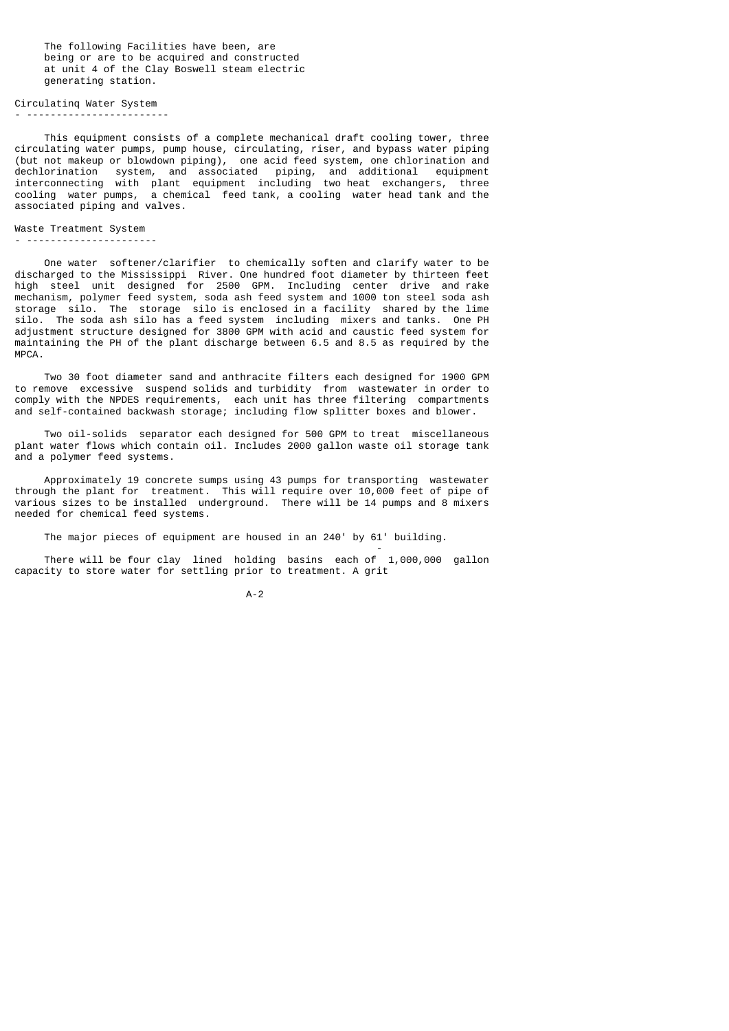The following Facilities have been, are being or are to be acquired and constructed at unit 4 of the Clay Boswell steam electric generating station.

#### Circulatinq Water System - ------------------------

 This equipment consists of a complete mechanical draft cooling tower, three circulating water pumps, pump house, circulating, riser, and bypass water piping (but not makeup or blowdown piping), one acid feed system, one chlorination and dechlorination system, and associated piping, and additional equipment interconnecting with plant equipment including two heat exchangers, three cooling water pumps, a chemical feed tank, a cooling water head tank and the associated piping and valves.

### Waste Treatment System

- ----------------------

 One water softener/clarifier to chemically soften and clarify water to be discharged to the Mississippi River. One hundred foot diameter by thirteen feet high steel unit designed for 2500 GPM. Including center drive and rake mechanism, polymer feed system, soda ash feed system and 1000 ton steel soda ash storage silo. The storage silo is enclosed in a facility shared by the lime silo. The soda ash silo has a feed system including mixers and tanks. One PH adjustment structure designed for 3800 GPM with acid and caustic feed system for maintaining the PH of the plant discharge between 6.5 and 8.5 as required by the MPCA.

 Two 30 foot diameter sand and anthracite filters each designed for 1900 GPM to remove excessive suspend solids and turbidity from wastewater in order to comply with the NPDES requirements, each unit has three filtering compartments and self-contained backwash storage; including flow splitter boxes and blower.

 Two oil-solids separator each designed for 500 GPM to treat miscellaneous plant water flows which contain oil. Includes 2000 gallon waste oil storage tank and a polymer feed systems.

 Approximately 19 concrete sumps using 43 pumps for transporting wastewater through the plant for treatment. This will require over 10,000 feet of pipe of various sizes to be installed underground. There will be 14 pumps and 8 mixers needed for chemical feed systems.

The major pieces of equipment are housed in an 240' by 61' building.

- 1990년 1월 1일 - 1990년 1월 1일 - 1990년 1월 1일 - 1990년 1월 1일 - 1990년 1월 1일 - 1990년 1월 1일 - 1990년 1월 1일 - 1990년 10월<br>대학교

 There will be four clay lined holding basins each of 1,000,000 gallon capacity to store water for settling prior to treatment. A grit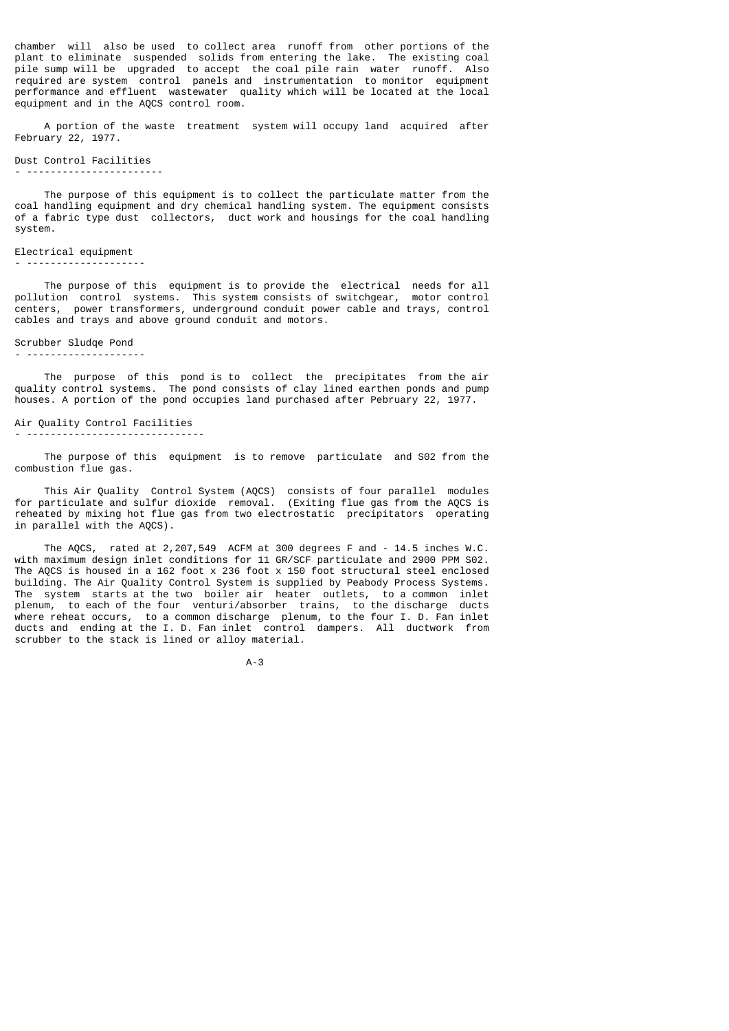chamber will also be used to collect area runoff from other portions of the plant to eliminate suspended solids from entering the lake. The existing coal pile sump will be upgraded to accept the coal pile rain water runoff. Also required are system control panels and instrumentation to monitor equipment performance and effluent wastewater quality which will be located at the local equipment and in the AQCS control room.

 A portion of the waste treatment system will occupy land acquired after February 22, 1977.

### Dust Control Facilities

- -----------------------

 The purpose of this equipment is to collect the particulate matter from the coal handling equipment and dry chemical handling system. The equipment consists of a fabric type dust collectors, duct work and housings for the coal handling system.

## Electrical equipment

- --------------------

 The purpose of this equipment is to provide the electrical needs for all pollution control systems. This system consists of switchgear, motor control centers, power transformers, underground conduit power cable and trays, control cables and trays and above ground conduit and motors.

## Scrubber Sludqe Pond

- --------------------

 The purpose of this pond is to collect the precipitates from the air quality control systems. The pond consists of clay lined earthen ponds and pump houses. A portion of the pond occupies land purchased after Pebruary 22, 1977.

# Air Quality Control Facilities

- ------------------------------

 The purpose of this equipment is to remove particulate and S02 from the combustion flue gas.

 This Air Quality Control System (AQCS) consists of four parallel modules for particulate and sulfur dioxide removal. (Exiting flue gas from the AQCS is reheated by mixing hot flue gas from two electrostatic precipitators operating in parallel with the AQCS).

 The AQCS, rated at 2,207,549 ACFM at 300 degrees F and - 14.5 inches W.C. with maximum design inlet conditions for 11 GR/SCF particulate and 2900 PPM S02. The AQCS is housed in a 162 foot x 236 foot x 150 foot structural steel enclosed building. The Air Quality Control System is supplied by Peabody Process Systems. The system starts at the two boiler air heater outlets, to a common inlet plenum, to each of the four venturi/absorber trains, to the discharge ducts where reheat occurs, to a common discharge plenum, to the four I. D. Fan inlet ducts and ending at the I. D. Fan inlet control dampers. All ductwork from scrubber to the stack is lined or alloy material.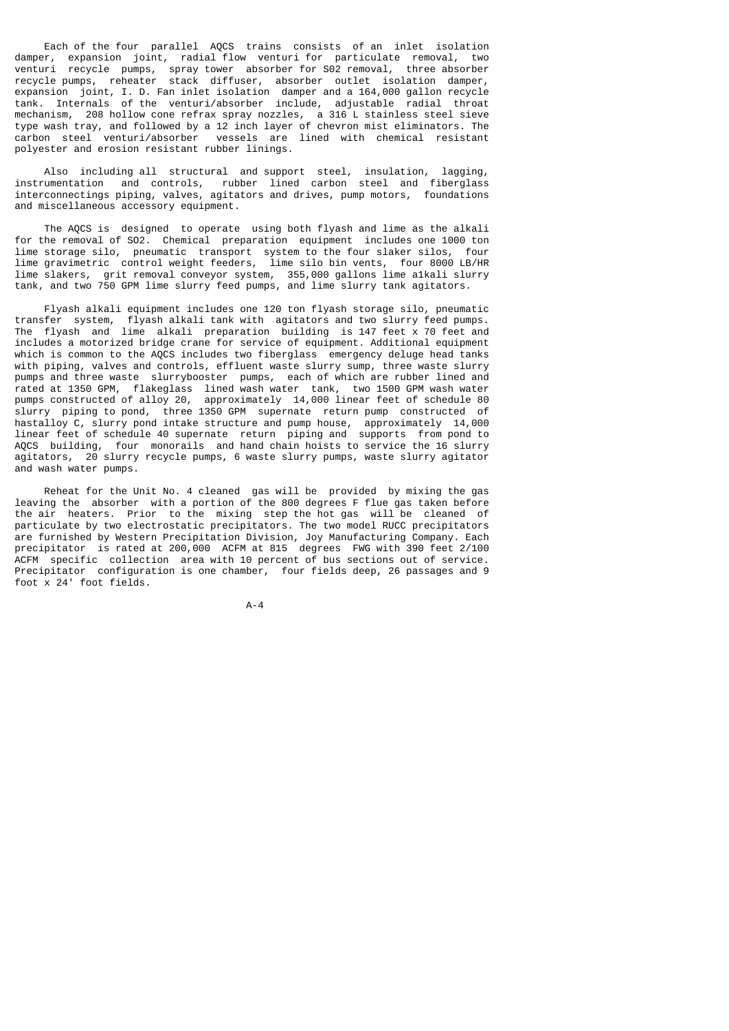Each of the four parallel AQCS trains consists of an inlet isolation damper, expansion joint, radial flow venturi for particulate removal, two venturi recycle pumps, spray tower absorber for S02 removal, three absorber recycle pumps, reheater stack diffuser, absorber outlet isolation damper, expansion joint, I. D. Fan inlet isolation damper and a 164,000 gallon recycle tank. Internals of the venturi/absorber include, adjustable radial throat mechanism, 208 hollow cone refrax spray nozzles, a 316 L stainless steel sieve type wash tray, and followed by a 12 inch layer of chevron mist eliminators. The carbon steel venturi/absorber vessels are lined with chemical resistant polyester and erosion resistant rubber linings.

 Also including all structural and support steel, insulation, lagging, instrumentation and controls, rubber lined carbon steel and fiberglass interconnectings piping, valves, agitators and drives, pump motors, foundations and miscellaneous accessory equipment.

 The AQCS is designed to operate using both flyash and lime as the alkali for the removal of SO2. Chemical preparation equipment includes one 1000 ton lime storage silo, pneumatic transport system to the four slaker silos, four lime gravimetric control weight feeders, lime silo bin vents, four 8000 LB/HR lime slakers, grit removal conveyor system, 355,000 gallons lime a1kali slurry tank, and two 750 GPM lime slurry feed pumps, and lime slurry tank agitators.

 Flyash alkali equipment includes one 120 ton flyash storage silo, pneumatic transfer system, flyash alkali tank with agitators and two slurry feed pumps. The flyash and lime alkali preparation building is 147 feet x 70 feet and includes a motorized bridge crane for service of equipment. Additional equipment which is common to the AQCS includes two fiberglass emergency deluge head tanks with piping, valves and controls, effluent waste slurry sump, three waste slurry pumps and three waste slurrybooster pumps, each of which are rubber lined and rated at 1350 GPM, flakeglass lined wash water tank, two 1500 GPM wash water pumps constructed of alloy 20, approximately 14,000 linear feet of schedule 80 slurry piping to pond, three 1350 GPM supernate return pump constructed of hastalloy C, slurry pond intake structure and pump house, approximately 14,000 linear feet of schedule 40 supernate return piping and supports from pond to AQCS building, four monorails and hand chain hoists to service the 16 slurry agitators, 20 slurry recycle pumps, 6 waste slurry pumps, waste slurry agitator and wash water pumps.

 Reheat for the Unit No. 4 cleaned gas will be provided by mixing the gas leaving the absorber with a portion of the 800 degrees F flue gas taken before the air heaters. Prior to the mixing step the hot gas will be cleaned of particulate by two electrostatic precipitators. The two model RUCC precipitators are furnished by Western Precipitation Division, Joy Manufacturing Company. Each precipitator is rated at 200,000 ACFM at 815 degrees FWG with 390 feet 2/100 ACFM specific collection area with 10 percent of bus sections out of service. Precipitator configuration is one chamber, four fields deep, 26 passages and 9 foot x 24' foot fields.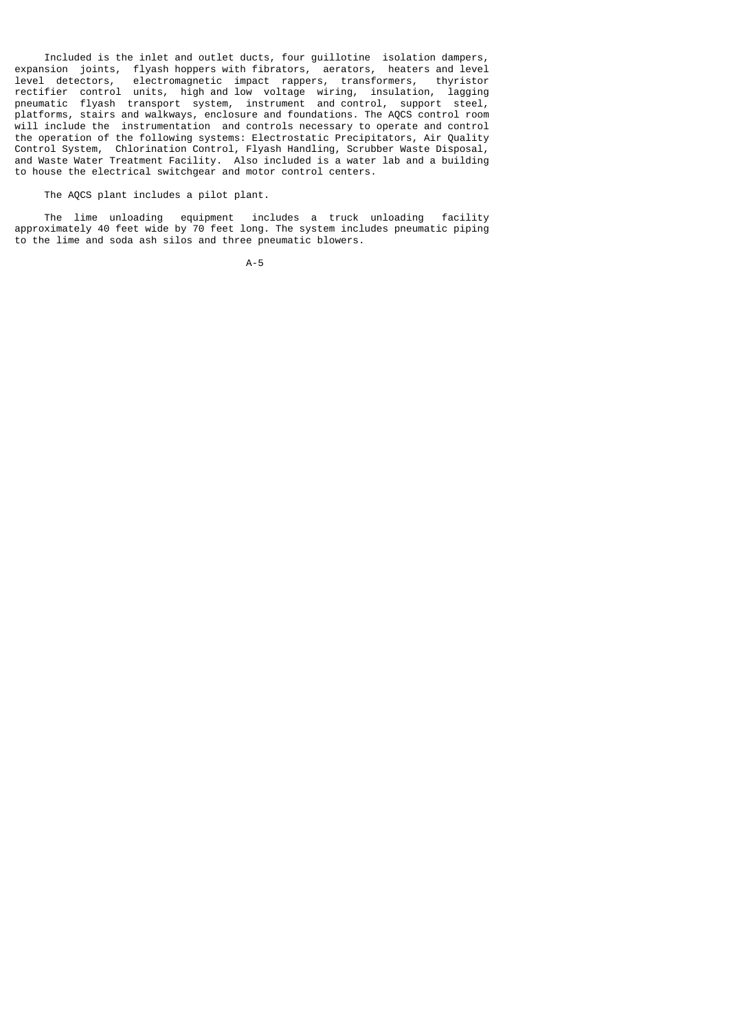Included is the inlet and outlet ducts, four guillotine isolation dampers, expansion joints, flyash hoppers with fibrators, aerators, heaters and level level detectors, electromagnetic impact rappers, transformers, thyristor rectifier control units, high and low voltage wiring, insulation, lagging pneumatic flyash transport system, instrument and control, support steel, platforms, stairs and walkways, enclosure and foundations. The AQCS control room will include the instrumentation and controls necessary to operate and control the operation of the following systems: Electrostatic Precipitators, Air Quality Control System, Chlorination Control, Flyash Handling, Scrubber Waste Disposal, and Waste Water Treatment Facility. Also included is a water lab and a building to house the electrical switchgear and motor control centers.

The AQCS plant includes a pilot plant.

 The lime unloading equipment includes a truck unloading facility approximately 40 feet wide by 70 feet long. The system includes pneumatic piping to the lime and soda ash silos and three pneumatic blowers.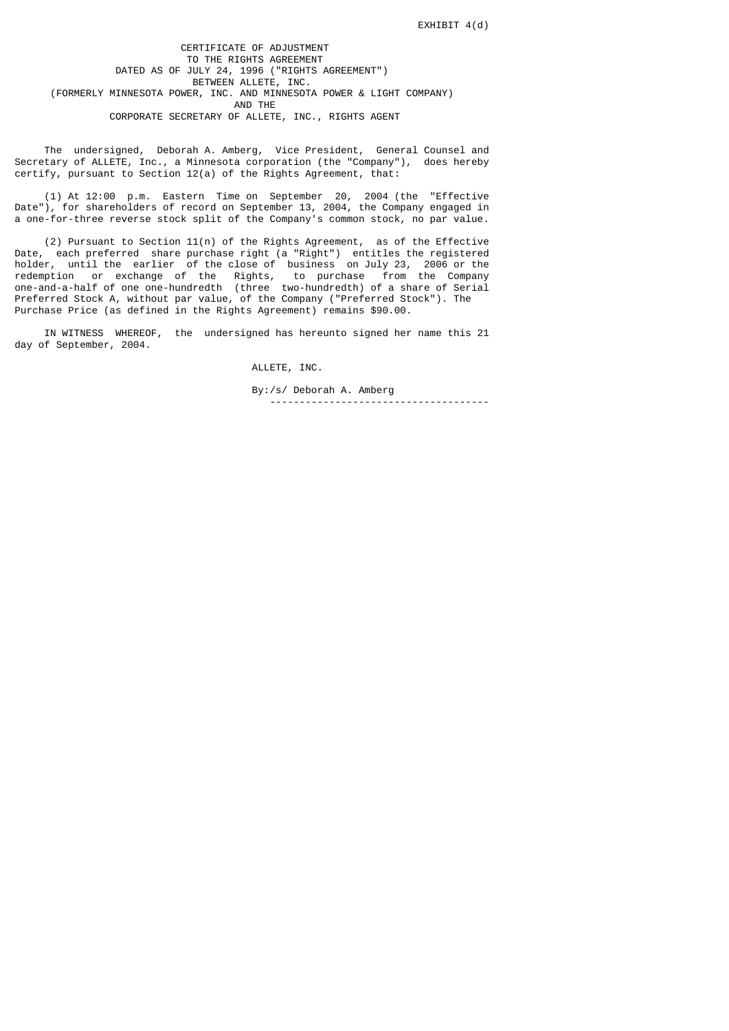CERTIFICATE OF ADJUSTMENT TO THE RIGHTS AGREEMENT DATED AS OF JULY 24, 1996 ("RIGHTS AGREEMENT") BETWEEN ALLETE, INC. (FORMERLY MINNESOTA POWER, INC. AND MINNESOTA POWER & LIGHT COMPANY) AND THE CORPORATE SECRETARY OF ALLETE, INC., RIGHTS AGENT

 The undersigned, Deborah A. Amberg, Vice President, General Counsel and Secretary of ALLETE, Inc., a Minnesota corporation (the "Company"), does hereby certify, pursuant to Section 12(a) of the Rights Agreement, that:

 (1) At 12:00 p.m. Eastern Time on September 20, 2004 (the "Effective Date"), for shareholders of record on September 13, 2004, the Company engaged in a one-for-three reverse stock split of the Company's common stock, no par value.

 (2) Pursuant to Section 11(n) of the Rights Agreement, as of the Effective Date, each preferred share purchase right (a "Right") entitles the registered holder, until the earlier of the close of business on July 23, 2006 or the redemption or exchange of the Rights, to purchase from the Company one-and-a-half of one one-hundredth (three two-hundredth) of a share of Serial Preferred Stock A, without par value, of the Company ("Preferred Stock"). The Purchase Price (as defined in the Rights Agreement) remains \$90.00.

 IN WITNESS WHEREOF, the undersigned has hereunto signed her name this 21 day of September, 2004.

ALLETE, INC.

 By:/s/ Deborah A. Amberg -------------------------------------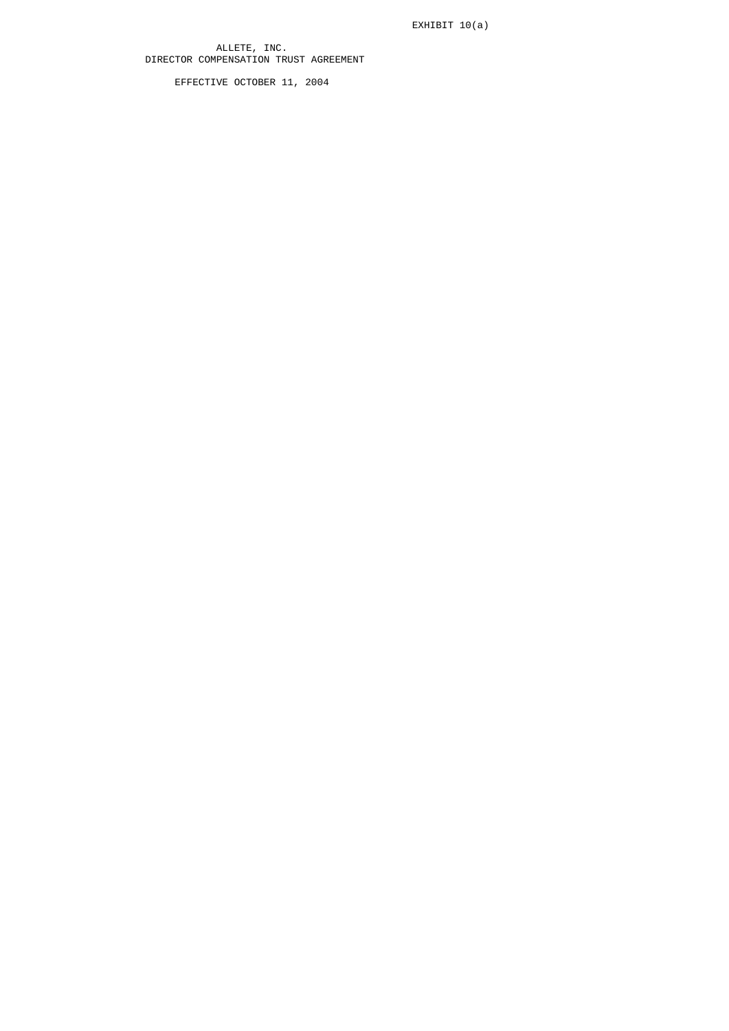EXHIBIT 10(a)

 ALLETE, INC. DIRECTOR COMPENSATION TRUST AGREEMENT

EFFECTIVE OCTOBER 11, 2004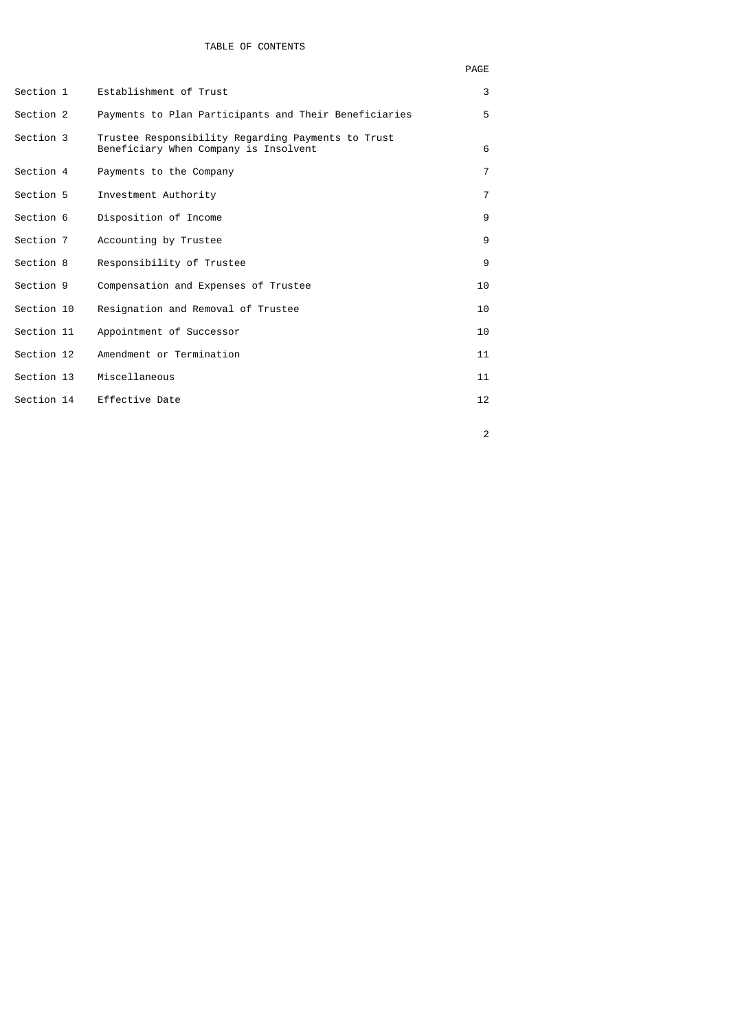| Establishment of Trust                                                                                                                                                                  | 3              |
|-----------------------------------------------------------------------------------------------------------------------------------------------------------------------------------------|----------------|
| Payments to Plan Participants and Their Beneficiaries                                                                                                                                   | 5              |
| Trustee Responsibility Regarding Payments to Trust<br>Beneficiary When Company is Insolvent                                                                                             | 6              |
| Payments to the Company                                                                                                                                                                 | $\overline{7}$ |
| Investment Authority                                                                                                                                                                    | $\overline{7}$ |
| Disposition of Income                                                                                                                                                                   | 9              |
| Accounting by Trustee                                                                                                                                                                   | 9              |
| Responsibility of Trustee                                                                                                                                                               | 9              |
| Compensation and Expenses of Trustee                                                                                                                                                    | 10             |
| Resignation and Removal of Trustee                                                                                                                                                      | 10             |
| Appointment of Successor                                                                                                                                                                | 10             |
| Amendment or Termination                                                                                                                                                                | 11             |
| Miscellaneous                                                                                                                                                                           | 11             |
| Effective Date                                                                                                                                                                          | 12             |
| Section 1<br>Section 2<br>Section 3<br>Section 4<br>Section 5<br>Section 6<br>Section 7<br>Section 8<br>Section 9<br>Section 10<br>Section 11<br>Section 12<br>Section 13<br>Section 14 |                |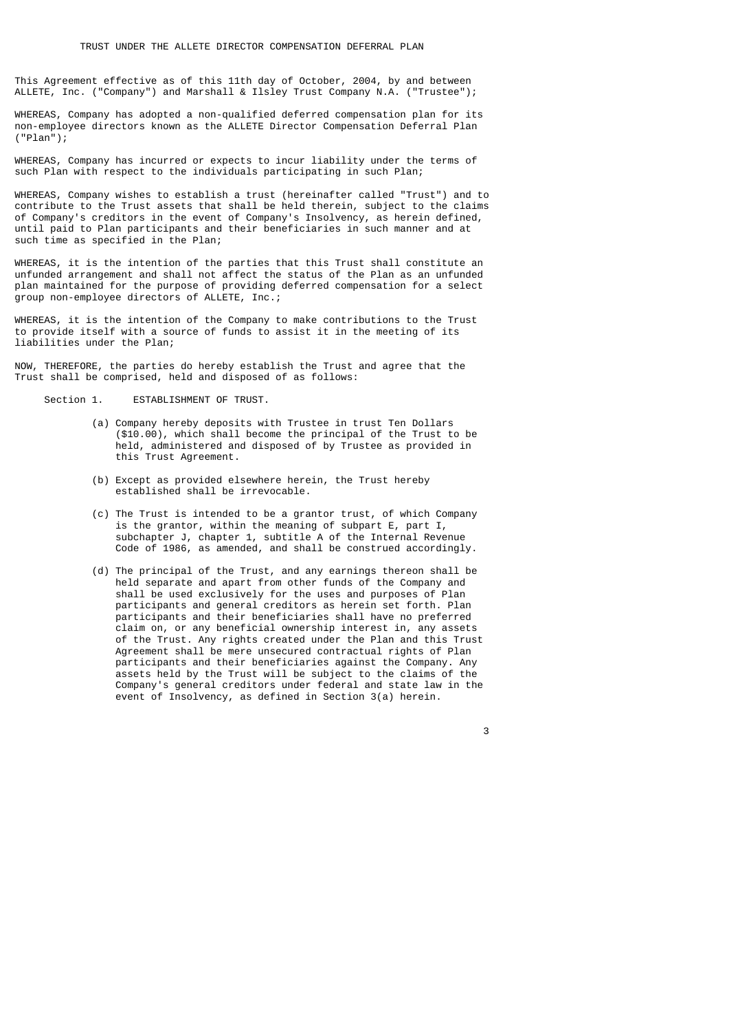This Agreement effective as of this 11th day of October, 2004, by and between ALLETE, Inc. ("Company") and Marshall & Ilsley Trust Company N.A. ("Trustee");

WHEREAS, Company has adopted a non-qualified deferred compensation plan for its non-employee directors known as the ALLETE Director Compensation Deferral Plan ("Plan");

WHEREAS, Company has incurred or expects to incur liability under the terms of such Plan with respect to the individuals participating in such Plan;

WHEREAS, Company wishes to establish a trust (hereinafter called "Trust") and to contribute to the Trust assets that shall be held therein, subject to the claims of Company's creditors in the event of Company's Insolvency, as herein defined, until paid to Plan participants and their beneficiaries in such manner and at such time as specified in the Plan;

WHEREAS, it is the intention of the parties that this Trust shall constitute an unfunded arrangement and shall not affect the status of the Plan as an unfunded plan maintained for the purpose of providing deferred compensation for a select group non-employee directors of ALLETE, Inc.;

WHEREAS, it is the intention of the Company to make contributions to the Trust to provide itself with a source of funds to assist it in the meeting of its liabilities under the Plan;

NOW, THEREFORE, the parties do hereby establish the Trust and agree that the Trust shall be comprised, held and disposed of as follows:

Section 1. **ESTABLISHMENT OF TRUST.** 

- (a) Company hereby deposits with Trustee in trust Ten Dollars (\$10.00), which shall become the principal of the Trust to be held, administered and disposed of by Trustee as provided in this Trust Agreement.
- (b) Except as provided elsewhere herein, the Trust hereby established shall be irrevocable.
- (c) The Trust is intended to be a grantor trust, of which Company is the grantor, within the meaning of subpart E, part I, subchapter J, chapter 1, subtitle A of the Internal Revenue Code of 1986, as amended, and shall be construed accordingly.
- (d) The principal of the Trust, and any earnings thereon shall be held separate and apart from other funds of the Company and shall be used exclusively for the uses and purposes of Plan participants and general creditors as herein set forth. Plan participants and their beneficiaries shall have no preferred claim on, or any beneficial ownership interest in, any assets of the Trust. Any rights created under the Plan and this Trust Agreement shall be mere unsecured contractual rights of Plan participants and their beneficiaries against the Company. Any assets held by the Trust will be subject to the claims of the Company's general creditors under federal and state law in the event of Insolvency, as defined in Section 3(a) herein.

<u>3</u> and the state of the state of the state of the state of the state of the state of the state of the state of the state of the state of the state of the state of the state of the state of the state of the state of the st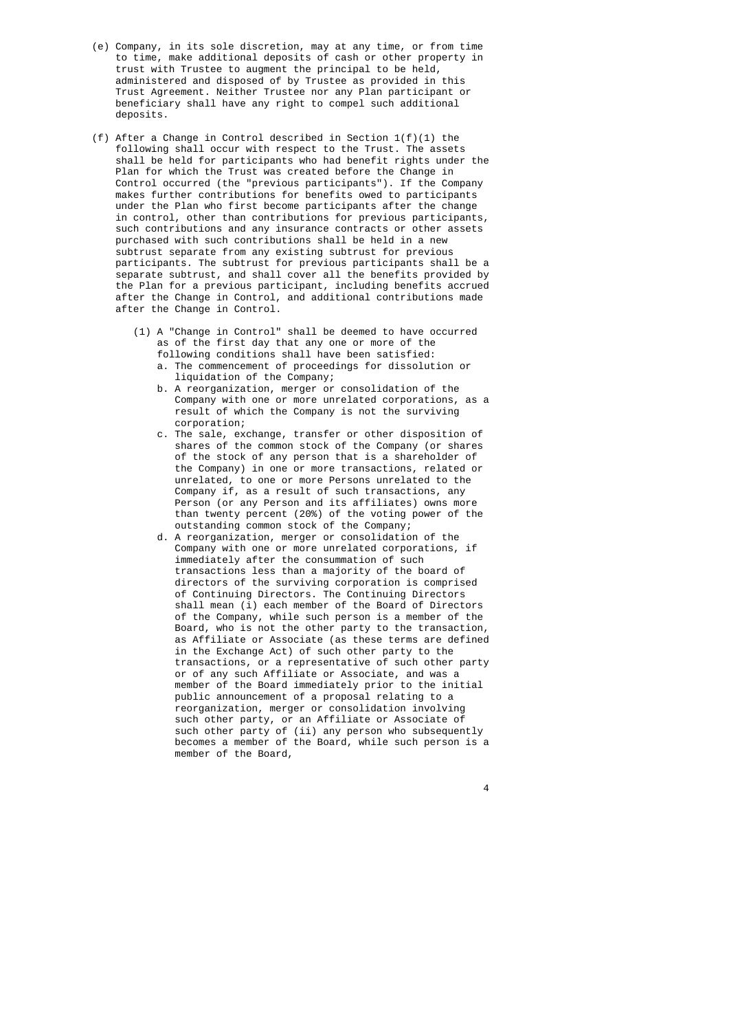- (e) Company, in its sole discretion, may at any time, or from time to time, make additional deposits of cash or other property in trust with Trustee to augment the principal to be held, administered and disposed of by Trustee as provided in this Trust Agreement. Neither Trustee nor any Plan participant or beneficiary shall have any right to compel such additional deposits.
- (f) After a Change in Control described in Section  $1(f)(1)$  the following shall occur with respect to the Trust. The assets shall be held for participants who had benefit rights under the Plan for which the Trust was created before the Change in Control occurred (the "previous participants"). If the Company makes further contributions for benefits owed to participants under the Plan who first become participants after the change in control, other than contributions for previous participants, such contributions and any insurance contracts or other assets purchased with such contributions shall be held in a new subtrust separate from any existing subtrust for previous participants. The subtrust for previous participants shall be a separate subtrust, and shall cover all the benefits provided by the Plan for a previous participant, including benefits accrued after the Change in Control, and additional contributions made after the Change in Control.
	- (1) A "Change in Control" shall be deemed to have occurred as of the first day that any one or more of the following conditions shall have been satisfied:
		- a. The commencement of proceedings for dissolution or liquidation of the Company;
		- b. A reorganization, merger or consolidation of the Company with one or more unrelated corporations, as a result of which the Company is not the surviving corporation;
		- c. The sale, exchange, transfer or other disposition of shares of the common stock of the Company (or shares of the stock of any person that is a shareholder of the Company) in one or more transactions, related or unrelated, to one or more Persons unrelated to the Company if, as a result of such transactions, any Person (or any Person and its affiliates) owns more than twenty percent (20%) of the voting power of the outstanding common stock of the Company;
- d. A reorganization, merger or consolidation of the Company with one or more unrelated corporations, if immediately after the consummation of such transactions less than a majority of the board of directors of the surviving corporation is comprised of Continuing Directors. The Continuing Directors shall mean (i) each member of the Board of Directors of the Company, while such person is a member of the Board, who is not the other party to the transaction, as Affiliate or Associate (as these terms are defined in the Exchange Act) of such other party to the transactions, or a representative of such other party or of any such Affiliate or Associate, and was a member of the Board immediately prior to the initial public announcement of a proposal relating to a reorganization, merger or consolidation involving such other party, or an Affiliate or Associate of such other party of (ii) any person who subsequently becomes a member of the Board, while such person is a member of the Board,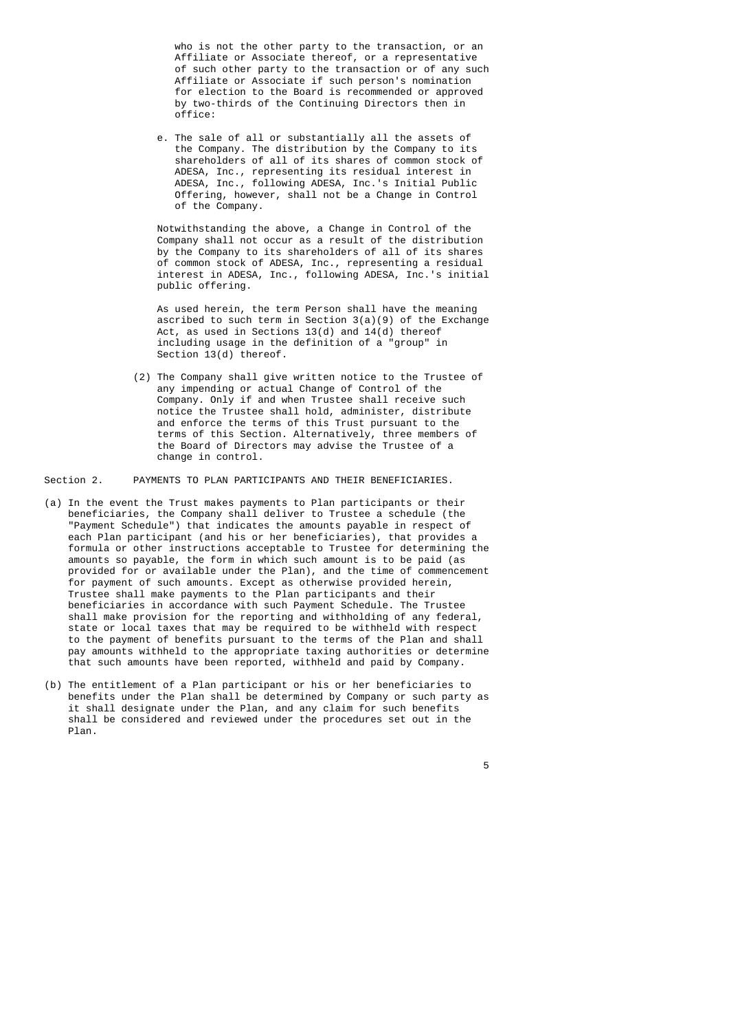who is not the other party to the transaction, or an Affiliate or Associate thereof, or a representative of such other party to the transaction or of any such Affiliate or Associate if such person's nomination for election to the Board is recommended or approved by two-thirds of the Continuing Directors then in office:

 e. The sale of all or substantially all the assets of the Company. The distribution by the Company to its shareholders of all of its shares of common stock of ADESA, Inc., representing its residual interest in ADESA, Inc., following ADESA, Inc.'s Initial Public Offering, however, shall not be a Change in Control of the Company.

> Notwithstanding the above, a Change in Control of the Company shall not occur as a result of the distribution by the Company to its shareholders of all of its shares of common stock of ADESA, Inc., representing a residual interest in ADESA, Inc., following ADESA, Inc.'s initial public offering.

 As used herein, the term Person shall have the meaning ascribed to such term in Section 3(a)(9) of the Exchange Act, as used in Sections 13(d) and 14(d) thereof including usage in the definition of a "group" in Section 13(d) thereof.

> (2) The Company shall give written notice to the Trustee of any impending or actual Change of Control of the Company. Only if and when Trustee shall receive such notice the Trustee shall hold, administer, distribute and enforce the terms of this Trust pursuant to the terms of this Section. Alternatively, three members of the Board of Directors may advise the Trustee of a change in control.

Section 2. PAYMENTS TO PLAN PARTICIPANTS AND THEIR BENEFICIARIES.

- (a) In the event the Trust makes payments to Plan participants or their beneficiaries, the Company shall deliver to Trustee a schedule (the "Payment Schedule") that indicates the amounts payable in respect of each Plan participant (and his or her beneficiaries), that provides a formula or other instructions acceptable to Trustee for determining the amounts so payable, the form in which such amount is to be paid (as provided for or available under the Plan), and the time of commencement for payment of such amounts. Except as otherwise provided herein, Trustee shall make payments to the Plan participants and their beneficiaries in accordance with such Payment Schedule. The Trustee shall make provision for the reporting and withholding of any federal, state or local taxes that may be required to be withheld with respect to the payment of benefits pursuant to the terms of the Plan and shall pay amounts withheld to the appropriate taxing authorities or determine that such amounts have been reported, withheld and paid by Company.
- (b) The entitlement of a Plan participant or his or her beneficiaries to benefits under the Plan shall be determined by Company or such party as it shall designate under the Plan, and any claim for such benefits shall be considered and reviewed under the procedures set out in the Plan.

the contract of the contract of the contract of the contract of the contract of the contract of the contract o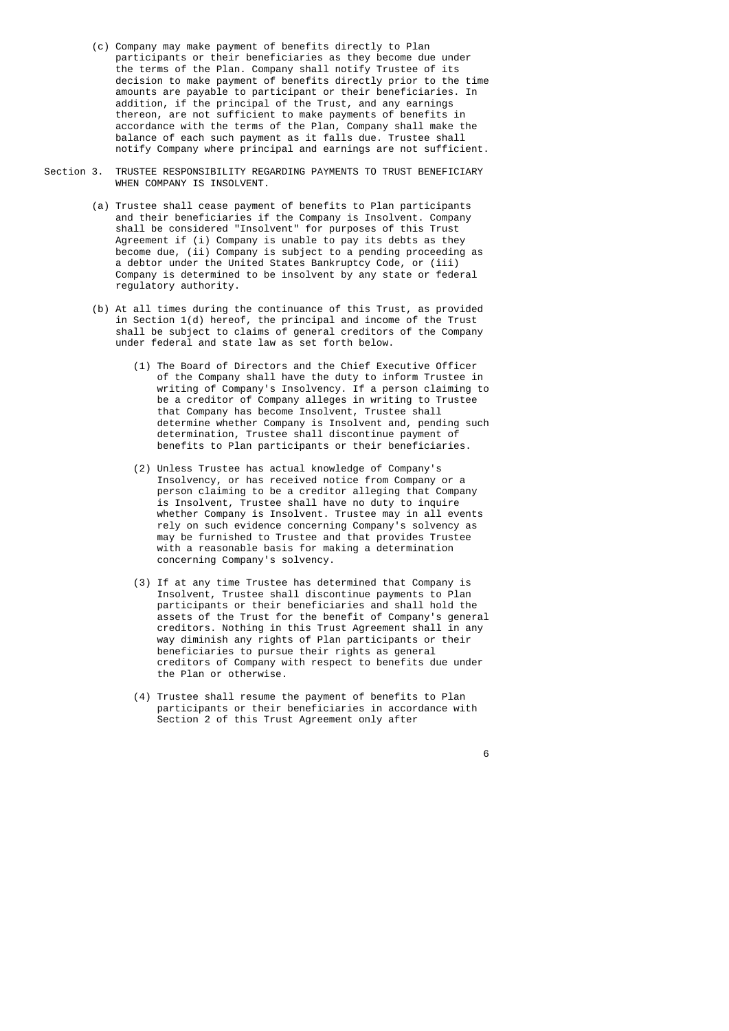- (c) Company may make payment of benefits directly to Plan participants or their beneficiaries as they become due under the terms of the Plan. Company shall notify Trustee of its decision to make payment of benefits directly prior to the time amounts are payable to participant or their beneficiaries. In addition, if the principal of the Trust, and any earnings thereon, are not sufficient to make payments of benefits in accordance with the terms of the Plan, Company shall make the balance of each such payment as it falls due. Trustee shall notify Company where principal and earnings are not sufficient.
- Section 3. TRUSTEE RESPONSIBILITY REGARDING PAYMENTS TO TRUST BENEFICIARY WHEN COMPANY IS INSOLVENT.
	- (a) Trustee shall cease payment of benefits to Plan participants and their beneficiaries if the Company is Insolvent. Company shall be considered "Insolvent" for purposes of this Trust Agreement if (i) Company is unable to pay its debts as they become due, (ii) Company is subject to a pending proceeding as a debtor under the United States Bankruptcy Code, or (iii) Company is determined to be insolvent by any state or federal regulatory authority.
	- (b) At all times during the continuance of this Trust, as provided in Section 1(d) hereof, the principal and income of the Trust shall be subject to claims of general creditors of the Company under federal and state law as set forth below.
- (1) The Board of Directors and the Chief Executive Officer of the Company shall have the duty to inform Trustee in writing of Company's Insolvency. If a person claiming to be a creditor of Company alleges in writing to Trustee that Company has become Insolvent, Trustee shall determine whether Company is Insolvent and, pending such determination, Trustee shall discontinue payment of benefits to Plan participants or their beneficiaries.
	- (2) Unless Trustee has actual knowledge of Company's Insolvency, or has received notice from Company or a person claiming to be a creditor alleging that Company is Insolvent, Trustee shall have no duty to inquire whether Company is Insolvent. Trustee may in all events rely on such evidence concerning Company's solvency as may be furnished to Trustee and that provides Trustee with a reasonable basis for making a determination concerning Company's solvency.
	- (3) If at any time Trustee has determined that Company is Insolvent, Trustee shall discontinue payments to Plan participants or their beneficiaries and shall hold the assets of the Trust for the benefit of Company's general creditors. Nothing in this Trust Agreement shall in any way diminish any rights of Plan participants or their beneficiaries to pursue their rights as general creditors of Company with respect to benefits due under the Plan or otherwise.
	- (4) Trustee shall resume the payment of benefits to Plan participants or their beneficiaries in accordance with Section 2 of this Trust Agreement only after

<u>6. In the set of the set of the set of the set of the set of the set of the set of the set of the set of the set of the set of the set of the set of the set of the set of the set of the set of the set of the set of the se</u>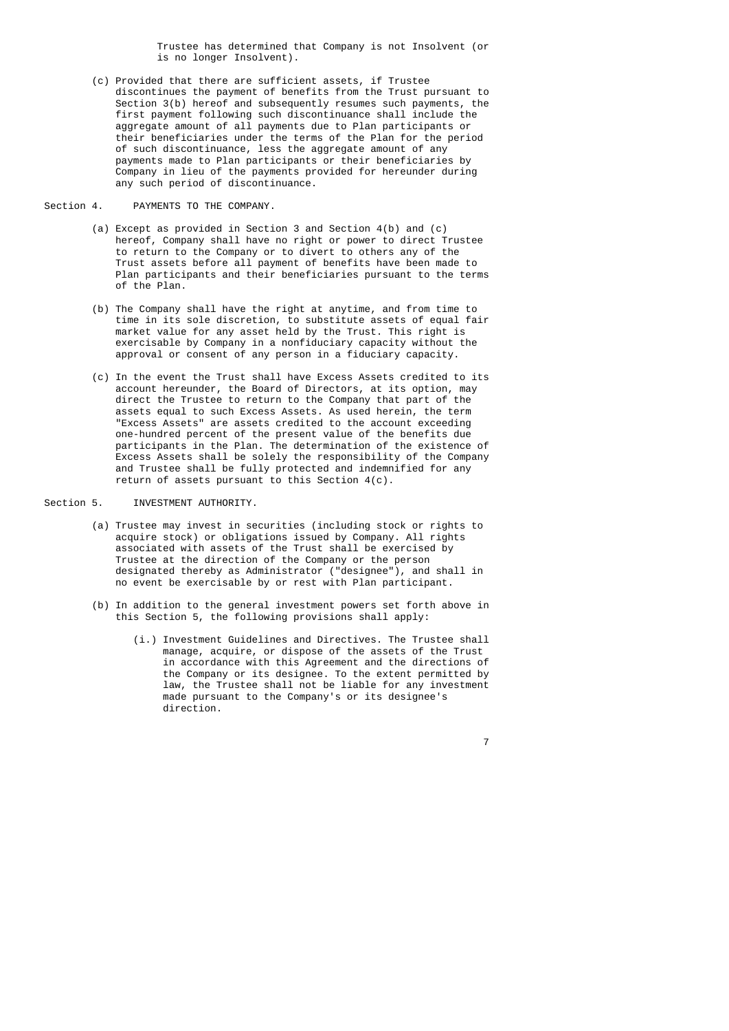Trustee has determined that Company is not Insolvent (or is no longer Insolvent).

 (c) Provided that there are sufficient assets, if Trustee discontinues the payment of benefits from the Trust pursuant to Section 3(b) hereof and subsequently resumes such payments, the first payment following such discontinuance shall include the aggregate amount of all payments due to Plan participants or their beneficiaries under the terms of the Plan for the period of such discontinuance, less the aggregate amount of any payments made to Plan participants or their beneficiaries by Company in lieu of the payments provided for hereunder during any such period of discontinuance.

Section 4. PAYMENTS TO THE COMPANY.

- (a) Except as provided in Section 3 and Section 4(b) and (c) hereof, Company shall have no right or power to direct Trustee to return to the Company or to divert to others any of the Trust assets before all payment of benefits have been made to Plan participants and their beneficiaries pursuant to the terms of the Plan.
- (b) The Company shall have the right at anytime, and from time to time in its sole discretion, to substitute assets of equal fair market value for any asset held by the Trust. This right is exercisable by Company in a nonfiduciary capacity without the approval or consent of any person in a fiduciary capacity.
- (c) In the event the Trust shall have Excess Assets credited to its account hereunder, the Board of Directors, at its option, may direct the Trustee to return to the Company that part of the assets equal to such Excess Assets. As used herein, the term "Excess Assets" are assets credited to the account exceeding one-hundred percent of the present value of the benefits due participants in the Plan. The determination of the existence of Excess Assets shall be solely the responsibility of the Company and Trustee shall be fully protected and indemnified for any return of assets pursuant to this Section 4(c).

# Section 5. INVESTMENT AUTHORITY.

- (a) Trustee may invest in securities (including stock or rights to acquire stock) or obligations issued by Company. All rights associated with assets of the Trust shall be exercised by Trustee at the direction of the Company or the person designated thereby as Administrator ("designee"), and shall in no event be exercisable by or rest with Plan participant.
	- (b) In addition to the general investment powers set forth above in this Section 5, the following provisions shall apply:

<u>7</u> The contract of the contract of the contract of the contract of the contract of the contract of the contract of the contract of the contract of the contract of the contract of the contract of the contract of the contra

 (i.) Investment Guidelines and Directives. The Trustee shall manage, acquire, or dispose of the assets of the Trust in accordance with this Agreement and the directions of the Company or its designee. To the extent permitted by law, the Trustee shall not be liable for any investment made pursuant to the Company's or its designee's direction.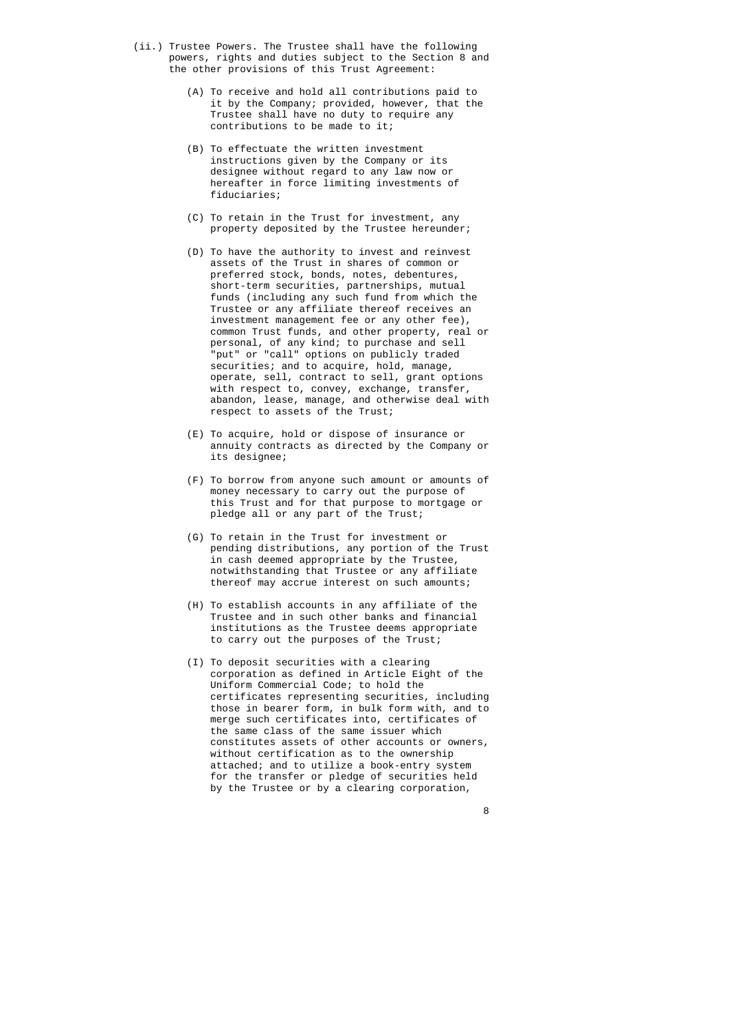- (ii.) Trustee Powers. The Trustee shall have the following powers, rights and duties subject to the Section 8 and the other provisions of this Trust Agreement:
	- (A) To receive and hold all contributions paid to it by the Company; provided, however, that the Trustee shall have no duty to require any contributions to be made to it;
	- (B) To effectuate the written investment instructions given by the Company or its designee without regard to any law now or hereafter in force limiting investments of fiduciaries;
	- (C) To retain in the Trust for investment, any property deposited by the Trustee hereunder;
- (D) To have the authority to invest and reinvest assets of the Trust in shares of common or preferred stock, bonds, notes, debentures, short-term securities, partnerships, mutual funds (including any such fund from which the Trustee or any affiliate thereof receives an investment management fee or any other fee), common Trust funds, and other property, real or personal, of any kind; to purchase and sell "put" or "call" options on publicly traded securities; and to acquire, hold, manage, operate, sell, contract to sell, grant options with respect to, convey, exchange, transfer, abandon, lease, manage, and otherwise deal with respect to assets of the Trust;
	- (E) To acquire, hold or dispose of insurance or annuity contracts as directed by the Company or its designee;
	- (F) To borrow from anyone such amount or amounts of money necessary to carry out the purpose of this Trust and for that purpose to mortgage or pledge all or any part of the Trust;
	- (G) To retain in the Trust for investment or pending distributions, any portion of the Trust in cash deemed appropriate by the Trustee, notwithstanding that Trustee or any affiliate thereof may accrue interest on such amounts;
	- (H) To establish accounts in any affiliate of the Trustee and in such other banks and financial institutions as the Trustee deems appropriate to carry out the purposes of the Trust;
	- (I) To deposit securities with a clearing corporation as defined in Article Eight of the Uniform Commercial Code; to hold the certificates representing securities, including those in bearer form, in bulk form with, and to merge such certificates into, certificates of the same class of the same issuer which constitutes assets of other accounts or owners, without certification as to the ownership attached; and to utilize a book-entry system for the transfer or pledge of securities held by the Trustee or by a clearing corporation,

en andere en de la provincia de la provincia de la provincia de la provincia de la provincia de la provincia d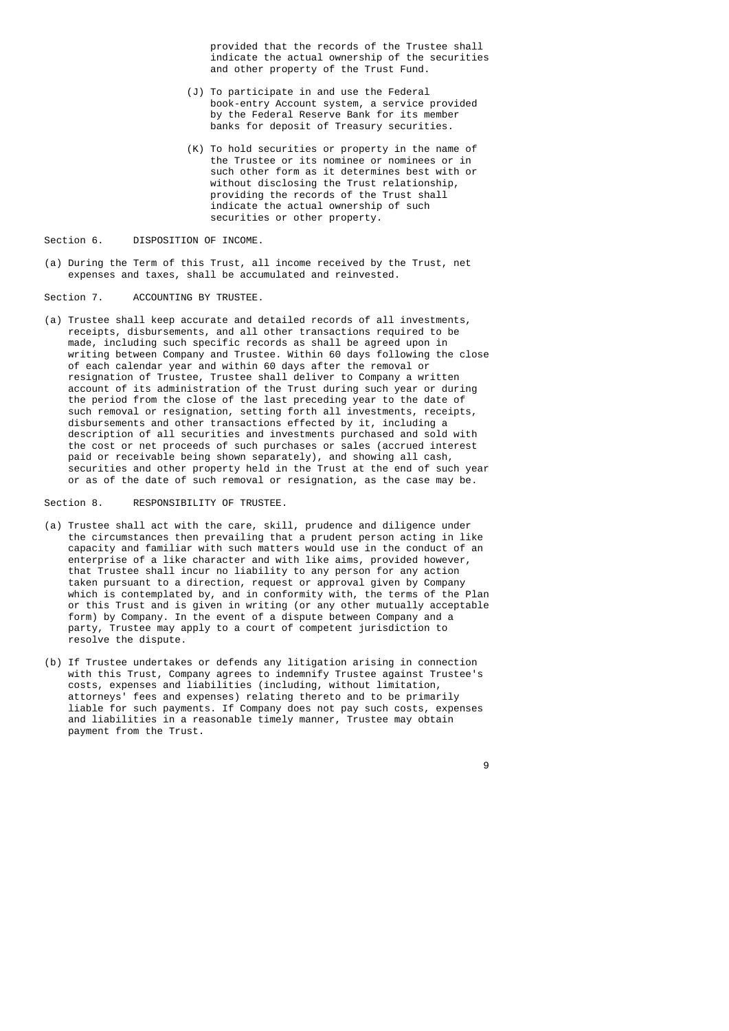provided that the records of the Trustee shall indicate the actual ownership of the securities and other property of the Trust Fund.

- (J) To participate in and use the Federal book-entry Account system, a service provided by the Federal Reserve Bank for its member banks for deposit of Treasury securities.
- (K) To hold securities or property in the name of the Trustee or its nominee or nominees or in such other form as it determines best with or without disclosing the Trust relationship, providing the records of the Trust shall indicate the actual ownership of such securities or other property.

Section 6. DISPOSITION OF INCOME.

 (a) During the Term of this Trust, all income received by the Trust, net expenses and taxes, shall be accumulated and reinvested.

Section 7. ACCOUNTING BY TRUSTEE.

 (a) Trustee shall keep accurate and detailed records of all investments, receipts, disbursements, and all other transactions required to be made, including such specific records as shall be agreed upon in writing between Company and Trustee. Within 60 days following the close of each calendar year and within 60 days after the removal or resignation of Trustee, Trustee shall deliver to Company a written account of its administration of the Trust during such year or during the period from the close of the last preceding year to the date of such removal or resignation, setting forth all investments, receipts, disbursements and other transactions effected by it, including a description of all securities and investments purchased and sold with the cost or net proceeds of such purchases or sales (accrued interest paid or receivable being shown separately), and showing all cash, securities and other property held in the Trust at the end of such year or as of the date of such removal or resignation, as the case may be.

Section 8. RESPONSIBILITY OF TRUSTEE.

- (a) Trustee shall act with the care, skill, prudence and diligence under the circumstances then prevailing that a prudent person acting in like capacity and familiar with such matters would use in the conduct of an enterprise of a like character and with like aims, provided however, that Trustee shall incur no liability to any person for any action taken pursuant to a direction, request or approval given by Company which is contemplated by, and in conformity with, the terms of the Plan or this Trust and is given in writing (or any other mutually acceptable form) by Company. In the event of a dispute between Company and a party, Trustee may apply to a court of competent jurisdiction to resolve the dispute.
	- (b) If Trustee undertakes or defends any litigation arising in connection with this Trust, Company agrees to indemnify Trustee against Trustee's costs, expenses and liabilities (including, without limitation, attorneys' fees and expenses) relating thereto and to be primarily liable for such payments. If Company does not pay such costs, expenses and liabilities in a reasonable timely manner, Trustee may obtain payment from the Trust.

e de la construcción de la construcción de la construcción de la construcción de la construcción de la constru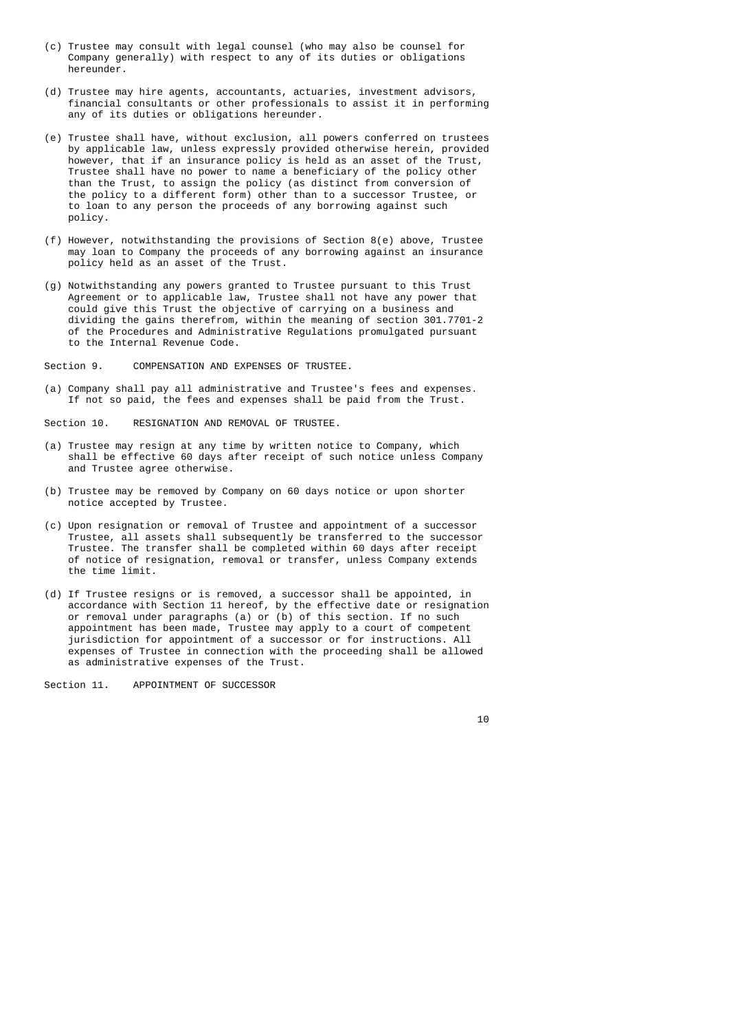- (c) Trustee may consult with legal counsel (who may also be counsel for Company generally) with respect to any of its duties or obligations hereunder.
- (d) Trustee may hire agents, accountants, actuaries, investment advisors, financial consultants or other professionals to assist it in performing any of its duties or obligations hereunder.
- (e) Trustee shall have, without exclusion, all powers conferred on trustees by applicable law, unless expressly provided otherwise herein, provided however, that if an insurance policy is held as an asset of the Trust, Trustee shall have no power to name a beneficiary of the policy other than the Trust, to assign the policy (as distinct from conversion of the policy to a different form) other than to a successor Trustee, or to loan to any person the proceeds of any borrowing against such policy.
- (f) However, notwithstanding the provisions of Section 8(e) above, Trustee may loan to Company the proceeds of any borrowing against an insurance policy held as an asset of the Trust.
- (g) Notwithstanding any powers granted to Trustee pursuant to this Trust Agreement or to applicable law, Trustee shall not have any power that could give this Trust the objective of carrying on a business and dividing the gains therefrom, within the meaning of section 301.7701-2 of the Procedures and Administrative Regulations promulgated pursuant to the Internal Revenue Code.

Section 9. COMPENSATION AND EXPENSES OF TRUSTEE.

 (a) Company shall pay all administrative and Trustee's fees and expenses. If not so paid, the fees and expenses shall be paid from the Trust.

Section 10. RESIGNATION AND REMOVAL OF TRUSTEE.

- (a) Trustee may resign at any time by written notice to Company, which shall be effective 60 days after receipt of such notice unless Company and Trustee agree otherwise.
- (b) Trustee may be removed by Company on 60 days notice or upon shorter notice accepted by Trustee.
- (c) Upon resignation or removal of Trustee and appointment of a successor Trustee, all assets shall subsequently be transferred to the successor Trustee. The transfer shall be completed within 60 days after receipt of notice of resignation, removal or transfer, unless Company extends the time limit.
- (d) If Trustee resigns or is removed, a successor shall be appointed, in accordance with Section 11 hereof, by the effective date or resignation or removal under paragraphs (a) or (b) of this section. If no such appointment has been made, Trustee may apply to a court of competent jurisdiction for appointment of a successor or for instructions. All expenses of Trustee in connection with the proceeding shall be allowed as administrative expenses of the Trust.

Section 11. APPOINTMENT OF SUCCESSOR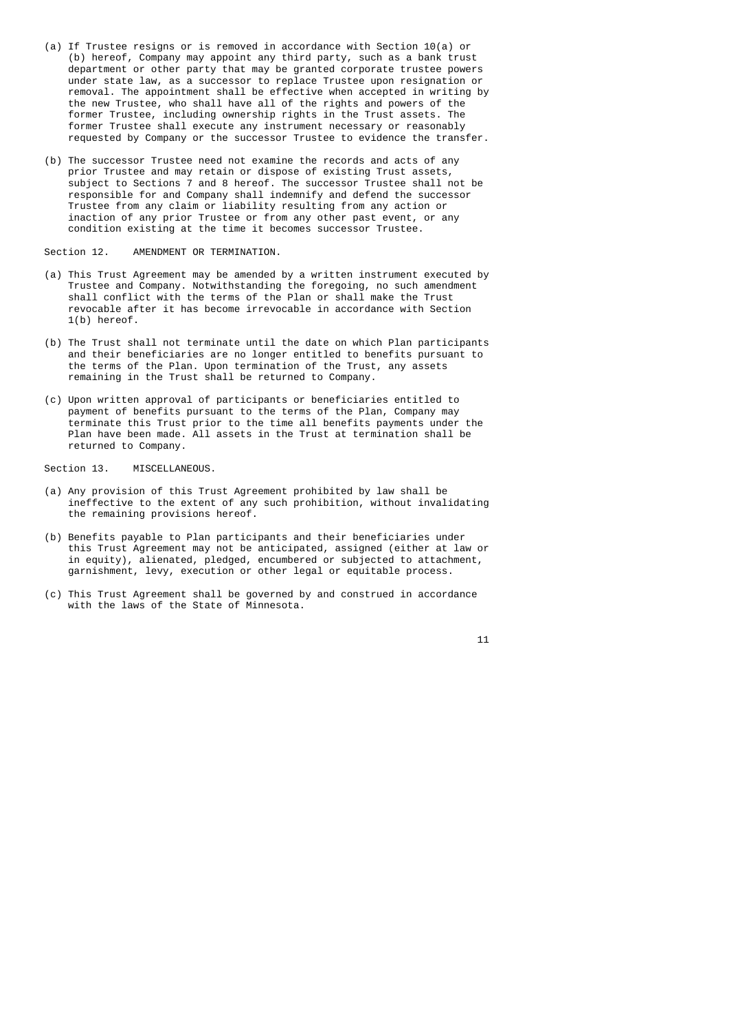- (a) If Trustee resigns or is removed in accordance with Section 10(a) or (b) hereof, Company may appoint any third party, such as a bank trust department or other party that may be granted corporate trustee powers under state law, as a successor to replace Trustee upon resignation or removal. The appointment shall be effective when accepted in writing by the new Trustee, who shall have all of the rights and powers of the former Trustee, including ownership rights in the Trust assets. The former Trustee shall execute any instrument necessary or reasonably requested by Company or the successor Trustee to evidence the transfer.
	- (b) The successor Trustee need not examine the records and acts of any prior Trustee and may retain or dispose of existing Trust assets, subject to Sections 7 and 8 hereof. The successor Trustee shall not be responsible for and Company shall indemnify and defend the successor Trustee from any claim or liability resulting from any action or inaction of any prior Trustee or from any other past event, or any condition existing at the time it becomes successor Trustee.

Section 12. AMENDMENT OR TERMINATION.

- (a) This Trust Agreement may be amended by a written instrument executed by Trustee and Company. Notwithstanding the foregoing, no such amendment shall conflict with the terms of the Plan or shall make the Trust revocable after it has become irrevocable in accordance with Section 1(b) hereof.
- (b) The Trust shall not terminate until the date on which Plan participants and their beneficiaries are no longer entitled to benefits pursuant to the terms of the Plan. Upon termination of the Trust, any assets remaining in the Trust shall be returned to Company.
- (c) Upon written approval of participants or beneficiaries entitled to payment of benefits pursuant to the terms of the Plan, Company may terminate this Trust prior to the time all benefits payments under the Plan have been made. All assets in the Trust at termination shall be returned to Company.

Section 13. MISCELLANEOUS.

- (a) Any provision of this Trust Agreement prohibited by law shall be ineffective to the extent of any such prohibition, without invalidating the remaining provisions hereof.
- (b) Benefits payable to Plan participants and their beneficiaries under this Trust Agreement may not be anticipated, assigned (either at law or in equity), alienated, pledged, encumbered or subjected to attachment, garnishment, levy, execution or other legal or equitable process.
- (c) This Trust Agreement shall be governed by and construed in accordance with the laws of the State of Minnesota.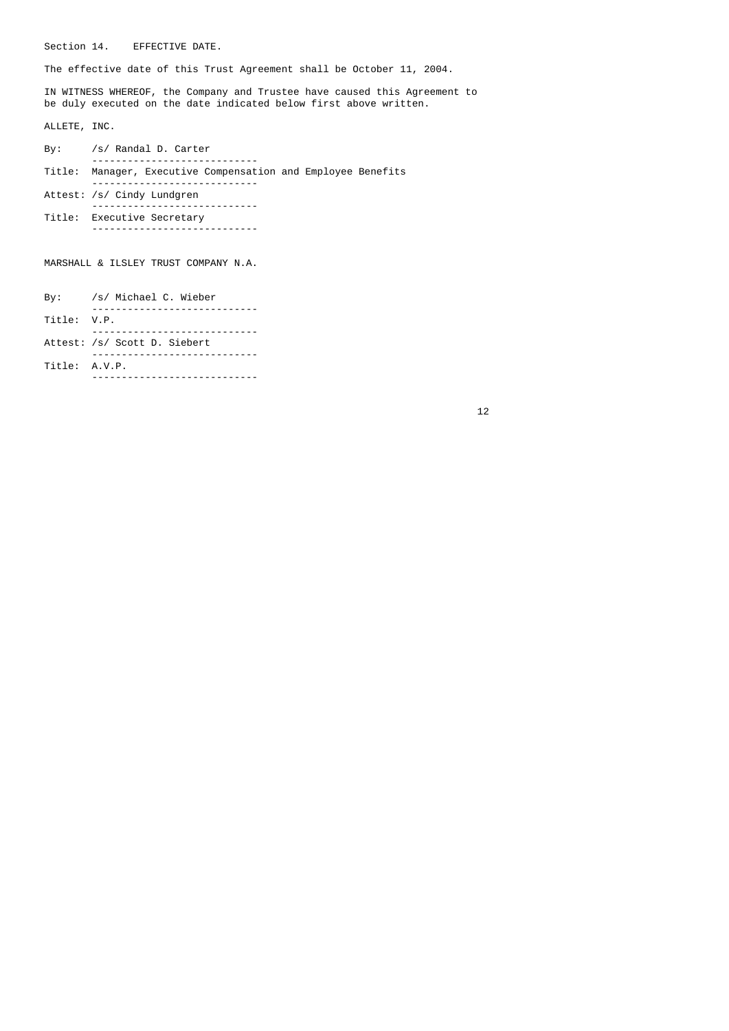Section 14. EFFECTIVE DATE.

The effective date of this Trust Agreement shall be October 11, 2004.

 IN WITNESS WHEREOF, the Company and Trustee have caused this Agreement to be duly executed on the date indicated below first above written.

ALLETE, INC.

|  | By: /s/ Randal D. Carter                                     |
|--|--------------------------------------------------------------|
|  | Title: Manager, Executive Compensation and Employee Benefits |
|  |                                                              |
|  | Attest: /s/ Cindy Lundgren                                   |
|  | Title: Executive Secretary                                   |
|  |                                                              |

MARSHALL & ILSLEY TRUST COMPANY N.A.

 By: /s/ Michael C. Wieber ---------------------------- Title: V.P. ---------------------------- Attest: /s/ Scott D. Siebert ---------------------------- Title: A.V.P. ----------------------------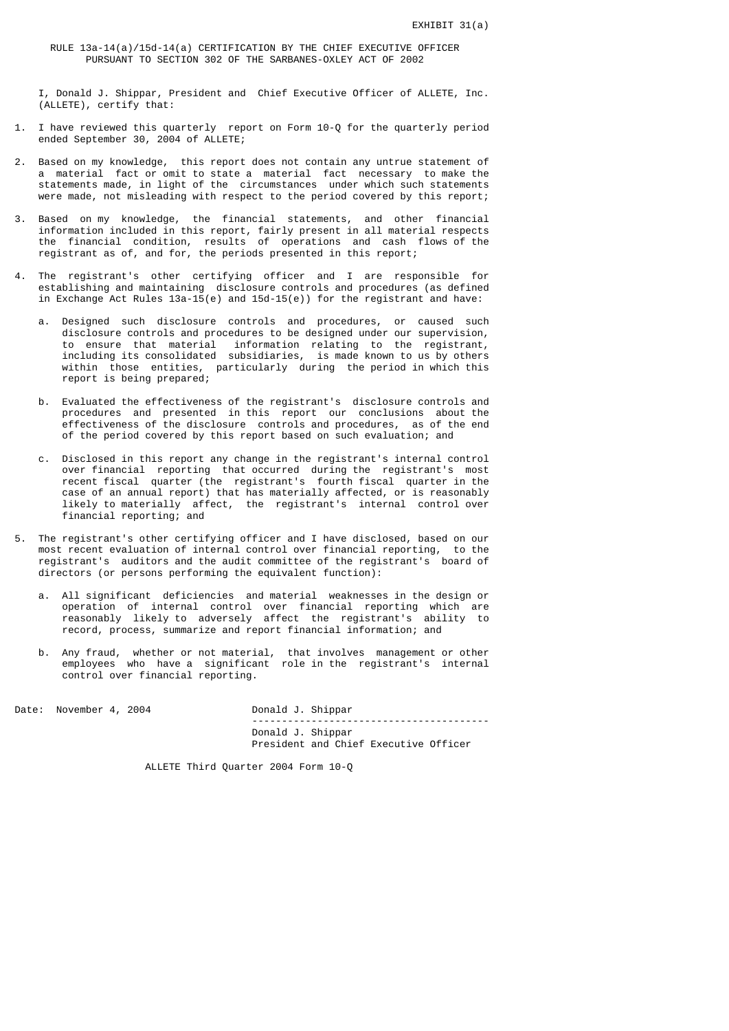RULE 13a-14(a)/15d-14(a) CERTIFICATION BY THE CHIEF EXECUTIVE OFFICER PURSUANT TO SECTION 302 OF THE SARBANES-OXLEY ACT OF 2002

 I, Donald J. Shippar, President and Chief Executive Officer of ALLETE, Inc. (ALLETE), certify that:

- 1. I have reviewed this quarterly report on Form 10-Q for the quarterly period ended September 30, 2004 of ALLETE;
- 2. Based on my knowledge, this report does not contain any untrue statement of a material fact or omit to state a material fact necessary to make the statements made, in light of the circumstances under which such statements were made, not misleading with respect to the period covered by this report;
- 3. Based on my knowledge, the financial statements, and other financial information included in this report, fairly present in all material respects the financial condition, results of operations and cash flows of the registrant as of, and for, the periods presented in this report;
- 4. The registrant's other certifying officer and I are responsible for establishing and maintaining disclosure controls and procedures (as defined in Exchange Act Rules 13a-15(e) and 15d-15(e)) for the registrant and have:
- a. Designed such disclosure controls and procedures, or caused such disclosure controls and procedures to be designed under our supervision, to ensure that material information relating to the registrant, including its consolidated subsidiaries, is made known to us by others within those entities, particularly during the period in which this report is being prepared;
- b. Evaluated the effectiveness of the registrant's disclosure controls and procedures and presented in this report our conclusions about the effectiveness of the disclosure controls and procedures, as of the end of the period covered by this report based on such evaluation; and
- c. Disclosed in this report any change in the registrant's internal control over financial reporting that occurred during the registrant's most recent fiscal quarter (the registrant's fourth fiscal quarter in the case of an annual report) that has materially affected, or is reasonably likely to materially affect, the registrant's internal control over financial reporting; and
- 5. The registrant's other certifying officer and I have disclosed, based on our most recent evaluation of internal control over financial reporting, to the registrant's auditors and the audit committee of the registrant's board of directors (or persons performing the equivalent function):
- a. All significant deficiencies and material weaknesses in the design or operation of internal control over financial reporting which are reasonably likely to adversely affect the registrant's ability to record, process, summarize and report financial information; and
- b. Any fraud, whether or not material, that involves management or other employees who have a significant role in the registrant's internal control over financial reporting.

Date: November 4, 2004 Donald J. Shippar

 ---------------------------------------- Donald J. Shippar President and Chief Executive Officer

ALLETE Third Quarter 2004 Form 10-Q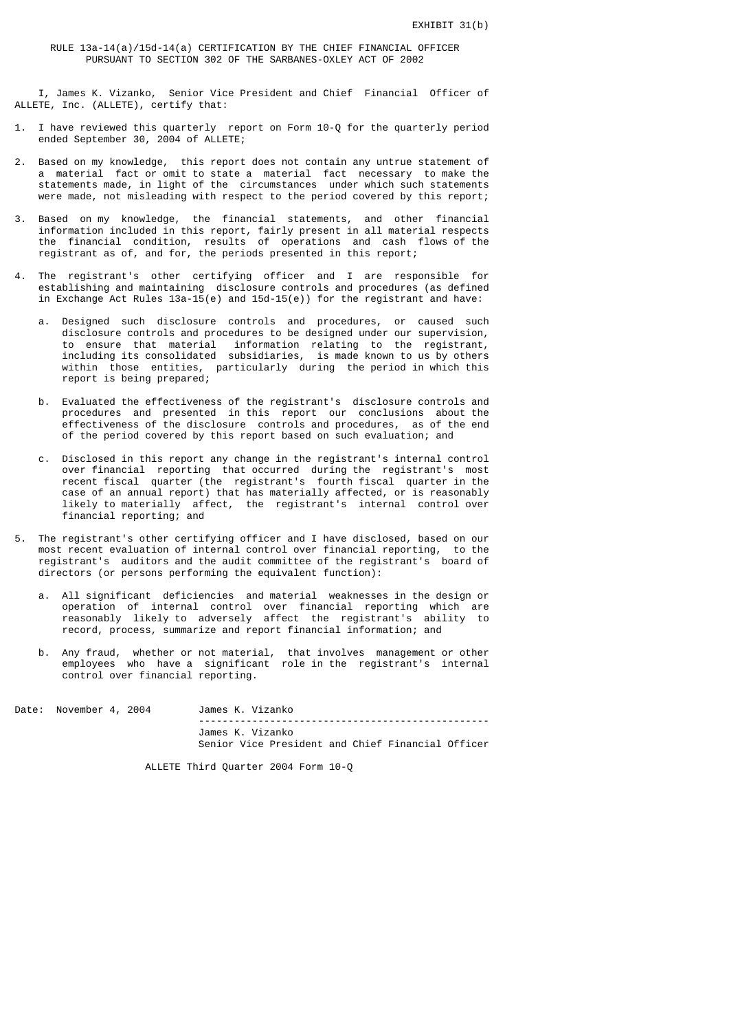RULE 13a-14(a)/15d-14(a) CERTIFICATION BY THE CHIEF FINANCIAL OFFICER PURSUANT TO SECTION 302 OF THE SARBANES-OXLEY ACT OF 2002

 I, James K. Vizanko, Senior Vice President and Chief Financial Officer of ALLETE, Inc. (ALLETE), certify that:

- 1. I have reviewed this quarterly report on Form 10-Q for the quarterly period ended September 30, 2004 of ALLETE;
- 2. Based on my knowledge, this report does not contain any untrue statement of a material fact or omit to state a material fact necessary to make the statements made, in light of the circumstances under which such statements were made, not misleading with respect to the period covered by this report;
- 3. Based on my knowledge, the financial statements, and other financial information included in this report, fairly present in all material respects the financial condition, results of operations and cash flows of the registrant as of, and for, the periods presented in this report;
- 4. The registrant's other certifying officer and I are responsible for establishing and maintaining disclosure controls and procedures (as defined in Exchange Act Rules 13a-15(e) and 15d-15(e)) for the registrant and have:
- a. Designed such disclosure controls and procedures, or caused such disclosure controls and procedures to be designed under our supervision, to ensure that material information relating to the registrant, including its consolidated subsidiaries, is made known to us by others within those entities, particularly during the period in which this report is being prepared;
- b. Evaluated the effectiveness of the registrant's disclosure controls and procedures and presented in this report our conclusions about the effectiveness of the disclosure controls and procedures, as of the end of the period covered by this report based on such evaluation; and
- c. Disclosed in this report any change in the registrant's internal control over financial reporting that occurred during the registrant's most recent fiscal quarter (the registrant's fourth fiscal quarter in the case of an annual report) that has materially affected, or is reasonably likely to materially affect, the registrant's internal control over financial reporting; and
- 5. The registrant's other certifying officer and I have disclosed, based on our most recent evaluation of internal control over financial reporting, to the registrant's auditors and the audit committee of the registrant's board of directors (or persons performing the equivalent function):
- a. All significant deficiencies and material weaknesses in the design or operation of internal control over financial reporting which are reasonably likely to adversely affect the registrant's ability to record, process, summarize and report financial information; and
- b. Any fraud, whether or not material, that involves management or other employees who have a significant role in the registrant's internal control over financial reporting.

Date: November 4, 2004 James K. Vizanko ------------------------------------------------- James K. Vizanko Senior Vice President and Chief Financial Officer

ALLETE Third Quarter 2004 Form 10-Q